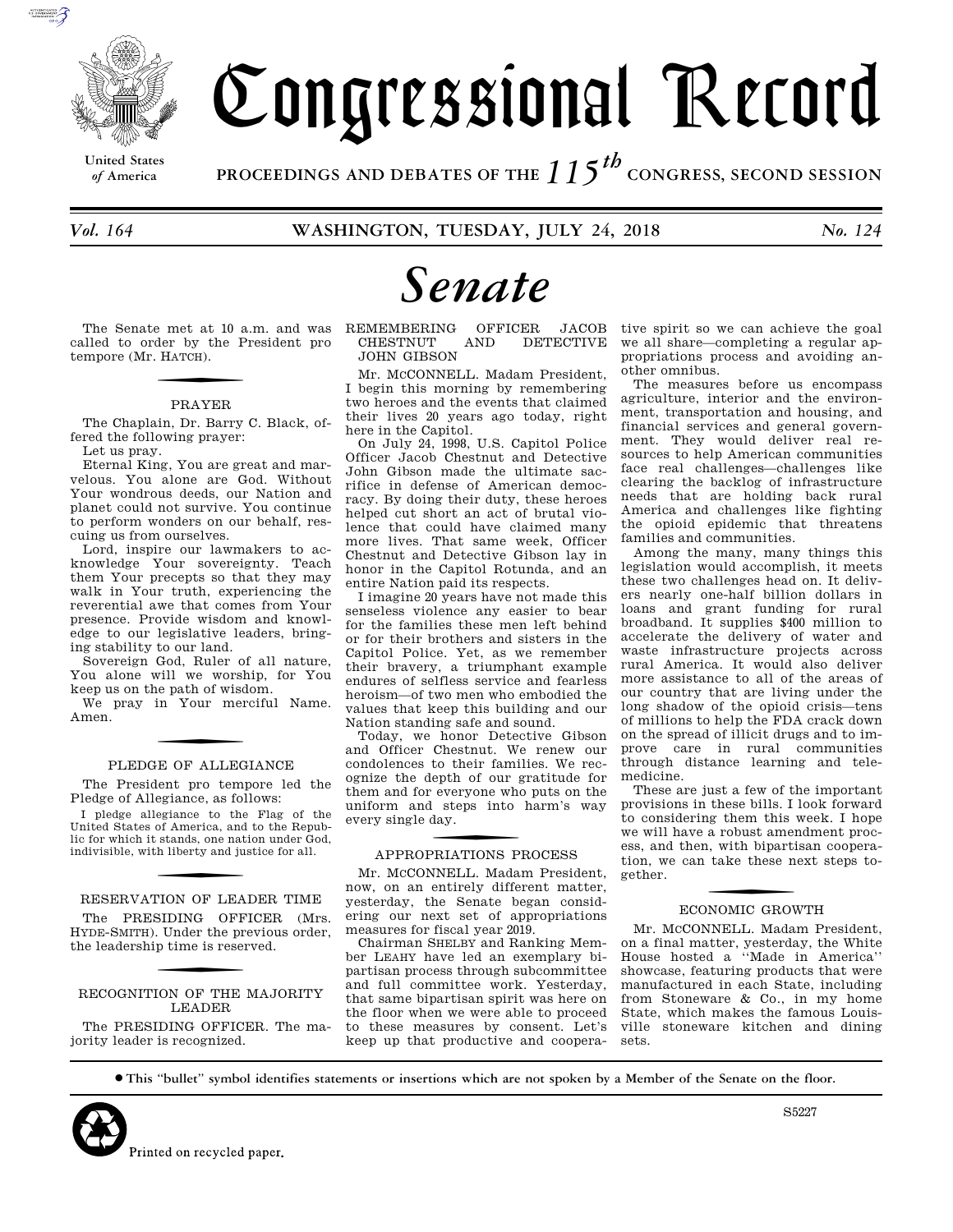

**United States**

# Congressional Record

*of* **America PROCEEDINGS AND DEBATES OF THE** *115th*  **CONGRESS, SECOND SESSION**

# *Senate*

The Senate met at 10 a.m. and was called to order by the President pro tempore (Mr. H ATCH).

#### PRAYER

The Chaplain, Dr. Barry C. Black, offered the following prayer:

Let us pray.

Eternal King, You are great and marvelous. You alone are God. Without Your wondrous deeds, our Nation and planet could not survive. You continue to perform wonders on our behalf, rescuing us from ourselves.

Lord, inspire our lawmakers to acknowledge Your sovereignty. Teach them Your precepts so that they may walk in Your truth, experiencing the reverential awe that comes from Your presence. Provide wisdom and knowledge to our legislative leaders, bringing stability to our land.

Sovereign God, Ruler of all nature, You alone will we worship, for You keep us on the path of wisdom.

We pray in Your merciful Name. Amen.

#### PLEDGE OF ALLEGIANCE

The President pro tempore led the Pledge of Allegiance, as follows:

I pledge allegiance to the Flag of the United States of America, and to the Republic for which it stands, one nation under God, indivisible, with liberty and justice for all.

RESERVATION OF LEADER TIME The PRESIDING OFFICER (Mrs. HYDE-SMITH). Under the previous order, the leadership time is reserved.

#### RECOGNITION OF THE MAJORITY LEADER

The PRESIDING OFFICER. The majority leader is recognized.

REMEMBERING OFFICER JACOB CHESTNUT AND DETECTIVE DETECTIVE JOHN GIBSON

Mr. MCCONNELL. Madam President, I begin this morning by remembering two heroes and the events that claimed their lives 20 years ago today, right here in the Capitol.

On July 24, 1998, U.S. Capitol Police Officer Jacob Chestnut and Detective John Gibson made the ultimate sacrifice in defense of American democracy. By doing their duty, these heroes helped cut short an act of brutal violence that could have claimed many more lives. That same week, Officer Chestnut and Detective Gibson lay in honor in the Capitol Rotunda, and an entire Nation paid its respects.

I imagine 20 years have not made this senseless violence any easier to bear for the families these men left behind or for their brothers and sisters in the Capitol Police. Yet, as we remember their bravery, a triumphant example endures of selfless service and fearless heroism—of two men who embodied the values that keep this building and our Nation standing safe and sound.

Today, we honor Detective Gibson and Officer Chestnut. We renew our condolences to their families. We recognize the depth of our gratitude for them and for everyone who puts on the uniform and steps into harm's way every single day.

# f APPROPRIATIONS PROCESS

Mr. MCCONNELL. Madam President, now, on an entirely different matter, yesterday, the Senate began considering our next set of appropriations measures for fiscal year 2019.

Chairman SHELBY and Ranking Member LEAHY have led an exemplary bipartisan process through subcommittee and full committee work. Yesterday, that same bipartisan spirit was here on the floor when we were able to proceed to these measures by consent. Let's keep up that productive and cooperative spirit so we can achieve the goal we all share—completing a regular appropriations process and avoiding another omnibus.

The measures before us encompass agriculture, interior and the environment, transportation and housing, and financial services and general government. They would deliver real resources to help American communities face real challenges—challenges like clearing the backlog of infrastructure needs that are holding back rural America and challenges like fighting the opioid epidemic that threatens families and communities.

Among the many, many things this legislation would accomplish, it meets these two challenges head on. It delivers nearly one-half billion dollars in loans and grant funding for rural broadband. It supplies \$400 million to accelerate the delivery of water and waste infrastructure projects across rural America. It would also deliver more assistance to all of the areas of our country that are living under the long shadow of the opioid crisis—tens of millions to help the FDA crack down on the spread of illicit drugs and to improve care in rural communities through distance learning and telemedicine.

These are just a few of the important provisions in these bills. I look forward to considering them this week. I hope we will have a robust amendment process, and then, with bipartisan cooperation, we can take these next steps together.

# f ECONOMIC GROWTH

Mr. MCCONNELL. Madam President, on a final matter, yesterday, the White House hosted a ''Made in America'' showcase, featuring products that were manufactured in each State, including from Stoneware & Co., in my home State, which makes the famous Louisville stoneware kitchen and dining sets.

∑ **This ''bullet'' symbol identifies statements or insertions which are not spoken by a Member of the Senate on the floor.**



S5227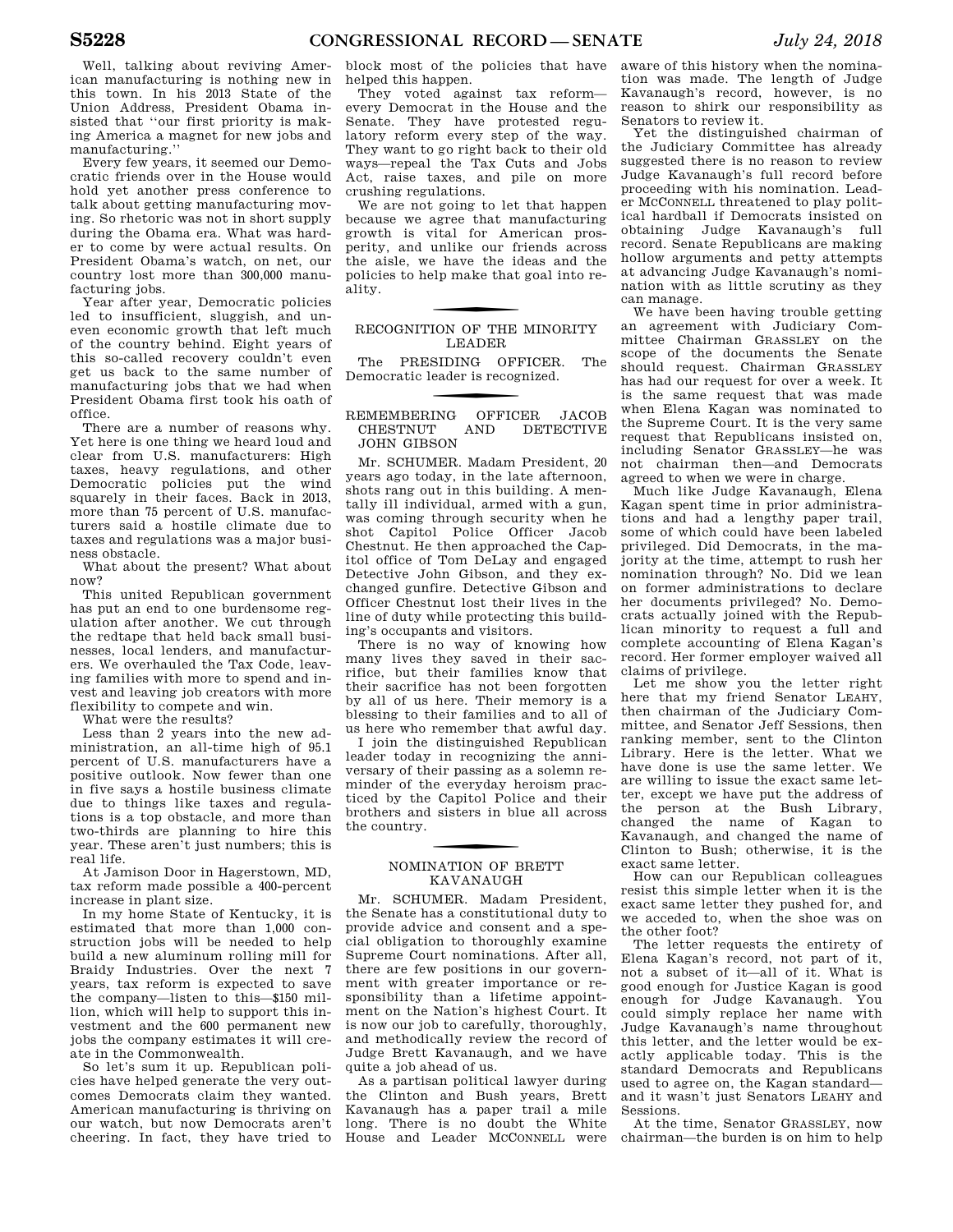Well, talking about reviving American manufacturing is nothing new in this town. In his 2013 State of the Union Address, President Obama insisted that ''our first priority is making America a magnet for new jobs and manufacturing.''

Every few years, it seemed our Democratic friends over in the House would hold yet another press conference to talk about getting manufacturing moving. So rhetoric was not in short supply during the Obama era. What was harder to come by were actual results. On President Obama's watch, on net, our country lost more than 300,000 manufacturing jobs.

Year after year, Democratic policies led to insufficient, sluggish, and uneven economic growth that left much of the country behind. Eight years of this so-called recovery couldn't even get us back to the same number of manufacturing jobs that we had when President Obama first took his oath of office.

There are a number of reasons why. Yet here is one thing we heard loud and clear from U.S. manufacturers: High taxes, heavy regulations, and other Democratic policies put the wind squarely in their faces. Back in 2013, more than 75 percent of U.S. manufacturers said a hostile climate due to taxes and regulations was a major business obstacle.

What about the present? What about now?

This united Republican government has put an end to one burdensome regulation after another. We cut through the redtape that held back small businesses, local lenders, and manufacturers. We overhauled the Tax Code, leaving families with more to spend and invest and leaving job creators with more flexibility to compete and win.

What were the results?

Less than 2 years into the new administration, an all-time high of 95.1 percent of U.S. manufacturers have a positive outlook. Now fewer than one in five says a hostile business climate due to things like taxes and regulations is a top obstacle, and more than two-thirds are planning to hire this year. These aren't just numbers; this is real life.

At Jamison Door in Hagerstown, MD, tax reform made possible a 400-percent increase in plant size.

In my home State of Kentucky, it is estimated that more than 1,000 construction jobs will be needed to help build a new aluminum rolling mill for Braidy Industries. Over the next 7 years, tax reform is expected to save the company—listen to this—\$150 million, which will help to support this investment and the 600 permanent new jobs the company estimates it will create in the Commonwealth.

So let's sum it up. Republican policies have helped generate the very outcomes Democrats claim they wanted. American manufacturing is thriving on our watch, but now Democrats aren't cheering. In fact, they have tried to

block most of the policies that have helped this happen.

They voted against tax reformevery Democrat in the House and the Senate. They have protested regulatory reform every step of the way. They want to go right back to their old ways—repeal the Tax Cuts and Jobs Act, raise taxes, and pile on more crushing regulations.

We are not going to let that happen because we agree that manufacturing growth is vital for American prosperity, and unlike our friends across the aisle, we have the ideas and the policies to help make that goal into reality.

## RECOGNITION OF THE MINORITY LEADER

The PRESIDING OFFICER. The Democratic leader is recognized.

#### f REMEMBERING OFFICER JACOB CHESTNUT AND DETECTIVE JOHN GIBSON

Mr. SCHUMER. Madam President, 20 years ago today, in the late afternoon, shots rang out in this building. A mentally ill individual, armed with a gun, was coming through security when he shot Capitol Police Officer Jacob Chestnut. He then approached the Capitol office of Tom DeLay and engaged Detective John Gibson, and they exchanged gunfire. Detective Gibson and Officer Chestnut lost their lives in the line of duty while protecting this building's occupants and visitors.

There is no way of knowing how many lives they saved in their sacrifice, but their families know that their sacrifice has not been forgotten by all of us here. Their memory is a blessing to their families and to all of us here who remember that awful day.

I join the distinguished Republican leader today in recognizing the anniversary of their passing as a solemn reminder of the everyday heroism practiced by the Capitol Police and their brothers and sisters in blue all across the country.

# f NOMINATION OF BRETT KAVANAUGH

Mr. SCHUMER. Madam President, the Senate has a constitutional duty to provide advice and consent and a special obligation to thoroughly examine Supreme Court nominations. After all, there are few positions in our government with greater importance or responsibility than a lifetime appointment on the Nation's highest Court. It is now our job to carefully, thoroughly, and methodically review the record of Judge Brett Kavanaugh, and we have quite a job ahead of us.

As a partisan political lawyer during the Clinton and Bush years, Brett Kavanaugh has a paper trail a mile long. There is no doubt the White House and Leader MCCONNELL were

aware of this history when the nomination was made. The length of Judge Kavanaugh's record, however, is no reason to shirk our responsibility as Senators to review it.

Yet the distinguished chairman of the Judiciary Committee has already suggested there is no reason to review Judge Kavanaugh's full record before proceeding with his nomination. Leader MCCONNELL threatened to play political hardball if Democrats insisted on obtaining Judge Kavanaugh's full record. Senate Republicans are making hollow arguments and petty attempts at advancing Judge Kavanaugh's nomination with as little scrutiny as they can manage.

We have been having trouble getting an agreement with Judiciary Committee Chairman GRASSLEY on the scope of the documents the Senate should request. Chairman GRASSLEY has had our request for over a week. It is the same request that was made when Elena Kagan was nominated to the Supreme Court. It is the very same request that Republicans insisted on, including Senator GRASSLEY—he was not chairman then—and Democrats agreed to when we were in charge.

Much like Judge Kavanaugh, Elena Kagan spent time in prior administrations and had a lengthy paper trail, some of which could have been labeled privileged. Did Democrats, in the majority at the time, attempt to rush her nomination through? No. Did we lean on former administrations to declare her documents privileged? No. Democrats actually joined with the Republican minority to request a full and complete accounting of Elena Kagan's record. Her former employer waived all claims of privilege.

Let me show you the letter right here that my friend Senator LEAHY, then chairman of the Judiciary Committee, and Senator Jeff Sessions, then ranking member, sent to the Clinton Library. Here is the letter. What we have done is use the same letter. We are willing to issue the exact same letter, except we have put the address of the person at the Bush Library, changed the name of Kagan to Kavanaugh, and changed the name of Clinton to Bush; otherwise, it is the exact same letter.

How can our Republican colleagues resist this simple letter when it is the exact same letter they pushed for, and we acceded to, when the shoe was on the other foot?

The letter requests the entirety of Elena Kagan's record, not part of it, not a subset of it—all of it. What is good enough for Justice Kagan is good enough for Judge Kavanaugh. You could simply replace her name with Judge Kavanaugh's name throughout this letter, and the letter would be exactly applicable today. This is the standard Democrats and Republicans used to agree on, the Kagan standard and it wasn't just Senators LEAHY and Sessions.

At the time, Senator GRASSLEY, now chairman—the burden is on him to help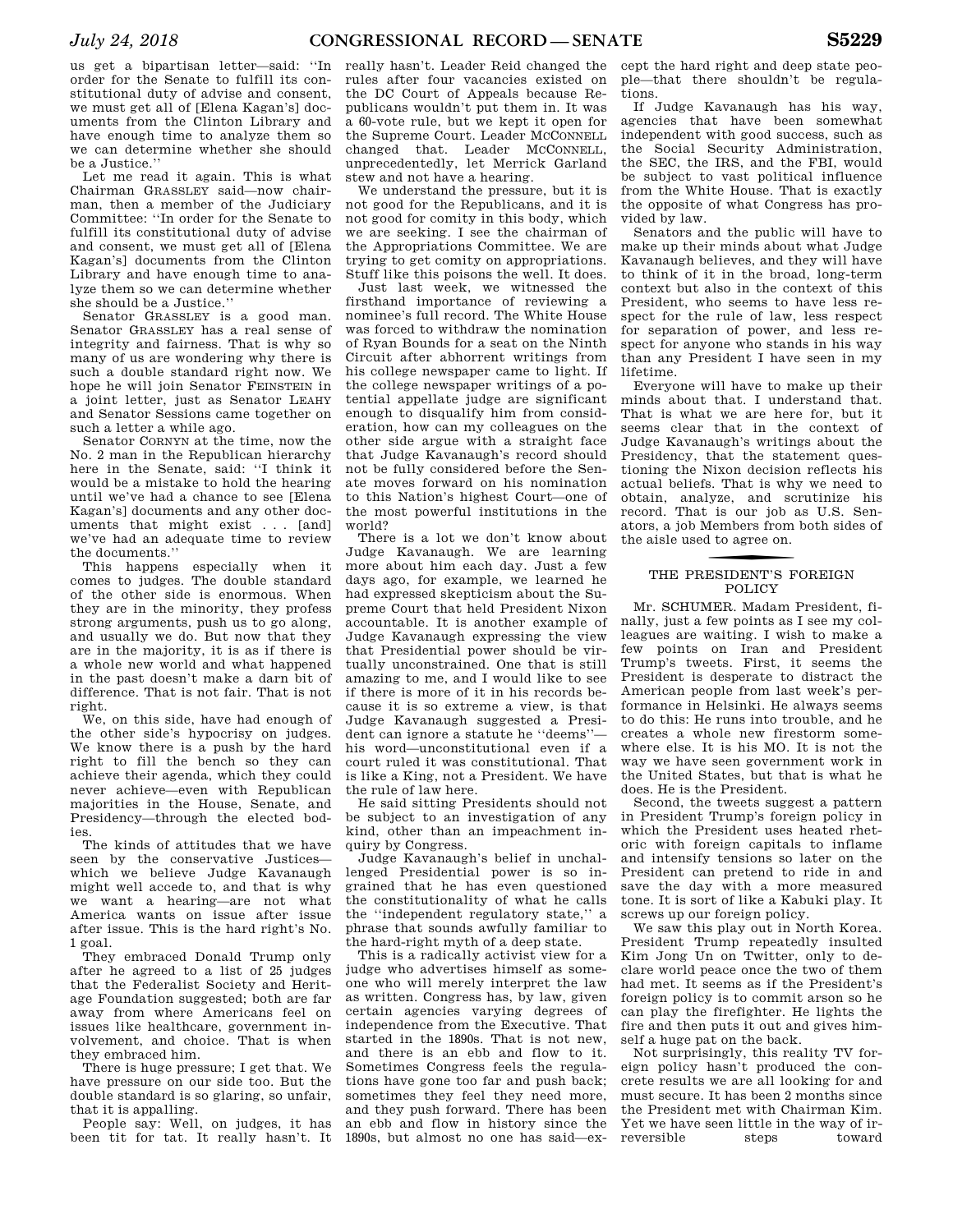us get a bipartisan letter—said: ''In order for the Senate to fulfill its constitutional duty of advise and consent, we must get all of [Elena Kagan's] documents from the Clinton Library and have enough time to analyze them so we can determine whether she should be a Justice.''

Let me read it again. This is what Chairman GRASSLEY said—now chairman, then a member of the Judiciary Committee: ''In order for the Senate to fulfill its constitutional duty of advise and consent, we must get all of [Elena Kagan's] documents from the Clinton Library and have enough time to analyze them so we can determine whether she should be a Justice.''

Senator GRASSLEY is a good man. Senator GRASSLEY has a real sense of integrity and fairness. That is why so many of us are wondering why there is such a double standard right now. We hope he will join Senator FEINSTEIN in a joint letter, just as Senator LEAHY and Senator Sessions came together on such a letter a while ago.

Senator CORNYN at the time, now the No. 2 man in the Republican hierarchy here in the Senate, said: ''I think it would be a mistake to hold the hearing until we've had a chance to see [Elena Kagan's] documents and any other documents that might exist . . . [and] we've had an adequate time to review the documents.''

This happens especially when it comes to judges. The double standard of the other side is enormous. When they are in the minority, they profess strong arguments, push us to go along, and usually we do. But now that they are in the majority, it is as if there is a whole new world and what happened in the past doesn't make a darn bit of difference. That is not fair. That is not right.

We, on this side, have had enough of the other side's hypocrisy on judges. We know there is a push by the hard right to fill the bench so they can achieve their agenda, which they could never achieve—even with Republican majorities in the House, Senate, and Presidency—through the elected bodies.

The kinds of attitudes that we have seen by the conservative Justices which we believe Judge Kavanaugh might well accede to, and that is why we want a hearing—are not what America wants on issue after issue after issue. This is the hard right's No. 1 goal.

They embraced Donald Trump only after he agreed to a list of 25 judges that the Federalist Society and Heritage Foundation suggested; both are far away from where Americans feel on issues like healthcare, government involvement, and choice. That is when they embraced him.

There is huge pressure; I get that. We have pressure on our side too. But the double standard is so glaring, so unfair, that it is appalling.

People say: Well, on judges, it has been tit for tat. It really hasn't. It

really hasn't. Leader Reid changed the rules after four vacancies existed on the DC Court of Appeals because Republicans wouldn't put them in. It was a 60-vote rule, but we kept it open for the Supreme Court. Leader MCCONNELL changed that. Leader MCCONNELL, unprecedentedly, let Merrick Garland stew and not have a hearing.

We understand the pressure, but it is not good for the Republicans, and it is not good for comity in this body, which we are seeking. I see the chairman of the Appropriations Committee. We are trying to get comity on appropriations. Stuff like this poisons the well. It does.

Just last week, we witnessed the firsthand importance of reviewing a nominee's full record. The White House was forced to withdraw the nomination of Ryan Bounds for a seat on the Ninth Circuit after abhorrent writings from his college newspaper came to light. If the college newspaper writings of a potential appellate judge are significant enough to disqualify him from consideration, how can my colleagues on the other side argue with a straight face that Judge Kavanaugh's record should not be fully considered before the Senate moves forward on his nomination to this Nation's highest Court—one of the most powerful institutions in the world?

There is a lot we don't know about Judge Kavanaugh. We are learning more about him each day. Just a few days ago, for example, we learned he had expressed skepticism about the Supreme Court that held President Nixon accountable. It is another example of Judge Kavanaugh expressing the view that Presidential power should be virtually unconstrained. One that is still amazing to me, and I would like to see if there is more of it in his records because it is so extreme a view, is that Judge Kavanaugh suggested a President can ignore a statute he ''deems'' his word—unconstitutional even if a court ruled it was constitutional. That is like a King, not a President. We have the rule of law here.

He said sitting Presidents should not be subject to an investigation of any kind, other than an impeachment inquiry by Congress.

Judge Kavanaugh's belief in unchallenged Presidential power is so ingrained that he has even questioned the constitutionality of what he calls the ''independent regulatory state,'' a phrase that sounds awfully familiar to the hard-right myth of a deep state.

This is a radically activist view for a judge who advertises himself as someone who will merely interpret the law as written. Congress has, by law, given certain agencies varying degrees of independence from the Executive. That started in the 1890s. That is not new, and there is an ebb and flow to it. Sometimes Congress feels the regulations have gone too far and push back; sometimes they feel they need more, and they push forward. There has been an ebb and flow in history since the 1890s, but almost no one has said—ex-

cept the hard right and deep state people—that there shouldn't be regulations.

If Judge Kavanaugh has his way, agencies that have been somewhat independent with good success, such as the Social Security Administration, the SEC, the IRS, and the FBI, would be subject to vast political influence from the White House. That is exactly the opposite of what Congress has provided by law.

Senators and the public will have to make up their minds about what Judge Kavanaugh believes, and they will have to think of it in the broad, long-term context but also in the context of this President, who seems to have less respect for the rule of law, less respect for separation of power, and less respect for anyone who stands in his way than any President I have seen in my lifetime.

Everyone will have to make up their minds about that. I understand that. That is what we are here for, but it seems clear that in the context of Judge Kavanaugh's writings about the Presidency, that the statement questioning the Nixon decision reflects his actual beliefs. That is why we need to obtain, analyze, and scrutinize his record. That is our job as U.S. Senators, a job Members from both sides of the aisle used to agree on.

### THE PRESIDENT'S FOREIGN POLICY

Mr. SCHUMER. Madam President, finally, just a few points as I see my colleagues are waiting. I wish to make a few points on Iran and President Trump's tweets. First, it seems the President is desperate to distract the American people from last week's performance in Helsinki. He always seems to do this: He runs into trouble, and he creates a whole new firestorm somewhere else. It is his MO. It is not the way we have seen government work in the United States, but that is what he does. He is the President.

Second, the tweets suggest a pattern in President Trump's foreign policy in which the President uses heated rhetoric with foreign capitals to inflame and intensify tensions so later on the President can pretend to ride in and save the day with a more measured tone. It is sort of like a Kabuki play. It screws up our foreign policy.

We saw this play out in North Korea. President Trump repeatedly insulted Kim Jong Un on Twitter, only to declare world peace once the two of them had met. It seems as if the President's foreign policy is to commit arson so he can play the firefighter. He lights the fire and then puts it out and gives himself a huge pat on the back.

Not surprisingly, this reality TV foreign policy hasn't produced the concrete results we are all looking for and must secure. It has been 2 months since the President met with Chairman Kim. Yet we have seen little in the way of irreversible steps toward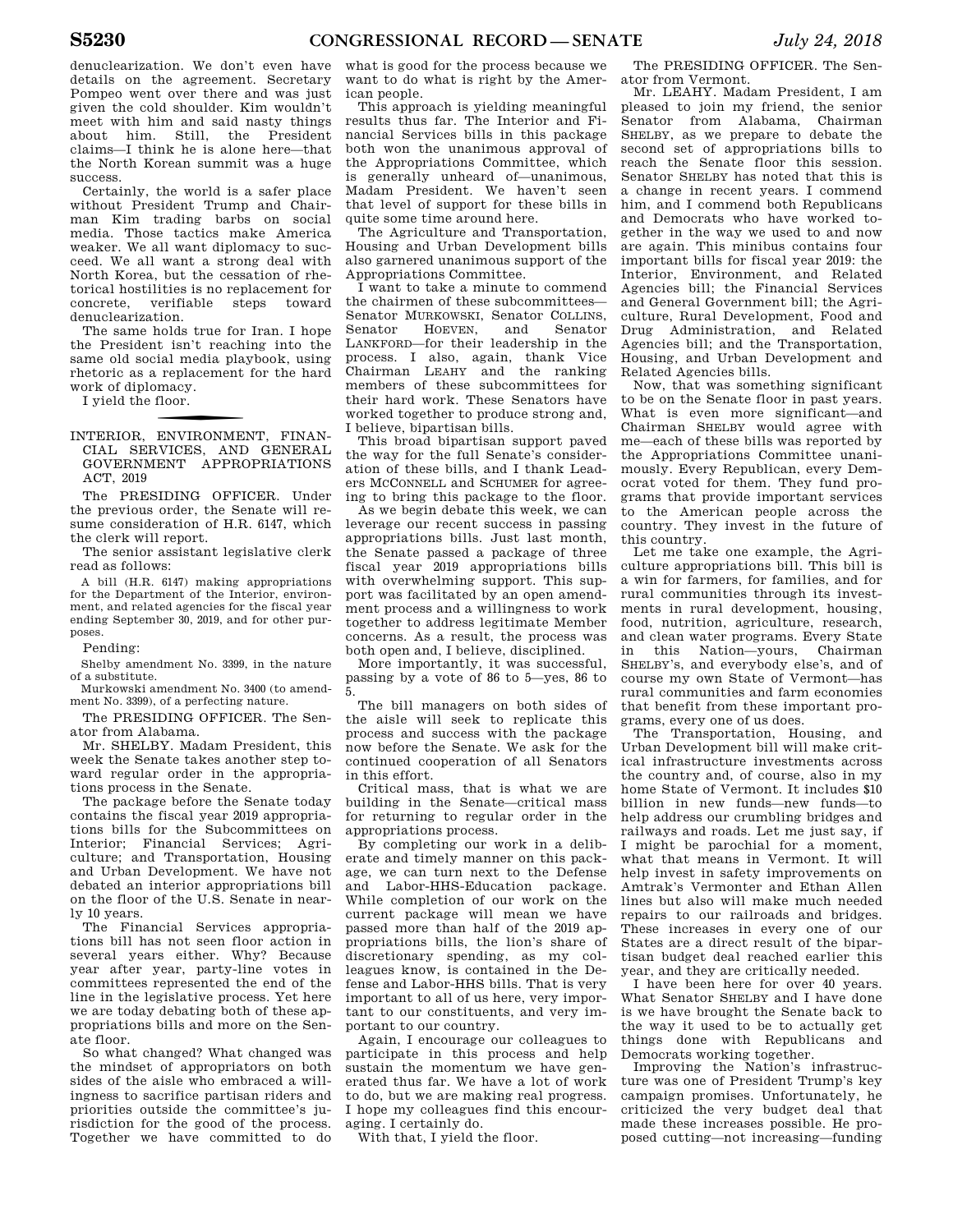denuclearization. We don't even have details on the agreement. Secretary Pompeo went over there and was just given the cold shoulder. Kim wouldn't meet with him and said nasty things about him. Still, the President claims—I think he is alone here—that the North Korean summit was a huge success.

Certainly, the world is a safer place without President Trump and Chairman Kim trading barbs on social media. Those tactics make America weaker. We all want diplomacy to succeed. We all want a strong deal with North Korea, but the cessation of rhetorical hostilities is no replacement for concrete, verifiable steps toward denuclearization.

The same holds true for Iran. I hope the President isn't reaching into the same old social media playbook, using rhetoric as a replacement for the hard work of diplomacy.

I yield the floor.

f INTERIOR, ENVIRONMENT, FINAN-CIAL SERVICES, AND GENERAL GOVERNMENT APPROPRIATIONS ACT, 2019

The PRESIDING OFFICER. Under the previous order, the Senate will resume consideration of H.R. 6147, which the clerk will report.

The senior assistant legislative clerk read as follows:

A bill (H.R. 6147) making appropriations for the Department of the Interior, environment, and related agencies for the fiscal year ending September 30, 2019, and for other purposes.

Pending:

Shelby amendment No. 3399, in the nature of a substitute.

Murkowski amendment No. 3400 (to amendment No. 3399), of a perfecting nature.

The PRESIDING OFFICER. The Senator from Alabama.

Mr. SHELBY. Madam President, this week the Senate takes another step toward regular order in the appropriations process in the Senate.

The package before the Senate today contains the fiscal year 2019 appropriations bills for the Subcommittees on Interior; Financial Services; Agriculture; and Transportation, Housing and Urban Development. We have not debated an interior appropriations bill on the floor of the U.S. Senate in nearly 10 years.

The Financial Services appropriations bill has not seen floor action in several years either. Why? Because year after year, party-line votes in committees represented the end of the line in the legislative process. Yet here we are today debating both of these appropriations bills and more on the Senate floor.

So what changed? What changed was the mindset of appropriators on both sides of the aisle who embraced a willingness to sacrifice partisan riders and priorities outside the committee's jurisdiction for the good of the process. Together we have committed to do

what is good for the process because we want to do what is right by the American people.

This approach is yielding meaningful results thus far. The Interior and Financial Services bills in this package both won the unanimous approval of the Appropriations Committee, which is generally unheard of—unanimous, Madam President. We haven't seen that level of support for these bills in quite some time around here.

The Agriculture and Transportation, Housing and Urban Development bills also garnered unanimous support of the Appropriations Committee.

I want to take a minute to commend the chairmen of these subcommittees— Senator MURKOWSKI, Senator COLLINS,<br>Senator HOEVEN, and Senator Senator HOEVEN, and Senator LANKFORD—for their leadership in the process. I also, again, thank Vice Chairman LEAHY and the ranking members of these subcommittees for their hard work. These Senators have worked together to produce strong and, I believe, bipartisan bills.

This broad bipartisan support paved the way for the full Senate's consideration of these bills, and I thank Leaders MCCONNELL and SCHUMER for agreeing to bring this package to the floor.

As we begin debate this week, we can leverage our recent success in passing appropriations bills. Just last month, the Senate passed a package of three fiscal year 2019 appropriations bills with overwhelming support. This support was facilitated by an open amendment process and a willingness to work together to address legitimate Member concerns. As a result, the process was both open and, I believe, disciplined.

More importantly, it was successful, passing by a vote of 86 to 5—yes, 86 to 5.

The bill managers on both sides of the aisle will seek to replicate this process and success with the package now before the Senate. We ask for the continued cooperation of all Senators in this effort.

Critical mass, that is what we are building in the Senate—critical mass for returning to regular order in the appropriations process.

By completing our work in a deliberate and timely manner on this package, we can turn next to the Defense and Labor-HHS-Education package. While completion of our work on the current package will mean we have passed more than half of the 2019 appropriations bills, the lion's share of discretionary spending, as my colleagues know, is contained in the Defense and Labor-HHS bills. That is very important to all of us here, very important to our constituents, and very important to our country.

Again, I encourage our colleagues to participate in this process and help sustain the momentum we have generated thus far. We have a lot of work to do, but we are making real progress. I hope my colleagues find this encouraging. I certainly do.

With that, I yield the floor.

The PRESIDING OFFICER. The Senator from Vermont.

Mr. LEAHY. Madam President, I am pleased to join my friend, the senior Senator from Alabama, Chairman SHELBY, as we prepare to debate the second set of appropriations bills to reach the Senate floor this session. Senator SHELBY has noted that this is a change in recent years. I commend him, and I commend both Republicans and Democrats who have worked together in the way we used to and now are again. This minibus contains four important bills for fiscal year 2019: the Interior, Environment, and Related Agencies bill; the Financial Services and General Government bill; the Agriculture, Rural Development, Food and Drug Administration, and Related Agencies bill; and the Transportation, Housing, and Urban Development and Related Agencies bills.

Now, that was something significant to be on the Senate floor in past years. What is even more significant—and Chairman SHELBY would agree with me—each of these bills was reported by the Appropriations Committee unanimously. Every Republican, every Democrat voted for them. They fund programs that provide important services to the American people across the country. They invest in the future of this country.

Let me take one example, the Agriculture appropriations bill. This bill is a win for farmers, for families, and for rural communities through its investments in rural development, housing, food, nutrition, agriculture, research, and clean water programs. Every State in this Nation—yours, Chairman SHELBY's, and everybody else's, and of course my own State of Vermont—has rural communities and farm economies that benefit from these important programs, every one of us does.

The Transportation, Housing, and Urban Development bill will make critical infrastructure investments across the country and, of course, also in my home State of Vermont. It includes \$10 billion in new funds—new funds—to help address our crumbling bridges and railways and roads. Let me just say, if I might be parochial for a moment, what that means in Vermont. It will help invest in safety improvements on Amtrak's Vermonter and Ethan Allen lines but also will make much needed repairs to our railroads and bridges. These increases in every one of our States are a direct result of the bipartisan budget deal reached earlier this year, and they are critically needed.

I have been here for over 40 years. What Senator SHELBY and I have done is we have brought the Senate back to the way it used to be to actually get things done with Republicans and Democrats working together.

Improving the Nation's infrastructure was one of President Trump's key campaign promises. Unfortunately, he criticized the very budget deal that made these increases possible. He proposed cutting—not increasing—funding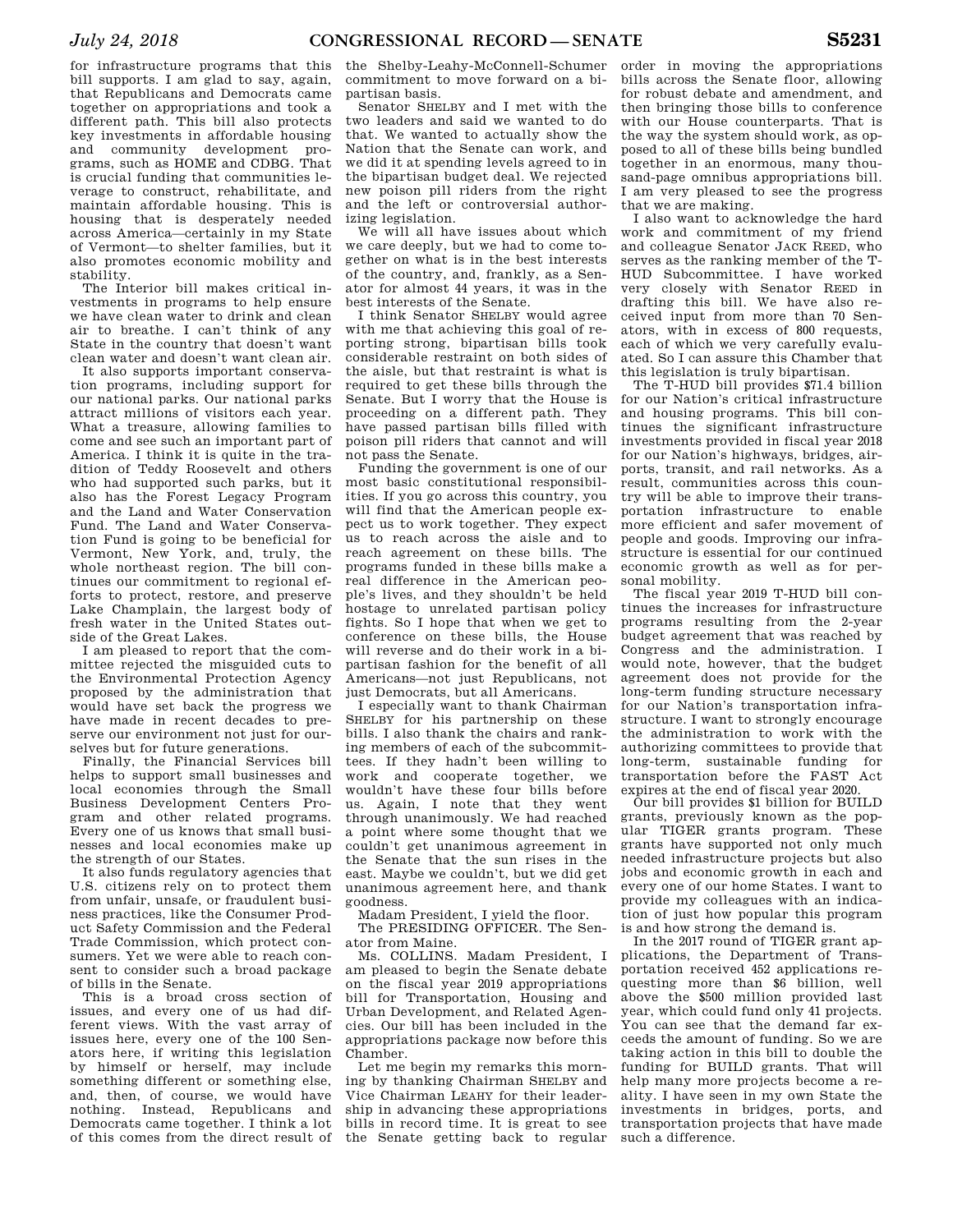for infrastructure programs that this bill supports. I am glad to say, again, that Republicans and Democrats came together on appropriations and took a different path. This bill also protects key investments in affordable housing and community development programs, such as HOME and CDBG. That is crucial funding that communities leverage to construct, rehabilitate, and maintain affordable housing. This is housing that is desperately needed across America—certainly in my State of Vermont—to shelter families, but it also promotes economic mobility and stability.

The Interior bill makes critical investments in programs to help ensure we have clean water to drink and clean air to breathe. I can't think of any State in the country that doesn't want clean water and doesn't want clean air.

It also supports important conservation programs, including support for our national parks. Our national parks attract millions of visitors each year. What a treasure, allowing families to come and see such an important part of America. I think it is quite in the tradition of Teddy Roosevelt and others who had supported such parks, but it also has the Forest Legacy Program and the Land and Water Conservation Fund. The Land and Water Conservation Fund is going to be beneficial for Vermont, New York, and, truly, the whole northeast region. The bill continues our commitment to regional efforts to protect, restore, and preserve Lake Champlain, the largest body of fresh water in the United States outside of the Great Lakes.

I am pleased to report that the committee rejected the misguided cuts to the Environmental Protection Agency proposed by the administration that would have set back the progress we have made in recent decades to preserve our environment not just for ourselves but for future generations.

Finally, the Financial Services bill helps to support small businesses and local economies through the Small Business Development Centers Program and other related programs. Every one of us knows that small businesses and local economies make up the strength of our States.

It also funds regulatory agencies that U.S. citizens rely on to protect them from unfair, unsafe, or fraudulent business practices, like the Consumer Product Safety Commission and the Federal Trade Commission, which protect consumers. Yet we were able to reach consent to consider such a broad package of bills in the Senate.

This is a broad cross section of issues, and every one of us had different views. With the vast array of issues here, every one of the 100 Senators here, if writing this legislation by himself or herself, may include something different or something else, and, then, of course, we would have nothing. Instead, Republicans and Democrats came together. I think a lot of this comes from the direct result of

the Shelby-Leahy-McConnell-Schumer commitment to move forward on a bipartisan basis.

Senator SHELBY and I met with the two leaders and said we wanted to do that. We wanted to actually show the Nation that the Senate can work, and we did it at spending levels agreed to in the bipartisan budget deal. We rejected new poison pill riders from the right and the left or controversial authorizing legislation.

We will all have issues about which we care deeply, but we had to come together on what is in the best interests of the country, and, frankly, as a Senator for almost 44 years, it was in the best interests of the Senate.

I think Senator SHELBY would agree with me that achieving this goal of reporting strong, bipartisan bills took considerable restraint on both sides of the aisle, but that restraint is what is required to get these bills through the Senate. But I worry that the House is proceeding on a different path. They have passed partisan bills filled with poison pill riders that cannot and will not pass the Senate.

Funding the government is one of our most basic constitutional responsibilities. If you go across this country, you will find that the American people expect us to work together. They expect us to reach across the aisle and to reach agreement on these bills. The programs funded in these bills make a real difference in the American people's lives, and they shouldn't be held hostage to unrelated partisan policy fights. So I hope that when we get to conference on these bills, the House will reverse and do their work in a bipartisan fashion for the benefit of all Americans—not just Republicans, not just Democrats, but all Americans.

I especially want to thank Chairman SHELBY for his partnership on these bills. I also thank the chairs and ranking members of each of the subcommittees. If they hadn't been willing to work and cooperate together, we wouldn't have these four bills before us. Again, I note that they went through unanimously. We had reached a point where some thought that we couldn't get unanimous agreement in the Senate that the sun rises in the east. Maybe we couldn't, but we did get unanimous agreement here, and thank goodness.

Madam President, I yield the floor.

The PRESIDING OFFICER. The Senator from Maine.

Ms. COLLINS. Madam President, I am pleased to begin the Senate debate on the fiscal year 2019 appropriations bill for Transportation, Housing and Urban Development, and Related Agencies. Our bill has been included in the appropriations package now before this Chamber.

Let me begin my remarks this morning by thanking Chairman SHELBY and Vice Chairman LEAHY for their leadership in advancing these appropriations bills in record time. It is great to see the Senate getting back to regular

order in moving the appropriations bills across the Senate floor, allowing for robust debate and amendment, and then bringing those bills to conference with our House counterparts. That is the way the system should work, as opposed to all of these bills being bundled together in an enormous, many thousand-page omnibus appropriations bill. I am very pleased to see the progress that we are making.

I also want to acknowledge the hard work and commitment of my friend and colleague Senator JACK REED, who serves as the ranking member of the T-HUD Subcommittee. I have worked very closely with Senator REED in drafting this bill. We have also received input from more than 70 Senators, with in excess of 800 requests, each of which we very carefully evaluated. So I can assure this Chamber that this legislation is truly bipartisan.

The T-HUD bill provides \$71.4 billion for our Nation's critical infrastructure and housing programs. This bill continues the significant infrastructure investments provided in fiscal year 2018 for our Nation's highways, bridges, airports, transit, and rail networks. As a result, communities across this country will be able to improve their transportation infrastructure to enable more efficient and safer movement of people and goods. Improving our infrastructure is essential for our continued economic growth as well as for personal mobility.

The fiscal year 2019 T-HUD bill continues the increases for infrastructure programs resulting from the 2-year budget agreement that was reached by Congress and the administration. I would note, however, that the budget agreement does not provide for the long-term funding structure necessary for our Nation's transportation infrastructure. I want to strongly encourage the administration to work with the authorizing committees to provide that long-term, sustainable funding for transportation before the FAST Act expires at the end of fiscal year 2020.

Our bill provides \$1 billion for BUILD grants, previously known as the popular TIGER grants program. These grants have supported not only much needed infrastructure projects but also jobs and economic growth in each and every one of our home States. I want to provide my colleagues with an indication of just how popular this program is and how strong the demand is.

In the 2017 round of TIGER grant applications, the Department of Transportation received 452 applications requesting more than \$6 billion, well above the \$500 million provided last year, which could fund only 41 projects. You can see that the demand far exceeds the amount of funding. So we are taking action in this bill to double the funding for BUILD grants. That will help many more projects become a reality. I have seen in my own State the investments in bridges, ports, and transportation projects that have made such a difference.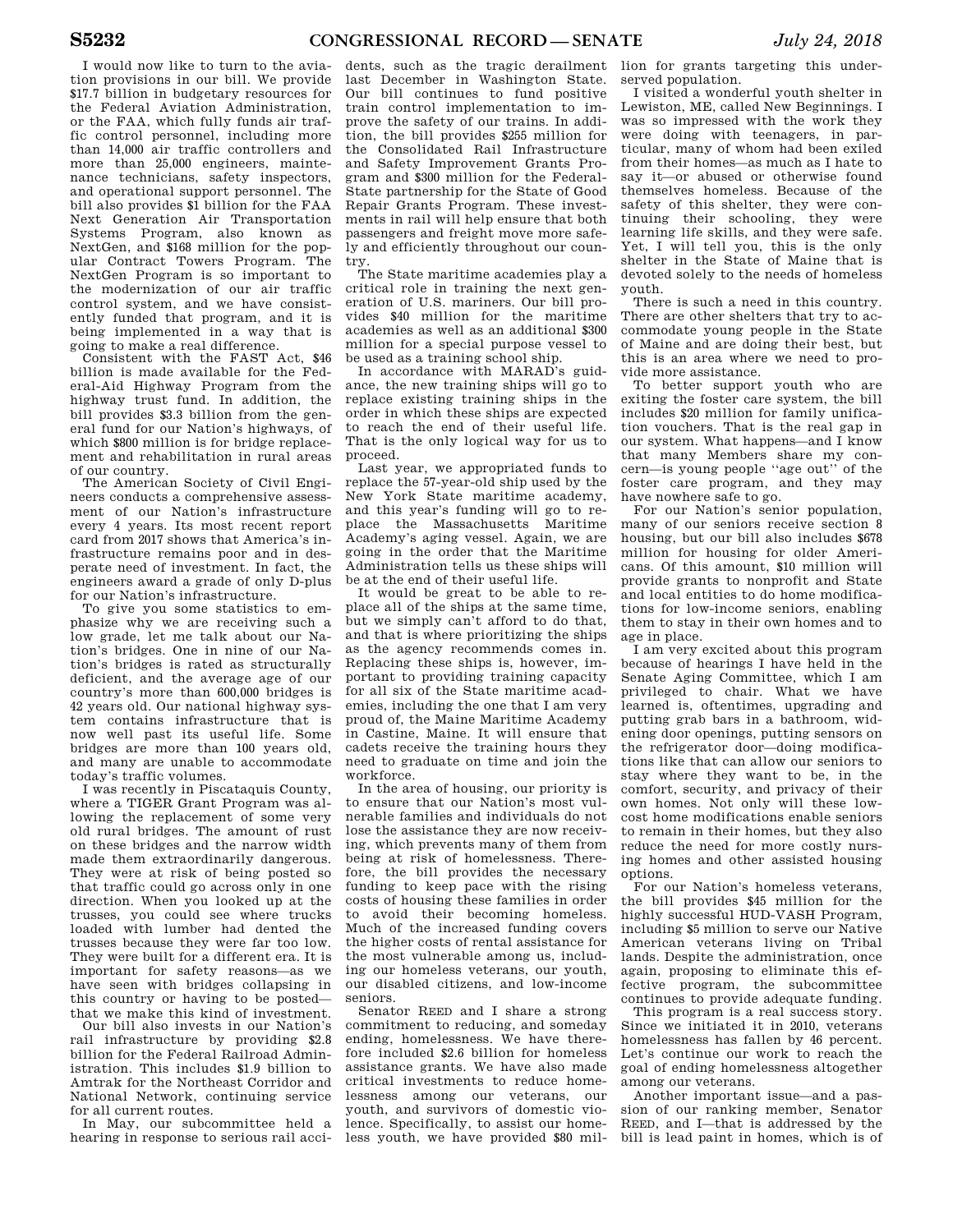I would now like to turn to the aviation provisions in our bill. We provide \$17.7 billion in budgetary resources for the Federal Aviation Administration, or the FAA, which fully funds air traffic control personnel, including more than 14,000 air traffic controllers and more than 25,000 engineers, maintenance technicians, safety inspectors, and operational support personnel. The bill also provides \$1 billion for the FAA Next Generation Air Transportation Systems Program, also known as NextGen, and \$168 million for the popular Contract Towers Program. The NextGen Program is so important to the modernization of our air traffic control system, and we have consistently funded that program, and it is being implemented in a way that is going to make a real difference.

Consistent with the FAST Act, \$46 billion is made available for the Federal-Aid Highway Program from the highway trust fund. In addition, the bill provides \$3.3 billion from the general fund for our Nation's highways, of which \$800 million is for bridge replacement and rehabilitation in rural areas of our country.

The American Society of Civil Engineers conducts a comprehensive assessment of our Nation's infrastructure every 4 years. Its most recent report card from 2017 shows that America's infrastructure remains poor and in desperate need of investment. In fact, the engineers award a grade of only D-plus for our Nation's infrastructure.

To give you some statistics to emphasize why we are receiving such a low grade, let me talk about our Nation's bridges. One in nine of our Nation's bridges is rated as structurally deficient, and the average age of our country's more than 600,000 bridges is 42 years old. Our national highway system contains infrastructure that is now well past its useful life. Some bridges are more than 100 years old, and many are unable to accommodate today's traffic volumes.

I was recently in Piscataquis County, where a TIGER Grant Program was allowing the replacement of some very old rural bridges. The amount of rust on these bridges and the narrow width made them extraordinarily dangerous. They were at risk of being posted so that traffic could go across only in one direction. When you looked up at the trusses, you could see where trucks loaded with lumber had dented the trusses because they were far too low. They were built for a different era. It is important for safety reasons—as we have seen with bridges collapsing in this country or having to be posted that we make this kind of investment.

Our bill also invests in our Nation's rail infrastructure by providing \$2.8 billion for the Federal Railroad Administration. This includes \$1.9 billion to Amtrak for the Northeast Corridor and National Network, continuing service for all current routes.

In May, our subcommittee held a hearing in response to serious rail acci-

dents, such as the tragic derailment last December in Washington State. Our bill continues to fund positive train control implementation to improve the safety of our trains. In addition, the bill provides \$255 million for the Consolidated Rail Infrastructure and Safety Improvement Grants Program and \$300 million for the Federal-State partnership for the State of Good Repair Grants Program. These investments in rail will help ensure that both passengers and freight move more safely and efficiently throughout our country.

The State maritime academies play a critical role in training the next generation of U.S. mariners. Our bill provides \$40 million for the maritime academies as well as an additional \$300 million for a special purpose vessel to be used as a training school ship.

In accordance with MARAD's guidance, the new training ships will go to replace existing training ships in the order in which these ships are expected to reach the end of their useful life. That is the only logical way for us to proceed.

Last year, we appropriated funds to replace the 57-year-old ship used by the New York State maritime academy, and this year's funding will go to replace the Massachusetts Maritime Academy's aging vessel. Again, we are going in the order that the Maritime Administration tells us these ships will be at the end of their useful life.

It would be great to be able to replace all of the ships at the same time, but we simply can't afford to do that. and that is where prioritizing the ships as the agency recommends comes in. Replacing these ships is, however, important to providing training capacity for all six of the State maritime academies, including the one that I am very proud of, the Maine Maritime Academy in Castine, Maine. It will ensure that cadets receive the training hours they need to graduate on time and join the workforce.

In the area of housing, our priority is to ensure that our Nation's most vulnerable families and individuals do not lose the assistance they are now receiving, which prevents many of them from being at risk of homelessness. Therefore, the bill provides the necessary funding to keep pace with the rising costs of housing these families in order to avoid their becoming homeless. Much of the increased funding covers the higher costs of rental assistance for the most vulnerable among us, including our homeless veterans, our youth, our disabled citizens, and low-income seniors.

Senator REED and I share a strong commitment to reducing, and someday ending, homelessness. We have therefore included \$2.6 billion for homeless assistance grants. We have also made critical investments to reduce homelessness among our veterans, our youth, and survivors of domestic violence. Specifically, to assist our homeless youth, we have provided \$80 mil-

lion for grants targeting this underserved population.

I visited a wonderful youth shelter in Lewiston, ME, called New Beginnings. I was so impressed with the work they were doing with teenagers, in particular, many of whom had been exiled from their homes—as much as I hate to say it—or abused or otherwise found themselves homeless. Because of the safety of this shelter, they were continuing their schooling, they were learning life skills, and they were safe. Yet, I will tell you, this is the only shelter in the State of Maine that is devoted solely to the needs of homeless youth.

There is such a need in this country. There are other shelters that try to accommodate young people in the State of Maine and are doing their best, but this is an area where we need to provide more assistance.

To better support youth who are exiting the foster care system, the bill includes \$20 million for family unification vouchers. That is the real gap in our system. What happens—and I know that many Members share my concern—is young people ''age out'' of the foster care program, and they may have nowhere safe to go.

For our Nation's senior population, many of our seniors receive section 8 housing, but our bill also includes \$678 million for housing for older Americans. Of this amount, \$10 million will provide grants to nonprofit and State and local entities to do home modifications for low-income seniors, enabling them to stay in their own homes and to age in place.

I am very excited about this program because of hearings I have held in the Senate Aging Committee, which I am privileged to chair. What we have learned is, oftentimes, upgrading and putting grab bars in a bathroom, widening door openings, putting sensors on the refrigerator door—doing modifications like that can allow our seniors to stay where they want to be, in the comfort, security, and privacy of their own homes. Not only will these lowcost home modifications enable seniors to remain in their homes, but they also reduce the need for more costly nursing homes and other assisted housing options.

For our Nation's homeless veterans, the bill provides \$45 million for the highly successful HUD-VASH Program, including \$5 million to serve our Native American veterans living on Tribal lands. Despite the administration, once again, proposing to eliminate this effective program, the subcommittee continues to provide adequate funding.

This program is a real success story. Since we initiated it in 2010, veterans homelessness has fallen by 46 percent. Let's continue our work to reach the goal of ending homelessness altogether among our veterans.

Another important issue—and a passion of our ranking member, Senator REED, and I—that is addressed by the bill is lead paint in homes, which is of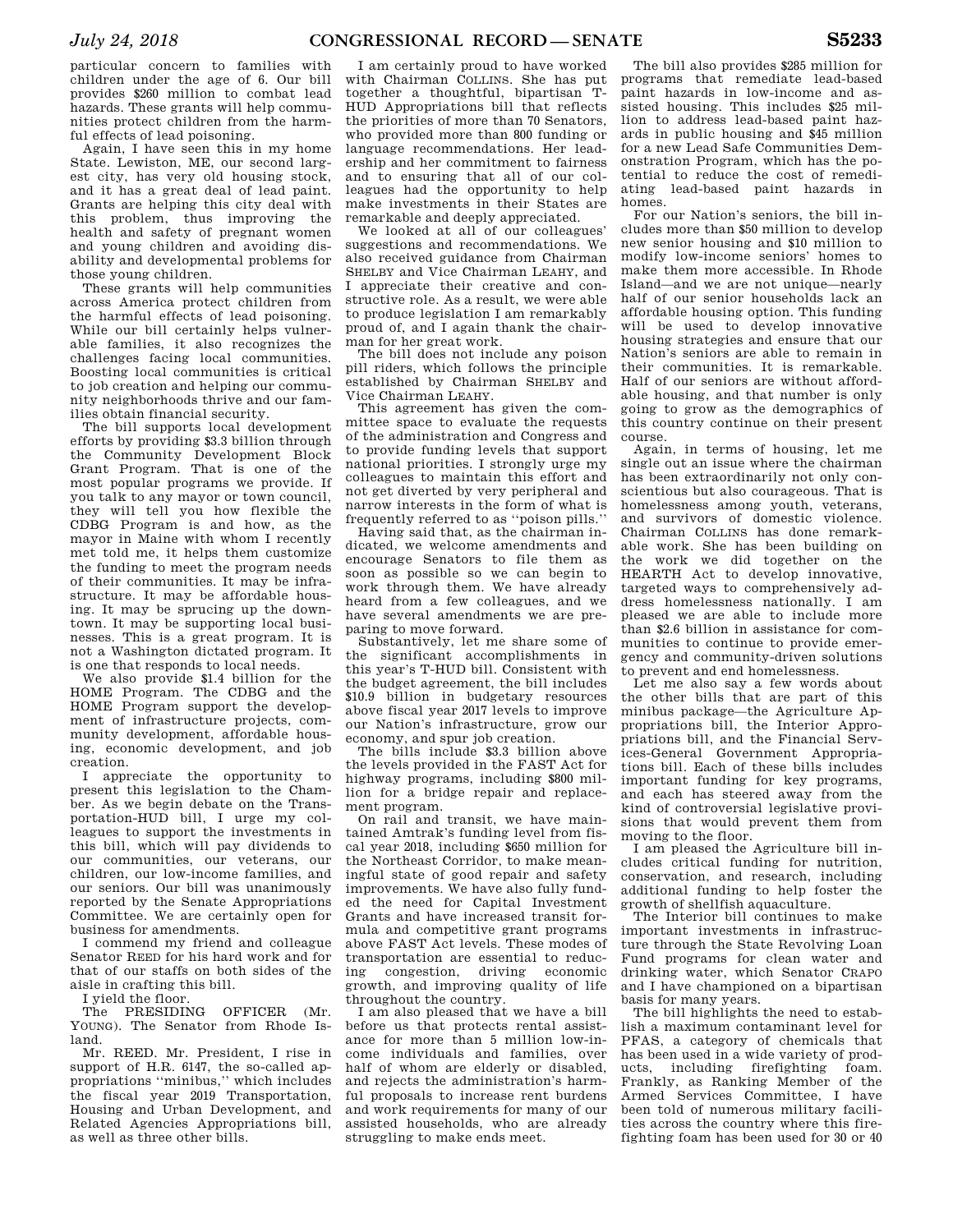particular concern to families with children under the age of 6. Our bill provides \$260 million to combat lead hazards. These grants will help communities protect children from the harmful effects of lead poisoning.

Again, I have seen this in my home State. Lewiston, ME, our second largest city, has very old housing stock, and it has a great deal of lead paint. Grants are helping this city deal with this problem, thus improving the health and safety of pregnant women and young children and avoiding disability and developmental problems for those young children.

These grants will help communities across America protect children from the harmful effects of lead poisoning. While our bill certainly helps vulnerable families, it also recognizes the challenges facing local communities. Boosting local communities is critical to job creation and helping our community neighborhoods thrive and our families obtain financial security.

The bill supports local development efforts by providing \$3.3 billion through the Community Development Block Grant Program. That is one of the most popular programs we provide. If you talk to any mayor or town council, they will tell you how flexible the CDBG Program is and how, as the mayor in Maine with whom I recently met told me, it helps them customize the funding to meet the program needs of their communities. It may be infrastructure. It may be affordable housing. It may be sprucing up the downtown. It may be supporting local businesses. This is a great program. It is not a Washington dictated program. It is one that responds to local needs.

We also provide \$1.4 billion for the HOME Program. The CDBG and the HOME Program support the development of infrastructure projects, community development, affordable housing, economic development, and job creation.

I appreciate the opportunity to present this legislation to the Chamber. As we begin debate on the Transportation-HUD bill, I urge my colleagues to support the investments in this bill, which will pay dividends to our communities, our veterans, our children, our low-income families, and our seniors. Our bill was unanimously reported by the Senate Appropriations Committee. We are certainly open for business for amendments.

I commend my friend and colleague Senator REED for his hard work and for that of our staffs on both sides of the aisle in crafting this bill.

I yield the floor.

The PRESIDING OFFICER (Mr. YOUNG). The Senator from Rhode Island.

Mr. REED. Mr. President, I rise in support of H.R. 6147, the so-called appropriations ''minibus,'' which includes the fiscal year 2019 Transportation, Housing and Urban Development, and Related Agencies Appropriations bill, as well as three other bills.

I am certainly proud to have worked with Chairman COLLINS. She has put together a thoughtful, bipartisan T-HUD Appropriations bill that reflects the priorities of more than 70 Senators, who provided more than 800 funding or language recommendations. Her leadership and her commitment to fairness and to ensuring that all of our colleagues had the opportunity to help make investments in their States are remarkable and deeply appreciated.

We looked at all of our colleagues' suggestions and recommendations. We also received guidance from Chairman SHELBY and Vice Chairman LEAHY, and I appreciate their creative and constructive role. As a result, we were able to produce legislation I am remarkably proud of, and I again thank the chairman for her great work.

The bill does not include any poison pill riders, which follows the principle established by Chairman SHELBY and Vice Chairman LEAHY.

This agreement has given the committee space to evaluate the requests of the administration and Congress and to provide funding levels that support national priorities. I strongly urge my colleagues to maintain this effort and not get diverted by very peripheral and narrow interests in the form of what is frequently referred to as ''poison pills.''

Having said that, as the chairman indicated, we welcome amendments and encourage Senators to file them as soon as possible so we can begin to work through them. We have already heard from a few colleagues, and we have several amendments we are preparing to move forward.

Substantively, let me share some of the significant accomplishments in this year's T-HUD bill. Consistent with the budget agreement, the bill includes \$10.9 billion in budgetary resources above fiscal year 2017 levels to improve our Nation's infrastructure, grow our economy, and spur job creation.

The bills include \$3.3 billion above the levels provided in the FAST Act for highway programs, including \$800 million for a bridge repair and replacement program.

On rail and transit, we have maintained Amtrak's funding level from fiscal year 2018, including \$650 million for the Northeast Corridor, to make meaningful state of good repair and safety improvements. We have also fully funded the need for Capital Investment Grants and have increased transit formula and competitive grant programs above FAST Act levels. These modes of transportation are essential to reducing congestion, driving economic growth, and improving quality of life throughout the country.

I am also pleased that we have a bill before us that protects rental assistance for more than 5 million low-income individuals and families, over half of whom are elderly or disabled, and rejects the administration's harmful proposals to increase rent burdens and work requirements for many of our assisted households, who are already struggling to make ends meet.

The bill also provides \$285 million for programs that remediate lead-based paint hazards in low-income and assisted housing. This includes \$25 million to address lead-based paint hazards in public housing and \$45 million for a new Lead Safe Communities Demonstration Program, which has the potential to reduce the cost of remediating lead-based paint hazards in homes.

For our Nation's seniors, the bill includes more than \$50 million to develop new senior housing and \$10 million to modify low-income seniors' homes to make them more accessible. In Rhode Island—and we are not unique—nearly half of our senior households lack an affordable housing option. This funding will be used to develop innovative housing strategies and ensure that our Nation's seniors are able to remain in their communities. It is remarkable. Half of our seniors are without affordable housing, and that number is only going to grow as the demographics of this country continue on their present course.

Again, in terms of housing, let me single out an issue where the chairman has been extraordinarily not only conscientious but also courageous. That is homelessness among youth, veterans, and survivors of domestic violence. Chairman COLLINS has done remarkable work. She has been building on the work we did together on the HEARTH Act to develop innovative, targeted ways to comprehensively address homelessness nationally. I am pleased we are able to include more than \$2.6 billion in assistance for communities to continue to provide emergency and community-driven solutions to prevent and end homelessness.

Let me also say a few words about the other bills that are part of this minibus package—the Agriculture Appropriations bill, the Interior Appropriations bill, and the Financial Services-General Government Appropriations bill. Each of these bills includes important funding for key programs, and each has steered away from the kind of controversial legislative provisions that would prevent them from moving to the floor.

I am pleased the Agriculture bill includes critical funding for nutrition, conservation, and research, including additional funding to help foster the growth of shellfish aquaculture.

The Interior bill continues to make important investments in infrastructure through the State Revolving Loan Fund programs for clean water and drinking water, which Senator CRAPO and I have championed on a bipartisan basis for many years.

The bill highlights the need to establish a maximum contaminant level for PFAS, a category of chemicals that has been used in a wide variety of products, including firefighting foam. Frankly, as Ranking Member of the Armed Services Committee, I have been told of numerous military facilities across the country where this firefighting foam has been used for 30 or 40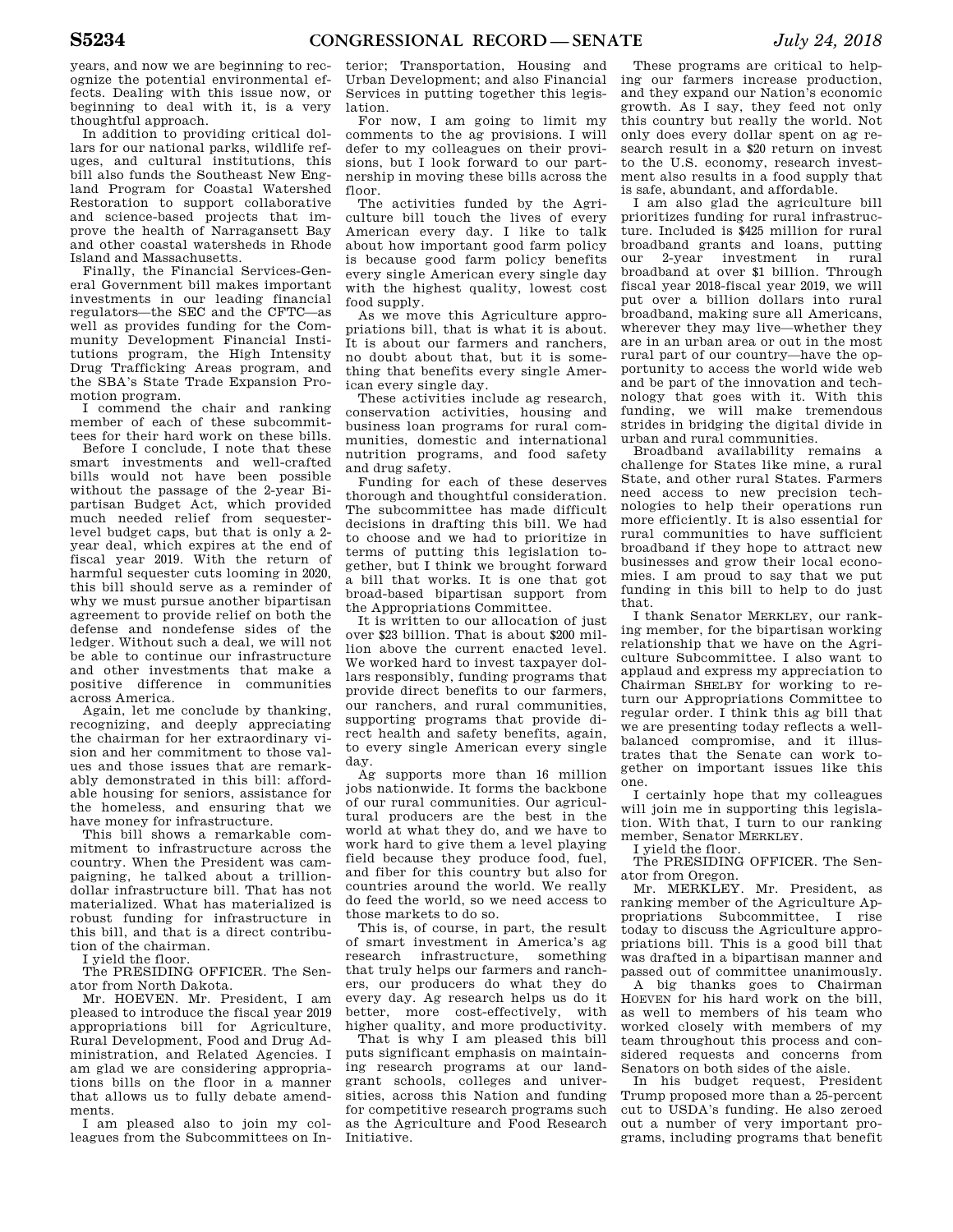years, and now we are beginning to recognize the potential environmental effects. Dealing with this issue now, or beginning to deal with it, is a very thoughtful approach.

In addition to providing critical dollars for our national parks, wildlife refuges, and cultural institutions, this bill also funds the Southeast New England Program for Coastal Watershed Restoration to support collaborative and science-based projects that improve the health of Narragansett Bay and other coastal watersheds in Rhode Island and Massachusetts.

Finally, the Financial Services-General Government bill makes important investments in our leading financial regulators—the SEC and the CFTC—as well as provides funding for the Community Development Financial Institutions program, the High Intensity Drug Trafficking Areas program, and the SBA's State Trade Expansion Promotion program.

I commend the chair and ranking member of each of these subcommittees for their hard work on these bills.

Before I conclude, I note that these smart investments and well-crafted bills would not have been possible without the passage of the 2-year Bipartisan Budget Act, which provided much needed relief from sequesterlevel budget caps, but that is only a 2 year deal, which expires at the end of fiscal year 2019. With the return of harmful sequester cuts looming in 2020, this bill should serve as a reminder of why we must pursue another bipartisan agreement to provide relief on both the defense and nondefense sides of the ledger. Without such a deal, we will not be able to continue our infrastructure and other investments that make a positive difference in communities across America.

Again, let me conclude by thanking, recognizing, and deeply appreciating the chairman for her extraordinary vision and her commitment to those values and those issues that are remarkably demonstrated in this bill: affordable housing for seniors, assistance for the homeless, and ensuring that we have money for infrastructure.

This bill shows a remarkable commitment to infrastructure across the country. When the President was campaigning, he talked about a trilliondollar infrastructure bill. That has not materialized. What has materialized is robust funding for infrastructure in this bill, and that is a direct contribution of the chairman.

I yield the floor.

The PRESIDING OFFICER. The Senator from North Dakota.

Mr. HOEVEN. Mr. President, I am pleased to introduce the fiscal year 2019 appropriations bill for Agriculture, Rural Development, Food and Drug Administration, and Related Agencies. I am glad we are considering appropriations bills on the floor in a manner that allows us to fully debate amendments.

I am pleased also to join my colleagues from the Subcommittees on In-

terior; Transportation, Housing and Urban Development; and also Financial Services in putting together this legislation.

For now, I am going to limit my comments to the ag provisions. I will defer to my colleagues on their provisions, but I look forward to our partnership in moving these bills across the floor.

The activities funded by the Agriculture bill touch the lives of every American every day. I like to talk about how important good farm policy is because good farm policy benefits every single American every single day with the highest quality, lowest cost food supply.

As we move this Agriculture appropriations bill, that is what it is about. It is about our farmers and ranchers, no doubt about that, but it is something that benefits every single American every single day.

These activities include ag research, conservation activities, housing and business loan programs for rural communities, domestic and international nutrition programs, and food safety and drug safety.

Funding for each of these deserves thorough and thoughtful consideration. The subcommittee has made difficult decisions in drafting this bill. We had to choose and we had to prioritize in terms of putting this legislation together, but I think we brought forward a bill that works. It is one that got broad-based bipartisan support from the Appropriations Committee.

It is written to our allocation of just over \$23 billion. That is about \$200 million above the current enacted level. We worked hard to invest taxpayer dollars responsibly, funding programs that provide direct benefits to our farmers, our ranchers, and rural communities, supporting programs that provide direct health and safety benefits, again, to every single American every single day.

Ag supports more than 16 million jobs nationwide. It forms the backbone of our rural communities. Our agricultural producers are the best in the world at what they do, and we have to work hard to give them a level playing field because they produce food, fuel, and fiber for this country but also for countries around the world. We really do feed the world, so we need access to those markets to do so.

This is, of course, in part, the result of smart investment in America's ag research infrastructure, something that truly helps our farmers and ranchers, our producers do what they do every day. Ag research helps us do it better, more cost-effectively, with higher quality, and more productivity.

That is why I am pleased this bill puts significant emphasis on maintaining research programs at our landgrant schools, colleges and universities, across this Nation and funding for competitive research programs such as the Agriculture and Food Research Initiative.

These programs are critical to helping our farmers increase production, and they expand our Nation's economic growth. As I say, they feed not only this country but really the world. Not only does every dollar spent on ag research result in a \$20 return on invest to the U.S. economy, research investment also results in a food supply that is safe, abundant, and affordable.

I am also glad the agriculture bill prioritizes funding for rural infrastructure. Included is \$425 million for rural broadband grants and loans, putting our 2-year investment in rural broadband at over \$1 billion. Through fiscal year 2018-fiscal year 2019, we will put over a billion dollars into rural broadband, making sure all Americans, wherever they may live—whether they are in an urban area or out in the most rural part of our country—have the opportunity to access the world wide web and be part of the innovation and technology that goes with it. With this funding, we will make tremendous strides in bridging the digital divide in urban and rural communities.

Broadband availability remains a challenge for States like mine, a rural State, and other rural States. Farmers need access to new precision technologies to help their operations run more efficiently. It is also essential for rural communities to have sufficient broadband if they hope to attract new businesses and grow their local economies. I am proud to say that we put funding in this bill to help to do just that.

I thank Senator MERKLEY, our ranking member, for the bipartisan working relationship that we have on the Agriculture Subcommittee. I also want to applaud and express my appreciation to Chairman SHELBY for working to return our Appropriations Committee to regular order. I think this ag bill that we are presenting today reflects a wellbalanced compromise, and it illustrates that the Senate can work together on important issues like this one.

I certainly hope that my colleagues will join me in supporting this legislation. With that, I turn to our ranking member, Senator MERKLEY.

I yield the floor.

The PRESIDING OFFICER. The Senator from Oregon.

Mr. MERKLEY. Mr. President, as ranking member of the Agriculture Appropriations Subcommittee, I rise today to discuss the Agriculture appropriations bill. This is a good bill that was drafted in a bipartisan manner and passed out of committee unanimously.

A big thanks goes to Chairman HOEVEN for his hard work on the bill, as well to members of his team who worked closely with members of my team throughout this process and considered requests and concerns from Senators on both sides of the aisle.

In his budget request, President Trump proposed more than a 25-percent cut to USDA's funding. He also zeroed out a number of very important programs, including programs that benefit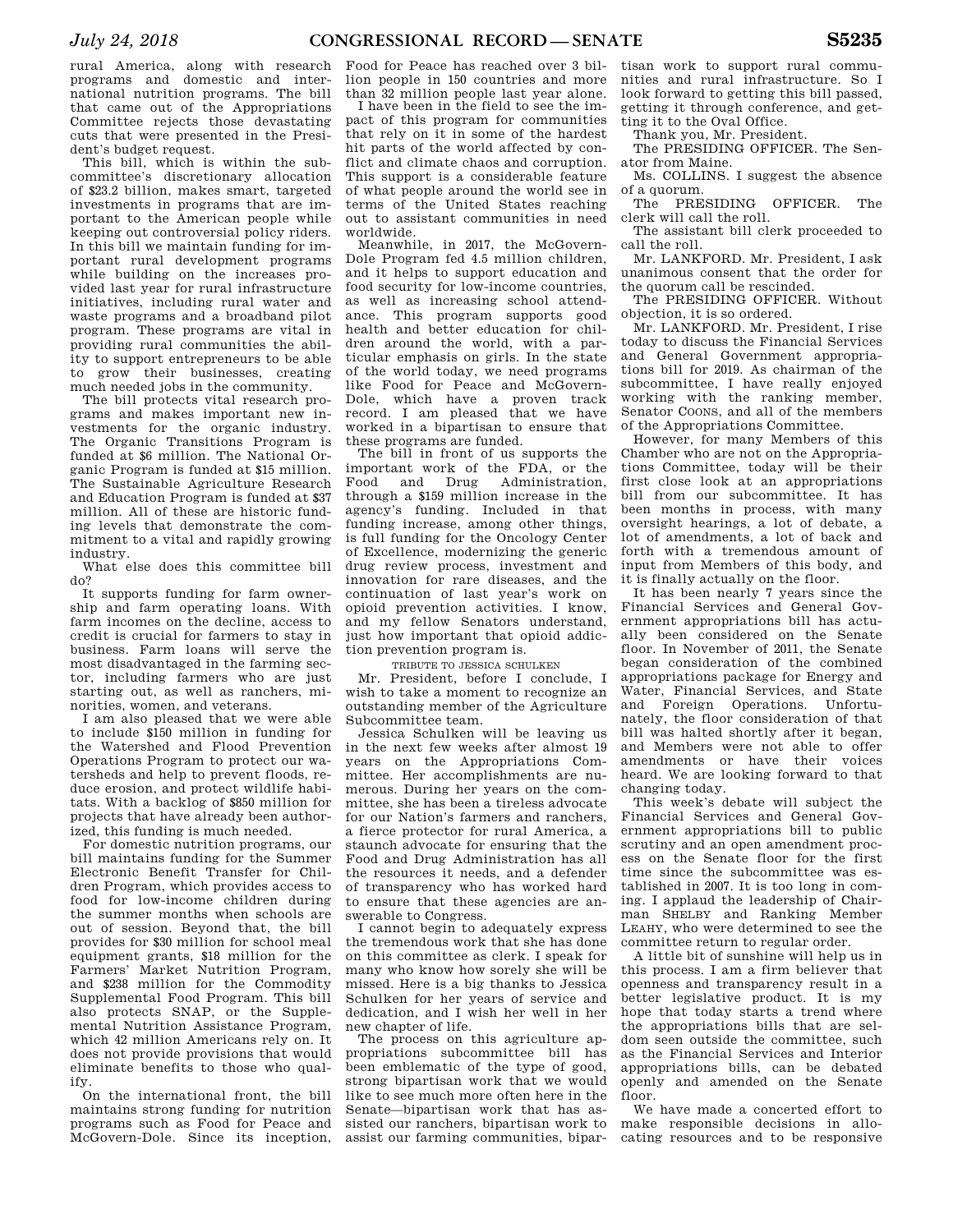rural America, along with research programs and domestic and international nutrition programs. The bill that came out of the Appropriations Committee rejects those devastating cuts that were presented in the President's budget request.

This bill, which is within the subcommittee's discretionary allocation of \$23.2 billion, makes smart, targeted investments in programs that are important to the American people while keeping out controversial policy riders. In this bill we maintain funding for important rural development programs while building on the increases provided last year for rural infrastructure initiatives, including rural water and waste programs and a broadband pilot program. These programs are vital in providing rural communities the ability to support entrepreneurs to be able to grow their businesses, creating much needed jobs in the community.

The bill protects vital research programs and makes important new investments for the organic industry. The Organic Transitions Program is funded at \$6 million. The National Organic Program is funded at \$15 million. The Sustainable Agriculture Research and Education Program is funded at \$37 million. All of these are historic funding levels that demonstrate the commitment to a vital and rapidly growing industry.

What else does this committee bill do?

It supports funding for farm ownership and farm operating loans. With farm incomes on the decline, access to credit is crucial for farmers to stay in business. Farm loans will serve the most disadvantaged in the farming sector, including farmers who are just starting out, as well as ranchers, minorities, women, and veterans.

I am also pleased that we were able to include \$150 million in funding for the Watershed and Flood Prevention Operations Program to protect our watersheds and help to prevent floods, reduce erosion, and protect wildlife habitats. With a backlog of \$850 million for projects that have already been authorized, this funding is much needed.

For domestic nutrition programs, our bill maintains funding for the Summer Electronic Benefit Transfer for Children Program, which provides access to food for low-income children during the summer months when schools are out of session. Beyond that, the bill provides for \$30 million for school meal equipment grants, \$18 million for the Farmers' Market Nutrition Program, and \$238 million for the Commodity Supplemental Food Program. This bill also protects SNAP, or the Supplemental Nutrition Assistance Program, which 42 million Americans rely on. It does not provide provisions that would eliminate benefits to those who qualify.

On the international front, the bill maintains strong funding for nutrition programs such as Food for Peace and McGovern-Dole. Since its inception,

Food for Peace has reached over 3 billion people in 150 countries and more than 32 million people last year alone.

I have been in the field to see the impact of this program for communities that rely on it in some of the hardest hit parts of the world affected by conflict and climate chaos and corruption. This support is a considerable feature of what people around the world see in terms of the United States reaching out to assistant communities in need worldwide.

Meanwhile, in 2017, the McGovern-Dole Program fed 4.5 million children, and it helps to support education and food security for low-income countries, as well as increasing school attendance. This program supports good health and better education for children around the world, with a particular emphasis on girls. In the state of the world today, we need programs like Food for Peace and McGovern-Dole, which have a proven track record. I am pleased that we have worked in a bipartisan to ensure that these programs are funded.

The bill in front of us supports the important work of the FDA, or the Food and Drug Administration, through a \$159 million increase in the agency's funding. Included in that funding increase, among other things, is full funding for the Oncology Center of Excellence, modernizing the generic drug review process, investment and innovation for rare diseases, and the continuation of last year's work on opioid prevention activities. I know, and my fellow Senators understand, just how important that opioid addiction prevention program is.

TRIBUTE TO JESSICA SCHULKEN

Mr. President, before I conclude, I wish to take a moment to recognize an outstanding member of the Agriculture Subcommittee team.

Jessica Schulken will be leaving us in the next few weeks after almost 19 years on the Appropriations Committee. Her accomplishments are numerous. During her years on the committee, she has been a tireless advocate for our Nation's farmers and ranchers, a fierce protector for rural America, a staunch advocate for ensuring that the Food and Drug Administration has all the resources it needs, and a defender of transparency who has worked hard to ensure that these agencies are answerable to Congress.

I cannot begin to adequately express the tremendous work that she has done on this committee as clerk. I speak for many who know how sorely she will be missed. Here is a big thanks to Jessica Schulken for her years of service and dedication, and I wish her well in her new chapter of life.

The process on this agriculture appropriations subcommittee bill has been emblematic of the type of good, strong bipartisan work that we would like to see much more often here in the Senate—bipartisan work that has assisted our ranchers, bipartisan work to assist our farming communities, bipar-

tisan work to support rural communities and rural infrastructure. So I look forward to getting this bill passed, getting it through conference, and getting it to the Oval Office.

Thank you, Mr. President.

The PRESIDING OFFICER. The Senator from Maine.

Ms. COLLINS. I suggest the absence of a quorum.

The PRESIDING OFFICER. The clerk will call the roll.

The assistant bill clerk proceeded to call the roll.

Mr. LANKFORD. Mr. President, I ask unanimous consent that the order for the quorum call be rescinded.

The PRESIDING OFFICER. Without objection, it is so ordered.

Mr. LANKFORD. Mr. President, I rise today to discuss the Financial Services and General Government appropriations bill for 2019. As chairman of the subcommittee, I have really enjoyed working with the ranking member, Senator COONS, and all of the members of the Appropriations Committee.

However, for many Members of this Chamber who are not on the Appropriations Committee, today will be their first close look at an appropriations bill from our subcommittee. It has been months in process, with many oversight hearings, a lot of debate, a lot of amendments, a lot of back and forth with a tremendous amount of input from Members of this body, and it is finally actually on the floor.

It has been nearly 7 years since the Financial Services and General Government appropriations bill has actually been considered on the Senate floor. In November of 2011, the Senate began consideration of the combined appropriations package for Energy and Water, Financial Services, and State and Foreign Operations. Unfortunately, the floor consideration of that bill was halted shortly after it began, and Members were not able to offer amendments or have their voices heard. We are looking forward to that changing today.

This week's debate will subject the Financial Services and General Government appropriations bill to public scrutiny and an open amendment process on the Senate floor for the first time since the subcommittee was established in 2007. It is too long in coming. I applaud the leadership of Chairman SHELBY and Ranking Member LEAHY, who were determined to see the committee return to regular order.

A little bit of sunshine will help us in this process. I am a firm believer that openness and transparency result in a better legislative product. It is my hope that today starts a trend where the appropriations bills that are seldom seen outside the committee, such as the Financial Services and Interior appropriations bills, can be debated openly and amended on the Senate floor.

We have made a concerted effort to make responsible decisions in allocating resources and to be responsive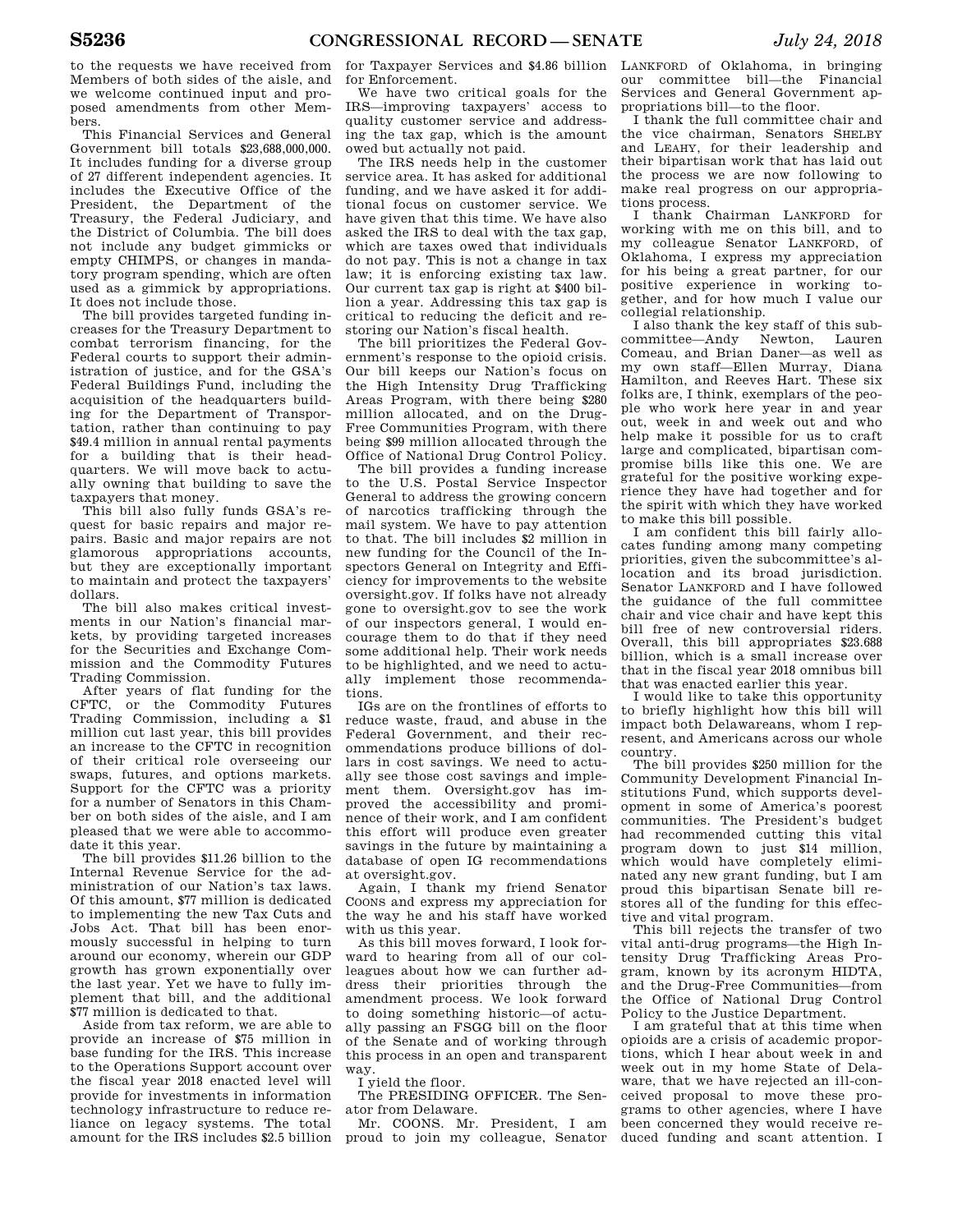to the requests we have received from Members of both sides of the aisle, and we welcome continued input and proposed amendments from other Members.

This Financial Services and General Government bill totals \$23,688,000,000. It includes funding for a diverse group of 27 different independent agencies. It includes the Executive Office of the President, the Department of the Treasury, the Federal Judiciary, and the District of Columbia. The bill does not include any budget gimmicks or empty CHIMPS, or changes in mandatory program spending, which are often used as a gimmick by appropriations. It does not include those.

The bill provides targeted funding increases for the Treasury Department to combat terrorism financing, for the Federal courts to support their administration of justice, and for the GSA's Federal Buildings Fund, including the acquisition of the headquarters building for the Department of Transportation, rather than continuing to pay \$49.4 million in annual rental payments for a building that is their headquarters. We will move back to actually owning that building to save the taxpayers that money.

This bill also fully funds GSA's request for basic repairs and major repairs. Basic and major repairs are not glamorous appropriations accounts, but they are exceptionally important to maintain and protect the taxpayers' dollars.

The bill also makes critical investments in our Nation's financial markets, by providing targeted increases for the Securities and Exchange Commission and the Commodity Futures Trading Commission.

After years of flat funding for the CFTC, or the Commodity Futures Trading Commission, including a \$1 million cut last year, this bill provides an increase to the CFTC in recognition of their critical role overseeing our swaps, futures, and options markets. Support for the CFTC was a priority for a number of Senators in this Chamber on both sides of the aisle, and I am pleased that we were able to accommodate it this year.

The bill provides \$11.26 billion to the Internal Revenue Service for the administration of our Nation's tax laws. Of this amount, \$77 million is dedicated to implementing the new Tax Cuts and Jobs Act. That bill has been enormously successful in helping to turn around our economy, wherein our GDP growth has grown exponentially over the last year. Yet we have to fully implement that bill, and the additional \$77 million is dedicated to that.

Aside from tax reform, we are able to provide an increase of \$75 million in base funding for the IRS. This increase to the Operations Support account over the fiscal year 2018 enacted level will provide for investments in information technology infrastructure to reduce reliance on legacy systems. The total

for Taxpayer Services and \$4.86 billion for Enforcement.

We have two critical goals for the IRS—improving taxpayers' access to quality customer service and addressing the tax gap, which is the amount owed but actually not paid.

The IRS needs help in the customer service area. It has asked for additional funding, and we have asked it for additional focus on customer service. We have given that this time. We have also asked the IRS to deal with the tax gap, which are taxes owed that individuals do not pay. This is not a change in tax law; it is enforcing existing tax law. Our current tax gap is right at \$400 billion a year. Addressing this tax gap is critical to reducing the deficit and restoring our Nation's fiscal health.

The bill prioritizes the Federal Government's response to the opioid crisis. Our bill keeps our Nation's focus on the High Intensity Drug Trafficking Areas Program, with there being \$280 million allocated, and on the Drug-Free Communities Program, with there being \$99 million allocated through the Office of National Drug Control Policy.

The bill provides a funding increase to the U.S. Postal Service Inspector General to address the growing concern of narcotics trafficking through the mail system. We have to pay attention to that. The bill includes \$2 million in new funding for the Council of the Inspectors General on Integrity and Efficiency for improvements to the website oversight.gov. If folks have not already gone to oversight.gov to see the work of our inspectors general, I would encourage them to do that if they need some additional help. Their work needs to be highlighted, and we need to actually implement those recommendations.

IGs are on the frontlines of efforts to reduce waste, fraud, and abuse in the Federal Government, and their recommendations produce billions of dollars in cost savings. We need to actually see those cost savings and implement them. Oversight.gov has improved the accessibility and prominence of their work, and I am confident this effort will produce even greater savings in the future by maintaining a database of open IG recommendations at oversight.gov.

Again, I thank my friend Senator COONS and express my appreciation for the way he and his staff have worked with us this year.

As this bill moves forward, I look forward to hearing from all of our colleagues about how we can further address their priorities through the amendment process. We look forward to doing something historic—of actually passing an FSGG bill on the floor of the Senate and of working through this process in an open and transparent way.

I yield the floor.

The PRESIDING OFFICER. The Senator from Delaware.

amount for the IRS includes \$2.5 billion proud to join my colleague, Senator Mr. COONS. Mr. President, I am

LANKFORD of Oklahoma, in bringing our committee bill—the Financial Services and General Government appropriations bill—to the floor.

I thank the full committee chair and the vice chairman, Senators SHELBY and LEAHY, for their leadership and their bipartisan work that has laid out the process we are now following to make real progress on our appropriations process.

I thank Chairman LANKFORD for working with me on this bill, and to my colleague Senator LANKFORD, of Oklahoma, I express my appreciation for his being a great partner, for our positive experience in working together, and for how much I value our collegial relationship.

I also thank the key staff of this subcommittee—Andy Newton, Lauren Comeau, and Brian Daner—as well as my own staff—Ellen Murray, Diana Hamilton, and Reeves Hart. These six folks are, I think, exemplars of the people who work here year in and year out, week in and week out and who help make it possible for us to craft large and complicated, bipartisan compromise bills like this one. We are grateful for the positive working experience they have had together and for the spirit with which they have worked to make this bill possible.

I am confident this bill fairly allocates funding among many competing priorities, given the subcommittee's allocation and its broad jurisdiction. Senator LANKFORD and I have followed the guidance of the full committee chair and vice chair and have kept this bill free of new controversial riders. Overall, this bill appropriates \$23.688 billion, which is a small increase over that in the fiscal year 2018 omnibus bill that was enacted earlier this year.

I would like to take this opportunity to briefly highlight how this bill will impact both Delawareans, whom I represent, and Americans across our whole country.

The bill provides \$250 million for the Community Development Financial Institutions Fund, which supports development in some of America's poorest communities. The President's budget had recommended cutting this vital program down to just \$14 million, which would have completely eliminated any new grant funding, but I am proud this bipartisan Senate bill restores all of the funding for this effective and vital program.

This bill rejects the transfer of two vital anti-drug programs—the High Intensity Drug Trafficking Areas Program, known by its acronym HIDTA, and the Drug-Free Communities—from the Office of National Drug Control Policy to the Justice Department.

I am grateful that at this time when opioids are a crisis of academic proportions, which I hear about week in and week out in my home State of Delaware, that we have rejected an ill-conceived proposal to move these programs to other agencies, where I have been concerned they would receive reduced funding and scant attention. I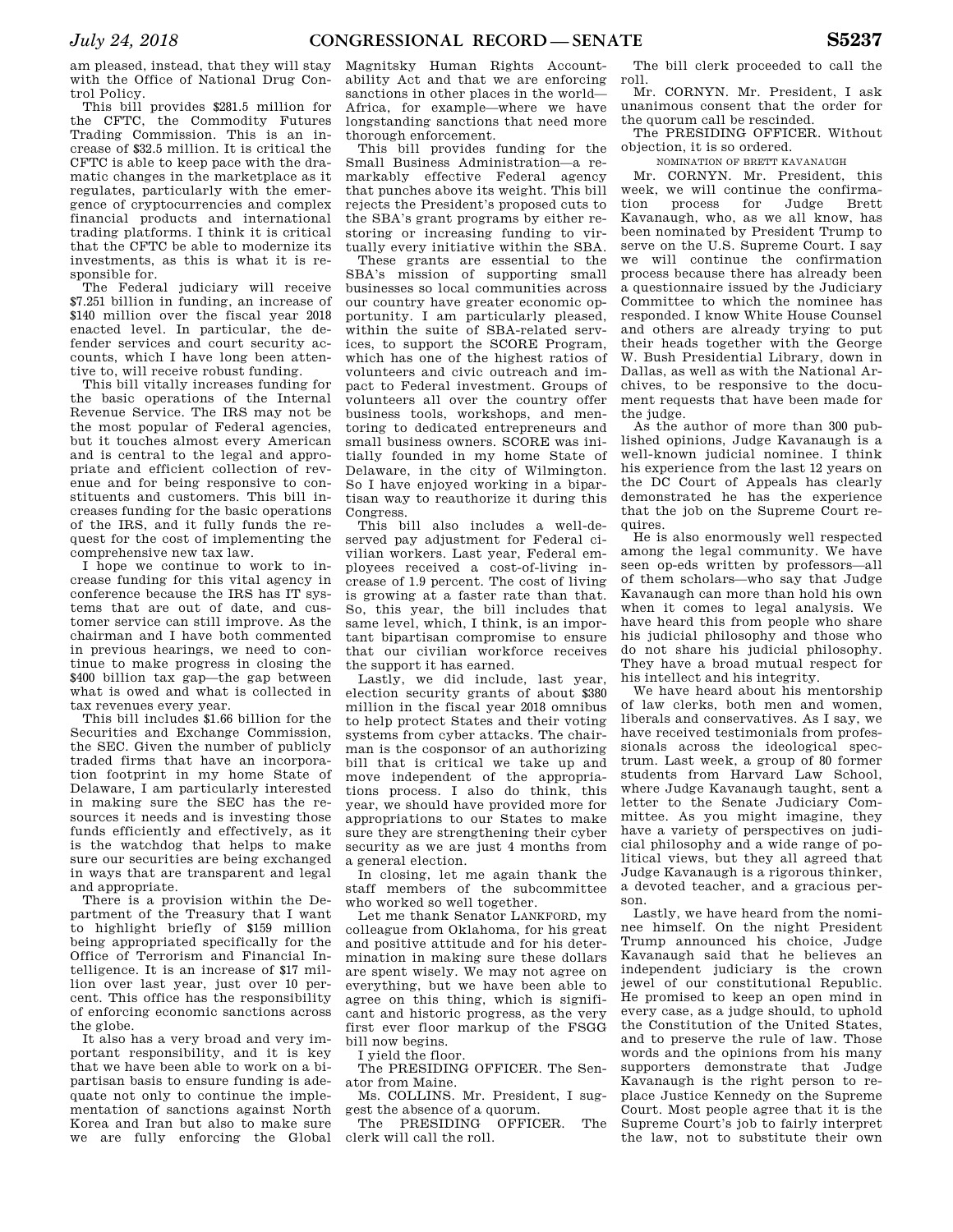am pleased, instead, that they will stay with the Office of National Drug Control Policy.

This bill provides \$281.5 million for the CFTC, the Commodity Futures Trading Commission. This is an increase of \$32.5 million. It is critical the CFTC is able to keep pace with the dramatic changes in the marketplace as it regulates, particularly with the emergence of cryptocurrencies and complex financial products and international trading platforms. I think it is critical that the CFTC be able to modernize its investments, as this is what it is responsible for.

The Federal judiciary will receive \$7.251 billion in funding, an increase of \$140 million over the fiscal year 2018 enacted level. In particular, the defender services and court security accounts, which I have long been attentive to, will receive robust funding.

This bill vitally increases funding for the basic operations of the Internal Revenue Service. The IRS may not be the most popular of Federal agencies, but it touches almost every American and is central to the legal and appropriate and efficient collection of revenue and for being responsive to constituents and customers. This bill increases funding for the basic operations of the IRS, and it fully funds the request for the cost of implementing the comprehensive new tax law.

I hope we continue to work to increase funding for this vital agency in conference because the IRS has IT systems that are out of date, and customer service can still improve. As the chairman and I have both commented in previous hearings, we need to continue to make progress in closing the \$400 billion tax gap—the gap between what is owed and what is collected in tax revenues every year.

This bill includes \$1.66 billion for the Securities and Exchange Commission, the SEC. Given the number of publicly traded firms that have an incorporation footprint in my home State of Delaware, I am particularly interested in making sure the SEC has the resources it needs and is investing those funds efficiently and effectively, as it is the watchdog that helps to make sure our securities are being exchanged in ways that are transparent and legal and appropriate.

There is a provision within the Department of the Treasury that I want to highlight briefly of \$159 million being appropriated specifically for the Office of Terrorism and Financial Intelligence. It is an increase of \$17 million over last year, just over 10 percent. This office has the responsibility of enforcing economic sanctions across the globe.

It also has a very broad and very important responsibility, and it is key that we have been able to work on a bipartisan basis to ensure funding is adequate not only to continue the implementation of sanctions against North Korea and Iran but also to make sure we are fully enforcing the Global

Magnitsky Human Rights Accountability Act and that we are enforcing sanctions in other places in the world— Africa, for example—where we have longstanding sanctions that need more thorough enforcement.

This bill provides funding for the Small Business Administration—a remarkably effective Federal agency that punches above its weight. This bill rejects the President's proposed cuts to the SBA's grant programs by either restoring or increasing funding to virtually every initiative within the SBA.

These grants are essential to the SBA's mission of supporting small businesses so local communities across our country have greater economic opportunity. I am particularly pleased, within the suite of SBA-related services, to support the SCORE Program, which has one of the highest ratios of volunteers and civic outreach and impact to Federal investment. Groups of volunteers all over the country offer business tools, workshops, and mentoring to dedicated entrepreneurs and small business owners. SCORE was initially founded in my home State of Delaware, in the city of Wilmington. So I have enjoyed working in a bipartisan way to reauthorize it during this Congress.

This bill also includes a well-deserved pay adjustment for Federal civilian workers. Last year, Federal employees received a cost-of-living increase of 1.9 percent. The cost of living is growing at a faster rate than that. So, this year, the bill includes that same level, which, I think, is an important bipartisan compromise to ensure that our civilian workforce receives the support it has earned.

Lastly, we did include, last year, election security grants of about \$380 million in the fiscal year 2018 omnibus to help protect States and their voting systems from cyber attacks. The chairman is the cosponsor of an authorizing bill that is critical we take up and move independent of the appropriations process. I also do think, this year, we should have provided more for appropriations to our States to make sure they are strengthening their cyber security as we are just 4 months from a general election.

In closing, let me again thank the staff members of the subcommittee who worked so well together.

Let me thank Senator LANKFORD, my colleague from Oklahoma, for his great and positive attitude and for his determination in making sure these dollars are spent wisely. We may not agree on everything, but we have been able to agree on this thing, which is significant and historic progress, as the very first ever floor markup of the FSGG bill now begins.

I yield the floor.

The PRESIDING OFFICER. The Senator from Maine.

Ms. COLLINS. Mr. President, I suggest the absence of a quorum.

The PRESIDING OFFICER. The clerk will call the roll.

The bill clerk proceeded to call the roll.

Mr. CORNYN. Mr. President, I ask unanimous consent that the order for the quorum call be rescinded.

The PRESIDING OFFICER. Without objection, it is so ordered.

NOMINATION OF BRETT KAVANAUGH

Mr. CORNYN. Mr. President, this week, we will continue the confirma-<br>tion process for Judge Brett tion process for Judge Brett Kavanaugh, who, as we all know, has been nominated by President Trump to serve on the U.S. Supreme Court. I say we will continue the confirmation process because there has already been a questionnaire issued by the Judiciary Committee to which the nominee has responded. I know White House Counsel and others are already trying to put their heads together with the George W. Bush Presidential Library, down in Dallas, as well as with the National Archives, to be responsive to the document requests that have been made for the judge.

As the author of more than 300 published opinions, Judge Kavanaugh is a well-known judicial nominee. I think his experience from the last 12 years on the DC Court of Appeals has clearly demonstrated he has the experience that the job on the Supreme Court requires.

He is also enormously well respected among the legal community. We have seen op-eds written by professors—all of them scholars—who say that Judge Kavanaugh can more than hold his own when it comes to legal analysis. We have heard this from people who share his judicial philosophy and those who do not share his judicial philosophy. They have a broad mutual respect for his intellect and his integrity.

We have heard about his mentorship of law clerks, both men and women, liberals and conservatives. As I say, we have received testimonials from professionals across the ideological spectrum. Last week, a group of 80 former students from Harvard Law School, where Judge Kavanaugh taught, sent a letter to the Senate Judiciary Committee. As you might imagine, they have a variety of perspectives on judicial philosophy and a wide range of political views, but they all agreed that Judge Kavanaugh is a rigorous thinker, a devoted teacher, and a gracious person.

Lastly, we have heard from the nominee himself. On the night President Trump announced his choice, Judge Kavanaugh said that he believes an independent judiciary is the crown jewel of our constitutional Republic. He promised to keep an open mind in every case, as a judge should, to uphold the Constitution of the United States, and to preserve the rule of law. Those words and the opinions from his many supporters demonstrate that Judge Kavanaugh is the right person to replace Justice Kennedy on the Supreme Court. Most people agree that it is the Supreme Court's job to fairly interpret the law, not to substitute their own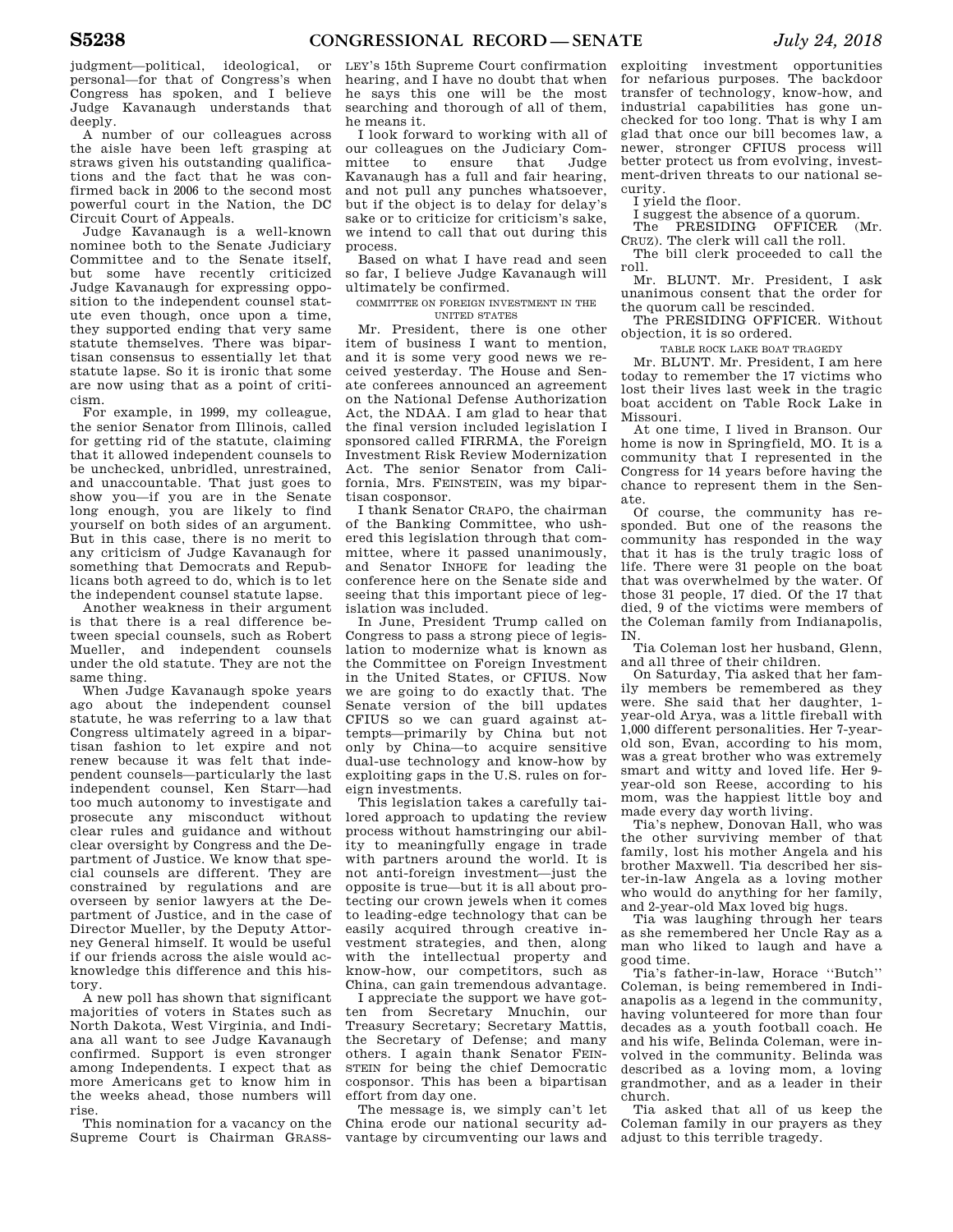Judge Kavanaugh understands that deeply. A number of our colleagues across the aisle have been left grasping at straws given his outstanding qualifications and the fact that he was confirmed back in 2006 to the second most

powerful court in the Nation, the DC

Circuit Court of Appeals. Judge Kavanaugh is a well-known nominee both to the Senate Judiciary Committee and to the Senate itself, but some have recently criticized Judge Kavanaugh for expressing opposition to the independent counsel statute even though, once upon a time, they supported ending that very same statute themselves. There was bipartisan consensus to essentially let that statute lapse. So it is ironic that some are now using that as a point of criticism.

For example, in 1999, my colleague, the senior Senator from Illinois, called for getting rid of the statute, claiming that it allowed independent counsels to be unchecked, unbridled, unrestrained, and unaccountable. That just goes to show you—if you are in the Senate long enough, you are likely to find yourself on both sides of an argument. But in this case, there is no merit to any criticism of Judge Kavanaugh for something that Democrats and Republicans both agreed to do, which is to let the independent counsel statute lapse.

Another weakness in their argument is that there is a real difference between special counsels, such as Robert Mueller, and independent counsels under the old statute. They are not the same thing.

When Judge Kavanaugh spoke years ago about the independent counsel statute, he was referring to a law that Congress ultimately agreed in a bipartisan fashion to let expire and not renew because it was felt that independent counsels—particularly the last independent counsel, Ken Starr—had too much autonomy to investigate and prosecute any misconduct without clear rules and guidance and without clear oversight by Congress and the Department of Justice. We know that special counsels are different. They are constrained by regulations and are overseen by senior lawyers at the Department of Justice, and in the case of Director Mueller, by the Deputy Attorney General himself. It would be useful if our friends across the aisle would acknowledge this difference and this history.

A new poll has shown that significant majorities of voters in States such as North Dakota, West Virginia, and Indiana all want to see Judge Kavanaugh confirmed. Support is even stronger among Independents. I expect that as more Americans get to know him in the weeks ahead, those numbers will rise.

This nomination for a vacancy on the Supreme Court is Chairman GRASS-

LEY's 15th Supreme Court confirmation hearing, and I have no doubt that when he says this one will be the most searching and thorough of all of them, he means it.

I look forward to working with all of our colleagues on the Judiciary Committee to ensure that Judge Kavanaugh has a full and fair hearing, and not pull any punches whatsoever, but if the object is to delay for delay's sake or to criticize for criticism's sake, we intend to call that out during this process.

Based on what I have read and seen so far, I believe Judge Kavanaugh will ultimately be confirmed.

#### COMMITTEE ON FOREIGN INVESTMENT IN THE UNITED STATES

Mr. President, there is one other item of business I want to mention, and it is some very good news we received yesterday. The House and Senate conferees announced an agreement on the National Defense Authorization Act, the NDAA. I am glad to hear that the final version included legislation I sponsored called FIRRMA, the Foreign Investment Risk Review Modernization Act. The senior Senator from California, Mrs. FEINSTEIN, was my bipartisan cosponsor.

I thank Senator CRAPO, the chairman of the Banking Committee, who ushered this legislation through that committee, where it passed unanimously, and Senator INHOFE for leading the conference here on the Senate side and seeing that this important piece of legislation was included.

In June, President Trump called on Congress to pass a strong piece of legislation to modernize what is known as the Committee on Foreign Investment in the United States, or CFIUS. Now we are going to do exactly that. The Senate version of the bill updates CFIUS so we can guard against attempts—primarily by China but not only by China—to acquire sensitive dual-use technology and know-how by exploiting gaps in the U.S. rules on foreign investments.

This legislation takes a carefully tailored approach to updating the review process without hamstringing our ability to meaningfully engage in trade with partners around the world. It is not anti-foreign investment—just the opposite is true—but it is all about protecting our crown jewels when it comes to leading-edge technology that can be easily acquired through creative investment strategies, and then, along with the intellectual property and know-how, our competitors, such as China, can gain tremendous advantage.

I appreciate the support we have gotten from Secretary Mnuchin, our Treasury Secretary; Secretary Mattis, the Secretary of Defense; and many others. I again thank Senator FEIN-STEIN for being the chief Democratic cosponsor. This has been a bipartisan effort from day one.

The message is, we simply can't let China erode our national security advantage by circumventing our laws and

exploiting investment opportunities for nefarious purposes. The backdoor transfer of technology, know-how, and industrial capabilities has gone unchecked for too long. That is why I am glad that once our bill becomes law, a newer, stronger CFIUS process will better protect us from evolving, investment-driven threats to our national security.

I yield the floor.

I suggest the absence of a quorum. The PRESIDING OFFICER (Mr.

CRUZ). The clerk will call the roll.

The bill clerk proceeded to call the roll.

Mr. BLUNT. Mr. President, I ask unanimous consent that the order for the quorum call be rescinded.

The PRESIDING OFFICER. Without objection, it is so ordered.

TABLE ROCK LAKE BOAT TRAGEDY

Mr. BLUNT. Mr. President, I am here today to remember the 17 victims who lost their lives last week in the tragic boat accident on Table Rock Lake in Missouri.

At one time, I lived in Branson. Our home is now in Springfield, MO. It is a community that I represented in the Congress for 14 years before having the chance to represent them in the Senate.

Of course, the community has responded. But one of the reasons the community has responded in the way that it has is the truly tragic loss of life. There were 31 people on the boat that was overwhelmed by the water. Of those 31 people, 17 died. Of the 17 that died, 9 of the victims were members of the Coleman family from Indianapolis, IN.

Tia Coleman lost her husband, Glenn, and all three of their children.

On Saturday, Tia asked that her family members be remembered as they were. She said that her daughter, 1 year-old Arya, was a little fireball with 1,000 different personalities. Her 7-yearold son, Evan, according to his mom, was a great brother who was extremely smart and witty and loved life. Her 9 year-old son Reese, according to his mom, was the happiest little boy and made every day worth living.

Tia's nephew, Donovan Hall, who was the other surviving member of that family, lost his mother Angela and his brother Maxwell. Tia described her sister-in-law Angela as a loving mother who would do anything for her family, and 2-year-old Max loved big hugs.

Tia was laughing through her tears as she remembered her Uncle Ray as a man who liked to laugh and have a good time.

Tia's father-in-law, Horace ''Butch'' Coleman, is being remembered in Indianapolis as a legend in the community, having volunteered for more than four decades as a youth football coach. He and his wife, Belinda Coleman, were involved in the community. Belinda was described as a loving mom, a loving grandmother, and as a leader in their church.

Tia asked that all of us keep the Coleman family in our prayers as they adjust to this terrible tragedy.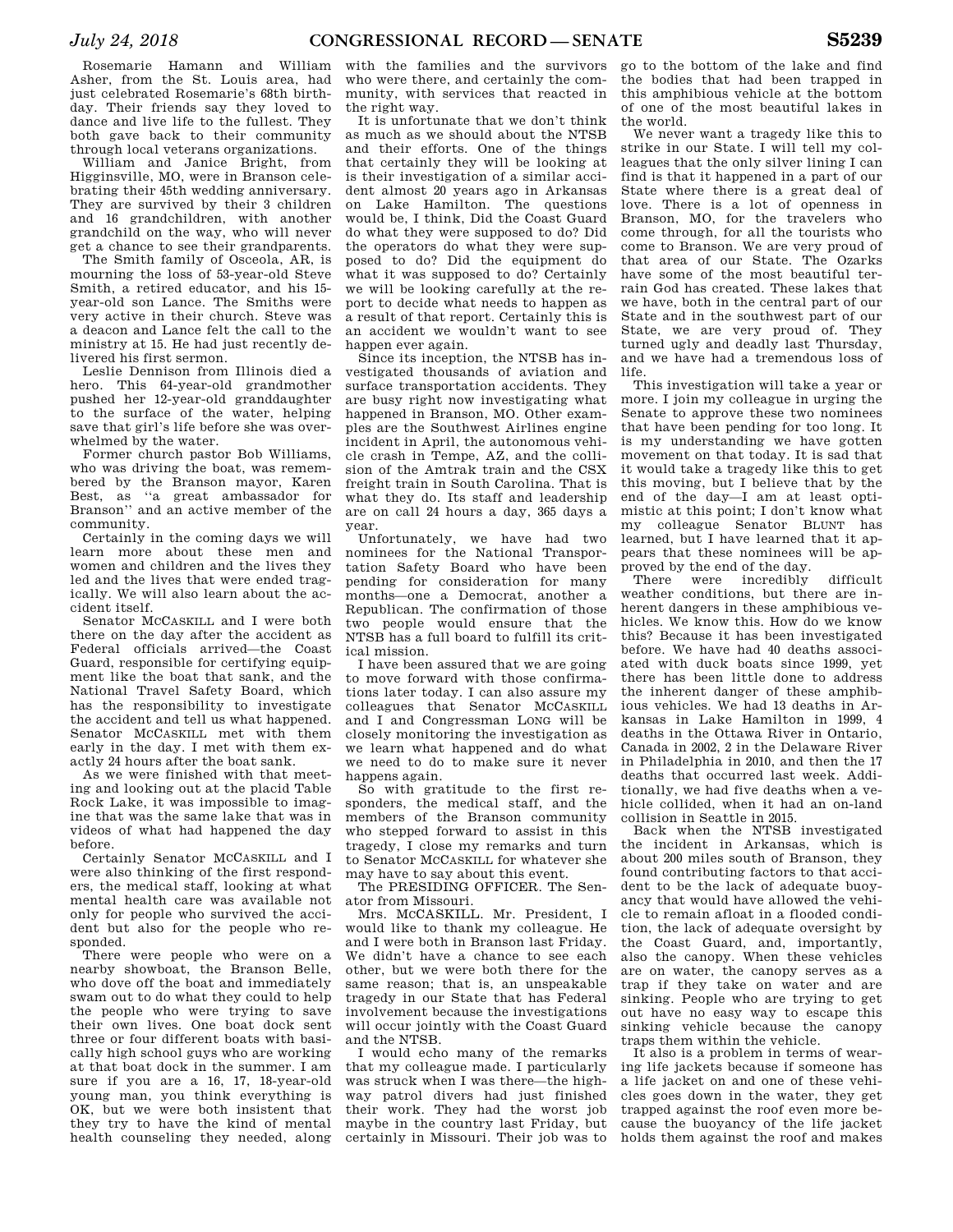Rosemarie Hamann and William Asher, from the St. Louis area, had just celebrated Rosemarie's 68th birthday. Their friends say they loved to dance and live life to the fullest. They both gave back to their community through local veterans organizations.

William and Janice Bright, from Higginsville, MO, were in Branson celebrating their 45th wedding anniversary. They are survived by their 3 children and 16 grandchildren, with another grandchild on the way, who will never get a chance to see their grandparents.

The Smith family of Osceola, AR, is mourning the loss of 53-year-old Steve Smith, a retired educator, and his 15 year-old son Lance. The Smiths were very active in their church. Steve was a deacon and Lance felt the call to the ministry at 15. He had just recently delivered his first sermon.

Leslie Dennison from Illinois died a hero. This 64-year-old grandmother pushed her 12-year-old granddaughter to the surface of the water, helping save that girl's life before she was overwhelmed by the water.

Former church pastor Bob Williams, who was driving the boat, was remembered by the Branson mayor, Karen Best, as ''a great ambassador for Branson'' and an active member of the community.

Certainly in the coming days we will learn more about these men and women and children and the lives they led and the lives that were ended tragically. We will also learn about the accident itself.

Senator MCCASKILL and I were both there on the day after the accident as Federal officials arrived—the Coast Guard, responsible for certifying equipment like the boat that sank, and the National Travel Safety Board, which has the responsibility to investigate the accident and tell us what happened. Senator MCCASKILL met with them early in the day. I met with them exactly 24 hours after the boat sank.

As we were finished with that meeting and looking out at the placid Table Rock Lake, it was impossible to imagine that was the same lake that was in videos of what had happened the day before.

Certainly Senator MCCASKILL and I were also thinking of the first responders, the medical staff, looking at what mental health care was available not only for people who survived the accident but also for the people who responded.

There were people who were on a nearby showboat, the Branson Belle, who dove off the boat and immediately swam out to do what they could to help the people who were trying to save their own lives. One boat dock sent three or four different boats with basically high school guys who are working at that boat dock in the summer. I am sure if you are a 16, 17, 18-year-old young man, you think everything is OK, but we were both insistent that they try to have the kind of mental health counseling they needed, along

with the families and the survivors who were there, and certainly the community, with services that reacted in the right way.

It is unfortunate that we don't think as much as we should about the NTSB and their efforts. One of the things that certainly they will be looking at is their investigation of a similar accident almost 20 years ago in Arkansas on Lake Hamilton. The questions would be, I think, Did the Coast Guard do what they were supposed to do? Did the operators do what they were supposed to do? Did the equipment do what it was supposed to do? Certainly we will be looking carefully at the report to decide what needs to happen as a result of that report. Certainly this is an accident we wouldn't want to see happen ever again.

Since its inception, the NTSB has investigated thousands of aviation and surface transportation accidents. They are busy right now investigating what happened in Branson, MO. Other examples are the Southwest Airlines engine incident in April, the autonomous vehicle crash in Tempe, AZ, and the collision of the Amtrak train and the CSX freight train in South Carolina. That is what they do. Its staff and leadership are on call 24 hours a day, 365 days a year.

Unfortunately, we have had two nominees for the National Transportation Safety Board who have been pending for consideration for many months—one a Democrat, another a Republican. The confirmation of those two people would ensure that the NTSB has a full board to fulfill its critical mission.

I have been assured that we are going to move forward with those confirmations later today. I can also assure my colleagues that Senator MCCASKILL and I and Congressman LONG will be closely monitoring the investigation as we learn what happened and do what we need to do to make sure it never happens again.

So with gratitude to the first responders, the medical staff, and the members of the Branson community who stepped forward to assist in this tragedy, I close my remarks and turn to Senator MCCASKILL for whatever she may have to say about this event.

The PRESIDING OFFICER. The Senator from Missouri.

Mrs. MCCASKILL. Mr. President, I would like to thank my colleague. He and I were both in Branson last Friday. We didn't have a chance to see each other, but we were both there for the same reason; that is, an unspeakable tragedy in our State that has Federal involvement because the investigations will occur jointly with the Coast Guard and the NTSB.

I would echo many of the remarks that my colleague made. I particularly was struck when I was there—the highway patrol divers had just finished their work. They had the worst job maybe in the country last Friday, but certainly in Missouri. Their job was to

go to the bottom of the lake and find the bodies that had been trapped in this amphibious vehicle at the bottom of one of the most beautiful lakes in the world.

We never want a tragedy like this to strike in our State. I will tell my colleagues that the only silver lining I can find is that it happened in a part of our State where there is a great deal of love. There is a lot of openness in Branson, MO, for the travelers who come through, for all the tourists who come to Branson. We are very proud of that area of our State. The Ozarks have some of the most beautiful terrain God has created. These lakes that we have, both in the central part of our State and in the southwest part of our State, we are very proud of. They turned ugly and deadly last Thursday, and we have had a tremendous loss of life.

This investigation will take a year or more. I join my colleague in urging the Senate to approve these two nominees that have been pending for too long. It is my understanding we have gotten movement on that today. It is sad that it would take a tragedy like this to get this moving, but I believe that by the end of the day—I am at least optimistic at this point; I don't know what my colleague Senator BLUNT has learned, but I have learned that it appears that these nominees will be approved by the end of the day.

There were incredibly difficult weather conditions, but there are inherent dangers in these amphibious vehicles. We know this. How do we know this? Because it has been investigated before. We have had 40 deaths associated with duck boats since 1999, yet there has been little done to address the inherent danger of these amphibious vehicles. We had 13 deaths in Arkansas in Lake Hamilton in 1999, 4 deaths in the Ottawa River in Ontario, Canada in 2002, 2 in the Delaware River in Philadelphia in 2010, and then the 17 deaths that occurred last week. Additionally, we had five deaths when a vehicle collided, when it had an on-land collision in Seattle in 2015.

Back when the NTSB investigated the incident in Arkansas, which is about 200 miles south of Branson, they found contributing factors to that accident to be the lack of adequate buoyancy that would have allowed the vehicle to remain afloat in a flooded condition, the lack of adequate oversight by the Coast Guard, and, importantly, also the canopy. When these vehicles are on water, the canopy serves as a trap if they take on water and are sinking. People who are trying to get out have no easy way to escape this sinking vehicle because the canopy traps them within the vehicle.

It also is a problem in terms of wearing life jackets because if someone has a life jacket on and one of these vehicles goes down in the water, they get trapped against the roof even more because the buoyancy of the life jacket holds them against the roof and makes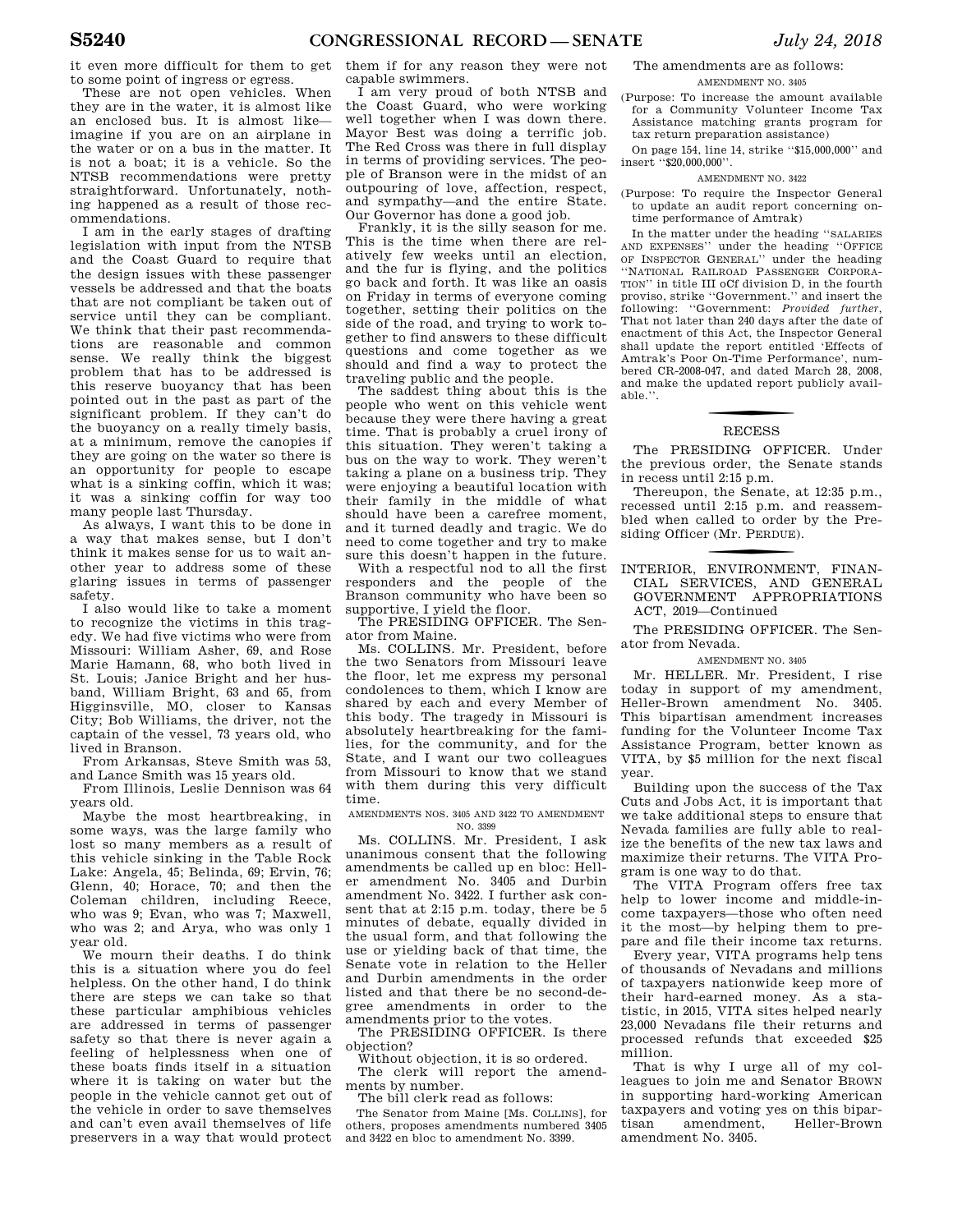it even more difficult for them to get to some point of ingress or egress.

These are not open vehicles. When they are in the water, it is almost like an enclosed bus. It is almost like imagine if you are on an airplane in the water or on a bus in the matter. It is not a boat; it is a vehicle. So the NTSB recommendations were pretty straightforward. Unfortunately, nothing happened as a result of those recommendations.

I am in the early stages of drafting legislation with input from the NTSB and the Coast Guard to require that the design issues with these passenger vessels be addressed and that the boats that are not compliant be taken out of service until they can be compliant. We think that their past recommendations are reasonable and common sense. We really think the biggest problem that has to be addressed is this reserve buoyancy that has been pointed out in the past as part of the significant problem. If they can't do the buoyancy on a really timely basis, at a minimum, remove the canopies if they are going on the water so there is an opportunity for people to escape what is a sinking coffin, which it was; it was a sinking coffin for way too many people last Thursday.

As always, I want this to be done in a way that makes sense, but I don't think it makes sense for us to wait another year to address some of these glaring issues in terms of passenger safety.

I also would like to take a moment to recognize the victims in this tragedy. We had five victims who were from Missouri: William Asher, 69, and Rose Marie Hamann, 68, who both lived in St. Louis; Janice Bright and her husband, William Bright, 63 and 65, from Higginsville, MO, closer to Kansas City; Bob Williams, the driver, not the captain of the vessel, 73 years old, who lived in Branson.

From Arkansas, Steve Smith was 53, and Lance Smith was 15 years old.

From Illinois, Leslie Dennison was 64 years old.

Maybe the most heartbreaking, in some ways, was the large family who lost so many members as a result of this vehicle sinking in the Table Rock Lake: Angela, 45; Belinda, 69; Ervin, 76; Glenn, 40; Horace, 70; and then the Coleman children, including Reece, who was 9; Evan, who was 7; Maxwell, who was 2; and Arya, who was only 1 year old.

We mourn their deaths. I do think this is a situation where you do feel helpless. On the other hand, I do think there are steps we can take so that these particular amphibious vehicles are addressed in terms of passenger safety so that there is never again a feeling of helplessness when one of these boats finds itself in a situation where it is taking on water but the people in the vehicle cannot get out of the vehicle in order to save themselves and can't even avail themselves of life preservers in a way that would protect

them if for any reason they were not capable swimmers.

I am very proud of both NTSB and the Coast Guard, who were working well together when I was down there. Mayor Best was doing a terrific job. The Red Cross was there in full display in terms of providing services. The people of Branson were in the midst of an outpouring of love, affection, respect, and sympathy—and the entire State. Our Governor has done a good job.

Frankly, it is the silly season for me. This is the time when there are relatively few weeks until an election, and the fur is flying, and the politics go back and forth. It was like an oasis on Friday in terms of everyone coming together, setting their politics on the side of the road, and trying to work together to find answers to these difficult questions and come together as we should and find a way to protect the traveling public and the people.

The saddest thing about this is the people who went on this vehicle went because they were there having a great time. That is probably a cruel irony of this situation. They weren't taking a bus on the way to work. They weren't taking a plane on a business trip. They were enjoying a beautiful location with their family in the middle of what should have been a carefree moment, and it turned deadly and tragic. We do need to come together and try to make sure this doesn't happen in the future.

With a respectful nod to all the first responders and the people of the Branson community who have been so supportive, I yield the floor.

The PRESIDING OFFICER. The Senator from Maine.

Ms. COLLINS. Mr. President, before the two Senators from Missouri leave the floor, let me express my personal condolences to them, which I know are shared by each and every Member of this body. The tragedy in Missouri is absolutely heartbreaking for the families, for the community, and for the State, and I want our two colleagues from Missouri to know that we stand with them during this very difficult time.

AMENDMENTS NOS. 3405 AND 3422 TO AMENDMENT NO. 3399

Ms. COLLINS. Mr. President, I ask unanimous consent that the following amendments be called up en bloc: Heller amendment No. 3405 and Durbin amendment No. 3422. I further ask consent that at 2:15 p.m. today, there be 5 minutes of debate, equally divided in the usual form, and that following the use or yielding back of that time, the Senate vote in relation to the Heller and Durbin amendments in the order listed and that there be no second-degree amendments in order to the amendments prior to the votes.

The PRESIDING OFFICER. Is there objection?

Without objection, it is so ordered. The clerk will report the amendments by number.

The bill clerk read as follows:

The Senator from Maine [Ms. COLLINS], for others, proposes amendments numbered 3405 and 3422 en bloc to amendment No. 3399.

#### The amendments are as follows: AMENDMENT NO. 3405

(Purpose: To increase the amount available for a Community Volunteer Income Tax Assistance matching grants program for tax return preparation assistance)

On page 154, line 14, strike ''\$15,000,000'' and insert ''\$20,000,000''.

#### AMENDMENT NO. 3422

(Purpose: To require the Inspector General to update an audit report concerning ontime performance of Amtrak)

In the matter under the heading ''SALARIES AND EXPENSES'' under the heading ''OFFICE OF INSPECTOR GENERAL'' under the heading ''NATIONAL RAILROAD PASSENGER CORPORA-TION'' in title III oCf division D, in the fourth proviso, strike ''Government.'' and insert the following: ''Government: *Provided further*, That not later than 240 days after the date of enactment of this Act, the Inspector General shall update the report entitled 'Effects of Amtrak's Poor On-Time Performance', numbered CR-2008-047, and dated March 28, 2008, and make the updated report publicly available.''.

# **RECESS**

The PRESIDING OFFICER. Under the previous order, the Senate stands in recess until 2:15 p.m.

Thereupon, the Senate, at 12:35 p.m., recessed until 2:15 p.m. and reassembled when called to order by the Presiding Officer (Mr. P ERDUE).

#### f INTERIOR, ENVIRONMENT, FINAN-CIAL SERVICES, AND GENERAL GOVERNMENT APPROPRIATIONS ACT, 2019—Continued

The PRESIDING OFFICER. The Senator from Nevada.

AMENDMENT NO. 3405

Mr. HELLER. Mr. President, I rise today in support of my amendment, Heller-Brown amendment No. 3405. This bipartisan amendment increases funding for the Volunteer Income Tax Assistance Program, better known as VITA, by \$5 million for the next fiscal year.

Building upon the success of the Tax Cuts and Jobs Act, it is important that we take additional steps to ensure that Nevada families are fully able to realize the benefits of the new tax laws and maximize their returns. The VITA Program is one way to do that.

The VITA Program offers free tax help to lower income and middle-income taxpayers—those who often need it the most—by helping them to prepare and file their income tax returns.

Every year, VITA programs help tens of thousands of Nevadans and millions of taxpayers nationwide keep more of their hard-earned money. As a statistic, in 2015, VITA sites helped nearly 23,000 Nevadans file their returns and processed refunds that exceeded \$25 million.

That is why I urge all of my colleagues to join me and Senator BROWN in supporting hard-working American taxpayers and voting yes on this bipartisan amendment, Heller-Brown amendment No. 3405.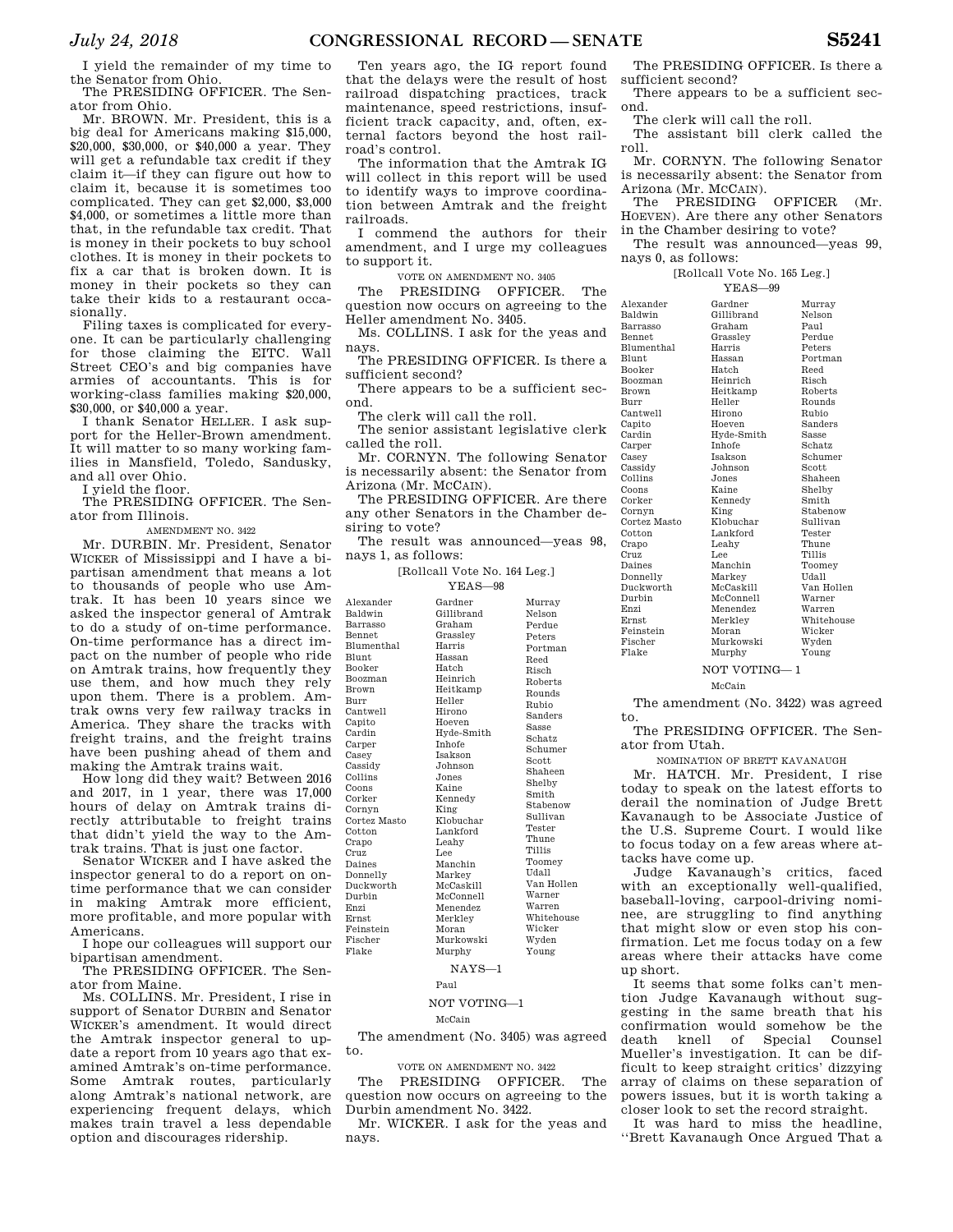I yield the remainder of my time to the Senator from Ohio. The PRESIDING OFFICER. The Sen-

ator from Ohio.

Mr. BROWN. Mr. President, this is a big deal for Americans making \$15,000, \$20,000, \$30,000, or \$40,000 a year. They will get a refundable tax credit if they claim it—if they can figure out how to claim it, because it is sometimes too complicated. They can get \$2,000, \$3,000 \$4,000, or sometimes a little more than that, in the refundable tax credit. That is money in their pockets to buy school clothes. It is money in their pockets to fix a car that is broken down. It is money in their pockets so they can take their kids to a restaurant occasionally.

Filing taxes is complicated for everyone. It can be particularly challenging for those claiming the EITC. Wall Street CEO's and big companies have armies of accountants. This is for working-class families making \$20,000, \$30,000, or \$40,000 a year.

I thank Senator HELLER. I ask support for the Heller-Brown amendment. It will matter to so many working families in Mansfield, Toledo, Sandusky, and all over Ohio.

I yield the floor.

The PRESIDING OFFICER. The Senator from Illinois.

AMENDMENT NO. 3422

Mr. DURBIN. Mr. President, Senator WICKER of Mississippi and I have a bipartisan amendment that means a lot to thousands of people who use Amtrak. It has been 10 years since we asked the inspector general of Amtrak to do a study of on-time performance. On-time performance has a direct impact on the number of people who ride on Amtrak trains, how frequently they use them, and how much they rely upon them. There is a problem. Amtrak owns very few railway tracks in America. They share the tracks with freight trains, and the freight trains have been pushing ahead of them and making the Amtrak trains wait.

How long did they wait? Between 2016 and 2017, in 1 year, there was 17,000 hours of delay on Amtrak trains directly attributable to freight trains that didn't yield the way to the Amtrak trains. That is just one factor.

Senator WICKER and I have asked the inspector general to do a report on ontime performance that we can consider in making Amtrak more efficient, more profitable, and more popular with Americans.

I hope our colleagues will support our bipartisan amendment.

The PRESIDING OFFICER. The Senator from Maine.

Ms. COLLINS. Mr. President, I rise in support of Senator DURBIN and Senator WICKER's amendment. It would direct the Amtrak inspector general to update a report from 10 years ago that examined Amtrak's on-time performance. Some Amtrak routes, particularly along Amtrak's national network, are experiencing frequent delays, which makes train travel a less dependable option and discourages ridership.

Ten years ago, the IG report found that the delays were the result of host railroad dispatching practices, track maintenance, speed restrictions, insufficient track capacity, and, often, external factors beyond the host railroad's control.

The information that the Amtrak IG will collect in this report will be used to identify ways to improve coordination between Amtrak and the freight railroads.

I commend the authors for their amendment, and I urge my colleagues to support it.

VOTE ON AMENDMENT NO. 3405

The PRESIDING OFFICER. The question now occurs on agreeing to the Heller amendment No. 3405.

Ms. COLLINS. I ask for the yeas and nays.

The PRESIDING OFFICER. Is there a sufficient second?

There appears to be a sufficient second.

The clerk will call the roll.

The senior assistant legislative clerk called the roll.

Mr. CORNYN. The following Senator is necessarily absent: the Senator from Arizona (Mr. MCCAIN).

The PRESIDING OFFICER. Are there any other Senators in the Chamber desiring to vote?

The result was announced—yeas 98, nays 1, as follows:

[Rollcall Vote No. 164 Leg.]

|              | $YFAS - 98$    |               |
|--------------|----------------|---------------|
| Alexander    | Gardner        | Murray        |
| Baldwin      | Gillibrand     | Nelson        |
| Barrasso     | Graham         | Perdue        |
| Bennet       | Grasslev       | Peters        |
| Blumenthal   | Harris         | Portman       |
| Blunt        | Hassan         | Reed          |
| Booker       | Hatch          | Risch         |
| Boozman      | Heinrich       | Roberts       |
| Brown        | Heitkamp       | Rounds        |
| Burr         | Heller         | Rubio         |
| Cantwell     | Hirono         | Sanders       |
| Capito       | Hoeven         | Sasse         |
| Cardin       | Hyde-Smith     | Schatz        |
| Carper       | <b>Inhofe</b>  | Schumer       |
| Casey        | <b>Isakson</b> | Scott         |
| Cassidy      | Johnson        | Shaheen       |
| Collins      | Jones          | Shelby        |
| Coons        | Kaine          | Smith         |
| Corker       | Kennedy        |               |
| Cornyn       | King           | Stabenow      |
| Cortez Masto | Klobuchar      | Sullivan      |
| Cotton       | Lankford       | Tester        |
| Crapo        | Leahy          | Thune         |
| Cruz         | Lee            | <b>Tillis</b> |
| Daines       | Manchin        | Toomey        |
| Donnelly     | Markey         | Udall         |
| Duckworth    | McCaskill      | Van Hollen    |
| Durbin       | McConnell      | Warner        |
| Enzi         | Menendez       | Warren        |
| <b>Ernst</b> | Merkley        | Whitehouse    |
| Feinstein    | Moran          | Wicker        |
| Fischer      | Murkowski      | Wyden         |
| Flake        | Murphy         | Young         |
|              | $NAYS-1$       |               |

Paul

#### NOT VOTING—1

#### McCain

The amendment (No. 3405) was agreed to.

VOTE ON AMENDMENT NO. 3422

The PRESIDING OFFICER. The question now occurs on agreeing to the Durbin amendment No. 3422.

Mr. WICKER. I ask for the yeas and nays.

The PRESIDING OFFICER. Is there a sufficient second?

There appears to be a sufficient second.

The clerk will call the roll.

The assistant bill clerk called the roll.

Mr. CORNYN. The following Senator is necessarily absent: the Senator from Arizona (Mr. MCCAIN).

The PRESIDING OFFICER (Mr. HOEVEN). Are there any other Senators in the Chamber desiring to vote?

The result was announced—yeas 99, nays 0, as follows:

[Rollcall Vote No. 165 Leg.]

YEAS—99 Gardner Murray

| Alexander         | Gardner        | Murray     |
|-------------------|----------------|------------|
| Baldwin           | Gillibrand     | Nelson     |
| Barrasso          | Graham         | Paul       |
| <b>Bennet</b>     | Grassley       | Perdue     |
| <b>Blumenthal</b> | Harris         | Peters     |
| <b>Blunt</b>      | Hassan         | Portman    |
| <b>Booker</b>     | Hatch          | Reed       |
| <b>Boozman</b>    | Heinrich       | Risch      |
| <b>Brown</b>      | Heitkamp       | Roberts    |
| Burr              | Heller         | Rounds     |
| Cantwell          | Hirono         | Rubio      |
| Capito            | Hoeven         | Sanders    |
| Cardin            | Hyde-Smith     | Sasse      |
| Carper            | <b>Inhofe</b>  | Schatz     |
| Casey             | <b>Isakson</b> | Schumer    |
| Cassidy           | Johnson        | Scott      |
| Collins           | Jones          | Shaheen    |
| Coons             | Kaine          | Shelby     |
| Corker            | Kennedy        | Smith      |
| Cornyn            | King           | Stabenow   |
| Cortez Masto      | Klobuchar      | Sullivan   |
| Cotton            | Lankford       | Tester     |
| Crapo             | Leahv          | Thune      |
| Cruz              | Lee            | Tillis     |
| Daines            | Manchin        | Toomey     |
| Donnelly          | Markey         | Udall      |
| Duckworth         | McCaskill      | Van Hollen |
| Durbin            | McConnell      | Warner     |
| Enzi              | Menendez       | Warren     |
| <b>Ernst</b>      | Merklev        | Whitehouse |
| Feinstein         | Moran          | Wicker     |
| Fischer           | Murkowski      | Wyden      |
| Flake             | Murphy         | Young      |
|                   |                |            |

NOT VOTING— 1

McCain

The amendment (No. 3422) was agreed

to. The PRESIDING OFFICER. The Senator from Utah.

NOMINATION OF BRETT KAVANAUGH

Mr. HATCH. Mr. President, I rise today to speak on the latest efforts to derail the nomination of Judge Brett Kavanaugh to be Associate Justice of the U.S. Supreme Court. I would like to focus today on a few areas where attacks have come up.

Judge Kavanaugh's critics, faced with an exceptionally well-qualified, baseball-loving, carpool-driving nominee, are struggling to find anything that might slow or even stop his confirmation. Let me focus today on a few areas where their attacks have come up short.

It seems that some folks can't mention Judge Kavanaugh without suggesting in the same breath that his confirmation would somehow be the death knell of Special Counsel Mueller's investigation. It can be difficult to keep straight critics' dizzying array of claims on these separation of powers issues, but it is worth taking a closer look to set the record straight.

It was hard to miss the headline, ''Brett Kavanaugh Once Argued That a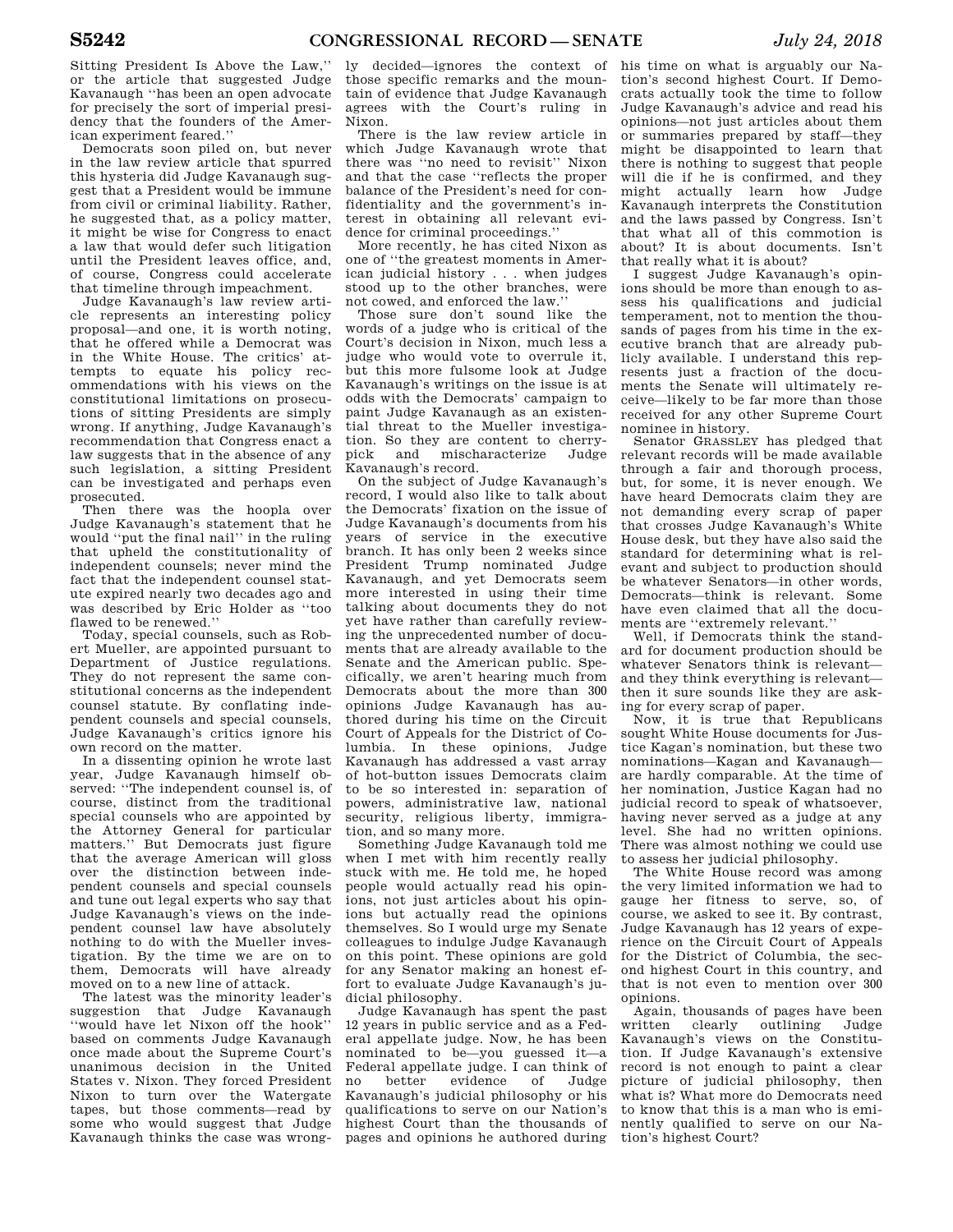Sitting President Is Above the Law,'' or the article that suggested Judge Kavanaugh ''has been an open advocate for precisely the sort of imperial presidency that the founders of the American experiment feared.''

Democrats soon piled on, but never in the law review article that spurred this hysteria did Judge Kavanaugh suggest that a President would be immune from civil or criminal liability. Rather, he suggested that, as a policy matter, it might be wise for Congress to enact a law that would defer such litigation until the President leaves office, and, of course, Congress could accelerate that timeline through impeachment.

Judge Kavanaugh's law review article represents an interesting policy proposal—and one, it is worth noting, that he offered while a Democrat was in the White House. The critics' attempts to equate his policy recommendations with his views on the constitutional limitations on prosecutions of sitting Presidents are simply wrong. If anything, Judge Kavanaugh's recommendation that Congress enact a law suggests that in the absence of any such legislation, a sitting President can be investigated and perhaps even prosecuted.

Then there was the hoopla over Judge Kavanaugh's statement that he would ''put the final nail'' in the ruling that upheld the constitutionality of independent counsels; never mind the fact that the independent counsel statute expired nearly two decades ago and was described by Eric Holder as ''too flawed to be renewed.''

Today, special counsels, such as Robert Mueller, are appointed pursuant to Department of Justice regulations. They do not represent the same constitutional concerns as the independent counsel statute. By conflating independent counsels and special counsels, Judge Kavanaugh's critics ignore his own record on the matter.

In a dissenting opinion he wrote last year, Judge Kavanaugh himself observed: ''The independent counsel is, of course, distinct from the traditional special counsels who are appointed by the Attorney General for particular matters.'' But Democrats just figure that the average American will gloss over the distinction between independent counsels and special counsels and tune out legal experts who say that Judge Kavanaugh's views on the independent counsel law have absolutely nothing to do with the Mueller investigation. By the time we are on to them, Democrats will have already moved on to a new line of attack.

The latest was the minority leader's suggestion that Judge Kavanaugh ''would have let Nixon off the hook'' based on comments Judge Kavanaugh once made about the Supreme Court's unanimous decision in the United States v. Nixon. They forced President Nixon to turn over the Watergate tapes, but those comments—read by some who would suggest that Judge Kavanaugh thinks the case was wrong-

ly decided—ignores the context of those specific remarks and the mountain of evidence that Judge Kavanaugh agrees with the Court's ruling in Nixon.

There is the law review article in which Judge Kavanaugh wrote that there was ''no need to revisit'' Nixon and that the case ''reflects the proper balance of the President's need for confidentiality and the government's interest in obtaining all relevant evidence for criminal proceedings.''

More recently, he has cited Nixon as one of ''the greatest moments in American judicial history . . . when judges stood up to the other branches, were not cowed, and enforced the law.''

Those sure don't sound like the words of a judge who is critical of the Court's decision in Nixon, much less a judge who would vote to overrule it, but this more fulsome look at Judge Kavanaugh's writings on the issue is at odds with the Democrats' campaign to paint Judge Kavanaugh as an existential threat to the Mueller investigation. So they are content to cherry-<br>pick and mischaracterize Judge and mischaracterize Judge Kavanaugh's record.

On the subject of Judge Kavanaugh's record, I would also like to talk about the Democrats' fixation on the issue of Judge Kavanaugh's documents from his years of service in the executive branch. It has only been 2 weeks since President Trump nominated Judge Kavanaugh, and yet Democrats seem more interested in using their time talking about documents they do not yet have rather than carefully reviewing the unprecedented number of documents that are already available to the Senate and the American public. Specifically, we aren't hearing much from Democrats about the more than 300 opinions Judge Kavanaugh has authored during his time on the Circuit Court of Appeals for the District of Columbia. In these opinions, Judge Kavanaugh has addressed a vast array of hot-button issues Democrats claim to be so interested in: separation of powers, administrative law, national security, religious liberty, immigration, and so many more.

Something Judge Kavanaugh told me when I met with him recently really stuck with me. He told me, he hoped people would actually read his opinions, not just articles about his opinions but actually read the opinions themselves. So I would urge my Senate colleagues to indulge Judge Kavanaugh on this point. These opinions are gold for any Senator making an honest effort to evaluate Judge Kavanaugh's judicial philosophy.

Judge Kavanaugh has spent the past 12 years in public service and as a Federal appellate judge. Now, he has been nominated to be—you guessed it—a Federal appellate judge. I can think of no better evidence of Judge Kavanaugh's judicial philosophy or his qualifications to serve on our Nation's highest Court than the thousands of pages and opinions he authored during

his time on what is arguably our Nation's second highest Court. If Democrats actually took the time to follow Judge Kavanaugh's advice and read his opinions—not just articles about them or summaries prepared by staff—they might be disappointed to learn that there is nothing to suggest that people will die if he is confirmed, and they might actually learn how Judge Kavanaugh interprets the Constitution and the laws passed by Congress. Isn't that what all of this commotion is about? It is about documents. Isn't that really what it is about?

I suggest Judge Kavanaugh's opinions should be more than enough to assess his qualifications and judicial temperament, not to mention the thousands of pages from his time in the executive branch that are already publicly available. I understand this represents just a fraction of the documents the Senate will ultimately receive—likely to be far more than those received for any other Supreme Court nominee in history.

Senator GRASSLEY has pledged that relevant records will be made available through a fair and thorough process, but, for some, it is never enough. We have heard Democrats claim they are not demanding every scrap of paper that crosses Judge Kavanaugh's White House desk, but they have also said the standard for determining what is relevant and subject to production should be whatever Senators—in other words, Democrats—think is relevant. Some have even claimed that all the documents are ''extremely relevant.''

Well, if Democrats think the standard for document production should be whatever Senators think is relevant and they think everything is relevant then it sure sounds like they are asking for every scrap of paper.

Now, it is true that Republicans sought White House documents for Justice Kagan's nomination, but these two nominations—Kagan and Kavanaugh are hardly comparable. At the time of her nomination, Justice Kagan had no judicial record to speak of whatsoever, having never served as a judge at any level. She had no written opinions. There was almost nothing we could use to assess her judicial philosophy.

The White House record was among the very limited information we had to gauge her fitness to serve, so, of course, we asked to see it. By contrast, Judge Kavanaugh has 12 years of experience on the Circuit Court of Appeals for the District of Columbia, the second highest Court in this country, and that is not even to mention over 300 opinions.

Again, thousands of pages have been written clearly outlining Judge Kavanaugh's views on the Constitution. If Judge Kavanaugh's extensive record is not enough to paint a clear picture of judicial philosophy, then what is? What more do Democrats need to know that this is a man who is eminently qualified to serve on our Nation's highest Court?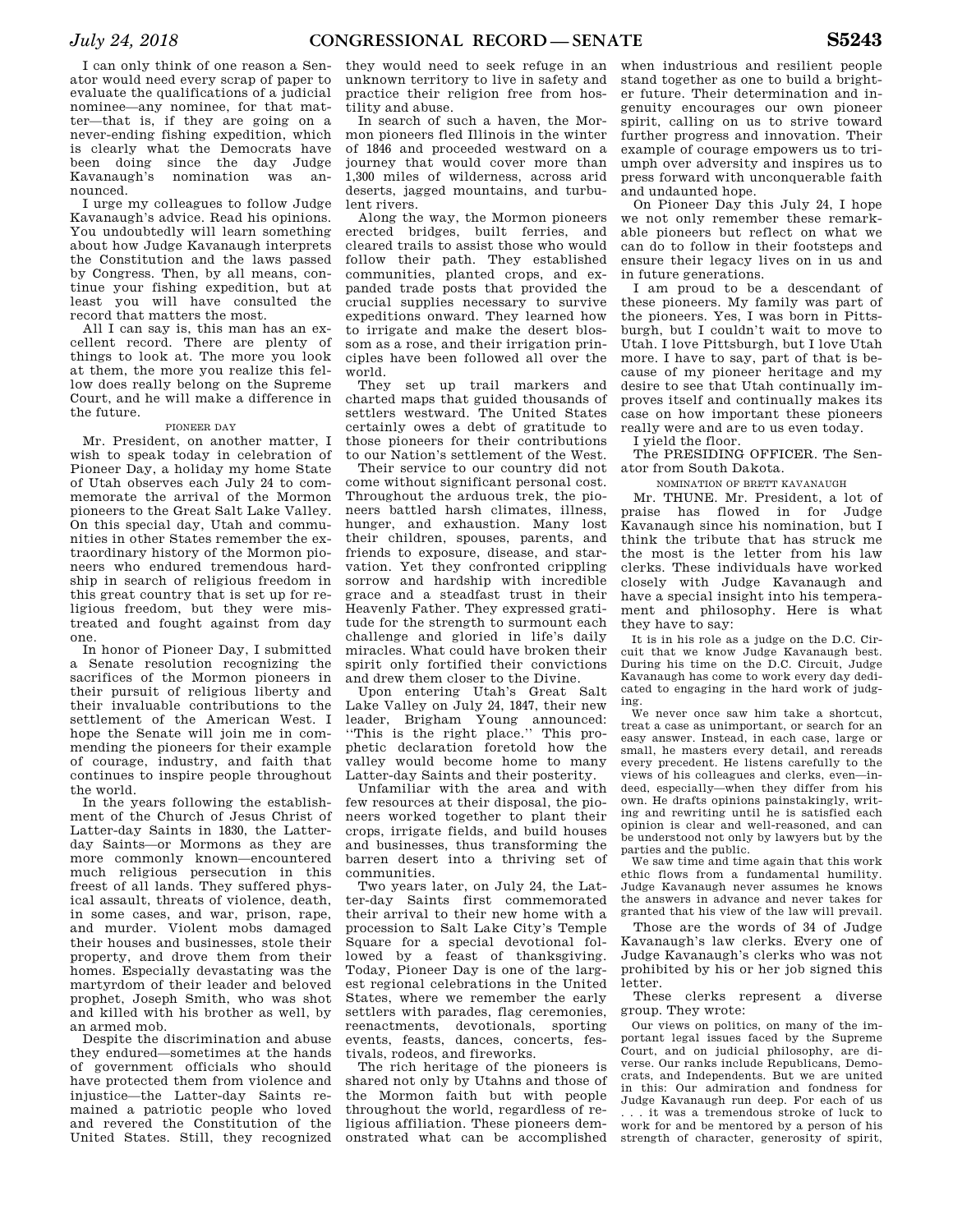I can only think of one reason a Senator would need every scrap of paper to evaluate the qualifications of a judicial nominee—any nominee, for that matter—that is, if they are going on a never-ending fishing expedition, which is clearly what the Democrats have been doing since the day Judge<br>Kayanaugh's nomination was an-Kavanaugh's nomination nounced.

I urge my colleagues to follow Judge Kavanaugh's advice. Read his opinions. You undoubtedly will learn something about how Judge Kavanaugh interprets the Constitution and the laws passed by Congress. Then, by all means, continue your fishing expedition, but at least you will have consulted the record that matters the most.

All I can say is, this man has an excellent record. There are plenty of things to look at. The more you look at them, the more you realize this fellow does really belong on the Supreme Court, and he will make a difference in the future.

#### PIONEER DAY

Mr. President, on another matter, I wish to speak today in celebration of Pioneer Day, a holiday my home State of Utah observes each July 24 to commemorate the arrival of the Mormon pioneers to the Great Salt Lake Valley. On this special day, Utah and communities in other States remember the extraordinary history of the Mormon pioneers who endured tremendous hardship in search of religious freedom in this great country that is set up for religious freedom, but they were mistreated and fought against from day one.

In honor of Pioneer Day, I submitted a Senate resolution recognizing the sacrifices of the Mormon pioneers in their pursuit of religious liberty and their invaluable contributions to the settlement of the American West. I hope the Senate will join me in commending the pioneers for their example of courage, industry, and faith that continues to inspire people throughout the world.

In the years following the establishment of the Church of Jesus Christ of Latter-day Saints in 1830, the Latterday Saints—or Mormons as they are more commonly known—encountered much religious persecution in this freest of all lands. They suffered physical assault, threats of violence, death, in some cases, and war, prison, rape, and murder. Violent mobs damaged their houses and businesses, stole their property, and drove them from their homes. Especially devastating was the martyrdom of their leader and beloved prophet, Joseph Smith, who was shot and killed with his brother as well, by an armed mob.

Despite the discrimination and abuse they endured—sometimes at the hands of government officials who should have protected them from violence and injustice—the Latter-day Saints remained a patriotic people who loved and revered the Constitution of the United States. Still, they recognized

they would need to seek refuge in an unknown territory to live in safety and practice their religion free from hostility and abuse.

In search of such a haven, the Mormon pioneers fled Illinois in the winter of 1846 and proceeded westward on a journey that would cover more than 1,300 miles of wilderness, across arid deserts, jagged mountains, and turbulent rivers.

Along the way, the Mormon pioneers erected bridges, built ferries, and cleared trails to assist those who would follow their path. They established communities, planted crops, and expanded trade posts that provided the crucial supplies necessary to survive expeditions onward. They learned how to irrigate and make the desert blossom as a rose, and their irrigation principles have been followed all over the world.

They set up trail markers and charted maps that guided thousands of settlers westward. The United States certainly owes a debt of gratitude to those pioneers for their contributions to our Nation's settlement of the West.

Their service to our country did not come without significant personal cost. Throughout the arduous trek, the pioneers battled harsh climates, illness hunger, and exhaustion. Many lost their children, spouses, parents, and friends to exposure, disease, and starvation. Yet they confronted crippling sorrow and hardship with incredible grace and a steadfast trust in their Heavenly Father. They expressed gratitude for the strength to surmount each challenge and gloried in life's daily miracles. What could have broken their spirit only fortified their convictions and drew them closer to the Divine.

Upon entering Utah's Great Salt Lake Valley on July 24, 1847, their new leader, Brigham Young announced: ''This is the right place.'' This prophetic declaration foretold how the valley would become home to many Latter-day Saints and their posterity.

Unfamiliar with the area and with few resources at their disposal, the pioneers worked together to plant their crops, irrigate fields, and build houses and businesses, thus transforming the barren desert into a thriving set of communities.

Two years later, on July 24, the Latter-day Saints first commemorated their arrival to their new home with a procession to Salt Lake City's Temple Square for a special devotional followed by a feast of thanksgiving. Today, Pioneer Day is one of the largest regional celebrations in the United States, where we remember the early settlers with parades, flag ceremonies, reenactments, devotionals, sporting events, feasts, dances, concerts, festivals, rodeos, and fireworks.

The rich heritage of the pioneers is shared not only by Utahns and those of the Mormon faith but with people throughout the world, regardless of religious affiliation. These pioneers demonstrated what can be accomplished

when industrious and resilient people stand together as one to build a brighter future. Their determination and ingenuity encourages our own pioneer spirit, calling on us to strive toward further progress and innovation. Their example of courage empowers us to triumph over adversity and inspires us to press forward with unconquerable faith and undaunted hope.

On Pioneer Day this July 24, I hope we not only remember these remarkable pioneers but reflect on what we can do to follow in their footsteps and ensure their legacy lives on in us and in future generations.

I am proud to be a descendant of these pioneers. My family was part of the pioneers. Yes, I was born in Pittsburgh, but I couldn't wait to move to Utah. I love Pittsburgh, but I love Utah more. I have to say, part of that is because of my pioneer heritage and my desire to see that Utah continually improves itself and continually makes its case on how important these pioneers really were and are to us even today.

I yield the floor.

The PRESIDING OFFICER. The Senator from South Dakota.

NOMINATION OF BRETT KAVANAUGH

Mr. THUNE. Mr. President, a lot of praise has flowed in for Judge Kavanaugh since his nomination, but I think the tribute that has struck me the most is the letter from his law clerks. These individuals have worked closely with Judge Kavanaugh and have a special insight into his temperament and philosophy. Here is what they have to say:

It is in his role as a judge on the D.C. Circuit that we know Judge Kavanaugh best. During his time on the D.C. Circuit, Judge Kavanaugh has come to work every day dedicated to engaging in the hard work of judging.

We never once saw him take a shortcut, treat a case as unimportant, or search for an easy answer. Instead, in each case, large or small, he masters every detail, and rereads every precedent. He listens carefully to the views of his colleagues and clerks, even—indeed, especially—when they differ from his own. He drafts opinions painstakingly, writing and rewriting until he is satisfied each opinion is clear and well-reasoned, and can be understood not only by lawyers but by the parties and the public.

We saw time and time again that this work ethic flows from a fundamental humility. Judge Kavanaugh never assumes he knows the answers in advance and never takes for granted that his view of the law will prevail.

Those are the words of 34 of Judge Kavanaugh's law clerks. Every one of Judge Kavanaugh's clerks who was not prohibited by his or her job signed this letter.

These clerks represent a diverse group. They wrote:

Our views on politics, on many of the important legal issues faced by the Supreme Court, and on judicial philosophy, are diverse. Our ranks include Republicans, Democrats, and Independents. But we are united in this: Our admiration and fondness for Judge Kavanaugh run deep. For each of us . . . it was a tremendous stroke of luck to work for and be mentored by a person of his strength of character, generosity of spirit,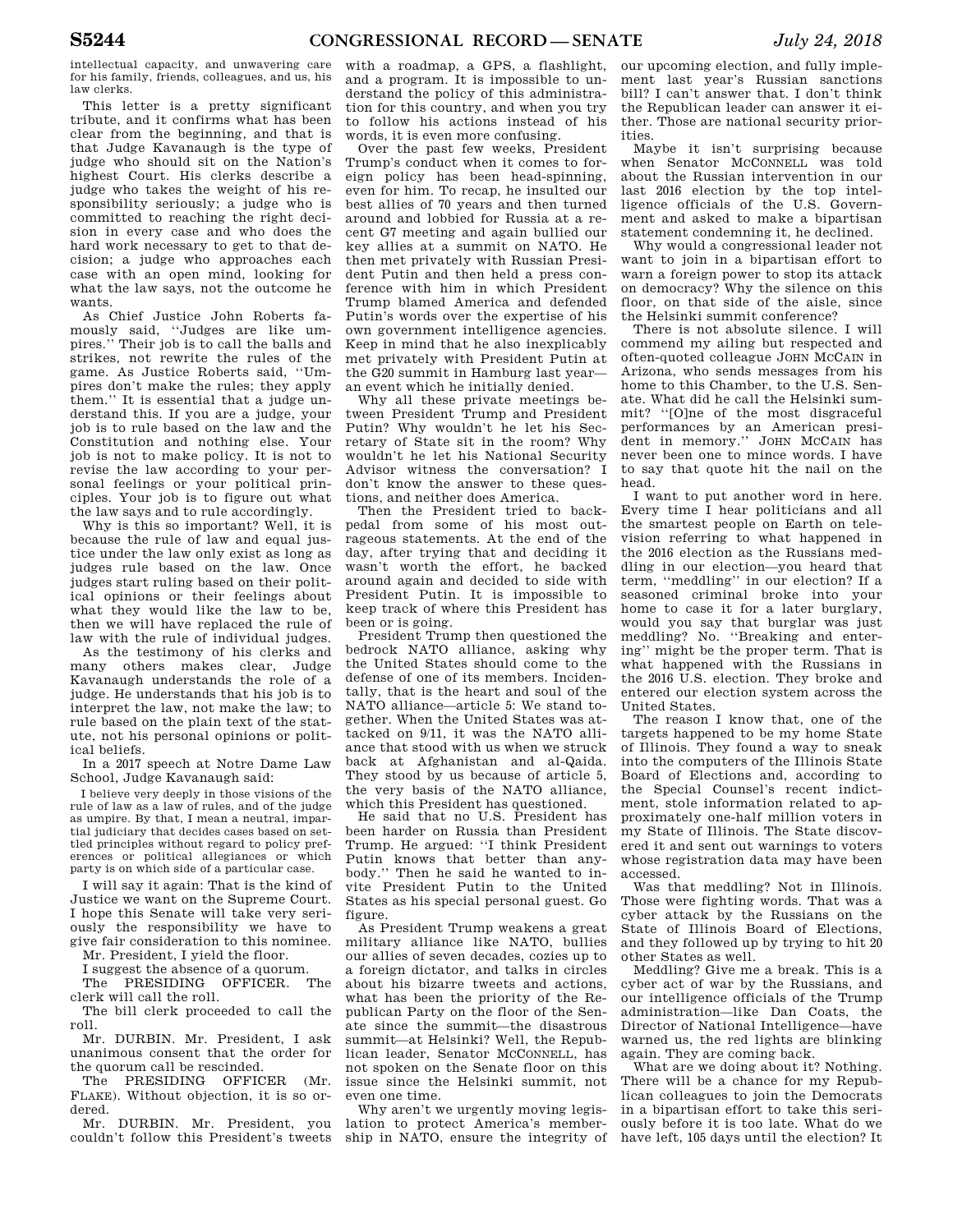intellectual capacity, and unwavering care for his family, friends, colleagues, and us, his law clerks.

This letter is a pretty significant tribute, and it confirms what has been clear from the beginning, and that is that Judge Kavanaugh is the type of judge who should sit on the Nation's highest Court. His clerks describe a judge who takes the weight of his responsibility seriously; a judge who is committed to reaching the right decision in every case and who does the hard work necessary to get to that decision; a judge who approaches each case with an open mind, looking for what the law says, not the outcome he wants.

As Chief Justice John Roberts famously said, ''Judges are like umpires.'' Their job is to call the balls and strikes, not rewrite the rules of the game. As Justice Roberts said, ''Umpires don't make the rules; they apply them.'' It is essential that a judge understand this. If you are a judge, your job is to rule based on the law and the Constitution and nothing else. Your job is not to make policy. It is not to revise the law according to your personal feelings or your political principles. Your job is to figure out what the law says and to rule accordingly.

Why is this so important? Well, it is because the rule of law and equal justice under the law only exist as long as judges rule based on the law. Once judges start ruling based on their political opinions or their feelings about what they would like the law to be, then we will have replaced the rule of law with the rule of individual judges.

As the testimony of his clerks and many others makes clear, Judge Kavanaugh understands the role of a judge. He understands that his job is to interpret the law, not make the law; to rule based on the plain text of the statute, not his personal opinions or political beliefs.

In a 2017 speech at Notre Dame Law School, Judge Kavanaugh said:

I believe very deeply in those visions of the rule of law as a law of rules, and of the judge as umpire. By that, I mean a neutral, impartial judiciary that decides cases based on settled principles without regard to policy preferences or political allegiances or which party is on which side of a particular case.

I will say it again: That is the kind of Justice we want on the Supreme Court. I hope this Senate will take very seriously the responsibility we have to give fair consideration to this nominee.

Mr. President, I yield the floor. I suggest the absence of a quorum.

The PRESIDING OFFICER. The clerk will call the roll.

The bill clerk proceeded to call the roll.

Mr. DURBIN. Mr. President, I ask unanimous consent that the order for the quorum call be rescinded.

The PRESIDING OFFICER (Mr. FLAKE). Without objection, it is so ordered.

Mr. DURBIN. Mr. President, you couldn't follow this President's tweets

with a roadmap, a GPS, a flashlight, and a program. It is impossible to understand the policy of this administration for this country, and when you try to follow his actions instead of his words, it is even more confusing.

Over the past few weeks, President Trump's conduct when it comes to foreign policy has been head-spinning, even for him. To recap, he insulted our best allies of 70 years and then turned around and lobbied for Russia at a recent G7 meeting and again bullied our key allies at a summit on NATO. He then met privately with Russian President Putin and then held a press conference with him in which President Trump blamed America and defended Putin's words over the expertise of his own government intelligence agencies. Keep in mind that he also inexplicably met privately with President Putin at the G20 summit in Hamburg last year an event which he initially denied.

Why all these private meetings between President Trump and President Putin? Why wouldn't he let his Secretary of State sit in the room? Why wouldn't he let his National Security Advisor witness the conversation? I don't know the answer to these questions, and neither does America.

Then the President tried to backpedal from some of his most outrageous statements. At the end of the day, after trying that and deciding it wasn't worth the effort, he backed around again and decided to side with President Putin. It is impossible to keep track of where this President has been or is going.

President Trump then questioned the bedrock NATO alliance, asking why the United States should come to the defense of one of its members. Incidentally, that is the heart and soul of the NATO alliance—article 5: We stand together. When the United States was attacked on 9/11, it was the NATO alliance that stood with us when we struck back at Afghanistan and al-Qaida. They stood by us because of article 5, the very basis of the NATO alliance, which this President has questioned.

He said that no U.S. President has been harder on Russia than President Trump. He argued: ''I think President Putin knows that better than anybody.'' Then he said he wanted to invite President Putin to the United States as his special personal guest. Go figure.

As President Trump weakens a great military alliance like NATO, bullies our allies of seven decades, cozies up to a foreign dictator, and talks in circles about his bizarre tweets and actions, what has been the priority of the Republican Party on the floor of the Senate since the summit—the disastrous summit—at Helsinki? Well, the Republican leader, Senator MCCONNELL, has not spoken on the Senate floor on this issue since the Helsinki summit, not even one time.

Why aren't we urgently moving legislation to protect America's membership in NATO, ensure the integrity of

our upcoming election, and fully implement last year's Russian sanctions bill? I can't answer that. I don't think the Republican leader can answer it either. Those are national security priorities.

Maybe it isn't surprising because when Senator MCCONNELL was told about the Russian intervention in our last 2016 election by the top intelligence officials of the U.S. Government and asked to make a bipartisan statement condemning it, he declined.

Why would a congressional leader not want to join in a bipartisan effort to warn a foreign power to stop its attack on democracy? Why the silence on this floor, on that side of the aisle, since the Helsinki summit conference?

There is not absolute silence. I will commend my ailing but respected and often-quoted colleague JOHN MCCAIN in Arizona, who sends messages from his home to this Chamber, to the U.S. Senate. What did he call the Helsinki summit? ''[O]ne of the most disgraceful performances by an American president in memory.'' JOHN MCCAIN has never been one to mince words. I have to say that quote hit the nail on the head.

I want to put another word in here. Every time I hear politicians and all the smartest people on Earth on television referring to what happened in the 2016 election as the Russians meddling in our election—you heard that term, ''meddling'' in our election? If a seasoned criminal broke into your home to case it for a later burglary, would you say that burglar was just meddling? No. ''Breaking and entering'' might be the proper term. That is what happened with the Russians in the 2016 U.S. election. They broke and entered our election system across the United States.

The reason I know that, one of the targets happened to be my home State of Illinois. They found a way to sneak into the computers of the Illinois State Board of Elections and, according to the Special Counsel's recent indictment, stole information related to approximately one-half million voters in my State of Illinois. The State discovered it and sent out warnings to voters whose registration data may have been accessed.

Was that meddling? Not in Illinois. Those were fighting words. That was a cyber attack by the Russians on the State of Illinois Board of Elections, and they followed up by trying to hit 20 other States as well.

Meddling? Give me a break. This is a cyber act of war by the Russians, and our intelligence officials of the Trump administration—like Dan Coats, the Director of National Intelligence—have warned us, the red lights are blinking again. They are coming back.

What are we doing about it? Nothing. There will be a chance for my Republican colleagues to join the Democrats in a bipartisan effort to take this seriously before it is too late. What do we have left, 105 days until the election? It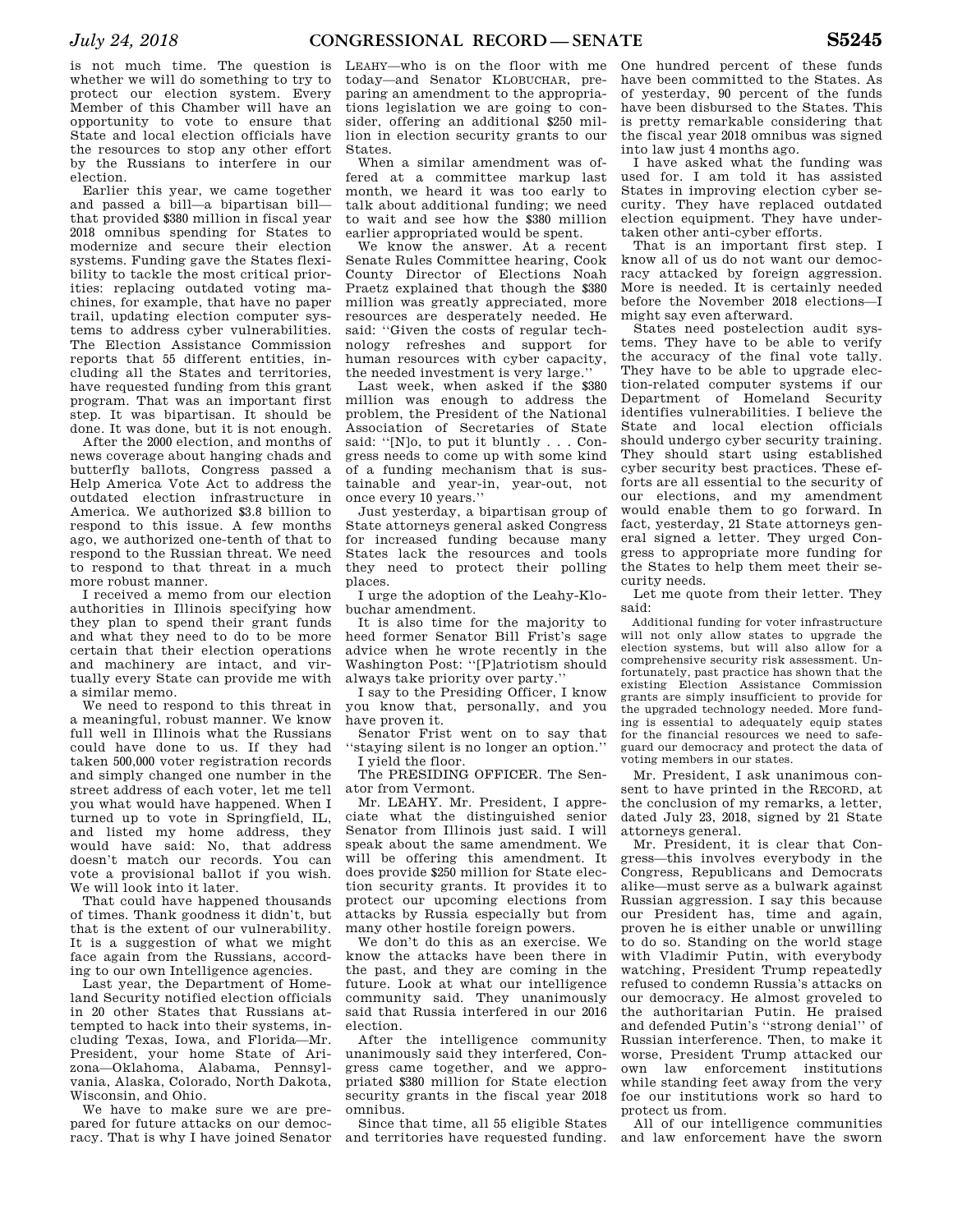is not much time. The question is whether we will do something to try to protect our election system. Every Member of this Chamber will have an opportunity to vote to ensure that State and local election officials have the resources to stop any other effort by the Russians to interfere in our election.

Earlier this year, we came together and passed a bill—a bipartisan bill that provided \$380 million in fiscal year 2018 omnibus spending for States to modernize and secure their election systems. Funding gave the States flexibility to tackle the most critical priorities: replacing outdated voting machines, for example, that have no paper trail, updating election computer systems to address cyber vulnerabilities. The Election Assistance Commission reports that 55 different entities, including all the States and territories, have requested funding from this grant program. That was an important first step. It was bipartisan. It should be done. It was done, but it is not enough.

After the 2000 election, and months of news coverage about hanging chads and butterfly ballots, Congress passed a Help America Vote Act to address the outdated election infrastructure in America. We authorized \$3.8 billion to respond to this issue. A few months ago, we authorized one-tenth of that to respond to the Russian threat. We need to respond to that threat in a much more robust manner.

I received a memo from our election authorities in Illinois specifying how they plan to spend their grant funds and what they need to do to be more certain that their election operations and machinery are intact, and virtually every State can provide me with a similar memo.

We need to respond to this threat in a meaningful, robust manner. We know full well in Illinois what the Russians could have done to us. If they had taken 500,000 voter registration records and simply changed one number in the street address of each voter, let me tell you what would have happened. When I turned up to vote in Springfield, IL, and listed my home address, they would have said: No, that address doesn't match our records. You can vote a provisional ballot if you wish. We will look into it later.

That could have happened thousands of times. Thank goodness it didn't, but that is the extent of our vulnerability. It is a suggestion of what we might face again from the Russians, according to our own Intelligence agencies.

Last year, the Department of Homeland Security notified election officials in 20 other States that Russians attempted to hack into their systems, including Texas, Iowa, and Florida—Mr. President, your home State of Arizona—Oklahoma, Alabama, Pennsylvania, Alaska, Colorado, North Dakota, Wisconsin, and Ohio.

We have to make sure we are prepared for future attacks on our democracy. That is why I have joined Senator

LEAHY—who is on the floor with me today—and Senator KLOBUCHAR, preparing an amendment to the appropriations legislation we are going to consider, offering an additional \$250 million in election security grants to our States.

When a similar amendment was offered at a committee markup last month, we heard it was too early to talk about additional funding; we need to wait and see how the \$380 million earlier appropriated would be spent.

We know the answer. At a recent Senate Rules Committee hearing, Cook County Director of Elections Noah Praetz explained that though the \$380 million was greatly appreciated, more resources are desperately needed. He said: ''Given the costs of regular technology refreshes and support for human resources with cyber capacity, the needed investment is very large.''

Last week, when asked if the \$380 million was enough to address the problem, the President of the National Association of Secretaries of State said: "[N]o, to put it bluntly . . . Congress needs to come up with some kind of a funding mechanism that is sustainable and year-in, year-out, not once every 10 years.''

Just yesterday, a bipartisan group of State attorneys general asked Congress for increased funding because many States lack the resources and tools they need to protect their polling places.

I urge the adoption of the Leahy-Klobuchar amendment.

It is also time for the majority to heed former Senator Bill Frist's sage advice when he wrote recently in the Washington Post: ''[P]atriotism should always take priority over party.''

I say to the Presiding Officer, I know you know that, personally, and you have proven it.

Senator Frist went on to say that ''staying silent is no longer an option.'' I yield the floor.

The PRESIDING OFFICER. The Senator from Vermont.

Mr. LEAHY. Mr. President, I appreciate what the distinguished senior Senator from Illinois just said. I will speak about the same amendment. We will be offering this amendment. It does provide \$250 million for State election security grants. It provides it to protect our upcoming elections from attacks by Russia especially but from many other hostile foreign powers.

We don't do this as an exercise. We know the attacks have been there in the past, and they are coming in the future. Look at what our intelligence community said. They unanimously said that Russia interfered in our 2016 election.

After the intelligence community unanimously said they interfered, Congress came together, and we appropriated \$380 million for State election security grants in the fiscal year 2018 omnibus.

Since that time, all 55 eligible States and territories have requested funding.

One hundred percent of these funds have been committed to the States. As of yesterday, 90 percent of the funds have been disbursed to the States. This is pretty remarkable considering that the fiscal year 2018 omnibus was signed into law just 4 months ago.

I have asked what the funding was used for. I am told it has assisted States in improving election cyber security. They have replaced outdated election equipment. They have undertaken other anti-cyber efforts.

That is an important first step. I know all of us do not want our democracy attacked by foreign aggression. More is needed. It is certainly needed before the November 2018 elections—I might say even afterward.

States need postelection audit systems. They have to be able to verify the accuracy of the final vote tally. They have to be able to upgrade election-related computer systems if our Department of Homeland Security identifies vulnerabilities. I believe the State and local election officials should undergo cyber security training. They should start using established cyber security best practices. These efforts are all essential to the security of our elections, and my amendment would enable them to go forward. In fact, yesterday, 21 State attorneys general signed a letter. They urged Congress to appropriate more funding for the States to help them meet their security needs.

Let me quote from their letter. They said:

Additional funding for voter infrastructure will not only allow states to upgrade the election systems, but will also allow for a comprehensive security risk assessment. Unfortunately, past practice has shown that the existing Election Assistance Commission grants are simply insufficient to provide for the upgraded technology needed. More funding is essential to adequately equip states for the financial resources we need to safeguard our democracy and protect the data of voting members in our states.

Mr. President, I ask unanimous consent to have printed in the RECORD, at the conclusion of my remarks, a letter, dated July 23, 2018, signed by 21 State attorneys general.

Mr. President, it is clear that Congress—this involves everybody in the Congress, Republicans and Democrats alike—must serve as a bulwark against Russian aggression. I say this because our President has, time and again, proven he is either unable or unwilling to do so. Standing on the world stage with Vladimir Putin, with everybody watching, President Trump repeatedly refused to condemn Russia's attacks on our democracy. He almost groveled to the authoritarian Putin. He praised and defended Putin's ''strong denial'' of Russian interference. Then, to make it worse, President Trump attacked our enforcement institutions while standing feet away from the very foe our institutions work so hard to protect us from.

All of our intelligence communities and law enforcement have the sworn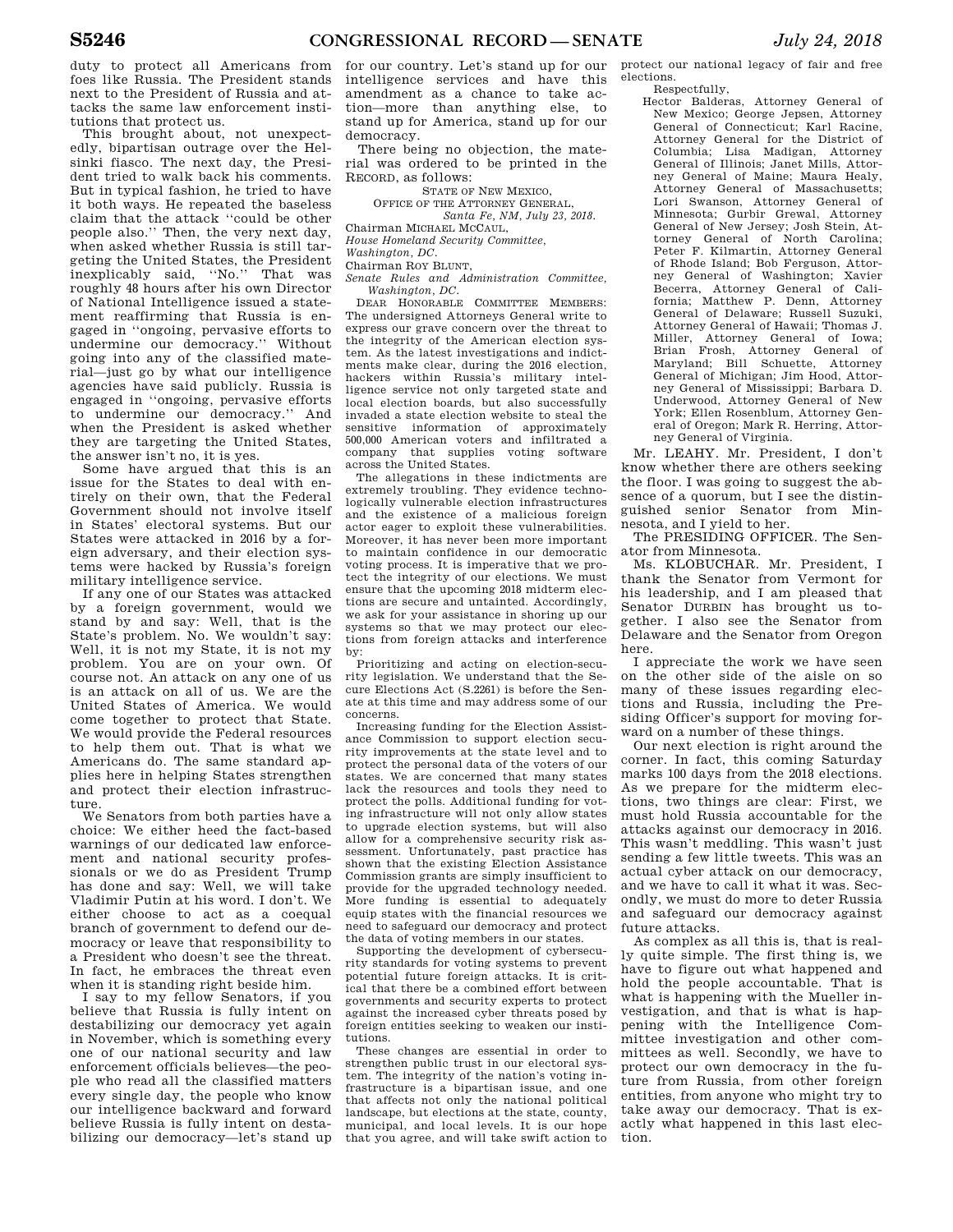duty to protect all Americans from foes like Russia. The President stands next to the President of Russia and attacks the same law enforcement institutions that protect us.

This brought about, not unexpectedly, bipartisan outrage over the Helsinki fiasco. The next day, the President tried to walk back his comments. But in typical fashion, he tried to have it both ways. He repeated the baseless claim that the attack ''could be other people also.'' Then, the very next day, when asked whether Russia is still targeting the United States, the President inexplicably said, ''No.'' That was roughly 48 hours after his own Director of National Intelligence issued a statement reaffirming that Russia is engaged in ''ongoing, pervasive efforts to undermine our democracy.'' Without going into any of the classified material—just go by what our intelligence agencies have said publicly. Russia is engaged in ''ongoing, pervasive efforts to undermine our democracy.'' And when the President is asked whether they are targeting the United States, the answer isn't no, it is yes.

Some have argued that this is an issue for the States to deal with entirely on their own, that the Federal Government should not involve itself in States' electoral systems. But our States were attacked in 2016 by a foreign adversary, and their election systems were hacked by Russia's foreign military intelligence service.

If any one of our States was attacked by a foreign government, would we stand by and say: Well, that is the State's problem. No. We wouldn't say: Well, it is not my State, it is not my problem. You are on your own. Of course not. An attack on any one of us is an attack on all of us. We are the United States of America. We would come together to protect that State. We would provide the Federal resources to help them out. That is what we Americans do. The same standard applies here in helping States strengthen and protect their election infrastructure.

We Senators from both parties have a choice: We either heed the fact-based warnings of our dedicated law enforcement and national security professionals or we do as President Trump has done and say: Well, we will take Vladimir Putin at his word. I don't. We either choose to act as a coequal branch of government to defend our democracy or leave that responsibility to a President who doesn't see the threat. In fact, he embraces the threat even when it is standing right beside him.

I say to my fellow Senators, if you believe that Russia is fully intent on destabilizing our democracy yet again in November, which is something every one of our national security and law enforcement officials believes—the people who read all the classified matters every single day, the people who know our intelligence backward and forward believe Russia is fully intent on destabilizing our democracy—let's stand up

for our country. Let's stand up for our intelligence services and have this amendment as a chance to take action—more than anything else, to stand up for America, stand up for our democracy.

There being no objection, the material was ordered to be printed in the RECORD, as follows:

STATE OF NEW MEXICO,

OFFICE OF THE ATTORNEY GENERAL,

*Santa Fe, NM, July 23, 2018.* 

Chairman MICHAEL MCCAUL,

*House Homeland Security Committee, Washington, DC.* 

Chairman ROY BLUNT,

*Senate Rules and Administration Committee, Washington, DC.* 

DEAR HONORABLE COMMITTEE MEMBERS: The undersigned Attorneys General write to express our grave concern over the threat to the integrity of the American election system. As the latest investigations and indictments make clear, during the 2016 election, hackers within Russia's military intelligence service not only targeted state and local election boards, but also successfully invaded a state election website to steal the sensitive information of approximately 500,000 American voters and infiltrated a company that supplies voting software across the United States.

The allegations in these indictments are extremely troubling. They evidence technologically vulnerable election infrastructures and the existence of a malicious foreign actor eager to exploit these vulnerabilities. Moreover, it has never been more important to maintain confidence in our democratic voting process. It is imperative that we protect the integrity of our elections. We must ensure that the upcoming 2018 midterm elections are secure and untainted. Accordingly, we ask for your assistance in shoring up our systems so that we may protect our elections from foreign attacks and interference by:

Prioritizing and acting on election-security legislation. We understand that the Secure Elections Act (S.2261) is before the Senate at this time and may address some of our concerns.

Increasing funding for the Election Assistance Commission to support election security improvements at the state level and to protect the personal data of the voters of our states. We are concerned that many states lack the resources and tools they need to protect the polls. Additional funding for voting infrastructure will not only allow states to upgrade election systems, but will also allow for a comprehensive security risk assessment. Unfortunately, past practice has shown that the existing Election Assistance Commission grants are simply insufficient to provide for the upgraded technology needed. More funding is essential to adequately equip states with the financial resources we need to safeguard our democracy and protect the data of voting members in our states.

Supporting the development of cybersecurity standards for voting systems to prevent potential future foreign attacks. It is critical that there be a combined effort between governments and security experts to protect against the increased cyber threats posed by foreign entities seeking to weaken our institutions.

These changes are essential in order to strengthen public trust in our electoral system. The integrity of the nation's voting infrastructure is a bipartisan issue, and one that affects not only the national political landscape, but elections at the state, county, municipal, and local levels. It is our hope that you agree, and will take swift action to protect our national legacy of fair and free elections.

Respectfully,

Hector Balderas, Attorney General of New Mexico; George Jepsen, Attorney General of Connecticut; Karl Racine, Attorney General for the District of Columbia; Lisa Madigan, Attorney General of Illinois; Janet Mills, Attorney General of Maine; Maura Healy, Attorney General of Massachusetts; Lori Swanson, Attorney General of Minnesota; Gurbir Grewal, Attorney General of New Jersey; Josh Stein, Attorney General of North Carolina; Peter F. Kilmartin, Attorney General of Rhode Island; Bob Ferguson, Attorney General of Washington; Xavier Becerra, Attorney General of California; Matthew P. Denn, Attorney General of Delaware; Russell Suzuki, Attorney General of Hawaii; Thomas J. Miller, Attorney General of Iowa; Brian Frosh, Attorney General of Maryland; Bill Schuette, Attorney General of Michigan; Jim Hood, Attorney General of Mississippi; Barbara D. Underwood, Attorney General of New York; Ellen Rosenblum, Attorney General of Oregon; Mark R. Herring, Attorney General of Virginia.

Mr. LEAHY. Mr. President, I don't know whether there are others seeking the floor. I was going to suggest the absence of a quorum, but I see the distinguished senior Senator from Minnesota, and I yield to her.

The PRESIDING OFFICER. The Senator from Minnesota.

Ms. KLOBUCHAR. Mr. President, I thank the Senator from Vermont for his leadership, and I am pleased that Senator DURBIN has brought us together. I also see the Senator from Delaware and the Senator from Oregon here.

I appreciate the work we have seen on the other side of the aisle on so many of these issues regarding elections and Russia, including the Presiding Officer's support for moving forward on a number of these things.

Our next election is right around the corner. In fact, this coming Saturday marks 100 days from the 2018 elections. As we prepare for the midterm elections, two things are clear: First, we must hold Russia accountable for the attacks against our democracy in 2016. This wasn't meddling. This wasn't just sending a few little tweets. This was an actual cyber attack on our democracy, and we have to call it what it was. Secondly, we must do more to deter Russia and safeguard our democracy against future attacks.

As complex as all this is, that is really quite simple. The first thing is, we have to figure out what happened and hold the people accountable. That is what is happening with the Mueller investigation, and that is what is happening with the Intelligence Committee investigation and other committees as well. Secondly, we have to protect our own democracy in the future from Russia, from other foreign entities, from anyone who might try to take away our democracy. That is exactly what happened in this last election.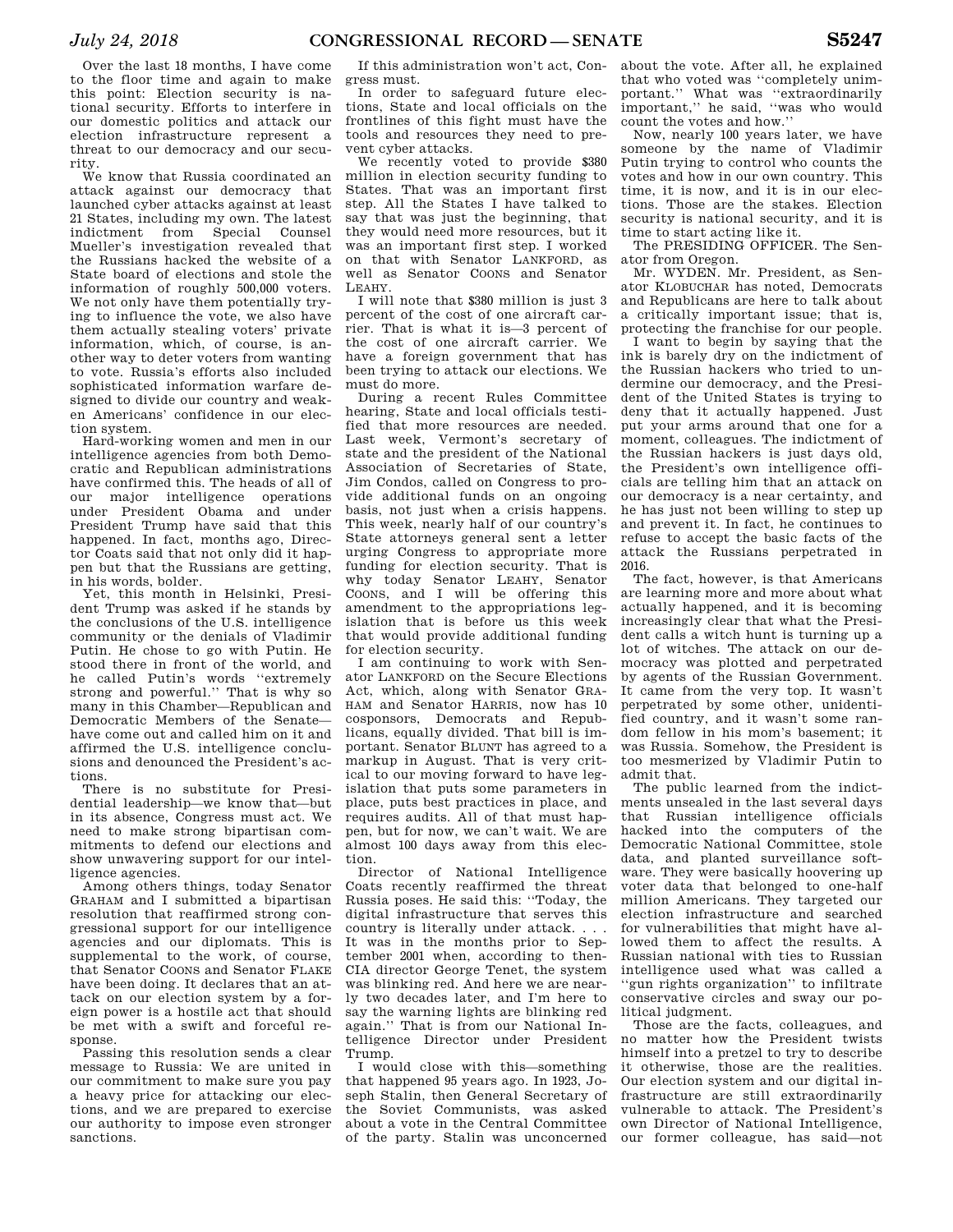Over the last 18 months, I have come to the floor time and again to make this point: Election security is national security. Efforts to interfere in our domestic politics and attack our election infrastructure represent a threat to our democracy and our security.

We know that Russia coordinated an attack against our democracy that launched cyber attacks against at least 21 States, including my own. The latest indictment from Special Counsel Mueller's investigation revealed that the Russians hacked the website of a State board of elections and stole the information of roughly 500,000 voters. We not only have them potentially trying to influence the vote, we also have them actually stealing voters' private information, which, of course, is another way to deter voters from wanting to vote. Russia's efforts also included sophisticated information warfare designed to divide our country and weaken Americans' confidence in our election system.

Hard-working women and men in our intelligence agencies from both Democratic and Republican administrations have confirmed this. The heads of all of our major intelligence operations under President Obama and under President Trump have said that this happened. In fact, months ago, Director Coats said that not only did it happen but that the Russians are getting, in his words, bolder.

Yet, this month in Helsinki, President Trump was asked if he stands by the conclusions of the U.S. intelligence community or the denials of Vladimir Putin. He chose to go with Putin. He stood there in front of the world, and he called Putin's words ''extremely strong and powerful.'' That is why so many in this Chamber—Republican and Democratic Members of the Senate have come out and called him on it and affirmed the U.S. intelligence conclusions and denounced the President's actions.

There is no substitute for Presidential leadership—we know that—but in its absence, Congress must act. We need to make strong bipartisan commitments to defend our elections and show unwavering support for our intelligence agencies.

Among others things, today Senator GRAHAM and I submitted a bipartisan resolution that reaffirmed strong congressional support for our intelligence agencies and our diplomats. This is supplemental to the work, of course, that Senator COONS and Senator FLAKE have been doing. It declares that an attack on our election system by a foreign power is a hostile act that should be met with a swift and forceful response.

Passing this resolution sends a clear message to Russia: We are united in our commitment to make sure you pay a heavy price for attacking our elections, and we are prepared to exercise our authority to impose even stronger sanctions.

If this administration won't act, Congress must.

In order to safeguard future elections, State and local officials on the frontlines of this fight must have the tools and resources they need to prevent cyber attacks.

We recently voted to provide \$380 million in election security funding to States. That was an important first step. All the States I have talked to say that was just the beginning, that they would need more resources, but it was an important first step. I worked on that with Senator LANKFORD, as well as Senator COONS and Senator LEAHY.

I will note that \$380 million is just 3 percent of the cost of one aircraft carrier. That is what it is—3 percent of the cost of one aircraft carrier. We have a foreign government that has been trying to attack our elections. We must do more.

During a recent Rules Committee hearing, State and local officials testified that more resources are needed. Last week, Vermont's secretary of state and the president of the National Association of Secretaries of State, Jim Condos, called on Congress to provide additional funds on an ongoing basis, not just when a crisis happens. This week, nearly half of our country's State attorneys general sent a letter urging Congress to appropriate more funding for election security. That is why today Senator LEAHY, Senator COONS, and I will be offering this amendment to the appropriations legislation that is before us this week that would provide additional funding for election security.

I am continuing to work with Senator LANKFORD on the Secure Elections Act, which, along with Senator GRA-HAM and Senator HARRIS, now has 10 cosponsors, Democrats and Republicans, equally divided. That bill is important. Senator BLUNT has agreed to a markup in August. That is very critical to our moving forward to have legislation that puts some parameters in place, puts best practices in place, and requires audits. All of that must happen, but for now, we can't wait. We are almost 100 days away from this election.

Director of National Intelligence Coats recently reaffirmed the threat Russia poses. He said this: ''Today, the digital infrastructure that serves this country is literally under attack. . . . It was in the months prior to September 2001 when, according to then-CIA director George Tenet, the system was blinking red. And here we are nearly two decades later, and I'm here to say the warning lights are blinking red again.'' That is from our National Intelligence Director under President Trump.

I would close with this—something that happened 95 years ago. In 1923, Joseph Stalin, then General Secretary of the Soviet Communists, was asked about a vote in the Central Committee of the party. Stalin was unconcerned

about the vote. After all, he explained that who voted was ''completely unimportant.'' What was ''extraordinarily important,'' he said, ''was who would count the votes and how.''

Now, nearly 100 years later, we have someone by the name of Vladimir Putin trying to control who counts the votes and how in our own country. This time, it is now, and it is in our elections. Those are the stakes. Election security is national security, and it is time to start acting like it.

The PRESIDING OFFICER. The Senator from Oregon.

Mr. WYDEN. Mr. President, as Senator KLOBUCHAR has noted, Democrats and Republicans are here to talk about a critically important issue; that is, protecting the franchise for our people.

I want to begin by saying that the ink is barely dry on the indictment of the Russian hackers who tried to undermine our democracy, and the President of the United States is trying to deny that it actually happened. Just put your arms around that one for a moment, colleagues. The indictment of the Russian hackers is just days old, the President's own intelligence officials are telling him that an attack on our democracy is a near certainty, and he has just not been willing to step up and prevent it. In fact, he continues to refuse to accept the basic facts of the attack the Russians perpetrated in 2016.

The fact, however, is that Americans are learning more and more about what actually happened, and it is becoming increasingly clear that what the President calls a witch hunt is turning up a lot of witches. The attack on our democracy was plotted and perpetrated by agents of the Russian Government. It came from the very top. It wasn't perpetrated by some other, unidentified country, and it wasn't some random fellow in his mom's basement; it was Russia. Somehow, the President is too mesmerized by Vladimir Putin to admit that.

The public learned from the indictments unsealed in the last several days that Russian intelligence officials hacked into the computers of the Democratic National Committee, stole data, and planted surveillance software. They were basically hoovering up voter data that belonged to one-half million Americans. They targeted our election infrastructure and searched for vulnerabilities that might have allowed them to affect the results. A Russian national with ties to Russian intelligence used what was called a ''gun rights organization'' to infiltrate conservative circles and sway our political judgment.

Those are the facts, colleagues, and no matter how the President twists himself into a pretzel to try to describe it otherwise, those are the realities. Our election system and our digital infrastructure are still extraordinarily vulnerable to attack. The President's own Director of National Intelligence, our former colleague, has said—not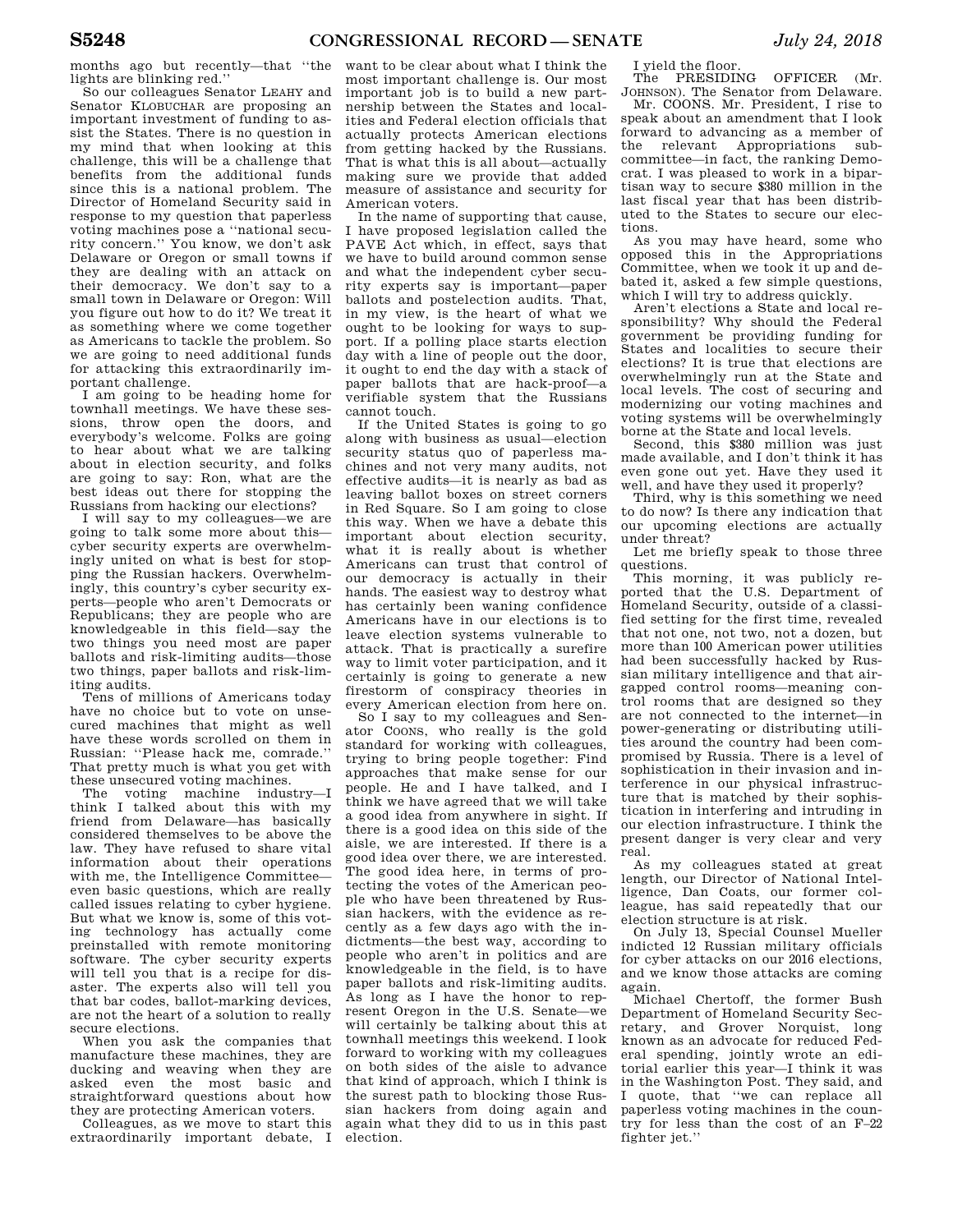months ago but recently—that ''the lights are blinking red.''

So our colleagues Senator LEAHY and Senator KLOBUCHAR are proposing an important investment of funding to assist the States. There is no question in my mind that when looking at this challenge, this will be a challenge that benefits from the additional funds since this is a national problem. The Director of Homeland Security said in response to my question that paperless voting machines pose a ''national security concern.'' You know, we don't ask Delaware or Oregon or small towns if they are dealing with an attack on their democracy. We don't say to a small town in Delaware or Oregon: Will you figure out how to do it? We treat it as something where we come together as Americans to tackle the problem. So we are going to need additional funds for attacking this extraordinarily important challenge.

I am going to be heading home for townhall meetings. We have these sessions, throw open the doors, and everybody's welcome. Folks are going to hear about what we are talking about in election security, and folks are going to say: Ron, what are the best ideas out there for stopping the Russians from hacking our elections?

I will say to my colleagues—we are going to talk some more about this cyber security experts are overwhelmingly united on what is best for stopping the Russian hackers. Overwhelmingly, this country's cyber security experts—people who aren't Democrats or Republicans; they are people who are knowledgeable in this field—say the two things you need most are paper ballots and risk-limiting audits—those two things, paper ballots and risk-limiting audits.

Tens of millions of Americans today have no choice but to vote on unsecured machines that might as well have these words scrolled on them in Russian: ''Please hack me, comrade.'' That pretty much is what you get with these unsecured voting machines.

The voting machine industry—I think I talked about this with my friend from Delaware—has basically considered themselves to be above the law. They have refused to share vital information about their operations with me, the Intelligence Committee even basic questions, which are really called issues relating to cyber hygiene. But what we know is, some of this voting technology has actually come preinstalled with remote monitoring software. The cyber security experts will tell you that is a recipe for disaster. The experts also will tell you that bar codes, ballot-marking devices, are not the heart of a solution to really secure elections.

When you ask the companies that manufacture these machines, they are ducking and weaving when they are asked even the most basic and straightforward questions about how they are protecting American voters.

Colleagues, as we move to start this extraordinarily important debate, I

want to be clear about what I think the most important challenge is. Our most important job is to build a new partnership between the States and localities and Federal election officials that actually protects American elections from getting hacked by the Russians. That is what this is all about—actually making sure we provide that added measure of assistance and security for American voters.

In the name of supporting that cause, I have proposed legislation called the PAVE Act which, in effect, says that we have to build around common sense and what the independent cyber security experts say is important—paper ballots and postelection audits. That, in my view, is the heart of what we ought to be looking for ways to support. If a polling place starts election day with a line of people out the door, it ought to end the day with a stack of paper ballots that are hack-proof—a verifiable system that the Russians cannot touch.

If the United States is going to go along with business as usual—election security status quo of paperless machines and not very many audits, not effective audits—it is nearly as bad as leaving ballot boxes on street corners in Red Square. So I am going to close this way. When we have a debate this important about election security, what it is really about is whether Americans can trust that control of our democracy is actually in their hands. The easiest way to destroy what has certainly been waning confidence Americans have in our elections is to leave election systems vulnerable to attack. That is practically a surefire way to limit voter participation, and it certainly is going to generate a new firestorm of conspiracy theories in every American election from here on.

So I say to my colleagues and Senator COONS, who really is the gold standard for working with colleagues, trying to bring people together: Find approaches that make sense for our people. He and I have talked, and I think we have agreed that we will take a good idea from anywhere in sight. If there is a good idea on this side of the aisle, we are interested. If there is a good idea over there, we are interested. The good idea here, in terms of protecting the votes of the American people who have been threatened by Russian hackers, with the evidence as recently as a few days ago with the indictments—the best way, according to people who aren't in politics and are knowledgeable in the field, is to have paper ballots and risk-limiting audits. As long as I have the honor to represent Oregon in the U.S. Senate—we will certainly be talking about this at townhall meetings this weekend. I look forward to working with my colleagues on both sides of the aisle to advance that kind of approach, which I think is the surest path to blocking those Russian hackers from doing again and again what they did to us in this past election.

I yield the floor.

The PRESIDING OFFICER (Mr. JOHNSON). The Senator from Delaware.

Mr. COONS. Mr. President, I rise to speak about an amendment that I look forward to advancing as a member of the relevant Appropriations subcommittee—in fact, the ranking Democrat. I was pleased to work in a bipartisan way to secure \$380 million in the last fiscal year that has been distributed to the States to secure our elections.

As you may have heard, some who opposed this in the Appropriations Committee, when we took it up and debated it, asked a few simple questions, which I will try to address quickly.

Aren't elections a State and local responsibility? Why should the Federal government be providing funding for States and localities to secure their elections? It is true that elections are overwhelmingly run at the State and local levels. The cost of securing and modernizing our voting machines and voting systems will be overwhelmingly borne at the State and local levels.

Second, this \$380 million was just made available, and I don't think it has even gone out yet. Have they used it well, and have they used it properly?

Third, why is this something we need to do now? Is there any indication that our upcoming elections are actually under threat?

Let me briefly speak to those three questions.

This morning, it was publicly reported that the U.S. Department of Homeland Security, outside of a classified setting for the first time, revealed that not one, not two, not a dozen, but more than 100 American power utilities had been successfully hacked by Russian military intelligence and that airgapped control rooms—meaning control rooms that are designed so they are not connected to the internet—in power-generating or distributing utilities around the country had been compromised by Russia. There is a level of sophistication in their invasion and interference in our physical infrastructure that is matched by their sophistication in interfering and intruding in our election infrastructure. I think the present danger is very clear and very real.

As my colleagues stated at great length, our Director of National Intelligence, Dan Coats, our former colleague, has said repeatedly that our election structure is at risk.

On July 13, Special Counsel Mueller indicted 12 Russian military officials for cyber attacks on our 2016 elections, and we know those attacks are coming again.

Michael Chertoff, the former Bush Department of Homeland Security Secretary, and Grover Norquist, long known as an advocate for reduced Federal spending, jointly wrote an editorial earlier this year—I think it was in the Washington Post. They said, and I quote, that ''we can replace all paperless voting machines in the country for less than the cost of an F–22 fighter jet.''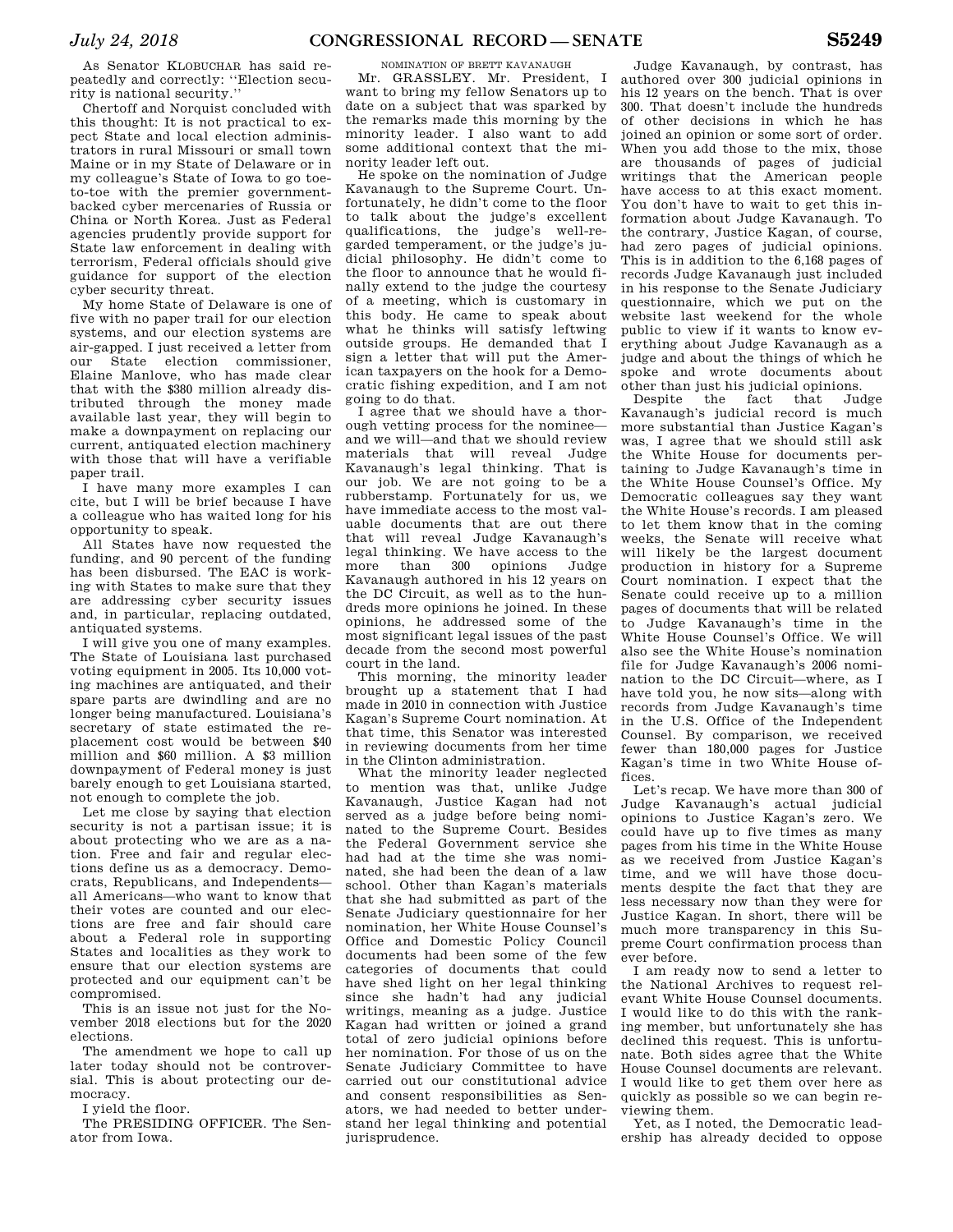As Senator KLOBUCHAR has said repeatedly and correctly: ''Election security is national security.''

Chertoff and Norquist concluded with this thought: It is not practical to expect State and local election administrators in rural Missouri or small town Maine or in my State of Delaware or in my colleague's State of Iowa to go toeto-toe with the premier governmentbacked cyber mercenaries of Russia or China or North Korea. Just as Federal agencies prudently provide support for State law enforcement in dealing with terrorism, Federal officials should give guidance for support of the election cyber security threat.

My home State of Delaware is one of five with no paper trail for our election systems, and our election systems are air-gapped. I just received a letter from our State election commissioner, Elaine Manlove, who has made clear that with the \$380 million already distributed through the money made available last year, they will begin to make a downpayment on replacing our current, antiquated election machinery with those that will have a verifiable paper trail.

I have many more examples I can cite, but I will be brief because I have a colleague who has waited long for his opportunity to speak.

All States have now requested the funding, and 90 percent of the funding has been disbursed. The EAC is working with States to make sure that they are addressing cyber security issues and, in particular, replacing outdated, antiquated systems.

I will give you one of many examples. The State of Louisiana last purchased voting equipment in 2005. Its 10,000 voting machines are antiquated, and their spare parts are dwindling and are no longer being manufactured. Louisiana's secretary of state estimated the replacement cost would be between \$40 million and \$60 million. A \$3 million downpayment of Federal money is just barely enough to get Louisiana started, not enough to complete the job.

Let me close by saying that election security is not a partisan issue; it is about protecting who we are as a nation. Free and fair and regular elections define us as a democracy. Democrats, Republicans, and Independents all Americans—who want to know that their votes are counted and our elections are free and fair should care about a Federal role in supporting States and localities as they work to ensure that our election systems are protected and our equipment can't be compromised.

This is an issue not just for the November 2018 elections but for the 2020 elections.

The amendment we hope to call up later today should not be controversial. This is about protecting our democracy.

I yield the floor.

The PRESIDING OFFICER. The Senator from Iowa.

NOMINATION OF BRETT KAVANAUGH

Mr. GRASSLEY. Mr. President, I want to bring my fellow Senators up to date on a subject that was sparked by the remarks made this morning by the minority leader. I also want to add some additional context that the minority leader left out.

He spoke on the nomination of Judge Kavanaugh to the Supreme Court. Unfortunately, he didn't come to the floor to talk about the judge's excellent qualifications, the judge's well-regarded temperament, or the judge's judicial philosophy. He didn't come to the floor to announce that he would finally extend to the judge the courtesy of a meeting, which is customary in this body. He came to speak about what he thinks will satisfy leftwing outside groups. He demanded that I sign a letter that will put the American taxpayers on the hook for a Democratic fishing expedition, and I am not going to do that.

I agree that we should have a thorough vetting process for the nominee and we will—and that we should review materials that will reveal Judge Kavanaugh's legal thinking. That is our job. We are not going to be a rubberstamp. Fortunately for us, we have immediate access to the most valuable documents that are out there that will reveal Judge Kavanaugh's legal thinking. We have access to the more than 300 opinions Judge Kavanaugh authored in his 12 years on the DC Circuit, as well as to the hundreds more opinions he joined. In these opinions, he addressed some of the most significant legal issues of the past decade from the second most powerful court in the land.

This morning, the minority leader brought up a statement that I had made in 2010 in connection with Justice Kagan's Supreme Court nomination. At that time, this Senator was interested in reviewing documents from her time in the Clinton administration.

What the minority leader neglected to mention was that, unlike Judge Kavanaugh, Justice Kagan had not served as a judge before being nominated to the Supreme Court. Besides the Federal Government service she had had at the time she was nominated, she had been the dean of a law school. Other than Kagan's materials that she had submitted as part of the Senate Judiciary questionnaire for her nomination, her White House Counsel's Office and Domestic Policy Council documents had been some of the few categories of documents that could have shed light on her legal thinking since she hadn't had any judicial writings, meaning as a judge. Justice Kagan had written or joined a grand total of zero judicial opinions before her nomination. For those of us on the Senate Judiciary Committee to have carried out our constitutional advice and consent responsibilities as Senators, we had needed to better understand her legal thinking and potential jurisprudence.

Judge Kavanaugh, by contrast, has authored over 300 judicial opinions in his 12 years on the bench. That is over 300. That doesn't include the hundreds of other decisions in which he has joined an opinion or some sort of order. When you add those to the mix, those are thousands of pages of judicial writings that the American people have access to at this exact moment. You don't have to wait to get this information about Judge Kavanaugh. To the contrary, Justice Kagan, of course, had zero pages of judicial opinions. This is in addition to the 6,168 pages of records Judge Kavanaugh just included in his response to the Senate Judiciary questionnaire, which we put on the website last weekend for the whole public to view if it wants to know everything about Judge Kavanaugh as a judge and about the things of which he spoke and wrote documents about other than just his judicial opinions.

Despite the fact that Judge Kavanaugh's judicial record is much more substantial than Justice Kagan's was, I agree that we should still ask the White House for documents pertaining to Judge Kavanaugh's time in the White House Counsel's Office. My Democratic colleagues say they want the White House's records. I am pleased to let them know that in the coming weeks, the Senate will receive what will likely be the largest document production in history for a Supreme Court nomination. I expect that the Senate could receive up to a million pages of documents that will be related to Judge Kavanaugh's time in the White House Counsel's Office. We will also see the White House's nomination file for Judge Kavanaugh's 2006 nomination to the DC Circuit—where, as I have told you, he now sits—along with records from Judge Kavanaugh's time in the U.S. Office of the Independent Counsel. By comparison, we received fewer than 180,000 pages for Justice Kagan's time in two White House offices.

Let's recap. We have more than 300 of Judge Kavanaugh's actual judicial opinions to Justice Kagan's zero. We could have up to five times as many pages from his time in the White House as we received from Justice Kagan's time, and we will have those documents despite the fact that they are less necessary now than they were for Justice Kagan. In short, there will be much more transparency in this Supreme Court confirmation process than ever before.

I am ready now to send a letter to the National Archives to request relevant White House Counsel documents. I would like to do this with the ranking member, but unfortunately she has declined this request. This is unfortunate. Both sides agree that the White House Counsel documents are relevant. I would like to get them over here as quickly as possible so we can begin reviewing them.

Yet, as I noted, the Democratic leadership has already decided to oppose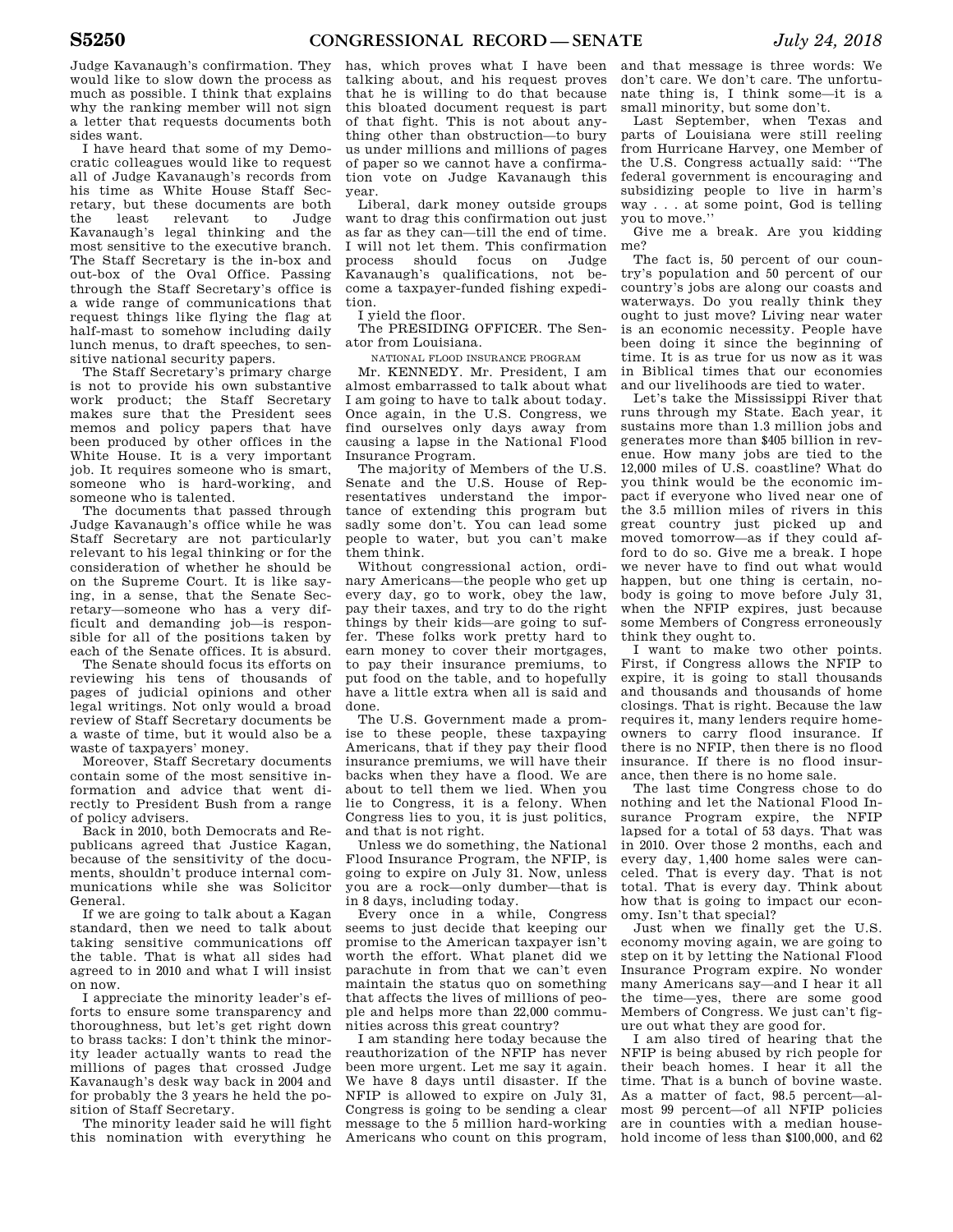Judge Kavanaugh's confirmation. They would like to slow down the process as much as possible. I think that explains why the ranking member will not sign a letter that requests documents both sides want.

I have heard that some of my Democratic colleagues would like to request all of Judge Kavanaugh's records from his time as White House Staff Secretary, but these documents are both the least relevant to Judge Kavanaugh's legal thinking and the most sensitive to the executive branch. The Staff Secretary is the in-box and out-box of the Oval Office. Passing through the Staff Secretary's office is a wide range of communications that request things like flying the flag at half-mast to somehow including daily lunch menus, to draft speeches, to sensitive national security papers.

The Staff Secretary's primary charge is not to provide his own substantive work product; the Staff Secretary makes sure that the President sees memos and policy papers that have been produced by other offices in the White House. It is a very important job. It requires someone who is smart, someone who is hard-working, and someone who is talented.

The documents that passed through Judge Kavanaugh's office while he was Staff Secretary are not particularly relevant to his legal thinking or for the consideration of whether he should be on the Supreme Court. It is like saying, in a sense, that the Senate Secretary—someone who has a very difficult and demanding job—is responsible for all of the positions taken by each of the Senate offices. It is absurd.

The Senate should focus its efforts on reviewing his tens of thousands of pages of judicial opinions and other legal writings. Not only would a broad review of Staff Secretary documents be a waste of time, but it would also be a waste of taxpayers' money.

Moreover, Staff Secretary documents contain some of the most sensitive information and advice that went directly to President Bush from a range of policy advisers.

Back in 2010, both Democrats and Republicans agreed that Justice Kagan, because of the sensitivity of the documents, shouldn't produce internal communications while she was Solicitor General.

If we are going to talk about a Kagan standard, then we need to talk about taking sensitive communications off the table. That is what all sides had agreed to in 2010 and what I will insist on now.

I appreciate the minority leader's efforts to ensure some transparency and thoroughness, but let's get right down to brass tacks: I don't think the minority leader actually wants to read the millions of pages that crossed Judge Kavanaugh's desk way back in 2004 and for probably the 3 years he held the position of Staff Secretary.

The minority leader said he will fight this nomination with everything he

has, which proves what I have been talking about, and his request proves that he is willing to do that because this bloated document request is part of that fight. This is not about anything other than obstruction—to bury us under millions and millions of pages of paper so we cannot have a confirmation vote on Judge Kavanaugh this year.

Liberal, dark money outside groups want to drag this confirmation out just as far as they can—till the end of time. I will not let them. This confirmation process should focus on Judge Kavanaugh's qualifications, not become a taxpayer-funded fishing expedition.

I yield the floor.

The PRESIDING OFFICER. The Senator from Louisiana.

NATIONAL FLOOD INSURANCE PROGRAM

Mr. KENNEDY. Mr. President, I am almost embarrassed to talk about what I am going to have to talk about today. Once again, in the U.S. Congress, we find ourselves only days away from causing a lapse in the National Flood Insurance Program.

The majority of Members of the U.S. Senate and the U.S. House of Representatives understand the importance of extending this program but sadly some don't. You can lead some people to water, but you can't make them think.

Without congressional action, ordinary Americans—the people who get up every day, go to work, obey the law, pay their taxes, and try to do the right things by their kids—are going to suffer. These folks work pretty hard to earn money to cover their mortgages, to pay their insurance premiums, to put food on the table, and to hopefully have a little extra when all is said and done.

The U.S. Government made a promise to these people, these taxpaying Americans, that if they pay their flood insurance premiums, we will have their backs when they have a flood. We are about to tell them we lied. When you lie to Congress, it is a felony. When Congress lies to you, it is just politics, and that is not right.

Unless we do something, the National Flood Insurance Program, the NFIP, is going to expire on July 31. Now, unless you are a rock—only dumber—that is in 8 days, including today.

Every once in a while, Congress seems to just decide that keeping our promise to the American taxpayer isn't worth the effort. What planet did we parachute in from that we can't even maintain the status quo on something that affects the lives of millions of people and helps more than 22,000 communities across this great country?

I am standing here today because the reauthorization of the NFIP has never been more urgent. Let me say it again. We have 8 days until disaster. If the NFIP is allowed to expire on July 31, Congress is going to be sending a clear message to the 5 million hard-working Americans who count on this program,

and that message is three words: We don't care. We don't care. The unfortunate thing is, I think some—it is a small minority, but some don't.

Last September, when Texas and parts of Louisiana were still reeling from Hurricane Harvey, one Member of the U.S. Congress actually said: ''The federal government is encouraging and subsidizing people to live in harm's way . . . at some point, God is telling you to move.''

Give me a break. Are you kidding me?

The fact is, 50 percent of our country's population and 50 percent of our country's jobs are along our coasts and waterways. Do you really think they ought to just move? Living near water is an economic necessity. People have been doing it since the beginning of time. It is as true for us now as it was in Biblical times that our economies and our livelihoods are tied to water.

Let's take the Mississippi River that runs through my State. Each year, it sustains more than 1.3 million jobs and generates more than \$405 billion in revenue. How many jobs are tied to the 12,000 miles of U.S. coastline? What do you think would be the economic impact if everyone who lived near one of the 3.5 million miles of rivers in this great country just picked up and moved tomorrow—as if they could afford to do so. Give me a break. I hope we never have to find out what would happen, but one thing is certain, nobody is going to move before July 31, when the NFIP expires, just because some Members of Congress erroneously think they ought to.

I want to make two other points. First, if Congress allows the NFIP to expire, it is going to stall thousands and thousands and thousands of home closings. That is right. Because the law requires it, many lenders require homeowners to carry flood insurance. If there is no NFIP, then there is no flood insurance. If there is no flood insurance, then there is no home sale.

The last time Congress chose to do nothing and let the National Flood Insurance Program expire, the NFIP lapsed for a total of 53 days. That was in 2010. Over those 2 months, each and every day, 1,400 home sales were canceled. That is every day. That is not total. That is every day. Think about how that is going to impact our economy. Isn't that special?

Just when we finally get the U.S. economy moving again, we are going to step on it by letting the National Flood Insurance Program expire. No wonder many Americans say—and I hear it all the time—yes, there are some good Members of Congress. We just can't figure out what they are good for.

I am also tired of hearing that the NFIP is being abused by rich people for their beach homes. I hear it all the time. That is a bunch of bovine waste. As a matter of fact, 98.5 percent—almost 99 percent—of all NFIP policies are in counties with a median household income of less than \$100,000, and 62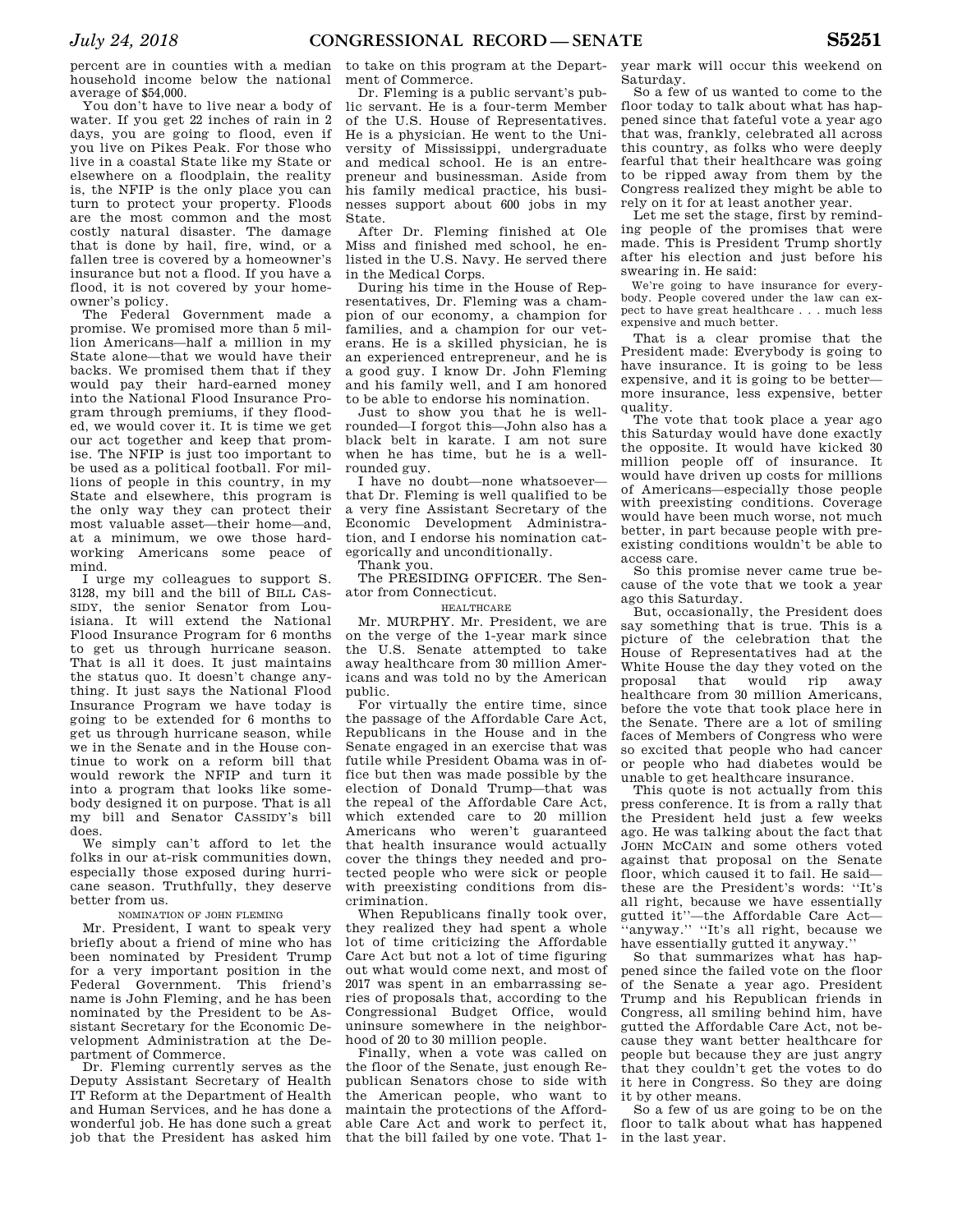percent are in counties with a median household income below the national average of \$54,000.

You don't have to live near a body of water. If you get 22 inches of rain in 2 days, you are going to flood, even if you live on Pikes Peak. For those who live in a coastal State like my State or elsewhere on a floodplain, the reality is, the NFIP is the only place you can turn to protect your property. Floods are the most common and the most costly natural disaster. The damage that is done by hail, fire, wind, or a fallen tree is covered by a homeowner's insurance but not a flood. If you have a flood, it is not covered by your homeowner's policy.

The Federal Government made a promise. We promised more than 5 million Americans—half a million in my State alone—that we would have their backs. We promised them that if they would pay their hard-earned money into the National Flood Insurance Program through premiums, if they flooded, we would cover it. It is time we get our act together and keep that promise. The NFIP is just too important to be used as a political football. For millions of people in this country, in my State and elsewhere, this program is the only way they can protect their most valuable asset—their home—and, at a minimum, we owe those hardworking Americans some peace of mind.

I urge my colleagues to support S. 3128, my bill and the bill of BILL CAS-SIDY, the senior Senator from Louisiana. It will extend the National Flood Insurance Program for 6 months to get us through hurricane season. That is all it does. It just maintains the status quo. It doesn't change anything. It just says the National Flood Insurance Program we have today is going to be extended for 6 months to get us through hurricane season, while we in the Senate and in the House continue to work on a reform bill that would rework the NFIP and turn it into a program that looks like somebody designed it on purpose. That is all my bill and Senator CASSIDY's bill does.

We simply can't afford to let the folks in our at-risk communities down, especially those exposed during hurricane season. Truthfully, they deserve better from us.

#### NOMINATION OF JOHN FLEMING

Mr. President, I want to speak very briefly about a friend of mine who has been nominated by President Trump for a very important position in the Federal Government. This friend's name is John Fleming, and he has been nominated by the President to be Assistant Secretary for the Economic Development Administration at the Department of Commerce.

Dr. Fleming currently serves as the Deputy Assistant Secretary of Health IT Reform at the Department of Health and Human Services, and he has done a wonderful job. He has done such a great job that the President has asked him

to take on this program at the Department of Commerce.

Dr. Fleming is a public servant's public servant. He is a four-term Member of the U.S. House of Representatives. He is a physician. He went to the University of Mississippi, undergraduate and medical school. He is an entrepreneur and businessman. Aside from his family medical practice, his businesses support about 600 jobs in my State.

After Dr. Fleming finished at Ole Miss and finished med school, he enlisted in the U.S. Navy. He served there in the Medical Corps.

During his time in the House of Representatives, Dr. Fleming was a champion of our economy, a champion for families, and a champion for our veterans. He is a skilled physician, he is an experienced entrepreneur, and he is a good guy. I know Dr. John Fleming and his family well, and I am honored to be able to endorse his nomination.

Just to show you that he is wellrounded—I forgot this—John also has a black belt in karate. I am not sure when he has time, but he is a wellrounded guy.

I have no doubt—none whatsoever that Dr. Fleming is well qualified to be a very fine Assistant Secretary of the Economic Development Administration, and I endorse his nomination categorically and unconditionally. Thank you.

The PRESIDING OFFICER. The Senator from Connecticut.

#### HEALTHCARE

Mr. MURPHY. Mr. President, we are on the verge of the 1-year mark since the U.S. Senate attempted to take away healthcare from 30 million Americans and was told no by the American public.

For virtually the entire time, since the passage of the Affordable Care Act, Republicans in the House and in the Senate engaged in an exercise that was futile while President Obama was in office but then was made possible by the election of Donald Trump—that was the repeal of the Affordable Care Act, which extended care to 20 million Americans who weren't guaranteed that health insurance would actually cover the things they needed and protected people who were sick or people with preexisting conditions from discrimination.

When Republicans finally took over, they realized they had spent a whole lot of time criticizing the Affordable Care Act but not a lot of time figuring out what would come next, and most of 2017 was spent in an embarrassing series of proposals that, according to the Congressional Budget Office, would uninsure somewhere in the neighborhood of 20 to 30 million people.

Finally, when a vote was called on the floor of the Senate, just enough Republican Senators chose to side with the American people, who want to maintain the protections of the Affordable Care Act and work to perfect it, that the bill failed by one vote. That 1-

year mark will occur this weekend on Saturday.

So a few of us wanted to come to the floor today to talk about what has happened since that fateful vote a year ago that was, frankly, celebrated all across this country, as folks who were deeply fearful that their healthcare was going to be ripped away from them by the Congress realized they might be able to rely on it for at least another year.

Let me set the stage, first by reminding people of the promises that were made. This is President Trump shortly after his election and just before his swearing in. He said:

We're going to have insurance for everybody. People covered under the law can expect to have great healthcare . . . much less expensive and much better.

That is a clear promise that the President made: Everybody is going to have insurance. It is going to be less expensive, and it is going to be better more insurance, less expensive, better quality.

The vote that took place a year ago this Saturday would have done exactly the opposite. It would have kicked 30 million people off of insurance. It would have driven up costs for millions of Americans—especially those people with preexisting conditions. Coverage would have been much worse, not much better, in part because people with preexisting conditions wouldn't be able to access care.

So this promise never came true because of the vote that we took a year ago this Saturday.

But, occasionally, the President does say something that is true. This is a picture of the celebration that the House of Representatives had at the White House the day they voted on the proposal that would rip away healthcare from 30 million Americans, before the vote that took place here in the Senate. There are a lot of smiling faces of Members of Congress who were so excited that people who had cancer or people who had diabetes would be unable to get healthcare insurance.

This quote is not actually from this press conference. It is from a rally that the President held just a few weeks ago. He was talking about the fact that JOHN MCCAIN and some others voted against that proposal on the Senate floor, which caused it to fail. He said these are the President's words: ''It's all right, because we have essentially gutted it''—the Affordable Care Act— ''anyway.'' ''It's all right, because we have essentially gutted it anyway.''

So that summarizes what has happened since the failed vote on the floor of the Senate a year ago. President Trump and his Republican friends in Congress, all smiling behind him, have gutted the Affordable Care Act, not because they want better healthcare for people but because they are just angry that they couldn't get the votes to do it here in Congress. So they are doing it by other means.

So a few of us are going to be on the floor to talk about what has happened in the last year.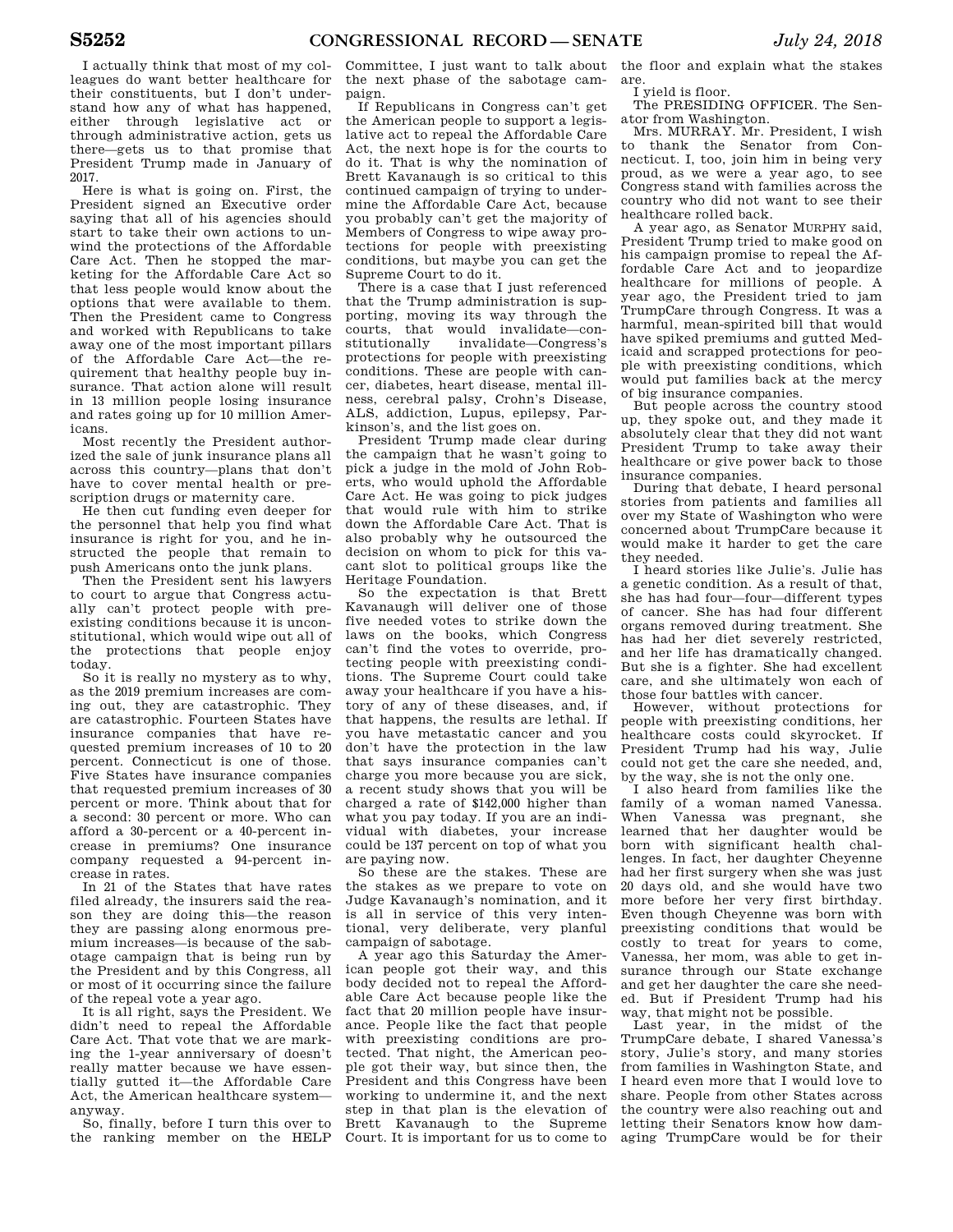I actually think that most of my colleagues do want better healthcare for their constituents, but I don't understand how any of what has happened, either through legislative act or through administrative action, gets us there—gets us to that promise that President Trump made in January of 2017.

Here is what is going on. First, the President signed an Executive order saying that all of his agencies should start to take their own actions to unwind the protections of the Affordable Care Act. Then he stopped the marketing for the Affordable Care Act so that less people would know about the options that were available to them. Then the President came to Congress and worked with Republicans to take away one of the most important pillars of the Affordable Care Act—the requirement that healthy people buy insurance. That action alone will result in 13 million people losing insurance and rates going up for 10 million Americans.

Most recently the President authorized the sale of junk insurance plans all across this country—plans that don't have to cover mental health or prescription drugs or maternity care.

He then cut funding even deeper for the personnel that help you find what insurance is right for you, and he instructed the people that remain to push Americans onto the junk plans.

Then the President sent his lawyers to court to argue that Congress actually can't protect people with preexisting conditions because it is unconstitutional, which would wipe out all of the protections that people enjoy today.

So it is really no mystery as to why, as the 2019 premium increases are coming out, they are catastrophic. They are catastrophic. Fourteen States have insurance companies that have requested premium increases of 10 to 20 percent. Connecticut is one of those. Five States have insurance companies that requested premium increases of 30 percent or more. Think about that for a second: 30 percent or more. Who can afford a 30-percent or a 40-percent increase in premiums? One insurance company requested a 94-percent increase in rates.

In 21 of the States that have rates filed already, the insurers said the reason they are doing this—the reason they are passing along enormous premium increases—is because of the sabotage campaign that is being run by the President and by this Congress, all or most of it occurring since the failure of the repeal vote a year ago.

It is all right, says the President. We didn't need to repeal the Affordable Care Act. That vote that we are marking the 1-year anniversary of doesn't really matter because we have essentially gutted it—the Affordable Care Act, the American healthcare system anyway.

So, finally, before I turn this over to the ranking member on the HELP

Committee, I just want to talk about the next phase of the sabotage campaign.

If Republicans in Congress can't get the American people to support a legislative act to repeal the Affordable Care Act, the next hope is for the courts to do it. That is why the nomination of Brett Kavanaugh is so critical to this continued campaign of trying to undermine the Affordable Care Act, because you probably can't get the majority of Members of Congress to wipe away protections for people with preexisting conditions, but maybe you can get the Supreme Court to do it.

There is a case that I just referenced that the Trump administration is supporting, moving its way through the courts, that would invalidate—constitutionally invalidate—Congress's protections for people with preexisting conditions. These are people with cancer, diabetes, heart disease, mental illness, cerebral palsy, Crohn's Disease, ALS, addiction, Lupus, epilepsy, Parkinson's, and the list goes on.

President Trump made clear during the campaign that he wasn't going to pick a judge in the mold of John Roberts, who would uphold the Affordable Care Act. He was going to pick judges that would rule with him to strike down the Affordable Care Act. That is also probably why he outsourced the decision on whom to pick for this vacant slot to political groups like the Heritage Foundation.

So the expectation is that Brett Kavanaugh will deliver one of those five needed votes to strike down the laws on the books, which Congress can't find the votes to override, protecting people with preexisting conditions. The Supreme Court could take away your healthcare if you have a history of any of these diseases, and, if that happens, the results are lethal. If you have metastatic cancer and you don't have the protection in the law that says insurance companies can't charge you more because you are sick, a recent study shows that you will be charged a rate of \$142,000 higher than what you pay today. If you are an individual with diabetes, your increase could be 137 percent on top of what you are paying now.

So these are the stakes. These are the stakes as we prepare to vote on Judge Kavanaugh's nomination, and it is all in service of this very intentional, very deliberate, very planful campaign of sabotage.

A year ago this Saturday the American people got their way, and this body decided not to repeal the Affordable Care Act because people like the fact that 20 million people have insurance. People like the fact that people with preexisting conditions are protected. That night, the American people got their way, but since then, the President and this Congress have been working to undermine it, and the next step in that plan is the elevation of Brett Kavanaugh to the Supreme Court. It is important for us to come to

the floor and explain what the stakes are.

I yield is floor.

The PRESIDING OFFICER. The Senator from Washington.

Mrs. MURRAY. Mr. President, I wish to thank the Senator from Connecticut. I, too, join him in being very proud, as we were a year ago, to see Congress stand with families across the country who did not want to see their healthcare rolled back.

A year ago, as Senator MURPHY said, President Trump tried to make good on his campaign promise to repeal the Affordable Care Act and to jeopardize healthcare for millions of people. A year ago, the President tried to jam TrumpCare through Congress. It was a harmful, mean-spirited bill that would have spiked premiums and gutted Medicaid and scrapped protections for people with preexisting conditions, which would put families back at the mercy of big insurance companies.

But people across the country stood up, they spoke out, and they made it absolutely clear that they did not want President Trump to take away their healthcare or give power back to those insurance companies.

During that debate, I heard personal stories from patients and families all over my State of Washington who were concerned about TrumpCare because it would make it harder to get the care they needed.

I heard stories like Julie's. Julie has a genetic condition. As a result of that, she has had four—four—different types of cancer. She has had four different organs removed during treatment. She has had her diet severely restricted, and her life has dramatically changed. But she is a fighter. She had excellent care, and she ultimately won each of those four battles with cancer.

However, without protections for people with preexisting conditions, her healthcare costs could skyrocket. If President Trump had his way, Julie could not get the care she needed, and, by the way, she is not the only one.

I also heard from families like the family of a woman named Vanessa. When Vanessa was pregnant, she learned that her daughter would be born with significant health challenges. In fact, her daughter Cheyenne had her first surgery when she was just 20 days old, and she would have two more before her very first birthday. Even though Cheyenne was born with preexisting conditions that would be costly to treat for years to come, Vanessa, her mom, was able to get insurance through our State exchange and get her daughter the care she needed. But if President Trump had his way, that might not be possible.

Last year, in the midst of the TrumpCare debate, I shared Vanessa's story, Julie's story, and many stories from families in Washington State, and I heard even more that I would love to share. People from other States across the country were also reaching out and letting their Senators know how damaging TrumpCare would be for their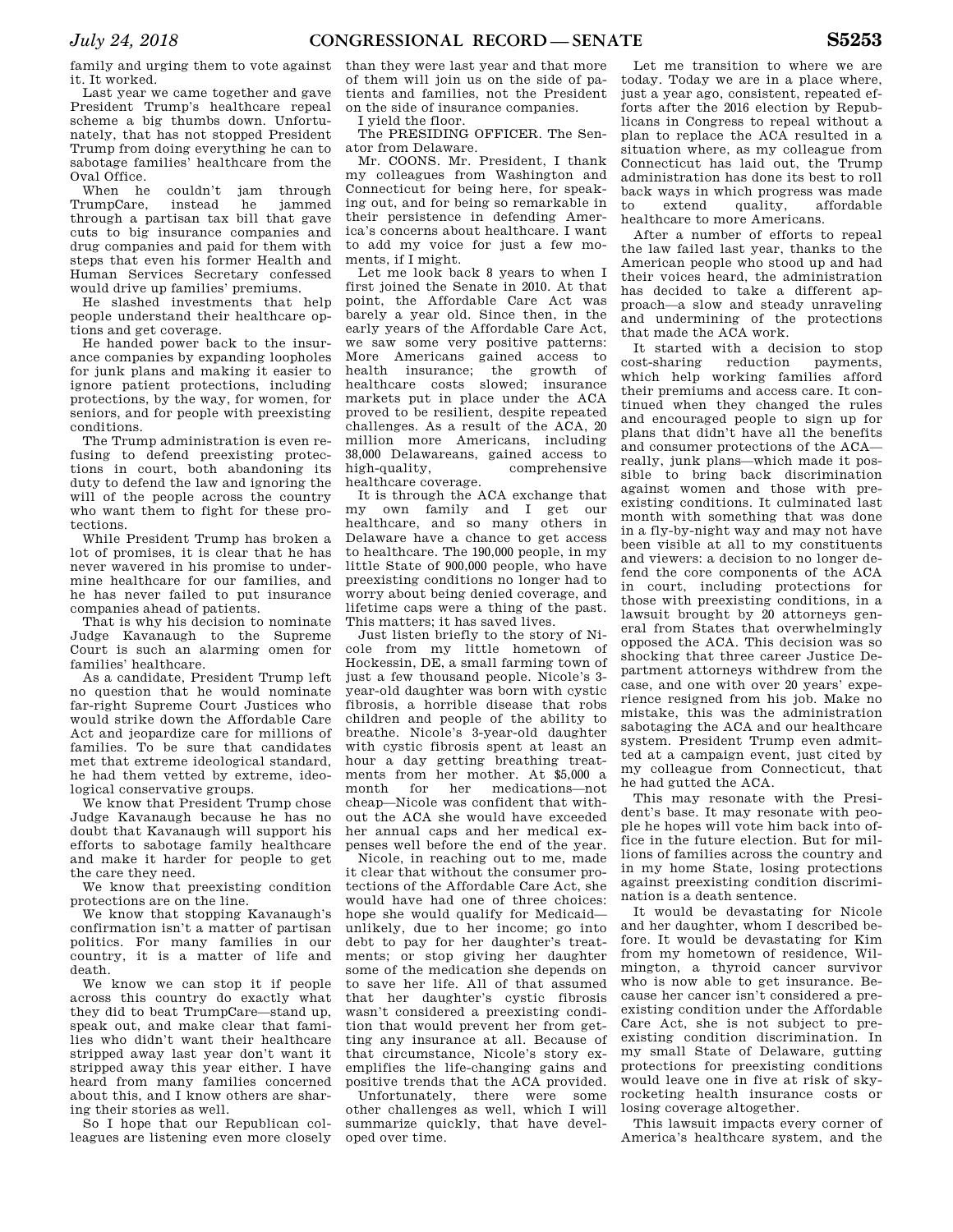family and urging them to vote against it. It worked.

Last year we came together and gave President Trump's healthcare repeal scheme a big thumbs down. Unfortunately, that has not stopped President Trump from doing everything he can to sabotage families' healthcare from the Oval Office.

When he couldn't jam through TrumpCare, instead he jammed through a partisan tax bill that gave cuts to big insurance companies and drug companies and paid for them with steps that even his former Health and Human Services Secretary confessed would drive up families' premiums.

He slashed investments that help people understand their healthcare options and get coverage.

He handed power back to the insurance companies by expanding loopholes for junk plans and making it easier to ignore patient protections, including protections, by the way, for women, for seniors, and for people with preexisting conditions.

The Trump administration is even refusing to defend preexisting protections in court, both abandoning its duty to defend the law and ignoring the will of the people across the country who want them to fight for these protections.

While President Trump has broken a lot of promises, it is clear that he has never wavered in his promise to undermine healthcare for our families, and he has never failed to put insurance companies ahead of patients.

That is why his decision to nominate Judge Kavanaugh to the Supreme Court is such an alarming omen for families' healthcare.

As a candidate, President Trump left no question that he would nominate far-right Supreme Court Justices who would strike down the Affordable Care Act and jeopardize care for millions of families. To be sure that candidates met that extreme ideological standard, he had them vetted by extreme, ideological conservative groups.

We know that President Trump chose Judge Kavanaugh because he has no doubt that Kavanaugh will support his efforts to sabotage family healthcare and make it harder for people to get the care they need.

We know that preexisting condition protections are on the line.

We know that stopping Kavanaugh's confirmation isn't a matter of partisan politics. For many families in our country, it is a matter of life and death.

We know we can stop it if people across this country do exactly what they did to beat TrumpCare—stand up, speak out, and make clear that families who didn't want their healthcare stripped away last year don't want it stripped away this year either. I have heard from many families concerned about this, and I know others are sharing their stories as well.

So I hope that our Republican colleagues are listening even more closely than they were last year and that more of them will join us on the side of patients and families, not the President on the side of insurance companies.

I yield the floor.

The PRESIDING OFFICER. The Senator from Delaware.

Mr. COONS. Mr. President, I thank my colleagues from Washington and Connecticut for being here, for speaking out, and for being so remarkable in their persistence in defending America's concerns about healthcare. I want to add my voice for just a few moments, if I might.

Let me look back 8 years to when I first joined the Senate in 2010. At that point, the Affordable Care Act was barely a year old. Since then, in the early years of the Affordable Care Act, we saw some very positive patterns: More Americans gained access to<br>health insurance; the growth of health insurance; the growth of healthcare costs slowed; insurance markets put in place under the ACA proved to be resilient, despite repeated challenges. As a result of the ACA, 20 million more Americans, including 38,000 Delawareans, gained access to comprehensive healthcare coverage.

It is through the ACA exchange that my own family and I get our healthcare, and so many others in Delaware have a chance to get access to healthcare. The 190,000 people, in my little State of 900,000 people, who have preexisting conditions no longer had to worry about being denied coverage, and lifetime caps were a thing of the past. This matters; it has saved lives.

Just listen briefly to the story of Nicole from my little hometown of Hockessin, DE, a small farming town of just a few thousand people. Nicole's 3 year-old daughter was born with cystic fibrosis, a horrible disease that robs children and people of the ability to breathe. Nicole's 3-year-old daughter with cystic fibrosis spent at least an hour a day getting breathing treatments from her mother. At \$5,000 a month for her medications—not cheap—Nicole was confident that without the ACA she would have exceeded her annual caps and her medical expenses well before the end of the year.

Nicole, in reaching out to me, made it clear that without the consumer protections of the Affordable Care Act, she would have had one of three choices: hope she would qualify for Medicaid unlikely, due to her income; go into debt to pay for her daughter's treatments; or stop giving her daughter some of the medication she depends on to save her life. All of that assumed that her daughter's cystic fibrosis wasn't considered a preexisting condition that would prevent her from getting any insurance at all. Because of that circumstance, Nicole's story exemplifies the life-changing gains and positive trends that the ACA provided.

Unfortunately, there were some other challenges as well, which I will summarize quickly, that have developed over time.

Let me transition to where we are today. Today we are in a place where, just a year ago, consistent, repeated efforts after the 2016 election by Republicans in Congress to repeal without a plan to replace the ACA resulted in a situation where, as my colleague from Connecticut has laid out, the Trump administration has done its best to roll back ways in which progress was made to extend quality, affordable healthcare to more Americans.

After a number of efforts to repeal the law failed last year, thanks to the American people who stood up and had their voices heard, the administration has decided to take a different approach—a slow and steady unraveling and undermining of the protections that made the ACA work.

It started with a decision to stop<br>ost-sharing reduction payments, cost-sharing reduction payments, which help working families afford their premiums and access care. It continued when they changed the rules and encouraged people to sign up for plans that didn't have all the benefits and consumer protections of the ACA really, junk plans—which made it possible to bring back discrimination against women and those with preexisting conditions. It culminated last month with something that was done in a fly-by-night way and may not have been visible at all to my constituents and viewers: a decision to no longer defend the core components of the ACA in court, including protections for those with preexisting conditions, in a lawsuit brought by 20 attorneys general from States that overwhelmingly opposed the ACA. This decision was so shocking that three career Justice Department attorneys withdrew from the case, and one with over 20 years' experience resigned from his job. Make no mistake, this was the administration sabotaging the ACA and our healthcare system. President Trump even admitted at a campaign event, just cited by my colleague from Connecticut, that he had gutted the ACA.

This may resonate with the President's base. It may resonate with people he hopes will vote him back into office in the future election. But for millions of families across the country and in my home State, losing protections against preexisting condition discrimination is a death sentence.

It would be devastating for Nicole and her daughter, whom I described before. It would be devastating for Kim from my hometown of residence, Wilmington, a thyroid cancer survivor who is now able to get insurance. Because her cancer isn't considered a preexisting condition under the Affordable Care Act, she is not subject to preexisting condition discrimination. In my small State of Delaware, gutting protections for preexisting conditions would leave one in five at risk of skyrocketing health insurance costs or losing coverage altogether.

This lawsuit impacts every corner of America's healthcare system, and the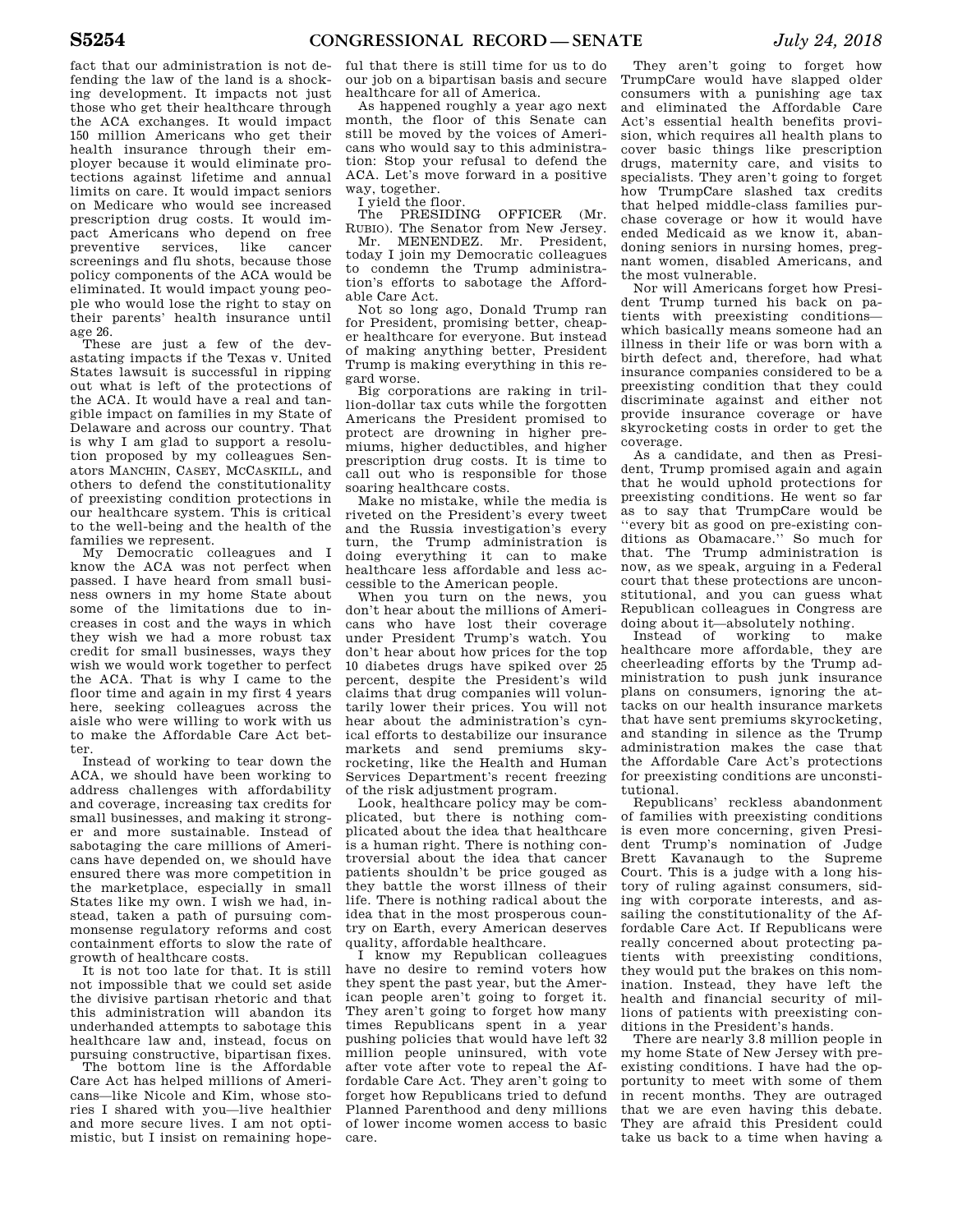fact that our administration is not defending the law of the land is a shocking development. It impacts not just those who get their healthcare through the ACA exchanges. It would impact 150 million Americans who get their health insurance through their employer because it would eliminate protections against lifetime and annual limits on care. It would impact seniors on Medicare who would see increased prescription drug costs. It would impact Americans who depend on free preventive services, like cancer screenings and flu shots, because those policy components of the ACA would be eliminated. It would impact young people who would lose the right to stay on their parents' health insurance until age 26.

These are just a few of the devastating impacts if the Texas v. United States lawsuit is successful in ripping out what is left of the protections of the ACA. It would have a real and tangible impact on families in my State of Delaware and across our country. That is why I am glad to support a resolution proposed by my colleagues Senators MANCHIN, CASEY, MCCASKILL, and others to defend the constitutionality of preexisting condition protections in our healthcare system. This is critical to the well-being and the health of the families we represent.

My Democratic colleagues and I know the ACA was not perfect when passed. I have heard from small business owners in my home State about some of the limitations due to increases in cost and the ways in which they wish we had a more robust tax credit for small businesses, ways they wish we would work together to perfect the ACA. That is why I came to the floor time and again in my first 4 years here, seeking colleagues across the aisle who were willing to work with us to make the Affordable Care Act better.

Instead of working to tear down the ACA, we should have been working to address challenges with affordability and coverage, increasing tax credits for small businesses, and making it stronger and more sustainable. Instead of sabotaging the care millions of Americans have depended on, we should have ensured there was more competition in the marketplace, especially in small States like my own. I wish we had, instead, taken a path of pursuing commonsense regulatory reforms and cost containment efforts to slow the rate of growth of healthcare costs.

It is not too late for that. It is still not impossible that we could set aside the divisive partisan rhetoric and that this administration will abandon its underhanded attempts to sabotage this healthcare law and, instead, focus on pursuing constructive, bipartisan fixes.

The bottom line is the Affordable Care Act has helped millions of Americans—like Nicole and Kim, whose stories I shared with you—live healthier and more secure lives. I am not optimistic, but I insist on remaining hope-

ful that there is still time for us to do our job on a bipartisan basis and secure healthcare for all of America.

As happened roughly a year ago next month, the floor of this Senate can still be moved by the voices of Americans who would say to this administration: Stop your refusal to defend the ACA. Let's move forward in a positive way, together.

I yield the floor.

The PRESIDING OFFICER (Mr. RUBIO). The Senator from New Jersey.

Mr. MENENDEZ. Mr. President, today I join my Democratic colleagues to condemn the Trump administration's efforts to sabotage the Affordable Care Act.

Not so long ago, Donald Trump ran for President, promising better, cheaper healthcare for everyone. But instead of making anything better, President Trump is making everything in this regard worse.

Big corporations are raking in trillion-dollar tax cuts while the forgotten Americans the President promised to protect are drowning in higher premiums, higher deductibles, and higher prescription drug costs. It is time to call out who is responsible for those soaring healthcare costs.

Make no mistake, while the media is riveted on the President's every tweet and the Russia investigation's every turn, the Trump administration is doing everything it can to make healthcare less affordable and less accessible to the American people.

When you turn on the news, you don't hear about the millions of Americans who have lost their coverage under President Trump's watch. You don't hear about how prices for the top 10 diabetes drugs have spiked over 25 percent, despite the President's wild claims that drug companies will voluntarily lower their prices. You will not hear about the administration's cynical efforts to destabilize our insurance markets and send premiums skyrocketing, like the Health and Human Services Department's recent freezing of the risk adjustment program.

Look, healthcare policy may be complicated, but there is nothing complicated about the idea that healthcare is a human right. There is nothing controversial about the idea that cancer patients shouldn't be price gouged as they battle the worst illness of their life. There is nothing radical about the idea that in the most prosperous country on Earth, every American deserves quality, affordable healthcare.

I know my Republican colleagues have no desire to remind voters how they spent the past year, but the American people aren't going to forget it. They aren't going to forget how many times Republicans spent in a year pushing policies that would have left 32 million people uninsured, with vote after vote after vote to repeal the Affordable Care Act. They aren't going to forget how Republicans tried to defund Planned Parenthood and deny millions of lower income women access to basic care.

They aren't going to forget how TrumpCare would have slapped older consumers with a punishing age tax and eliminated the Affordable Care Act's essential health benefits provision, which requires all health plans to cover basic things like prescription drugs, maternity care, and visits to specialists. They aren't going to forget how TrumpCare slashed tax credits that helped middle-class families purchase coverage or how it would have ended Medicaid as we know it, abandoning seniors in nursing homes, pregnant women, disabled Americans, and the most vulnerable.

Nor will Americans forget how President Trump turned his back on patients with preexisting conditions which basically means someone had an illness in their life or was born with a birth defect and, therefore, had what insurance companies considered to be a preexisting condition that they could discriminate against and either not provide insurance coverage or have skyrocketing costs in order to get the coverage.

As a candidate, and then as President, Trump promised again and again that he would uphold protections for preexisting conditions. He went so far as to say that TrumpCare would be ''every bit as good on pre-existing conditions as Obamacare.'' So much for that. The Trump administration is now, as we speak, arguing in a Federal court that these protections are unconstitutional, and you can guess what Republican colleagues in Congress are

doing about it—absolutely nothing.<br>Instead of working to make Instead of working healthcare more affordable, they are cheerleading efforts by the Trump administration to push junk insurance plans on consumers, ignoring the attacks on our health insurance markets that have sent premiums skyrocketing, and standing in silence as the Trump administration makes the case that the Affordable Care Act's protections for preexisting conditions are unconstitutional.

Republicans' reckless abandonment of families with preexisting conditions is even more concerning, given President Trump's nomination of Judge Brett Kavanaugh to the Supreme Court. This is a judge with a long history of ruling against consumers, siding with corporate interests, and assailing the constitutionality of the Affordable Care Act. If Republicans were really concerned about protecting patients with preexisting conditions, they would put the brakes on this nomination. Instead, they have left the health and financial security of millions of patients with preexisting conditions in the President's hands.

There are nearly 3.8 million people in my home State of New Jersey with preexisting conditions. I have had the opportunity to meet with some of them in recent months. They are outraged that we are even having this debate. They are afraid this President could take us back to a time when having a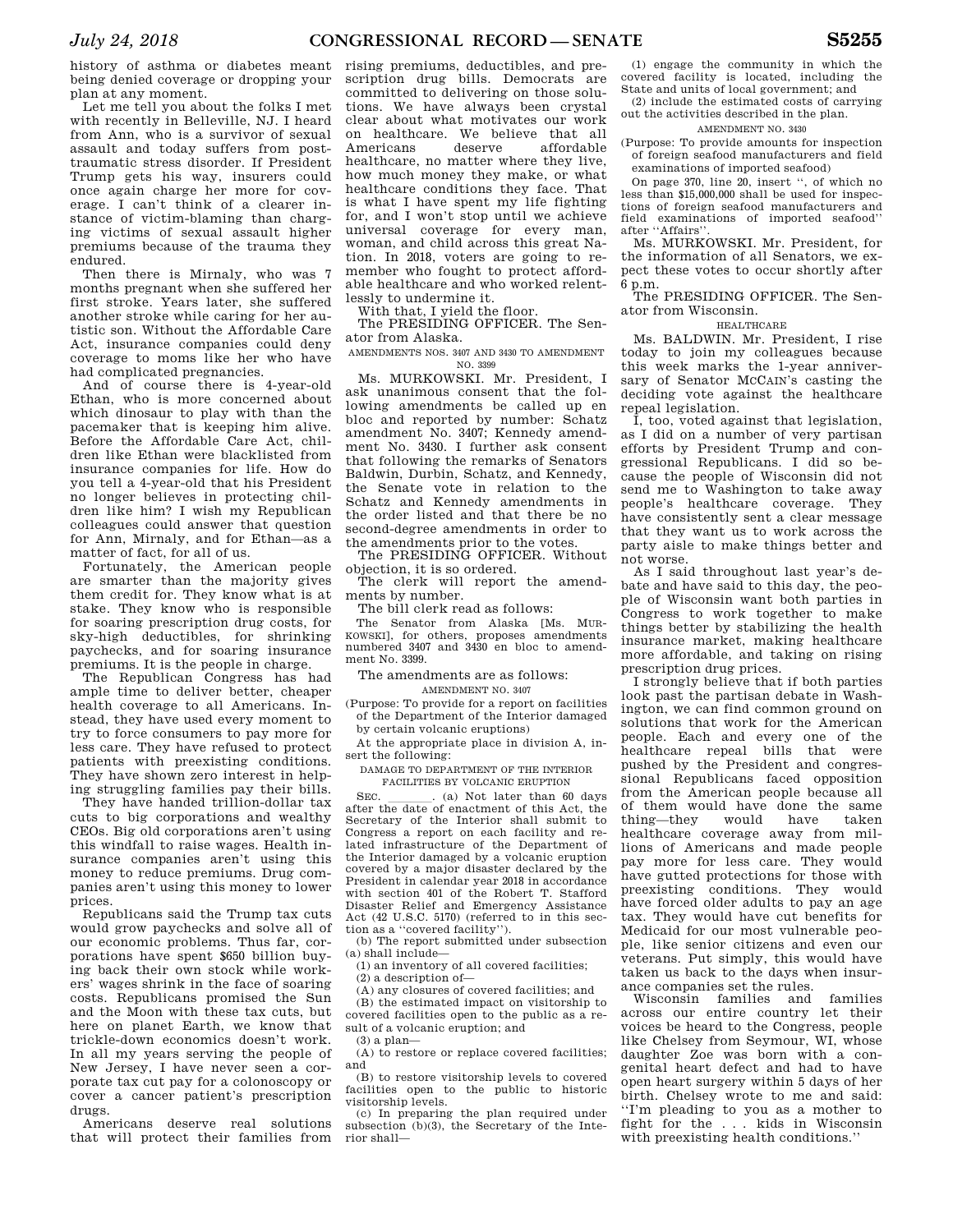history of asthma or diabetes meant being denied coverage or dropping your plan at any moment.

Let me tell you about the folks I met with recently in Belleville, NJ. I heard from Ann, who is a survivor of sexual assault and today suffers from posttraumatic stress disorder. If President Trump gets his way, insurers could once again charge her more for coverage. I can't think of a clearer instance of victim-blaming than charging victims of sexual assault higher premiums because of the trauma they endured.

Then there is Mirnaly, who was 7 months pregnant when she suffered her first stroke. Years later, she suffered another stroke while caring for her autistic son. Without the Affordable Care Act, insurance companies could deny coverage to moms like her who have had complicated pregnancies.

And of course there is 4-year-old Ethan, who is more concerned about which dinosaur to play with than the pacemaker that is keeping him alive. Before the Affordable Care Act, children like Ethan were blacklisted from insurance companies for life. How do you tell a 4-year-old that his President no longer believes in protecting children like him? I wish my Republican colleagues could answer that question for Ann, Mirnaly, and for Ethan—as a matter of fact, for all of us.

Fortunately, the American people are smarter than the majority gives them credit for. They know what is at stake. They know who is responsible for soaring prescription drug costs, for sky-high deductibles, for shrinking paychecks, and for soaring insurance premiums. It is the people in charge.

The Republican Congress has had ample time to deliver better, cheaper health coverage to all Americans. Instead, they have used every moment to try to force consumers to pay more for less care. They have refused to protect patients with preexisting conditions. They have shown zero interest in helping struggling families pay their bills.

They have handed trillion-dollar tax cuts to big corporations and wealthy CEOs. Big old corporations aren't using this windfall to raise wages. Health insurance companies aren't using this money to reduce premiums. Drug companies aren't using this money to lower prices.

Republicans said the Trump tax cuts would grow paychecks and solve all of our economic problems. Thus far, corporations have spent \$650 billion buying back their own stock while workers' wages shrink in the face of soaring costs. Republicans promised the Sun and the Moon with these tax cuts, but here on planet Earth, we know that trickle-down economics doesn't work. In all my years serving the people of New Jersey, I have never seen a corporate tax cut pay for a colonoscopy or cover a cancer patient's prescription drugs.

Americans deserve real solutions that will protect their families from

rising premiums, deductibles, and prescription drug bills. Democrats are committed to delivering on those solutions. We have always been crystal clear about what motivates our work on healthcare. We believe that all Americans deserve affordable healthcare, no matter where they live, how much money they make, or what healthcare conditions they face. That is what I have spent my life fighting for, and I won't stop until we achieve universal coverage for every man, woman, and child across this great Nation. In 2018, voters are going to remember who fought to protect affordable healthcare and who worked relentlessly to undermine it.

With that, I yield the floor.

The PRESIDING OFFICER. The Senator from Alaska.

AMENDMENTS NOS. 3407 AND 3430 TO AMENDMENT NO. 3399

Ms. MURKOWSKI. Mr. President, I ask unanimous consent that the following amendments be called up en bloc and reported by number: Schatz amendment No. 3407; Kennedy amendment No. 3430. I further ask consent that following the remarks of Senators Baldwin, Durbin, Schatz, and Kennedy, the Senate vote in relation to the Schatz and Kennedy amendments in the order listed and that there be no second-degree amendments in order to the amendments prior to the votes.

The PRESIDING OFFICER. Without objection, it is so ordered.

The clerk will report the amendments by number.

The bill clerk read as follows:

The Senator from Alaska [Ms. MUR-KOWSKI], for others, proposes amendments numbered 3407 and 3430 en bloc to amendment No. 3399.

The amendments are as follows:

AMENDMENT NO. 3407

(Purpose: To provide for a report on facilities of the Department of the Interior damaged by certain volcanic eruptions)

At the appropriate place in division A, insert the following:

DAMAGE TO DEPARTMENT OF THE INTERIOR FACILITIES BY VOLCANIC ERUPTION

SEC.  $\qquad \qquad$  (a) Not later than 60 days after the date of enactment of this Act, the Secretary of the Interior shall submit to Congress a report on each facility and related infrastructure of the Department of the Interior damaged by a volcanic eruption covered by a major disaster declared by the President in calendar year 2018 in accordance with section 401 of the Robert T. Stafford Disaster Relief and Emergency Assistance Act (42 U.S.C. 5170) (referred to in this section as a ''covered facility'').

(b) The report submitted under subsection (a) shall include—

(1) an inventory of all covered facilities;

(2) a description of—

(A) any closures of covered facilities; and

(B) the estimated impact on visitorship to covered facilities open to the public as a result of a volcanic eruption; and

(3) a plan—

(A) to restore or replace covered facilities; and

(B) to restore visitorship levels to covered facilities open to the public to historic visitorship levels.

(c) In preparing the plan required under subsection (b)(3), the Secretary of the Interior shall—

(1) engage the community in which the covered facility is located, including the State and units of local government; and

(2) include the estimated costs of carrying out the activities described in the plan.

#### AMENDMENT NO. 3430

(Purpose: To provide amounts for inspection of foreign seafood manufacturers and field examinations of imported seafood)

On page 370, line 20, insert '', of which no less than \$15,000,000 shall be used for inspections of foreign seafood manufacturers and field examinations of imported seafood'' after "Affairs"

Ms. MURKOWSKI. Mr. President, for the information of all Senators, we expect these votes to occur shortly after 6 p.m.

The PRESIDING OFFICER. The Senator from Wisconsin.

HEALTHCARE

Ms. BALDWIN. Mr. President, I rise today to join my colleagues because this week marks the 1-year anniversary of Senator MCCAIN's casting the deciding vote against the healthcare repeal legislation.

I, too, voted against that legislation, as I did on a number of very partisan efforts by President Trump and congressional Republicans. I did so because the people of Wisconsin did not send me to Washington to take away people's healthcare coverage. They have consistently sent a clear message that they want us to work across the party aisle to make things better and not worse.

As I said throughout last year's debate and have said to this day, the people of Wisconsin want both parties in Congress to work together to make things better by stabilizing the health insurance market, making healthcare more affordable, and taking on rising prescription drug prices.

I strongly believe that if both parties look past the partisan debate in Washington, we can find common ground on solutions that work for the American people. Each and every one of the healthcare repeal bills that were pushed by the President and congressional Republicans faced opposition from the American people because all of them would have done the same thing—they would have taken healthcare coverage away from millions of Americans and made people pay more for less care. They would have gutted protections for those with preexisting conditions. They would have forced older adults to pay an age tax. They would have cut benefits for Medicaid for our most vulnerable people, like senior citizens and even our veterans. Put simply, this would have taken us back to the days when insurance companies set the rules.

Wisconsin families and families across our entire country let their voices be heard to the Congress, people like Chelsey from Seymour, WI, whose daughter Zoe was born with a congenital heart defect and had to have open heart surgery within 5 days of her birth. Chelsey wrote to me and said: ''I'm pleading to you as a mother to fight for the . . . kids in Wisconsin with preexisting health conditions.''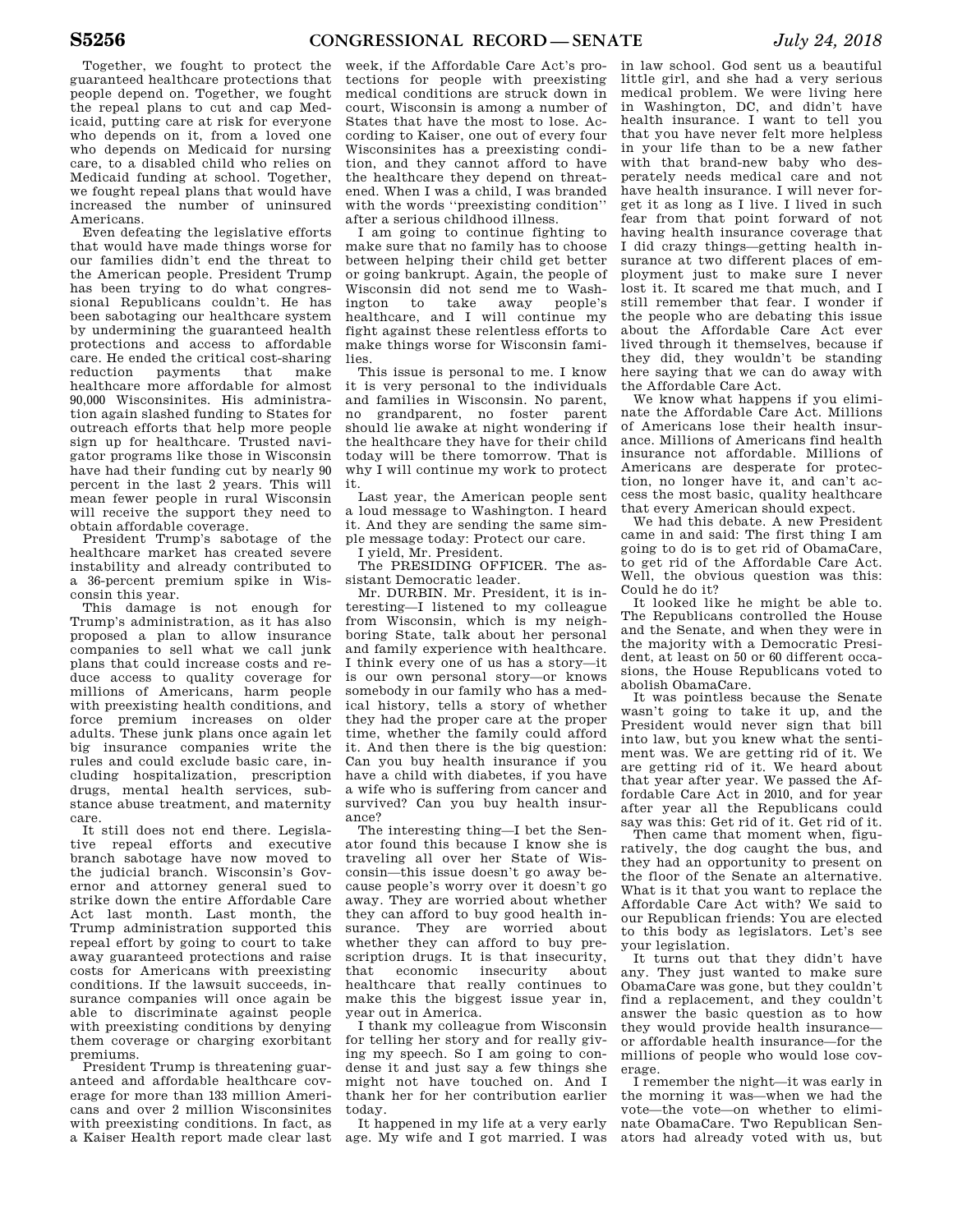Together, we fought to protect the guaranteed healthcare protections that people depend on. Together, we fought the repeal plans to cut and cap Medicaid, putting care at risk for everyone who depends on it, from a loved one who depends on Medicaid for nursing care, to a disabled child who relies on Medicaid funding at school. Together, we fought repeal plans that would have increased the number of uninsured Americans.

Even defeating the legislative efforts that would have made things worse for our families didn't end the threat to the American people. President Trump has been trying to do what congressional Republicans couldn't. He has been sabotaging our healthcare system by undermining the guaranteed health protections and access to affordable care. He ended the critical cost-sharing reduction payments that make healthcare more affordable for almost 90,000 Wisconsinites. His administration again slashed funding to States for outreach efforts that help more people sign up for healthcare. Trusted navigator programs like those in Wisconsin have had their funding cut by nearly 90 percent in the last 2 years. This will mean fewer people in rural Wisconsin will receive the support they need to obtain affordable coverage.

President Trump's sabotage of the healthcare market has created severe instability and already contributed to a 36-percent premium spike in Wisconsin this year.

This damage is not enough for Trump's administration, as it has also proposed a plan to allow insurance companies to sell what we call junk plans that could increase costs and reduce access to quality coverage for millions of Americans, harm people with preexisting health conditions, and force premium increases on older adults. These junk plans once again let big insurance companies write the rules and could exclude basic care, including hospitalization, prescription drugs, mental health services, substance abuse treatment, and maternity care.

It still does not end there. Legislative repeal efforts and executive branch sabotage have now moved to the judicial branch. Wisconsin's Governor and attorney general sued to strike down the entire Affordable Care Act last month. Last month, the Trump administration supported this repeal effort by going to court to take away guaranteed protections and raise costs for Americans with preexisting conditions. If the lawsuit succeeds, insurance companies will once again be able to discriminate against people with preexisting conditions by denying them coverage or charging exorbitant premiums.

President Trump is threatening guaranteed and affordable healthcare coverage for more than 133 million Americans and over 2 million Wisconsinites with preexisting conditions. In fact, as a Kaiser Health report made clear last week, if the Affordable Care Act's protections for people with preexisting medical conditions are struck down in court, Wisconsin is among a number of States that have the most to lose. According to Kaiser, one out of every four Wisconsinites has a preexisting condition, and they cannot afford to have the healthcare they depend on threatened. When I was a child, I was branded with the words ''preexisting condition'' after a serious childhood illness.

I am going to continue fighting to make sure that no family has to choose between helping their child get better or going bankrupt. Again, the people of Wisconsin did not send me to Washington to take away people's healthcare, and I will continue my fight against these relentless efforts to make things worse for Wisconsin families.

This issue is personal to me. I know it is very personal to the individuals and families in Wisconsin. No parent, no grandparent, no foster parent should lie awake at night wondering if the healthcare they have for their child today will be there tomorrow. That is why I will continue my work to protect it.

Last year, the American people sent a loud message to Washington. I heard it. And they are sending the same simple message today: Protect our care.

I yield, Mr. President.

The PRESIDING OFFICER. The assistant Democratic leader.

Mr. DURBIN. Mr. President, it is interesting—I listened to my colleague from Wisconsin, which is my neighboring State, talk about her personal and family experience with healthcare. I think every one of us has a story—it is our own personal story—or knows somebody in our family who has a medical history, tells a story of whether they had the proper care at the proper time, whether the family could afford it. And then there is the big question: Can you buy health insurance if you have a child with diabetes, if you have a wife who is suffering from cancer and survived? Can you buy health insurance?

The interesting thing—I bet the Senator found this because I know she is traveling all over her State of Wisconsin—this issue doesn't go away because people's worry over it doesn't go away. They are worried about whether they can afford to buy good health insurance. They are worried about whether they can afford to buy prescription drugs. It is that insecurity, that economic insecurity about healthcare that really continues to make this the biggest issue year in, year out in America.

I thank my colleague from Wisconsin for telling her story and for really giving my speech. So I am going to condense it and just say a few things she might not have touched on. And I thank her for her contribution earlier today.

It happened in my life at a very early age. My wife and I got married. I was

in law school. God sent us a beautiful little girl, and she had a very serious medical problem. We were living here in Washington, DC, and didn't have health insurance. I want to tell you that you have never felt more helpless in your life than to be a new father with that brand-new baby who desperately needs medical care and not have health insurance. I will never forget it as long as I live. I lived in such fear from that point forward of not having health insurance coverage that I did crazy things—getting health insurance at two different places of employment just to make sure I never lost it. It scared me that much, and I still remember that fear. I wonder if the people who are debating this issue about the Affordable Care Act ever lived through it themselves, because if they did, they wouldn't be standing here saying that we can do away with the Affordable Care Act.

We know what happens if you eliminate the Affordable Care Act. Millions of Americans lose their health insurance. Millions of Americans find health insurance not affordable. Millions of Americans are desperate for protection, no longer have it, and can't access the most basic, quality healthcare that every American should expect.

We had this debate. A new President came in and said: The first thing I am going to do is to get rid of ObamaCare, to get rid of the Affordable Care Act. Well, the obvious question was this: Could he do it?

It looked like he might be able to. The Republicans controlled the House and the Senate, and when they were in the majority with a Democratic President, at least on 50 or 60 different occasions, the House Republicans voted to abolish ObamaCare.

It was pointless because the Senate wasn't going to take it up, and the President would never sign that bill into law, but you knew what the sentiment was. We are getting rid of it. We are getting rid of it. We heard about that year after year. We passed the Affordable Care Act in 2010, and for year after year all the Republicans could say was this: Get rid of it. Get rid of it.

Then came that moment when, figuratively, the dog caught the bus, and they had an opportunity to present on the floor of the Senate an alternative. What is it that you want to replace the Affordable Care Act with? We said to our Republican friends: You are elected to this body as legislators. Let's see your legislation.

It turns out that they didn't have any. They just wanted to make sure ObamaCare was gone, but they couldn't find a replacement, and they couldn't answer the basic question as to how they would provide health insurance or affordable health insurance—for the millions of people who would lose coverage.

I remember the night—it was early in the morning it was—when we had the vote—the vote—on whether to eliminate ObamaCare. Two Republican Senators had already voted with us, but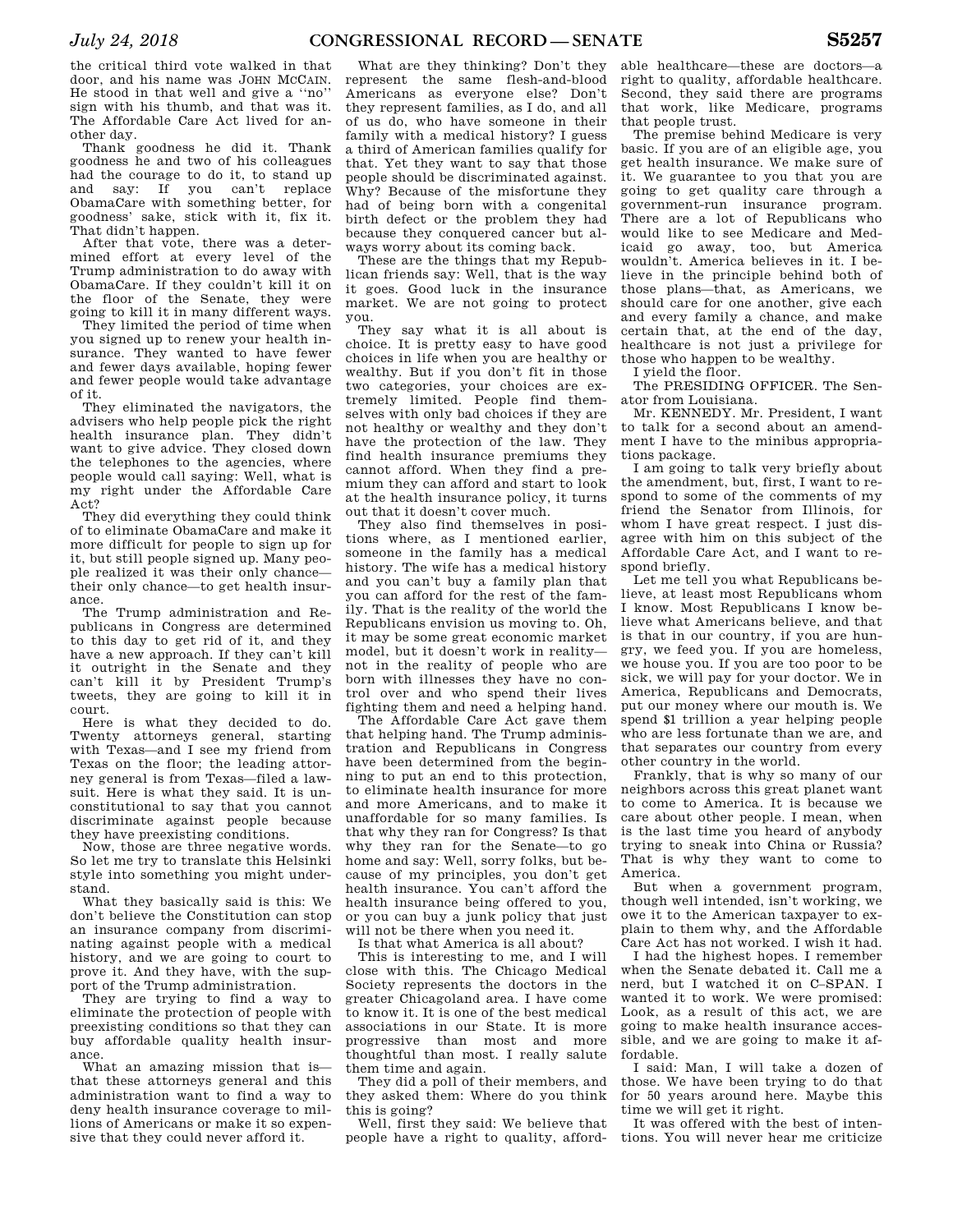the critical third vote walked in that door, and his name was JOHN MCCAIN. He stood in that well and give a ''no'' sign with his thumb, and that was it. The Affordable Care Act lived for another day.

Thank goodness he did it. Thank goodness he and two of his colleagues had the courage to do it, to stand up and say: If you can't replace ObamaCare with something better, for goodness' sake, stick with it, fix it. That didn't happen.

After that vote, there was a determined effort at every level of the Trump administration to do away with ObamaCare. If they couldn't kill it on the floor of the Senate, they were going to kill it in many different ways.

They limited the period of time when you signed up to renew your health insurance. They wanted to have fewer and fewer days available, hoping fewer and fewer people would take advantage of it.

They eliminated the navigators, the advisers who help people pick the right health insurance plan. They didn't want to give advice. They closed down the telephones to the agencies, where people would call saying: Well, what is my right under the Affordable Care Act?

They did everything they could think of to eliminate ObamaCare and make it more difficult for people to sign up for it, but still people signed up. Many people realized it was their only chance their only chance—to get health insurance.

The Trump administration and Republicans in Congress are determined to this day to get rid of it, and they have a new approach. If they can't kill it outright in the Senate and they can't kill it by President Trump's tweets, they are going to kill it in court.

Here is what they decided to do. Twenty attorneys general, starting with Texas—and I see my friend from Texas on the floor; the leading attorney general is from Texas—filed a lawsuit. Here is what they said. It is unconstitutional to say that you cannot discriminate against people because they have preexisting conditions.

Now, those are three negative words. So let me try to translate this Helsinki style into something you might understand.

What they basically said is this: We don't believe the Constitution can stop an insurance company from discriminating against people with a medical history, and we are going to court to prove it. And they have, with the support of the Trump administration.

They are trying to find a way to eliminate the protection of people with preexisting conditions so that they can buy affordable quality health insurance.

What an amazing mission that is that these attorneys general and this administration want to find a way to deny health insurance coverage to millions of Americans or make it so expensive that they could never afford it.

What are they thinking? Don't they represent the same flesh-and-blood Americans as everyone else? Don't they represent families, as I do, and all of us do, who have someone in their family with a medical history? I guess a third of American families qualify for that. Yet they want to say that those people should be discriminated against. Why? Because of the misfortune they had of being born with a congenital birth defect or the problem they had because they conquered cancer but always worry about its coming back.

These are the things that my Republican friends say: Well, that is the way it goes. Good luck in the insurance market. We are not going to protect you.

They say what it is all about is choice. It is pretty easy to have good choices in life when you are healthy or wealthy. But if you don't fit in those two categories, your choices are extremely limited. People find themselves with only bad choices if they are not healthy or wealthy and they don't have the protection of the law. They find health insurance premiums they cannot afford. When they find a premium they can afford and start to look at the health insurance policy, it turns out that it doesn't cover much.

They also find themselves in positions where, as I mentioned earlier, someone in the family has a medical history. The wife has a medical history and you can't buy a family plan that you can afford for the rest of the family. That is the reality of the world the Republicans envision us moving to. Oh, it may be some great economic market model, but it doesn't work in reality not in the reality of people who are born with illnesses they have no control over and who spend their lives fighting them and need a helping hand.

The Affordable Care Act gave them that helping hand. The Trump administration and Republicans in Congress have been determined from the beginning to put an end to this protection, to eliminate health insurance for more and more Americans, and to make it unaffordable for so many families. Is that why they ran for Congress? Is that why they ran for the Senate—to go home and say: Well, sorry folks, but because of my principles, you don't get health insurance. You can't afford the health insurance being offered to you, or you can buy a junk policy that just will not be there when you need it.

Is that what America is all about?

This is interesting to me, and I will close with this. The Chicago Medical Society represents the doctors in the greater Chicagoland area. I have come to know it. It is one of the best medical associations in our State. It is more progressive than most and more thoughtful than most. I really salute them time and again.

They did a poll of their members, and they asked them: Where do you think this is going?

Well, first they said: We believe that people have a right to quality, afford-

able healthcare—these are doctors—a right to quality, affordable healthcare. Second, they said there are programs that work, like Medicare, programs that people trust.

The premise behind Medicare is very basic. If you are of an eligible age, you get health insurance. We make sure of it. We guarantee to you that you are going to get quality care through a government-run insurance program. There are a lot of Republicans who would like to see Medicare and Medicaid go away, too, but America wouldn't. America believes in it. I believe in the principle behind both of those plans—that, as Americans, we should care for one another, give each and every family a chance, and make certain that, at the end of the day, healthcare is not just a privilege for those who happen to be wealthy.

I yield the floor.

The PRESIDING OFFICER. The Senator from Louisiana.

Mr. KENNEDY. Mr. President, I want to talk for a second about an amendment I have to the minibus appropriations package.

I am going to talk very briefly about the amendment, but, first, I want to respond to some of the comments of my friend the Senator from Illinois, for whom I have great respect. I just disagree with him on this subject of the Affordable Care Act, and I want to respond briefly.

Let me tell you what Republicans believe, at least most Republicans whom I know. Most Republicans I know believe what Americans believe, and that is that in our country, if you are hungry, we feed you. If you are homeless, we house you. If you are too poor to be sick, we will pay for your doctor. We in America, Republicans and Democrats, put our money where our mouth is. We spend \$1 trillion a year helping people who are less fortunate than we are, and that separates our country from every other country in the world.

Frankly, that is why so many of our neighbors across this great planet want to come to America. It is because we care about other people. I mean, when is the last time you heard of anybody trying to sneak into China or Russia? That is why they want to come to America.

But when a government program, though well intended, isn't working, we owe it to the American taxpayer to explain to them why, and the Affordable Care Act has not worked. I wish it had.

I had the highest hopes. I remember when the Senate debated it. Call me a nerd, but I watched it on C–SPAN. I wanted it to work. We were promised: Look, as a result of this act, we are going to make health insurance accessible, and we are going to make it affordable.

I said: Man, I will take a dozen of those. We have been trying to do that for 50 years around here. Maybe this time we will get it right.

It was offered with the best of intentions. You will never hear me criticize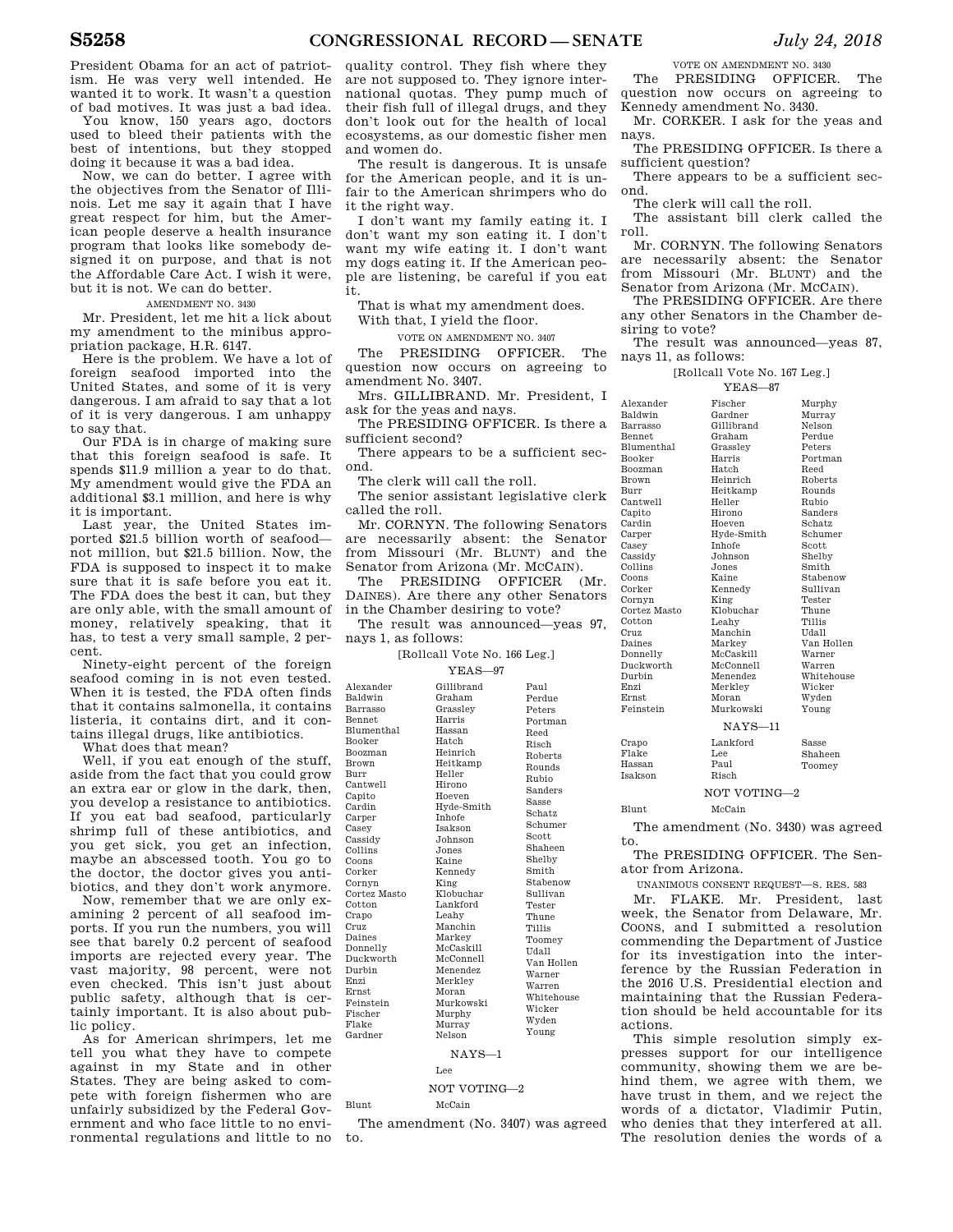President Obama for an act of patriotism. He was very well intended. He wanted it to work. It wasn't a question

of bad motives. It was just a bad idea. You know, 150 years ago, doctors used to bleed their patients with the best of intentions, but they stopped doing it because it was a bad idea.

Now, we can do better. I agree with the objectives from the Senator of Illinois. Let me say it again that I have great respect for him, but the American people deserve a health insurance program that looks like somebody designed it on purpose, and that is not the Affordable Care Act. I wish it were, but it is not. We can do better.

AMENDMENT NO. 3430

Mr. President, let me hit a lick about my amendment to the minibus appropriation package, H.R. 6147.

Here is the problem. We have a lot of foreign seafood imported into the United States, and some of it is very dangerous. I am afraid to say that a lot of it is very dangerous. I am unhappy to say that.

Our FDA is in charge of making sure that this foreign seafood is safe. It spends \$11.9 million a year to do that. My amendment would give the FDA an additional \$3.1 million, and here is why it is important.

Last year, the United States imported \$21.5 billion worth of seafood not million, but \$21.5 billion. Now, the FDA is supposed to inspect it to make sure that it is safe before you eat it. The FDA does the best it can, but they are only able, with the small amount of money, relatively speaking, that it has, to test a very small sample, 2 percent.

Ninety-eight percent of the foreign seafood coming in is not even tested. When it is tested, the FDA often finds that it contains salmonella, it contains listeria, it contains dirt, and it contains illegal drugs, like antibiotics.

What does that mean?

Well, if you eat enough of the stuff, aside from the fact that you could grow an extra ear or glow in the dark, then, you develop a resistance to antibiotics. If you eat bad seafood, particularly shrimp full of these antibiotics, and you get sick, you get an infection, maybe an abscessed tooth. You go to the doctor, the doctor gives you antibiotics, and they don't work anymore.

Now, remember that we are only examining 2 percent of all seafood imports. If you run the numbers, you will see that barely 0.2 percent of seafood imports are rejected every year. The vast majority, 98 percent, were not even checked. This isn't just about public safety, although that is certainly important. It is also about public policy.

As for American shrimpers, let me tell you what they have to compete against in my State and in other States. They are being asked to compete with foreign fishermen who are unfairly subsidized by the Federal Government and who face little to no environmental regulations and little to no

quality control. They fish where they are not supposed to. They ignore international quotas. They pump much of their fish full of illegal drugs, and they don't look out for the health of local ecosystems, as our domestic fisher men and women do.

The result is dangerous. It is unsafe for the American people, and it is unfair to the American shrimpers who do it the right way.

I don't want my family eating it. I don't want my son eating it. I don't want my wife eating it. I don't want my dogs eating it. If the American people are listening, be careful if you eat it.

That is what my amendment does. With that, I yield the floor.

VOTE ON AMENDMENT NO. 3407

The PRESIDING OFFICER. The question now occurs on agreeing to amendment No. 3407.

Mrs. GILLIBRAND. Mr. President, I ask for the yeas and nays.

The PRESIDING OFFICER. Is there a sufficient second?

There appears to be a sufficient second.

The clerk will call the roll.

The senior assistant legislative clerk called the roll.

Mr. CORNYN. The following Senators are necessarily absent: the Senator from Missouri (Mr. BLUNT) and the Senator from Arizona (Mr. MCCAIN).

The PRESIDING OFFICER (Mr. DAINES). Are there any other Senators in the Chamber desiring to vote?

|                     | The result was announced—veas 97. |  |
|---------------------|-----------------------------------|--|
| nays 1, as follows: |                                   |  |

[Rollcall Vote No. 166 Leg.]

| all Vote No. 16 |  |  |
|-----------------|--|--|
| $YEAS - 97$     |  |  |
|                 |  |  |

Alexander Baldwin Barrasso Bennet Blumenthal Booker Boozman Brown Burr Cantwell Capito Cardin Carper Casey Cassidy Collins Coons Corker Cornyn Cortez Masto Cotton Crapo Cruz Daines Donnelly Duckworth Durbin Enzi Ernst Feinstein Fischer Flake Gardner Gillibrand Graham Grassley Harris Hassan Hatch Heinrich Heitkamp Heller Hirono Hoeven Hyde-Smith Inhofe Isakson Johnson Jones Kaine Kennedy King Klobuchar Lankford Leahy Manchin Markey McCaskill McConnell Menendez Merkley Moran Murkowski Murphy Murray Nelson Paul Perdue Peters Portman Reed Risch Roberts Rounds Rubio Sanders Sasse Schatz Schumer Scott Shaheen Shelby Smith Stabenow Sullivan Tester Thune Tillis Toomey Udall Van Hollen Warner Warren Whitehouse Wicker Wyden Young NAYS—1 Lee

NOT VOTING—2 Blunt McCain

The amendment (No. 3407) was agreed to.

VOTE ON AMENDMENT NO. 3430

The PRESIDING OFFICER. The question now occurs on agreeing to Kennedy amendment No. 3430.

Mr. CORKER. I ask for the yeas and nays.

The PRESIDING OFFICER. Is there a sufficient question?

There appears to be a sufficient second.

The clerk will call the roll.

The assistant bill clerk called the roll.

Mr. CORNYN. The following Senators are necessarily absent: the Senator from Missouri (Mr. BLUNT) and the Senator from Arizona (Mr. MCCAIN).

The PRESIDING OFFICER. Are there any other Senators in the Chamber desiring to vote?

The result was announced—yeas 87, nays 11, as follows:

|                   | [Rollcall Vote No. 167 Leg.] |                |  |
|-------------------|------------------------------|----------------|--|
|                   | $YFAS-87$                    |                |  |
| Alexander         | Fischer                      | Murphy         |  |
| Baldwin           | Gardner                      | Murrav         |  |
| Barrasso          | Gillibrand                   | Nelson         |  |
| <b>Bennet</b>     | Graham                       | Perdue         |  |
| <b>Blumenthal</b> | Grasslev                     | Peters         |  |
| Booker            | Harris                       | Portman        |  |
| <b>Boozman</b>    | Hatch                        | Reed           |  |
| <b>Brown</b>      | Heinrich                     | <b>Roberts</b> |  |
| Burr              | Heitkamp                     | Rounds         |  |
| Cantwell          | Heller                       | Rubio          |  |
| Capito            | Hirono                       | Sanders        |  |
| Cardin            | Hoeven                       | Schatz         |  |
| Carper            | Hyde-Smith                   | Schumer        |  |
| Casev             | <b>Inhofe</b>                | Scott          |  |
| Cassidy           | Johnson                      | Shelby         |  |
| Collins           | Jones.                       | Smith          |  |
| Coons             | Kaine                        | Stabenow       |  |
| Corker            | Kennedy                      | Sullivan       |  |
| Cornyn            | King                         | Tester         |  |
| Cortez Masto      | Klobuchar                    | Thune          |  |
| Cotton            | Leahy                        | <b>Tillis</b>  |  |
| Cruz              | Manchin                      | Udall          |  |
| Daines            | Markey                       | Van Hollen     |  |
| Donnelly          | McCaskill                    | Warner         |  |
| Duckworth         | McConnell                    | Warren         |  |
| Durbin            | Menendez                     | Whitehouse     |  |
| Enzi              | Merklev                      | Wicker         |  |
| <b>Ernst</b>      | Moran                        | Wyden          |  |
| Feinstein         | Murkowski                    | Young          |  |
| $NAYS-11$         |                              |                |  |
| Crapo             | Lankford                     | Sasse          |  |
| Flake             | Lee                          | Shaheen        |  |
| Hassan            | Paul<br>Toomey               |                |  |
| <b>Isakson</b>    | Risch                        |                |  |
|                   |                              |                |  |

NOT VOTING—2

#### Blunt McCain

The amendment (No. 3430) was agreed to.

The PRESIDING OFFICER. The Senator from Arizona.

UNANIMOUS CONSENT REQUEST—S. RES. 583

Mr. FLAKE. Mr. President, last week, the Senator from Delaware, Mr. COONS, and I submitted a resolution commending the Department of Justice for its investigation into the interference by the Russian Federation in the 2016 U.S. Presidential election and maintaining that the Russian Federation should be held accountable for its actions.

This simple resolution simply expresses support for our intelligence community, showing them we are behind them, we agree with them, we have trust in them, and we reject the words of a dictator, Vladimir Putin, who denies that they interfered at all. The resolution denies the words of a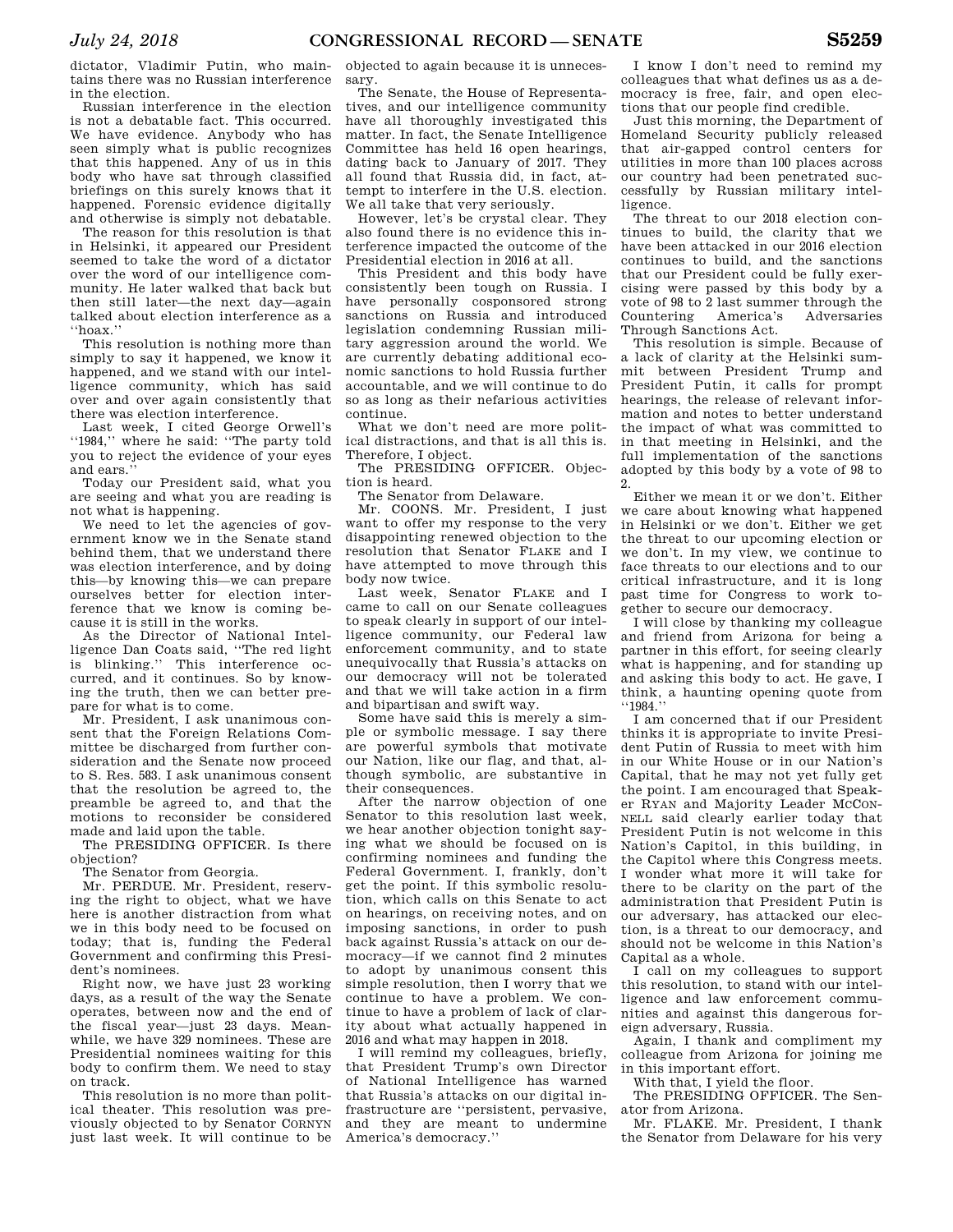dictator, Vladimir Putin, who maintains there was no Russian interference in the election.

Russian interference in the election is not a debatable fact. This occurred. We have evidence. Anybody who has seen simply what is public recognizes that this happened. Any of us in this body who have sat through classified briefings on this surely knows that it happened. Forensic evidence digitally and otherwise is simply not debatable.

The reason for this resolution is that in Helsinki, it appeared our President seemed to take the word of a dictator over the word of our intelligence community. He later walked that back but then still later—the next day—again talked about election interference as a ''hoax.''

This resolution is nothing more than simply to say it happened, we know it happened, and we stand with our intelligence community, which has said over and over again consistently that there was election interference.

Last week, I cited George Orwell's ''1984,'' where he said: ''The party told you to reject the evidence of your eyes and ears.''

Today our President said, what you are seeing and what you are reading is not what is happening.

We need to let the agencies of government know we in the Senate stand behind them, that we understand there was election interference, and by doing this—by knowing this—we can prepare ourselves better for election interference that we know is coming because it is still in the works.

As the Director of National Intelligence Dan Coats said, ''The red light is blinking.'' This interference occurred, and it continues. So by knowing the truth, then we can better prepare for what is to come.

Mr. President, I ask unanimous consent that the Foreign Relations Committee be discharged from further consideration and the Senate now proceed to S. Res. 583. I ask unanimous consent that the resolution be agreed to, the preamble be agreed to, and that the motions to reconsider be considered made and laid upon the table.

The PRESIDING OFFICER. Is there objection?

The Senator from Georgia.

Mr. PERDUE. Mr. President, reserving the right to object, what we have here is another distraction from what we in this body need to be focused on today; that is, funding the Federal Government and confirming this President's nominees.

Right now, we have just 23 working days, as a result of the way the Senate operates, between now and the end of the fiscal year—just 23 days. Meanwhile, we have 329 nominees. These are Presidential nominees waiting for this body to confirm them. We need to stay on track.

This resolution is no more than political theater. This resolution was previously objected to by Senator CORNYN just last week. It will continue to be objected to again because it is unnecessary.

The Senate, the House of Representatives, and our intelligence community have all thoroughly investigated this matter. In fact, the Senate Intelligence Committee has held 16 open hearings, dating back to January of 2017. They all found that Russia did, in fact, attempt to interfere in the U.S. election. We all take that very seriously.

However, let's be crystal clear. They also found there is no evidence this interference impacted the outcome of the Presidential election in 2016 at all.

This President and this body have consistently been tough on Russia. I have personally cosponsored strong sanctions on Russia and introduced legislation condemning Russian military aggression around the world. We are currently debating additional economic sanctions to hold Russia further accountable, and we will continue to do so as long as their nefarious activities continue.

What we don't need are more political distractions, and that is all this is. Therefore, I object.

The PRESIDING OFFICER. Objection is heard.

The Senator from Delaware.

Mr. COONS. Mr. President, I just want to offer my response to the very disappointing renewed objection to the resolution that Senator FLAKE and I have attempted to move through this body now twice.

Last week, Senator FLAKE and I came to call on our Senate colleagues to speak clearly in support of our intelligence community, our Federal law enforcement community, and to state unequivocally that Russia's attacks on our democracy will not be tolerated and that we will take action in a firm and bipartisan and swift way.

Some have said this is merely a simple or symbolic message. I say there are powerful symbols that motivate our Nation, like our flag, and that, although symbolic, are substantive in their consequences.

After the narrow objection of one Senator to this resolution last week, we hear another objection tonight saying what we should be focused on is confirming nominees and funding the Federal Government. I, frankly, don't get the point. If this symbolic resolution, which calls on this Senate to act on hearings, on receiving notes, and on imposing sanctions, in order to push back against Russia's attack on our democracy—if we cannot find 2 minutes to adopt by unanimous consent this simple resolution, then I worry that we continue to have a problem. We continue to have a problem of lack of clarity about what actually happened in 2016 and what may happen in 2018.

I will remind my colleagues, briefly, that President Trump's own Director of National Intelligence has warned that Russia's attacks on our digital infrastructure are ''persistent, pervasive, and they are meant to undermine America's democracy.''

I know I don't need to remind my colleagues that what defines us as a democracy is free, fair, and open elections that our people find credible.

Just this morning, the Department of Homeland Security publicly released that air-gapped control centers for utilities in more than 100 places across our country had been penetrated successfully by Russian military intelligence.

The threat to our 2018 election continues to build, the clarity that we have been attacked in our 2016 election continues to build, and the sanctions that our President could be fully exercising were passed by this body by a vote of 98 to 2 last summer through the Countering America's Adversaries Through Sanctions Act.

This resolution is simple. Because of a lack of clarity at the Helsinki summit between President Trump and President Putin, it calls for prompt hearings, the release of relevant information and notes to better understand the impact of what was committed to in that meeting in Helsinki, and the full implementation of the sanctions adopted by this body by a vote of 98 to 2.

Either we mean it or we don't. Either we care about knowing what happened in Helsinki or we don't. Either we get the threat to our upcoming election or we don't. In my view, we continue to face threats to our elections and to our critical infrastructure, and it is long past time for Congress to work together to secure our democracy.

I will close by thanking my colleague and friend from Arizona for being a partner in this effort, for seeing clearly what is happening, and for standing up and asking this body to act. He gave, I think, a haunting opening quote from ''1984.''

I am concerned that if our President thinks it is appropriate to invite President Putin of Russia to meet with him in our White House or in our Nation's Capital, that he may not yet fully get the point. I am encouraged that Speaker RYAN and Majority Leader MCCON-NELL said clearly earlier today that President Putin is not welcome in this Nation's Capitol, in this building, in the Capitol where this Congress meets. I wonder what more it will take for there to be clarity on the part of the administration that President Putin is our adversary, has attacked our election, is a threat to our democracy, and should not be welcome in this Nation's Capital as a whole.

I call on my colleagues to support this resolution, to stand with our intelligence and law enforcement communities and against this dangerous foreign adversary, Russia.

Again, I thank and compliment my colleague from Arizona for joining me in this important effort.

With that, I yield the floor.

The PRESIDING OFFICER. The Senator from Arizona.

Mr. FLAKE. Mr. President, I thank the Senator from Delaware for his very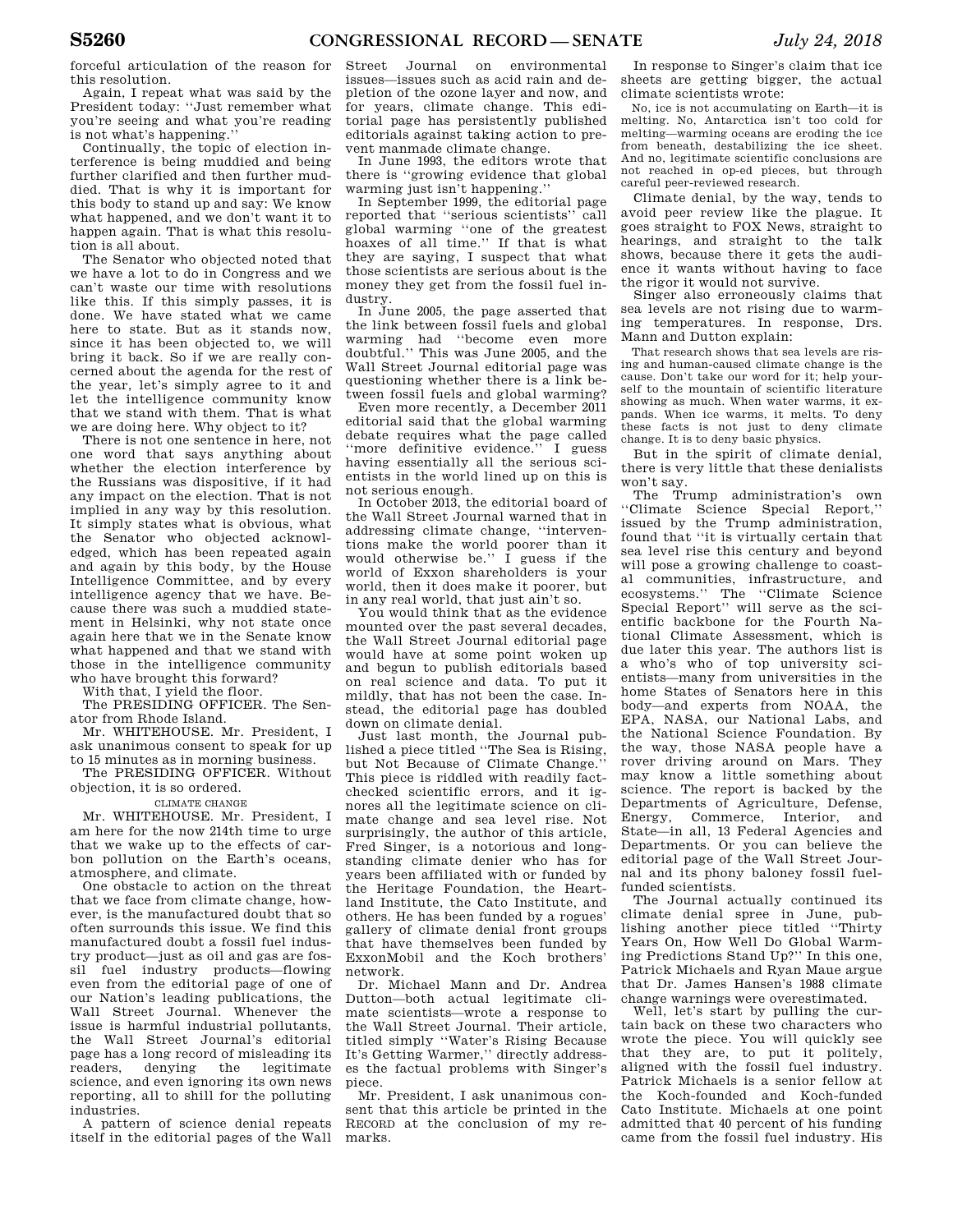forceful articulation of the reason for this resolution.

Again, I repeat what was said by the President today: ''Just remember what you're seeing and what you're reading is not what's happening.''

Continually, the topic of election interference is being muddied and being further clarified and then further muddied. That is why it is important for this body to stand up and say: We know what happened, and we don't want it to happen again. That is what this resolution is all about.

The Senator who objected noted that we have a lot to do in Congress and we can't waste our time with resolutions like this. If this simply passes, it is done. We have stated what we came here to state. But as it stands now, since it has been objected to, we will bring it back. So if we are really concerned about the agenda for the rest of the year, let's simply agree to it and let the intelligence community know that we stand with them. That is what we are doing here. Why object to it?

There is not one sentence in here, not one word that says anything about whether the election interference by the Russians was dispositive, if it had any impact on the election. That is not implied in any way by this resolution. It simply states what is obvious, what the Senator who objected acknowledged, which has been repeated again and again by this body, by the House Intelligence Committee, and by every intelligence agency that we have. Because there was such a muddied statement in Helsinki, why not state once again here that we in the Senate know what happened and that we stand with those in the intelligence community who have brought this forward?

With that, I yield the floor.

The PRESIDING OFFICER. The Senator from Rhode Island.

Mr. WHITEHOUSE. Mr. President, I ask unanimous consent to speak for up to 15 minutes as in morning business.

The PRESIDING OFFICER. Without objection, it is so ordered.

#### CLIMATE CHANGE

Mr. WHITEHOUSE. Mr. President, I am here for the now 214th time to urge that we wake up to the effects of carbon pollution on the Earth's oceans, atmosphere, and climate.

One obstacle to action on the threat that we face from climate change, however, is the manufactured doubt that so often surrounds this issue. We find this manufactured doubt a fossil fuel industry product—just as oil and gas are fossil fuel industry products—flowing even from the editorial page of one of our Nation's leading publications, the Wall Street Journal. Whenever the issue is harmful industrial pollutants, the Wall Street Journal's editorial page has a long record of misleading its<br>readers, denying the legitimate readers, denying the science, and even ignoring its own news reporting, all to shill for the polluting industries.

A pattern of science denial repeats itself in the editorial pages of the Wall

Street Journal on environmental issues—issues such as acid rain and depletion of the ozone layer and now, and for years, climate change. This editorial page has persistently published editorials against taking action to prevent manmade climate change.

In June 1993, the editors wrote that there is ''growing evidence that global warming just isn't happening.''

In September 1999, the editorial page reported that ''serious scientists'' call global warming ''one of the greatest hoaxes of all time.'' If that is what they are saying, I suspect that what those scientists are serious about is the money they get from the fossil fuel industry.

In June 2005, the page asserted that the link between fossil fuels and global warming had ''become even more doubtful.'' This was June 2005, and the Wall Street Journal editorial page was questioning whether there is a link between fossil fuels and global warming?

Even more recently, a December 2011 editorial said that the global warming debate requires what the page called "more definitive evidence." I guess having essentially all the serious scientists in the world lined up on this is not serious enough.

In October 2013, the editorial board of the Wall Street Journal warned that in addressing climate change, ''interventions make the world poorer than it would otherwise be.'' I guess if the world of Exxon shareholders is your world, then it does make it poorer, but in any real world, that just ain't so.

You would think that as the evidence mounted over the past several decades, the Wall Street Journal editorial page would have at some point woken up and begun to publish editorials based on real science and data. To put it mildly, that has not been the case. Instead, the editorial page has doubled down on climate denial.

Just last month, the Journal published a piece titled ''The Sea is Rising, but Not Because of Climate Change.'' This piece is riddled with readily factchecked scientific errors, and it ignores all the legitimate science on climate change and sea level rise. Not surprisingly, the author of this article, Fred Singer, is a notorious and longstanding climate denier who has for years been affiliated with or funded by the Heritage Foundation, the Heartland Institute, the Cato Institute, and others. He has been funded by a rogues' gallery of climate denial front groups that have themselves been funded by ExxonMobil and the Koch brothers' network.

Dr. Michael Mann and Dr. Andrea Dutton—both actual legitimate climate scientists—wrote a response to the Wall Street Journal. Their article, titled simply ''Water's Rising Because It's Getting Warmer,'' directly addresses the factual problems with Singer's piece.

Mr. President, I ask unanimous consent that this article be printed in the RECORD at the conclusion of my remarks.

In response to Singer's claim that ice sheets are getting bigger, the actual climate scientists wrote:

No, ice is not accumulating on Earth—it is melting. No, Antarctica isn't too cold for melting—warming oceans are eroding the ice from beneath, destabilizing the ice sheet. And no, legitimate scientific conclusions are not reached in op-ed pieces, but through careful peer-reviewed research.

Climate denial, by the way, tends to avoid peer review like the plague. It goes straight to FOX News, straight to hearings, and straight to the talk shows, because there it gets the audience it wants without having to face the rigor it would not survive.

Singer also erroneously claims that sea levels are not rising due to warming temperatures. In response, Drs. Mann and Dutton explain:

That research shows that sea levels are rising and human-caused climate change is the cause. Don't take our word for it; help yourself to the mountain of scientific literature showing as much. When water warms, it expands. When ice warms, it melts. To deny these facts is not just to deny climate change. It is to deny basic physics.

But in the spirit of climate denial, there is very little that these denialists won't say.

The Trump administration's own ''Climate Science Special Report,'' issued by the Trump administration, found that ''it is virtually certain that sea level rise this century and beyond will pose a growing challenge to coastal communities, infrastructure, and ecosystems.'' The ''Climate Science Special Report'' will serve as the scientific backbone for the Fourth National Climate Assessment, which is due later this year. The authors list is a who's who of top university scientists—many from universities in the home States of Senators here in this body—and experts from NOAA, the EPA, NASA, our National Labs, and the National Science Foundation. By the way, those NASA people have a rover driving around on Mars. They may know a little something about science. The report is backed by the Departments of Agriculture, Defense, Energy, Commerce, Interior, and State—in all, 13 Federal Agencies and Departments. Or you can believe the editorial page of the Wall Street Journal and its phony baloney fossil fuelfunded scientists.

The Journal actually continued its climate denial spree in June, publishing another piece titled ''Thirty Years On, How Well Do Global Warming Predictions Stand Up?'' In this one, Patrick Michaels and Ryan Maue argue that Dr. James Hansen's 1988 climate change warnings were overestimated.

Well, let's start by pulling the curtain back on these two characters who wrote the piece. You will quickly see that they are, to put it politely, aligned with the fossil fuel industry. Patrick Michaels is a senior fellow at the Koch-founded and Koch-funded Cato Institute. Michaels at one point admitted that 40 percent of his funding came from the fossil fuel industry. His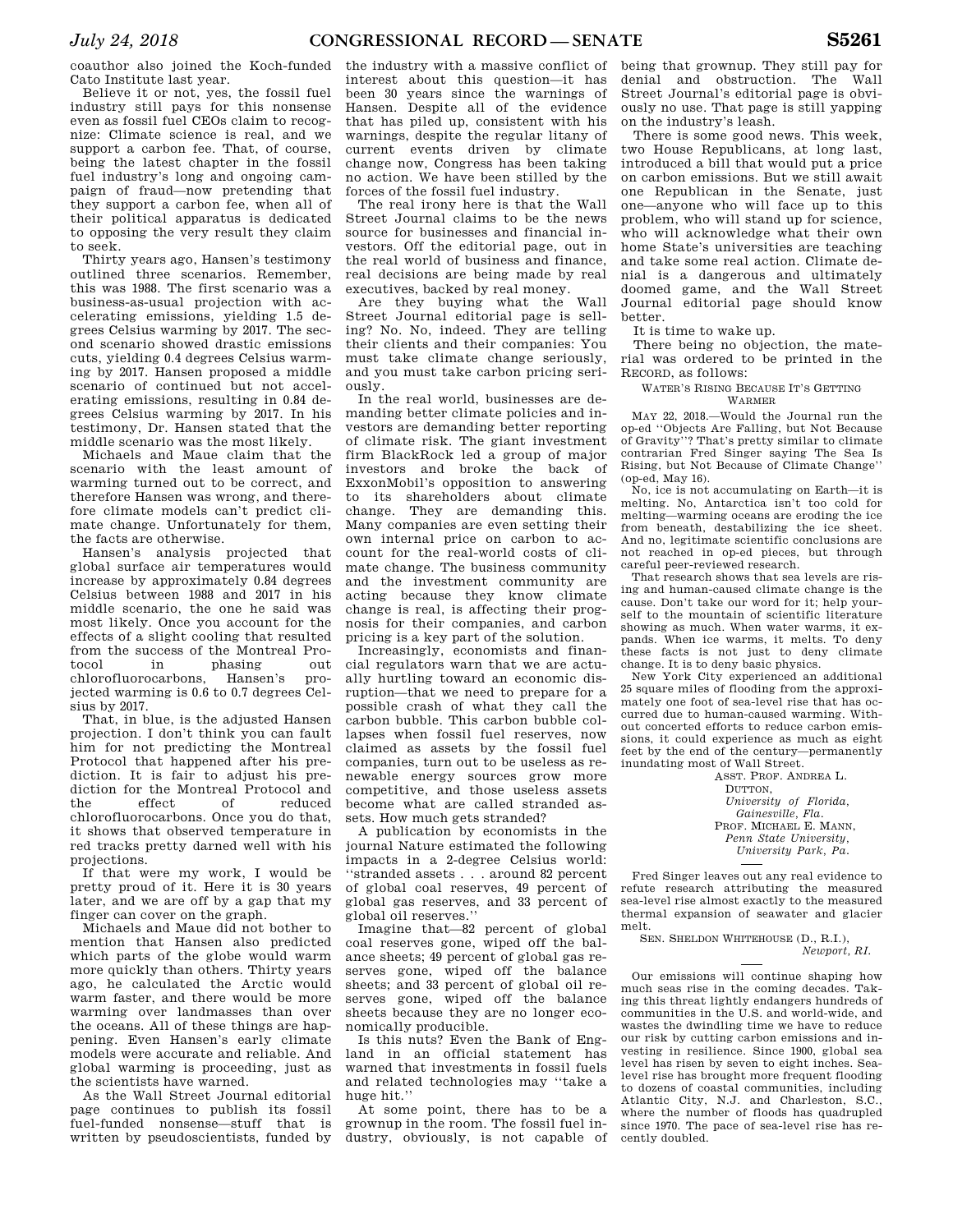coauthor also joined the Koch-funded Cato Institute last year.

Believe it or not, yes, the fossil fuel industry still pays for this nonsense even as fossil fuel CEOs claim to recognize: Climate science is real, and we support a carbon fee. That, of course, being the latest chapter in the fossil fuel industry's long and ongoing campaign of fraud—now pretending that they support a carbon fee, when all of their political apparatus is dedicated to opposing the very result they claim to seek.

Thirty years ago, Hansen's testimony outlined three scenarios. Remember, this was 1988. The first scenario was a business-as-usual projection with accelerating emissions, yielding 1.5 degrees Celsius warming by 2017. The second scenario showed drastic emissions cuts, yielding 0.4 degrees Celsius warming by 2017. Hansen proposed a middle scenario of continued but not accelerating emissions, resulting in 0.84 degrees Celsius warming by 2017. In his testimony, Dr. Hansen stated that the middle scenario was the most likely.

Michaels and Maue claim that the scenario with the least amount of warming turned out to be correct, and therefore Hansen was wrong, and therefore climate models can't predict climate change. Unfortunately for them, the facts are otherwise.

Hansen's analysis projected that global surface air temperatures would increase by approximately 0.84 degrees Celsius between 1988 and 2017 in his middle scenario, the one he said was most likely. Once you account for the effects of a slight cooling that resulted from the success of the Montreal Pro-<br>tocol in phasing out phasing out chlorofluorocarbons, Hansen's projected warming is 0.6 to 0.7 degrees Celsius by 2017.

That, in blue, is the adjusted Hansen projection. I don't think you can fault him for not predicting the Montreal Protocol that happened after his prediction. It is fair to adjust his prediction for the Montreal Protocol and the effect of reduced chlorofluorocarbons. Once you do that, it shows that observed temperature in red tracks pretty darned well with his projections.

If that were my work, I would be pretty proud of it. Here it is 30 years later, and we are off by a gap that my finger can cover on the graph.

Michaels and Maue did not bother to mention that Hansen also predicted which parts of the globe would warm more quickly than others. Thirty years ago, he calculated the Arctic would warm faster, and there would be more warming over landmasses than over the oceans. All of these things are happening. Even Hansen's early climate models were accurate and reliable. And global warming is proceeding, just as the scientists have warned.

As the Wall Street Journal editorial page continues to publish its fossil fuel-funded nonsense—stuff that is written by pseudoscientists, funded by

the industry with a massive conflict of interest about this question—it has been 30 years since the warnings of Hansen. Despite all of the evidence that has piled up, consistent with his warnings, despite the regular litany of current events driven by climate change now, Congress has been taking no action. We have been stilled by the forces of the fossil fuel industry.

The real irony here is that the Wall Street Journal claims to be the news source for businesses and financial investors. Off the editorial page, out in the real world of business and finance, real decisions are being made by real executives, backed by real money.

Are they buying what the Wall Street Journal editorial page is selling? No. No, indeed. They are telling their clients and their companies: You must take climate change seriously, and you must take carbon pricing seriously.

In the real world, businesses are demanding better climate policies and investors are demanding better reporting of climate risk. The giant investment firm BlackRock led a group of major investors and broke the back of ExxonMobil's opposition to answering to its shareholders about climate change. They are demanding this. Many companies are even setting their own internal price on carbon to account for the real-world costs of climate change. The business community and the investment community are acting because they know climate change is real, is affecting their prognosis for their companies, and carbon pricing is a key part of the solution.

Increasingly, economists and financial regulators warn that we are actually hurtling toward an economic disruption—that we need to prepare for a possible crash of what they call the carbon bubble. This carbon bubble collapses when fossil fuel reserves, now claimed as assets by the fossil fuel companies, turn out to be useless as renewable energy sources grow more competitive, and those useless assets become what are called stranded assets. How much gets stranded?

A publication by economists in the journal Nature estimated the following impacts in a 2-degree Celsius world: ''stranded assets . . . around 82 percent of global coal reserves, 49 percent of global gas reserves, and 33 percent of global oil reserves.''

Imagine that—82 percent of global coal reserves gone, wiped off the balance sheets; 49 percent of global gas reserves gone, wiped off the balance sheets; and 33 percent of global oil reserves gone, wiped off the balance sheets because they are no longer economically producible.

Is this nuts? Even the Bank of England in an official statement has warned that investments in fossil fuels and related technologies may ''take a huge hit.''

At some point, there has to be a grownup in the room. The fossil fuel industry, obviously, is not capable of being that grownup. They still pay for denial and obstruction. The Wall Street Journal's editorial page is obviously no use. That page is still yapping on the industry's leash.

There is some good news. This week, two House Republicans, at long last, introduced a bill that would put a price on carbon emissions. But we still await one Republican in the Senate, just one—anyone who will face up to this problem, who will stand up for science, who will acknowledge what their own home State's universities are teaching and take some real action. Climate denial is a dangerous and ultimately doomed game, and the Wall Street Journal editorial page should know better.

It is time to wake up.

There being no objection, the material was ordered to be printed in the RECORD, as follows:

#### WATER'S RISING BECAUSE IT'S GETTING WARMER

MAY 22, 2018.—Would the Journal run the op-ed ''Objects Are Falling, but Not Because of Gravity''? That's pretty similar to climate contrarian Fred Singer saying The Sea Is Rising, but Not Because of Climate Change'' (op-ed, May 16).

No, ice is not accumulating on Earth—it is melting. No, Antarctica isn't too cold for melting—warming oceans are eroding the ice from beneath, destabilizing the ice sheet. And no, legitimate scientific conclusions are not reached in op-ed pieces, but through careful peer-reviewed research.

That research shows that sea levels are rising and human-caused climate change is the cause. Don't take our word for it; help yourself to the mountain of scientific literature showing as much. When water warms, it expands. When ice warms, it melts. To deny these facts is not just to deny climate change. It is to deny basic physics.

New York City experienced an additional 25 square miles of flooding from the approximately one foot of sea-level rise that has occurred due to human-caused warming. Without concerted efforts to reduce carbon emissions, it could experience as much as eight feet by the end of the century—permanently inundating most of Wall Street.

ASST. PROF. ANDREA L. DUTTON. *University of Florida, Gainesville, Fla.*  PROF. MICHAEL E. MANN, *Penn State University, University Park, Pa.* 

Fred Singer leaves out any real evidence to refute research attributing the measured sea-level rise almost exactly to the measured thermal expansion of seawater and glacier melt.

SEN. SHELDON WHITEHOUSE (D., R.I.) *Newport, RI.* 

Our emissions will continue shaping how much seas rise in the coming decades. Taking this threat lightly endangers hundreds of communities in the U.S. and world-wide, and wastes the dwindling time we have to reduce our risk by cutting carbon emissions and investing in resilience. Since 1900, global sea level has risen by seven to eight inches. Sealevel rise has brought more frequent flooding to dozens of coastal communities, including Atlantic City, N.J. and Charleston, S.C., where the number of floods has quadrupled since 1970. The pace of sea-level rise has recently doubled.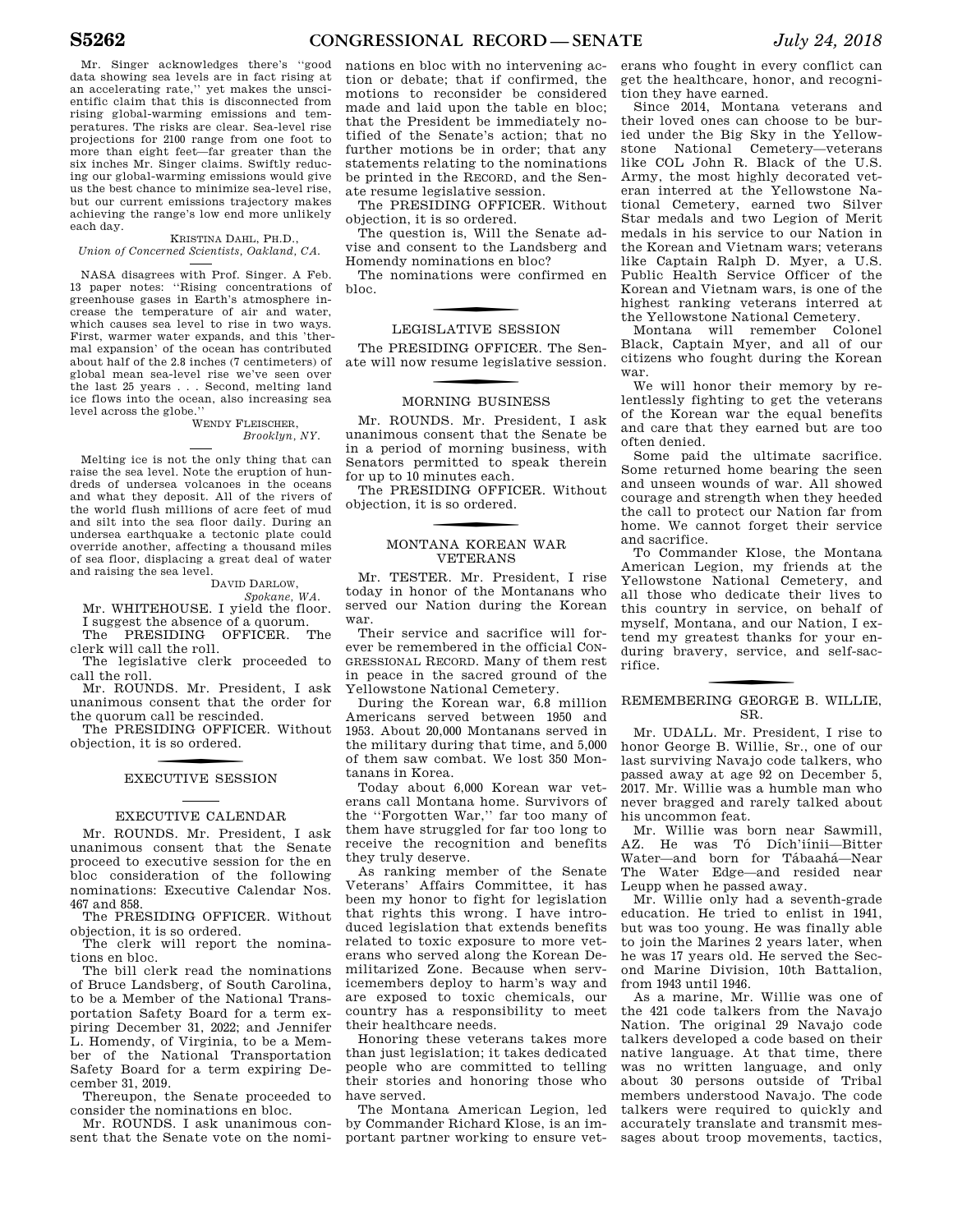Mr. Singer acknowledges there's ''good data showing sea levels are in fact rising at an accelerating rate,'' yet makes the unscientific claim that this is disconnected from rising global-warming emissions and temperatures. The risks are clear. Sea-level rise projections for 2100 range from one foot to more than eight feet—far greater than the six inches Mr. Singer claims. Swiftly reducing our global-warming emissions would give us the best chance to minimize sea-level rise, but our current emissions trajectory makes achieving the range's low end more unlikely each day.

KRISTINA DAHL, PH.D., *Union of Concerned Scientists, Oakland, CA.* 

NASA disagrees with Prof. Singer. A Feb. 13 paper notes: ''Rising concentrations of greenhouse gases in Earth's atmosphere increase the temperature of air and water, which causes sea level to rise in two ways. First, warmer water expands, and this 'thermal expansion' of the ocean has contributed about half of the 2.8 inches (7 centimeters) of global mean sea-level rise we've seen over the last 25 years . . . Second, melting land ice flows into the ocean, also increasing sea level across the globe.''

WENDY FLEISCHER, *Brooklyn, NY.* 

Melting ice is not the only thing that can raise the sea level. Note the eruption of hundreds of undersea volcanoes in the oceans and what they deposit. All of the rivers of the world flush millions of acre feet of mud and silt into the sea floor daily. During an undersea earthquake a tectonic plate could override another, affecting a thousand miles of sea floor, displacing a great deal of water and raising the sea level.

#### DAVID DARLOW,

*Spokane, WA.* 

Mr. WHITEHOUSE. I yield the floor. I suggest the absence of a quorum. The PRESIDING OFFICER. The

clerk will call the roll. The legislative clerk proceeded to

call the roll.

Mr. ROUNDS. Mr. President, I ask unanimous consent that the order for the quorum call be rescinded.

The PRESIDING OFFICER. Without objection, it is so ordered.

# f EXECUTIVE SESSION

#### EXECUTIVE CALENDAR

Mr. ROUNDS. Mr. President, I ask unanimous consent that the Senate proceed to executive session for the en bloc consideration of the following nominations: Executive Calendar Nos. 467 and 858.

The PRESIDING OFFICER. Without objection, it is so ordered.

The clerk will report the nominations en bloc.

The bill clerk read the nominations of Bruce Landsberg, of South Carolina, to be a Member of the National Transportation Safety Board for a term expiring December 31, 2022; and Jennifer L. Homendy, of Virginia, to be a Member of the National Transportation Safety Board for a term expiring December 31, 2019.

Thereupon, the Senate proceeded to consider the nominations en bloc.

Mr. ROUNDS. I ask unanimous consent that the Senate vote on the nomi-

nations en bloc with no intervening action or debate; that if confirmed, the motions to reconsider be considered made and laid upon the table en bloc; that the President be immediately notified of the Senate's action; that no further motions be in order; that any statements relating to the nominations be printed in the RECORD, and the Senate resume legislative session.

The PRESIDING OFFICER. Without objection, it is so ordered.

The question is, Will the Senate advise and consent to the Landsberg and Homendy nominations en bloc?

The nominations were confirmed en bloc.

# LEGISLATIVE SESSION

The PRESIDING OFFICER. The Senate will now resume legislative session.

# f MORNING BUSINESS

Mr. ROUNDS. Mr. President, I ask unanimous consent that the Senate be in a period of morning business, with Senators permitted to speak therein for up to 10 minutes each.

The PRESIDING OFFICER. Without objection, it is so ordered.

#### MONTANA KOREAN WAR VETERANS

Mr. TESTER. Mr. President, I rise today in honor of the Montanans who served our Nation during the Korean war.

Their service and sacrifice will forever be remembered in the official CON-GRESSIONAL RECORD. Many of them rest in peace in the sacred ground of the Yellowstone National Cemetery.

During the Korean war, 6.8 million Americans served between 1950 and 1953. About 20,000 Montanans served in the military during that time, and 5,000 of them saw combat. We lost 350 Montanans in Korea.

Today about 6,000 Korean war veterans call Montana home. Survivors of the ''Forgotten War,'' far too many of them have struggled for far too long to receive the recognition and benefits they truly deserve.

As ranking member of the Senate Veterans' Affairs Committee, it has been my honor to fight for legislation that rights this wrong. I have introduced legislation that extends benefits related to toxic exposure to more veterans who served along the Korean Demilitarized Zone. Because when servicemembers deploy to harm's way and are exposed to toxic chemicals, our country has a responsibility to meet their healthcare needs.

Honoring these veterans takes more than just legislation; it takes dedicated people who are committed to telling their stories and honoring those who have served.

The Montana American Legion, led by Commander Richard Klose, is an important partner working to ensure veterans who fought in every conflict can get the healthcare, honor, and recognition they have earned.

Since 2014, Montana veterans and their loved ones can choose to be buried under the Big Sky in the Yellowstone National Cemetery—veterans like COL John R. Black of the U.S. Army, the most highly decorated veteran interred at the Yellowstone National Cemetery, earned two Silver Star medals and two Legion of Merit medals in his service to our Nation in the Korean and Vietnam wars; veterans like Captain Ralph D. Myer, a U.S. Public Health Service Officer of the Korean and Vietnam wars, is one of the highest ranking veterans interred at the Yellowstone National Cemetery.

Montana will remember Colonel Black, Captain Myer, and all of our citizens who fought during the Korean war.

We will honor their memory by relentlessly fighting to get the veterans of the Korean war the equal benefits and care that they earned but are too often denied.

Some paid the ultimate sacrifice. Some returned home bearing the seen and unseen wounds of war. All showed courage and strength when they heeded the call to protect our Nation far from home. We cannot forget their service and sacrifice.

To Commander Klose, the Montana American Legion, my friends at the Yellowstone National Cemetery, and all those who dedicate their lives to this country in service, on behalf of myself, Montana, and our Nation, I extend my greatest thanks for your enduring bravery, service, and self-sacrifice.

#### f REMEMBERING GEORGE B. WILLIE, SR.

Mr. UDALL. Mr. President, I rise to honor George B. Willie, Sr., one of our last surviving Navajo code talkers, who passed away at age 92 on December 5, 2017. Mr. Willie was a humble man who never bragged and rarely talked about his uncommon feat.

Mr. Willie was born near Sawmill, AZ. He was Tó Dích'iinii—Bitter Water—and born for Tábaahá—Near The Water Edge—and resided near Leupp when he passed away.

Mr. Willie only had a seventh-grade education. He tried to enlist in 1941, but was too young. He was finally able to join the Marines 2 years later, when he was 17 years old. He served the Second Marine Division, 10th Battalion, from 1943 until 1946.

As a marine, Mr. Willie was one of the 421 code talkers from the Navajo Nation. The original 29 Navajo code talkers developed a code based on their native language. At that time, there was no written language, and only about 30 persons outside of Tribal members understood Navajo. The code talkers were required to quickly and accurately translate and transmit messages about troop movements, tactics,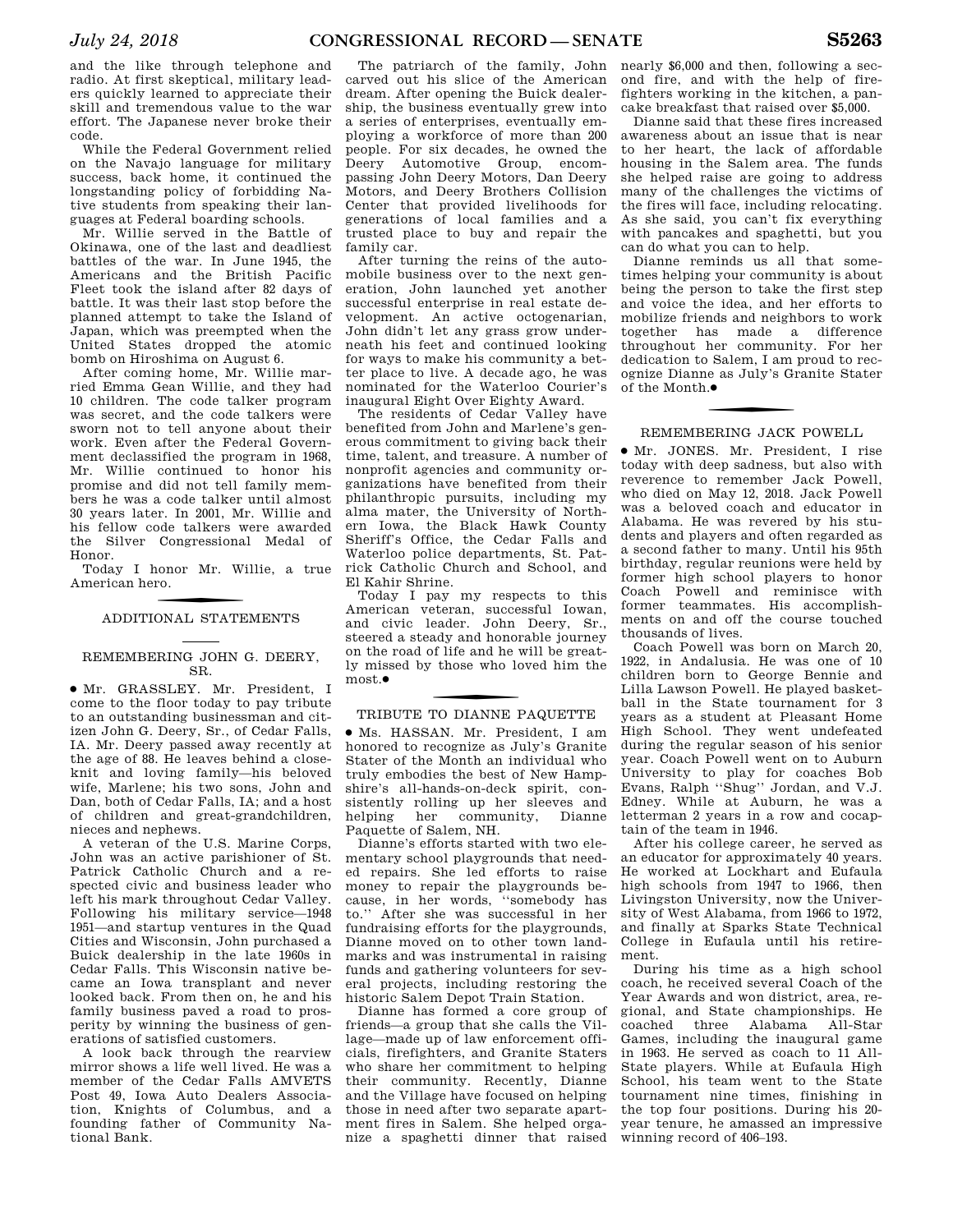and the like through telephone and radio. At first skeptical, military leaders quickly learned to appreciate their skill and tremendous value to the war effort. The Japanese never broke their code.

While the Federal Government relied on the Navajo language for military success, back home, it continued the longstanding policy of forbidding Native students from speaking their languages at Federal boarding schools.

Mr. Willie served in the Battle of Okinawa, one of the last and deadliest battles of the war. In June 1945, the Americans and the British Pacific Fleet took the island after 82 days of battle. It was their last stop before the planned attempt to take the Island of Japan, which was preempted when the United States dropped the atomic bomb on Hiroshima on August 6.

After coming home, Mr. Willie married Emma Gean Willie, and they had 10 children. The code talker program was secret, and the code talkers were sworn not to tell anyone about their work. Even after the Federal Government declassified the program in 1968, Mr. Willie continued to honor his promise and did not tell family members he was a code talker until almost 30 years later. In 2001, Mr. Willie and his fellow code talkers were awarded the Silver Congressional Medal of Honor.

Today I honor Mr. Willie, a true American hero.

# f ADDITIONAL STATEMENTS

# REMEMBERING JOHN G. DEERY, SR.

∑ Mr. GRASSLEY. Mr. President, I come to the floor today to pay tribute to an outstanding businessman and citizen John G. Deery, Sr., of Cedar Falls, IA. Mr. Deery passed away recently at the age of 88. He leaves behind a closeknit and loving family—his beloved wife, Marlene; his two sons, John and Dan, both of Cedar Falls, IA; and a host of children and great-grandchildren, nieces and nephews.

A veteran of the U.S. Marine Corps, John was an active parishioner of St. Patrick Catholic Church and a respected civic and business leader who left his mark throughout Cedar Valley. Following his military service—1948 1951—and startup ventures in the Quad Cities and Wisconsin, John purchased a Buick dealership in the late 1960s in Cedar Falls. This Wisconsin native became an Iowa transplant and never looked back. From then on, he and his family business paved a road to prosperity by winning the business of generations of satisfied customers.

A look back through the rearview mirror shows a life well lived. He was a member of the Cedar Falls AMVETS Post 49, Iowa Auto Dealers Association, Knights of Columbus, and a founding father of Community National Bank.

The patriarch of the family, John carved out his slice of the American dream. After opening the Buick dealership, the business eventually grew into a series of enterprises, eventually employing a workforce of more than 200 people. For six decades, he owned the Deery Automotive Group, encompassing John Deery Motors, Dan Deery Motors, and Deery Brothers Collision Center that provided livelihoods for generations of local families and a trusted place to buy and repair the family car.

After turning the reins of the automobile business over to the next generation, John launched yet another successful enterprise in real estate development. An active octogenarian, John didn't let any grass grow underneath his feet and continued looking for ways to make his community a better place to live. A decade ago, he was nominated for the Waterloo Courier's inaugural Eight Over Eighty Award.

The residents of Cedar Valley have benefited from John and Marlene's generous commitment to giving back their time, talent, and treasure. A number of nonprofit agencies and community organizations have benefited from their philanthropic pursuits, including my alma mater, the University of Northern Iowa, the Black Hawk County Sheriff's Office, the Cedar Falls and Waterloo police departments, St. Patrick Catholic Church and School, and El Kahir Shrine.

Today I pay my respects to this American veteran, successful Iowan, and civic leader. John Deery, Sr., steered a steady and honorable journey on the road of life and he will be greatly missed by those who loved him the most.●

# f TRIBUTE TO DIANNE PAQUETTE

∑ Ms. HASSAN. Mr. President, I am honored to recognize as July's Granite Stater of the Month an individual who truly embodies the best of New Hampshire's all-hands-on-deck spirit, consistently rolling up her sleeves and helping her community, Dianne Paquette of Salem, NH.

Dianne's efforts started with two elementary school playgrounds that needed repairs. She led efforts to raise money to repair the playgrounds because, in her words, ''somebody has to.'' After she was successful in her fundraising efforts for the playgrounds, Dianne moved on to other town landmarks and was instrumental in raising funds and gathering volunteers for several projects, including restoring the historic Salem Depot Train Station.

Dianne has formed a core group of friends—a group that she calls the Village—made up of law enforcement officials, firefighters, and Granite Staters who share her commitment to helping their community. Recently, Dianne and the Village have focused on helping those in need after two separate apartment fires in Salem. She helped organize a spaghetti dinner that raised

nearly \$6,000 and then, following a second fire, and with the help of firefighters working in the kitchen, a pancake breakfast that raised over \$5,000.

Dianne said that these fires increased awareness about an issue that is near to her heart, the lack of affordable housing in the Salem area. The funds she helped raise are going to address many of the challenges the victims of the fires will face, including relocating. As she said, you can't fix everything with pancakes and spaghetti, but you can do what you can to help.

Dianne reminds us all that sometimes helping your community is about being the person to take the first step and voice the idea, and her efforts to mobilize friends and neighbors to work together has made a difference throughout her community. For her dedication to Salem, I am proud to recognize Dianne as July's Granite Stater of the Month. ∑

# REMEMBERING JACK POWELL

∑ Mr. JONES. Mr. President, I rise today with deep sadness, but also with reverence to remember Jack Powell, who died on May 12, 2018. Jack Powell was a beloved coach and educator in Alabama. He was revered by his students and players and often regarded as a second father to many. Until his 95th birthday, regular reunions were held by former high school players to honor Coach Powell and reminisce with former teammates. His accomplishments on and off the course touched thousands of lives.

Coach Powell was born on March 20, 1922, in Andalusia. He was one of 10 children born to George Bennie and Lilla Lawson Powell. He played basketball in the State tournament for 3 years as a student at Pleasant Home High School. They went undefeated during the regular season of his senior year. Coach Powell went on to Auburn University to play for coaches Bob Evans, Ralph ''Shug'' Jordan, and V.J. Edney. While at Auburn, he was a letterman 2 years in a row and cocaptain of the team in 1946.

After his college career, he served as an educator for approximately 40 years. He worked at Lockhart and Eufaula high schools from 1947 to 1966, then Livingston University, now the University of West Alabama, from 1966 to 1972, and finally at Sparks State Technical College in Eufaula until his retirement.

During his time as a high school coach, he received several Coach of the Year Awards and won district, area, regional, and State championships. He coached three Alabama All-Star Games, including the inaugural game in 1963. He served as coach to 11 All-State players. While at Eufaula High School, his team went to the State tournament nine times, finishing in the top four positions. During his 20 year tenure, he amassed an impressive winning record of 406–193.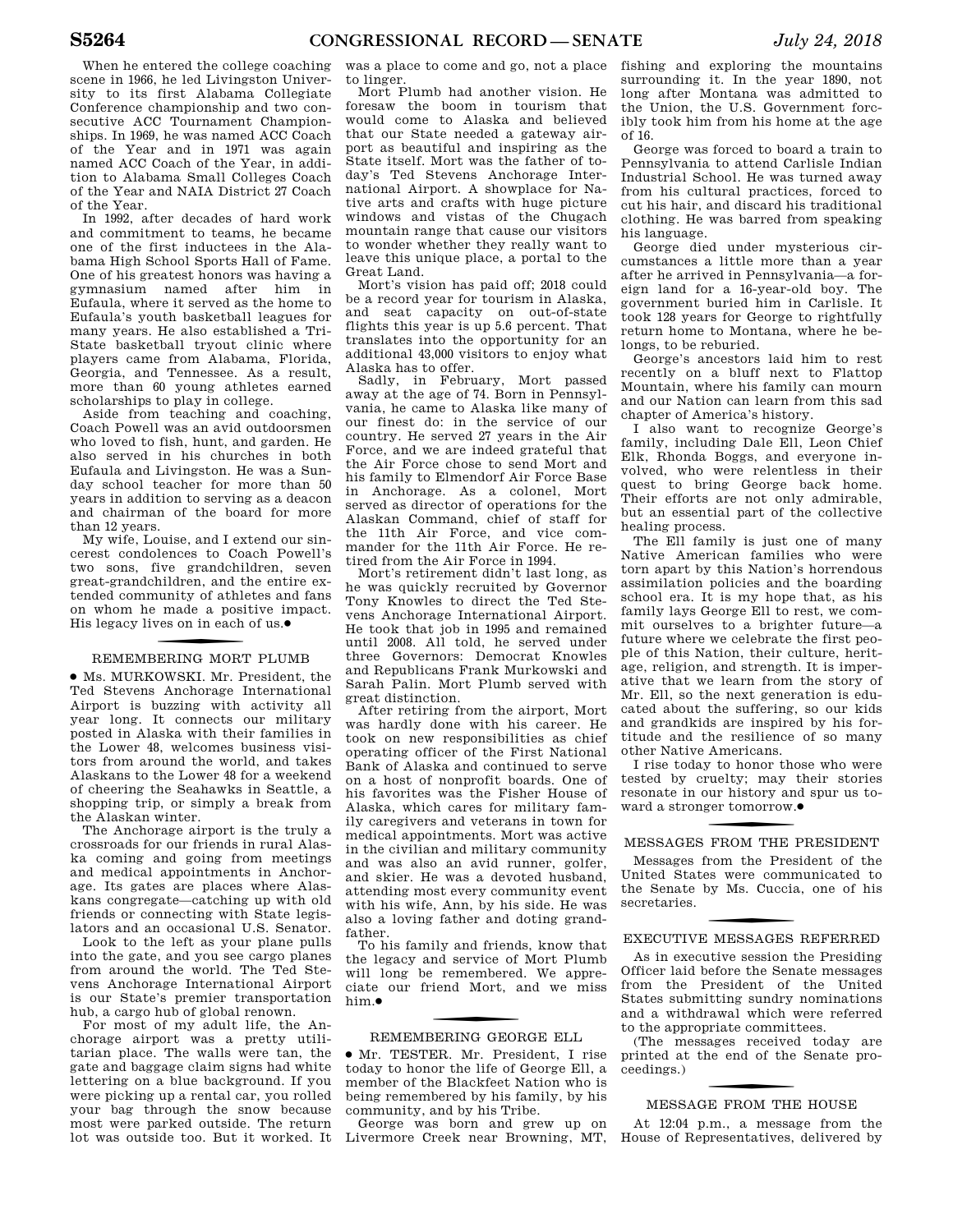When he entered the college coaching scene in 1966, he led Livingston University to its first Alabama Collegiate Conference championship and two consecutive ACC Tournament Championships. In 1969, he was named ACC Coach of the Year and in 1971 was again named ACC Coach of the Year, in addition to Alabama Small Colleges Coach of the Year and NAIA District 27 Coach of the Year.

In 1992, after decades of hard work and commitment to teams, he became one of the first inductees in the Alabama High School Sports Hall of Fame. One of his greatest honors was having a gymnasium named after him in Eufaula, where it served as the home to Eufaula's youth basketball leagues for many years. He also established a Tri-State basketball tryout clinic where players came from Alabama, Florida, Georgia, and Tennessee. As a result, more than 60 young athletes earned scholarships to play in college.

Aside from teaching and coaching, Coach Powell was an avid outdoorsmen who loved to fish, hunt, and garden. He also served in his churches in both Eufaula and Livingston. He was a Sunday school teacher for more than 50 years in addition to serving as a deacon and chairman of the board for more than 12 years.

My wife, Louise, and I extend our sincerest condolences to Coach Powell's two sons, five grandchildren, seven great-grandchildren, and the entire extended community of athletes and fans on whom he made a positive impact. His legacy lives on in each of us. ∑

# f REMEMBERING MORT PLUMB

∑ Ms. MURKOWSKI. Mr. President, the Ted Stevens Anchorage International Airport is buzzing with activity all year long. It connects our military posted in Alaska with their families in the Lower 48, welcomes business visitors from around the world, and takes Alaskans to the Lower 48 for a weekend of cheering the Seahawks in Seattle, a shopping trip, or simply a break from the Alaskan winter.

The Anchorage airport is the truly a crossroads for our friends in rural Alaska coming and going from meetings and medical appointments in Anchorage. Its gates are places where Alaskans congregate—catching up with old friends or connecting with State legislators and an occasional U.S. Senator.

Look to the left as your plane pulls into the gate, and you see cargo planes from around the world. The Ted Stevens Anchorage International Airport is our State's premier transportation hub, a cargo hub of global renown.

For most of my adult life, the Anchorage airport was a pretty utilitarian place. The walls were tan, the gate and baggage claim signs had white lettering on a blue background. If you were picking up a rental car, you rolled your bag through the snow because most were parked outside. The return lot was outside too. But it worked. It

was a place to come and go, not a place to linger.

Mort Plumb had another vision. He foresaw the boom in tourism that would come to Alaska and believed that our State needed a gateway airport as beautiful and inspiring as the State itself. Mort was the father of today's Ted Stevens Anchorage International Airport. A showplace for Native arts and crafts with huge picture windows and vistas of the Chugach mountain range that cause our visitors to wonder whether they really want to leave this unique place, a portal to the Great Land.

Mort's vision has paid off; 2018 could be a record year for tourism in Alaska, and seat capacity on out-of-state flights this year is up 5.6 percent. That translates into the opportunity for an additional 43,000 visitors to enjoy what Alaska has to offer.

Sadly, in February, Mort passed away at the age of 74. Born in Pennsylvania, he came to Alaska like many of our finest do: in the service of our country. He served 27 years in the Air Force, and we are indeed grateful that the Air Force chose to send Mort and his family to Elmendorf Air Force Base in Anchorage. As a colonel, Mort served as director of operations for the Alaskan Command, chief of staff for the 11th Air Force, and vice commander for the 11th Air Force. He retired from the Air Force in 1994.

Mort's retirement didn't last long, as he was quickly recruited by Governor Tony Knowles to direct the Ted Stevens Anchorage International Airport. He took that job in 1995 and remained until 2008. All told, he served under three Governors: Democrat Knowles and Republicans Frank Murkowski and Sarah Palin. Mort Plumb served with great distinction.

After retiring from the airport, Mort was hardly done with his career. He took on new responsibilities as chief operating officer of the First National Bank of Alaska and continued to serve on a host of nonprofit boards. One of his favorites was the Fisher House of Alaska, which cares for military family caregivers and veterans in town for medical appointments. Mort was active in the civilian and military community and was also an avid runner, golfer, and skier. He was a devoted husband, attending most every community event with his wife, Ann, by his side. He was also a loving father and doting grandfather.

To his family and friends, know that the legacy and service of Mort Plumb will long be remembered. We appreciate our friend Mort, and we miss him ●

# f REMEMBERING GEORGE ELL

∑ Mr. TESTER. Mr. President, I rise today to honor the life of George Ell, a member of the Blackfeet Nation who is being remembered by his family, by his community, and by his Tribe.

George was born and grew up on Livermore Creek near Browning, MT,

fishing and exploring the mountains surrounding it. In the year 1890, not long after Montana was admitted to the Union, the U.S. Government forcibly took him from his home at the age of 16.

George was forced to board a train to Pennsylvania to attend Carlisle Indian Industrial School. He was turned away from his cultural practices, forced to cut his hair, and discard his traditional clothing. He was barred from speaking his language.

George died under mysterious circumstances a little more than a year after he arrived in Pennsylvania—a foreign land for a 16-year-old boy. The government buried him in Carlisle. It took 128 years for George to rightfully return home to Montana, where he belongs, to be reburied.

George's ancestors laid him to rest recently on a bluff next to Flattop Mountain, where his family can mourn and our Nation can learn from this sad chapter of America's history.

I also want to recognize George's family, including Dale Ell, Leon Chief Elk, Rhonda Boggs, and everyone involved, who were relentless in their quest to bring George back home. Their efforts are not only admirable, but an essential part of the collective healing process.

The Ell family is just one of many Native American families who were torn apart by this Nation's horrendous assimilation policies and the boarding school era. It is my hope that, as his family lays George Ell to rest, we commit ourselves to a brighter future—a future where we celebrate the first people of this Nation, their culture, heritage, religion, and strength. It is imperative that we learn from the story of Mr. Ell, so the next generation is educated about the suffering, so our kids and grandkids are inspired by his fortitude and the resilience of so many other Native Americans.

I rise today to honor those who were tested by cruelty; may their stories resonate in our history and spur us toward a stronger tomorrow.●

# f MESSAGES FROM THE PRESIDENT

Messages from the President of the United States were communicated to the Senate by Ms. Cuccia, one of his secretaries.

# f EXECUTIVE MESSAGES REFERRED

As in executive session the Presiding Officer laid before the Senate messages from the President of the United States submitting sundry nominations and a withdrawal which were referred to the appropriate committees.

(The messages received today are printed at the end of the Senate proceedings.)

# f MESSAGE FROM THE HOUSE

At 12:04 p.m., a message from the House of Representatives, delivered by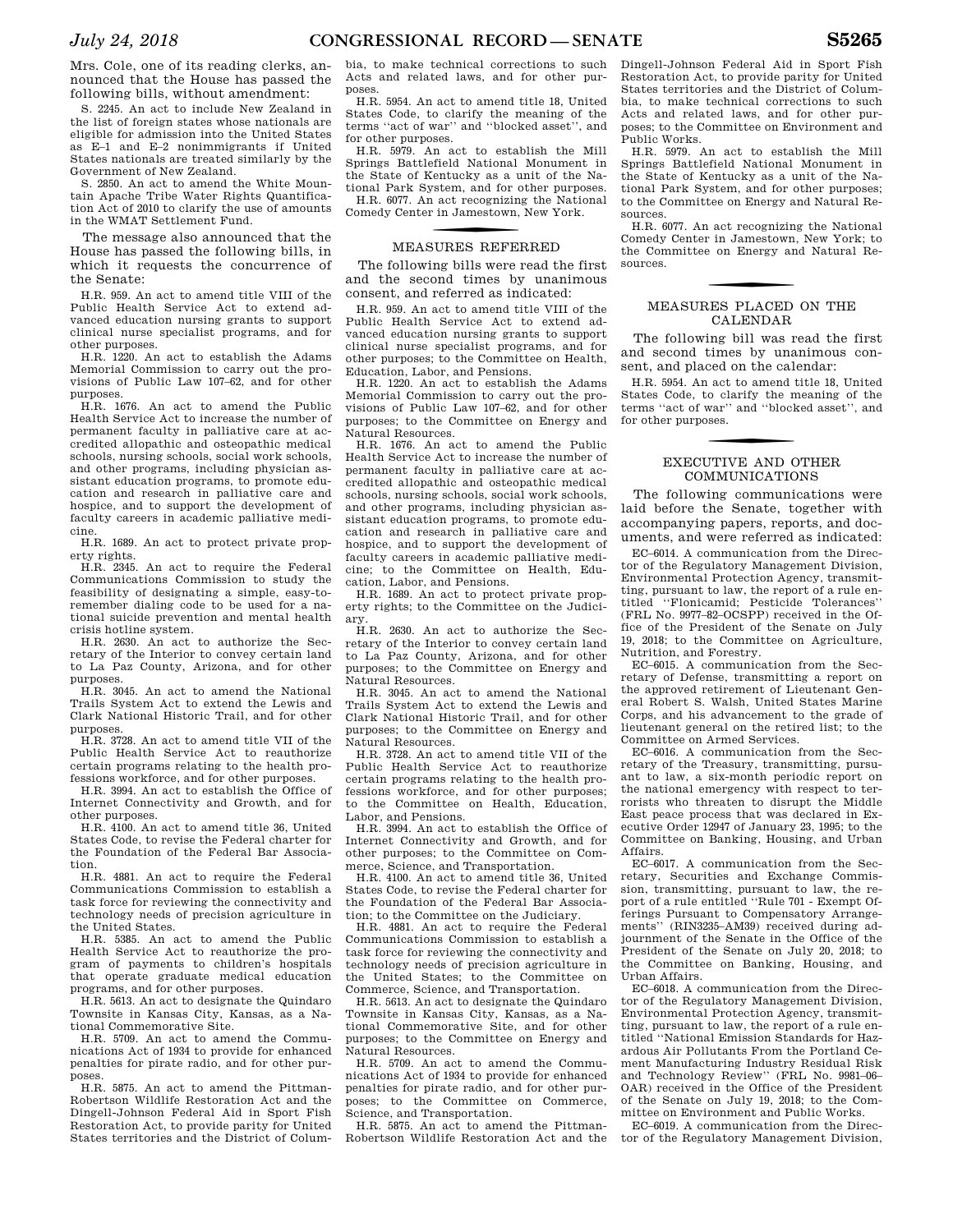Mrs. Cole, one of its reading clerks, announced that the House has passed the following bills, without amendment:

S. 2245. An act to include New Zealand in the list of foreign states whose nationals are eligible for admission into the United States as E–1 and E–2 nonimmigrants if United States nationals are treated similarly by the Government of New Zealand.

S. 2850. An act to amend the White Mountain Apache Tribe Water Rights Quantification Act of 2010 to clarify the use of amounts in the WMAT Settlement Fund.

The message also announced that the House has passed the following bills, in which it requests the concurrence of the Senate:

H.R. 959. An act to amend title VIII of the Public Health Service Act to extend advanced education nursing grants to support clinical nurse specialist programs, and for other purposes.

H.R. 1220. An act to establish the Adams Memorial Commission to carry out the provisions of Public Law 107–62, and for other purposes.

H.R. 1676. An act to amend the Public Health Service Act to increase the number of permanent faculty in palliative care at accredited allopathic and osteopathic medical schools, nursing schools, social work schools, and other programs, including physician assistant education programs, to promote education and research in palliative care and hospice, and to support the development of faculty careers in academic palliative medicine.

H.R. 1689. An act to protect private property rights.

H.R. 2345. An act to require the Federal Communications Commission to study the feasibility of designating a simple, easy-toremember dialing code to be used for a national suicide prevention and mental health crisis hotline system.

H.R. 2630. An act to authorize the Secretary of the Interior to convey certain land to La Paz County, Arizona, and for other purposes.

H.R. 3045. An act to amend the National Trails System Act to extend the Lewis and Clark National Historic Trail, and for other purposes.

H.R. 3728. An act to amend title VII of the Public Health Service Act to reauthorize certain programs relating to the health professions workforce, and for other purposes.

H.R. 3994. An act to establish the Office of Internet Connectivity and Growth, and for other purposes.

H.R. 4100. An act to amend title 36, United States Code, to revise the Federal charter for the Foundation of the Federal Bar Association.

H.R. 4881. An act to require the Federal Communications Commission to establish a task force for reviewing the connectivity and technology needs of precision agriculture in the United States.

H.R. 5385. An act to amend the Public Health Service Act to reauthorize the program of payments to children's hospitals that operate graduate medical education programs, and for other purposes.

H.R. 5613. An act to designate the Quindaro Townsite in Kansas City, Kansas, as a National Commemorative Site.

H.R. 5709. An act to amend the Communications Act of 1934 to provide for enhanced penalties for pirate radio, and for other purposes.

H.R. 5875. An act to amend the Pittman-Robertson Wildlife Restoration Act and the Dingell-Johnson Federal Aid in Sport Fish Restoration Act, to provide parity for United States territories and the District of Columbia, to make technical corrections to such Acts and related laws, and for other purposes.

H.R. 5954. An act to amend title 18, United States Code, to clarify the meaning of the terms ''act of war'' and ''blocked asset'', and for other purposes.

H.R. 5979. An act to establish the Mill Springs Battlefield National Monument in the State of Kentucky as a unit of the Na-

tional Park System, and for other purposes. H.R. 6077. An act recognizing the National Comedy Center in Jamestown, New York.

# f MEASURES REFERRED

The following bills were read the first and the second times by unanimous consent, and referred as indicated:

H.R. 959. An act to amend title VIII of the Public Health Service Act to extend advanced education nursing grants to support clinical nurse specialist programs, and for other purposes; to the Committee on Health, Education, Labor, and Pensions.

H.R. 1220. An act to establish the Adams Memorial Commission to carry out the provisions of Public Law 107–62, and for other purposes; to the Committee on Energy and Natural Resources.

H.R. 1676. An act to amend the Public Health Service Act to increase the number of permanent faculty in palliative care at accredited allopathic and osteopathic medical schools, nursing schools, social work schools, and other programs, including physician assistant education programs, to promote education and research in palliative care and hospice, and to support the development of faculty careers in academic palliative medicine; to the Committee on Health, Education, Labor, and Pensions.

H.R. 1689. An act to protect private property rights; to the Committee on the Judiciary.

H.R. 2630. An act to authorize the Secretary of the Interior to convey certain land to La Paz County, Arizona, and for other purposes; to the Committee on Energy and Natural Resources.

H.R. 3045. An act to amend the National Trails System Act to extend the Lewis and Clark National Historic Trail, and for other purposes; to the Committee on Energy and Natural Resources.

H.R. 3728. An act to amend title VII of the Public Health Service Act to reauthorize certain programs relating to the health professions workforce, and for other purposes; to the Committee on Health, Education, Labor, and Pensions.

H.R. 3994. An act to establish the Office of Internet Connectivity and Growth, and for other purposes; to the Committee on Commerce, Science, and Transportation.

H.R. 4100. An act to amend title 36, United States Code, to revise the Federal charter for the Foundation of the Federal Bar Association; to the Committee on the Judiciary.

H.R. 4881. An act to require the Federal Communications Commission to establish a task force for reviewing the connectivity and technology needs of precision agriculture in the United States; to the Committee on Commerce, Science, and Transportation.

H.R. 5613. An act to designate the Quindaro Townsite in Kansas City, Kansas, as a National Commemorative Site, and for other purposes; to the Committee on Energy and Natural Resources.

H.R. 5709. An act to amend the Communications Act of 1934 to provide for enhanced penalties for pirate radio, and for other purposes; to the Committee on Commerce, Science, and Transportation.

H.R. 5875. An act to amend the Pittman-Robertson Wildlife Restoration Act and the Dingell-Johnson Federal Aid in Sport Fish Restoration Act, to provide parity for United States territories and the District of Columbia, to make technical corrections to such Acts and related laws, and for other purposes; to the Committee on Environment and Public Works.

H.R. 5979. An act to establish the Mill Springs Battlefield National Monument in the State of Kentucky as a unit of the National Park System, and for other purposes; to the Committee on Energy and Natural Resources.

H.R. 6077. An act recognizing the National Comedy Center in Jamestown, New York; to the Committee on Energy and Natural Resources.

# MEASURES PLACED ON THE CALENDAR

The following bill was read the first and second times by unanimous consent, and placed on the calendar:

H.R. 5954. An act to amend title 18, United States Code, to clarify the meaning of the terms ''act of war'' and ''blocked asset'', and for other purposes.

# EXECUTIVE AND OTHER COMMUNICATIONS

The following communications were laid before the Senate, together with accompanying papers, reports, and documents, and were referred as indicated:

EC–6014. A communication from the Director of the Regulatory Management Division, Environmental Protection Agency, transmitting, pursuant to law, the report of a rule entitled ''Flonicamid; Pesticide Tolerances'' (FRL No. 9977–82–OCSPP) received in the Office of the President of the Senate on July 19, 2018; to the Committee on Agriculture, Nutrition, and Forestry.

EC–6015. A communication from the Secretary of Defense, transmitting a report on the approved retirement of Lieutenant General Robert S. Walsh, United States Marine Corps, and his advancement to the grade of lieutenant general on the retired list; to the Committee on Armed Services.

EC–6016. A communication from the Secretary of the Treasury, transmitting, pursuant to law, a six-month periodic report on the national emergency with respect to terrorists who threaten to disrupt the Middle East peace process that was declared in Executive Order 12947 of January 23, 1995; to the Committee on Banking, Housing, and Urban Affairs.

EC–6017. A communication from the Secretary, Securities and Exchange Commission, transmitting, pursuant to law, the report of a rule entitled ''Rule 701 - Exempt Offerings Pursuant to Compensatory Arrangements'' (RIN3235–AM39) received during adjournment of the Senate in the Office of the President of the Senate on July 20, 2018; to the Committee on Banking, Housing, and Urban Affairs.

EC–6018. A communication from the Director of the Regulatory Management Division, Environmental Protection Agency, transmitting, pursuant to law, the report of a rule entitled ''National Emission Standards for Hazardous Air Pollutants From the Portland Cement Manufacturing Industry Residual Risk and Technology Review'' (FRL No. 9981–06– OAR) received in the Office of the President of the Senate on July 19, 2018; to the Committee on Environment and Public Works.

EC–6019. A communication from the Director of the Regulatory Management Division,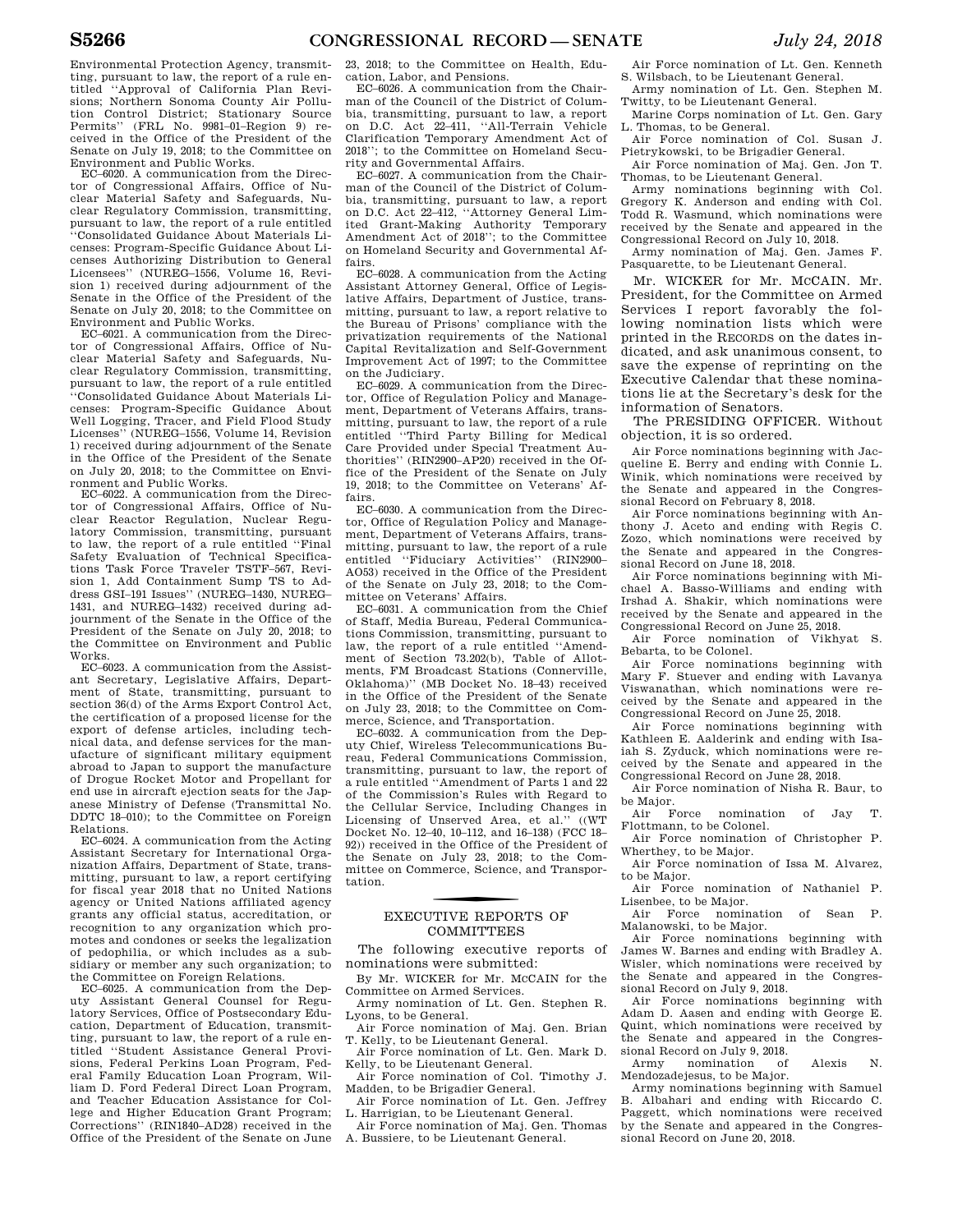Environmental Protection Agency, transmitting, pursuant to law, the report of a rule entitled ''Approval of California Plan Revisions; Northern Sonoma County Air Pollution Control District; Stationary Source Permits'' (FRL No. 9981–01–Region 9) received in the Office of the President of the Senate on July 19, 2018; to the Committee on Environment and Public Works.

EC–6020. A communication from the Director of Congressional Affairs, Office of Nuclear Material Safety and Safeguards, Nuclear Regulatory Commission, transmitting, pursuant to law, the report of a rule entitled ''Consolidated Guidance About Materials Licenses: Program-Specific Guidance About Licenses Authorizing Distribution to General Licensees'' (NUREG–1556, Volume 16, Revision 1) received during adjournment of the Senate in the Office of the President of the Senate on July 20, 2018; to the Committee on Environment and Public Works.

EC–6021. A communication from the Director of Congressional Affairs, Office of Nuclear Material Safety and Safeguards, Nuclear Regulatory Commission, transmitting, pursuant to law, the report of a rule entitled ''Consolidated Guidance About Materials Licenses: Program-Specific Guidance About Well Logging, Tracer, and Field Flood Study Licenses'' (NUREG–1556, Volume 14, Revision 1) received during adjournment of the Senate in the Office of the President of the Senate on July 20, 2018; to the Committee on Environment and Public Works.

EC–6022. A communication from the Director of Congressional Affairs, Office of Nuclear Reactor Regulation, Nuclear Regulatory Commission, transmitting, pursuant to law, the report of a rule entitled ''Final Safety Evaluation of Technical Specifications Task Force Traveler TSTF–567, Revision 1, Add Containment Sump TS to Address GSI–191 Issues'' (NUREG–1430, NUREG– 1431, and NUREG–1432) received during adjournment of the Senate in the Office of the President of the Senate on July 20, 2018; to the Committee on Environment and Public Works.

EC–6023. A communication from the Assistant Secretary, Legislative Affairs, Department of State, transmitting, pursuant to section 36(d) of the Arms Export Control Act, the certification of a proposed license for the export of defense articles, including technical data, and defense services for the manufacture of significant military equipment abroad to Japan to support the manufacture of Drogue Rocket Motor and Propellant for end use in aircraft ejection seats for the Japanese Ministry of Defense (Transmittal No. DDTC 18–010); to the Committee on Foreign Relations.

EC–6024. A communication from the Acting Assistant Secretary for International Organization Affairs, Department of State, transmitting, pursuant to law, a report certifying for fiscal year 2018 that no United Nations agency or United Nations affiliated agency grants any official status, accreditation, or recognition to any organization which promotes and condones or seeks the legalization of pedophilia, or which includes as a subsidiary or member any such organization; to the Committee on Foreign Relations.

EC–6025. A communication from the Deputy Assistant General Counsel for Regulatory Services, Office of Postsecondary Education, Department of Education, transmitting, pursuant to law, the report of a rule entitled ''Student Assistance General Provisions, Federal Perkins Loan Program, Federal Family Education Loan Program, William D. Ford Federal Direct Loan Program, and Teacher Education Assistance for College and Higher Education Grant Program; Corrections'' (RIN1840–AD28) received in the Office of the President of the Senate on June

23, 2018; to the Committee on Health, Education, Labor, and Pensions.

EC–6026. A communication from the Chairman of the Council of the District of Columbia, transmitting, pursuant to law, a report on D.C. Act 22–411, ''All-Terrain Vehicle Clarification Temporary Amendment Act of 2018''; to the Committee on Homeland Security and Governmental Affairs.

EC–6027. A communication from the Chairman of the Council of the District of Columbia, transmitting, pursuant to law, a report on D.C. Act 22–412, ''Attorney General Limited Grant-Making Authority Temporary Amendment Act of 2018''; to the Committee on Homeland Security and Governmental Affairs.

EC–6028. A communication from the Acting Assistant Attorney General, Office of Legislative Affairs, Department of Justice, transmitting, pursuant to law, a report relative to the Bureau of Prisons' compliance with the privatization requirements of the National Capital Revitalization and Self-Government Improvement Act of 1997; to the Committee on the Judiciary.

EC–6029. A communication from the Director, Office of Regulation Policy and Management, Department of Veterans Affairs, transmitting, pursuant to law, the report of a rule entitled ''Third Party Billing for Medical Care Provided under Special Treatment Authorities'' (RIN2900–AP20) received in the Office of the President of the Senate on July 19, 2018; to the Committee on Veterans' Affairs.

EC–6030. A communication from the Director, Office of Regulation Policy and Management, Department of Veterans Affairs, transmitting, pursuant to law, the report of a rule entitled "Fiduciary Activities" (RIN2900– AO53) received in the Office of the President of the Senate on July 23, 2018; to the Committee on Veterans' Affairs.

EC–6031. A communication from the Chief of Staff, Media Bureau, Federal Communications Commission, transmitting, pursuant to law, the report of a rule entitled ''Amendment of Section 73.202(b), Table of Allotments, FM Broadcast Stations (Connerville, Oklahoma)'' (MB Docket No. 18–43) received in the Office of the President of the Senate on July 23, 2018; to the Committee on Commerce, Science, and Transportation.

EC–6032. A communication from the Deputy Chief, Wireless Telecommunications Bureau, Federal Communications Commission, transmitting, pursuant to law, the report of a rule entitled ''Amendment of Parts 1 and 22 of the Commission's Rules with Regard to the Cellular Service, Including Changes in<br>Licensing of Unserved Area, et al.'' ((WT) Licensing of Unserved Area, et al." Docket No. 12–40, 10–112, and 16–138) (FCC 18– 92)) received in the Office of the President of the Senate on July 23, 2018; to the Committee on Commerce, Science, and Transportation.

# f EXECUTIVE REPORTS OF COMMITTEES

The following executive reports of nominations were submitted:

By Mr. WICKER for Mr. MCCAIN for the Committee on Armed Services.

Army nomination of Lt. Gen. Stephen R. Lyons, to be General.

Air Force nomination of Maj. Gen. Brian T. Kelly, to be Lieutenant General.

Air Force nomination of Lt. Gen. Mark D. Kelly, to be Lieutenant General.

Air Force nomination of Col. Timothy J. Madden, to be Brigadier General.

Air Force nomination of Lt. Gen. Jeffrey L. Harrigian, to be Lieutenant General.

Air Force nomination of Maj. Gen. Thomas A. Bussiere, to be Lieutenant General.

Air Force nomination of Lt. Gen. Kenneth S. Wilsbach, to be Lieutenant General.

Army nomination of Lt. Gen. Stephen M. Twitty, to be Lieutenant General.

Marine Corps nomination of Lt. Gen. Gary L. Thomas, to be General.

Air Force nomination of Col. Susan J. Pietrykowski, to be Brigadier General. Air Force nomination of Maj. Gen. Jon T.

Thomas, to be Lieutenant General. Army nominations beginning with Col. Gregory K. Anderson and ending with Col.

Todd R. Wasmund, which nominations were received by the Senate and appeared in the Congressional Record on July 10, 2018.

Army nomination of Maj. Gen. James F. Pasquarette, to be Lieutenant General.

Mr. WICKER for Mr. MCCAIN. Mr. President, for the Committee on Armed Services I report favorably the following nomination lists which were printed in the RECORDS on the dates indicated, and ask unanimous consent, to save the expense of reprinting on the Executive Calendar that these nominations lie at the Secretary's desk for the information of Senators.

The PRESIDING OFFICER. Without objection, it is so ordered.

Air Force nominations beginning with Jacqueline E. Berry and ending with Connie L. Winik, which nominations were received by the Senate and appeared in the Congressional Record on February 8, 2018.

Air Force nominations beginning with Anthony J. Aceto and ending with Regis C. Zozo, which nominations were received by the Senate and appeared in the Congressional Record on June 18, 2018.

Air Force nominations beginning with Michael A. Basso-Williams and ending with Irshad A. Shakir, which nominations were received by the Senate and appeared in the Congressional Record on June 25, 2018.

Air Force nomination of Vikhyat S. Bebarta, to be Colonel.

Air Force nominations beginning with Mary F. Stuever and ending with Lavanya Viswanathan, which nominations were received by the Senate and appeared in the Congressional Record on June 25, 2018.

Air Force nominations beginning with Kathleen E. Aalderink and ending with Isaiah S. Zyduck, which nominations were received by the Senate and appeared in the Congressional Record on June 28, 2018.

Air Force nomination of Nisha R. Baur, to be Major.

nomination of Jay T. Flottmann, to be Colonel.

Air Force nomination of Christopher P. Wherthey, to be Major.

Air Force nomination of Issa M. Alvarez, to be Major.

Air Force nomination of Nathaniel P. Lisenbee, to be Major.

Air Force nomination of Sean P. Malanowski, to be Major.

Air Force nominations beginning with James W. Barnes and ending with Bradley A. Wisler, which nominations were received by the Senate and appeared in the Congressional Record on July 9, 2018.

Air Force nominations beginning with Adam D. Aasen and ending with George E. Quint, which nominations were received by the Senate and appeared in the Congressional Record on July 9, 2018.

Army nomination of Alexis N. Mendozadejesus, to be Major.

Army nominations beginning with Samuel B. Albahari and ending with Riccardo C. Paggett, which nominations were received by the Senate and appeared in the Congressional Record on June 20, 2018.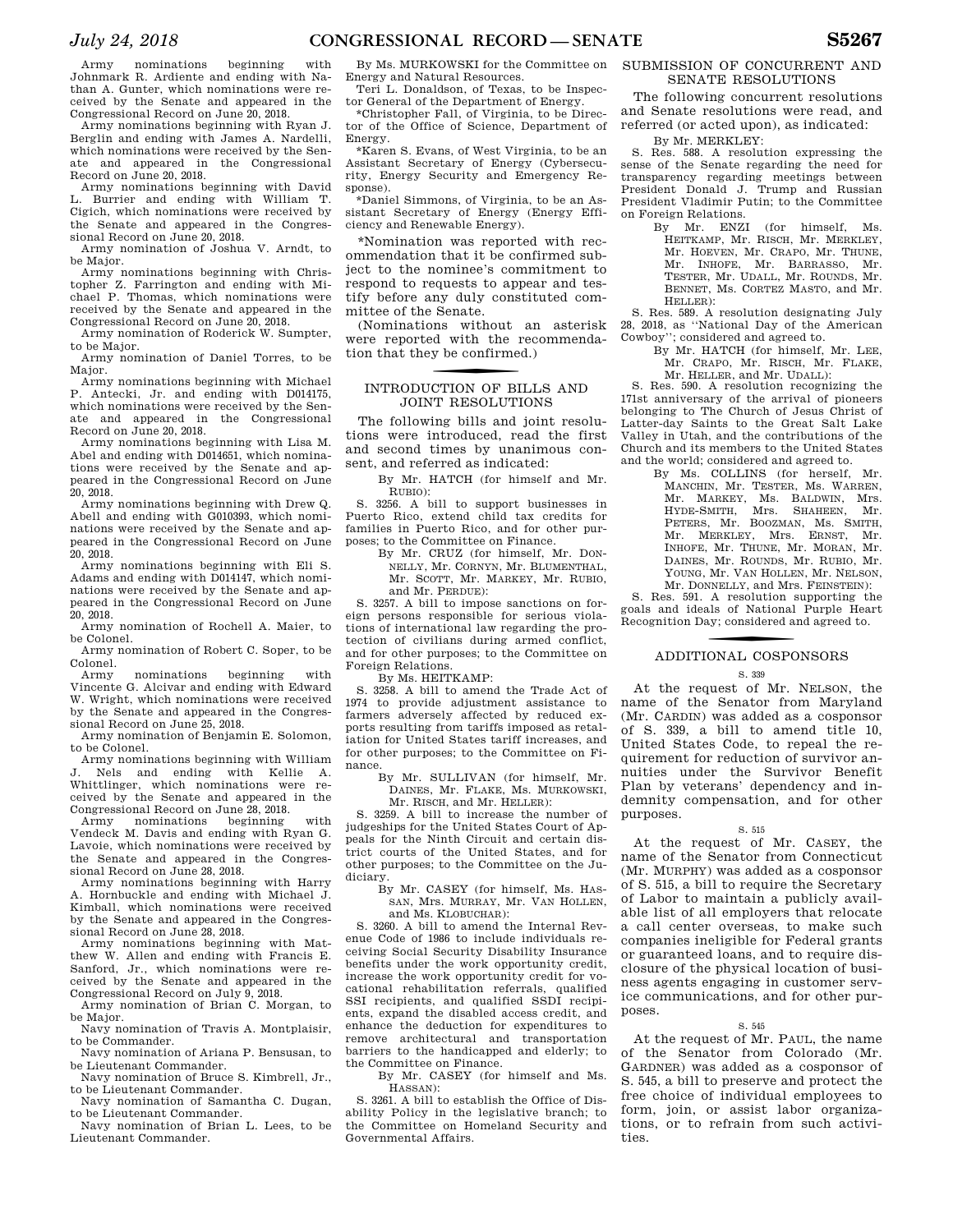Army nominations beginning with Johnmark R. Ardiente and ending with Nathan A. Gunter, which nominations were received by the Senate and appeared in the Congressional Record on June 20, 2018.

Army nominations beginning with Ryan J. Berglin and ending with James A. Nardelli, which nominations were received by the Senate and appeared in the Congressional Record on June 20, 2018.

Army nominations beginning with David L. Burrier and ending with William T. Cigich, which nominations were received by the Senate and appeared in the Congressional Record on June 20, 2018.

Army nomination of Joshua V. Arndt, to be Major.

Army nominations beginning with Chris-topher Z. Farrington and ending with Michael P. Thomas, which nominations were received by the Senate and appeared in the Congressional Record on June 20, 2018.

Army nomination of Roderick W. Sumpter, to be Major.

Army nomination of Daniel Torres, to be Major.

Army nominations beginning with Michael P. Antecki, Jr. and ending with D014175, which nominations were received by the Senate and appeared in the Congressional Record on June 20, 2018.

Army nominations beginning with Lisa M. Abel and ending with D014651, which nominations were received by the Senate and appeared in the Congressional Record on June 20, 2018.

Army nominations beginning with Drew Q. Abell and ending with G010393, which nominations were received by the Senate and appeared in the Congressional Record on June 20, 2018.

Army nominations beginning with Eli S. Adams and ending with D014147, which nominations were received by the Senate and appeared in the Congressional Record on June 20, 2018.

Army nomination of Rochell A. Maier, to be Colonel.

Army nomination of Robert C. Soper, to be Colonel.

Army nominations beginning with Vincente G. Alcivar and ending with Edward W. Wright, which nominations were received by the Senate and appeared in the Congressional Record on June 25, 2018.

Army nomination of Benjamin E. Solomon, to be Colonel.

Army nominations beginning with William Nels and ending with Kellie A. Whittlinger, which nominations were received by the Senate and appeared in the

Congressional Record on June 28, 2018. nominations beginning with Vendeck M. Davis and ending with Ryan G. Lavoie, which nominations were received by the Senate and appeared in the Congressional Record on June 28, 2018.

Army nominations beginning with Harry A. Hornbuckle and ending with Michael J. Kimball, which nominations were received by the Senate and appeared in the Congressional Record on June 28, 2018.

Army nominations beginning with Matthew W. Allen and ending with Francis E. Sanford, Jr., which nominations were received by the Senate and appeared in the Congressional Record on July 9, 2018.

Army nomination of Brian C. Morgan, to be Major.

Navy nomination of Travis A. Montplaisir, to be Commander.

Navy nomination of Ariana P. Bensusan, to be Lieutenant Commander. Navy nomination of Bruce S. Kimbrell, Jr.,

to be Lieutenant Commander. Navy nomination of Samantha C. Dugan,

to be Lieutenant Commander. Navy nomination of Brian L. Lees, to be

Lieutenant Commander.

By Ms. MURKOWSKI for the Committee on Energy and Natural Resources.

Teri L. Donaldson, of Texas, to be Inspector General of the Department of Energy.

\*Christopher Fall, of Virginia, to be Director of the Office of Science, Department of Energy.

\*Karen S. Evans, of West Virginia, to be an Assistant Secretary of Energy (Cybersecurity, Energy Security and Emergency Response).

\*Daniel Simmons, of Virginia, to be an Assistant Secretary of Energy (Energy Efficiency and Renewable Energy).

\*Nomination was reported with recommendation that it be confirmed subject to the nominee's commitment to respond to requests to appear and testify before any duly constituted committee of the Senate.

(Nominations without an asterisk were reported with the recommendation that they be confirmed.)

# f INTRODUCTION OF BILLS AND JOINT RESOLUTIONS

The following bills and joint resolutions were introduced, read the first and second times by unanimous consent, and referred as indicated:

By Mr. HATCH (for himself and Mr. RUBIO):

S. 3256. A bill to support businesses in Puerto Rico, extend child tax credits for families in Puerto Rico, and for other purposes; to the Committee on Finance.

By Mr. CRUZ (for himself, Mr. DON-NELLY, Mr. CORNYN, Mr. BLUMENTHAL, Mr. SCOTT, Mr. MARKEY, Mr. RUBIO, and Mr. PERDUE):

S. 3257. A bill to impose sanctions on foreign persons responsible for serious violations of international law regarding the protection of civilians during armed conflict, and for other purposes; to the Committee on Foreign Relations.

By Ms. HEITKAMP:

S. 3258. A bill to amend the Trade Act of 1974 to provide adjustment assistance to farmers adversely affected by reduced exports resulting from tariffs imposed as retaliation for United States tariff increases, and for other purposes; to the Committee on Finance.

By Mr. SULLIVAN (for himself, Mr. DAINES, Mr. FLAKE, Ms. MURKOWSKI, Mr. RISCH, and Mr. HELLER):

S. 3259. A bill to increase the number of judgeships for the United States Court of Appeals for the Ninth Circuit and certain district courts of the United States, and for other purposes; to the Committee on the Judiciary.

By Mr. CASEY (for himself, Ms. HAS-SAN, Mrs. MURRAY, Mr. VAN HOLLEN, and Ms. KLOBUCHAR):

S. 3260. A bill to amend the Internal Revenue Code of 1986 to include individuals receiving Social Security Disability Insurance benefits under the work opportunity credit, increase the work opportunity credit for vocational rehabilitation referrals, qualified SSI recipients, and qualified SSDI recipients, expand the disabled access credit, and enhance the deduction for expenditures to remove architectural and transportation barriers to the handicapped and elderly; to the Committee on Finance.

By Mr. CASEY (for himself and Ms. HASSAN):

S. 3261. A bill to establish the Office of Disability Policy in the legislative branch; to the Committee on Homeland Security and Governmental Affairs.

### SUBMISSION OF CONCURRENT AND SENATE RESOLUTIONS

The following concurrent resolutions and Senate resolutions were read, and referred (or acted upon), as indicated:

By Mr. MERKLEY:

S. Res. 588. A resolution expressing the sense of the Senate regarding the need for transparency regarding meetings between President Donald J. Trump and Russian President Vladimir Putin; to the Committee on Foreign Relations.

> By Mr. ENZI (for himself, Ms. HEITKAMP, Mr. RISCH, Mr. MERKLEY, Mr. HOEVEN, Mr. CRAPO, Mr. THUNE, Mr. INHOFE, Mr. BARRASSO, Mr. TESTER, Mr. UDALL, Mr. ROUNDS, Mr. BENNET, Ms. CORTEZ MASTO, and Mr. HELLER):

S. Res. 589. A resolution designating July 28, 2018, as ''National Day of the American Cowboy''; considered and agreed to.

By Mr. HATCH (for himself, Mr. LEE, Mr. CRAPO, Mr. RISCH, Mr. FLAKE, Mr. HELLER, and Mr. UDALL):

S. Res. 590. A resolution recognizing the 171st anniversary of the arrival of pioneers belonging to The Church of Jesus Christ of Latter-day Saints to the Great Salt Lake Valley in Utah, and the contributions of the Church and its members to the United States and the world; considered and agreed to.

By Ms. COLLINS (for herself, Mr. MANCHIN, Mr. TESTER, Ms. WARREN, Mr. MARKEY, Ms. BALDWIN, Mrs. HYDE-SMITH, Mrs. SHAHEEN, Mr. PETERS, Mr. BOOZMAN, Ms. SMITH, Mr. MERKLEY, Mrs. ERNST, Mr. INHOFE, Mr. THUNE, Mr. MORAN, Mr. DAINES, Mr. ROUNDS, Mr. RUBIO, Mr. YOUNG, Mr. VAN HOLLEN, Mr. NELSON, Mr. DONNELLY, and Mrs. FEINSTEIN):

S. Res. 591. A resolution supporting the goals and ideals of National Purple Heart Recognition Day; considered and agreed to.

# f ADDITIONAL COSPONSORS

### S. 339

At the request of Mr. NELSON, the name of the Senator from Maryland (Mr. CARDIN) was added as a cosponsor of S. 339, a bill to amend title 10, United States Code, to repeal the requirement for reduction of survivor annuities under the Survivor Benefit Plan by veterans' dependency and indemnity compensation, and for other purposes.

#### S. 515

At the request of Mr. CASEY, the name of the Senator from Connecticut (Mr. MURPHY) was added as a cosponsor of S. 515, a bill to require the Secretary of Labor to maintain a publicly available list of all employers that relocate a call center overseas, to make such companies ineligible for Federal grants or guaranteed loans, and to require disclosure of the physical location of business agents engaging in customer service communications, and for other purposes.

# S. 545

At the request of Mr. PAUL, the name of the Senator from Colorado (Mr. GARDNER) was added as a cosponsor of S. 545, a bill to preserve and protect the free choice of individual employees to form, join, or assist labor organizations, or to refrain from such activities.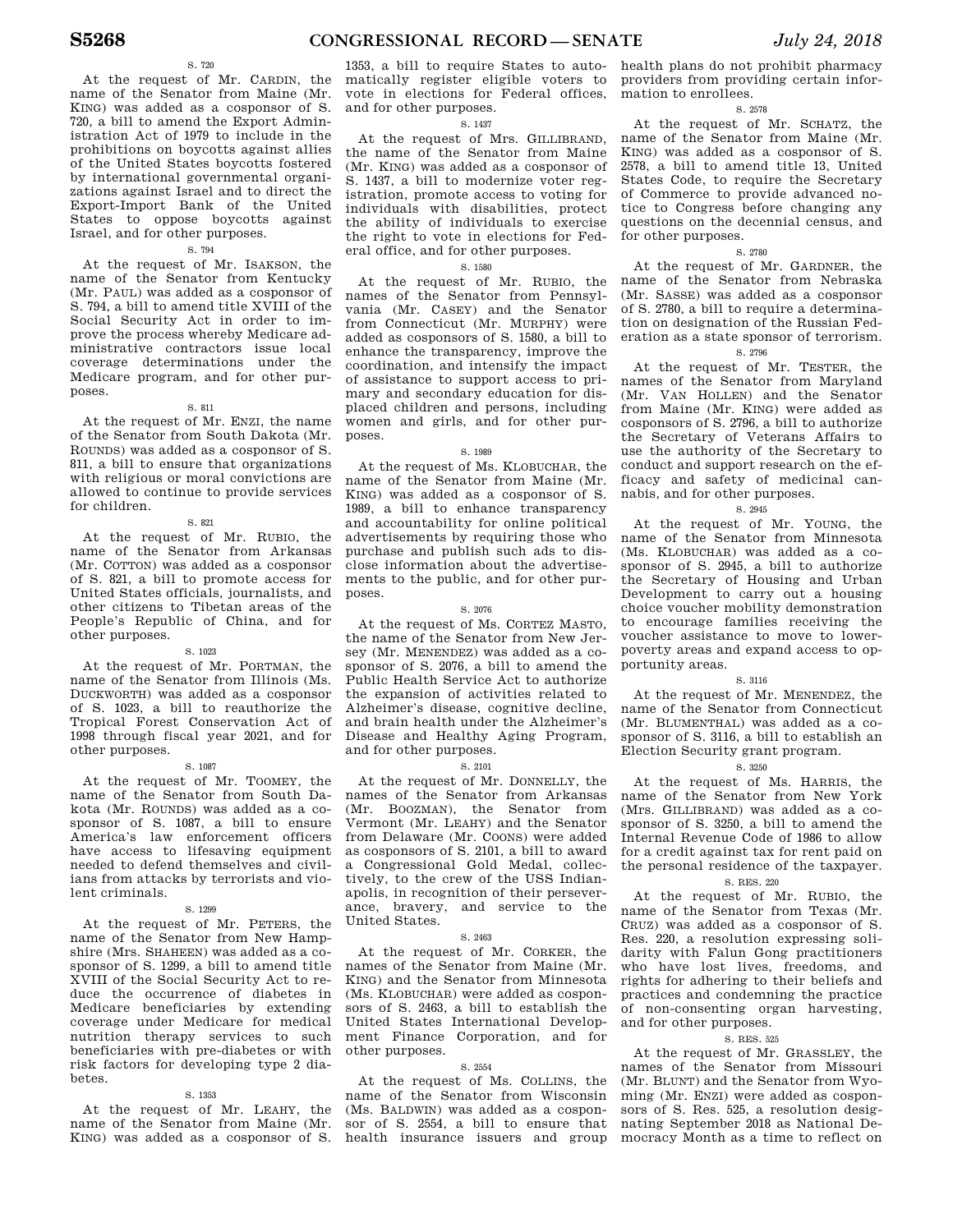# S. 720

At the request of Mr. CARDIN, the name of the Senator from Maine (Mr. KING) was added as a cosponsor of S. 720, a bill to amend the Export Administration Act of 1979 to include in the prohibitions on boycotts against allies of the United States boycotts fostered by international governmental organizations against Israel and to direct the Export-Import Bank of the United States to oppose boycotts against Israel, and for other purposes.

# S. 794

At the request of Mr. ISAKSON, the name of the Senator from Kentucky (Mr. PAUL) was added as a cosponsor of S. 794, a bill to amend title XVIII of the Social Security Act in order to improve the process whereby Medicare administrative contractors issue local coverage determinations under the Medicare program, and for other purposes.

#### S. 811

At the request of Mr. ENZI, the name of the Senator from South Dakota (Mr. ROUNDS) was added as a cosponsor of S. 811, a bill to ensure that organizations with religious or moral convictions are allowed to continue to provide services for children.

# S. 821

At the request of Mr. RUBIO, the name of the Senator from Arkansas (Mr. COTTON) was added as a cosponsor of S. 821, a bill to promote access for United States officials, journalists, and other citizens to Tibetan areas of the People's Republic of China, and for other purposes.

### S. 1023

At the request of Mr. PORTMAN, the name of the Senator from Illinois (Ms. DUCKWORTH) was added as a cosponsor of S. 1023, a bill to reauthorize the Tropical Forest Conservation Act of 1998 through fiscal year 2021, and for other purposes.

# S. 1087

At the request of Mr. TOOMEY, the name of the Senator from South Dakota (Mr. ROUNDS) was added as a cosponsor of S. 1087, a bill to ensure America's law enforcement officers have access to lifesaving equipment needed to defend themselves and civilians from attacks by terrorists and violent criminals.

#### S. 1299

At the request of Mr. PETERS, the name of the Senator from New Hampshire (Mrs. SHAHEEN) was added as a cosponsor of S. 1299, a bill to amend title XVIII of the Social Security Act to reduce the occurrence of diabetes in Medicare beneficiaries by extending coverage under Medicare for medical nutrition therapy services to such beneficiaries with pre-diabetes or with risk factors for developing type 2 diabetes.

#### S. 1353

At the request of Mr. LEAHY, the name of the Senator from Maine (Mr. KING) was added as a cosponsor of S.

1353, a bill to require States to auto-health plans do not prohibit pharmacy matically register eligible voters to vote in elections for Federal offices, and for other purposes.

# S. 1437

At the request of Mrs. GILLIBRAND, the name of the Senator from Maine (Mr. KING) was added as a cosponsor of S. 1437, a bill to modernize voter registration, promote access to voting for individuals with disabilities, protect the ability of individuals to exercise the right to vote in elections for Federal office, and for other purposes.

### S. 1580

At the request of Mr. RUBIO, the names of the Senator from Pennsylvania (Mr. CASEY) and the Senator from Connecticut (Mr. MURPHY) were added as cosponsors of S. 1580, a bill to enhance the transparency, improve the coordination, and intensify the impact of assistance to support access to primary and secondary education for displaced children and persons, including women and girls, and for other purposes.

#### S. 1989

At the request of Ms. KLOBUCHAR, the name of the Senator from Maine (Mr. KING) was added as a cosponsor of S. 1989, a bill to enhance transparency and accountability for online political advertisements by requiring those who purchase and publish such ads to disclose information about the advertisements to the public, and for other purposes.

#### S. 2076

At the request of Ms. CORTEZ MASTO, the name of the Senator from New Jersey (Mr. MENENDEZ) was added as a cosponsor of S. 2076, a bill to amend the Public Health Service Act to authorize the expansion of activities related to Alzheimer's disease, cognitive decline, and brain health under the Alzheimer's Disease and Healthy Aging Program, and for other purposes.

# S. 2101

At the request of Mr. DONNELLY, the names of the Senator from Arkansas (Mr. BOOZMAN), the Senator from Vermont (Mr. LEAHY) and the Senator from Delaware (Mr. COONS) were added as cosponsors of S. 2101, a bill to award a Congressional Gold Medal, collectively, to the crew of the USS Indianapolis, in recognition of their perseverance, bravery, and service to the United States.

#### S. 2463

At the request of Mr. CORKER, the names of the Senator from Maine (Mr. KING) and the Senator from Minnesota (Ms. KLOBUCHAR) were added as cosponsors of S. 2463, a bill to establish the United States International Development Finance Corporation, and for other purposes.

#### S. 2554

At the request of Ms. COLLINS, the name of the Senator from Wisconsin (Ms. BALDWIN) was added as a cosponsor of S. 2554, a bill to ensure that health insurance issuers and group

providers from providing certain information to enrollees.

# S. 2578

At the request of Mr. SCHATZ, the name of the Senator from Maine (Mr. KING) was added as a cosponsor of S. 2578, a bill to amend title 13, United States Code, to require the Secretary of Commerce to provide advanced notice to Congress before changing any questions on the decennial census, and for other purposes.

# S. 2780

At the request of Mr. GARDNER, the name of the Senator from Nebraska (Mr. SASSE) was added as a cosponsor of S. 2780, a bill to require a determination on designation of the Russian Federation as a state sponsor of terrorism.

# S. 2796

At the request of Mr. TESTER, the names of the Senator from Maryland (Mr. VAN HOLLEN) and the Senator from Maine (Mr. KING) were added as cosponsors of S. 2796, a bill to authorize the Secretary of Veterans Affairs to use the authority of the Secretary to conduct and support research on the efficacy and safety of medicinal cannabis, and for other purposes.

# S. 2945

At the request of Mr. YOUNG, the name of the Senator from Minnesota (Ms. KLOBUCHAR) was added as a cosponsor of S. 2945, a bill to authorize the Secretary of Housing and Urban Development to carry out a housing choice voucher mobility demonstration to encourage families receiving the voucher assistance to move to lowerpoverty areas and expand access to opportunity areas.

#### S. 3116

At the request of Mr. MENENDEZ, the name of the Senator from Connecticut (Mr. BLUMENTHAL) was added as a cosponsor of S. 3116, a bill to establish an Election Security grant program.

### S. 3250

At the request of Ms. HARRIS, the name of the Senator from New York (Mrs. GILLIBRAND) was added as a cosponsor of S. 3250, a bill to amend the Internal Revenue Code of 1986 to allow for a credit against tax for rent paid on the personal residence of the taxpayer. S. RES. 220

# At the request of Mr. RUBIO, the name of the Senator from Texas (Mr. CRUZ) was added as a cosponsor of S. Res. 220, a resolution expressing solidarity with Falun Gong practitioners who have lost lives, freedoms, and

# of non-consenting organ harvesting, and for other purposes. S. RES. 525

rights for adhering to their beliefs and practices and condemning the practice

At the request of Mr. GRASSLEY, the names of the Senator from Missouri (Mr. BLUNT) and the Senator from Wyoming (Mr. ENZI) were added as cosponsors of S. Res. 525, a resolution designating September 2018 as National Democracy Month as a time to reflect on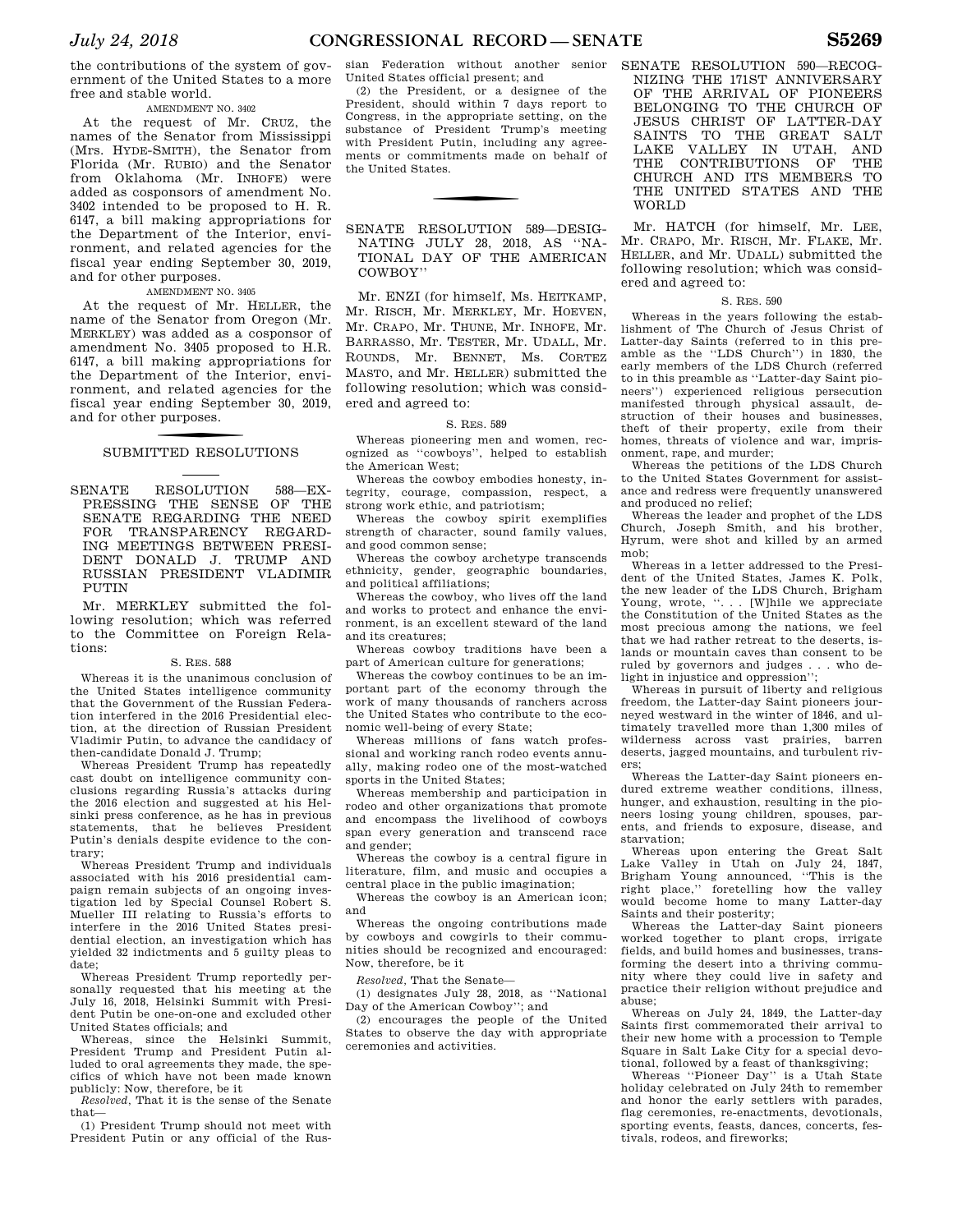the contributions of the system of government of the United States to a more free and stable world.

# AMENDMENT NO. 3402

At the request of Mr. CRUZ, the names of the Senator from Mississippi (Mrs. HYDE-SMITH), the Senator from Florida (Mr. RUBIO) and the Senator from Oklahoma (Mr. INHOFE) were added as cosponsors of amendment No. 3402 intended to be proposed to H. R. 6147, a bill making appropriations for the Department of the Interior, environment, and related agencies for the fiscal year ending September 30, 2019, and for other purposes.

# AMENDMENT NO. 3405

At the request of Mr. HELLER, the name of the Senator from Oregon (Mr. MERKLEY) was added as a cosponsor of amendment No. 3405 proposed to H.R. 6147, a bill making appropriations for the Department of the Interior, environment, and related agencies for the fiscal year ending September 30, 2019, and for other purposes.

# SUBMITTED RESOLUTIONS

SENATE RESOLUTION 588—EX-PRESSING THE SENSE OF THE SENATE REGARDING THE NEED FOR TRANSPARENCY REGARD-ING MEETINGS BETWEEN PRESI-DENT DONALD J. TRUMP AND RUSSIAN PRESIDENT VLADIMIR PUTIN

Mr. MERKLEY submitted the following resolution; which was referred to the Committee on Foreign Relations:

# S. RES. 588

Whereas it is the unanimous conclusion of the United States intelligence community that the Government of the Russian Federation interfered in the 2016 Presidential election, at the direction of Russian President Vladimir Putin, to advance the candidacy of then-candidate Donald J. Trump;

Whereas President Trump has repeatedly cast doubt on intelligence community conclusions regarding Russia's attacks during the 2016 election and suggested at his Helsinki press conference, as he has in previous statements, that he believes President Putin's denials despite evidence to the contrary;

Whereas President Trump and individuals associated with his 2016 presidential campaign remain subjects of an ongoing investigation led by Special Counsel Robert S. Mueller III relating to Russia's efforts to interfere in the 2016 United States presidential election, an investigation which has yielded 32 indictments and 5 guilty pleas to date;

Whereas President Trump reportedly personally requested that his meeting at the July 16, 2018, Helsinki Summit with President Putin be one-on-one and excluded other United States officials; and

Whereas, since the Helsinki Summit, President Trump and President Putin alluded to oral agreements they made, the specifics of which have not been made known publicly: Now, therefore, be it

*Resolved,* That it is the sense of the Senate that—

(1) President Trump should not meet with President Putin or any official of the Rus-

sian Federation without another senior United States official present; and

(2) the President, or a designee of the President, should within 7 days report to Congress, in the appropriate setting, on the substance of President Trump's meeting with President Putin, including any agreements or commitments made on behalf of the United States.

SENATE RESOLUTION 589—DESIG-NATING JULY 28, 2018, AS ''NA-TIONAL DAY OF THE AMERICAN COWBOY''

Mr. ENZI (for himself, Ms. HEITKAMP, Mr. RISCH, Mr. MERKLEY, Mr. HOEVEN, Mr. CRAPO, Mr. THUNE, Mr. INHOFE, Mr. BARRASSO, Mr. TESTER, Mr. UDALL, Mr. ROUNDS, Mr. BENNET, Ms. CORTEZ MASTO, and Mr. HELLER) submitted the following resolution; which was considered and agreed to:

# S. RES. 589

Whereas pioneering men and women, recognized as ''cowboys'', helped to establish the American West;

Whereas the cowboy embodies honesty, integrity, courage, compassion, respect, a strong work ethic, and patriotism;

Whereas the cowboy spirit exemplifies strength of character, sound family values, and good common sense;

Whereas the cowboy archetype transcends ethnicity, gender, geographic boundaries, and political affiliations;

Whereas the cowboy, who lives off the land and works to protect and enhance the environment, is an excellent steward of the land and its creatures;

Whereas cowboy traditions have been a part of American culture for generations;

Whereas the cowboy continues to be an important part of the economy through the work of many thousands of ranchers across the United States who contribute to the economic well-being of every State;

Whereas millions of fans watch professional and working ranch rodeo events annually, making rodeo one of the most-watched sports in the United States;

Whereas membership and participation in rodeo and other organizations that promote and encompass the livelihood of cowboys span every generation and transcend race and gender;

Whereas the cowboy is a central figure in literature, film, and music and occupies a central place in the public imagination;

Whereas the cowboy is an American icon; and

Whereas the ongoing contributions made by cowboys and cowgirls to their communities should be recognized and encouraged: Now, therefore, be it

*Resolved,* That the Senate—

(1) designates July 28, 2018, as ''National Day of the American Cowboy''; and

(2) encourages the people of the United States to observe the day with appropriate ceremonies and activities.

SENATE RESOLUTION 590—RECOG-NIZING THE 171ST ANNIVERSARY OF THE ARRIVAL OF PIONEERS BELONGING TO THE CHURCH OF JESUS CHRIST OF LATTER-DAY SAINTS TO THE GREAT SALT LAKE VALLEY IN UTAH, AND THE CONTRIBUTIONS OF THE CHURCH AND ITS MEMBERS TO THE UNITED STATES AND THE WORLD

Mr. HATCH (for himself, Mr. LEE, Mr. CRAPO, Mr. RISCH, Mr. FLAKE, Mr. HELLER, and Mr. UDALL) submitted the following resolution; which was considered and agreed to:

# S. RES. 590

Whereas in the years following the establishment of The Church of Jesus Christ of Latter-day Saints (referred to in this preamble as the ''LDS Church'') in 1830, the early members of the LDS Church (referred to in this preamble as ''Latter-day Saint pioneers'') experienced religious persecution manifested through physical assault, destruction of their houses and businesses, theft of their property, exile from their homes, threats of violence and war, imprisonment, rape, and murder;

Whereas the petitions of the LDS Church to the United States Government for assistance and redress were frequently unanswered and produced no relief;

Whereas the leader and prophet of the LDS Church, Joseph Smith, and his brother, Hyrum, were shot and killed by an armed mob;

Whereas in a letter addressed to the President of the United States, James K. Polk, the new leader of the LDS Church, Brigham Young, wrote, "... [W]hile we appreciate the Constitution of the United States as the most precious among the nations, we feel that we had rather retreat to the deserts, islands or mountain caves than consent to be ruled by governors and judges . . . who delight in injustice and oppression'';

Whereas in pursuit of liberty and religious freedom, the Latter-day Saint pioneers journeyed westward in the winter of 1846, and ultimately travelled more than 1,300 miles of wilderness across vast prairies, barren deserts, jagged mountains, and turbulent rivers;

Whereas the Latter-day Saint pioneers endured extreme weather conditions, illness, hunger, and exhaustion, resulting in the pioneers losing young children, spouses, parents, and friends to exposure, disease, and starvation;

Whereas upon entering the Great Salt Lake Valley in Utah on July 24, 1847, Brigham Young announced, ''This is the right place,'' foretelling how the valley would become home to many Latter-day Saints and their posterity;

Whereas the Latter-day Saint pioneers worked together to plant crops, irrigate fields, and build homes and businesses, transforming the desert into a thriving community where they could live in safety and practice their religion without prejudice and abuse;

Whereas on July 24, 1849, the Latter-day Saints first commemorated their arrival to their new home with a procession to Temple Square in Salt Lake City for a special devotional, followed by a feast of thanksgiving;

Whereas ''Pioneer Day'' is a Utah State holiday celebrated on July 24th to remember and honor the early settlers with parades, flag ceremonies, re-enactments, devotionals, sporting events, feasts, dances, concerts, festivals, rodeos, and fireworks;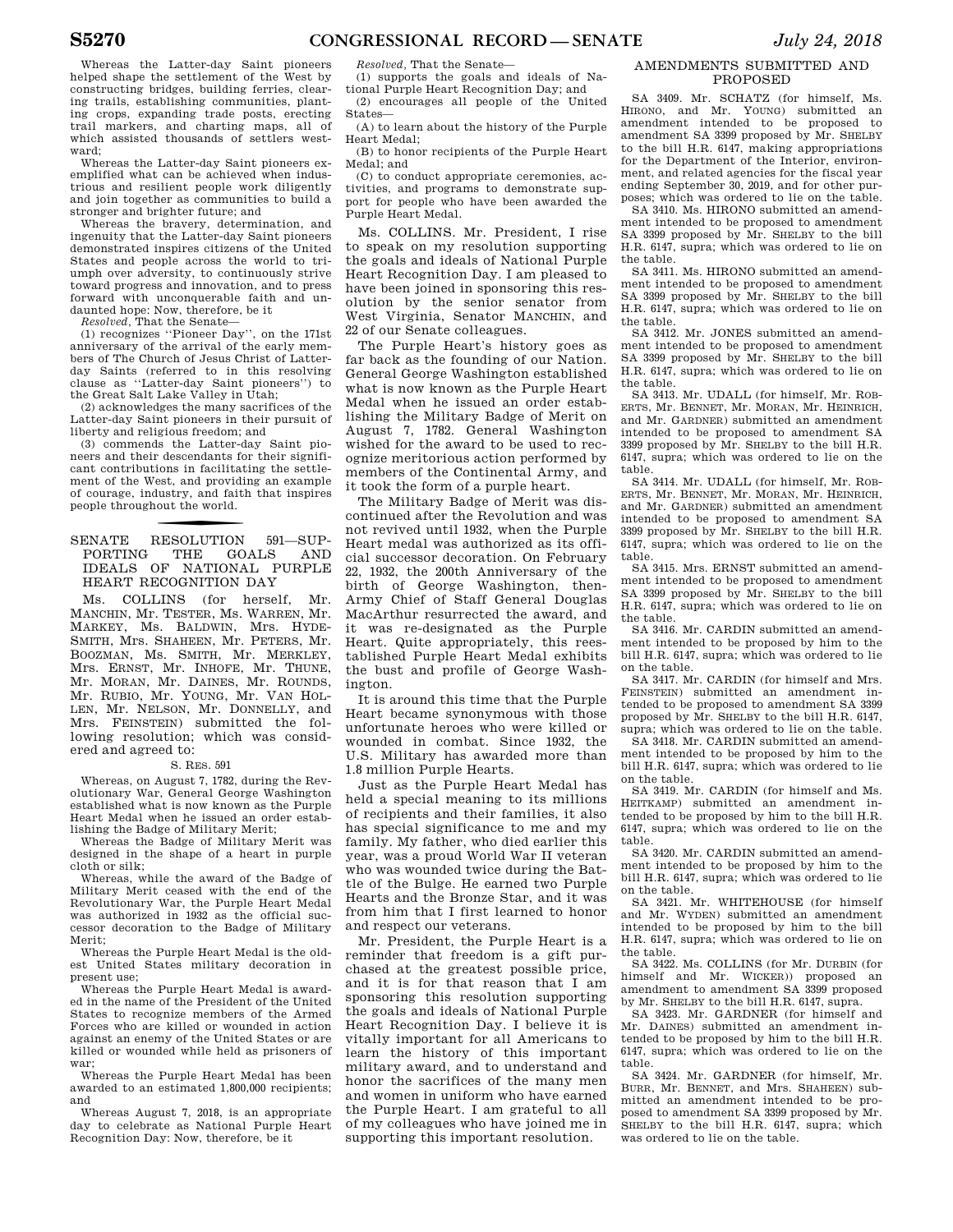Whereas the Latter-day Saint pioneers helped shape the settlement of the West by constructing bridges, building ferries, clearing trails, establishing communities, planting crops, expanding trade posts, erecting trail markers, and charting maps, all of which assisted thousands of settlers westward;

Whereas the Latter-day Saint pioneers exemplified what can be achieved when industrious and resilient people work diligently and join together as communities to build a stronger and brighter future; and

Whereas the bravery, determination, and ingenuity that the Latter-day Saint pioneers demonstrated inspires citizens of the United States and people across the world to triumph over adversity, to continuously strive toward progress and innovation, and to press forward with unconquerable faith and undaunted hope: Now, therefore, be it

*Resolved,* That the Senate—

(1) recognizes ''Pioneer Day'', on the 171st anniversary of the arrival of the early members of The Church of Jesus Christ of Latterday Saints (referred to in this resolving clause as ''Latter-day Saint pioneers'') to the Great Salt Lake Valley in Utah;

(2) acknowledges the many sacrifices of the Latter-day Saint pioneers in their pursuit of liberty and religious freedom; and

(3) commends the Latter-day Saint pioneers and their descendants for their significant contributions in facilitating the settlement of the West, and providing an example of courage, industry, and faith that inspires people throughout the world.

# f SENATE RESOLUTION 591—SUP-PORTING THE GOALS AND IDEALS OF NATIONAL PURPLE HEART RECOGNITION DAY

Ms. COLLINS (for herself, Mr. MANCHIN, Mr. TESTER, Ms. WARREN, Mr. MARKEY, Ms. BALDWIN, Mrs. HYDE-SMITH, Mrs. SHAHEEN, Mr. PETERS, Mr. BOOZMAN, Ms. SMITH, Mr. MERKLEY, Mrs. ERNST, Mr. INHOFE, Mr. THUNE, Mr. MORAN, Mr. DAINES, Mr. ROUNDS, Mr. RUBIO, Mr. YOUNG, Mr. VAN HOL-LEN, Mr. NELSON, Mr. DONNELLY, and Mrs. FEINSTEIN) submitted the following resolution; which was considered and agreed to:

# S. RES. 591

Whereas, on August 7, 1782, during the Revolutionary War, General George Washington established what is now known as the Purple Heart Medal when he issued an order establishing the Badge of Military Merit;

Whereas the Badge of Military Merit was designed in the shape of a heart in purple cloth or silk;

Whereas, while the award of the Badge of Military Merit ceased with the end of the Revolutionary War, the Purple Heart Medal was authorized in 1932 as the official successor decoration to the Badge of Military Merit;

Whereas the Purple Heart Medal is the oldest United States military decoration in present use;

Whereas the Purple Heart Medal is awarded in the name of the President of the United States to recognize members of the Armed Forces who are killed or wounded in action against an enemy of the United States or are killed or wounded while held as prisoners of war;

Whereas the Purple Heart Medal has been awarded to an estimated 1,800,000 recipients; and

Whereas August 7, 2018, is an appropriate day to celebrate as National Purple Heart Recognition Day: Now, therefore, be it

*Resolved,* That the Senate—

(1) supports the goals and ideals of National Purple Heart Recognition Day; and

(2) encourages all people of the United States—

(A) to learn about the history of the Purple Heart Medal;

(B) to honor recipients of the Purple Heart Medal; and

(C) to conduct appropriate ceremonies, activities, and programs to demonstrate support for people who have been awarded the Purple Heart Medal.

Ms. COLLINS. Mr. President, I rise to speak on my resolution supporting the goals and ideals of National Purple Heart Recognition Day. I am pleased to have been joined in sponsoring this resolution by the senior senator from West Virginia, Senator MANCHIN, and 22 of our Senate colleagues.

The Purple Heart's history goes as far back as the founding of our Nation. General George Washington established what is now known as the Purple Heart Medal when he issued an order establishing the Military Badge of Merit on August 7, 1782. General Washington wished for the award to be used to recognize meritorious action performed by members of the Continental Army, and it took the form of a purple heart.

The Military Badge of Merit was discontinued after the Revolution and was not revived until 1932, when the Purple Heart medal was authorized as its official successor decoration. On February 22, 1932, the 200th Anniversary of the birth of George Washington, then-Army Chief of Staff General Douglas MacArthur resurrected the award, and it was re-designated as the Purple Heart. Quite appropriately, this reestablished Purple Heart Medal exhibits the bust and profile of George Washington.

It is around this time that the Purple Heart became synonymous with those unfortunate heroes who were killed or wounded in combat. Since 1932, the U.S. Military has awarded more than 1.8 million Purple Hearts.

Just as the Purple Heart Medal has held a special meaning to its millions of recipients and their families, it also has special significance to me and my family. My father, who died earlier this year, was a proud World War II veteran who was wounded twice during the Battle of the Bulge. He earned two Purple Hearts and the Bronze Star, and it was from him that I first learned to honor and respect our veterans.

Mr. President, the Purple Heart is a reminder that freedom is a gift purchased at the greatest possible price, and it is for that reason that I am sponsoring this resolution supporting the goals and ideals of National Purple Heart Recognition Day. I believe it is vitally important for all Americans to learn the history of this important military award, and to understand and honor the sacrifices of the many men and women in uniform who have earned the Purple Heart. I am grateful to all of my colleagues who have joined me in supporting this important resolution.

# AMENDMENTS SUBMITTED AND PROPOSED

SA 3409. Mr. SCHATZ (for himself, Ms. HIRONO, and Mr. YOUNG) submitted an amendment intended to be proposed to amendment SA 3399 proposed by Mr. SHELBY to the bill H.R. 6147, making appropriations for the Department of the Interior, environment, and related agencies for the fiscal year ending September 30, 2019, and for other purposes; which was ordered to lie on the table.

SA 3410. Ms. HIRONO submitted an amendment intended to be proposed to amendment SA 3399 proposed by Mr. SHELBY to the bill H.R. 6147, supra; which was ordered to lie on the table.

SA 3411. Ms. HIRONO submitted an amendment intended to be proposed to amendment SA 3399 proposed by Mr. SHELBY to the bill H.R. 6147, supra; which was ordered to lie on the table.

SA 3412. Mr. JONES submitted an amendment intended to be proposed to amendment SA 3399 proposed by Mr. SHELBY to the bill H.R. 6147, supra; which was ordered to lie on the table.

SA 3413. Mr. UDALL (for himself, Mr. ROB-ERTS, Mr. BENNET, Mr. MORAN, Mr. HEINRICH, and Mr. GARDNER) submitted an amendment intended to be proposed to amendment SA 3399 proposed by Mr. SHELBY to the bill H.R. 6147, supra; which was ordered to lie on the table.

SA 3414. Mr. UDALL (for himself, Mr. ROB-ERTS, Mr. BENNET, Mr. MORAN, Mr. HEINRICH, and Mr. GARDNER) submitted an amendment intended to be proposed to amendment SA 3399 proposed by Mr. SHELBY to the bill H.R. 6147, supra; which was ordered to lie on the table.

SA 3415. Mrs. ERNST submitted an amendment intended to be proposed to amendment SA 3399 proposed by Mr. SHELBY to the bill H.R. 6147, supra; which was ordered to lie on the table.

SA 3416. Mr. CARDIN submitted an amendment intended to be proposed by him to the bill H.R. 6147, supra; which was ordered to lie on the table.

SA 3417. Mr. CARDIN (for himself and Mrs. FEINSTEIN) submitted an amendment intended to be proposed to amendment SA 3399 proposed by Mr. SHELBY to the bill H.R. 6147, supra; which was ordered to lie on the table.

SA 3418. Mr. CARDIN submitted an amendment intended to be proposed by him to the bill H.R. 6147, supra; which was ordered to lie on the table.

SA 3419. Mr. CARDIN (for himself and Ms. HEITKAMP) submitted an amendment intended to be proposed by him to the bill H.R. 6147, supra; which was ordered to lie on the table.

SA 3420. Mr. CARDIN submitted an amendment intended to be proposed by him to the bill H.R. 6147, supra; which was ordered to lie on the table.

SA 3421. Mr. WHITEHOUSE (for himself and Mr. WYDEN) submitted an amendment intended to be proposed by him to the bill H.R. 6147, supra; which was ordered to lie on the table.

SA 3422. Ms. COLLINS (for Mr. DURBIN (for himself and Mr. WICKER)) proposed an amendment to amendment SA 3399 proposed by Mr. SHELBY to the bill H.R. 6147, supra.

SA 3423. Mr. GARDNER (for himself and Mr. DAINES) submitted an amendment intended to be proposed by him to the bill H.R. 6147, supra; which was ordered to lie on the table.

SA 3424. Mr. GARDNER (for himself, Mr. BURR, Mr. BENNET, and Mrs. SHAHEEN) submitted an amendment intended to be proposed to amendment SA 3399 proposed by Mr. SHELBY to the bill H.R. 6147, supra; which was ordered to lie on the table.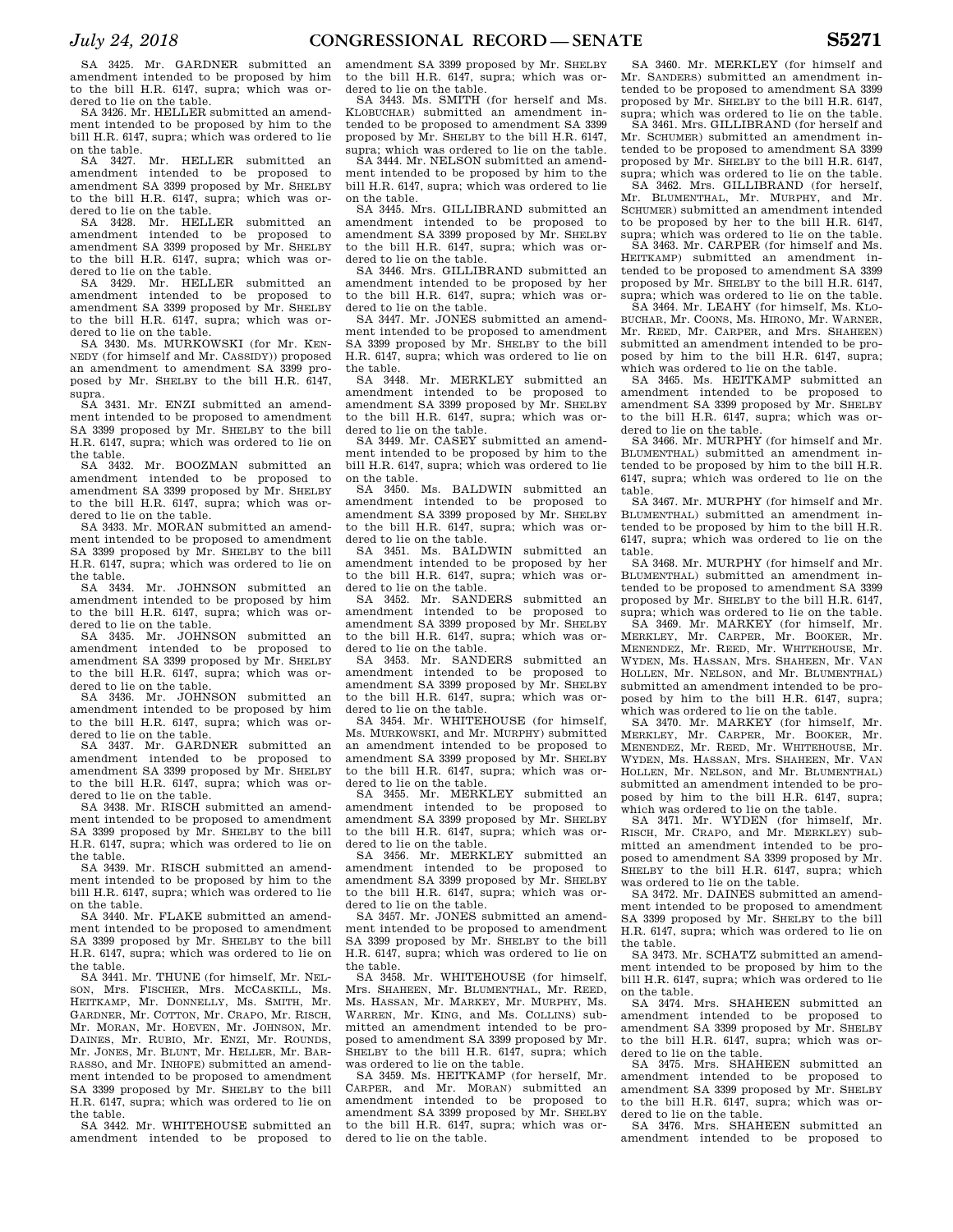SA 3425. Mr. GARDNER submitted an amendment intended to be proposed by him to the bill H.R. 6147, supra; which was ordered to lie on the table.

SA 3426. Mr. HELLER submitted an amendment intended to be proposed by him to the bill H.R. 6147, supra; which was ordered to lie

on the table. SA 3427. Mr. HELLER submitted an amendment intended to be proposed to amendment SA 3399 proposed by Mr. SHELBY to the bill H.R. 6147, supra; which was ordered to lie on the table.

SA 3428. Mr. HELLER submitted an amendment intended to be proposed to amendment SA 3399 proposed by Mr. SHELBY to the bill H.R. 6147, supra; which was ordered to lie on the table.

SA 3429. Mr. HELLER submitted an amendment intended to be proposed to amendment SA 3399 proposed by Mr. SHELBY to the bill H.R. 6147, supra; which was ordered to lie on the table.

SA 3430. Ms. MURKOWSKI (for Mr. KEN-NEDY (for himself and Mr. CASSIDY)) proposed an amendment to amendment SA 3399 proposed by Mr. SHELBY to the bill H.R. 6147, supra.

SA 3431. Mr. ENZI submitted an amendment intended to be proposed to amendment SA 3399 proposed by Mr. SHELBY to the bill H.R. 6147, supra; which was ordered to lie on the table.

SA 3432. Mr. BOOZMAN submitted an amendment intended to be proposed to amendment SA 3399 proposed by Mr. SHELBY to the bill H.R. 6147, supra; which was ordered to lie on the table.

SA 3433. Mr. MORAN submitted an amendment intended to be proposed to amendment SA 3399 proposed by Mr. SHELBY to the bill H.R. 6147, supra; which was ordered to lie on the table.

SA 3434. Mr. JOHNSON submitted an amendment intended to be proposed by him to the bill H.R. 6147, supra; which was ordered to lie on the table.

SA 3435. Mr. JOHNSON submitted an amendment intended to be proposed to amendment SA 3399 proposed by Mr. SHELBY to the bill H.R. 6147, supra; which was ordered to lie on the table.

SA 3436. Mr. JOHNSON submitted an amendment intended to be proposed by him to the bill H.R. 6147, supra; which was ordered to lie on the table.

SA 3437. Mr. GARDNER submitted an amendment intended to be proposed to amendment SA 3399 proposed by Mr. SHELBY to the bill H.R. 6147, supra; which was ordered to lie on the table.

SA 3438. Mr. RISCH submitted an amendment intended to be proposed to amendment SA 3399 proposed by Mr. SHELBY to the bill H.R. 6147, supra; which was ordered to lie on

the table. SA 3439. Mr. RISCH submitted an amendment intended to be proposed by him to the bill H.R. 6147, supra; which was ordered to lie on the table.

SA 3440. Mr. FLAKE submitted an amendment intended to be proposed to amendment SA 3399 proposed by Mr. SHELBY to the bill H.R. 6147, supra; which was ordered to lie on the table.

SA 3441. Mr. THUNE (for himself, Mr. NEL-SON, Mrs. FISCHER, Mrs. MCCASKILL, Ms. HEITKAMP, Mr. DONNELLY, Ms. SMITH, Mr. GARDNER, Mr. COTTON, Mr. CRAPO, Mr. RISCH, Mr. MORAN, Mr. HOEVEN, Mr. JOHNSON, Mr. DAINES, Mr. RUBIO, Mr. ENZI, Mr. ROUNDS, Mr. JONES, Mr. BLUNT, Mr. HELLER, Mr. BAR-RASSO, and Mr. INHOFE) submitted an amendment intended to be proposed to amendment SA 3399 proposed by Mr. SHELBY to the bill H.R. 6147, supra; which was ordered to lie on the table.

SA 3442. Mr. WHITEHOUSE submitted an amendment intended to be proposed to amendment SA 3399 proposed by Mr. SHELBY to the bill H.R. 6147, supra; which was ordered to lie on the table.

SA 3443. Ms. SMITH (for herself and Ms. KLOBUCHAR) submitted an amendment intended to be proposed to amendment SA 3399 proposed by Mr. SHELBY to the bill H.R. 6147, supra; which was ordered to lie on the table.

SA 3444. Mr. NELSON submitted an amendment intended to be proposed by him to the bill H.R. 6147, supra; which was ordered to lie on the table.

SA 3445. Mrs. GILLIBRAND submitted an amendment intended to be proposed to amendment SA 3399 proposed by Mr. SHELBY to the bill H.R. 6147, supra; which was ordered to lie on the table.

SA 3446. Mrs. GILLIBRAND submitted an amendment intended to be proposed by her to the bill H.R. 6147, supra; which was ordered to lie on the table.

SA 3447. Mr. JONES submitted an amendment intended to be proposed to amendment SA 3399 proposed by Mr. SHELBY to the bill H.R. 6147, supra; which was ordered to lie on the table.

SA 3448. Mr. MERKLEY submitted an amendment intended to be proposed to amendment SA 3399 proposed by Mr. SHELBY to the bill H.R. 6147, supra; which was ordered to lie on the table.

SA 3449. Mr. CASEY submitted an amendment intended to be proposed by him to the bill H.R. 6147, supra; which was ordered to lie on the table. SA 3450. Ms. BALDWIN submitted an

amendment intended to be proposed to amendment SA 3399 proposed by Mr. SHELBY to the bill H.R. 6147, supra; which was or-

dered to lie on the table. SA 3451. Ms. BALDWIN submitted an amendment intended to be proposed by her to the bill H.R. 6147, supra; which was ordered to lie on the table.

SA 3452. Mr. SANDERS submitted an amendment intended to be proposed to amendment SA 3399 proposed by Mr. SHELBY to the bill H.R. 6147, supra; which was ordered to lie on the table.

SA 3453. Mr. SANDERS submitted an amendment intended to be proposed to amendment SA 3399 proposed by Mr. SHELBY to the bill H.R. 6147, supra; which was or-

dered to lie on the table. SA 3454. Mr. WHITEHOUSE (for himself, Ms. MURKOWSKI, and Mr. MURPHY) submitted an amendment intended to be proposed to amendment SA 3399 proposed by Mr. SHELBY to the bill H.R. 6147, supra; which was or-

dered to lie on the table. SA 3455. Mr. MERKLEY submitted an amendment intended to be proposed to amendment SA 3399 proposed by Mr. SHELBY to the bill H.R. 6147, supra; which was ordered to lie on the table.

SA 3456. Mr. MERKLEY submitted an amendment intended to be proposed to amendment SA 3399 proposed by Mr. SHELBY to the bill H.R. 6147, supra; which was ordered to lie on the table.

SA 3457. Mr. JONES submitted an amendment intended to be proposed to amendment SA 3399 proposed by Mr. SHELBY to the bill H.R. 6147, supra; which was ordered to lie on the table.

SA 3458. Mr. WHITEHOUSE (for himself, Mrs. SHAHEEN, Mr. BLUMENTHAL, Mr. REED, Ms. HASSAN, Mr. MARKEY, Mr. MURPHY, Ms. WARREN, Mr. KING, and Ms. COLLINS) submitted an amendment intended to be proposed to amendment SA 3399 proposed by Mr. SHELBY to the bill H.R. 6147, supra; which was ordered to lie on the table.

SA 3459. Ms. HEITKAMP (for herself, Mr. CARPER, and Mr. MORAN) submitted an amendment intended to be proposed to amendment SA 3399 proposed by Mr. SHELBY to the bill H.R. 6147, supra; which was ordered to lie on the table.

SA 3460. Mr. MERKLEY (for himself and Mr. SANDERS) submitted an amendment intended to be proposed to amendment SA 3399 proposed by Mr. SHELBY to the bill H.R. 6147, supra; which was ordered to lie on the table.

SA 3461. Mrs. GILLIBRAND (for herself and Mr. SCHUMER) submitted an amendment intended to be proposed to amendment SA 3399 proposed by Mr. SHELBY to the bill H.R. 6147, supra; which was ordered to lie on the table.

SA 3462. Mrs. GILLIBRAND (for herself, Mr. BLUMENTHAL, Mr. MURPHY, and Mr. SCHUMER) submitted an amendment intended to be proposed by her to the bill H.R. 6147, supra; which was ordered to lie on the table.

SA 3463. Mr. CARPER (for himself and Ms. HEITKAMP) submitted an amendment intended to be proposed to amendment SA 3399 proposed by Mr. SHELBY to the bill H.R. 6147, supra; which was ordered to lie on the table.

SA 3464. Mr. LEAHY (for himself, Ms. KLO-BUCHAR, Mr. COONS, Ms. HIRONO, Mr. WARNER, Mr. REED, Mr. CARPER, and Mrs. SHAHEEN) submitted an amendment intended to be proposed by him to the bill H.R. 6147, supra; which was ordered to lie on the table.

SA 3465. Ms. HEITKAMP submitted an amendment intended to be proposed to amendment SA 3399 proposed by Mr. SHELBY to the bill H.R. 6147, supra; which was or-

dered to lie on the table. SA 3466. Mr. MURPHY (for himself and Mr. BLUMENTHAL) submitted an amendment intended to be proposed by him to the bill H.R. 6147, supra; which was ordered to lie on the table.

SA 3467. Mr. MURPHY (for himself and Mr. BLUMENTHAL) submitted an amendment intended to be proposed by him to the bill H.R. 6147, supra; which was ordered to lie on the table.

SA 3468. Mr. MURPHY (for himself and Mr. BLUMENTHAL) submitted an amendment intended to be proposed to amendment SA 3399 proposed by Mr. SHELBY to the bill H.R. 6147, supra; which was ordered to lie on the table.

SA 3469. Mr. MARKEY (for himself, Mr. MERKLEY, Mr. CARPER, Mr. BOOKER, Mr. MENENDEZ, Mr. REED, Mr. WHITEHOUSE, Mr. WYDEN, Ms. HASSAN, Mrs. SHAHEEN, Mr. VAN HOLLEN, Mr. NELSON, and Mr. BLUMENTHAL) submitted an amendment intended to be proposed by him to the bill H.R. 6147, supra; which was ordered to lie on the table.

SA 3470. Mr. MARKEY (for himself, Mr. MERKLEY, Mr. CARPER, Mr. BOOKER, Mr. MENENDEZ, Mr. REED, Mr. WHITEHOUSE, Mr. WYDEN, Ms. HASSAN, Mrs. SHAHEEN, Mr. VAN HOLLEN, Mr. NELSON, and Mr. BLUMENTHAL) submitted an amendment intended to be proposed by him to the bill H.R. 6147, supra; which was ordered to lie on the table.

SA 3471. Mr. WYDEN (for himself, Mr. RISCH, Mr. CRAPO, and Mr. MERKLEY) submitted an amendment intended to be proposed to amendment SA 3399 proposed by Mr. SHELBY to the bill H.R. 6147, supra; which was ordered to lie on the table.

SA 3472. Mr. DAINES submitted an amendment intended to be proposed to amendment SA 3399 proposed by Mr. SHELBY to the bill H.R. 6147, supra; which was ordered to lie on the table.

SA 3473. Mr. SCHATZ submitted an amendment intended to be proposed by him to the bill H.R. 6147, supra; which was ordered to lie

on the table. SA 3474. Mrs. SHAHEEN submitted an amendment intended to be proposed to amendment SA 3399 proposed by Mr. SHELBY to the bill H.R. 6147, supra; which was ordered to lie on the table.

SA 3475. Mrs. SHAHEEN submitted an amendment intended to be proposed to amendment SA 3399 proposed by Mr. SHELBY to the bill H.R. 6147, supra; which was ordered to lie on the table.

SA 3476. Mrs. SHAHEEN submitted an amendment intended to be proposed to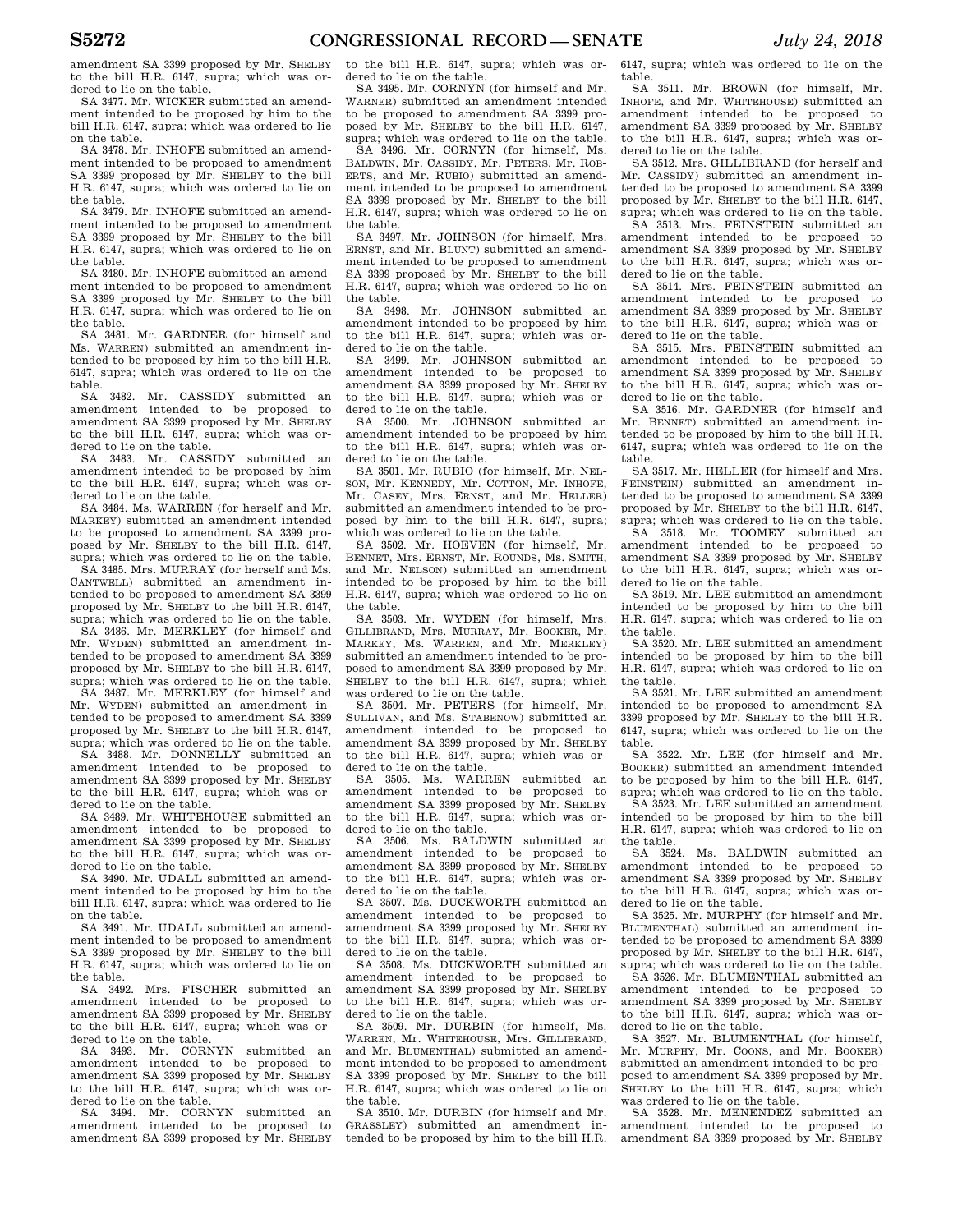amendment SA 3399 proposed by Mr. SHELBY to the bill H.R. 6147, supra; which was ordered to lie on the table.

SA 3477. Mr. WICKER submitted an amendment intended to be proposed by him to the bill H.R. 6147, supra; which was ordered to lie on the table.

SA 3478. Mr. INHOFE submitted an amendment intended to be proposed to amendment SA 3399 proposed by Mr. SHELBY to the bill H.R. 6147, supra; which was ordered to lie on the table.

SA 3479. Mr. INHOFE submitted an amendment intended to be proposed to amendment SA 3399 proposed by Mr. SHELBY to the bill H.R. 6147, supra; which was ordered to lie on the table.

SA 3480. Mr. INHOFE submitted an amendment intended to be proposed to amendment SA 3399 proposed by Mr. SHELBY to the bill H.R. 6147, supra; which was ordered to lie on the table.

SA 3481. Mr. GARDNER (for himself and Ms. WARREN) submitted an amendment intended to be proposed by him to the bill H.R. 6147, supra; which was ordered to lie on the table.

SA 3482. Mr. CASSIDY submitted an amendment intended to be proposed to amendment SA 3399 proposed by Mr. SHELBY to the bill H.R. 6147, supra; which was ordered to lie on the table.

SA 3483. Mr. CASSIDY submitted an amendment intended to be proposed by him to the bill H.R. 6147, supra; which was ordered to lie on the table.

SA 3484. Ms. WARREN (for herself and Mr. MARKEY) submitted an amendment intended to be proposed to amendment SA 3399 proposed by Mr. SHELBY to the bill H.R. 6147, supra; which was ordered to lie on the table.

SA 3485. Mrs. MURRAY (for herself and Ms. CANTWELL) submitted an amendment intended to be proposed to amendment SA 3399 proposed by Mr. SHELBY to the bill H.R. 6147, supra; which was ordered to lie on the table.

SA 3486. Mr. MERKLEY (for himself and Mr. WYDEN) submitted an amendment in-WYDEN) submitted an amendment intended to be proposed to amendment SA 3399 proposed by Mr. SHELBY to the bill H.R. 6147, supra; which was ordered to lie on the table.

SA 3487. Mr. MERKLEY (for himself and Mr. WYDEN) submitted an amendment intended to be proposed to amendment SA 3399 proposed by Mr. SHELBY to the bill H.R. 6147, supra; which was ordered to lie on the table.

SA 3488. Mr. DONNELLY submitted an amendment intended to be proposed to amendment SA 3399 proposed by Mr. SHELBY to the bill H.R. 6147, supra; which was ordered to lie on the table.

SA 3489. Mr. WHITEHOUSE submitted an amendment intended to be proposed to amendment SA 3399 proposed by Mr. SHELBY to the bill H.R. 6147, supra; which was ordered to lie on the table.

SA 3490. Mr. UDALL submitted an amendment intended to be proposed by him to the bill H.R. 6147, supra; which was ordered to lie on the table.

SA 3491. Mr. UDALL submitted an amendment intended to be proposed to amendment SA 3399 proposed by Mr. SHELBY to the bill H.R. 6147, supra; which was ordered to lie on the table.

SA 3492. Mrs. FISCHER submitted an amendment intended to be proposed to amendment SA 3399 proposed by Mr. SHELBY to the bill H.R. 6147, supra; which was ordered to lie on the table.

SA 3493. Mr. CORNYN submitted an amendment intended to be proposed to amendment SA 3399 proposed by Mr. SHELBY to the bill H.R. 6147, supra; which was ordered to lie on the table.

SA 3494. Mr. CORNYN submitted an amendment intended to be proposed to amendment SA 3399 proposed by Mr. SHELBY to the bill H.R. 6147, supra; which was ordered to lie on the table.

SA 3495. Mr. CORNYN (for himself and Mr. WARNER) submitted an amendment intended to be proposed to amendment SA 3399 proposed by Mr. SHELBY to the bill H.R. 6147, supra; which was ordered to lie on the table.

SA 3496. Mr. CORNYN (for himself, Ms. BALDWIN, Mr. CASSIDY, Mr. PETERS, Mr. ROB-ERTS, and Mr. RUBIO) submitted an amendment intended to be proposed to amendment SA 3399 proposed by Mr. SHELBY to the bill H.R. 6147, supra; which was ordered to lie on the table.

SA 3497. Mr. JOHNSON (for himself, Mrs. ERNST, and Mr. BLUNT) submitted an amendment intended to be proposed to amendment SA 3399 proposed by Mr. SHELBY to the bill H.R. 6147, supra; which was ordered to lie on the table.

SA 3498. Mr. JOHNSON submitted an amendment intended to be proposed by him to the bill H.R. 6147, supra; which was ordered to lie on the table.

SA 3499. Mr. JOHNSON submitted an amendment intended to be proposed to amendment SA 3399 proposed by Mr. SHELBY to the bill H.R. 6147, supra; which was ordered to lie on the table.

SA 3500. Mr. JOHNSON submitted an amendment intended to be proposed by him to the bill H.R. 6147, supra; which was ordered to lie on the table.

SA 3501. Mr. RUBIO (for himself, Mr. NEL-SON, Mr. KENNEDY, Mr. COTTON, Mr. INHOFE, Mr. CASEY, Mrs. ERNST, and Mr. HELLER) submitted an amendment intended to be proposed by him to the bill H.R. 6147, supra; which was ordered to lie on the table.

SA 3502. Mr. HOEVEN (for himself, Mr. BENNET, Mrs. ERNST, Mr. ROUNDS, Ms. SMITH, and Mr. NELSON) submitted an amendment intended to be proposed by him to the bill H.R. 6147, supra; which was ordered to lie on the table.

SA 3503. Mr. WYDEN (for himself, Mrs. GILLIBRAND, Mrs. MURRAY, Mr. BOOKER, Mr. MARKEY, Ms. WARREN, and Mr. MERKLEY) submitted an amendment intended to be proposed to amendment SA 3399 proposed by Mr. SHELBY to the bill H.R. 6147, supra; which was ordered to lie on the table.

SA 3504. Mr. PETERS (for himself, Mr. SULLIVAN, and Ms. STABENOW) submitted an amendment intended to be proposed to amendment SA 3399 proposed by Mr. SHELBY to the bill H.R. 6147, supra; which was ordered to lie on the table.

SA 3505. Ms. WARREN submitted an amendment intended to be proposed to amendment SA 3399 proposed by Mr. SHELBY to the bill H.R. 6147, supra; which was ordered to lie on the table.

SA 3506. Ms. BALDWIN submitted an amendment intended to be proposed to amendment SA 3399 proposed by Mr. SHELBY to the bill H.R. 6147, supra; which was ordered to lie on the table.

SA 3507. Ms. DUCKWORTH submitted an amendment intended to be proposed to amendment SA 3399 proposed by Mr. SHELBY to the bill H.R. 6147, supra; which was ordered to lie on the table.

SA 3508. Ms. DUCKWORTH submitted an amendment intended to be proposed to amendment SA 3399 proposed by Mr. SHELBY to the bill H.R. 6147, supra; which was ordered to lie on the table.

SA 3509. Mr. DURBIN (for himself, Ms. WARREN, Mr. WHITEHOUSE, Mrs. GILLIBRAND, and Mr. BLUMENTHAL) submitted an amendment intended to be proposed to amendment SA 3399 proposed by Mr. SHELBY to the bill H.R. 6147, supra; which was ordered to lie on the table.

SA 3510. Mr. DURBIN (for himself and Mr. GRASSLEY) submitted an amendment intended to be proposed by him to the bill H.R. 6147, supra; which was ordered to lie on the table.

SA 3511. Mr. BROWN (for himself, Mr. INHOFE, and Mr. WHITEHOUSE) submitted an amendment intended to be proposed to amendment SA 3399 proposed by Mr. SHELBY to the bill H.R. 6147, supra; which was ordered to lie on the table.

SA 3512. Mrs. GILLIBRAND (for herself and Mr. CASSIDY) submitted an amendment intended to be proposed to amendment SA 3399 proposed by Mr. SHELBY to the bill H.R. 6147, supra; which was ordered to lie on the table.

SA 3513. Mrs. FEINSTEIN submitted an amendment intended to be proposed to amendment SA 3399 proposed by Mr. SHELBY to the bill H.R. 6147, supra; which was ordered to lie on the table.

SA 3514. Mrs. FEINSTEIN submitted an amendment intended to be proposed to amendment SA 3399 proposed by Mr. SHELBY to the bill H.R. 6147, supra; which was ordered to lie on the table.

SA 3515. Mrs. FEINSTEIN submitted an amendment intended to be proposed to amendment SA 3399 proposed by Mr. SHELBY to the bill H.R. 6147, supra; which was ordered to lie on the table.

SA 3516. Mr. GARDNER (for himself and Mr. BENNET) submitted an amendment intended to be proposed by him to the bill H.R. 6147, supra; which was ordered to lie on the table.

SA 3517. Mr. HELLER (for himself and Mrs. FEINSTEIN) submitted an amendment intended to be proposed to amendment SA 3399 proposed by Mr. SHELBY to the bill H.R. 6147, supra; which was ordered to lie on the table.

SA 3518. Mr. TOOMEY submitted an amendment intended to be proposed to amendment SA 3399 proposed by Mr. SHELBY to the bill H.R. 6147, supra; which was ordered to lie on the table.

SA 3519. Mr. LEE submitted an amendment intended to be proposed by him to the bill H.R. 6147, supra; which was ordered to lie on the table.

SA 3520. Mr. LEE submitted an amendment intended to be proposed by him to the bill H.R. 6147, supra; which was ordered to lie on the table.

SA 3521. Mr. LEE submitted an amendment intended to be proposed to amendment SA 3399 proposed by Mr. SHELBY to the bill H.R. 6147, supra; which was ordered to lie on the table.

SA 3522. Mr. LEE (for himself and Mr. BOOKER) submitted an amendment intended to be proposed by him to the bill H.R. 6147, supra; which was ordered to lie on the table.

SA 3523. Mr. LEE submitted an amendment intended to be proposed by him to the bill H.R. 6147, supra; which was ordered to lie on the table.

SA 3524. Ms. BALDWIN submitted an amendment intended to be proposed to amendment SA 3399 proposed by Mr. SHELBY to the bill H.R. 6147, supra; which was ordered to lie on the table.

SA 3525. Mr. MURPHY (for himself and Mr. BLUMENTHAL) submitted an amendment intended to be proposed to amendment SA 3399 proposed by Mr. SHELBY to the bill H.R. 6147, supra; which was ordered to lie on the table.

SA 3526. Mr. BLUMENTHAL submitted an amendment intended to be proposed to amendment SA 3399 proposed by Mr. SHELBY to the bill H.R. 6147, supra; which was ordered to lie on the table.

SA 3527. Mr. BLUMENTHAL (for himself, Mr. MURPHY, Mr. COONS, and Mr. BOOKER) submitted an amendment intended to be proposed to amendment SA 3399 proposed by Mr. SHELBY to the bill H.R. 6147, supra; which was ordered to lie on the table.

SA 3528. Mr. MENENDEZ submitted an amendment intended to be proposed to amendment SA 3399 proposed by Mr. SHELBY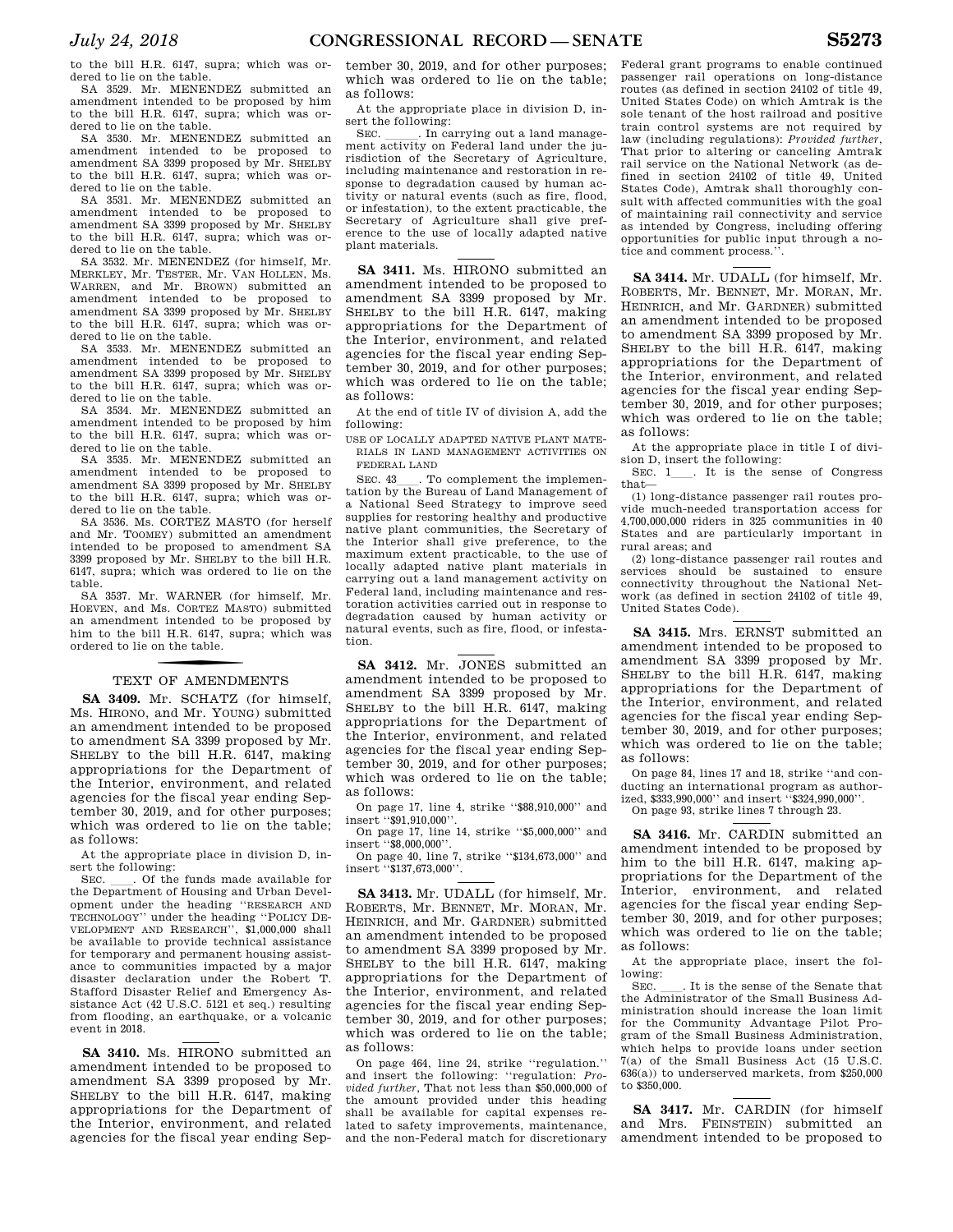to the bill H.R. 6147, supra; which was ordered to lie on the table.

SA 3529. Mr. MENENDEZ submitted an amendment intended to be proposed by him to the bill H.R. 6147, supra; which was ordered to lie on the table.

SA 3530. Mr. MENENDEZ submitted an amendment intended to be proposed to amendment SA 3399 proposed by Mr. SHELBY to the bill H.R. 6147, supra; which was ordered to lie on the table.

SA 3531. Mr. MENENDEZ submitted an amendment intended to be proposed to amendment SA 3399 proposed by Mr. SHELBY to the bill H.R. 6147, supra; which was ordered to lie on the table.

SA 3532. Mr. MENENDEZ (for himself, Mr. MERKLEY, Mr. TESTER, Mr. VAN HOLLEN, Ms. WARREN, and Mr. BROWN) submitted an amendment intended to be proposed to amendment SA 3399 proposed by Mr. SHELBY to the bill H.R. 6147, supra; which was ordered to lie on the table.

SA 3533. Mr. MENENDEZ submitted an amendment intended to be proposed to amendment SA 3399 proposed by Mr. SHELBY to the bill H.R. 6147, supra; which was ordered to lie on the table.

SA 3534. Mr. MENENDEZ submitted an amendment intended to be proposed by him to the bill H.R. 6147, supra; which was ordered to lie on the table.

SA 3535. Mr. MENENDEZ submitted an amendment intended to be proposed to amendment SA 3399 proposed by Mr. SHELBY to the bill H.R. 6147, supra; which was ordered to lie on the table.

SA 3536. Ms. CORTEZ MASTO (for herself and Mr. TOOMEY) submitted an amendment intended to be proposed to amendment SA 3399 proposed by Mr. SHELBY to the bill H.R. 6147, supra; which was ordered to lie on the table.

SA 3537. Mr. WARNER (for himself, Mr. HOEVEN, and Ms. CORTEZ MASTO) submitted an amendment intended to be proposed by him to the bill H.R. 6147, supra; which was ordered to lie on the table.

# TEXT OF AMENDMENTS

**SA 3409.** Mr. SCHATZ (for himself, Ms. HIRONO, and Mr. YOUNG) submitted an amendment intended to be proposed to amendment SA 3399 proposed by Mr. SHELBY to the bill H.R. 6147, making appropriations for the Department of the Interior, environment, and related agencies for the fiscal year ending September 30, 2019, and for other purposes; which was ordered to lie on the table; as follows:

At the appropriate place in division D, insert the following:<br>SEC. Cof the funds made available for

SEC.  $\quad$  Of the funds made available for the Department of Housing and Urban Development under the heading ''RESEARCH AND TECHNOLOGY'' under the heading ''POLICY DE-VELOPMENT AND RESEARCH'', \$1,000,000 shall be available to provide technical assistance for temporary and permanent housing assistance to communities impacted by a major disaster declaration under the Robert T. Stafford Disaster Relief and Emergency Assistance Act (42 U.S.C. 5121 et seq.) resulting from flooding, an earthquake, or a volcanic event in 2018.

**SA 3410.** Ms. HIRONO submitted an amendment intended to be proposed to amendment SA 3399 proposed by Mr. SHELBY to the bill H.R. 6147, making appropriations for the Department of the Interior, environment, and related agencies for the fiscal year ending September 30, 2019, and for other purposes; which was ordered to lie on the table; as follows:

At the appropriate place in division D, insert the following:<br>SEC. In ca

. In carrying out a land management activity on Federal land under the jurisdiction of the Secretary of Agriculture, including maintenance and restoration in response to degradation caused by human activity or natural events (such as fire, flood, or infestation), to the extent practicable, the Secretary of Agriculture shall give preference to the use of locally adapted native plant materials.

**SA 3411.** Ms. HIRONO submitted an amendment intended to be proposed to amendment SA 3399 proposed by Mr. SHELBY to the bill H.R. 6147, making appropriations for the Department of the Interior, environment, and related agencies for the fiscal year ending September 30, 2019, and for other purposes; which was ordered to lie on the table; as follows:

At the end of title IV of division A, add the following:

USE OF LOCALLY ADAPTED NATIVE PLANT MATE-RIALS IN LAND MANAGEMENT ACTIVITIES ON FEDERAL LAND

SEC. 43\_\_\_. To complement the implementation by the Bureau of Land Management of a National Seed Strategy to improve seed supplies for restoring healthy and productive native plant communities, the Secretary of the Interior shall give preference, to the maximum extent practicable, to the use of locally adapted native plant materials in carrying out a land management activity on Federal land, including maintenance and restoration activities carried out in response to degradation caused by human activity or natural events, such as fire, flood, or infestation.

**SA 3412.** Mr. JONES submitted an amendment intended to be proposed to amendment SA 3399 proposed by Mr. SHELBY to the bill H.R. 6147, making appropriations for the Department of the Interior, environment, and related agencies for the fiscal year ending September 30, 2019, and for other purposes; which was ordered to lie on the table; as follows:

On page 17, line 4, strike ''\$88,910,000'' and insert ''\$91,910,000''.

On page 17, line 14, strike ''\$5,000,000'' and insert ''\$8,000,000''.

On page 40, line 7, strike ''\$134,673,000'' and insert ''\$137,673,000''.

**SA 3413.** Mr. UDALL (for himself, Mr. ROBERTS, Mr. BENNET, Mr. MORAN, Mr. HEINRICH, and Mr. GARDNER) submitted an amendment intended to be proposed to amendment SA 3399 proposed by Mr. SHELBY to the bill H.R. 6147, making appropriations for the Department of the Interior, environment, and related agencies for the fiscal year ending September 30, 2019, and for other purposes; which was ordered to lie on the table; as follows:

On page 464, line 24, strike ''regulation.'' and insert the following: ''regulation: *Provided further*, That not less than \$50,000,000 of the amount provided under this heading shall be available for capital expenses related to safety improvements, maintenance, and the non-Federal match for discretionary

Federal grant programs to enable continued passenger rail operations on long-distance routes (as defined in section 24102 of title 49, United States Code) on which Amtrak is the sole tenant of the host railroad and positive train control systems are not required by law (including regulations): *Provided further*, That prior to altering or canceling Amtrak rail service on the National Network (as defined in section 24102 of title 49, United States Code), Amtrak shall thoroughly consult with affected communities with the goal of maintaining rail connectivity and service as intended by Congress, including offering opportunities for public input through a notice and comment process.''.

**SA 3414.** Mr. UDALL (for himself, Mr. ROBERTS, Mr. BENNET, Mr. MORAN, Mr. HEINRICH, and Mr. GARDNER) submitted an amendment intended to be proposed to amendment SA 3399 proposed by Mr. SHELBY to the bill H.R. 6147, making appropriations for the Department of the Interior, environment, and related agencies for the fiscal year ending September 30, 2019, and for other purposes; which was ordered to lie on the table; as follows:

At the appropriate place in title I of division D, insert the following:

SEC. 1 . It is the sense of Congress that—

(1) long-distance passenger rail routes provide much-needed transportation access for 4,700,000,000 riders in 325 communities in 40 States and are particularly important in rural areas; and

(2) long-distance passenger rail routes and services should be sustained to ensure connectivity throughout the National Network (as defined in section 24102 of title 49, United States Code).

**SA 3415.** Mrs. ERNST submitted an amendment intended to be proposed to amendment SA 3399 proposed by Mr. SHELBY to the bill H.R. 6147, making appropriations for the Department of the Interior, environment, and related agencies for the fiscal year ending September 30, 2019, and for other purposes; which was ordered to lie on the table; as follows:

On page 84, lines 17 and 18, strike ''and conducting an international program as authorized, \$333,990,000'' and insert ''\$324,990,000''. On page 93, strike lines 7 through 23.

**SA 3416.** Mr. CARDIN submitted an amendment intended to be proposed by him to the bill H.R. 6147, making appropriations for the Department of the Interior, environment, and related agencies for the fiscal year ending September 30, 2019, and for other purposes; which was ordered to lie on the table; as follows:

At the appropriate place, insert the following:<br>SEC.

SEC. Let is the sense of the Senate that the Administrator of the Small Business Administration should increase the loan limit for the Community Advantage Pilot Program of the Small Business Administration, which helps to provide loans under section 7(a) of the Small Business Act (15 U.S.C. 636(a)) to underserved markets, from \$250,000 to \$350,000.

**SA 3417.** Mr. CARDIN (for himself and Mrs. FEINSTEIN) submitted an amendment intended to be proposed to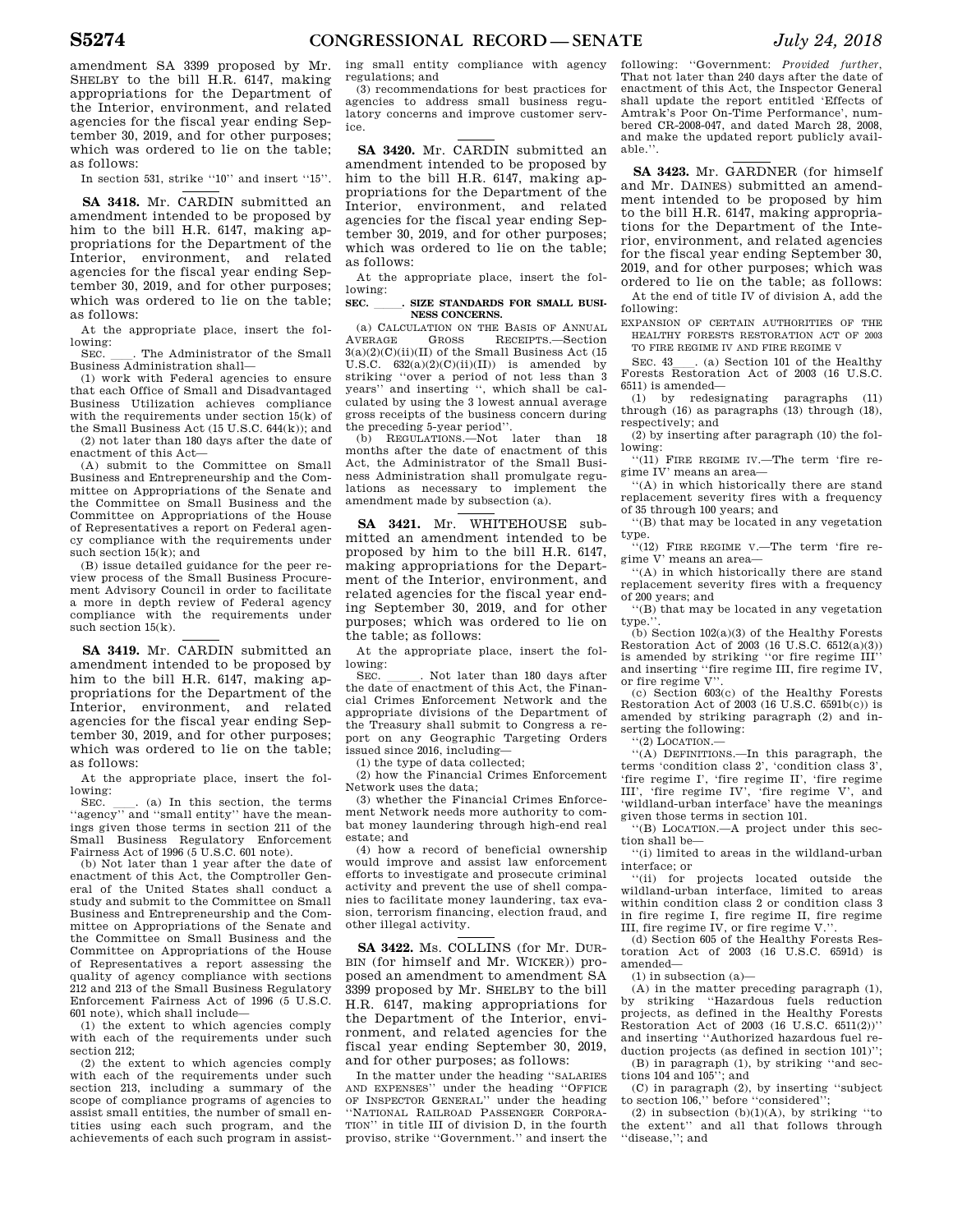amendment SA 3399 proposed by Mr. SHELBY to the bill H.R. 6147, making appropriations for the Department of the Interior, environment, and related agencies for the fiscal year ending September 30, 2019, and for other purposes; which was ordered to lie on the table; as follows:

In section 531, strike "10" and insert "15".

**SA 3418.** Mr. CARDIN submitted an amendment intended to be proposed by him to the bill H.R. 6147, making appropriations for the Department of the Interior, environment, and related agencies for the fiscal year ending September 30, 2019, and for other purposes; which was ordered to lie on the table; as follows:

At the appropriate place, insert the following:

SEC. The Administrator of the Small Business Administration shall—

(1) work with Federal agencies to ensure that each Office of Small and Disadvantaged Business Utilization achieves compliance with the requirements under section  $15(k)$  of the Small Business Act (15 U.S.C. 644(k)); and (2) not later than 180 days after the date of enactment of this Act—

(A) submit to the Committee on Small Business and Entrepreneurship and the Committee on Appropriations of the Senate and the Committee on Small Business and the Committee on Appropriations of the House of Representatives a report on Federal agency compliance with the requirements under such section 15(k); and

(B) issue detailed guidance for the peer review process of the Small Business Procurement Advisory Council in order to facilitate a more in depth review of Federal agency compliance with the requirements under such section 15(k).

**SA 3419.** Mr. CARDIN submitted an amendment intended to be proposed by him to the bill H.R. 6147, making appropriations for the Department of the Interior, environment, and related agencies for the fiscal year ending September 30, 2019, and for other purposes; which was ordered to lie on the table; as follows:

At the appropriate place, insert the following:

SEC.  $\quad$  (a) In this section, the terms "agency" and "small entity" have the meanings given those terms in section 211 of the Small Business Regulatory Enforcement Fairness Act of 1996 (5 U.S.C. 601 note).

(b) Not later than 1 year after the date of enactment of this Act, the Comptroller General of the United States shall conduct a study and submit to the Committee on Small Business and Entrepreneurship and the Committee on Appropriations of the Senate and the Committee on Small Business and the Committee on Appropriations of the House of Representatives a report assessing the quality of agency compliance with sections 212 and 213 of the Small Business Regulatory Enforcement Fairness Act of 1996 (5 U.S.C. 601 note), which shall include—

(1) the extent to which agencies comply with each of the requirements under such section 212;

(2) the extent to which agencies comply with each of the requirements under such section 213, including a summary of the scope of compliance programs of agencies to assist small entities, the number of small entities using each such program, and the achievements of each such program in assist-

ing small entity compliance with agency regulations; and

(3) recommendations for best practices for agencies to address small business regulatory concerns and improve customer service.

**SA 3420.** Mr. CARDIN submitted an amendment intended to be proposed by him to the bill H.R. 6147, making appropriations for the Department of the Interior, environment, and related agencies for the fiscal year ending September 30, 2019, and for other purposes; which was ordered to lie on the table; as follows:

At the appropriate place, insert the following:

#### SEC. BIZE STANDARDS FOR SMALL BUSI-**NESS CONCERNS.**

(a) CALCULATION ON THE BASIS OF ANNUAL VERAGE GROSS RECEIPTS.—Section AVERAGE GROSS RECEIPTS.—Section  $3(a)(2)(C)(ii)(II)$  of the Small Business Act  $(15\,$ U.S.C.  $632(a)(2)(C)(ii)(II)$  is amended by striking ''over a period of not less than 3 years'' and inserting '', which shall be calculated by using the 3 lowest annual average gross receipts of the business concern during the preceding 5-year period''.

(b) REGULATIONS.—Not later than 18 months after the date of enactment of this Act, the Administrator of the Small Business Administration shall promulgate regulations as necessary to implement the amendment made by subsection (a).

**SA 3421.** Mr. WHITEHOUSE submitted an amendment intended to be proposed by him to the bill H.R. 6147, making appropriations for the Department of the Interior, environment, and related agencies for the fiscal year ending September 30, 2019, and for other purposes; which was ordered to lie on the table; as follows:

At the appropriate place, insert the following:<br>SEC

SEC. Let the date of enactment of this Act, the Financial Crimes Enforcement Network and the appropriate divisions of the Department of the Treasury shall submit to Congress a report on any Geographic Targeting Orders issued since 2016, including—

(1) the type of data collected;

(2) how the Financial Crimes Enforcement Network uses the data;

(3) whether the Financial Crimes Enforcement Network needs more authority to combat money laundering through high-end real estate; and

(4) how a record of beneficial ownership would improve and assist law enforcement efforts to investigate and prosecute criminal activity and prevent the use of shell companies to facilitate money laundering, tax evasion, terrorism financing, election fraud, and other illegal activity.

**SA 3422.** Ms. COLLINS (for Mr. DUR-BIN (for himself and Mr. WICKER)) proposed an amendment to amendment SA 3399 proposed by Mr. SHELBY to the bill H.R. 6147, making appropriations for the Department of the Interior, environment, and related agencies for the fiscal year ending September 30, 2019, and for other purposes; as follows:

In the matter under the heading ''SALARIES AND EXPENSES'' under the heading ''OFFICE OF INSPECTOR GENERAL'' under the heading ''NATIONAL RAILROAD PASSENGER CORPORA-TION'' in title III of division D, in the fourth proviso, strike ''Government.'' and insert the

following: ''Government: *Provided further*, That not later than 240 days after the date of enactment of this Act, the Inspector General shall update the report entitled 'Effects of Amtrak's Poor On-Time Performance', numbered CR-2008-047, and dated March 28, 2008, and make the updated report publicly available.<sup>'</sup>

**SA 3423.** Mr. GARDNER (for himself and Mr. DAINES) submitted an amendment intended to be proposed by him to the bill H.R. 6147, making appropriations for the Department of the Interior, environment, and related agencies for the fiscal year ending September 30, 2019, and for other purposes; which was ordered to lie on the table; as follows:

At the end of title IV of division A, add the following:

EXPANSION OF CERTAIN AUTHORITIES OF THE HEALTHY FORESTS RESTORATION ACT OF 2003 TO FIRE REGIME IV AND FIRE REGIME V

SEC. 43\_\_\_. (a) Section 101 of the Healthy Forests Restoration Act of 2003 (16 U.S.C. 6511) is amended—

(1) by redesignating paragraphs (11) through (16) as paragraphs (13) through (18), respectively; and

(2) by inserting after paragraph (10) the following:

''(11) FIRE REGIME IV.—The term 'fire regime IV' means an area—

''(A) in which historically there are stand replacement severity fires with a frequency of 35 through 100 years; and

''(B) that may be located in any vegetation

type. ''(12) FIRE REGIME V.—The term 'fire regime V' means an area—

''(A) in which historically there are stand replacement severity fires with a frequency of 200 years; and

''(B) that may be located in any vegetation type.

 $(b)$  Section 102(a)(3) of the Healthy Forests Restoration Act of 2003 (16 U.S.C. 6512(a)(3)) is amended by striking ''or fire regime III'' and inserting ''fire regime III, fire regime IV, or fire regime V''.

(c) Section 603(c) of the Healthy Forests Restoration Act of 2003 (16 U.S.C. 6591b(c)) is amended by striking paragraph (2) and inserting the following:

 $''(2)$  LOCATION  $-$ 

''(A) DEFINITIONS.—In this paragraph, the terms 'condition class 2', 'condition class 3', 'fire regime I', 'fire regime II', 'fire regime III', 'fire regime IV', 'fire regime V', and 'wildland-urban interface' have the meanings given those terms in section 101.

''(B) LOCATION.—A project under this section shall be—

''(i) limited to areas in the wildland-urban interface; or

''(ii) for projects located outside the wildland-urban interface, limited to areas within condition class 2 or condition class 3 in fire regime I, fire regime II, fire regime III, fire regime IV, or fire regime V."

(d) Section 605 of the Healthy Forests Restoration Act of 2003 (16 U.S.C. 6591d) is amended—

(1) in subsection (a)—

(A) in the matter preceding paragraph (1), by striking ''Hazardous fuels reduction projects, as defined in the Healthy Forests Restoration Act of 2003 (16 U.S.C. 6511(2))'' and inserting ''Authorized hazardous fuel reduction projects (as defined in section 101)''; (B) in paragraph (1), by striking ''and sec-

tions 104 and 105''; and (C) in paragraph (2), by inserting ''subject

to section 106," before "considered" (2) in subsection  $(b)(1)(A)$ , by striking "to

the extent'' and all that follows through ''disease,''; and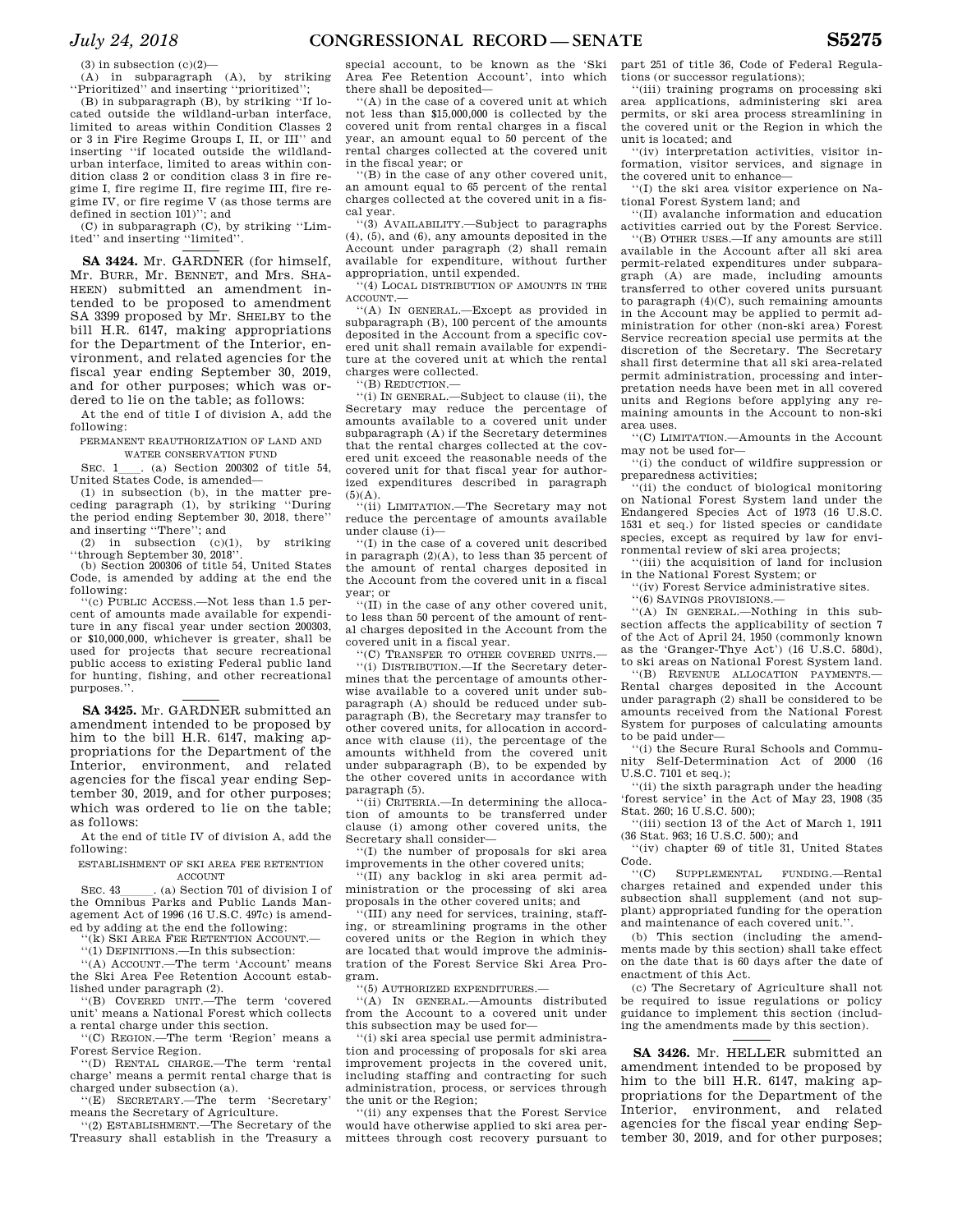$(3)$  in subsection  $(c)(2)$ —

(A) in subparagraph (A), by striking ''Prioritized'' and inserting ''prioritized'';

(B) in subparagraph (B), by striking ''If located outside the wildland-urban interface, limited to areas within Condition Classes 2 or 3 in Fire Regime Groups I, II, or III'' and inserting ''if located outside the wildlandurban interface, limited to areas within condition class 2 or condition class 3 in fire regime I, fire regime II, fire regime III, fire regime IV, or fire regime V (as those terms are defined in section 101)''; and

(C) in subparagraph (C), by striking ''Limited'' and inserting ''limited''.

**SA 3424.** Mr. GARDNER (for himself, Mr. BURR, Mr. BENNET, and Mrs. SHA-HEEN) submitted an amendment intended to be proposed to amendment SA 3399 proposed by Mr. SHELBY to the bill H.R. 6147, making appropriations for the Department of the Interior, environment, and related agencies for the fiscal year ending September 30, 2019, and for other purposes; which was ordered to lie on the table; as follows:

At the end of title I of division A, add the following:

PERMANENT REAUTHORIZATION OF LAND AND WATER CONSERVATION FUND

SEC. 1 (a) Section 200302 of title 54, United States Code, is amended—

(1) in subsection (b), in the matter preceding paragraph (1), by striking ''During the period ending September 30, 2018, there'' and inserting ''There''; and

(2) in subsection  $(c)(1)$ , by striking ''through September 30, 2018''.

(b) Section 200306 of title 54, United States Code, is amended by adding at the end the following:

''(c) PUBLIC ACCESS.—Not less than 1.5 percent of amounts made available for expenditure in any fiscal year under section 200303, or \$10,000,000, whichever is greater, shall be used for projects that secure recreational public access to existing Federal public land for hunting, fishing, and other recreational purposes.''.

**SA 3425.** Mr. GARDNER submitted an amendment intended to be proposed by him to the bill H.R. 6147, making appropriations for the Department of the Interior, environment, and related agencies for the fiscal year ending September 30, 2019, and for other purposes; which was ordered to lie on the table; as follows:

At the end of title IV of division A, add the following:

ESTABLISHMENT OF SKI AREA FEE RETENTION ACCOUNT

SEC. 43 [10]. (a) Section 701 of division I of the Omnibus Parks and Public Lands Management Act of 1996 (16 U.S.C. 497c) is amended by adding at the end the following:

''(k) SKI AREA FEE RETENTION ACCOUNT.—

''(1) DEFINITIONS.—In this subsection:

''(A) ACCOUNT.—The term 'Account' means the Ski Area Fee Retention Account established under paragraph (2).

''(B) COVERED UNIT.—The term 'covered unit' means a National Forest which collects a rental charge under this section.

''(C) REGION.—The term 'Region' means a Forest Service Region.

''(D) RENTAL CHARGE.—The term 'rental charge' means a permit rental charge that is charged under subsection (a).

''(E) SECRETARY.—The term 'Secretary' means the Secretary of Agriculture.

''(2) ESTABLISHMENT.—The Secretary of the Treasury shall establish in the Treasury a special account, to be known as the 'Ski Area Fee Retention Account', into which there shall be deposited—

''(A) in the case of a covered unit at which not less than \$15,000,000 is collected by the covered unit from rental charges in a fiscal year, an amount equal to 50 percent of the rental charges collected at the covered unit in the fiscal year; or

''(B) in the case of any other covered unit, an amount equal to 65 percent of the rental charges collected at the covered unit in a fiscal year.

''(3) AVAILABILITY.—Subject to paragraphs (4), (5), and (6), any amounts deposited in the Account under paragraph (2) shall remain available for expenditure, without further appropriation, until expended.

'(4) LOCAL DISTRIBUTION OF AMOUNTS IN THE ACCOUNT-

''(A) IN GENERAL.—Except as provided in subparagraph (B), 100 percent of the amounts deposited in the Account from a specific covered unit shall remain available for expenditure at the covered unit at which the rental charges were collected.

''(B) REDUCTION.—

''(i) IN GENERAL.—Subject to clause (ii), the Secretary may reduce the percentage of amounts available to a covered unit under subparagraph (A) if the Secretary determines that the rental charges collected at the covered unit exceed the reasonable needs of the covered unit for that fiscal year for authorized expenditures described in paragraph  $(5)(A)$ .

''(ii) LIMITATION.—The Secretary may not reduce the percentage of amounts available under clause (i)—

''(I) in the case of a covered unit described in paragraph  $(2)(A)$ , to less than 35 percent of the amount of rental charges deposited in the Account from the covered unit in a fiscal year; or

''(II) in the case of any other covered unit, to less than 50 percent of the amount of rental charges deposited in the Account from the covered unit in a fiscal year.

''(C) TRANSFER TO OTHER COVERED UNITS.— ''(i) DISTRIBUTION.—If the Secretary determines that the percentage of amounts otherwise available to a covered unit under subparagraph (A) should be reduced under subparagraph (B), the Secretary may transfer to other covered units, for allocation in accordance with clause (ii), the percentage of the amounts withheld from the covered unit under subparagraph (B), to be expended by the other covered units in accordance with paragraph (5).

''(ii) CRITERIA.—In determining the allocation of amounts to be transferred under clause (i) among other covered units, the Secretary shall consider—

''(I) the number of proposals for ski area improvements in the other covered units;

''(II) any backlog in ski area permit administration or the processing of ski area proposals in the other covered units; and

''(III) any need for services, training, staffing, or streamlining programs in the other covered units or the Region in which they are located that would improve the administration of the Forest Service Ski Area Program.

''(5) AUTHORIZED EXPENDITURES.—

''(A) IN GENERAL.—Amounts distributed from the Account to a covered unit under this subsection may be used for—

''(i) ski area special use permit administration and processing of proposals for ski area improvement projects in the covered unit, including staffing and contracting for such administration, process, or services through the unit or the Region;

''(ii) any expenses that the Forest Service would have otherwise applied to ski area permittees through cost recovery pursuant to part 251 of title 36, Code of Federal Regulations (or successor regulations);

''(iii) training programs on processing ski area applications, administering ski area permits, or ski area process streamlining in the covered unit or the Region in which the unit is located; and

''(iv) interpretation activities, visitor information, visitor services, and signage in the covered unit to enhance—

''(I) the ski area visitor experience on National Forest System land; and

''(II) avalanche information and education activities carried out by the Forest Service.

''(B) OTHER USES.—If any amounts are still available in the Account after all ski area permit-related expenditures under subparagraph (A) are made, including amounts transferred to other covered units pursuant to paragraph  $(4)(C)$ , such remaining amounts in the Account may be applied to permit administration for other (non-ski area) Forest Service recreation special use permits at the discretion of the Secretary. The Secretary shall first determine that all ski area-related permit administration, processing and interpretation needs have been met in all covered units and Regions before applying any remaining amounts in the Account to non-ski area uses.

''(C) LIMITATION.—Amounts in the Account may not be used for—

''(i) the conduct of wildfire suppression or preparedness activities;

''(ii) the conduct of biological monitoring on National Forest System land under the Endangered Species Act of 1973 (16 U.S.C. 1531 et seq.) for listed species or candidate species, except as required by law for environmental review of ski area projects;

''(iii) the acquisition of land for inclusion in the National Forest System; or

''(iv) Forest Service administrative sites.

''(6) SAVINGS PROVISIONS.—

''(A) IN GENERAL.—Nothing in this subsection affects the applicability of section 7 of the Act of April 24, 1950 (commonly known as the 'Granger-Thye Act') (16 U.S.C. 580d), to ski areas on National Forest System land.

''(B) REVENUE ALLOCATION PAYMENTS.— Rental charges deposited in the Account under paragraph (2) shall be considered to be amounts received from the National Forest System for purposes of calculating amounts to be paid under—

''(i) the Secure Rural Schools and Community Self-Determination Act of 2000 (16 U.S.C. 7101 et seq.);

''(ii) the sixth paragraph under the heading 'forest service' in the Act of May 23, 1908 (35 Stat. 260; 16 U.S.C. 500);

''(iii) section 13 of the Act of March 1, 1911 (36 Stat. 963; 16 U.S.C. 500); and

''(iv) chapter 69 of title 31, United States Code.

''(C) SUPPLEMENTAL FUNDING.—Rental charges retained and expended under this subsection shall supplement (and not supplant) appropriated funding for the operation and maintenance of each covered unit.''.

(b) This section (including the amendments made by this section) shall take effect on the date that is 60 days after the date of enactment of this Act.

(c) The Secretary of Agriculture shall not be required to issue regulations or policy guidance to implement this section (including the amendments made by this section).

**SA 3426.** Mr. HELLER submitted an amendment intended to be proposed by him to the bill H.R. 6147, making appropriations for the Department of the Interior, environment, and related agencies for the fiscal year ending September 30, 2019, and for other purposes;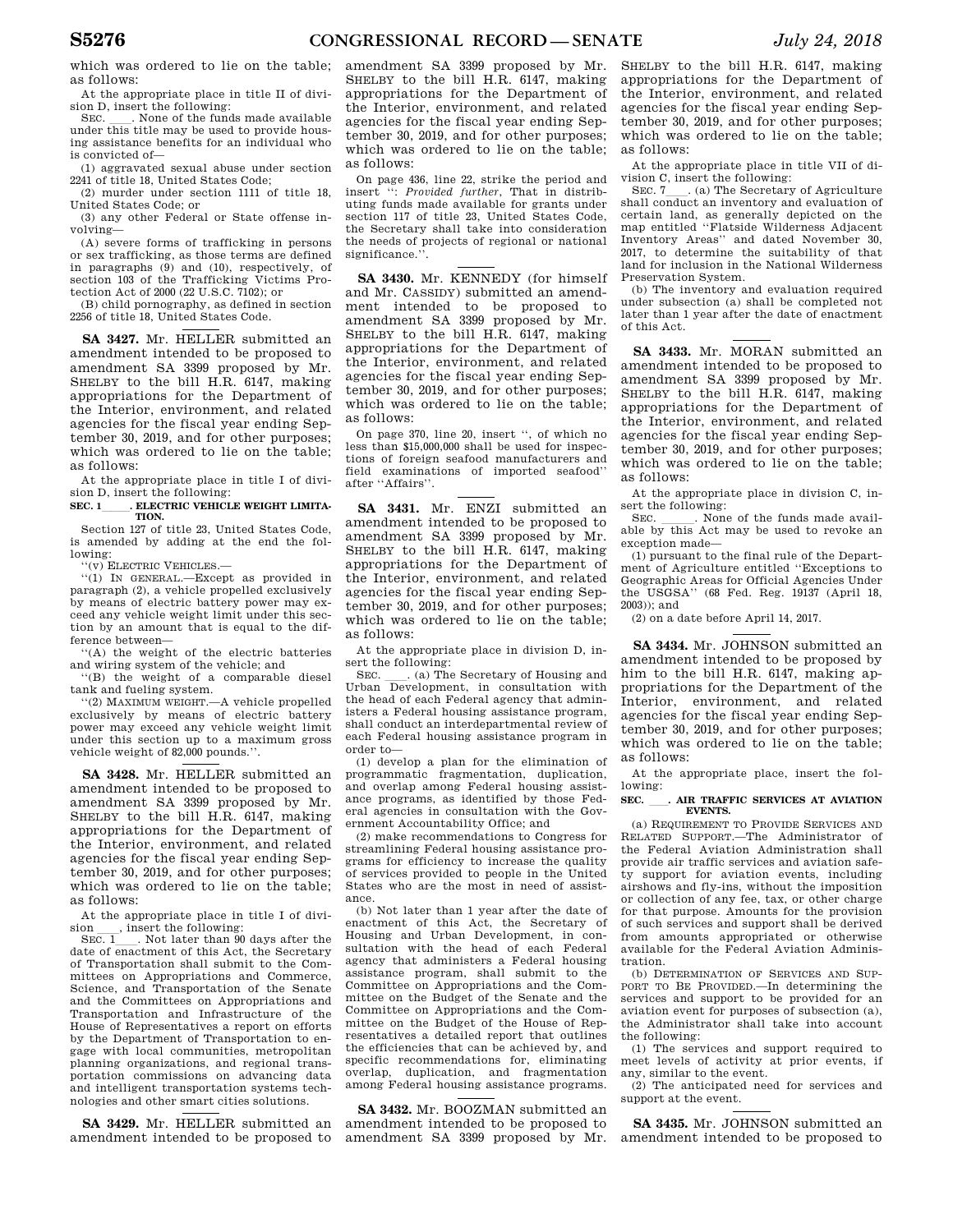which was ordered to lie on the table; as follows:

At the appropriate place in title II of division D, insert the following:<br>SEC. . None of the funds made available

SEC. Such a None of the funds made available under this title may be used to provide housing assistance benefits for an individual who is convicted of—

(1) aggravated sexual abuse under section 2241 of title 18, United States Code;

(2) murder under section 1111 of title 18, United States Code; or

(3) any other Federal or State offense involving—

(A) severe forms of trafficking in persons or sex trafficking, as those terms are defined in paragraphs (9) and (10), respectively, of section 103 of the Trafficking Victims Protection Act of 2000 (22 U.S.C. 7102); or

(B) child pornography, as defined in section 2256 of title 18, United States Code.

**SA 3427.** Mr. HELLER submitted an amendment intended to be proposed to amendment SA 3399 proposed by Mr. SHELBY to the bill H.R. 6147, making appropriations for the Department of the Interior, environment, and related agencies for the fiscal year ending September 30, 2019, and for other purposes; which was ordered to lie on the table; as follows:

At the appropriate place in title I of division D, insert the following:

SEC. 1\_\_\_\_\_\_. ELECTRIC VEHICLE WEIGHT LIMITA-**TION.** 

Section 127 of title 23, United States Code, is amended by adding at the end the following:

''(v) ELECTRIC VEHICLES.—

''(1) IN GENERAL.—Except as provided in paragraph (2), a vehicle propelled exclusively by means of electric battery power may exceed any vehicle weight limit under this section by an amount that is equal to the difference between—

''(A) the weight of the electric batteries and wiring system of the vehicle; and

''(B) the weight of a comparable diesel tank and fueling system.

''(2) MAXIMUM WEIGHT.—A vehicle propelled exclusively by means of electric battery power may exceed any vehicle weight limit under this section up to a maximum gross vehicle weight of 82,000 pounds.''.

**SA 3428.** Mr. HELLER submitted an amendment intended to be proposed to amendment SA 3399 proposed by Mr. SHELBY to the bill H.R. 6147, making appropriations for the Department of the Interior, environment, and related agencies for the fiscal year ending September 30, 2019, and for other purposes; which was ordered to lie on the table; as follows:

At the appropriate place in title I of divi- $\frac{1}{\text{SEC}}$ , insert the following:

. Not later than  $\frac{90}{90}$  days after the date of enactment of this Act, the Secretary of Transportation shall submit to the Committees on Appropriations and Commerce, Science, and Transportation of the Senate and the Committees on Appropriations and Transportation and Infrastructure of the House of Representatives a report on efforts by the Department of Transportation to engage with local communities, metropolitan planning organizations, and regional transportation commissions on advancing data and intelligent transportation systems technologies and other smart cities solutions.

**SA 3429.** Mr. HELLER submitted an amendment intended to be proposed to

amendment SA 3399 proposed by Mr. SHELBY to the bill H.R. 6147, making appropriations for the Department of the Interior, environment, and related agencies for the fiscal year ending September 30, 2019, and for other purposes; which was ordered to lie on the table; as follows:

On page 436, line 22, strike the period and insert '': *Provided further*, That in distributing funds made available for grants under section 117 of title 23, United States Code, the Secretary shall take into consideration the needs of projects of regional or national significance.''.

**SA 3430.** Mr. KENNEDY (for himself and Mr. CASSIDY) submitted an amendment intended to be proposed to amendment SA 3399 proposed by Mr. SHELBY to the bill H.R. 6147, making appropriations for the Department of the Interior, environment, and related agencies for the fiscal year ending September 30, 2019, and for other purposes; which was ordered to lie on the table; as follows:

On page 370, line 20, insert '', of which no less than \$15,000,000 shall be used for inspections of foreign seafood manufacturers and field examinations of imported seafood'' after ''Affairs''.

**SA 3431.** Mr. ENZI submitted an amendment intended to be proposed to amendment SA 3399 proposed by Mr. SHELBY to the bill H.R. 6147, making appropriations for the Department of the Interior, environment, and related agencies for the fiscal year ending September 30, 2019, and for other purposes; which was ordered to lie on the table; as follows:

At the appropriate place in division D, insert the following:

SEC. Calcher Cheen Cheese Consultation is used Urban Development, in consultation with the head of each Federal agency that administers a Federal housing assistance program, shall conduct an interdepartmental review of each Federal housing assistance program in order to—

(1) develop a plan for the elimination of programmatic fragmentation, duplication, and overlap among Federal housing assistance programs, as identified by those Federal agencies in consultation with the Government Accountability Office; and

(2) make recommendations to Congress for streamlining Federal housing assistance programs for efficiency to increase the quality of services provided to people in the United States who are the most in need of assistance.

(b) Not later than 1 year after the date of enactment of this Act, the Secretary of Housing and Urban Development, in consultation with the head of each Federal agency that administers a Federal housing assistance program, shall submit to the Committee on Appropriations and the Committee on the Budget of the Senate and the Committee on Appropriations and the Committee on the Budget of the House of Representatives a detailed report that outlines the efficiencies that can be achieved by, and specific recommendations for, eliminating overlap, duplication, and fragmentation among Federal housing assistance programs.

**SA 3432.** Mr. BOOZMAN submitted an amendment intended to be proposed to amendment SA 3399 proposed by Mr.

SHELBY to the bill H.R. 6147, making appropriations for the Department of the Interior, environment, and related agencies for the fiscal year ending September 30, 2019, and for other purposes; which was ordered to lie on the table; as follows:

At the appropriate place in title VII of division C, insert the following:<br>SEC. 7. (a) The Secretary of Agriculture

SEC. 7<sub>ll</sub>. (a) The Secretary of Agriculture shall conduct an inventory and evaluation of certain land, as generally depicted on the map entitled ''Flatside Wilderness Adjacent Inventory Areas'' and dated November 30, 2017, to determine the suitability of that land for inclusion in the National Wilderness Preservation System.

(b) The inventory and evaluation required under subsection (a) shall be completed not later than 1 year after the date of enactment of this Act.

**SA 3433.** Mr. MORAN submitted an amendment intended to be proposed to amendment SA 3399 proposed by Mr. SHELBY to the bill H.R. 6147, making appropriations for the Department of the Interior, environment, and related agencies for the fiscal year ending September 30, 2019, and for other purposes; which was ordered to lie on the table; as follows:

At the appropriate place in division C, insert the following:

SEC.  $\Box$ . None of the funds made available by this Act may be used to revoke an exception made—

(1) pursuant to the final rule of the Department of Agriculture entitled ''Exceptions to Geographic Areas for Official Agencies Under the USGSA'' (68 Fed. Reg. 19137 (April 18,  $2003$ ); and

(2) on a date before April 14, 2017.

**SA 3434.** Mr. JOHNSON submitted an amendment intended to be proposed by him to the bill H.R. 6147, making appropriations for the Department of the Interior, environment, and related agencies for the fiscal year ending September 30, 2019, and for other purposes; which was ordered to lie on the table; as follows:

At the appropriate place, insert the following:

#### SEC. **.** AIR TRAFFIC SERVICES AT AVIATION **EVENTS.**

(a) REQUIREMENT TO PROVIDE SERVICES AND RELATED SUPPORT.—The Administrator of the Federal Aviation Administration shall provide air traffic services and aviation safety support for aviation events, including airshows and fly-ins, without the imposition or collection of any fee, tax, or other charge for that purpose. Amounts for the provision of such services and support shall be derived from amounts appropriated or otherwise available for the Federal Aviation Administration.

(b) DETERMINATION OF SERVICES AND SUP-PORT TO BE PROVIDED.—In determining the services and support to be provided for an aviation event for purposes of subsection (a), the Administrator shall take into account the following:

(1) The services and support required to meet levels of activity at prior events, if any, similar to the event.

(2) The anticipated need for services and support at the event.

**SA 3435.** Mr. JOHNSON submitted an amendment intended to be proposed to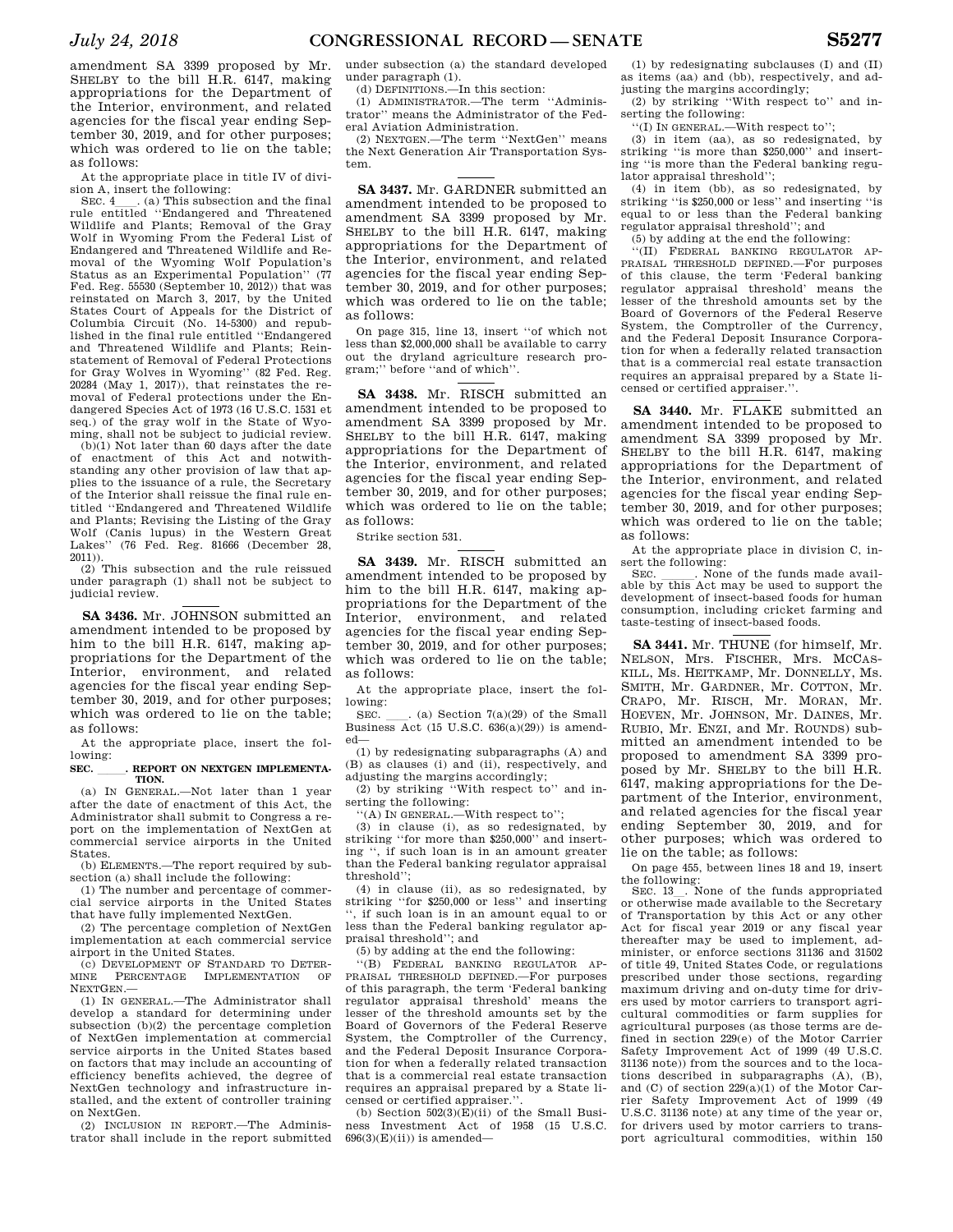amendment SA 3399 proposed by Mr. SHELBY to the bill H.R. 6147, making appropriations for the Department of the Interior, environment, and related agencies for the fiscal year ending September 30, 2019, and for other purposes; which was ordered to lie on the table; as follows:

At the appropriate place in title IV of division A, insert the following:

SEC.  $4$ <sub>ll</sub>. (a) This subsection and the final rule entitled ''Endangered and Threatened Wildlife and Plants; Removal of the Gray Wolf in Wyoming From the Federal List of Endangered and Threatened Wildlife and Removal of the Wyoming Wolf Population's Status as an Experimental Population'' (77 Fed. Reg. 55530 (September 10, 2012)) that was reinstated on March 3, 2017, by the United States Court of Appeals for the District of Columbia Circuit (No. 14-5300) and repub-lished in the final rule entitled ''Endangered and Threatened Wildlife and Plants; Reinstatement of Removal of Federal Protections for Gray Wolves in Wyoming'' (82 Fed. Reg. 20284 (May 1, 2017)), that reinstates the removal of Federal protections under the Endangered Species Act of 1973 (16 U.S.C. 1531 et seq.) of the gray wolf in the State of Wyoming, shall not be subject to judicial review.

(b)(1) Not later than 60 days after the date of enactment of this Act and notwithstanding any other provision of law that applies to the issuance of a rule, the Secretary of the Interior shall reissue the final rule entitled ''Endangered and Threatened Wildlife and Plants; Revising the Listing of the Gray Wolf (Canis lupus) in the Western Great Lakes'' (76 Fed. Reg. 81666 (December 28, 2011)).

(2) This subsection and the rule reissued under paragraph (1) shall not be subject to judicial review.

**SA 3436.** Mr. JOHNSON submitted an amendment intended to be proposed by him to the bill H.R. 6147, making appropriations for the Department of the Interior, environment, and related agencies for the fiscal year ending September 30, 2019, and for other purposes; which was ordered to lie on the table; as follows:

At the appropriate place, insert the following:

### SEC. REPORT ON NEXTGEN IMPLEMENTA-**TION.**

(a) IN GENERAL.—Not later than 1 year after the date of enactment of this Act, the Administrator shall submit to Congress a report on the implementation of NextGen at commercial service airports in the United States.

(b) ELEMENTS.—The report required by subsection (a) shall include the following:

(1) The number and percentage of commercial service airports in the United States that have fully implemented NextGen.

(2) The percentage completion of NextGen implementation at each commercial service airport in the United States.

(c) DEVELOPMENT OF STANDARD TO DETER-MINE PERCENTAGE IMPLEMENTATION OF NEXTGEN.—

(1) IN GENERAL.—The Administrator shall develop a standard for determining under subsection (b)(2) the percentage completion of NextGen implementation at commercial service airports in the United States based on factors that may include an accounting of efficiency benefits achieved, the degree of NextGen technology and infrastructure installed, and the extent of controller training on NextGen.

(2) INCLUSION IN REPORT.—The Administrator shall include in the report submitted under subsection (a) the standard developed under paragraph (1).

(d) DEFINITIONS.—In this section:

(1) ADMINISTRATOR.—The term ''Administrator'' means the Administrator of the Federal Aviation Administration.

(2) NEXTGEN.—The term ''NextGen'' means the Next Generation Air Transportation System.

**SA 3437.** Mr. GARDNER submitted an amendment intended to be proposed to amendment SA 3399 proposed by Mr. SHELBY to the bill H.R. 6147, making appropriations for the Department of the Interior, environment, and related agencies for the fiscal year ending September 30, 2019, and for other purposes; which was ordered to lie on the table; as follows:

On page 315, line 13, insert ''of which not less than \$2,000,000 shall be available to carry out the dryland agriculture research program;'' before ''and of which''.

**SA 3438.** Mr. RISCH submitted an amendment intended to be proposed to amendment SA 3399 proposed by Mr. SHELBY to the bill H.R. 6147, making appropriations for the Department of the Interior, environment, and related agencies for the fiscal year ending September 30, 2019, and for other purposes; which was ordered to lie on the table; as follows:

Strike section 531.

**SA 3439.** Mr. RISCH submitted an amendment intended to be proposed by him to the bill H.R. 6147, making appropriations for the Department of the Interior, environment, and related agencies for the fiscal year ending September 30, 2019, and for other purposes; which was ordered to lie on the table; as follows:

At the appropriate place, insert the following:

SEC.  $\quad$  (a) Section 7(a)(29) of the Small Business Act (15 U.S.C. 636(a)(29)) is amended—

(1) by redesignating subparagraphs (A) and (B) as clauses (i) and (ii), respectively, and adjusting the margins accordingly:

(2) by striking ''With respect to'' and inserting the following:

''(A) IN GENERAL.—With respect to''; (3) in clause (i), as so redesignated, by striking ''for more than \$250,000'' and inserting '', if such loan is in an amount greater than the Federal banking regulator appraisal threshold'';

(4) in clause (ii), as so redesignated, by striking ''for \$250,000 or less'' and inserting '', if such loan is in an amount equal to or less than the Federal banking regulator appraisal threshold''; and

(5) by adding at the end the following:

''(B) FEDERAL BANKING REGULATOR AP-PRAISAL THRESHOLD DEFINED.—For purposes of this paragraph, the term 'Federal banking regulator appraisal threshold' means the lesser of the threshold amounts set by the Board of Governors of the Federal Reserve System, the Comptroller of the Currency, and the Federal Deposit Insurance Corporation for when a federally related transaction that is a commercial real estate transaction requires an appraisal prepared by a State licensed or certified appraiser.''.

(b) Section  $502(3)(E)(ii)$  of the Small Business Investment Act of 1958 (15 U.S.C.  $696(3)(E)(ii)$  is amended—

(1) by redesignating subclauses (I) and (II) as items (aa) and (bb), respectively, and adjusting the margins accordingly;

(2) by striking ''With respect to'' and inserting the following:

''(I) IN GENERAL.—With respect to'';

(3) in item (aa), as so redesignated, by striking ''is more than \$250,000'' and inserting ''is more than the Federal banking regulator appraisal threshold'';

(4) in item (bb), as so redesignated, by striking ''is \$250,000 or less'' and inserting ''is equal to or less than the Federal banking regulator appraisal threshold''; and

(5) by adding at the end the following:

''(II) FEDERAL BANKING REGULATOR AP-PRAISAL THRESHOLD DEFINED.—For purposes of this clause, the term 'Federal banking regulator appraisal threshold' means the lesser of the threshold amounts set by the Board of Governors of the Federal Reserve System, the Comptroller of the Currency, and the Federal Deposit Insurance Corporation for when a federally related transaction that is a commercial real estate transaction requires an appraisal prepared by a State licensed or certified appraiser.''.

**SA 3440.** Mr. FLAKE submitted an amendment intended to be proposed to amendment SA 3399 proposed by Mr. SHELBY to the bill H.R. 6147, making appropriations for the Department of the Interior, environment, and related agencies for the fiscal year ending September 30, 2019, and for other purposes; which was ordered to lie on the table; as follows:

At the appropriate place in division C, insert the following:<br>SEC. \_\_\_\_\_\_. None of the funds made avail-

SEC.  $\_\_$ . None of the funds made available by this Act may be used to support the development of insect-based foods for human consumption, including cricket farming and taste-testing of insect-based foods.

**SA 3441.** Mr. THUNE (for himself, Mr. NELSON, Mrs. FISCHER, Mrs. MCCAS-KILL, Ms. HEITKAMP, Mr. DONNELLY, Ms. SMITH, Mr. GARDNER, Mr. COTTON, Mr. CRAPO, Mr. RISCH, Mr. MORAN, Mr. HOEVEN, Mr. JOHNSON, Mr. DAINES, Mr. RUBIO, Mr. ENZI, and Mr. ROUNDS) submitted an amendment intended to be proposed to amendment SA 3399 proposed by Mr. SHELBY to the bill H.R. 6147, making appropriations for the Department of the Interior, environment, and related agencies for the fiscal year ending September 30, 2019, and for other purposes; which was ordered to lie on the table; as follows:

On page 455, between lines 18 and 19, insert the following:

SEC. 13\_. None of the funds appropriated or otherwise made available to the Secretary of Transportation by this Act or any other Act for fiscal year 2019 or any fiscal year thereafter may be used to implement, administer, or enforce sections 31136 and 31502 of title 49, United States Code, or regulations prescribed under those sections, regarding maximum driving and on-duty time for drivers used by motor carriers to transport agricultural commodities or farm supplies for agricultural purposes (as those terms are defined in section 229(e) of the Motor Carrier Safety Improvement Act of 1999 (49 U.S.C. 31136 note)) from the sources and to the locations described in subparagraphs (A), (B), and (C) of section  $229(a)(1)$  of the Motor Carrier Safety Improvement Act of 1999 (49 U.S.C. 31136 note) at any time of the year or, for drivers used by motor carriers to transport agricultural commodities, within 150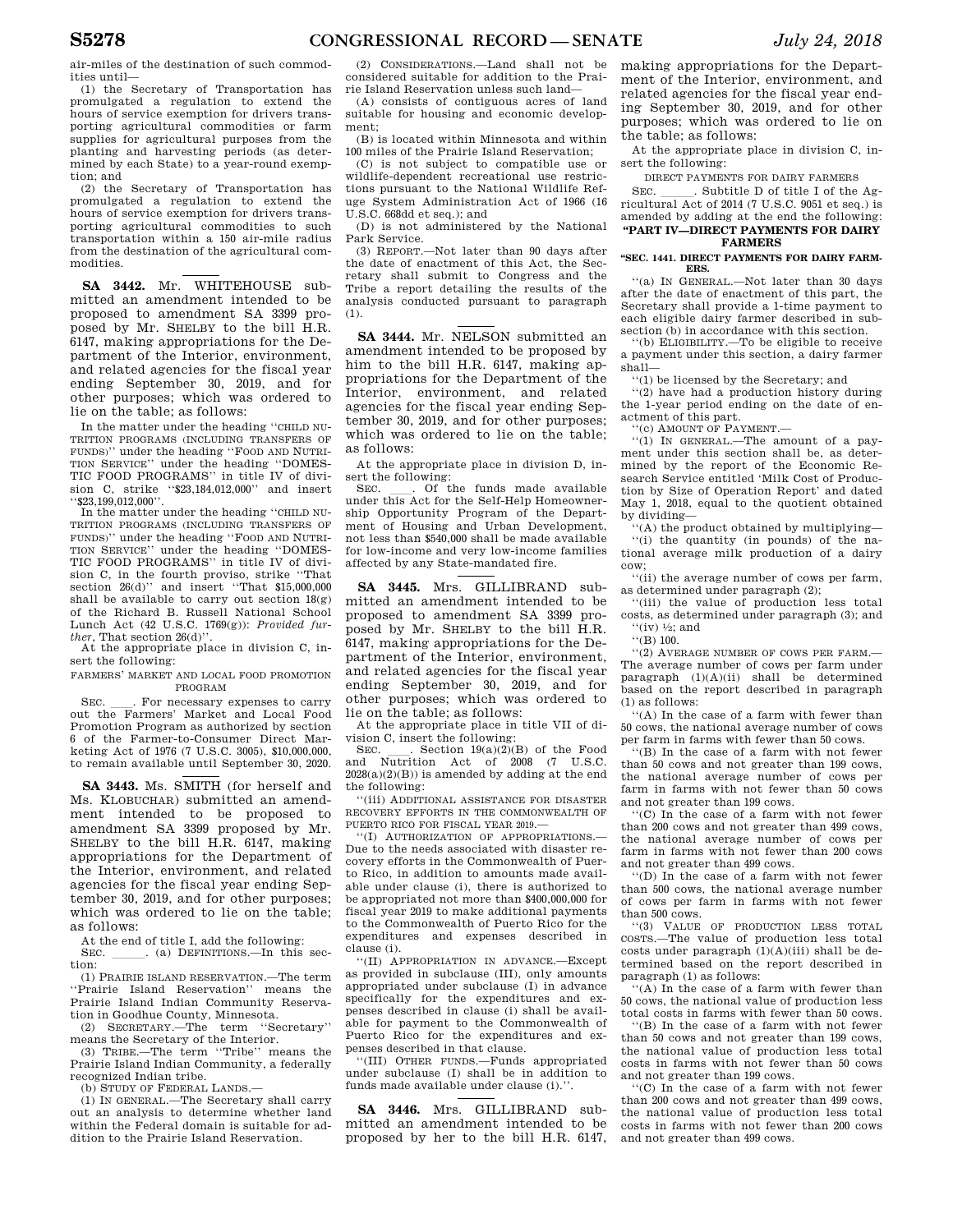air-miles of the destination of such commodities until—

(1) the Secretary of Transportation has promulgated a regulation to extend the hours of service exemption for drivers transporting agricultural commodities or farm supplies for agricultural purposes from the planting and harvesting periods (as determined by each State) to a year-round exemption; and

(2) the Secretary of Transportation has promulgated a regulation to extend the hours of service exemption for drivers transporting agricultural commodities to such transportation within a 150 air-mile radius from the destination of the agricultural commodities.

**SA 3442.** Mr. WHITEHOUSE submitted an amendment intended to be proposed to amendment SA 3399 proposed by Mr. SHELBY to the bill H.R. 6147, making appropriations for the Department of the Interior, environment, and related agencies for the fiscal year ending September 30, 2019, and for other purposes; which was ordered to lie on the table; as follows:

In the matter under the heading ''CHILD NU-TRITION PROGRAMS (INCLUDING TRANSFERS OF FUNDS)'' under the heading ''FOOD AND NUTRI-TION SERVICE'' under the heading ''DOMES-TIC FOOD PROGRAMS'' in title IV of division C, strike ''\$23,184,012,000'' and insert ''\$23,199,012,000''.

In the matter under the heading ''CHILD NU-TRITION PROGRAMS (INCLUDING TRANSFERS OF FUNDS)'' under the heading ''FOOD AND NUTRI-TION SERVICE'' under the heading ''DOMES-TIC FOOD PROGRAMS'' in title IV of division C, in the fourth proviso, strike ''That section  $26(d)$ " and insert "That \$15,000,000 shall be available to carry out section 18(g) of the Richard B. Russell National School Lunch Act (42 U.S.C. 1769(g)): *Provided further*, That section 26(d)''.

At the appropriate place in division C, insert the following:

FARMERS' MARKET AND LOCAL FOOD PROMOTION PROGRAM

SEC. Let The Farmers' Market and Local Food Food Promotion Program as authorized by section 6 of the Farmer-to-Consumer Direct Marketing Act of 1976 (7 U.S.C. 3005), \$10,000,000, to remain available until September 30, 2020.

**SA 3443.** Ms. SMITH (for herself and Ms. KLOBUCHAR) submitted an amendment intended to be proposed to amendment SA 3399 proposed by Mr. SHELBY to the bill H.R. 6147, making appropriations for the Department of the Interior, environment, and related agencies for the fiscal year ending September 30, 2019, and for other purposes; which was ordered to lie on the table; as follows:

At the end of title I, add the following:

SEC. \_\_\_\_\_. (a) DEFINITIONS.—In this section:

(1) PRAIRIE ISLAND RESERVATION.—The term ''Prairie Island Reservation'' means the Prairie Island Indian Community Reservation in Goodhue County, Minnesota.

(2) SECRETARY.—The term ''Secretary'' means the Secretary of the Interior.

(3) TRIBE.—The term ''Tribe'' means the Prairie Island Indian Community, a federally recognized Indian tribe.

(b) STUDY OF FEDERAL LANDS.—

(1) IN GENERAL.—The Secretary shall carry out an analysis to determine whether land within the Federal domain is suitable for addition to the Prairie Island Reservation.

(2) CONSIDERATIONS.—Land shall not be considered suitable for addition to the Prairie Island Reservation unless such land—

(A) consists of contiguous acres of land suitable for housing and economic development;

(B) is located within Minnesota and within 100 miles of the Prairie Island Reservation;

(C) is not subject to compatible use or wildlife-dependent recreational use restrictions pursuant to the National Wildlife Refuge System Administration Act of 1966 (16 U.S.C. 668dd et seq.); and

(D) is not administered by the National Park Service.

(3) REPORT.—Not later than 90 days after the date of enactment of this Act, the Secretary shall submit to Congress and the Tribe a report detailing the results of the analysis conducted pursuant to paragraph  $(1)$ .

**SA 3444.** Mr. NELSON submitted an amendment intended to be proposed by him to the bill H.R. 6147, making appropriations for the Department of the Interior, environment, and related agencies for the fiscal year ending September 30, 2019, and for other purposes; which was ordered to lie on the table; as follows:

At the appropriate place in division D, insert the following:<br>SEC. . . Of the funds made available

SEC.  $\quad$  Of the funds made available under this Act for the Self-Help Homeownership Opportunity Program of the Department of Housing and Urban Development, not less than \$540,000 shall be made available for low-income and very low-income families affected by any State-mandated fire.

**SA 3445.** Mrs. GILLIBRAND submitted an amendment intended to be proposed to amendment SA 3399 proposed by Mr. SHELBY to the bill H.R. 6147, making appropriations for the Department of the Interior, environment, and related agencies for the fiscal year ending September 30, 2019, and for other purposes; which was ordered to lie on the table; as follows:

At the appropriate place in title VII of division C, insert the following:

SEC.  $\qquad$ . Section 19(a)(2)(B) of the Food and Nutrition Act of 2008 (7 U.S.C.  $2028(a)(2)(B)$  is amended by adding at the end the following:

''(iii) ADDITIONAL ASSISTANCE FOR DISASTER RECOVERY EFFORTS IN THE COMMONWEALTH OF PUERTO RICO FOR FISCAL YEAR 2019.—

''(I) AUTHORIZATION OF APPROPRIATIONS.— Due to the needs associated with disaster recovery efforts in the Commonwealth of Puerto Rico, in addition to amounts made available under clause (i), there is authorized to be appropriated not more than \$400,000,000 for fiscal year 2019 to make additional payments to the Commonwealth of Puerto Rico for the expenditures and expenses described in clause (i).

''(II) APPROPRIATION IN ADVANCE.—Except as provided in subclause (III), only amounts appropriated under subclause (I) in advance specifically for the expenditures and expenses described in clause (i) shall be available for payment to the Commonwealth of Puerto Rico for the expenditures and expenses described in that clause.

''(III) OTHER FUNDS.—Funds appropriated under subclause (I) shall be in addition to funds made available under clause (i).''.

**SA 3446.** Mrs. GILLIBRAND submitted an amendment intended to be proposed by her to the bill H.R. 6147, making appropriations for the Department of the Interior, environment, and related agencies for the fiscal year ending September 30, 2019, and for other purposes; which was ordered to lie on the table; as follows:

At the appropriate place in division C, insert the following:

DIRECT PAYMENTS FOR DAIRY FARMERS

SEC. Subtitle D of title I of the Agricultural Act of 2014 (7 U.S.C. 9051 et seq.) is amended by adding at the end the following: **''PART IV—DIRECT PAYMENTS FOR DAIRY** 

# **FARMERS**

**''SEC. 1441. DIRECT PAYMENTS FOR DAIRY FARM-ERS.** 

''(a) IN GENERAL.—Not later than 30 days after the date of enactment of this part, the Secretary shall provide a 1-time payment to each eligible dairy farmer described in subsection (b) in accordance with this section.

''(b) ELIGIBILITY.—To be eligible to receive a payment under this section, a dairy farmer shall—

''(1) be licensed by the Secretary; and

''(2) have had a production history during the 1-year period ending on the date of enactment of this part.

''(c) AMOUNT OF PAYMENT.—

''(1) IN GENERAL.—The amount of a payment under this section shall be, as determined by the report of the Economic Research Service entitled 'Milk Cost of Production by Size of Operation Report' and dated May 1, 2018, equal to the quotient obtained by dividing—

''(A) the product obtained by multiplying— ''(i) the quantity (in pounds) of the national average milk production of a dairy cow;

''(ii) the average number of cows per farm, as determined under paragraph (2);

''(iii) the value of production less total costs, as determined under paragraph (3); and " $(iv)$  <sup>1</sup>/<sub>2</sub>; and

''(B) 100.

''(2) AVERAGE NUMBER OF COWS PER FARM.— The average number of cows per farm under paragraph (1)(A)(ii) shall be determined based on the report described in paragraph (1) as follows:

''(A) In the case of a farm with fewer than 50 cows, the national average number of cows per farm in farms with fewer than 50 cows.

''(B) In the case of a farm with not fewer than 50 cows and not greater than 199 cows, the national average number of cows per farm in farms with not fewer than 50 cows and not greater than 199 cows.

''(C) In the case of a farm with not fewer than 200 cows and not greater than 499 cows, the national average number of cows per farm in farms with not fewer than 200 cows and not greater than 499 cows.

''(D) In the case of a farm with not fewer than 500 cows, the national average number of cows per farm in farms with not fewer than 500 cows.

''(3) VALUE OF PRODUCTION LESS TOTAL COSTS.—The value of production less total costs under paragraph (1)(A)(iii) shall be determined based on the report described in paragraph (1) as follows:

''(A) In the case of a farm with fewer than 50 cows, the national value of production less total costs in farms with fewer than 50 cows.

''(B) In the case of a farm with not fewer than 50 cows and not greater than 199 cows, the national value of production less total costs in farms with not fewer than 50 cows and not greater than 199 cows.

''(C) In the case of a farm with not fewer than 200 cows and not greater than 499 cows, the national value of production less total costs in farms with not fewer than 200 cows and not greater than 499 cows.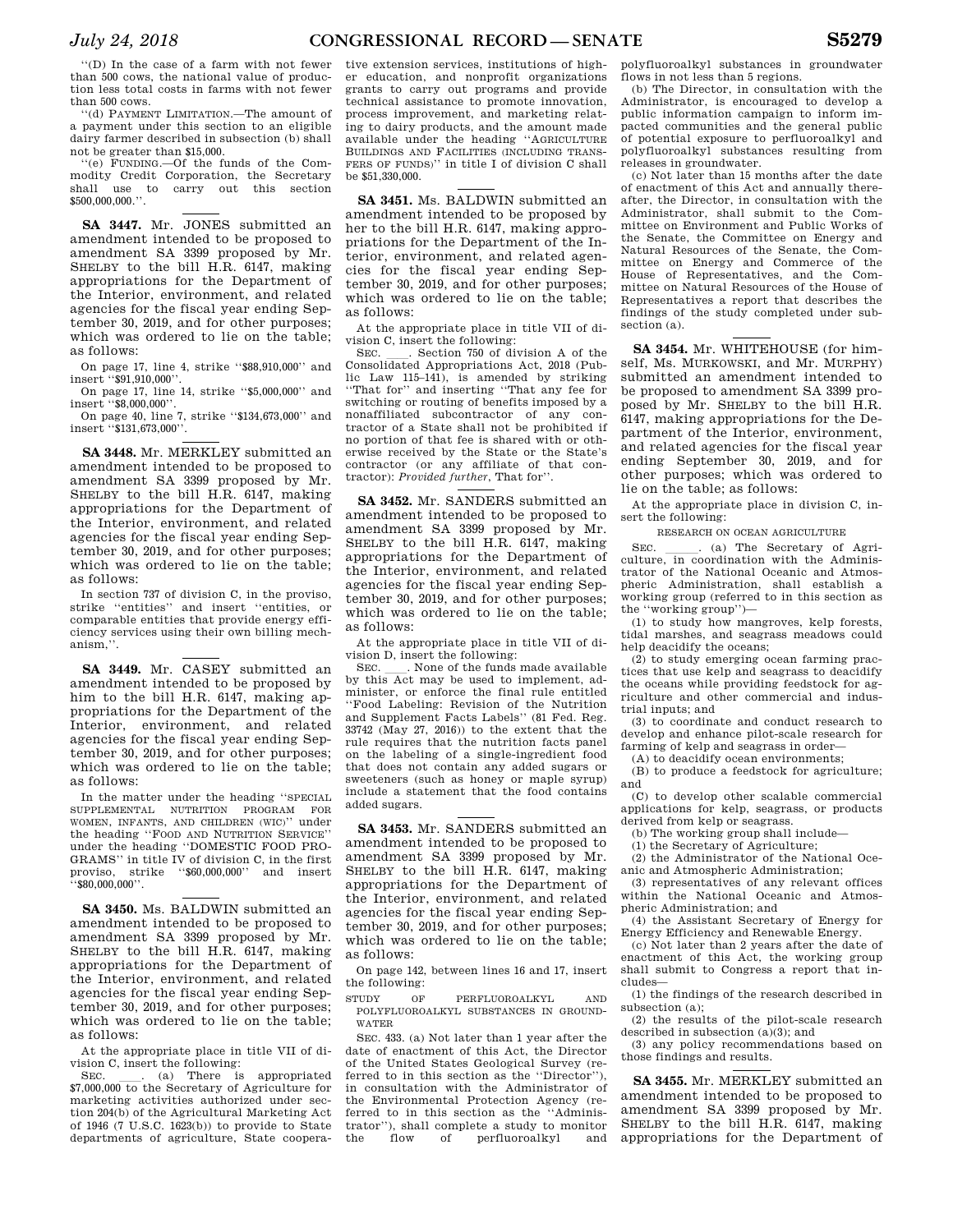''(D) In the case of a farm with not fewer than 500 cows, the national value of production less total costs in farms with not fewer than 500 cows.

''(d) PAYMENT LIMITATION.—The amount of a payment under this section to an eligible dairy farmer described in subsection (b) shall not be greater than \$15,000.

''(e) FUNDING.—Of the funds of the Commodity Credit Corporation, the Secretary shall use to carry out this section \$500,000,000.''.

**SA 3447.** Mr. JONES submitted an amendment intended to be proposed to amendment SA 3399 proposed by Mr. SHELBY to the bill H.R. 6147, making appropriations for the Department of the Interior, environment, and related agencies for the fiscal year ending September 30, 2019, and for other purposes; which was ordered to lie on the table; as follows:

On page 17, line 4, strike ''\$88,910,000'' and insert ''\$91,910,000''.

On page 17, line 14, strike ''\$5,000,000'' and insert ''\$8,000,000''.

On page 40, line 7, strike ''\$134,673,000'' and insert ''\$131,673,000''.

**SA 3448.** Mr. MERKLEY submitted an amendment intended to be proposed to amendment SA 3399 proposed by Mr. SHELBY to the bill H.R. 6147, making appropriations for the Department of the Interior, environment, and related agencies for the fiscal year ending September 30, 2019, and for other purposes; which was ordered to lie on the table; as follows:

In section 737 of division C, in the proviso, strike ''entities'' and insert ''entities, or comparable entities that provide energy efficiency services using their own billing mechanism,''.

**SA 3449.** Mr. CASEY submitted an amendment intended to be proposed by him to the bill H.R. 6147, making appropriations for the Department of the Interior, environment, and related agencies for the fiscal year ending September 30, 2019, and for other purposes; which was ordered to lie on the table; as follows:

In the matter under the heading ''SPECIAL SUPPLEMENTAL NUTRITION PROGRAM FOR WOMEN, INFANTS, AND CHILDREN (WIC)'' under the heading ''FOOD AND NUTRITION SERVICE'' under the heading ''DOMESTIC FOOD PRO-GRAMS'' in title IV of division C, in the first proviso, strike ''\$60,000,000'' and insert ''\$80,000,000''.

**SA 3450.** Ms. BALDWIN submitted an amendment intended to be proposed to amendment SA 3399 proposed by Mr. SHELBY to the bill H.R. 6147, making appropriations for the Department of the Interior, environment, and related agencies for the fiscal year ending September 30, 2019, and for other purposes; which was ordered to lie on the table; as follows:

At the appropriate place in title VII of division C, insert the following:<br>SEC.  $(a)$  There is

SEC.  $\qquad \qquad$  (a) There is appropriated \$7,000,000 to the Secretary of Agriculture for marketing activities authorized under section 204(b) of the Agricultural Marketing Act of 1946 (7 U.S.C. 1623(b)) to provide to State departments of agriculture, State coopera-

tive extension services, institutions of higher education, and nonprofit organizations grants to carry out programs and provide technical assistance to promote innovation, process improvement, and marketing relating to dairy products, and the amount made available under the heading ''AGRICULTURE BUILDINGS AND FACILITIES (INCLUDING TRANS-FERS OF FUNDS)'' in title I of division C shall be \$51,330,000.

**SA 3451.** Ms. BALDWIN submitted an amendment intended to be proposed by her to the bill H.R. 6147, making appropriations for the Department of the Interior, environment, and related agencies for the fiscal year ending September 30, 2019, and for other purposes; which was ordered to lie on the table; as follows:

At the appropriate place in title VII of division C, insert the following:<br>SEC. Section 750 of division A of the

SEC. Lettion 750 of division A of the Consolidated Appropriations Act, 2018 (Public Law 115–141), is amended by striking ''That for'' and inserting ''That any fee for switching or routing of benefits imposed by a nonaffiliated subcontractor of any contractor of a State shall not be prohibited if no portion of that fee is shared with or otherwise received by the State or the State's contractor (or any affiliate of that contractor): *Provided further*, That for''.

**SA 3452.** Mr. SANDERS submitted an amendment intended to be proposed to amendment SA 3399 proposed by Mr. SHELBY to the bill H.R. 6147, making appropriations for the Department of the Interior, environment, and related agencies for the fiscal year ending September 30, 2019, and for other purposes; which was ordered to lie on the table; as follows:

At the appropriate place in title VII of division D, insert the following:

SEC. SEC. None of the funds made available by this Act may be used to implement, administer, or enforce the final rule entitled ''Food Labeling: Revision of the Nutrition and Supplement Facts Labels'' (81 Fed. Reg. 33742 (May 27, 2016)) to the extent that the rule requires that the nutrition facts panel on the labeling of a single-ingredient food that does not contain any added sugars or sweeteners (such as honey or maple syrup) include a statement that the food contains added sugars.

**SA 3453.** Mr. SANDERS submitted an amendment intended to be proposed to amendment SA 3399 proposed by Mr. SHELBY to the bill H.R. 6147, making appropriations for the Department of the Interior, environment, and related agencies for the fiscal year ending September 30, 2019, and for other purposes; which was ordered to lie on the table; as follows:

On page 142, between lines 16 and 17, insert the following:

STUDY OF PERFLUOROALKYL AND POLYFLUOROALKYL SUBSTANCES IN GROUND-WATER

SEC. 433. (a) Not later than 1 year after the date of enactment of this Act, the Director of the United States Geological Survey (referred to in this section as the ''Director''), in consultation with the Administrator of the Environmental Protection Agency (referred to in this section as the ''Administrator''), shall complete a study to monitor the flow of perfluoroalkyl and

polyfluoroalkyl substances in groundwater flows in not less than 5 regions.

(b) The Director, in consultation with the Administrator, is encouraged to develop a public information campaign to inform impacted communities and the general public of potential exposure to perfluoroalkyl and polyfluoroalkyl substances resulting from releases in groundwater.

(c) Not later than 15 months after the date of enactment of this Act and annually thereafter, the Director, in consultation with the Administrator, shall submit to the Committee on Environment and Public Works of the Senate, the Committee on Energy and Natural Resources of the Senate, the Committee on Energy and Commerce of the House of Representatives, and the Committee on Natural Resources of the House of Representatives a report that describes the findings of the study completed under subsection (a).

**SA 3454.** Mr. WHITEHOUSE (for himself, Ms. MURKOWSKI, and Mr. MURPHY) submitted an amendment intended to be proposed to amendment SA 3399 proposed by Mr. SHELBY to the bill H.R. 6147, making appropriations for the Department of the Interior, environment, and related agencies for the fiscal year ending September 30, 2019, and for other purposes; which was ordered to lie on the table; as follows:

At the appropriate place in division C, insert the following:

RESEARCH ON OCEAN AGRICULTURE

SEC.  $\qquad \qquad$  (a) The Secretary of Agriculture, in coordination with the Administrator of the National Oceanic and Atmospheric Administration, shall establish a working group (referred to in this section as the ''working group'')—

(1) to study how mangroves, kelp forests, tidal marshes, and seagrass meadows could help deacidify the oceans;

(2) to study emerging ocean farming practices that use kelp and seagrass to deacidify the oceans while providing feedstock for agriculture and other commercial and industrial inputs; and

(3) to coordinate and conduct research to develop and enhance pilot-scale research for farming of kelp and seagrass in order—

(A) to deacidify ocean environments;

(B) to produce a feedstock for agriculture; and

(C) to develop other scalable commercial applications for kelp, seagrass, or products derived from kelp or seagrass.

(b) The working group shall include—

(1) the Secretary of Agriculture;

(2) the Administrator of the National Oceanic and Atmospheric Administration;

(3) representatives of any relevant offices within the National Oceanic and Atmospheric Administration; and

(4) the Assistant Secretary of Energy for Energy Efficiency and Renewable Energy.

(c) Not later than 2 years after the date of enactment of this Act, the working group shall submit to Congress a report that includes—

(1) the findings of the research described in subsection (a);

(2) the results of the pilot-scale research described in subsection (a)(3); and

(3) any policy recommendations based on those findings and results.

**SA 3455.** Mr. MERKLEY submitted an amendment intended to be proposed to amendment SA 3399 proposed by Mr. SHELBY to the bill H.R. 6147, making appropriations for the Department of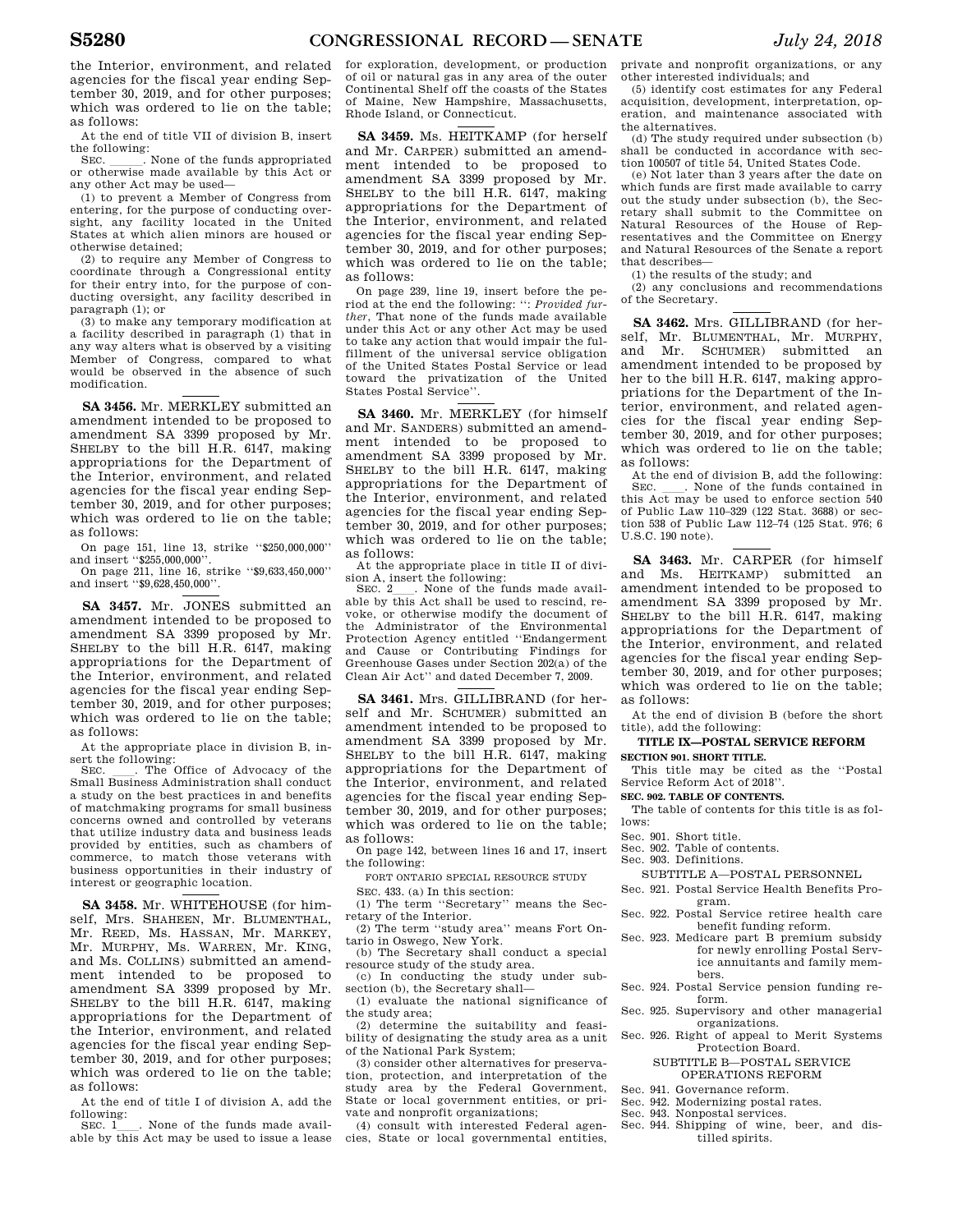the Interior, environment, and related agencies for the fiscal year ending September 30, 2019, and for other purposes; which was ordered to lie on the table; as follows:

At the end of title VII of division B, insert the following:<br>SEC. SEC. None of the funds appropriated

SEC.  $\Box$ . None of the funds appropriated or otherwise made available by this Act or any other Act may be used—

(1) to prevent a Member of Congress from entering, for the purpose of conducting oversight, any facility located in the United States at which alien minors are housed or otherwise detained;

(2) to require any Member of Congress to coordinate through a Congressional entity for their entry into, for the purpose of conducting oversight, any facility described in paragraph (1); or

(3) to make any temporary modification at a facility described in paragraph (1) that in any way alters what is observed by a visiting Member of Congress, compared to what would be observed in the absence of such modification.

**SA 3456.** Mr. MERKLEY submitted an amendment intended to be proposed to amendment SA 3399 proposed by Mr. SHELBY to the bill H.R. 6147, making appropriations for the Department of the Interior, environment, and related agencies for the fiscal year ending September 30, 2019, and for other purposes; which was ordered to lie on the table; as follows:

On page 151, line 13, strike ''\$250,000,000'' and insert "\$255,000,000".

On page 211, line 16, strike ''\$9,633,450,000'' and insert ''\$9,628,450,000''.

**SA 3457.** Mr. JONES submitted an amendment intended to be proposed to amendment SA 3399 proposed by Mr. SHELBY to the bill H.R. 6147, making appropriations for the Department of the Interior, environment, and related agencies for the fiscal year ending September 30, 2019, and for other purposes; which was ordered to lie on the table; as follows:

At the appropriate place in division B, in-

sert the following:<br>SEC. \_\_\_. The Office of Advocacy of the SEC. \_\_\_\_. The Office of Advocacy of the Small Business Administration shall conduct a study on the best practices in and benefits of matchmaking programs for small business concerns owned and controlled by veterans that utilize industry data and business leads provided by entities, such as chambers of commerce, to match those veterans with business opportunities in their industry of interest or geographic location.

**SA 3458.** Mr. WHITEHOUSE (for himself, Mrs. SHAHEEN, Mr. BLUMENTHAL, Mr. REED, Ms. HASSAN, Mr. MARKEY, Mr. MURPHY, Ms. WARREN, Mr. KING, and Ms. COLLINS) submitted an amendment intended to be proposed to amendment SA 3399 proposed by Mr. SHELBY to the bill H.R. 6147, making appropriations for the Department of the Interior, environment, and related agencies for the fiscal year ending September 30, 2019, and for other purposes; which was ordered to lie on the table; as follows:

At the end of title I of division A, add the following:

SEC. 1<sub>1</sub>. None of the funds made available by this Act may be used to issue a lease

for exploration, development, or production of oil or natural gas in any area of the outer Continental Shelf off the coasts of the States of Maine, New Hampshire, Massachusetts, Rhode Island, or Connecticut.

**SA 3459.** Ms. HEITKAMP (for herself and Mr. CARPER) submitted an amendment intended to be proposed to amendment SA 3399 proposed by Mr. SHELBY to the bill H.R. 6147, making appropriations for the Department of the Interior, environment, and related agencies for the fiscal year ending September 30, 2019, and for other purposes; which was ordered to lie on the table; as follows:

On page 239, line 19, insert before the period at the end the following: '': *Provided further*, That none of the funds made available under this Act or any other Act may be used to take any action that would impair the fulfillment of the universal service obligation of the United States Postal Service or lead toward the privatization of the United States Postal Service''.

**SA 3460.** Mr. MERKLEY (for himself and Mr. SANDERS) submitted an amendment intended to be proposed to amendment SA 3399 proposed by Mr. SHELBY to the bill H.R. 6147, making appropriations for the Department of the Interior, environment, and related agencies for the fiscal year ending September 30, 2019, and for other purposes; which was ordered to lie on the table; as follows:

At the appropriate place in title II of divi-

sion A, insert the following:<br>SEC. 2 . None of the funds made avail-SEC. 2<sub>1</sub>. None of the funds made available by this Act shall be used to rescind, revoke, or otherwise modify the document of the Administrator of the Environmental Protection Agency entitled ''Endangerment and Cause or Contributing Findings for Greenhouse Gases under Section 202(a) of the Clean Air Act'' and dated December 7, 2009.

**SA 3461.** Mrs. GILLIBRAND (for herself and Mr. SCHUMER) submitted an amendment intended to be proposed to amendment SA 3399 proposed by Mr. SHELBY to the bill H.R. 6147, making appropriations for the Department of the Interior, environment, and related agencies for the fiscal year ending September 30, 2019, and for other purposes; which was ordered to lie on the table; as follows:

On page 142, between lines 16 and 17, insert the following:

FORT ONTARIO SPECIAL RESOURCE STUDY

SEC. 433. (a) In this section:

(1) The term ''Secretary'' means the Secretary of the Interior.

(2) The term ''study area'' means Fort Ontario in Oswego, New York.

(b) The Secretary shall conduct a special resource study of the study area.

(c) In conducting the study under subsection (b), the Secretary shall—

(1) evaluate the national significance of the study area;

(2) determine the suitability and feasibility of designating the study area as a unit of the National Park System;

(3) consider other alternatives for preservation, protection, and interpretation of the study area by the Federal Government, State or local government entities, or private and nonprofit organizations;

(4) consult with interested Federal agencies, State or local governmental entities,

private and nonprofit organizations, or any other interested individuals; and

(5) identify cost estimates for any Federal acquisition, development, interpretation, operation, and maintenance associated with the alternatives.

(d) The study required under subsection (b) shall be conducted in accordance with section 100507 of title 54, United States Code.

(e) Not later than 3 years after the date on which funds are first made available to carry out the study under subsection (b), the Secretary shall submit to the Committee on Natural Resources of the House of Representatives and the Committee on Energy and Natural Resources of the Senate a report that describes—

(1) the results of the study; and

(2) any conclusions and recommendations of the Secretary.

**SA 3462.** Mrs. GILLIBRAND (for herself, Mr. BLUMENTHAL, Mr. MURPHY, and Mr. SCHUMER) submitted an amendment intended to be proposed by her to the bill H.R. 6147, making appropriations for the Department of the Interior, environment, and related agencies for the fiscal year ending September 30, 2019, and for other purposes; which was ordered to lie on the table; as follows:

At the end of division B, add the following:<br>SEC. . None of the funds contained in . None of the funds contained in this Act may be used to enforce section 540 of Public Law 110–329 (122 Stat. 3688) or section 538 of Public Law 112–74 (125 Stat. 976; 6 U.S.C. 190 note).

**SA 3463.** Mr. CARPER (for himself and Ms. HEITKAMP) submitted an amendment intended to be proposed to amendment SA 3399 proposed by Mr. SHELBY to the bill H.R. 6147, making appropriations for the Department of the Interior, environment, and related agencies for the fiscal year ending September 30, 2019, and for other purposes; which was ordered to lie on the table; as follows:

At the end of division B (before the short title), add the following:

# **TITLE IX—POSTAL SERVICE REFORM SECTION 901. SHORT TITLE.**

This title may be cited as the ''Postal Service Reform Act of 2018''.

# **SEC. 902. TABLE OF CONTENTS.**

The table of contents for this title is as follows:

- Sec. 901. Short title.
- Sec. 902. Table of contents.
- Sec. 903. Definitions.

SUBTITLE A—POSTAL PERSONNEL

- Sec. 921. Postal Service Health Benefits Program.
- Sec. 922. Postal Service retiree health care benefit funding reform.
- Sec. 923. Medicare part B premium subsidy for newly enrolling Postal Service annuitants and family members.
- Sec. 924. Postal Service pension funding reform.
- Sec. 925. Supervisory and other managerial organizations.
- Sec. 926. Right of appeal to Merit Systems Protection Board.
	- SUBTITLE B—POSTAL SERVICE OPERATIONS REFORM
- Sec. 941. Governance reform.
- Sec. 942. Modernizing postal rates.
- Sec. 943. Nonpostal services.
- Sec. 944. Shipping of wine, beer, and distilled spirits.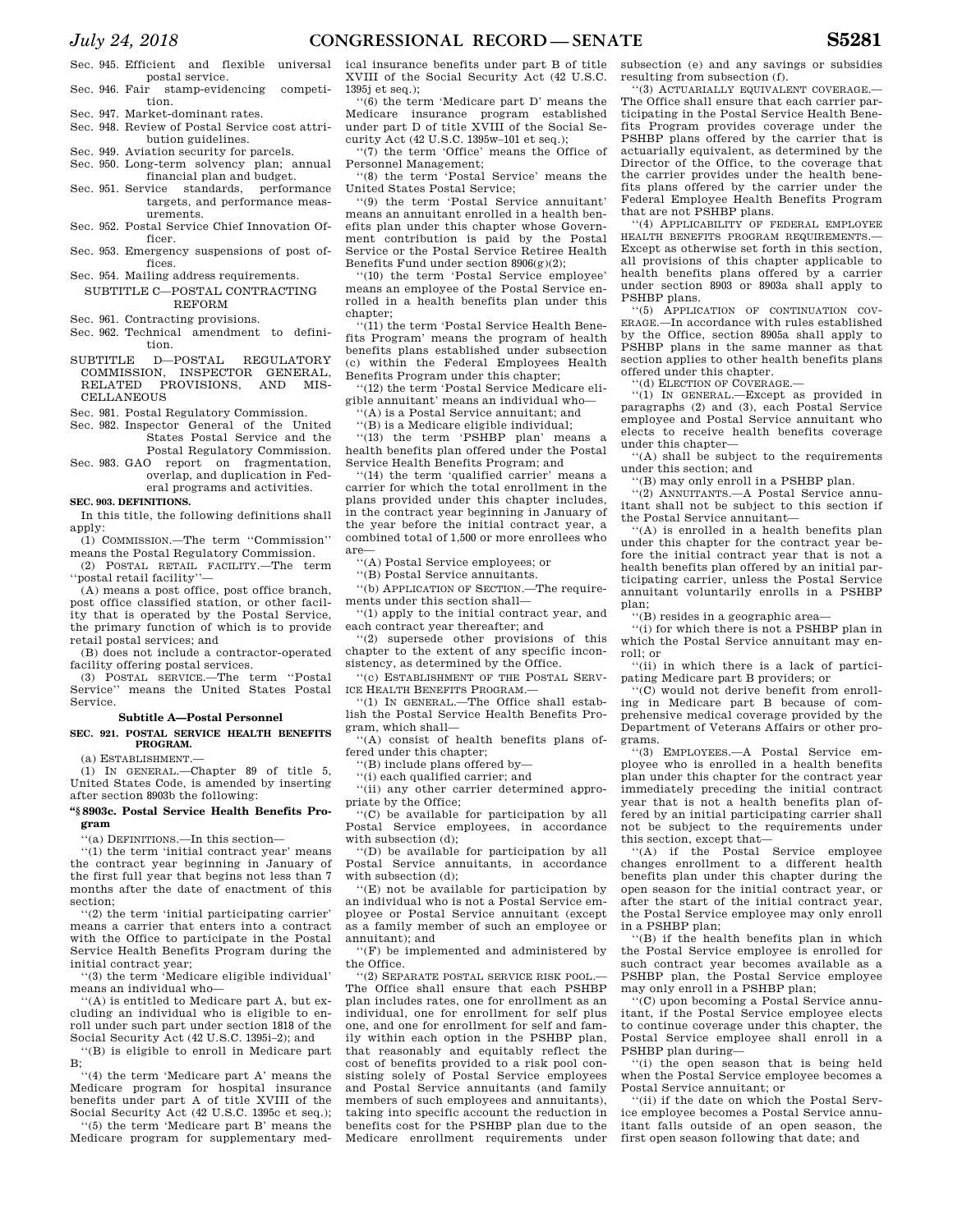Sec. 945. Efficient and flexible universal postal service. Sec. 946. Fair stamp-evidencing competi-

tion. Sec. 947. Market-dominant rates.

- Sec. 948. Review of Postal Service cost attribution guidelines.
- Sec. 949. Aviation security for parcels.
- Sec. 950. Long-term solvency plan; annual
- financial plan and budget. Sec. 951. Service standards, performance targets, and performance meas-
- urements. Sec. 952. Postal Service Chief Innovation Of-
- ficer. Sec. 953. Emergency suspensions of post of-
- fices. Sec. 954. Mailing address requirements.
- SUBTITLE C—POSTAL CONTRACTING REFORM

Sec. 961. Contracting provisions.

- Sec. 962. Technical amendment to definition.
- SUBTITLE D—POSTAL REGULATORY COMMISSION, INSPECTOR GENERAL, RELATED PROVISIONS, AND MIS-CELLANEOUS

Sec. 981. Postal Regulatory Commission.

- Sec. 982. Inspector General of the United States Postal Service and the
- Postal Regulatory Commission. Sec. 983. GAO report on fragmentation, overlap, and duplication in Fed-

eral programs and activities. **SEC. 903. DEFINITIONS.** 

In this title, the following definitions shall apply:

(1) COMMISSION.—The term ''Commission'' means the Postal Regulatory Commission.

(2) POSTAL RETAIL FACILITY.—The term ''postal retail facility''—

(A) means a post office, post office branch, post office classified station, or other facility that is operated by the Postal Service, the primary function of which is to provide retail postal services; and

(B) does not include a contractor-operated facility offering postal services.

(3) POSTAL SERVICE.—The term ''Postal Service'' means the United States Postal Service.

# **Subtitle A—Postal Personnel**

**SEC. 921. POSTAL SERVICE HEALTH BENEFITS PROGRAM.** 

#### (a) ESTABLISHMENT.—

(1) IN GENERAL.—Chapter 89 of title 5, United States Code, is amended by inserting after section 8903b the following:

#### **''§ 8903c. Postal Service Health Benefits Program**

''(a) DEFINITIONS.—In this section—

''(1) the term 'initial contract year' means the contract year beginning in January of the first full year that begins not less than 7 months after the date of enactment of this section;

''(2) the term 'initial participating carrier' means a carrier that enters into a contract with the Office to participate in the Postal Service Health Benefits Program during the initial contract year;

''(3) the term 'Medicare eligible individual' means an individual who—

''(A) is entitled to Medicare part A, but excluding an individual who is eligible to enroll under such part under section 1818 of the Social Security Act (42 U.S.C. 1395i–2); and

''(B) is eligible to enroll in Medicare part B;

''(4) the term 'Medicare part A' means the Medicare program for hospital insurance benefits under part A of title XVIII of the Social Security Act (42 U.S.C. 1395c et seq.);

''(5) the term 'Medicare part B' means the Medicare program for supplementary med-

ical insurance benefits under part B of title XVIII of the Social Security Act (42 U.S.C. 1395j et seq.);

''(6) the term 'Medicare part D' means the Medicare insurance program established under part D of title XVIII of the Social Security Act (42 U.S.C. 1395w–101 et seq.);

''(7) the term 'Office' means the Office of Personnel Management;

''(8) the term 'Postal Service' means the United States Postal Service;

''(9) the term 'Postal Service annuitant' means an annuitant enrolled in a health benefits plan under this chapter whose Government contribution is paid by the Postal Service or the Postal Service Retiree Health Benefits Fund under section  $8906(g)(2)$ ;

''(10) the term 'Postal Service employee' means an employee of the Postal Service enrolled in a health benefits plan under this chapter:

''(11) the term 'Postal Service Health Benefits Program' means the program of health benefits plans established under subsection (c) within the Federal Employees Health Benefits Program under this chapter;

''(12) the term 'Postal Service Medicare eligible annuitant' means an individual who—

''(A) is a Postal Service annuitant; and

''(B) is a Medicare eligible individual;

''(13) the term 'PSHBP plan' means a health benefits plan offered under the Postal Service Health Benefits Program; and

''(14) the term 'qualified carrier' means a carrier for which the total enrollment in the plans provided under this chapter includes, in the contract year beginning in January of the year before the initial contract year, a combined total of 1,500 or more enrollees who are—

''(A) Postal Service employees; or

''(B) Postal Service annuitants.

''(b) APPLICATION OF SECTION.—The requirements under this section shall—

''(1) apply to the initial contract year, and each contract year thereafter; and

''(2) supersede other provisions of this chapter to the extent of any specific inconsistency, as determined by the Office.

''(c) ESTABLISHMENT OF THE POSTAL SERV-ICE HEALTH BENEFITS PROGRAM.-

''(1) IN GENERAL.—The Office shall establish the Postal Service Health Benefits Program, which shall—

''(A) consist of health benefits plans offered under this chapter;

'(B) include plans offered by-

''(i) each qualified carrier; and

''(ii) any other carrier determined appropriate by the Office;

''(C) be available for participation by all Postal Service employees, in accordance with subsection (d);

''(D) be available for participation by all Postal Service annuitants, in accordance with subsection (d);

''(E) not be available for participation by an individual who is not a Postal Service employee or Postal Service annuitant (except as a family member of such an employee or annuitant); and

''(F) be implemented and administered by the Office.

 $''(2)$  SEPARATE POSTAL SERVICE RISK POOL. The Office shall ensure that each PSHBP plan includes rates, one for enrollment as an individual, one for enrollment for self plus one, and one for enrollment for self and family within each option in the PSHBP plan, that reasonably and equitably reflect the cost of benefits provided to a risk pool consisting solely of Postal Service employees and Postal Service annuitants (and family members of such employees and annuitants), taking into specific account the reduction in benefits cost for the PSHBP plan due to the Medicare enrollment requirements under subsection (e) and any savings or subsidies resulting from subsection (f).

''(3) ACTUARIALLY EQUIVALENT COVERAGE.— The Office shall ensure that each carrier participating in the Postal Service Health Benefits Program provides coverage under the PSHBP plans offered by the carrier that is actuarially equivalent, as determined by the Director of the Office, to the coverage that the carrier provides under the health benefits plans offered by the carrier under the Federal Employee Health Benefits Program that are not PSHBP plans.

''(4) APPLICABILITY OF FEDERAL EMPLOYEE HEALTH BENEFITS PROGRAM REQUIREMENTS.— Except as otherwise set forth in this section, all provisions of this chapter applicable to health benefits plans offered by a carrier under section 8903 or 8903a shall apply to PSHBP plans.

''(5) APPLICATION OF CONTINUATION COV-ERAGE.—In accordance with rules established by the Office, section 8905a shall apply to PSHBP plans in the same manner as that section applies to other health benefits plans offered under this chapter.

''(d) ELECTION OF COVERAGE.—

''(1) IN GENERAL.—Except as provided in paragraphs (2) and (3), each Postal Service employee and Postal Service annuitant who elects to receive health benefits coverage under this chapter—

''(A) shall be subject to the requirements under this section; and

''(B) may only enroll in a PSHBP plan.

''(2) ANNUITANTS.—A Postal Service annuitant shall not be subject to this section if the Postal Service annuitant—

''(A) is enrolled in a health benefits plan under this chapter for the contract year before the initial contract year that is not a health benefits plan offered by an initial participating carrier, unless the Postal Service annuitant voluntarily enrolls in a PSHBP plan;

''(B) resides in a geographic area—

''(i) for which there is not a PSHBP plan in which the Postal Service annuitant may enroll; or

''(ii) in which there is a lack of participating Medicare part B providers; or

''(C) would not derive benefit from enrolling in Medicare part B because of comprehensive medical coverage provided by the Department of Veterans Affairs or other programs.

''(3) EMPLOYEES.—A Postal Service employee who is enrolled in a health benefits plan under this chapter for the contract year immediately preceding the initial contract year that is not a health benefits plan offered by an initial participating carrier shall not be subject to the requirements under this section, except that—

''(A) if the Postal Service employee changes enrollment to a different health benefits plan under this chapter during the open season for the initial contract year, or after the start of the initial contract year, the Postal Service employee may only enroll in a PSHBP plan;

''(B) if the health benefits plan in which the Postal Service employee is enrolled for such contract year becomes available as a PSHBP plan, the Postal Service employee may only enroll in a PSHBP plan;

''(C) upon becoming a Postal Service annuitant, if the Postal Service employee elects to continue coverage under this chapter, the Postal Service employee shall enroll in a PSHBP plan during—

''(i) the open season that is being held when the Postal Service employee becomes a Postal Service annuitant; or

''(ii) if the date on which the Postal Service employee becomes a Postal Service annuitant falls outside of an open season, the first open season following that date; and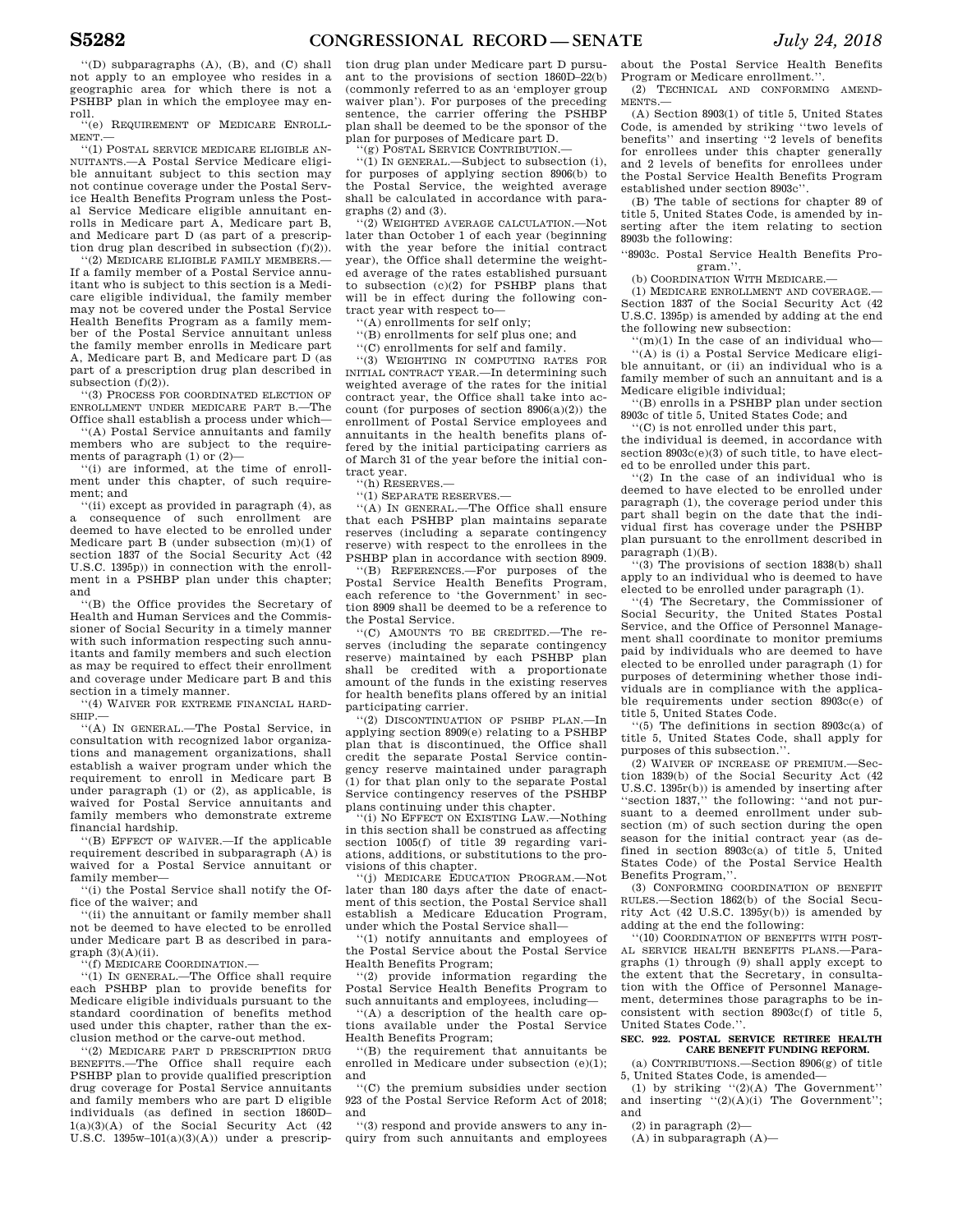''(D) subparagraphs (A), (B), and (C) shall not apply to an employee who resides in a geographic area for which there is not a PSHBP plan in which the employee may enroll.

''(e) REQUIREMENT OF MEDICARE ENROLL-MENT.—

''(1) POSTAL SERVICE MEDICARE ELIGIBLE AN-NUITANTS.—A Postal Service Medicare eligible annuitant subject to this section may not continue coverage under the Postal Service Health Benefits Program unless the Postal Service Medicare eligible annuitant enrolls in Medicare part A, Medicare part B, and Medicare part D (as part of a prescription drug plan described in subsection  $(f)(2)$ ).

'(2) MEDICARE ELIGIBLE FAMILY MEMBERS.-If a family member of a Postal Service annuitant who is subject to this section is a Medicare eligible individual, the family member may not be covered under the Postal Service Health Benefits Program as a family member of the Postal Service annuitant unless the family member enrolls in Medicare part A, Medicare part B, and Medicare part D (as part of a prescription drug plan described in subsection  $(f)(2)$ .

''(3) PROCESS FOR COORDINATED ELECTION OF ENROLLMENT UNDER MEDICARE PART B.—The Office shall establish a process under which—

''(A) Postal Service annuitants and family members who are subject to the requirements of paragraph (1) or (2)—

''(i) are informed, at the time of enrollment under this chapter, of such requirement; and

''(ii) except as provided in paragraph (4), as a consequence of such enrollment are deemed to have elected to be enrolled under Medicare part B (under subsection (m)(1) of section 1837 of the Social Security Act (42 U.S.C. 1395p)) in connection with the enrollment in a PSHBP plan under this chapter; and

''(B) the Office provides the Secretary of Health and Human Services and the Commissioner of Social Security in a timely manner with such information respecting such annuitants and family members and such election as may be required to effect their enrollment and coverage under Medicare part B and this section in a timely manner.

''(4) WAIVER FOR EXTREME FINANCIAL HARD- $SHP$ 

''(A) IN GENERAL.—The Postal Service, in consultation with recognized labor organizations and management organizations, shall establish a waiver program under which the requirement to enroll in Medicare part B under paragraph (1) or (2), as applicable, is waived for Postal Service annuitants and family members who demonstrate extreme financial hardship.

''(B) EFFECT OF WAIVER.—If the applicable requirement described in subparagraph (A) is waived for a Postal Service annuitant or family member—

''(i) the Postal Service shall notify the Office of the waiver; and

''(ii) the annuitant or family member shall not be deemed to have elected to be enrolled under Medicare part B as described in para $graph (3)(A)(ii)$ .

''(f) MEDICARE COORDINATION.—

''(1) IN GENERAL.—The Office shall require each PSHBP plan to provide benefits for Medicare eligible individuals pursuant to the standard coordination of benefits method used under this chapter, rather than the exclusion method or the carve-out method.

''(2) MEDICARE PART D PRESCRIPTION DRUG BENEFITS.—The Office shall require each PSHBP plan to provide qualified prescription drug coverage for Postal Service annuitants and family members who are part D eligible individuals (as defined in section 1860D– 1(a)(3)(A) of the Social Security Act (42 U.S.C.  $1395w-101(a)(3)(A)$  under a prescription drug plan under Medicare part D pursuant to the provisions of section 1860D–22(b) (commonly referred to as an 'employer group waiver plan'). For purposes of the preceding sentence, the carrier offering the PSHBP plan shall be deemed to be the sponsor of the plan for purposes of Medicare part D.

'(g) POSTAL SERVICE CONTRIBUTION.

''(1) IN GENERAL.—Subject to subsection (i), for purposes of applying section 8906(b) to the Postal Service, the weighted average shall be calculated in accordance with paragraphs (2) and (3).

''(2) WEIGHTED AVERAGE CALCULATION.—Not later than October 1 of each year (beginning with the year before the initial contract year), the Office shall determine the weighted average of the rates established pursuant to subsection (c)(2) for PSHBP plans that will be in effect during the following contract year with respect to—

''(A) enrollments for self only;

''(B) enrollments for self plus one; and

''(C) enrollments for self and family.

''(3) WEIGHTING IN COMPUTING RATES FOR INITIAL CONTRACT YEAR.—In determining such weighted average of the rates for the initial contract year, the Office shall take into account (for purposes of section 8906(a)(2)) the enrollment of Postal Service employees and annuitants in the health benefits plans offered by the initial participating carriers as of March 31 of the year before the initial contract year.

''(h) RESERVES.—

''(1) SEPARATE RESERVES.—

''(A) IN GENERAL.—The Office shall ensure that each PSHBP plan maintains separate reserves (including a separate contingency reserve) with respect to the enrollees in the PSHBP plan in accordance with section 8909.

''(B) REFERENCES.—For purposes of the Postal Service Health Benefits Program, each reference to 'the Government' in section 8909 shall be deemed to be a reference to the Postal Service.

''(C) AMOUNTS TO BE CREDITED.—The reserves (including the separate contingency reserve) maintained by each PSHBP plan shall be credited with a proportionate amount of the funds in the existing reserves for health benefits plans offered by an initial participating carrier.

''(2) DISCONTINUATION OF PSHBP PLAN.—In applying section 8909(e) relating to a PSHBP plan that is discontinued, the Office shall credit the separate Postal Service contingency reserve maintained under paragraph (1) for that plan only to the separate Postal Service contingency reserves of the PSHBP plans continuing under this chapter.

''(i) NO EFFECT ON EXISTING LAW.—Nothing in this section shall be construed as affecting section 1005(f) of title 39 regarding variations, additions, or substitutions to the provisions of this chapter.

''(j) MEDICARE EDUCATION PROGRAM.—Not later than 180 days after the date of enactment of this section, the Postal Service shall establish a Medicare Education Program, under which the Postal Service shall—

''(1) notify annuitants and employees of the Postal Service about the Postal Service Health Benefits Program;

''(2) provide information regarding the Postal Service Health Benefits Program to such annuitants and employees, including—

''(A) a description of the health care options available under the Postal Service Health Benefits Program;

''(B) the requirement that annuitants be enrolled in Medicare under subsection (e)(1); and

''(C) the premium subsidies under section 923 of the Postal Service Reform Act of 2018; and

''(3) respond and provide answers to any inquiry from such annuitants and employees

about the Postal Service Health Benefits Program or Medicare enrollment.''.

(2) TECHNICAL AND CONFORMING AMEND-MENTS.—

(A) Section 8903(1) of title 5, United States Code, is amended by striking ''two levels of benefits'' and inserting ''2 levels of benefits for enrollees under this chapter generally and 2 levels of benefits for enrollees under the Postal Service Health Benefits Program established under section 8903c''.

(B) The table of sections for chapter 89 of title 5, United States Code, is amended by inserting after the item relating to section 8903b the following:

''8903c. Postal Service Health Benefits Program.''.

(b) COORDINATION WITH MEDICARE.

(1) MEDICARE ENROLLMENT AND COVERAGE.— Section 1837 of the Social Security Act (42 U.S.C. 1395p) is amended by adding at the end the following new subsection:

 $''(m)(1)$  In the case of an individual who-''(A) is (i) a Postal Service Medicare eligible annuitant, or (ii) an individual who is a family member of such an annuitant and is a Medicare eligible individual;

''(B) enrolls in a PSHBP plan under section 8903c of title 5, United States Code; and

''(C) is not enrolled under this part, the individual is deemed, in accordance with section  $8903c(e)(3)$  of such title, to have elected to be enrolled under this part.

''(2) In the case of an individual who is deemed to have elected to be enrolled under paragraph (1), the coverage period under this part shall begin on the date that the individual first has coverage under the PSHBP plan pursuant to the enrollment described in paragraph (1)(B).

''(3) The provisions of section 1838(b) shall apply to an individual who is deemed to have elected to be enrolled under paragraph (1).

''(4) The Secretary, the Commissioner of Social Security, the United States Postal Service, and the Office of Personnel Management shall coordinate to monitor premiums paid by individuals who are deemed to have elected to be enrolled under paragraph (1) for purposes of determining whether those individuals are in compliance with the applicable requirements under section 8903c(e) of title 5, United States Code.

''(5) The definitions in section 8903c(a) of title 5, United States Code, shall apply for purposes of this subsection.''.

(2) WAIVER OF INCREASE OF PREMIUM.—Section 1839(b) of the Social Security Act (42 U.S.C. 1395r(b)) is amended by inserting after ''section 1837,'' the following: ''and not pursuant to a deemed enrollment under subsection (m) of such section during the open season for the initial contract year (as defined in section 8903c(a) of title 5, United States Code) of the Postal Service Health Benefits Program,''.

(3) CONFORMING COORDINATION OF BENEFIT RULES.—Section 1862(b) of the Social Security Act  $(42 \text{ U.S.C. } 1395y(b))$  is amended by adding at the end the following:

''(10) COORDINATION OF BENEFITS WITH POST-AL SERVICE HEALTH BENEFITS PLANS.—Paragraphs (1) through (9) shall apply except to the extent that the Secretary, in consultation with the Office of Personnel Management, determines those paragraphs to be inconsistent with section 8903c(f) of title 5, United States Code.''.

#### **SEC. 922. POSTAL SERVICE RETIREE HEALTH CARE BENEFIT FUNDING REFORM.**

(a) CONTRIBUTIONS.—Section 8906(g) of title 5, United States Code, is amended—

(1) by striking  $"(2)(A)$  The Government" and inserting  $((2)(A)(i)$  The Government''; and

(2) in paragraph (2)—

 $(A)$  in subparagraph  $(A)$ —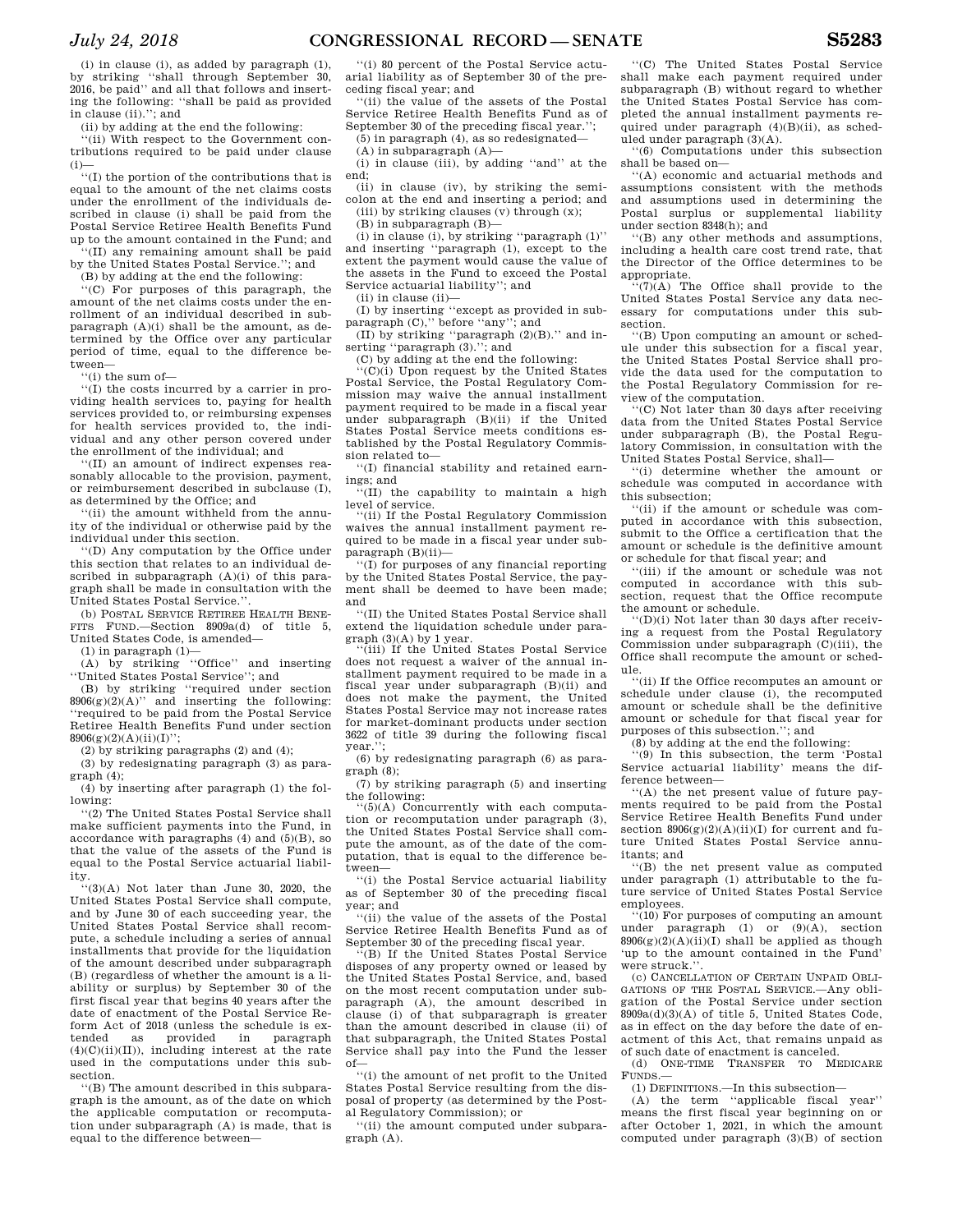(i) in clause (i), as added by paragraph (1), by striking ''shall through September 30, 2016, be paid'' and all that follows and inserting the following: ''shall be paid as provided in clause (ii).''; and

(ii) by adding at the end the following:

''(ii) With respect to the Government contributions required to be paid under clause  $(i)$ 

''(I) the portion of the contributions that is equal to the amount of the net claims costs under the enrollment of the individuals described in clause (i) shall be paid from the Postal Service Retiree Health Benefits Fund up to the amount contained in the Fund; and

''(II) any remaining amount shall be paid by the United States Postal Service.''; and

(B) by adding at the end the following:

 $\mathbb{P}(C)$  For purposes of this paragraph, the amount of the net claims costs under the enrollment of an individual described in subparagraph  $(A)(i)$  shall be the amount, as determined by the Office over any particular period of time, equal to the difference between—

''(i) the sum of—

''(I) the costs incurred by a carrier in providing health services to, paying for health services provided to, or reimbursing expenses for health services provided to, the individual and any other person covered under the enrollment of the individual; and

''(II) an amount of indirect expenses reasonably allocable to the provision, payment, or reimbursement described in subclause (I), as determined by the Office; and

''(ii) the amount withheld from the annuity of the individual or otherwise paid by the individual under this section.

''(D) Any computation by the Office under this section that relates to an individual described in subparagraph (A)(i) of this paragraph shall be made in consultation with the United States Postal Service.''.

(b) POSTAL SERVICE RETIREE HEALTH BENE-FITS FUND.—Section 8909a(d) of title 5, United States Code, is amended—

 $(1)$  in paragraph  $(1)$ —

(A) by striking ''Office'' and inserting ''United States Postal Service''; and

(B) by striking ''required under section  $8906(g)(2)(A)$ " and inserting the following: ''required to be paid from the Postal Service Retiree Health Benefits Fund under section  $8906(g)(2)(A)(ii)(I)$ ";

(2) by striking paragraphs (2) and (4);

(3) by redesignating paragraph (3) as paragraph (4);

(4) by inserting after paragraph (1) the following:

''(2) The United States Postal Service shall make sufficient payments into the Fund, in accordance with paragraphs  $(4)$  and  $(5)(B)$ , so that the value of the assets of the Fund is equal to the Postal Service actuarial liability.

''(3)(A) Not later than June 30, 2020, the United States Postal Service shall compute, and by June 30 of each succeeding year, the United States Postal Service shall recompute, a schedule including a series of annual installments that provide for the liquidation of the amount described under subparagraph (B) (regardless of whether the amount is a liability or surplus) by September 30 of the first fiscal year that begins 40 years after the date of enactment of the Postal Service Reform Act of 2018 (unless the schedule is exas provided in paragraph  $(4)(C)(ii)(II)$ ), including interest at the rate used in the computations under this subsection.

''(B) The amount described in this subparagraph is the amount, as of the date on which the applicable computation or recomputation under subparagraph (A) is made, that is equal to the difference between—

''(i) 80 percent of the Postal Service actuarial liability as of September 30 of the preceding fiscal year; and

''(ii) the value of the assets of the Postal Service Retiree Health Benefits Fund as of September 30 of the preceding fiscal year.'';

(5) in paragraph (4), as so redesignated—

(A) in subparagraph (A)—

(i) in clause (iii), by adding ''and'' at the end;

(ii) in clause (iv), by striking the semicolon at the end and inserting a period; and (iii) by striking clauses (v) through (x);

(B) in subparagraph (B)—

(i) in clause (i), by striking ''paragraph (1)'' and inserting ''paragraph (1), except to the extent the payment would cause the value of the assets in the Fund to exceed the Postal Service actuarial liability''; and

(ii) in clause (ii)—

(I) by inserting ''except as provided in subparagraph (C)," before "any"; and

(II) by striking ''paragraph (2)(B).'' and inserting ''paragraph (3).''; and

(C) by adding at the end the following:

''(C)(i) Upon request by the United States Postal Service, the Postal Regulatory Commission may waive the annual installment payment required to be made in a fiscal year under subparagraph (B)(ii) if the United States Postal Service meets conditions established by the Postal Regulatory Commission related to—

''(I) financial stability and retained earnings; and

 $'(II)$  the capability to maintain a high level of service.

''(ii) If the Postal Regulatory Commission waives the annual installment payment required to be made in a fiscal year under subparagraph (B)(ii)—

''(I) for purposes of any financial reporting by the United States Postal Service, the payment shall be deemed to have been made; and

''(II) the United States Postal Service shall extend the liquidation schedule under paragraph (3)(A) by 1 year. ''(iii) If the United States Postal Service

does not request a waiver of the annual installment payment required to be made in a fiscal year under subparagraph (B)(ii) and does not make the payment, the United States Postal Service may not increase rates for market-dominant products under section 3622 of title 39 during the following fiscal year.'';

(6) by redesignating paragraph (6) as paragraph (8);

(7) by striking paragraph (5) and inserting the following:

''(5)(A) Concurrently with each computation or recomputation under paragraph (3), the United States Postal Service shall compute the amount, as of the date of the computation, that is equal to the difference between—

''(i) the Postal Service actuarial liability as of September 30 of the preceding fiscal year; and

''(ii) the value of the assets of the Postal Service Retiree Health Benefits Fund as of September 30 of the preceding fiscal year.

'(B) If the United States Postal Service disposes of any property owned or leased by the United States Postal Service, and, based on the most recent computation under subparagraph (A), the amount described in clause (i) of that subparagraph is greater than the amount described in clause (ii) of that subparagraph, the United States Postal Service shall pay into the Fund the lesser of—

''(i) the amount of net profit to the United States Postal Service resulting from the disposal of property (as determined by the Postal Regulatory Commission); or

''(ii) the amount computed under subparagraph (A).

''(C) The United States Postal Service shall make each payment required under subparagraph (B) without regard to whether the United States Postal Service has completed the annual installment payments required under paragraph (4)(B)(ii), as scheduled under paragraph (3)(A).

''(6) Computations under this subsection shall be based on—

''(A) economic and actuarial methods and assumptions consistent with the methods and assumptions used in determining the Postal surplus or supplemental liability under section 8348(h); and

''(B) any other methods and assumptions, including a health care cost trend rate, that the Director of the Office determines to be appropriate.

 $f'(7)(A)$  The Office shall provide to the United States Postal Service any data necessary for computations under this subsection.

''(B) Upon computing an amount or schedule under this subsection for a fiscal year, the United States Postal Service shall provide the data used for the computation to the Postal Regulatory Commission for review of the computation.

''(C) Not later than 30 days after receiving data from the United States Postal Service under subparagraph (B), the Postal Regulatory Commission, in consultation with the United States Postal Service, shall—

''(i) determine whether the amount or schedule was computed in accordance with this subsection;

''(ii) if the amount or schedule was computed in accordance with this subsection, submit to the Office a certification that the amount or schedule is the definitive amount or schedule for that fiscal year; and

''(iii) if the amount or schedule was not computed in accordance with this subsection, request that the Office recompute the amount or schedule.

''(D)(i) Not later than 30 days after receiving a request from the Postal Regulatory Commission under subparagraph (C)(iii), the Office shall recompute the amount or schedule.

''(ii) If the Office recomputes an amount or schedule under clause (i), the recomputed amount or schedule shall be the definitive amount or schedule for that fiscal year for purposes of this subsection.''; and

(8) by adding at the end the following: ''(9) In this subsection, the term 'Postal Service actuarial liability' means the difference between—

''(A) the net present value of future payments required to be paid from the Postal Service Retiree Health Benefits Fund under section  $8906(g)(2)(A)(ii)(I)$  for current and future United States Postal Service annuitants; and

''(B) the net present value as computed under paragraph (1) attributable to the future service of United States Postal Service employees.

''(10) For purposes of computing an amount under paragraph (1) or (9)(A), section  $8906(g)(2)(A)(ii)(I)$  shall be applied as though 'up to the amount contained in the Fund' were struck.''.

(c) CANCELLATION OF CERTAIN UNPAID OBLI-GATIONS OF THE POSTAL SERVICE.—Any obligation of the Postal Service under section 8909a(d)(3)(A) of title 5, United States Code, as in effect on the day before the date of enactment of this Act, that remains unpaid as of such date of enactment is canceled.

(d) ONE-TIME TRANSFER TO MEDICARE FUNDS.—

(1) DEFINITIONS.—In this subsection—

(A) the term ''applicable fiscal year'' means the first fiscal year beginning on or after October 1, 2021, in which the amount computed under paragraph (3)(B) of section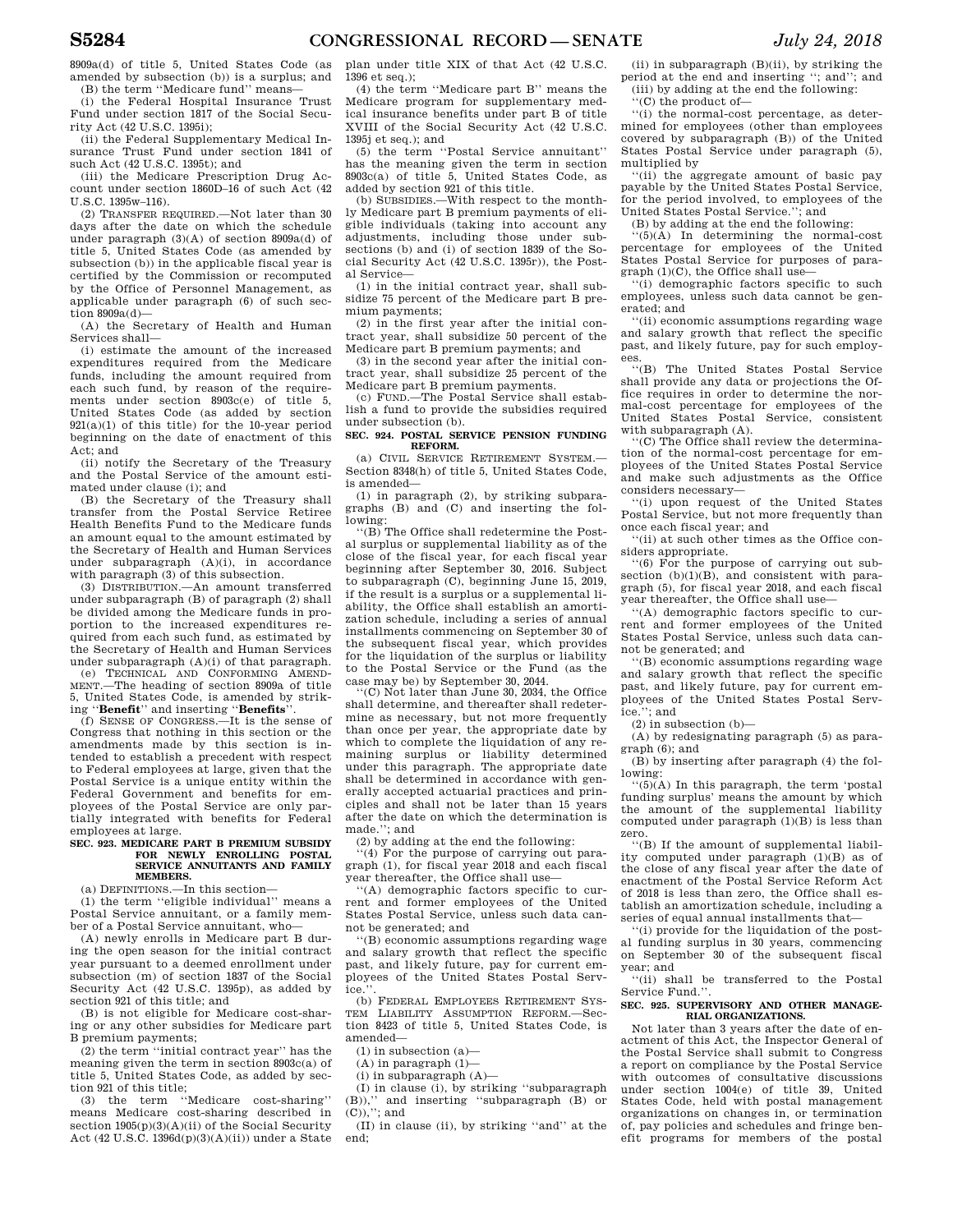8909a(d) of title 5, United States Code (as amended by subsection (b)) is a surplus; and (B) the term ''Medicare fund'' means—

(i) the Federal Hospital Insurance Trust Fund under section 1817 of the Social Security Act (42 U.S.C. 1395i);

(ii) the Federal Supplementary Medical Insurance Trust Fund under section 1841 of such Act (42 U.S.C. 1395t); and

(iii) the Medicare Prescription Drug Account under section 1860D–16 of such Act (42 U.S.C. 1395w–116).

(2) TRANSFER REQUIRED.—Not later than 30 days after the date on which the schedule under paragraph (3)(A) of section 8909a(d) of title 5, United States Code (as amended by subsection (b)) in the applicable fiscal year is certified by the Commission or recomputed by the Office of Personnel Management, as applicable under paragraph (6) of such section  $8909a(d)$ —

(A) the Secretary of Health and Human Services shall—

(i) estimate the amount of the increased expenditures required from the Medicare funds, including the amount required from each such fund, by reason of the requirements under section 8903c(e) of title 5, United States Code (as added by section 921(a)(1) of this title) for the 10-year period beginning on the date of enactment of this Act; and

(ii) notify the Secretary of the Treasury and the Postal Service of the amount estimated under clause (i); and

(B) the Secretary of the Treasury shall transfer from the Postal Service Retiree Health Benefits Fund to the Medicare funds an amount equal to the amount estimated by the Secretary of Health and Human Services under subparagraph (A)(i), in accordance with paragraph (3) of this subsection.

(3) DISTRIBUTION.—An amount transferred under subparagraph (B) of paragraph (2) shall be divided among the Medicare funds in proportion to the increased expenditures required from each such fund, as estimated by the Secretary of Health and Human Services under subparagraph  $(A)(i)$  of that paragraph.<br>(e) TECHNICAL AND CONFORMING AMEND-

(e) TECHNICAL AND CONFORMING AMEND-MENT.—The heading of section 8909a of title 5, United States Code, is amended by striking ''**Benefit**'' and inserting ''**Benefits**''.

(f) SENSE OF CONGRESS.—It is the sense of Congress that nothing in this section or the amendments made by this section is intended to establish a precedent with respect to Federal employees at large, given that the Postal Service is a unique entity within the Federal Government and benefits for employees of the Postal Service are only partially integrated with benefits for Federal employees at large.

#### **SEC. 923. MEDICARE PART B PREMIUM SUBSIDY FOR NEWLY ENROLLING POSTAL SERVICE ANNUITANTS AND FAMILY MEMBERS.**

(a) DEFINITIONS.—In this section—

(1) the term ''eligible individual'' means a Postal Service annuitant, or a family member of a Postal Service annuitant, who—

(A) newly enrolls in Medicare part B during the open season for the initial contract year pursuant to a deemed enrollment under subsection (m) of section 1837 of the Social Security Act (42 U.S.C. 1395p), as added by section 921 of this title; and

(B) is not eligible for Medicare cost-sharing or any other subsidies for Medicare part B premium payments;

(2) the term ''initial contract year'' has the meaning given the term in section 8903c(a) of title 5, United States Code, as added by section 921 of this title;

(3) the term ''Medicare cost-sharing'' means Medicare cost-sharing described in section  $1905(p)(3)(A)(ii)$  of the Social Security Act (42 U.S.C. 1396d(p)(3)(A)(ii)) under a State plan under title XIX of that Act (42 U.S.C. 1396 et seq.);

(4) the term ''Medicare part B'' means the Medicare program for supplementary medical insurance benefits under part B of title XVIII of the Social Security Act (42 U.S.C. 1395j et seq.); and

(5) the term ''Postal Service annuitant'' has the meaning given the term in section 8903c(a) of title 5, United States Code, as added by section 921 of this title.

(b) SUBSIDIES.—With respect to the monthly Medicare part B premium payments of eligible individuals (taking into account any adjustments, including those under subsections (b) and (i) of section 1839 of the Social Security Act (42 U.S.C. 1395r)), the Postal Service—

(1) in the initial contract year, shall subsidize 75 percent of the Medicare part B premium payments;

(2) in the first year after the initial contract year, shall subsidize 50 percent of the Medicare part B premium payments; and

(3) in the second year after the initial contract year, shall subsidize 25 percent of the Medicare part B premium payments.

(c) FUND.—The Postal Service shall establish a fund to provide the subsidies required under subsection (b).

### **SEC. 924. POSTAL SERVICE PENSION FUNDING REFORM.**

(a) CIVIL SERVICE RETIREMENT SYSTEM.— Section 8348(h) of title 5, United States Code, is amended—

(1) in paragraph (2), by striking subparagraphs (B) and (C) and inserting the following:<br>"(B) The Office shall redetermine the Post-

al surplus or supplemental liability as of the close of the fiscal year, for each fiscal year beginning after September 30, 2016. Subject to subparagraph (C), beginning June 15, 2019, if the result is a surplus or a supplemental liability, the Office shall establish an amortization schedule, including a series of annual installments commencing on September 30 of the subsequent fiscal year, which provides for the liquidation of the surplus or liability to the Postal Service or the Fund (as the case may be) by September 30, 2044.

''(C) Not later than June 30, 2034, the Office shall determine, and thereafter shall redetermine as necessary, but not more frequently than once per year, the appropriate date by which to complete the liquidation of any remaining surplus or liability determined under this paragraph. The appropriate date shall be determined in accordance with generally accepted actuarial practices and principles and shall not be later than 15 years after the date on which the determination is made.''; and

(2) by adding at the end the following:

 $'(4)$  For the purpose of carrying out paragraph (1), for fiscal year 2018 and each fiscal year thereafter, the Office shall use—

''(A) demographic factors specific to current and former employees of the United States Postal Service, unless such data cannot be generated; and

''(B) economic assumptions regarding wage and salary growth that reflect the specific past, and likely future, pay for current employees of the United States Postal Service.

(b) FEDERAL EMPLOYEES RETIREMENT SYS-TEM LIABILITY ASSUMPTION REFORM.—Section 8423 of title 5, United States Code, is amended—

(1) in subsection (a)—

(A) in paragraph (1)—

 $(i)$  in subparagraph  $(A)$ —

(I) in clause (i), by striking ''subparagraph (B)),'' and inserting ''subparagraph (B) or (C)),''; and

(II) in clause (ii), by striking ''and'' at the end;

(ii) in subparagraph (B)(ii), by striking the period at the end and inserting ''; and''; and (iii) by adding at the end the following:

''(C) the product of—

''(i) the normal-cost percentage, as determined for employees (other than employees covered by subparagraph (B)) of the United States Postal Service under paragraph (5), multiplied by

''(ii) the aggregate amount of basic pay payable by the United States Postal Service, for the period involved, to employees of the United States Postal Service.''; and

(B) by adding at the end the following:

 $(5)(\tilde{A})$  In determining the normal-cost percentage for employees of the United States Postal Service for purposes of para $graph (1)(C)$ , the Office shall use-

''(i) demographic factors specific to such employees, unless such data cannot be generated; and

''(ii) economic assumptions regarding wage and salary growth that reflect the specific past, and likely future, pay for such employees.

''(B) The United States Postal Service shall provide any data or projections the Office requires in order to determine the normal-cost percentage for employees of the United States Postal Service, consistent with subparagraph (A).

''(C) The Office shall review the determination of the normal-cost percentage for employees of the United States Postal Service and make such adjustments as the Office considers necessary—

''(i) upon request of the United States Postal Service, but not more frequently than once each fiscal year; and

''(ii) at such other times as the Office considers appropriate. ''(6) For the purpose of carrying out sub-

section (b)(1)(B), and consistent with paragraph (5), for fiscal year 2018, and each fiscal year thereafter, the Office shall use—

''(A) demographic factors specific to current and former employees of the United States Postal Service, unless such data cannot be generated; and

''(B) economic assumptions regarding wage and salary growth that reflect the specific past, and likely future, pay for current employees of the United States Postal Service.''; and

 $(2)$  in subsection  $(b)$ —

(A) by redesignating paragraph (5) as paragraph (6); and

(B) by inserting after paragraph (4) the following:

''(5)(A) In this paragraph, the term 'postal funding surplus' means the amount by which the amount of the supplemental liability computed under paragraph (1)(B) is less than zero.

''(B) If the amount of supplemental liability computed under paragraph (1)(B) as of the close of any fiscal year after the date of enactment of the Postal Service Reform Act of 2018 is less than zero, the Office shall establish an amortization schedule, including a series of equal annual installments that—

''(i) provide for the liquidation of the postal funding surplus in 30 years, commencing on September 30 of the subsequent fiscal year; and

''(ii) shall be transferred to the Postal Service Fund."

#### **SEC. 925. SUPERVISORY AND OTHER MANAGE-RIAL ORGANIZATIONS.**

Not later than 3 years after the date of enactment of this Act, the Inspector General of the Postal Service shall submit to Congress a report on compliance by the Postal Service with outcomes of consultative discussions under section 1004(e) of title 39, United States Code, held with postal management organizations on changes in, or termination of, pay policies and schedules and fringe benefit programs for members of the postal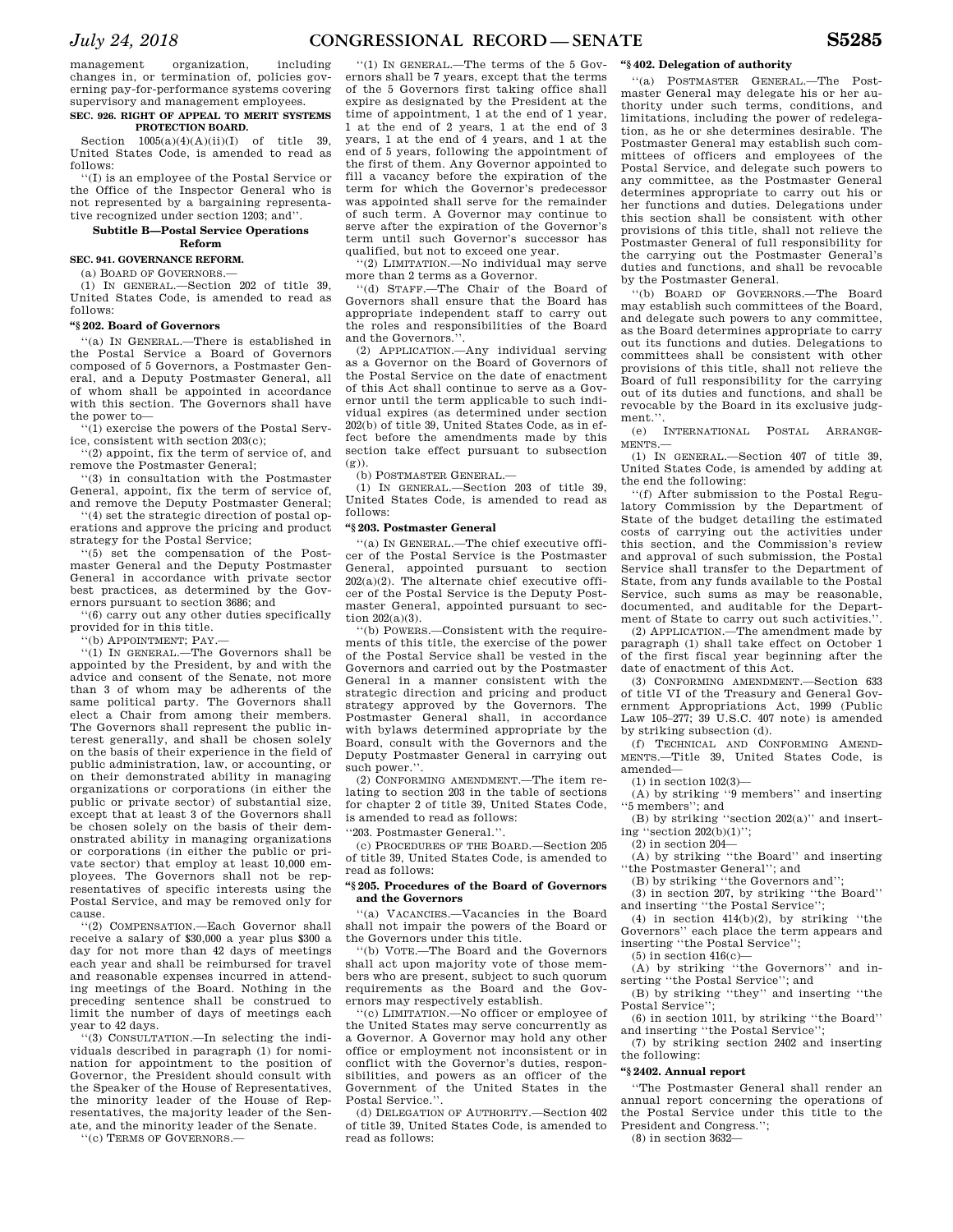management organization, including changes in, or termination of, policies governing pay-for-performance systems covering supervisory and management employees.

# **SEC. 926. RIGHT OF APPEAL TO MERIT SYSTEMS PROTECTION BOARD.**

Section  $1005(a)(4)(A)(ii)(I)$  of title 39. United States Code, is amended to read as follows:

''(I) is an employee of the Postal Service or the Office of the Inspector General who is not represented by a bargaining representative recognized under section 1203; and''.

### **Subtitle B—Postal Service Operations Reform**

**SEC. 941. GOVERNANCE REFORM.**   $(a)$  BOARD OF GOVERNORS  $-$ 

(1) IN GENERAL.—Section 202 of title 39, United States Code, is amended to read as follows:

### **''§ 202. Board of Governors**

''(a) IN GENERAL.—There is established in the Postal Service a Board of Governors composed of 5 Governors, a Postmaster General, and a Deputy Postmaster General, all of whom shall be appointed in accordance with this section. The Governors shall have the power to—

''(1) exercise the powers of the Postal Service, consistent with section 203(c);

''(2) appoint, fix the term of service of, and remove the Postmaster General;

''(3) in consultation with the Postmaster General, appoint, fix the term of service of, and remove the Deputy Postmaster General;

''(4) set the strategic direction of postal operations and approve the pricing and product strategy for the Postal Service;

''(5) set the compensation of the Postmaster General and the Deputy Postmaster General in accordance with private sector best practices, as determined by the Governors pursuant to section 3686; and

''(6) carry out any other duties specifically provided for in this title.

''(b) APPOINTMENT; PAY.—

''(1) IN GENERAL.—The Governors shall be appointed by the President, by and with the advice and consent of the Senate, not more than 3 of whom may be adherents of the same political party. The Governors shall elect a Chair from among their members. The Governors shall represent the public interest generally, and shall be chosen solely on the basis of their experience in the field of public administration, law, or accounting, or on their demonstrated ability in managing organizations or corporations (in either the public or private sector) of substantial size, except that at least 3 of the Governors shall be chosen solely on the basis of their demonstrated ability in managing organizations or corporations (in either the public or private sector) that employ at least 10,000 employees. The Governors shall not be representatives of specific interests using the Postal Service, and may be removed only for cause.

''(2) COMPENSATION.—Each Governor shall receive a salary of \$30,000 a year plus \$300 a day for not more than 42 days of meetings each year and shall be reimbursed for travel and reasonable expenses incurred in attending meetings of the Board. Nothing in the preceding sentence shall be construed to limit the number of days of meetings each year to 42 days.

''(3) CONSULTATION.—In selecting the individuals described in paragraph (1) for nomination for appointment to the position of Governor, the President should consult with the Speaker of the House of Representatives, the minority leader of the House of Representatives, the majority leader of the Senate, and the minority leader of the Senate.

''(c) TERMS OF GOVERNORS.—

''(1) IN GENERAL.—The terms of the 5 Governors shall be 7 years, except that the terms of the 5 Governors first taking office shall expire as designated by the President at the time of appointment, 1 at the end of 1 year, 1 at the end of 2 years, 1 at the end of 3 years, 1 at the end of 4 years, and 1 at the end of 5 years, following the appointment of the first of them. Any Governor appointed to fill a vacancy before the expiration of the term for which the Governor's predecessor was appointed shall serve for the remainder of such term. A Governor may continue to serve after the expiration of the Governor's term until such Governor's successor has qualified, but not to exceed one year.

''(2) LIMITATION.—No individual may serve more than 2 terms as a Governor.

''(d) STAFF.—The Chair of the Board of Governors shall ensure that the Board has appropriate independent staff to carry out the roles and responsibilities of the Board and the Governors.''.

(2) APPLICATION.—Any individual serving as a Governor on the Board of Governors of the Postal Service on the date of enactment of this Act shall continue to serve as a Governor until the term applicable to such individual expires (as determined under section 202(b) of title 39, United States Code, as in effect before the amendments made by this section take effect pursuant to subsection (g)).

(b) POSTMASTER GENERAL.

(1) IN GENERAL.—Section 203 of title 39, United States Code, is amended to read as follows:

# **''§ 203. Postmaster General**

''(a) IN GENERAL.—The chief executive officer of the Postal Service is the Postmaster General, appointed pursuant to section 202(a)(2). The alternate chief executive officer of the Postal Service is the Deputy Postmaster General, appointed pursuant to section 202(a)(3).

''(b) POWERS.—Consistent with the requirements of this title, the exercise of the power of the Postal Service shall be vested in the Governors and carried out by the Postmaster General in a manner consistent with the strategic direction and pricing and product strategy approved by the Governors. The Postmaster General shall, in accordance with bylaws determined appropriate by the Board, consult with the Governors and the Deputy Postmaster General in carrying out such power.".

(2) CONFORMING AMENDMENT.—The item relating to section 203 in the table of sections for chapter 2 of title 39, United States Code, is amended to read as follows:

''203. Postmaster General.''.

(c) PROCEDURES OF THE BOARD.—Section 205 of title 39, United States Code, is amended to read as follows:

### **''§ 205. Procedures of the Board of Governors and the Governors**

''(a) VACANCIES.—Vacancies in the Board shall not impair the powers of the Board or the Governors under this title.

''(b) VOTE.—The Board and the Governors shall act upon majority vote of those members who are present, subject to such quorum requirements as the Board and the Governors may respectively establish.

''(c) LIMITATION.—No officer or employee of the United States may serve concurrently as a Governor. A Governor may hold any other office or employment not inconsistent or in conflict with the Governor's duties, responsibilities, and powers as an officer of the Government of the United States in the Postal Service.''.

(d) DELEGATION OF AUTHORITY.—Section 402 of title 39, United States Code, is amended to read as follows:

### **''§ 402. Delegation of authority**

''(a) POSTMASTER GENERAL.—The Postmaster General may delegate his or her authority under such terms, conditions, and limitations, including the power of redelegation, as he or she determines desirable. The Postmaster General may establish such committees of officers and employees of the Postal Service, and delegate such powers to any committee, as the Postmaster General determines appropriate to carry out his or her functions and duties. Delegations under this section shall be consistent with other provisions of this title, shall not relieve the Postmaster General of full responsibility for the carrying out the Postmaster General's duties and functions, and shall be revocable by the Postmaster General.

''(b) BOARD OF GOVERNORS.—The Board may establish such committees of the Board, and delegate such powers to any committee, as the Board determines appropriate to carry out its functions and duties. Delegations to committees shall be consistent with other provisions of this title, shall not relieve the Board of full responsibility for the carrying out of its duties and functions, and shall be revocable by the Board in its exclusive judgment."

(e) INTERNATIONAL POSTAL ARRANGE-MENTS.—

(1) IN GENERAL.—Section 407 of title 39, United States Code, is amended by adding at the end the following:

''(f) After submission to the Postal Regulatory Commission by the Department of State of the budget detailing the estimated costs of carrying out the activities under this section, and the Commission's review and approval of such submission, the Postal Service shall transfer to the Department of State, from any funds available to the Postal Service, such sums as may be reasonable, documented, and auditable for the Department of State to carry out such activities.''.

(2) APPLICATION.—The amendment made by paragraph (1) shall take effect on October 1 of the first fiscal year beginning after the date of enactment of this Act.

(3) CONFORMING AMENDMENT.—Section 633 of title VI of the Treasury and General Government Appropriations Act, 1999 (Public Law 105–277; 39 U.S.C. 407 note) is amended by striking subsection (d).

(f) TECHNICAL AND CONFORMING AMEND-MENTS.—Title 39, United States Code, is amended—

(1) in section 102(3)—

(A) by striking ''9 members'' and inserting ''5 members''; and

(B) by striking ''section 202(a)'' and inserting ''section 202(b)(1)'';

(2) in section 204—

(A) by striking ''the Board'' and inserting ''the Postmaster General''; and

(B) by striking ''the Governors and'';

(3) in section 207, by striking ''the Board'' and inserting ''the Postal Service'';

(4) in section  $414(b)(2)$ , by striking "the Governors'' each place the term appears and inserting ''the Postal Service'';

(5) in section  $416(c)$ -

(A) by striking ''the Governors'' and inserting ''the Postal Service''; and

(B) by striking ''they'' and inserting ''the Postal Service'';

(6) in section 1011, by striking ''the Board'' and inserting ''the Postal Service'';

(7) by striking section 2402 and inserting the following:

# **''§ 2402. Annual report**

''The Postmaster General shall render an annual report concerning the operations of the Postal Service under this title to the President and Congress.'';

(8) in section 3632—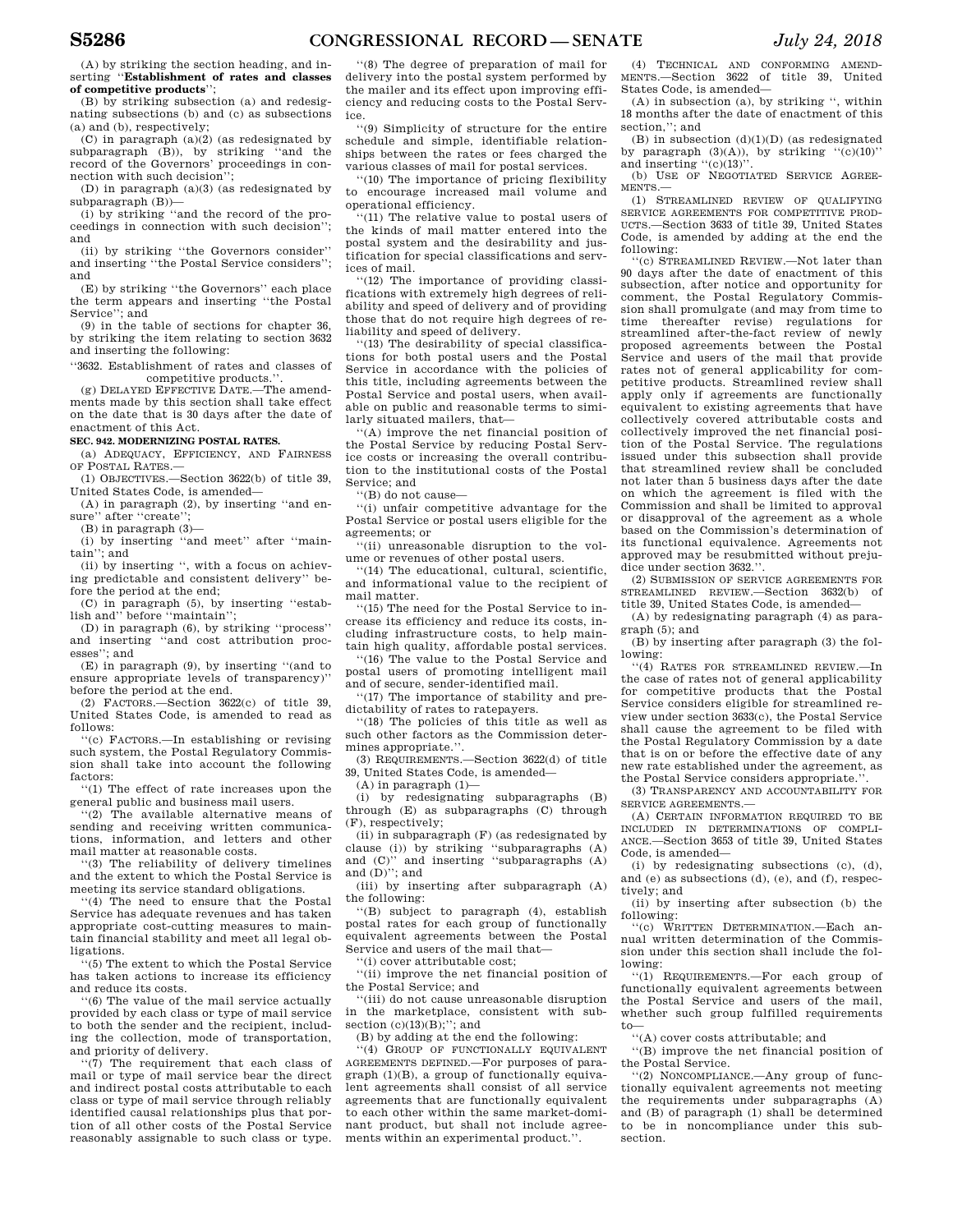(A) by striking the section heading, and inserting ''**Establishment of rates and classes of competitive products**'';

(B) by striking subsection (a) and redesignating subsections (b) and (c) as subsections (a) and (b), respectively;

(C) in paragraph (a)(2) (as redesignated by subparagraph (B)), by striking ''and the record of the Governors' proceedings in connection with such decision'';

(D) in paragraph (a)(3) (as redesignated by subparagraph (B))—

(i) by striking ''and the record of the proceedings in connection with such decision''; and

(ii) by striking ''the Governors consider'' and inserting ''the Postal Service considers''; and

(E) by striking ''the Governors'' each place the term appears and inserting ''the Postal Service": and

(9) in the table of sections for chapter 36, by striking the item relating to section 3632 and inserting the following:

''3632. Establishment of rates and classes of competitive products.

(g) DELAYED EFFECTIVE DATE.—The amendments made by this section shall take effect on the date that is 30 days after the date of enactment of this Act.

### **SEC. 942. MODERNIZING POSTAL RATES.**

(a) ADEQUACY, EFFICIENCY, AND FAIRNESS OF POSTAL RATES.—

(1) OBJECTIVES.—Section 3622(b) of title 39, United States Code, is amended—

(A) in paragraph (2), by inserting ''and ensure" after "create";

(B) in paragraph (3)—

(i) by inserting ''and meet'' after ''maintain''; and

(ii) by inserting '', with a focus on achieving predictable and consistent delivery'' before the period at the end;

(C) in paragraph (5), by inserting ''estabbefore "maintain";

(D) in paragraph (6), by striking ''process'' and inserting ''and cost attribution processes''; and

(E) in paragraph (9), by inserting ''(and to ensure appropriate levels of transparency)'' before the period at the end.

(2) FACTORS.—Section 3622(c) of title 39, United States Code, is amended to read as follows:

''(c) FACTORS.—In establishing or revising such system, the Postal Regulatory Commission shall take into account the following factors:

''(1) The effect of rate increases upon the general public and business mail users.

''(2) The available alternative means of sending and receiving written communications, information, and letters and other mail matter at reasonable costs.

''(3) The reliability of delivery timelines and the extent to which the Postal Service is meeting its service standard obligations.

''(4) The need to ensure that the Postal Service has adequate revenues and has taken appropriate cost-cutting measures to maintain financial stability and meet all legal obligations.

''(5) The extent to which the Postal Service has taken actions to increase its efficiency and reduce its costs.

''(6) The value of the mail service actually provided by each class or type of mail service to both the sender and the recipient, including the collection, mode of transportation, and priority of delivery.

''(7) The requirement that each class of mail or type of mail service bear the direct and indirect postal costs attributable to each class or type of mail service through reliably identified causal relationships plus that portion of all other costs of the Postal Service reasonably assignable to such class or type.

''(8) The degree of preparation of mail for delivery into the postal system performed by the mailer and its effect upon improving efficiency and reducing costs to the Postal Service.

''(9) Simplicity of structure for the entire schedule and simple, identifiable relationships between the rates or fees charged the various classes of mail for postal services.

''(10) The importance of pricing flexibility to encourage increased mail volume and operational efficiency.

''(11) The relative value to postal users of the kinds of mail matter entered into the postal system and the desirability and justification for special classifications and services of mail.

''(12) The importance of providing classifications with extremely high degrees of reliability and speed of delivery and of providing those that do not require high degrees of reliability and speed of delivery.

''(13) The desirability of special classifications for both postal users and the Postal Service in accordance with the policies of this title, including agreements between the Postal Service and postal users, when available on public and reasonable terms to similarly situated mailers, that—

''(A) improve the net financial position of the Postal Service by reducing Postal Service costs or increasing the overall contribution to the institutional costs of the Postal Service; and

''(B) do not cause—

''(i) unfair competitive advantage for the Postal Service or postal users eligible for the agreements; or

''(ii) unreasonable disruption to the volume or revenues of other postal users.

''(14) The educational, cultural, scientific, and informational value to the recipient of mail matter.

''(15) The need for the Postal Service to increase its efficiency and reduce its costs, including infrastructure costs, to help maintain high quality, affordable postal services.

''(16) The value to the Postal Service and postal users of promoting intelligent mail and of secure, sender-identified mail.

''(17) The importance of stability and predictability of rates to ratepayers.

''(18) The policies of this title as well as such other factors as the Commission determines appropriate.''.

(3) REQUIREMENTS.—Section 3622(d) of title 39, United States Code, is amended—

 $(A)$  in paragraph  $(1)$ —

(i) by redesignating subparagraphs (B) through (E) as subparagraphs (C) through (F), respectively;

 $(iii)$  in subparagraph  $(F)$  (as redesignated by clause (i)) by striking ''subparagraphs (A) and (C)'' and inserting ''subparagraphs (A) and  $(D)$ "; and

(iii) by inserting after subparagraph (A) the following:

''(B) subject to paragraph (4), establish postal rates for each group of functionally equivalent agreements between the Postal Service and users of the mail that—

(i) cover attributable cost;

''(ii) improve the net financial position of the Postal Service; and

''(iii) do not cause unreasonable disruption in the marketplace, consistent with subsection  $(c)(13)(B)$ ; and

(B) by adding at the end the following:

''(4) GROUP OF FUNCTIONALLY EQUIVALENT AGREEMENTS DEFINED.—For purposes of paragraph (1)(B), a group of functionally equivalent agreements shall consist of all service agreements that are functionally equivalent to each other within the same market-dominant product, but shall not include agreements within an experimental product.''.

(4) TECHNICAL AND CONFORMING AMEND-MENTS.—Section 3622 of title 39, United States Code, is amended—

(A) in subsection (a), by striking '', within 18 months after the date of enactment of this section,": and

(B) in subsection  $(d)(1)(D)$  (as redesignated by paragraph  $(3)(A)$ ), by striking " $(c)(10)$ " and inserting "(c)(13)".

(b) USE OF NEGOTIATED SERVICE AGREE-MENTS.—

(1) STREAMLINED REVIEW OF QUALIFYING SERVICE AGREEMENTS FOR COMPETITIVE PROD-UCTS.—Section 3633 of title 39, United States Code, is amended by adding at the end the following:

''(c) STREAMLINED REVIEW.—Not later than 90 days after the date of enactment of this subsection, after notice and opportunity for comment, the Postal Regulatory Commission shall promulgate (and may from time to time thereafter revise) regulations for streamlined after-the-fact review of newly proposed agreements between the Postal Service and users of the mail that provide rates not of general applicability for competitive products. Streamlined review shall apply only if agreements are functionally equivalent to existing agreements that have collectively covered attributable costs and collectively improved the net financial position of the Postal Service. The regulations issued under this subsection shall provide that streamlined review shall be concluded not later than 5 business days after the date on which the agreement is filed with the Commission and shall be limited to approval or disapproval of the agreement as a whole based on the Commission's determination of its functional equivalence. Agreements not approved may be resubmitted without prejudice under section 3632.''.

(2) SUBMISSION OF SERVICE AGREEMENTS FOR STREAMLINED REVIEW.—Section 3632(b) of title 39, United States Code, is amended—

(A) by redesignating paragraph (4) as paragraph (5); and

(B) by inserting after paragraph (3) the following:

''(4) RATES FOR STREAMLINED REVIEW.—In the case of rates not of general applicability for competitive products that the Postal Service considers eligible for streamlined review under section 3633(c), the Postal Service shall cause the agreement to be filed with the Postal Regulatory Commission by a date that is on or before the effective date of any new rate established under the agreement, as the Postal Service considers appropriate.'

(3) TRANSPARENCY AND ACCOUNTABILITY FOR SERVICE AGREEMENTS.—

(A) CERTAIN INFORMATION REQUIRED TO BE INCLUDED IN DETERMINATIONS OF COMPLI-ANCE.—Section 3653 of title 39, United States Code, is amended—

(i) by redesignating subsections (c), (d), and (e) as subsections (d), (e), and (f), respectively; and

(ii) by inserting after subsection (b) the following:

''(c) WRITTEN DETERMINATION.—Each annual written determination of the Commission under this section shall include the following:

''(1) REQUIREMENTS.—For each group of functionally equivalent agreements between the Postal Service and users of the mail, whether such group fulfilled requirements to—

''(A) cover costs attributable; and

''(B) improve the net financial position of the Postal Service.

''(2) NONCOMPLIANCE.—Any group of functionally equivalent agreements not meeting the requirements under subparagraphs (A) and (B) of paragraph (1) shall be determined to be in noncompliance under this subsection.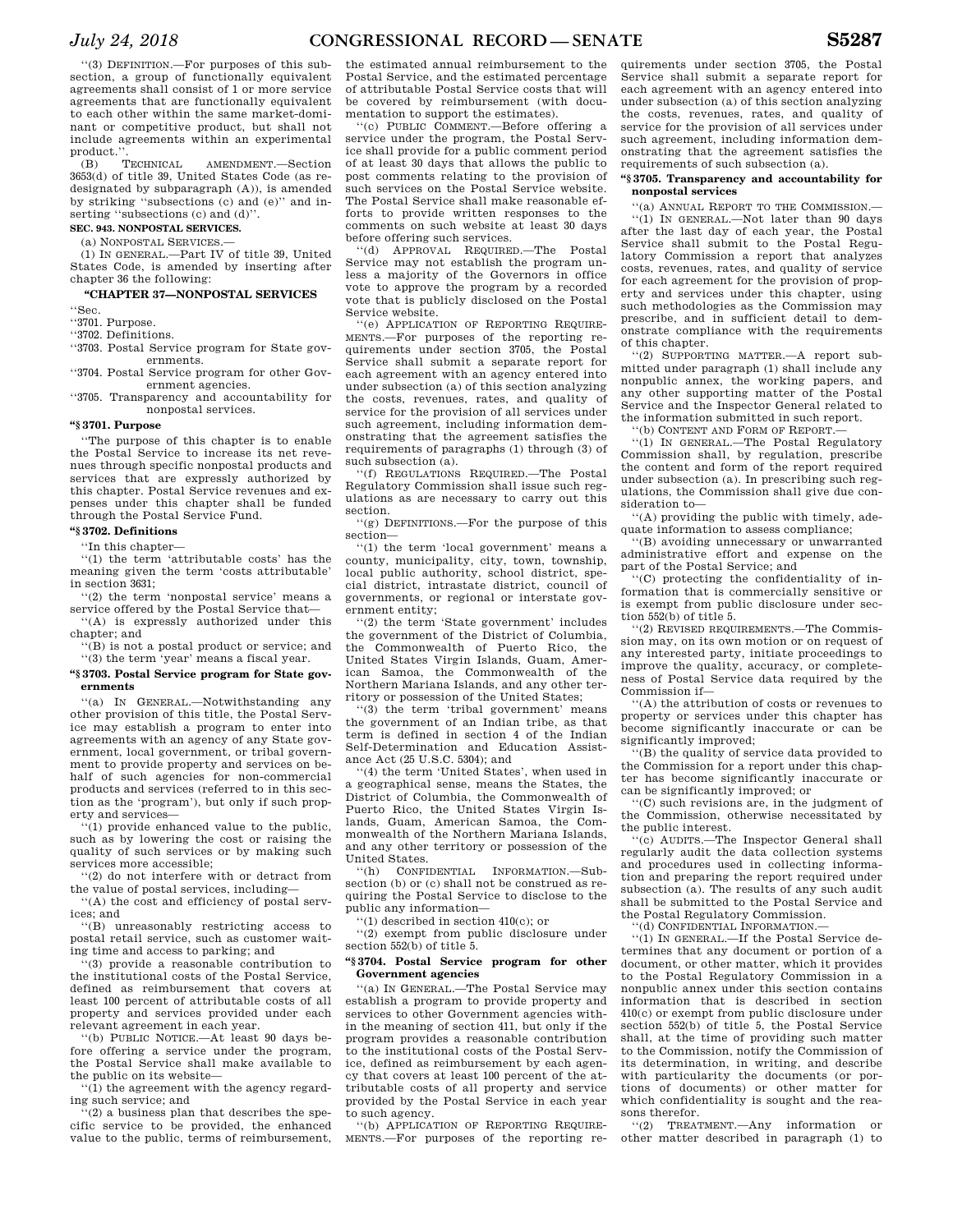(B) TECHNICAL AMENDMENT.—Section 3653(d) of title 39, United States Code (as redesignated by subparagraph (A)), is amended by striking ''subsections (c) and (e)'' and inserting ''subsections (c) and (d)''.

# **SEC. 943. NONPOSTAL SERVICES.**

(a) NONPOSTAL SERVICES.—

(1) IN GENERAL.—Part IV of title 39, United States Code, is amended by inserting after chapter 36 the following:

#### **''CHAPTER 37—NONPOSTAL SERVICES**

''Sec.

''3701. Purpose.

''3702. Definitions.

''3703. Postal Service program for State governments.

''3704. Postal Service program for other Government agencies.

''3705. Transparency and accountability for nonpostal services.

# **''§ 3701. Purpose**

''The purpose of this chapter is to enable the Postal Service to increase its net revenues through specific nonpostal products and services that are expressly authorized by this chapter. Postal Service revenues and expenses under this chapter shall be funded through the Postal Service Fund.

# **''§ 3702. Definitions**

''In this chapter—

''(1) the term 'attributable costs' has the meaning given the term 'costs attributable' in section 3631;

''(2) the term 'nonpostal service' means a service offered by the Postal Service that— ''(A) is expressly authorized under this

chapter; and '(B) is not a postal product or service: and

''(3) the term 'year' means a fiscal year.

# **''§ 3703. Postal Service program for State governments**

''(a) IN GENERAL.—Notwithstanding any other provision of this title, the Postal Service may establish a program to enter into agreements with an agency of any State government, local government, or tribal government to provide property and services on behalf of such agencies for non-commercial products and services (referred to in this section as the 'program'), but only if such property and services—

''(1) provide enhanced value to the public, such as by lowering the cost or raising the quality of such services or by making such services more accessible;

''(2) do not interfere with or detract from the value of postal services, including—

''(A) the cost and efficiency of postal services; and

''(B) unreasonably restricting access to postal retail service, such as customer waiting time and access to parking; and

''(3) provide a reasonable contribution to the institutional costs of the Postal Service, defined as reimbursement that covers at least 100 percent of attributable costs of all property and services provided under each relevant agreement in each year.

''(b) PUBLIC NOTICE.—At least 90 days before offering a service under the program, the Postal Service shall make available to the public on its website—

''(1) the agreement with the agency regarding such service; and

 $'(2)$  a business plan that describes the specific service to be provided, the enhanced value to the public, terms of reimbursement,

the estimated annual reimbursement to the Postal Service, and the estimated percentage of attributable Postal Service costs that will be covered by reimbursement (with documentation to support the estimates).

''(c) PUBLIC COMMENT.—Before offering a service under the program, the Postal Service shall provide for a public comment period of at least 30 days that allows the public to post comments relating to the provision of such services on the Postal Service website. The Postal Service shall make reasonable efforts to provide written responses to the comments on such website at least 30 days before offering such services.

''(d) APPROVAL REQUIRED.—The Postal Service may not establish the program unless a majority of the Governors in office vote to approve the program by a recorded vote that is publicly disclosed on the Postal Service website.

''(e) APPLICATION OF REPORTING REQUIRE-MENTS.—For purposes of the reporting requirements under section 3705, the Postal Service shall submit a separate report for each agreement with an agency entered into under subsection (a) of this section analyzing the costs, revenues, rates, and quality of service for the provision of all services under such agreement, including information demonstrating that the agreement satisfies the requirements of paragraphs (1) through (3) of such subsection (a).

''(f) REGULATIONS REQUIRED.—The Postal Regulatory Commission shall issue such regulations as are necessary to carry out this section.

''(g) DEFINITIONS.—For the purpose of this section—

''(1) the term 'local government' means a county, municipality, city, town, township, local public authority, school district, special district, intrastate district, council of governments, or regional or interstate government entity;

''(2) the term 'State government' includes the government of the District of Columbia, the Commonwealth of Puerto Rico, the United States Virgin Islands, Guam, American Samoa, the Commonwealth of the Northern Mariana Islands, and any other territory or possession of the United States;

''(3) the term 'tribal government' means the government of an Indian tribe, as that term is defined in section 4 of the Indian Self-Determination and Education Assistance Act (25 U.S.C. 5304); and

''(4) the term 'United States', when used in a geographical sense, means the States, the District of Columbia, the Commonwealth of Puerto Rico, the United States Virgin Islands, Guam, American Samoa, the Commonwealth of the Northern Mariana Islands, and any other territory or possession of the United States.

'(h) CONFIDENTIAL INFORMATION.-Subsection (b) or (c) shall not be construed as requiring the Postal Service to disclose to the public any information—

''(1) described in section 410(c); or ''(2) exempt from public disclosure under

section 552(b) of title 5.

# **''§ 3704. Postal Service program for other Government agencies**

''(a) IN GENERAL.—The Postal Service may establish a program to provide property and services to other Government agencies within the meaning of section 411, but only if the program provides a reasonable contribution to the institutional costs of the Postal Service, defined as reimbursement by each agency that covers at least 100 percent of the attributable costs of all property and service provided by the Postal Service in each year to such agency.

''(b) APPLICATION OF REPORTING REQUIRE-MENTS.—For purposes of the reporting re-

quirements under section 3705, the Postal Service shall submit a separate report for each agreement with an agency entered into under subsection (a) of this section analyzing the costs, revenues, rates, and quality of service for the provision of all services under such agreement, including information demonstrating that the agreement satisfies the requirements of such subsection (a).

# **''§ 3705. Transparency and accountability for nonpostal services**

''(a) ANNUAL REPORT TO THE COMMISSION.— ''(1) IN GENERAL.—Not later than 90 days after the last day of each year, the Postal Service shall submit to the Postal Regulatory Commission a report that analyzes costs, revenues, rates, and quality of service for each agreement for the provision of property and services under this chapter, using such methodologies as the Commission may prescribe, and in sufficient detail to demonstrate compliance with the requirements of this chapter.

''(2) SUPPORTING MATTER.—A report submitted under paragraph (1) shall include any nonpublic annex, the working papers, and any other supporting matter of the Postal Service and the Inspector General related to the information submitted in such report.

''(b) CONTENT AND FORM OF REPORT.—

''(1) IN GENERAL.—The Postal Regulatory Commission shall, by regulation, prescribe the content and form of the report required under subsection (a). In prescribing such regulations, the Commission shall give due consideration to—

''(A) providing the public with timely, adequate information to assess compliance;

''(B) avoiding unnecessary or unwarranted administrative effort and expense on the part of the Postal Service; and

''(C) protecting the confidentiality of information that is commercially sensitive or is exempt from public disclosure under section 552(b) of title 5.

''(2) REVISED REQUIREMENTS.—The Commission may, on its own motion or on request of any interested party, initiate proceedings to improve the quality, accuracy, or completeness of Postal Service data required by the Commission if—

''(A) the attribution of costs or revenues to property or services under this chapter has become significantly inaccurate or can be significantly improved;

''(B) the quality of service data provided to the Commission for a report under this chapter has become significantly inaccurate or can be significantly improved; or

''(C) such revisions are, in the judgment of the Commission, otherwise necessitated by the public interest.

''(c) AUDITS.—The Inspector General shall regularly audit the data collection systems and procedures used in collecting information and preparing the report required under subsection (a). The results of any such audit shall be submitted to the Postal Service and the Postal Regulatory Commission.

''(d) CONFIDENTIAL INFORMATION.—

''(1) IN GENERAL.—If the Postal Service determines that any document or portion of a document, or other matter, which it provides to the Postal Regulatory Commission in a nonpublic annex under this section contains information that is described in section 410(c) or exempt from public disclosure under section 552(b) of title 5, the Postal Service shall, at the time of providing such matter to the Commission, notify the Commission of its determination, in writing, and describe with particularity the documents (or portions of documents) or other matter for which confidentiality is sought and the reasons therefor.

''(2) TREATMENT.—Any information or other matter described in paragraph (1) to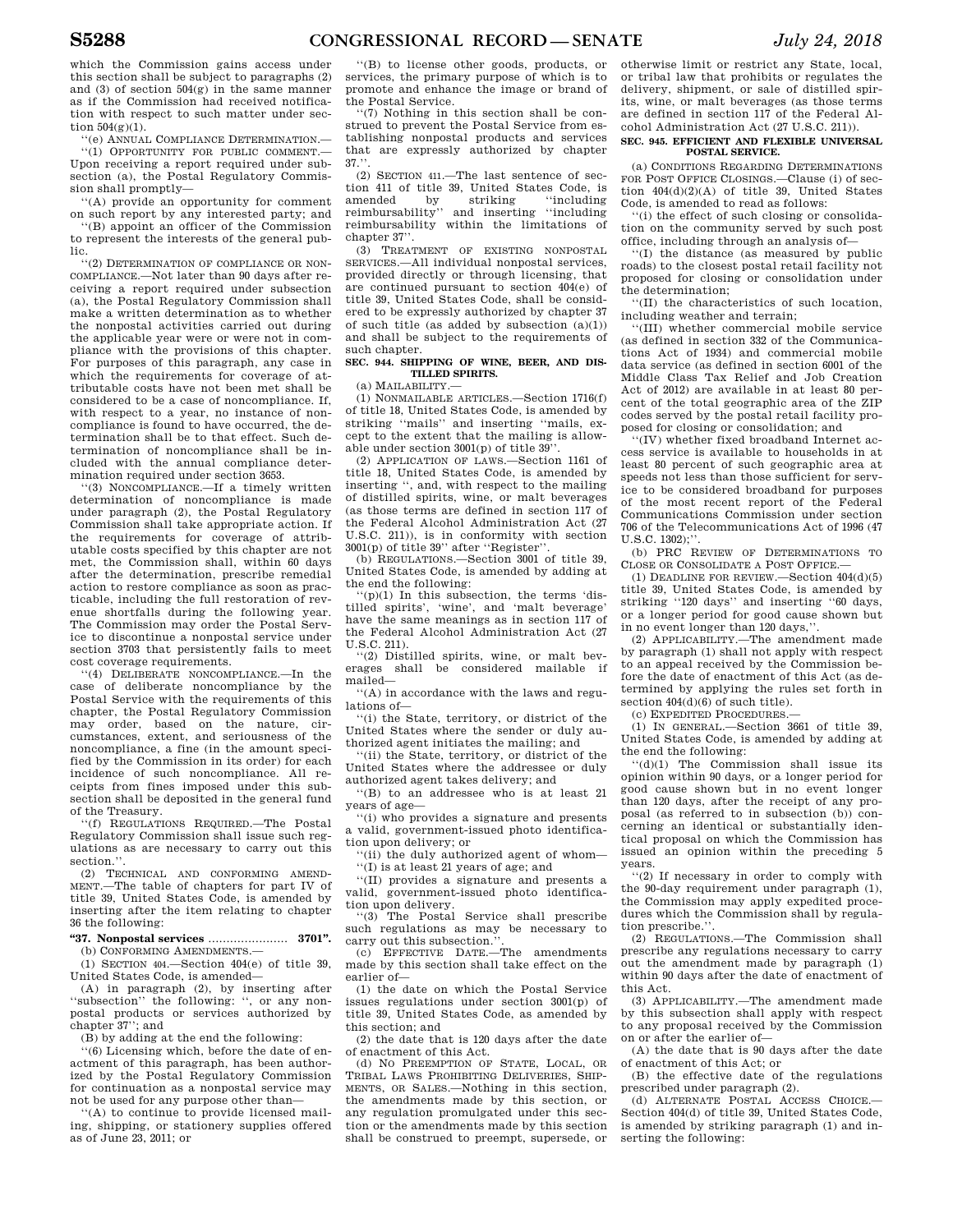which the Commission gains access under this section shall be subject to paragraphs (2) and (3) of section 504(g) in the same manner as if the Commission had received notification with respect to such matter under section  $504(g)(1)$ .

''(e) ANNUAL COMPLIANCE DETERMINATION.— ''(1) OPPORTUNITY FOR PUBLIC COMMENT.— Upon receiving a report required under subsection (a), the Postal Regulatory Commission shall promptly—

''(A) provide an opportunity for comment on such report by any interested party; and

''(B) appoint an officer of the Commission to represent the interests of the general public.

''(2) DETERMINATION OF COMPLIANCE OR NON-COMPLIANCE.—Not later than 90 days after receiving a report required under subsection (a), the Postal Regulatory Commission shall make a written determination as to whether the nonpostal activities carried out during the applicable year were or were not in compliance with the provisions of this chapter. For purposes of this paragraph, any case in which the requirements for coverage of attributable costs have not been met shall be considered to be a case of noncompliance. If, with respect to a year, no instance of noncompliance is found to have occurred, the determination shall be to that effect. Such determination of noncompliance shall be included with the annual compliance determination required under section 3653.

''(3) NONCOMPLIANCE.—If a timely written determination of noncompliance is made under paragraph (2), the Postal Regulatory Commission shall take appropriate action. If the requirements for coverage of attributable costs specified by this chapter are not met, the Commission shall, within 60 days after the determination, prescribe remedial action to restore compliance as soon as practicable, including the full restoration of revenue shortfalls during the following year. The Commission may order the Postal Service to discontinue a nonpostal service under section 3703 that persistently fails to meet cost coverage requirements.

''(4) DELIBERATE NONCOMPLIANCE.—In the case of deliberate noncompliance by the Postal Service with the requirements of this chapter, the Postal Regulatory Commission may order, based on the nature, circumstances, extent, and seriousness of the noncompliance, a fine (in the amount specified by the Commission in its order) for each incidence of such noncompliance. All receipts from fines imposed under this subsection shall be deposited in the general fund of the Treasury.

''(f) REGULATIONS REQUIRED.—The Postal Regulatory Commission shall issue such regulations as are necessary to carry out this section.<sup>'</sup>

(2) TECHNICAL AND CONFORMING AMEND-MENT.—The table of chapters for part IV of title 39, United States Code, is amended by inserting after the item relating to chapter 36 the following:

# **''37. Nonpostal services** ...................... **3701''.**

(b) CONFORMING AMENDMENTS.— (1) SECTION 404.—Section 404(e) of title 39,

United States Code, is amended—

(A) in paragraph (2), by inserting after ''subsection'' the following: '', or any nonpostal products or services authorized by chapter 37''; and

(B) by adding at the end the following:

''(6) Licensing which, before the date of enactment of this paragraph, has been authorized by the Postal Regulatory Commission for continuation as a nonpostal service may not be used for any purpose other than—

''(A) to continue to provide licensed mailing, shipping, or stationery supplies offered as of June 23, 2011; or

''(B) to license other goods, products, or services, the primary purpose of which is to promote and enhance the image or brand of

the Postal Service. ''(7) Nothing in this section shall be construed to prevent the Postal Service from establishing nonpostal products and services that are expressly authorized by chapter  $37.$ 

(2) SECTION 411.—The last sentence of section 411 of title 39, United States Code, is<br>amended by striking "including amended by striking ''including reimbursability'' and inserting ''including reimbursability within the limitations of chapter 37''.

(3) TREATMENT OF EXISTING NONPOSTAL SERVICES.—All individual nonpostal services, provided directly or through licensing, that are continued pursuant to section 404(e) of title 39, United States Code, shall be considered to be expressly authorized by chapter 37 of such title (as added by subsection  $(a)(1)$ ) and shall be subject to the requirements of such chapter.

# **SEC. 944. SHIPPING OF WINE, BEER, AND DIS-TILLED SPIRITS.**

(a) MAILABILITY.—

(1) NONMAILABLE ARTICLES.—Section 1716(f) of title 18, United States Code, is amended by striking ''mails'' and inserting ''mails, except to the extent that the mailing is allowable under section 3001(p) of title 39''.

(2) APPLICATION OF LAWS.—Section 1161 of title 18, United States Code, is amended by inserting '', and, with respect to the mailing of distilled spirits, wine, or malt beverages (as those terms are defined in section 117 of the Federal Alcohol Administration Act (27 U.S.C. 211)), is in conformity with section  $3001(p)$  of title  $39'$  after "Register".

(b) REGULATIONS.—Section 3001 of title 39, United States Code, is amended by adding at the end the following:

 $(p)(1)$  In this subsection, the terms 'distilled spirits', 'wine', and 'malt beverage' have the same meanings as in section 117 of the Federal Alcohol Administration Act (27 U.S.C. 211).

''(2) Distilled spirits, wine, or malt beverages shall be considered mailable if mailed—

''(A) in accordance with the laws and regulations of—

''(i) the State, territory, or district of the United States where the sender or duly authorized agent initiates the mailing; and

''(ii) the State, territory, or district of the United States where the addressee or duly authorized agent takes delivery; and

''(B) to an addressee who is at least 21 years of age—

''(i) who provides a signature and presents a valid, government-issued photo identification upon delivery; or

'(ii) the duly authorized agent of whom-''(I) is at least 21 years of age; and

''(II) provides a signature and presents a valid, government-issued photo identification upon delivery.

'(3) The Postal Service shall prescribe such regulations as may be necessary to carry out this subsection."

(c) EFFECTIVE DATE.—The amendments made by this section shall take effect on the earlier of—

(1) the date on which the Postal Service issues regulations under section 3001(p) of title 39, United States Code, as amended by this section; and

(2) the date that is 120 days after the date of enactment of this Act.

(d) NO PREEMPTION OF STATE, LOCAL, OR TRIBAL LAWS PROHIBITING DELIVERIES, SHIP-MENTS, OR SALES.—Nothing in this section, the amendments made by this section, or any regulation promulgated under this section or the amendments made by this section shall be construed to preempt, supersede, or

otherwise limit or restrict any State, local, or tribal law that prohibits or regulates the delivery, shipment, or sale of distilled spirits, wine, or malt beverages (as those terms are defined in section 117 of the Federal Alcohol Administration Act (27 U.S.C. 211)).

# **SEC. 945. EFFICIENT AND FLEXIBLE UNIVERSAL POSTAL SERVICE.**

(a) CONDITIONS REGARDING DETERMINATIONS FOR POST OFFICE CLOSINGS.—Clause (i) of section 404(d)(2)(A) of title 39, United States Code, is amended to read as follows:

''(i) the effect of such closing or consolidation on the community served by such post office, including through an analysis of—

''(I) the distance (as measured by public roads) to the closest postal retail facility not proposed for closing or consolidation under the determination;

''(II) the characteristics of such location, including weather and terrain;

''(III) whether commercial mobile service (as defined in section 332 of the Communications Act of 1934) and commercial mobile data service (as defined in section 6001 of the Middle Class Tax Relief and Job Creation Act of 2012) are available in at least 80 percent of the total geographic area of the ZIP codes served by the postal retail facility proposed for closing or consolidation; and

''(IV) whether fixed broadband Internet access service is available to households in at least 80 percent of such geographic area at speeds not less than those sufficient for service to be considered broadband for purposes of the most recent report of the Federal Communications Commission under section 706 of the Telecommunications Act of 1996 (47 U.S.C. 1302);''.

(b) PRC REVIEW OF DETERMINATIONS TO CLOSE OR CONSOLIDATE A POST OFFICE.

(1) DEADLINE FOR REVIEW.—Section 404(d)(5) title 39, United States Code, is amended by striking ''120 days'' and inserting ''60 days, or a longer period for good cause shown but in no event longer than 120 days,''.

(2) APPLICABILITY.—The amendment made by paragraph (1) shall not apply with respect to an appeal received by the Commission before the date of enactment of this Act (as determined by applying the rules set forth in section  $404(d)(6)$  of such title).

(c) EXPEDITED PROCEDURES.—

(1) IN GENERAL.—Section 3661 of title 39, United States Code, is amended by adding at the end the following:

''(d)(1) The Commission shall issue its opinion within 90 days, or a longer period for good cause shown but in no event longer than 120 days, after the receipt of any proposal (as referred to in subsection (b)) concerning an identical or substantially identical proposal on which the Commission has issued an opinion within the preceding 5 years.

''(2) If necessary in order to comply with the 90-day requirement under paragraph (1), the Commission may apply expedited procedures which the Commission shall by regulation prescribe."

(2) REGULATIONS.—The Commission shall prescribe any regulations necessary to carry out the amendment made by paragraph (1) within 90 days after the date of enactment of this Act.

(3) APPLICABILITY.—The amendment made by this subsection shall apply with respect to any proposal received by the Commission on or after the earlier of—

(A) the date that is 90 days after the date of enactment of this Act; or

(B) the effective date of the regulations prescribed under paragraph (2).

(d) ALTERNATE POSTAL ACCESS CHOICE.— Section 404(d) of title 39, United States Code, is amended by striking paragraph (1) and inserting the following: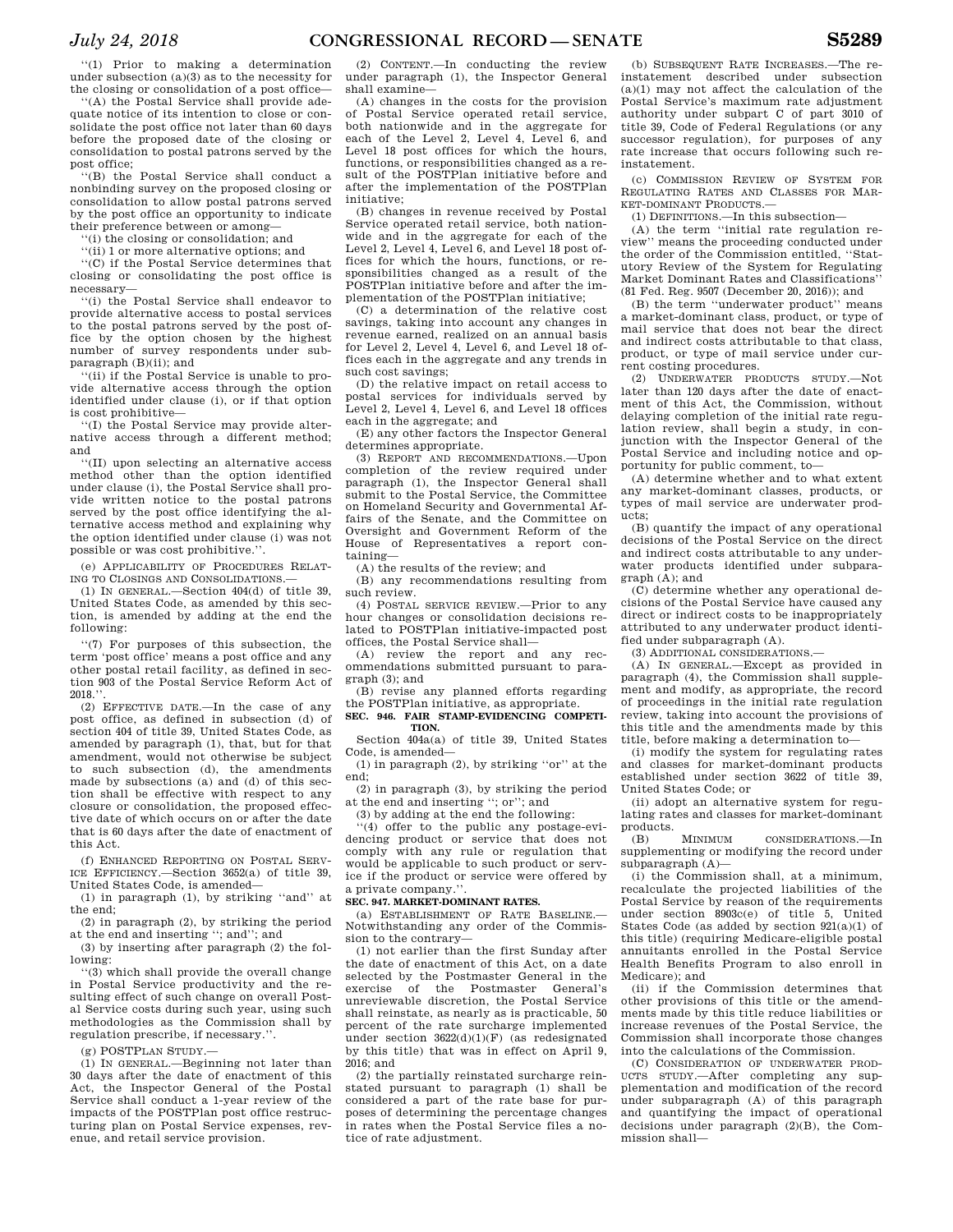''(1) Prior to making a determination under subsection (a)(3) as to the necessity for the closing or consolidation of a post office—

''(A) the Postal Service shall provide adequate notice of its intention to close or consolidate the post office not later than 60 days before the proposed date of the closing or consolidation to postal patrons served by the post office;

''(B) the Postal Service shall conduct a nonbinding survey on the proposed closing or consolidation to allow postal patrons served by the post office an opportunity to indicate their preference between or among—

''(i) the closing or consolidation; and

''(ii) 1 or more alternative options; and

''(C) if the Postal Service determines that closing or consolidating the post office is necessary—

''(i) the Postal Service shall endeavor to provide alternative access to postal services to the postal patrons served by the post office by the option chosen by the highest number of survey respondents under subparagraph (B)(ii); and

''(ii) if the Postal Service is unable to provide alternative access through the option identified under clause (i), or if that option is cost prohibitive—

''(I) the Postal Service may provide alternative access through a different method; and

''(II) upon selecting an alternative access method other than the option identified under clause (i), the Postal Service shall provide written notice to the postal patrons served by the post office identifying the alternative access method and explaining why the option identified under clause (i) was not possible or was cost prohibitive.''.

(e) APPLICABILITY OF PROCEDURES RELAT-ING TO CLOSINGS AND CONSOLIDATIONS.

(1) IN GENERAL.—Section 404(d) of title 39, United States Code, as amended by this section, is amended by adding at the end the following:

''(7) For purposes of this subsection, the term 'post office' means a post office and any other postal retail facility, as defined in section 903 of the Postal Service Reform Act of  $2018."$ 

(2) EFFECTIVE DATE.—In the case of any post office, as defined in subsection (d) of section 404 of title 39, United States Code, as amended by paragraph (1), that, but for that amendment, would not otherwise be subject to such subsection (d), the amendments made by subsections (a) and (d) of this section shall be effective with respect to any closure or consolidation, the proposed effective date of which occurs on or after the date that is 60 days after the date of enactment of this Act.

(f) ENHANCED REPORTING ON POSTAL SERV-ICE EFFICIENCY.—Section 3652(a) of title 39, United States Code, is amended—

(1) in paragraph (1), by striking ''and'' at the end;

(2) in paragraph (2), by striking the period at the end and inserting ''; and''; and

(3) by inserting after paragraph (2) the following:

''(3) which shall provide the overall change in Postal Service productivity and the resulting effect of such change on overall Postal Service costs during such year, using such methodologies as the Commission shall by regulation prescribe, if necessary.''.

(g) POSTPLAN STUDY.—

(1) IN GENERAL.—Beginning not later than 30 days after the date of enactment of this Act, the Inspector General of the Postal Service shall conduct a 1-year review of the impacts of the POSTPlan post office restructuring plan on Postal Service expenses, revenue, and retail service provision.

(2) CONTENT.—In conducting the review under paragraph (1), the Inspector General shall examine—

(A) changes in the costs for the provision of Postal Service operated retail service, both nationwide and in the aggregate for each of the Level 2, Level 4, Level 6, and Level 18 post offices for which the hours. functions, or responsibilities changed as a result of the POSTPlan initiative before and after the implementation of the POSTPlan initiative;

(B) changes in revenue received by Postal Service operated retail service, both nationwide and in the aggregate for each of the Level 2, Level 4, Level 6, and Level 18 post offices for which the hours, functions, or responsibilities changed as a result of the POSTPlan initiative before and after the implementation of the POSTPlan initiative;

(C) a determination of the relative cost savings, taking into account any changes in revenue earned, realized on an annual basis for Level 2, Level 4, Level 6, and Level 18 offices each in the aggregate and any trends in such cost savings;

(D) the relative impact on retail access to postal services for individuals served by Level 2, Level 4, Level 6, and Level 18 offices each in the aggregate; and

(E) any other factors the Inspector General determines appropriate.

(3) REPORT AND RECOMMENDATIONS.—Upon completion of the review required under paragraph (1), the Inspector General shall submit to the Postal Service, the Committee on Homeland Security and Governmental Affairs of the Senate, and the Committee on Oversight and Government Reform of the House of Representatives a report containing—

(A) the results of the review; and

(B) any recommendations resulting from such review.

(4) POSTAL SERVICE REVIEW.—Prior to any hour changes or consolidation decisions related to POSTPlan initiative-impacted post offices, the Postal Service shall—

(A) review the report and any recommendations submitted pursuant to paragraph (3); and

(B) revise any planned efforts regarding the POSTPlan initiative, as appropriate. **SEC. 946. FAIR STAMP-EVIDENCING COMPETI-**

**TION.**  Section 404a(a) of title 39, United States

Code, is amended— (1) in paragraph (2), by striking ''or'' at the

end; (2) in paragraph (3), by striking the period

at the end and inserting ''; or''; and

(3) by adding at the end the following:

''(4) offer to the public any postage-evidencing product or service that does not comply with any rule or regulation that would be applicable to such product or service if the product or service were offered by a private company.''.

### **SEC. 947. MARKET-DOMINANT RATES.**

(a) ESTABLISHMENT OF RATE BASELINE.— Notwithstanding any order of the Commission to the contrary—

(1) not earlier than the first Sunday after the date of enactment of this Act, on a date selected by the Postmaster General in the exercise of the Postmaster General's unreviewable discretion, the Postal Service shall reinstate, as nearly as is practicable, 50 percent of the rate surcharge implemented under section  $3622(d)(1)(F)$  (as redesignated by this title) that was in effect on April 9, 2016; and

(2) the partially reinstated surcharge reinstated pursuant to paragraph (1) shall be considered a part of the rate base for purposes of determining the percentage changes in rates when the Postal Service files a notice of rate adjustment.

(b) SUBSEQUENT RATE INCREASES.—The reinstatement described under subsection (a)(1) may not affect the calculation of the Postal Service's maximum rate adjustment authority under subpart C of part 3010 of title 39, Code of Federal Regulations (or any successor regulation), for purposes of any rate increase that occurs following such reinstatement.

(c) COMMISSION REVIEW OF SYSTEM FOR REGULATING RATES AND CLASSES FOR MAR-KET-DOMINANT PRODUCTS.

(1) DEFINITIONS.—In this subsection—

(A) the term ''initial rate regulation review'' means the proceeding conducted under the order of the Commission entitled, ''Statutory Review of the System for Regulating Market Dominant Rates and Classifications'' (81 Fed. Reg. 9507 (December 20, 2016)); and

(B) the term ''underwater product'' means a market-dominant class, product, or type of mail service that does not bear the direct and indirect costs attributable to that class, product, or type of mail service under current costing procedures.

(2) UNDERWATER PRODUCTS STUDY.—Not later than 120 days after the date of enactment of this Act, the Commission, without delaying completion of the initial rate regulation review, shall begin a study, in conjunction with the Inspector General of the Postal Service and including notice and opportunity for public comment, to—

(A) determine whether and to what extent any market-dominant classes, products, or types of mail service are underwater products;

(B) quantify the impact of any operational decisions of the Postal Service on the direct and indirect costs attributable to any underwater products identified under subparagraph (A); and

(C) determine whether any operational decisions of the Postal Service have caused any direct or indirect costs to be inappropriately attributed to any underwater product identified under subparagraph (A).

(3) ADDITIONAL CONSIDERATIONS.—

(A) IN GENERAL.—Except as provided in paragraph (4), the Commission shall supplement and modify, as appropriate, the record of proceedings in the initial rate regulation review, taking into account the provisions of this title and the amendments made by this title, before making a determination to—

(i) modify the system for regulating rates and classes for market-dominant products established under section 3622 of title 39, United States Code; or

(ii) adopt an alternative system for regulating rates and classes for market-dominant products.

(B) MINIMUM CONSIDERATIONS.—In supplementing or modifying the record under subparagraph (A)—

(i) the Commission shall, at a minimum, recalculate the projected liabilities of the Postal Service by reason of the requirements under section 8903c(e) of title 5, United States Code (as added by section 921(a)(1) of this title) (requiring Medicare-eligible postal annuitants enrolled in the Postal Service Health Benefits Program to also enroll in Medicare); and

(ii) if the Commission determines that other provisions of this title or the amendments made by this title reduce liabilities or increase revenues of the Postal Service, the Commission shall incorporate those changes into the calculations of the Commission.

(C) CONSIDERATION OF UNDERWATER PROD-UCTS STUDY.—After completing any supplementation and modification of the record under subparagraph (A) of this paragraph and quantifying the impact of operational decisions under paragraph (2)(B), the Commission shall—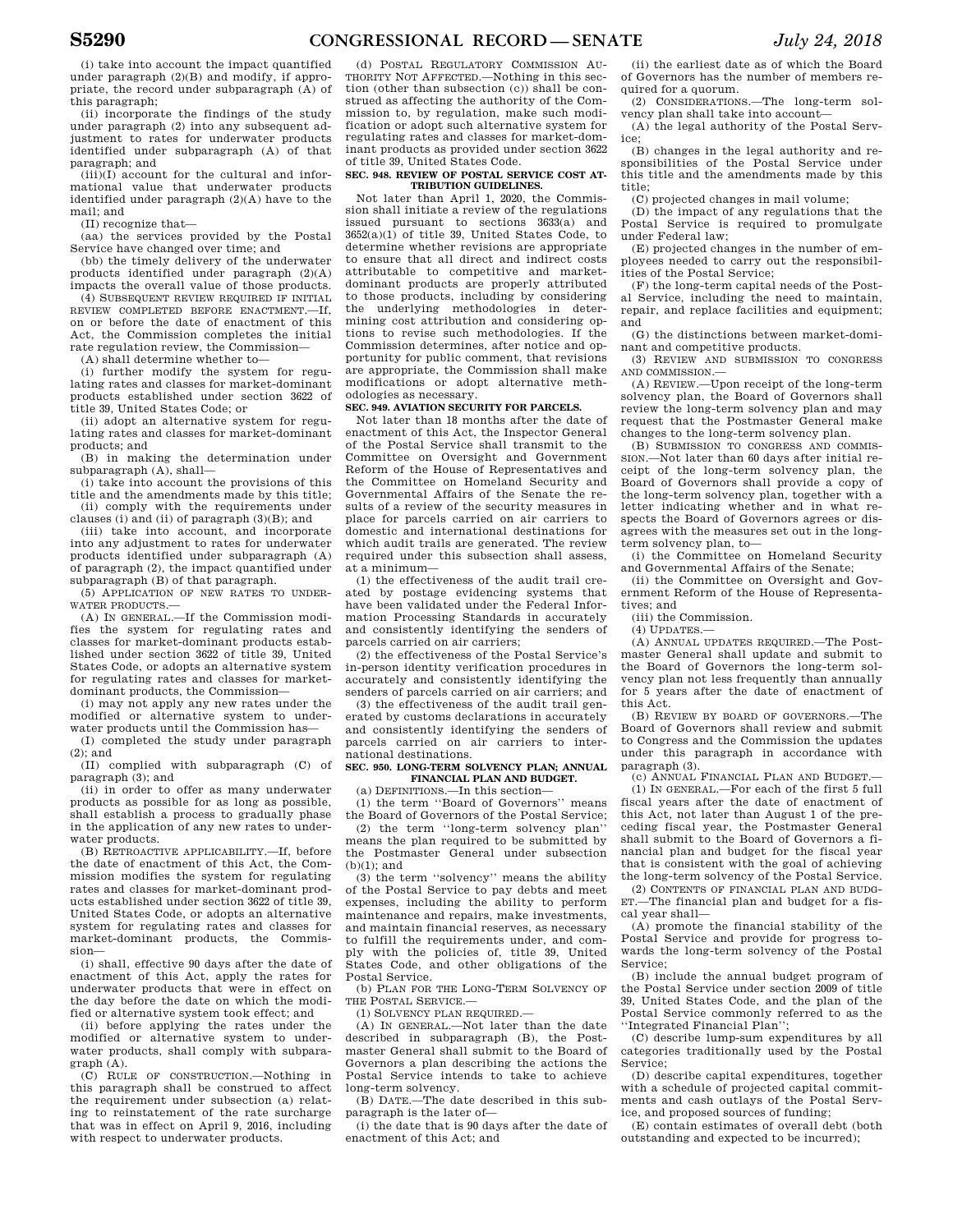(i) take into account the impact quantified under paragraph (2)(B) and modify, if appropriate, the record under subparagraph (A) of this paragraph;

(ii) incorporate the findings of the study under paragraph (2) into any subsequent adjustment to rates for underwater products identified under subparagraph (A) of that paragraph; and

 $(iii)(I)$  account for the cultural and informational value that underwater products identified under paragraph (2)(A) have to the mail; and

(II) recognize that—

(aa) the services provided by the Postal Service have changed over time; and

(bb) the timely delivery of the underwater products identified under paragraph (2)(A) impacts the overall value of those products.

(4) SUBSEQUENT REVIEW REQUIRED IF INITIAL REVIEW COMPLETED BEFORE ENACTMENT.—If, on or before the date of enactment of this Act, the Commission completes the initial rate regulation review, the Commission—

(A) shall determine whether to—

(i) further modify the system for regulating rates and classes for market-dominant products established under section 3622 of title 39, United States Code; or

(ii) adopt an alternative system for regulating rates and classes for market-dominant products; and

(B) in making the determination under subparagraph (A), shall—

(i) take into account the provisions of this title and the amendments made by this title; (ii) comply with the requirements under

clauses (i) and (ii) of paragraph (3)(B); and (iii) take into account, and incorporate

into any adjustment to rates for underwater products identified under subparagraph (A) of paragraph (2), the impact quantified under subparagraph (B) of that paragraph.

(5) APPLICATION OF NEW RATES TO UNDER-WATER PRODUCTS —

(A) IN GENERAL.—If the Commission modifies the system for regulating rates and classes for market-dominant products established under section 3622 of title 39, United States Code, or adopts an alternative system for regulating rates and classes for marketdominant products, the Commission—

(i) may not apply any new rates under the modified or alternative system to underwater products until the Commission has—

(I) completed the study under paragraph (2); and

(II) complied with subparagraph (C) of paragraph (3); and

(ii) in order to offer as many underwater products as possible for as long as possible, shall establish a process to gradually phase in the application of any new rates to underwater products.

(B) RETROACTIVE APPLICABILITY.—If, before the date of enactment of this Act, the Commission modifies the system for regulating rates and classes for market-dominant products established under section 3622 of title 39, United States Code, or adopts an alternative system for regulating rates and classes for market-dominant products, the Commission—

(i) shall, effective 90 days after the date of enactment of this Act, apply the rates for underwater products that were in effect on the day before the date on which the modified or alternative system took effect; and

(ii) before applying the rates under the modified or alternative system to underwater products, shall comply with subparagraph (A).

(C) RULE OF CONSTRUCTION.—Nothing in this paragraph shall be construed to affect the requirement under subsection (a) relating to reinstatement of the rate surcharge that was in effect on April 9, 2016, including with respect to underwater products.

(d) POSTAL REGULATORY COMMISSION AU-THORITY NOT AFFECTED.—Nothing in this section (other than subsection (c)) shall be construed as affecting the authority of the Commission to, by regulation, make such modification or adopt such alternative system for regulating rates and classes for market-dominant products as provided under section 3622 of title 39, United States Code.

#### **SEC. 948. REVIEW OF POSTAL SERVICE COST AT-TRIBUTION GUIDELINES.**

Not later than April 1, 2020, the Commission shall initiate a review of the regulations issued pursuant to sections 3633(a) and  $3652(a)(1)$  of title 39. United States Code, to determine whether revisions are appropriate to ensure that all direct and indirect costs attributable to competitive and marketdominant products are properly attributed to those products, including by considering the underlying methodologies in determining cost attribution and considering options to revise such methodologies. If the Commission determines, after notice and opportunity for public comment, that revisions are appropriate, the Commission shall make modifications or adopt alternative methodologies as necessary.

# **SEC. 949. AVIATION SECURITY FOR PARCELS.**

Not later than 18 months after the date of enactment of this Act, the Inspector General of the Postal Service shall transmit to the Committee on Oversight and Government Reform of the House of Representatives and the Committee on Homeland Security and Governmental Affairs of the Senate the results of a review of the security measures in place for parcels carried on air carriers to domestic and international destinations for which audit trails are generated. The review required under this subsection shall assess, at a minimum—

(1) the effectiveness of the audit trail created by postage evidencing systems that have been validated under the Federal Information Processing Standards in accurately and consistently identifying the senders of parcels carried on air carriers;

(2) the effectiveness of the Postal Service's in-person identity verification procedures in accurately and consistently identifying the senders of parcels carried on air carriers; and

(3) the effectiveness of the audit trail generated by customs declarations in accurately and consistently identifying the senders of parcels carried on air carriers to international destinations.

#### **SEC. 950. LONG-TERM SOLVENCY PLAN; ANNUAL FINANCIAL PLAN AND BUDGET.**

(a) DEFINITIONS.—In this section—

(1) the term ''Board of Governors'' means the Board of Governors of the Postal Service;

(2) the term ''long-term solvency plan'' means the plan required to be submitted by the Postmaster General under subsection (b)(1); and

(3) the term ''solvency'' means the ability of the Postal Service to pay debts and meet expenses, including the ability to perform maintenance and repairs, make investments, and maintain financial reserves, as necessary to fulfill the requirements under, and comply with the policies of, title 39, United States Code, and other obligations of the Postal Service.

(b) PLAN FOR THE LONG-TERM SOLVENCY OF THE POSTAL SERVICE.

(1) SOLVENCY PLAN REQUIRED.—

(A) IN GENERAL.—Not later than the date described in subparagraph (B), the Postmaster General shall submit to the Board of Governors a plan describing the actions the Postal Service intends to take to achieve long-term solvency.

(B) DATE.—The date described in this subparagraph is the later of—

(i) the date that is 90 days after the date of enactment of this Act; and

(ii) the earliest date as of which the Board of Governors has the number of members required for a quorum.

(2) CONSIDERATIONS.—The long-term solvency plan shall take into account—

(A) the legal authority of the Postal Service;

(B) changes in the legal authority and responsibilities of the Postal Service under this title and the amendments made by this title;

(C) projected changes in mail volume;

(D) the impact of any regulations that the Postal Service is required to promulgate under Federal law;

(E) projected changes in the number of employees needed to carry out the responsibilities of the Postal Service;

(F) the long-term capital needs of the Postal Service, including the need to maintain, repair, and replace facilities and equipment; and

(G) the distinctions between market-dominant and competitive products.

(3) REVIEW AND SUBMISSION TO CONGRESS AND COMMISSION.—

(A) REVIEW.—Upon receipt of the long-term solvency plan, the Board of Governors shall review the long-term solvency plan and may request that the Postmaster General make changes to the long-term solvency plan.

(B) SUBMISSION TO CONGRESS AND COMMIS-SION.—Not later than 60 days after initial receipt of the long-term solvency plan, the Board of Governors shall provide a copy of the long-term solvency plan, together with a letter indicating whether and in what respects the Board of Governors agrees or disagrees with the measures set out in the longterm solvency plan, to—

(i) the Committee on Homeland Security and Governmental Affairs of the Senate;

(ii) the Committee on Oversight and Government Reform of the House of Representatives; and

(iii) the Commission.

 $(4)$  UPDATES  $-$ 

(A) ANNUAL UPDATES REQUIRED.—The Postmaster General shall update and submit to the Board of Governors the long-term solvency plan not less frequently than annually for 5 years after the date of enactment of this Act.

(B) REVIEW BY BOARD OF GOVERNORS.—The Board of Governors shall review and submit to Congress and the Commission the updates under this paragraph in accordance with paragraph (3).

(c) ANNUAL FINANCIAL PLAN AND BUDGET.—

(1) IN GENERAL.—For each of the first 5 full fiscal years after the date of enactment of this Act, not later than August 1 of the preceding fiscal year, the Postmaster General shall submit to the Board of Governors a financial plan and budget for the fiscal year that is consistent with the goal of achieving the long-term solvency of the Postal Service.

(2) CONTENTS OF FINANCIAL PLAN AND BUDG-ET.—The financial plan and budget for a fiscal year shall—

(A) promote the financial stability of the Postal Service and provide for progress towards the long-term solvency of the Postal Service;

(B) include the annual budget program of the Postal Service under section 2009 of title 39, United States Code, and the plan of the Postal Service commonly referred to as the ''Integrated Financial Plan'';

(C) describe lump-sum expenditures by all categories traditionally used by the Postal Service;

(D) describe capital expenditures, together with a schedule of projected capital commitments and cash outlays of the Postal Service, and proposed sources of funding;

(E) contain estimates of overall debt (both outstanding and expected to be incurred);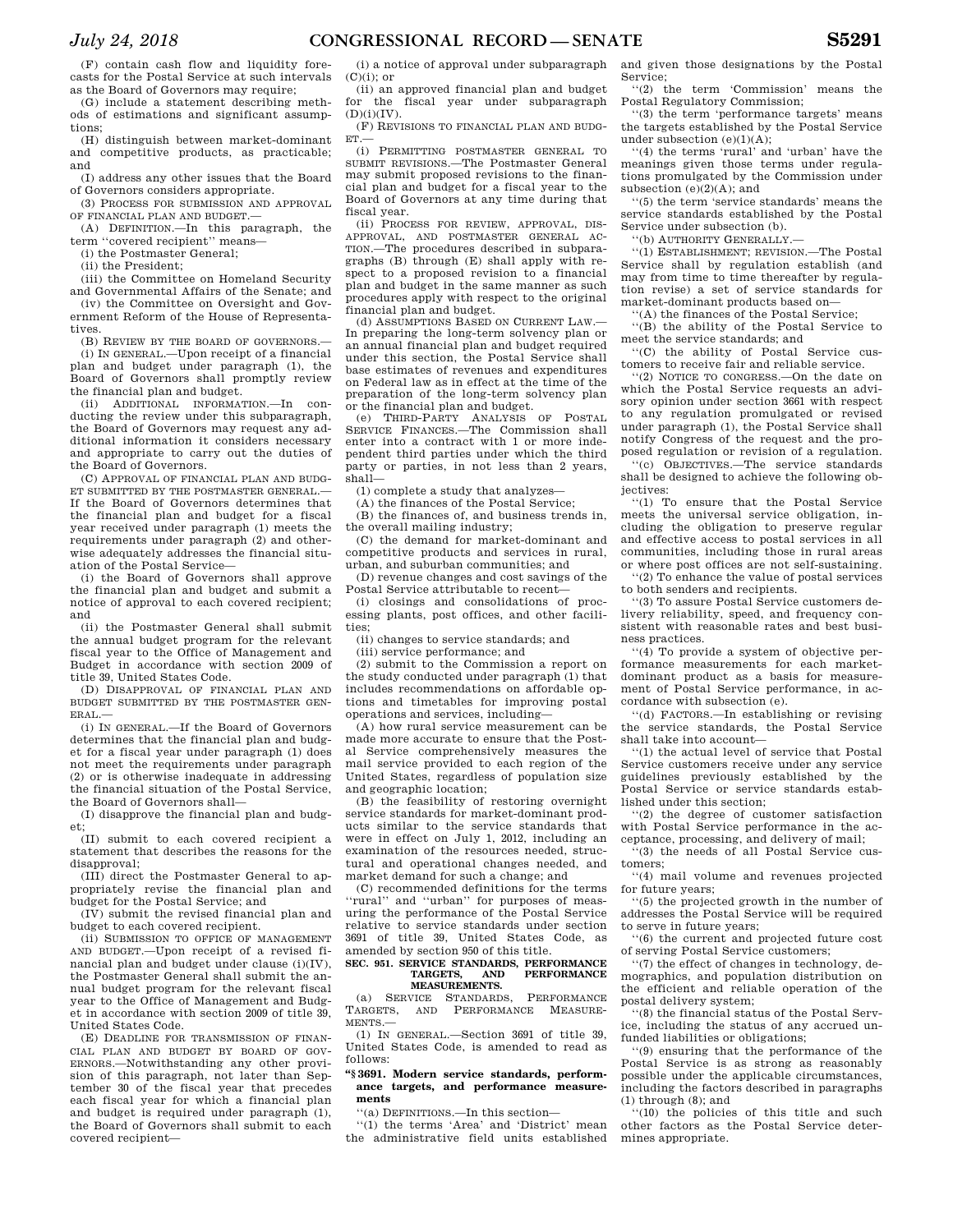(F) contain cash flow and liquidity forecasts for the Postal Service at such intervals as the Board of Governors may require;

(G) include a statement describing methods of estimations and significant assumptions;

(H) distinguish between market-dominant and competitive products, as practicable; and

(I) address any other issues that the Board of Governors considers appropriate.

(3) PROCESS FOR SUBMISSION AND APPROVAL OF FINANCIAL PLAN AND BUDGET.

(A) DEFINITION.—In this paragraph, the term ''covered recipient'' means—

(i) the Postmaster General;

(ii) the President;

(iii) the Committee on Homeland Security and Governmental Affairs of the Senate; and

(iv) the Committee on Oversight and Government Reform of the House of Representatives.

(B) REVIEW BY THE BOARD OF GOVERNORS.— (i) IN GENERAL.—Upon receipt of a financial plan and budget under paragraph (1), the Board of Governors shall promptly review the financial plan and budget.

(ii) ADDITIONAL INFORMATION.—In conducting the review under this subparagraph. the Board of Governors may request any additional information it considers necessary and appropriate to carry out the duties of the Board of Governors.

(C) APPROVAL OF FINANCIAL PLAN AND BUDG-ET SUBMITTED BY THE POSTMASTER GENERAL.— If the Board of Governors determines that the financial plan and budget for a fiscal year received under paragraph (1) meets the requirements under paragraph (2) and otherwise adequately addresses the financial situation of the Postal Service—

(i) the Board of Governors shall approve the financial plan and budget and submit a notice of approval to each covered recipient; and

(ii) the Postmaster General shall submit the annual budget program for the relevant fiscal year to the Office of Management and Budget in accordance with section 2009 of title 39, United States Code.

(D) DISAPPROVAL OF FINANCIAL PLAN AND BUDGET SUBMITTED BY THE POSTMASTER GEN-ERAL.—

(i) IN GENERAL.—If the Board of Governors determines that the financial plan and budget for a fiscal year under paragraph (1) does not meet the requirements under paragraph (2) or is otherwise inadequate in addressing the financial situation of the Postal Service, the Board of Governors shall—

(I) disapprove the financial plan and budget;

(II) submit to each covered recipient a statement that describes the reasons for the disapproval:

(III) direct the Postmaster General to appropriately revise the financial plan and budget for the Postal Service; and

(IV) submit the revised financial plan and budget to each covered recipient.

(ii) SUBMISSION TO OFFICE OF MANAGEMENT AND BUDGET.—Upon receipt of a revised financial plan and budget under clause (i)(IV), the Postmaster General shall submit the annual budget program for the relevant fiscal year to the Office of Management and Budget in accordance with section 2009 of title 39, United States Code.

(E) DEADLINE FOR TRANSMISSION OF FINAN-CIAL PLAN AND BUDGET BY BOARD OF GOV-ERNORS.—Notwithstanding any other provision of this paragraph, not later than September 30 of the fiscal year that precedes each fiscal year for which a financial plan and budget is required under paragraph (1), the Board of Governors shall submit to each covered recipient—

(i) a notice of approval under subparagraph  $(C)(i)$ ; or

(ii) an approved financial plan and budget for the fiscal year under subparagraph  $(D)(i)(IV).$ 

(F) REVISIONS TO FINANCIAL PLAN AND BUDG-ET.—

(i) PERMITTING POSTMASTER GENERAL TO SUBMIT REVISIONS.—The Postmaster General may submit proposed revisions to the financial plan and budget for a fiscal year to the Board of Governors at any time during that fiscal year.

(ii) PROCESS FOR REVIEW, APPROVAL, DIS-APPROVAL, AND POSTMASTER GENERAL AC-TION.—The procedures described in subparagraphs (B) through (E) shall apply with respect to a proposed revision to a financial plan and budget in the same manner as such procedures apply with respect to the original financial plan and budget.

(d) ASSUMPTIONS BASED ON CURRENT LAW.— In preparing the long-term solvency plan or an annual financial plan and budget required under this section, the Postal Service shall base estimates of revenues and expenditures on Federal law as in effect at the time of the preparation of the long-term solvency plan or the financial plan and budget.

(e) THIRD-PARTY ANALYSIS OF POSTAL SERVICE FINANCES.—The Commission shall enter into a contract with 1 or more independent third parties under which the third party or parties, in not less than 2 years, shall—

(1) complete a study that analyzes—

(A) the finances of the Postal Service;

(B) the finances of, and business trends in, the overall mailing industry;

(C) the demand for market-dominant and competitive products and services in rural, urban, and suburban communities; and

(D) revenue changes and cost savings of the Postal Service attributable to recent—

(i) closings and consolidations of processing plants, post offices, and other facilities;

(ii) changes to service standards; and

(iii) service performance; and

(2) submit to the Commission a report on the study conducted under paragraph (1) that includes recommendations on affordable options and timetables for improving postal operations and services, including—

(A) how rural service measurement can be made more accurate to ensure that the Postal Service comprehensively measures the mail service provided to each region of the United States, regardless of population size and geographic location;

(B) the feasibility of restoring overnight service standards for market-dominant products similar to the service standards that were in effect on July 1, 2012, including an examination of the resources needed, structural and operational changes needed, and market demand for such a change; and

(C) recommended definitions for the terms 'rural'' and "urban" for purposes of measuring the performance of the Postal Service relative to service standards under section 3691 of title 39, United States Code, as amended by section 950 of this title.

#### **SEC. 951. SERVICE STANDARDS, PERFORMANCE**  AND **PERFORMANCE MEASUREMENTS.**

(a) SERVICE STANDARDS, PERFORMANCE TARGETS, AND PERFORMANCE MEASURE-PERFORMANCE MENTS.—

(1) IN GENERAL.—Section 3691 of title 39, United States Code, is amended to read as follows:

#### **''§ 3691. Modern service standards, performance targets, and performance measurements**

''(a) DEFINITIONS.—In this section—

''(1) the terms 'Area' and 'District' mean the administrative field units established and given those designations by the Postal Service;

''(2) the term 'Commission' means the Postal Regulatory Commission;

''(3) the term 'performance targets' means the targets established by the Postal Service under subsection  $(e)(1)(A);$ 

''(4) the terms 'rural' and 'urban' have the meanings given those terms under regulations promulgated by the Commission under subsection (e)(2)(A); and

''(5) the term 'service standards' means the service standards established by the Postal Service under subsection (b).

''(b) AUTHORITY GENERALLY.—

''(1) ESTABLISHMENT; REVISION.—The Postal Service shall by regulation establish (and may from time to time thereafter by regulation revise) a set of service standards for market-dominant products based on—

''(A) the finances of the Postal Service;

''(B) the ability of the Postal Service to meet the service standards; and

''(C) the ability of Postal Service customers to receive fair and reliable service.

''(2) NOTICE TO CONGRESS.—On the date on which the Postal Service requests an advisory opinion under section 3661 with respect to any regulation promulgated or revised under paragraph (1), the Postal Service shall notify Congress of the request and the proposed regulation or revision of a regulation.

''(c) OBJECTIVES.—The service standards shall be designed to achieve the following objectives:

''(1) To ensure that the Postal Service meets the universal service obligation, including the obligation to preserve regular and effective access to postal services in all communities, including those in rural areas or where post offices are not self-sustaining.

''(2) To enhance the value of postal services to both senders and recipients.

''(3) To assure Postal Service customers delivery reliability, speed, and frequency consistent with reasonable rates and best business practices.

''(4) To provide a system of objective performance measurements for each marketdominant product as a basis for measurement of Postal Service performance, in accordance with subsection (e).

''(d) FACTORS.—In establishing or revising the service standards, the Postal Service shall take into account—

''(1) the actual level of service that Postal Service customers receive under any service guidelines previously established by the Postal Service or service standards established under this section;

''(2) the degree of customer satisfaction with Postal Service performance in the acceptance, processing, and delivery of mail;

''(3) the needs of all Postal Service customers;

''(4) mail volume and revenues projected for future years;

''(5) the projected growth in the number of addresses the Postal Service will be required to serve in future years;

''(6) the current and projected future cost of serving Postal Service customers;

''(7) the effect of changes in technology, demographics, and population distribution on the efficient and reliable operation of the postal delivery system;

''(8) the financial status of the Postal Service, including the status of any accrued unfunded liabilities or obligations;

''(9) ensuring that the performance of the Postal Service is as strong as reasonably possible under the applicable circumstances, including the factors described in paragraphs (1) through (8); and

(10) the policies of this title and such other factors as the Postal Service determines appropriate.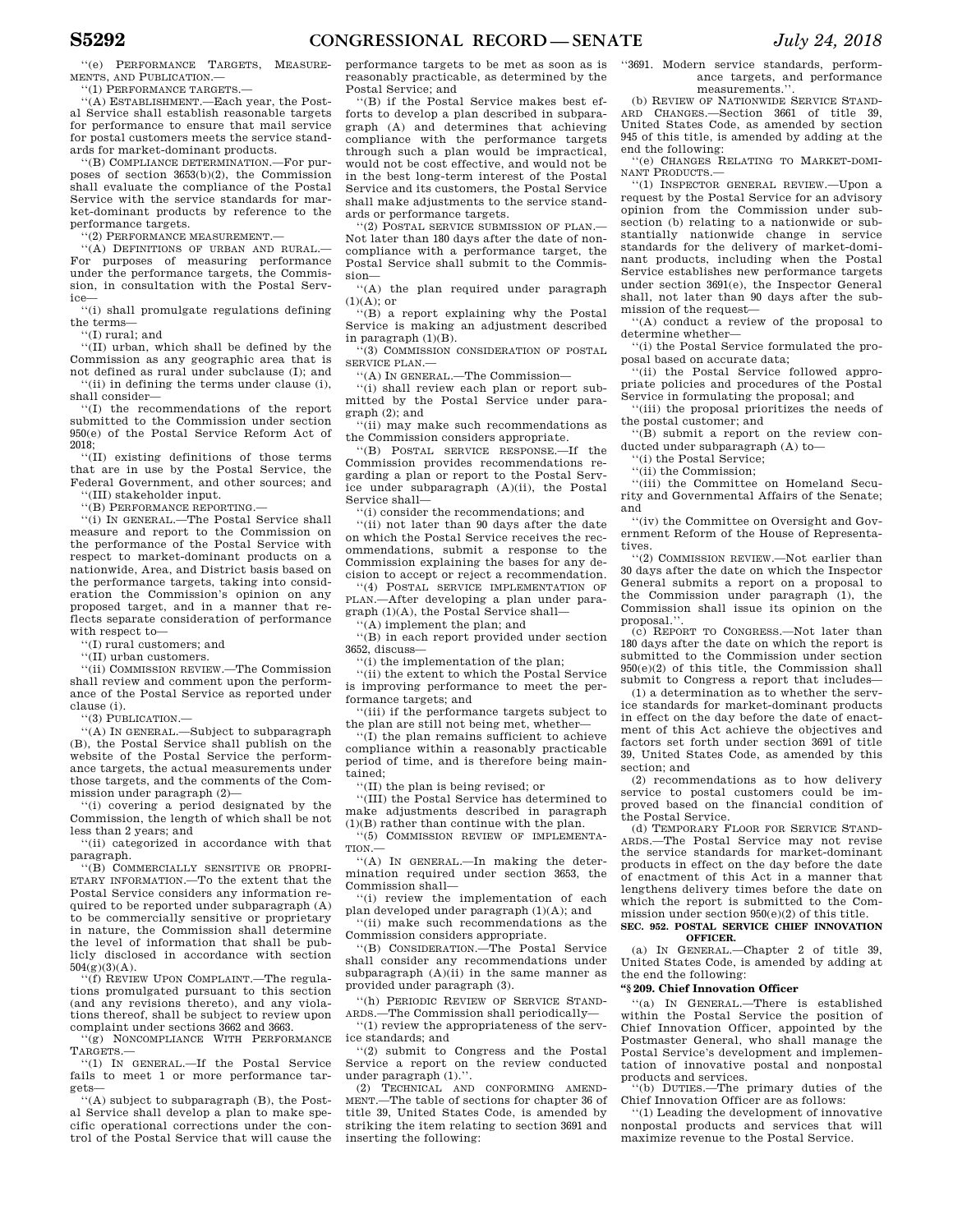''(e) PERFORMANCE TARGETS, MEASURE-MENTS, AND PUBLICATION.—

''(1) PERFORMANCE TARGETS.—

''(A) ESTABLISHMENT.—Each year, the Postal Service shall establish reasonable targets for performance to ensure that mail service for postal customers meets the service standards for market-dominant products.

''(B) COMPLIANCE DETERMINATION.—For purposes of section 3653(b)(2), the Commission shall evaluate the compliance of the Postal Service with the service standards for market-dominant products by reference to the performance targets.

''(2) PERFORMANCE MEASUREMENT.—

''(A) DEFINITIONS OF URBAN AND RURAL.— For purposes of measuring performance under the performance targets, the Commission, in consultation with the Postal Service—

''(i) shall promulgate regulations defining the terms—

''(I) rural; and

''(II) urban, which shall be defined by the Commission as any geographic area that is not defined as rural under subclause (I); and

''(ii) in defining the terms under clause (i), shall consider— ''(I) the recommendations of the report

submitted to the Commission under section 950(e) of the Postal Service Reform Act of 2018;

''(II) existing definitions of those terms that are in use by the Postal Service, the Federal Government, and other sources; and

''(III) stakeholder input.

''(B) PERFORMANCE REPORTING.—

''(i) IN GENERAL.—The Postal Service shall measure and report to the Commission on the performance of the Postal Service with respect to market-dominant products on a nationwide, Area, and District basis based on the performance targets, taking into consideration the Commission's opinion on any proposed target, and in a manner that reflects separate consideration of performance with respect to—

''(I) rural customers; and

''(II) urban customers.

''(ii) COMMISSION REVIEW.—The Commission shall review and comment upon the performance of the Postal Service as reported under clause (i).

''(3) PUBLICATION.—

''(A) IN GENERAL.—Subject to subparagraph (B), the Postal Service shall publish on the website of the Postal Service the performance targets, the actual measurements under those targets, and the comments of the Commission under paragraph (2)—

''(i) covering a period designated by the Commission, the length of which shall be not less than 2 years; and

''(ii) categorized in accordance with that paragraph.

''(B) COMMERCIALLY SENSITIVE OR PROPRI-ETARY INFORMATION.—To the extent that the Postal Service considers any information required to be reported under subparagraph (A) to be commercially sensitive or proprietary in nature, the Commission shall determine the level of information that shall be publicly disclosed in accordance with section  $504(g)(3)(A)$ .

''(f) REVIEW UPON COMPLAINT.—The regulations promulgated pursuant to this section (and any revisions thereto), and any violations thereof, shall be subject to review upon complaint under sections 3662 and 3663. ''(g) NONCOMPLIANCE WITH PERFORMANCE

TARGETS.—

''(1) IN GENERAL.—If the Postal Service fails to meet 1 or more performance targets—

''(A) subject to subparagraph (B), the Postal Service shall develop a plan to make specific operational corrections under the control of the Postal Service that will cause the performance targets to be met as soon as is reasonably practicable, as determined by the Postal Service; and

''(B) if the Postal Service makes best efforts to develop a plan described in subparagraph (A) and determines that achieving compliance with the performance targets through such a plan would be impractical, would not be cost effective, and would not be in the best long-term interest of the Postal Service and its customers, the Postal Service shall make adjustments to the service standards or performance targets.

''(2) POSTAL SERVICE SUBMISSION OF PLAN.— Not later than 180 days after the date of noncompliance with a performance target, the Postal Service shall submit to the Commission—

''(A) the plan required under paragraph  $(1)(A)$ ; or

''(B) a report explaining why the Postal Service is making an adjustment described in paragraph (1)(B).

''(3) COMMISSION CONSIDERATION OF POSTAL SERVICE PLAN.—

''(A) IN GENERAL.—The Commission—

''(i) shall review each plan or report submitted by the Postal Service under paragraph (2); and

''(ii) may make such recommendations as the Commission considers appropriate.

''(B) POSTAL SERVICE RESPONSE.—If the Commission provides recommendations regarding a plan or report to the Postal Service under subparagraph (A)(ii), the Postal Service shall—

''(i) consider the recommendations; and

''(ii) not later than 90 days after the date on which the Postal Service receives the recommendations, submit a response to the Commission explaining the bases for any decision to accept or reject a recommendation.

''(4) POSTAL SERVICE IMPLEMENTATION OF PLAN.—After developing a plan under paragraph (1)(A), the Postal Service shall—

'(A) implement the plan; and

''(B) in each report provided under section 3652, discuss—

''(i) the implementation of the plan;

''(ii) the extent to which the Postal Service is improving performance to meet the performance targets; and

''(iii) if the performance targets subject to the plan are still not being met, whether—

''(I) the plan remains sufficient to achieve compliance within a reasonably practicable period of time, and is therefore being maintained;

''(II) the plan is being revised; or

''(III) the Postal Service has determined to make adjustments described in paragraph (1)(B) rather than continue with the plan.

''(5) COMMISSION REVIEW OF IMPLEMENTA-TION.

''(A) IN GENERAL.—In making the determination required under section 3653, the Commission shall—

''(i) review the implementation of each plan developed under paragraph (1)(A); and

''(ii) make such recommendations as the Commission considers appropriate.

''(B) CONSIDERATION.—The Postal Service shall consider any recommendations under subparagraph  $(A)(ii)$  in the same manner as provided under paragraph (3).

''(h) PERIODIC REVIEW OF SERVICE STAND-ARDS.—The Commission shall periodically— ''(1) review the appropriateness of the serv-

ice standards; and

''(2) submit to Congress and the Postal Service a report on the review conducted under paragraph (1)."

(2) TECHNICAL AND CONFORMING AMEND-MENT.—The table of sections for chapter 36 of title 39, United States Code, is amended by striking the item relating to section 3691 and inserting the following:

''3691. Modern service standards, performance targets, and performance measurements.'

(b) REVIEW OF NATIONWIDE SERVICE STAND-ARD CHANGES.—Section 3661 of title 39, United States Code, as amended by section 945 of this title, is amended by adding at the end the following:

''(e) CHANGES RELATING TO MARKET-DOMI-NANT PRODUCTS.—

''(1) INSPECTOR GENERAL REVIEW.—Upon a request by the Postal Service for an advisory opinion from the Commission under subsection (b) relating to a nationwide or substantially nationwide change in service standards for the delivery of market-dominant products, including when the Postal Service establishes new performance targets under section 3691(e), the Inspector General shall, not later than 90 days after the submission of the request—

''(A) conduct a review of the proposal to determine whether—

''(i) the Postal Service formulated the proposal based on accurate data;

''(ii) the Postal Service followed appropriate policies and procedures of the Postal Service in formulating the proposal; and

''(iii) the proposal prioritizes the needs of the postal customer; and

''(B) submit a report on the review conducted under subparagraph (A) to—

''(i) the Postal Service;

''(ii) the Commission;

''(iii) the Committee on Homeland Security and Governmental Affairs of the Senate; and

''(iv) the Committee on Oversight and Government Reform of the House of Representatives.

''(2) COMMISSION REVIEW.—Not earlier than 30 days after the date on which the Inspector General submits a report on a proposal to the Commission under paragraph (1), the Commission shall issue its opinion on the proposal.''.

(c) REPORT TO CONGRESS.—Not later than 180 days after the date on which the report is submitted to the Commission under section 950(e)(2) of this title, the Commission shall submit to Congress a report that includes—

(1) a determination as to whether the service standards for market-dominant products in effect on the day before the date of enactment of this Act achieve the objectives and factors set forth under section 3691 of title 39, United States Code, as amended by this section; and

(2) recommendations as to how delivery service to postal customers could be improved based on the financial condition of the Postal Service.

(d) TEMPORARY FLOOR FOR SERVICE STAND-ARDS.—The Postal Service may not revise the service standards for market-dominant products in effect on the day before the date of enactment of this Act in a manner that lengthens delivery times before the date on which the report is submitted to the Commission under section 950(e)(2) of this title.

#### **SEC. 952. POSTAL SERVICE CHIEF INNOVATION OFFICER.**

(a) IN GENERAL.—Chapter 2 of title 39, United States Code, is amended by adding at the end the following:

# **''§ 209. Chief Innovation Officer**

''(a) IN GENERAL.—There is established within the Postal Service the position of Chief Innovation Officer, appointed by the Postmaster General, who shall manage the Postal Service's development and implementation of innovative postal and nonpostal products and services.

(b) DUTIES.—The primary duties of the Chief Innovation Officer are as follows:

''(1) Leading the development of innovative nonpostal products and services that will maximize revenue to the Postal Service.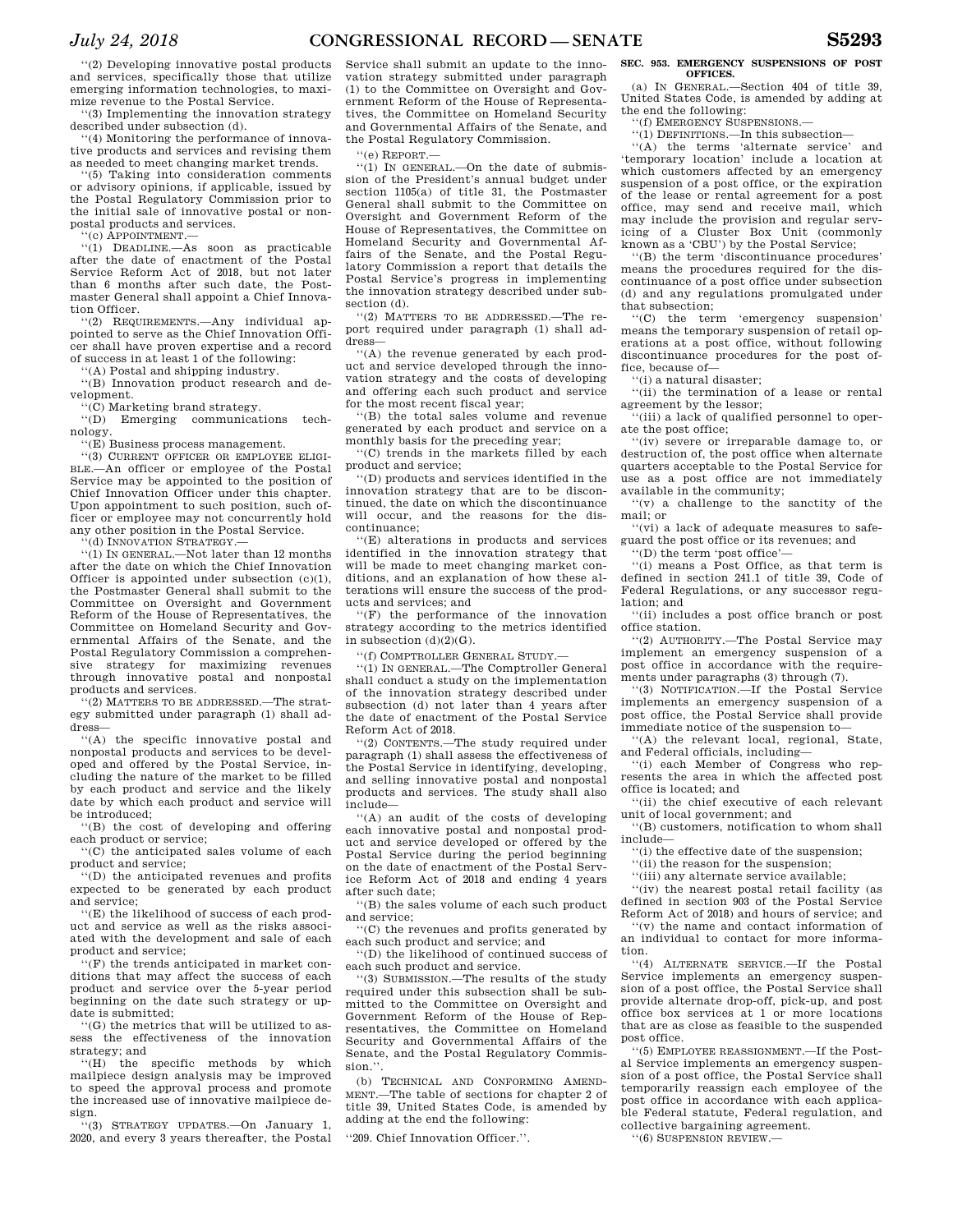''(2) Developing innovative postal products and services, specifically those that utilize emerging information technologies, to maximize revenue to the Postal Service.

''(3) Implementing the innovation strategy described under subsection (d).

''(4) Monitoring the performance of innovative products and services and revising them as needed to meet changing market trends.

''(5) Taking into consideration comments or advisory opinions, if applicable, issued by the Postal Regulatory Commission prior to the initial sale of innovative postal or nonpostal products and services.

'(c) APPOINTMENT.-

''(1) DEADLINE.—As soon as practicable after the date of enactment of the Postal Service Reform Act of 2018, but not later than 6 months after such date, the Postmaster General shall appoint a Chief Innovation Officer.

''(2) REQUIREMENTS.—Any individual appointed to serve as the Chief Innovation Officer shall have proven expertise and a record of success in at least 1 of the following:

'(A) Postal and shipping industry.

''(B) Innovation product research and development.

"(C) Marketing brand strategy.<br>"(D) Emerging communicat Emerging communications technology.

''(E) Business process management.

''(3) CURRENT OFFICER OR EMPLOYEE ELIGI-BLE.—An officer or employee of the Postal Service may be appointed to the position of Chief Innovation Officer under this chapter. Upon appointment to such position, such officer or employee may not concurrently hold any other position in the Postal Service.

(d) INNOVATION STRATEGY.-

''(1) IN GENERAL.—Not later than 12 months after the date on which the Chief Innovation Officer is appointed under subsection (c)(1), the Postmaster General shall submit to the Committee on Oversight and Government Reform of the House of Representatives, the Committee on Homeland Security and Governmental Affairs of the Senate, and the Postal Regulatory Commission a comprehensive strategy for maximizing revenues through innovative postal and nonpostal products and services.

''(2) MATTERS TO BE ADDRESSED.—The strategy submitted under paragraph (1) shall address—

''(A) the specific innovative postal and nonpostal products and services to be developed and offered by the Postal Service, including the nature of the market to be filled by each product and service and the likely date by which each product and service will be introduced;

''(B) the cost of developing and offering each product or service;

''(C) the anticipated sales volume of each product and service;

''(D) the anticipated revenues and profits expected to be generated by each product and service;

''(E) the likelihood of success of each product and service as well as the risks associated with the development and sale of each product and service;

''(F) the trends anticipated in market conditions that may affect the success of each product and service over the 5-year period beginning on the date such strategy or update is submitted;

''(G) the metrics that will be utilized to assess the effectiveness of the innovation strategy; and

''(H) the specific methods by which mailpiece design analysis may be improved to speed the approval process and promote the increased use of innovative mailpiece design.

''(3) STRATEGY UPDATES.—On January 1, 2020, and every 3 years thereafter, the Postal

Service shall submit an update to the innovation strategy submitted under paragraph (1) to the Committee on Oversight and Government Reform of the House of Representatives, the Committee on Homeland Security and Governmental Affairs of the Senate, and the Postal Regulatory Commission.

''(e) REPORT.—

''(1) IN GENERAL.—On the date of submission of the President's annual budget under section 1105(a) of title 31, the Postmaster General shall submit to the Committee on Oversight and Government Reform of the House of Representatives, the Committee on Homeland Security and Governmental Affairs of the Senate, and the Postal Regulatory Commission a report that details the Postal Service's progress in implementing the innovation strategy described under subsection (d).

''(2) MATTERS TO BE ADDRESSED.—The report required under paragraph (1) shall address—

''(A) the revenue generated by each product and service developed through the innovation strategy and the costs of developing and offering each such product and service for the most recent fiscal year;

''(B) the total sales volume and revenue generated by each product and service on a monthly basis for the preceding year;

''(C) trends in the markets filled by each product and service;

''(D) products and services identified in the innovation strategy that are to be discontinued, the date on which the discontinuance will occur, and the reasons for the discontinuance;

''(E) alterations in products and services identified in the innovation strategy that will be made to meet changing market conditions, and an explanation of how these alterations will ensure the success of the products and services; and

''(F) the performance of the innovation strategy according to the metrics identified in subsection  $(d)(2)(G)$ .

''(f) COMPTROLLER GENERAL STUDY.—

''(1) IN GENERAL.—The Comptroller General shall conduct a study on the implementation of the innovation strategy described under subsection (d) not later than 4 years after the date of enactment of the Postal Service Reform Act of 2018.

''(2) CONTENTS.—The study required under paragraph (1) shall assess the effectiveness of the Postal Service in identifying, developing, and selling innovative postal and nonpostal products and services. The study shall also include—

''(A) an audit of the costs of developing each innovative postal and nonpostal product and service developed or offered by the Postal Service during the period beginning on the date of enactment of the Postal Service Reform Act of 2018 and ending 4 years after such date;

''(B) the sales volume of each such product and service;

''(C) the revenues and profits generated by each such product and service; and

''(D) the likelihood of continued success of each such product and service.

''(3) SUBMISSION.—The results of the study required under this subsection shall be submitted to the Committee on Oversight and Government Reform of the House of Representatives, the Committee on Homeland Security and Governmental Affairs of the Senate, and the Postal Regulatory Commis $sion$ .

(b) TECHNICAL AND CONFORMING AMEND-MENT.—The table of sections for chapter 2 of title 39, United States Code, is amended by adding at the end the following:

''209. Chief Innovation Officer.''.

#### **SEC. 953. EMERGENCY SUSPENSIONS OF POST OFFICES.**

(a) IN GENERAL.—Section 404 of title 39, United States Code, is amended by adding at the end the following:

''(f) EMERGENCY SUSPENSIONS.— ''(1) DEFINITIONS.—In this subsection—

''(A) the terms 'alternate service' and 'temporary location' include a location at which customers affected by an emergency suspension of a post office, or the expiration of the lease or rental agreement for a post office, may send and receive mail, which may include the provision and regular servicing of a Cluster Box Unit (commonly known as a 'CBU') by the Postal Service;

''(B) the term 'discontinuance procedures' means the procedures required for the discontinuance of a post office under subsection (d) and any regulations promulgated under that subsection;

''(C) the term 'emergency suspension' means the temporary suspension of retail operations at a post office, without following discontinuance procedures for the post office, because of—

''(i) a natural disaster;

''(ii) the termination of a lease or rental agreement by the lessor;

''(iii) a lack of qualified personnel to operate the post office;

''(iv) severe or irreparable damage to, or destruction of, the post office when alternate quarters acceptable to the Postal Service for use as a post office are not immediately available in the community;

''(v) a challenge to the sanctity of the mail; or

''(vi) a lack of adequate measures to safeguard the post office or its revenues; and

''(D) the term 'post office'—

''(i) means a Post Office, as that term is defined in section 241.1 of title 39, Code of Federal Regulations, or any successor regulation; and

''(ii) includes a post office branch or post office station.

''(2) AUTHORITY.—The Postal Service may implement an emergency suspension of a post office in accordance with the requirements under paragraphs (3) through (7).

''(3) NOTIFICATION.—If the Postal Service implements an emergency suspension of a post office, the Postal Service shall provide immediate notice of the suspension to—

'(A) the relevant local, regional, State, and Federal officials, including—

''(i) each Member of Congress who represents the area in which the affected post office is located; and

''(ii) the chief executive of each relevant unit of local government; and

''(B) customers, notification to whom shall include—

''(i) the effective date of the suspension;

''(ii) the reason for the suspension;

''(iii) any alternate service available;

''(iv) the nearest postal retail facility (as defined in section 903 of the Postal Service Reform Act of 2018) and hours of service; and

''(v) the name and contact information of an individual to contact for more information.

''(4) ALTERNATE SERVICE.—If the Postal Service implements an emergency suspension of a post office, the Postal Service shall provide alternate drop-off, pick-up, and post office box services at 1 or more locations that are as close as feasible to the suspended post office.

''(5) EMPLOYEE REASSIGNMENT.—If the Postal Service implements an emergency suspension of a post office, the Postal Service shall temporarily reassign each employee of the post office in accordance with each applicable Federal statute, Federal regulation, and collective bargaining agreement.

''(6) SUSPENSION REVIEW.—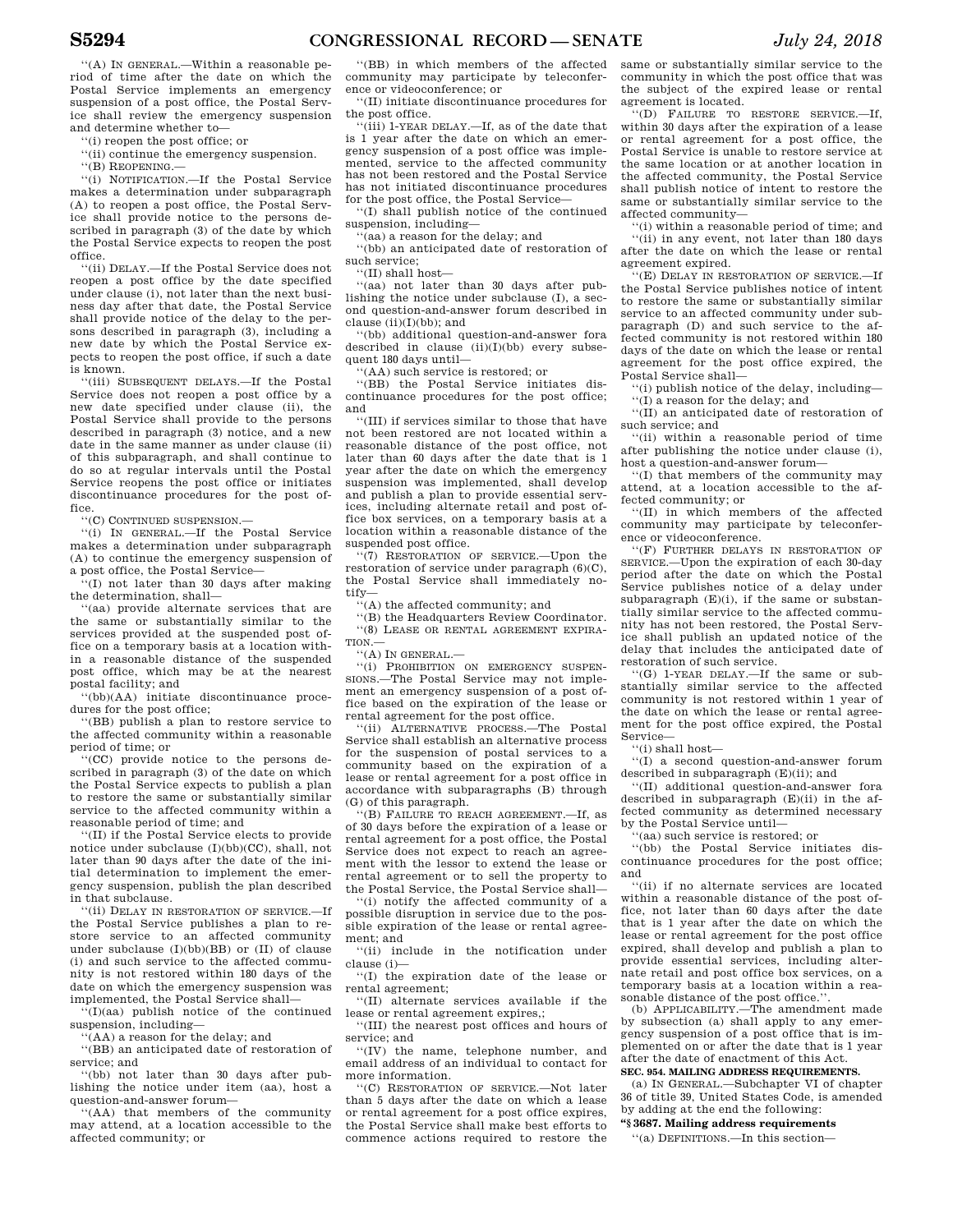''(A) IN GENERAL.—Within a reasonable period of time after the date on which the Postal Service implements an emergency suspension of a post office, the Postal Service shall review the emergency suspension and determine whether to—

''(i) reopen the post office; or

''(ii) continue the emergency suspension.

''(B) REOPENING.—

''(i) NOTIFICATION.—If the Postal Service makes a determination under subparagraph (A) to reopen a post office, the Postal Service shall provide notice to the persons described in paragraph (3) of the date by which the Postal Service expects to reopen the post office.

''(ii) DELAY.—If the Postal Service does not reopen a post office by the date specified under clause (i), not later than the next business day after that date, the Postal Service shall provide notice of the delay to the persons described in paragraph (3), including a new date by which the Postal Service expects to reopen the post office, if such a date is known.

''(iii) SUBSEQUENT DELAYS.—If the Postal Service does not reopen a post office by a new date specified under clause (ii), the Postal Service shall provide to the persons described in paragraph (3) notice, and a new date in the same manner as under clause (ii) of this subparagraph, and shall continue to do so at regular intervals until the Postal Service reopens the post office or initiates discontinuance procedures for the post office.

''(C) CONTINUED SUSPENSION.—

''(i) IN GENERAL.—If the Postal Service makes a determination under subparagraph (A) to continue the emergency suspension of a post office, the Postal Service—

''(I) not later than 30 days after making the determination, shall—

'(aa) provide alternate services that are the same or substantially similar to the services provided at the suspended post office on a temporary basis at a location within a reasonable distance of the suspended post office, which may be at the nearest postal facility; and

''(bb)(AA) initiate discontinuance procedures for the post office;

''(BB) publish a plan to restore service to the affected community within a reasonable period of time; or

''(CC) provide notice to the persons described in paragraph (3) of the date on which the Postal Service expects to publish a plan to restore the same or substantially similar service to the affected community within a reasonable period of time; and

''(II) if the Postal Service elects to provide notice under subclause (I)(bb)(CC), shall, not later than 90 days after the date of the initial determination to implement the emergency suspension, publish the plan described in that subclause.

''(ii) DELAY IN RESTORATION OF SERVICE.—If the Postal Service publishes a plan to restore service to an affected community under subclause (I)(bb)(BB) or (II) of clause (i) and such service to the affected community is not restored within 180 days of the date on which the emergency suspension was implemented, the Postal Service shall—

''(I)(aa) publish notice of the continued suspension, including-

''(AA) a reason for the delay; and

''(BB) an anticipated date of restoration of service; and

''(bb) not later than 30 days after publishing the notice under item (aa), host a question-and-answer forum—

''(AA) that members of the community may attend, at a location accessible to the affected community; or

''(BB) in which members of the affected community may participate by teleconference or videoconference; or

''(II) initiate discontinuance procedures for the post office.

''(iii) 1-YEAR DELAY.—If, as of the date that is 1 year after the date on which an emergency suspension of a post office was implemented, service to the affected community has not been restored and the Postal Service has not initiated discontinuance procedures for the post office, the Postal Service—

''(I) shall publish notice of the continued suspension, including—

''(aa) a reason for the delay; and

''(bb) an anticipated date of restoration of such service;

''(II) shall host—

''(aa) not later than 30 days after publishing the notice under subclause (I), a second question-and-answer forum described in clause (ii)(I)(bb); and

''(bb) additional question-and-answer fora described in clause (ii)(I)(bb) every subsequent 180 days until—

''(AA) such service is restored; or

''(BB) the Postal Service initiates discontinuance procedures for the post office; and

''(III) if services similar to those that have not been restored are not located within a reasonable distance of the post office, not later than 60 days after the date that is 1 year after the date on which the emergency suspension was implemented, shall develop and publish a plan to provide essential services, including alternate retail and post office box services, on a temporary basis at a location within a reasonable distance of the suspended post office.

''(7) RESTORATION OF SERVICE.—Upon the restoration of service under paragraph (6)(C), the Postal Service shall immediately notify—

 $\dddot{H}$ (A) the affected community; and

''(B) the Headquarters Review Coordinator. ''(8) LEASE OR RENTAL AGREEMENT EXPIRA-TION.—

''(A) IN GENERAL.—

''(i) PROHIBITION ON EMERGENCY SUSPEN-SIONS.—The Postal Service may not implement an emergency suspension of a post office based on the expiration of the lease or rental agreement for the post office.

''(ii) ALTERNATIVE PROCESS.—The Postal Service shall establish an alternative process for the suspension of postal services to a community based on the expiration of a lease or rental agreement for a post office in accordance with subparagraphs (B) through (G) of this paragraph.

''(B) FAILURE TO REACH AGREEMENT.—If, as of 30 days before the expiration of a lease or rental agreement for a post office, the Postal Service does not expect to reach an agreement with the lessor to extend the lease or rental agreement or to sell the property to the Postal Service, the Postal Service shall—

''(i) notify the affected community of a possible disruption in service due to the possible expiration of the lease or rental agreement; and

''(ii) include in the notification under clause (i)—

''(I) the expiration date of the lease or rental agreement;

''(II) alternate services available if the lease or rental agreement expires,;

''(III) the nearest post offices and hours of service; and

''(IV) the name, telephone number, and email address of an individual to contact for more information.

''(C) RESTORATION OF SERVICE.—Not later than 5 days after the date on which a lease or rental agreement for a post office expires, the Postal Service shall make best efforts to commence actions required to restore the

same or substantially similar service to the community in which the post office that was the subject of the expired lease or rental agreement is located.

''(D) FAILURE TO RESTORE SERVICE.—If, within 30 days after the expiration of a lease or rental agreement for a post office, the Postal Service is unable to restore service at the same location or at another location in the affected community, the Postal Service shall publish notice of intent to restore the same or substantially similar service to the affected community—

''(i) within a reasonable period of time; and ''(ii) in any event, not later than 180 days after the date on which the lease or rental agreement expired.

''(E) DELAY IN RESTORATION OF SERVICE.—If the Postal Service publishes notice of intent to restore the same or substantially similar service to an affected community under subparagraph (D) and such service to the affected community is not restored within 180 days of the date on which the lease or rental agreement for the post office expired, the Postal Service shall—

''(i) publish notice of the delay, including— ''(I) a reason for the delay; and

''(II) an anticipated date of restoration of such service; and

''(ii) within a reasonable period of time after publishing the notice under clause (i), host a question-and-answer forum—

''(I) that members of the community may attend, at a location accessible to the affected community; or

''(II) in which members of the affected community may participate by teleconference or videoconference.

''(F) FURTHER DELAYS IN RESTORATION OF SERVICE.—Upon the expiration of each 30-day period after the date on which the Postal Service publishes notice of a delay under subparagraph  $(E)(i)$ , if the same or substantially similar service to the affected community has not been restored, the Postal Service shall publish an updated notice of the delay that includes the anticipated date of restoration of such service.

''(G) 1-YEAR DELAY.—If the same or substantially similar service to the affected community is not restored within 1 year of the date on which the lease or rental agreement for the post office expired, the Postal Service—

''(i) shall host—

''(I) a second question-and-answer forum described in subparagraph (E)(ii); and

''(II) additional question-and-answer fora described in subparagraph (E)(ii) in the affected community as determined necessary by the Postal Service until—

''(aa) such service is restored; or

''(bb) the Postal Service initiates discontinuance procedures for the post office; and

''(ii) if no alternate services are located within a reasonable distance of the post office, not later than 60 days after the date that is 1 year after the date on which the lease or rental agreement for the post office expired, shall develop and publish a plan to provide essential services, including alternate retail and post office box services, on a temporary basis at a location within a reasonable distance of the post office."

(b) APPLICABILITY.—The amendment made by subsection (a) shall apply to any emergency suspension of a post office that is implemented on or after the date that is 1 year after the date of enactment of this Act.

**SEC. 954. MAILING ADDRESS REQUIREMENTS.** 

(a) IN GENERAL.—Subchapter VI of chapter 36 of title 39, United States Code, is amended by adding at the end the following:

**''§ 3687. Mailing address requirements** 

''(a) DEFINITIONS.—In this section—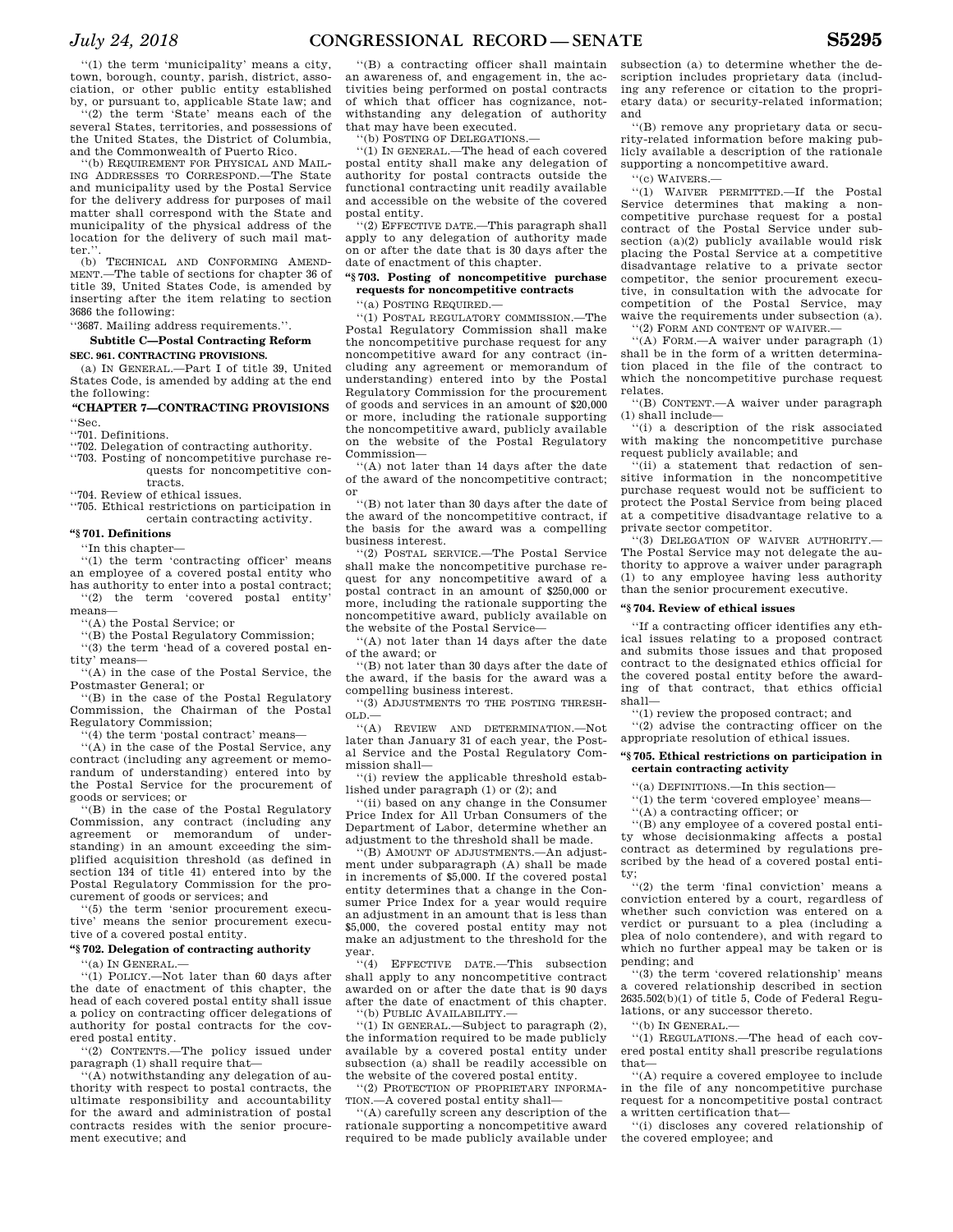''(1) the term 'municipality' means a city, town, borough, county, parish, district, association, or other public entity established by, or pursuant to, applicable State law; and

(2) the term 'State' means each of the several States, territories, and possessions of the United States, the District of Columbia, and the Commonwealth of Puerto Rico.

''(b) REQUIREMENT FOR PHYSICAL AND MAIL-ING ADDRESSES TO CORRESPOND.—The State and municipality used by the Postal Service for the delivery address for purposes of mail matter shall correspond with the State and municipality of the physical address of the location for the delivery of such mail matter.''.

(b) TECHNICAL AND CONFORMING AMEND-MENT.—The table of sections for chapter 36 of title 39, United States Code, is amended by inserting after the item relating to section 3686 the following:

''3687. Mailing address requirements.''.

# **Subtitle C—Postal Contracting Reform SEC. 961. CONTRACTING PROVISIONS.**

(a) IN GENERAL.—Part I of title 39, United States Code, is amended by adding at the end the following:

# **''CHAPTER 7—CONTRACTING PROVISIONS**  ''Sec.

''701. Definitions.

''702. Delegation of contracting authority.

''703. Posting of noncompetitive purchase requests for noncompetitive contracts.

''704. Review of ethical issues.

''705. Ethical restrictions on participation in certain contracting activity.

#### **''§ 701. Definitions**

''In this chapter—

''(1) the term 'contracting officer' means an employee of a covered postal entity who has authority to enter into a postal contract; ''(2) the term 'covered postal entity'

means—

''(A) the Postal Service; or

''(B) the Postal Regulatory Commission; ''(3) the term 'head of a covered postal entity' means—

''(A) in the case of the Postal Service, the Postmaster General; or

''(B) in the case of the Postal Regulatory Commission, the Chairman of the Postal Regulatory Commission;

(4) the term 'postal contract' means-

''(A) in the case of the Postal Service, any contract (including any agreement or memorandum of understanding) entered into by the Postal Service for the procurement of goods or services; or

'(B) in the case of the Postal Regulatory Commission, any contract (including any agreement or memorandum of understanding) in an amount exceeding the simplified acquisition threshold (as defined in section 134 of title 41) entered into by the Postal Regulatory Commission for the procurement of goods or services; and

''(5) the term 'senior procurement executive' means the senior procurement executive of a covered postal entity.

### **''§ 702. Delegation of contracting authority**   $(9)$  In GENERAL.

''(1) POLICY.—Not later than 60 days after the date of enactment of this chapter, the head of each covered postal entity shall issue a policy on contracting officer delegations of authority for postal contracts for the covered postal entity.

''(2) CONTENTS.—The policy issued under paragraph (1) shall require that—

''(A) notwithstanding any delegation of authority with respect to postal contracts, the ultimate responsibility and accountability for the award and administration of postal contracts resides with the senior procurement executive; and

''(B) a contracting officer shall maintain an awareness of, and engagement in, the activities being performed on postal contracts of which that officer has cognizance, notwithstanding any delegation of authority that may have been executed.

''(b) POSTING OF DELEGATIONS.—

''(1) IN GENERAL.—The head of each covered postal entity shall make any delegation of authority for postal contracts outside the functional contracting unit readily available and accessible on the website of the covered postal entity.

''(2) EFFECTIVE DATE.—This paragraph shall apply to any delegation of authority made on or after the date that is 30 days after the date of enactment of this chapter.

# **''§ 703. Posting of noncompetitive purchase requests for noncompetitive contracts**

'(a) POSTING REQUIRED.-

''(1) POSTAL REGULATORY COMMISSION.—The Postal Regulatory Commission shall make the noncompetitive purchase request for any noncompetitive award for any contract (including any agreement or memorandum of understanding) entered into by the Postal Regulatory Commission for the procurement of goods and services in an amount of \$20,000 or more, including the rationale supporting the noncompetitive award, publicly available on the website of the Postal Regulatory Commission—

''(A) not later than 14 days after the date of the award of the noncompetitive contract; or

''(B) not later than 30 days after the date of the award of the noncompetitive contract, if the basis for the award was a compelling business interest.

''(2) POSTAL SERVICE.—The Postal Service shall make the noncompetitive purchase request for any noncompetitive award of a postal contract in an amount of \$250,000 or more, including the rationale supporting the noncompetitive award, publicly available on the website of the Postal Service—

''(A) not later than 14 days after the date of the award; or

''(B) not later than 30 days after the date of the award, if the basis for the award was a compelling business interest.

''(3) ADJUSTMENTS TO THE POSTING THRESH-OLD.—

''(A) REVIEW AND DETERMINATION.—Not later than January 31 of each year, the Postal Service and the Postal Regulatory Commission shall—

''(i) review the applicable threshold established under paragraph (1) or (2); and

''(ii) based on any change in the Consumer Price Index for All Urban Consumers of the Department of Labor, determine whether an adjustment to the threshold shall be made.

''(B) AMOUNT OF ADJUSTMENTS.—An adjustment under subparagraph (A) shall be made in increments of \$5,000. If the covered postal entity determines that a change in the Consumer Price Index for a year would require an adjustment in an amount that is less than \$5,000, the covered postal entity may not make an adjustment to the threshold for the year.

''(4) EFFECTIVE DATE.—This subsection shall apply to any noncompetitive contract awarded on or after the date that is 90 days after the date of enactment of this chapter. ''(b) PUBLIC AVAILABILITY.—

''(1) IN GENERAL.—Subject to paragraph (2), the information required to be made publicly available by a covered postal entity under subsection (a) shall be readily accessible on the website of the covered postal entity.

''(2) PROTECTION OF PROPRIETARY INFORMA-TION.—A covered postal entity shall—

''(A) carefully screen any description of the rationale supporting a noncompetitive award required to be made publicly available under

subsection (a) to determine whether the description includes proprietary data (including any reference or citation to the proprietary data) or security-related information; and

''(B) remove any proprietary data or security-related information before making publicly available a description of the rationale supporting a noncompetitive award.

''(c) WAIVERS.—

''(1) WAIVER PERMITTED.—If the Postal Service determines that making a noncompetitive purchase request for a postal contract of the Postal Service under subsection (a)(2) publicly available would risk placing the Postal Service at a competitive disadvantage relative to a private sector competitor, the senior procurement executive, in consultation with the advocate for competition of the Postal Service, may waive the requirements under subsection (a).

''(2) FORM AND CONTENT OF WAIVER.—

''(A) FORM.—A waiver under paragraph (1) shall be in the form of a written determination placed in the file of the contract to which the noncompetitive purchase request relates.

''(B) CONTENT.—A waiver under paragraph (1) shall include—

'(i) a description of the risk associated with making the noncompetitive purchase request publicly available; and

''(ii) a statement that redaction of sensitive information in the noncompetitive purchase request would not be sufficient to protect the Postal Service from being placed at a competitive disadvantage relative to a private sector competitor.

''(3) DELEGATION OF WAIVER AUTHORITY.— The Postal Service may not delegate the authority to approve a waiver under paragraph (1) to any employee having less authority than the senior procurement executive.

# **''§ 704. Review of ethical issues**

''If a contracting officer identifies any ethical issues relating to a proposed contract and submits those issues and that proposed contract to the designated ethics official for the covered postal entity before the awarding of that contract, that ethics official shall—

''(1) review the proposed contract; and

''(2) advise the contracting officer on the appropriate resolution of ethical issues.

### **''§ 705. Ethical restrictions on participation in certain contracting activity**

''(a) DEFINITIONS.—In this section—

''(1) the term 'covered employee' means—

''(A) a contracting officer; or

''(B) any employee of a covered postal entity whose decisionmaking affects a postal contract as determined by regulations prescribed by the head of a covered postal entity;

''(2) the term 'final conviction' means a conviction entered by a court, regardless of whether such conviction was entered on a verdict or pursuant to a plea (including a plea of nolo contendere), and with regard to which no further appeal may be taken or is pending; and

''(3) the term 'covered relationship' means a covered relationship described in section  $2635.502(b)(1)$  of title 5, Code of Federal Regulations, or any successor thereto.

''(b) IN GENERAL.—

''(1) REGULATIONS.—The head of each covered postal entity shall prescribe regulations that—

''(A) require a covered employee to include in the file of any noncompetitive purchase request for a noncompetitive postal contract a written certification that—

''(i) discloses any covered relationship of the covered employee; and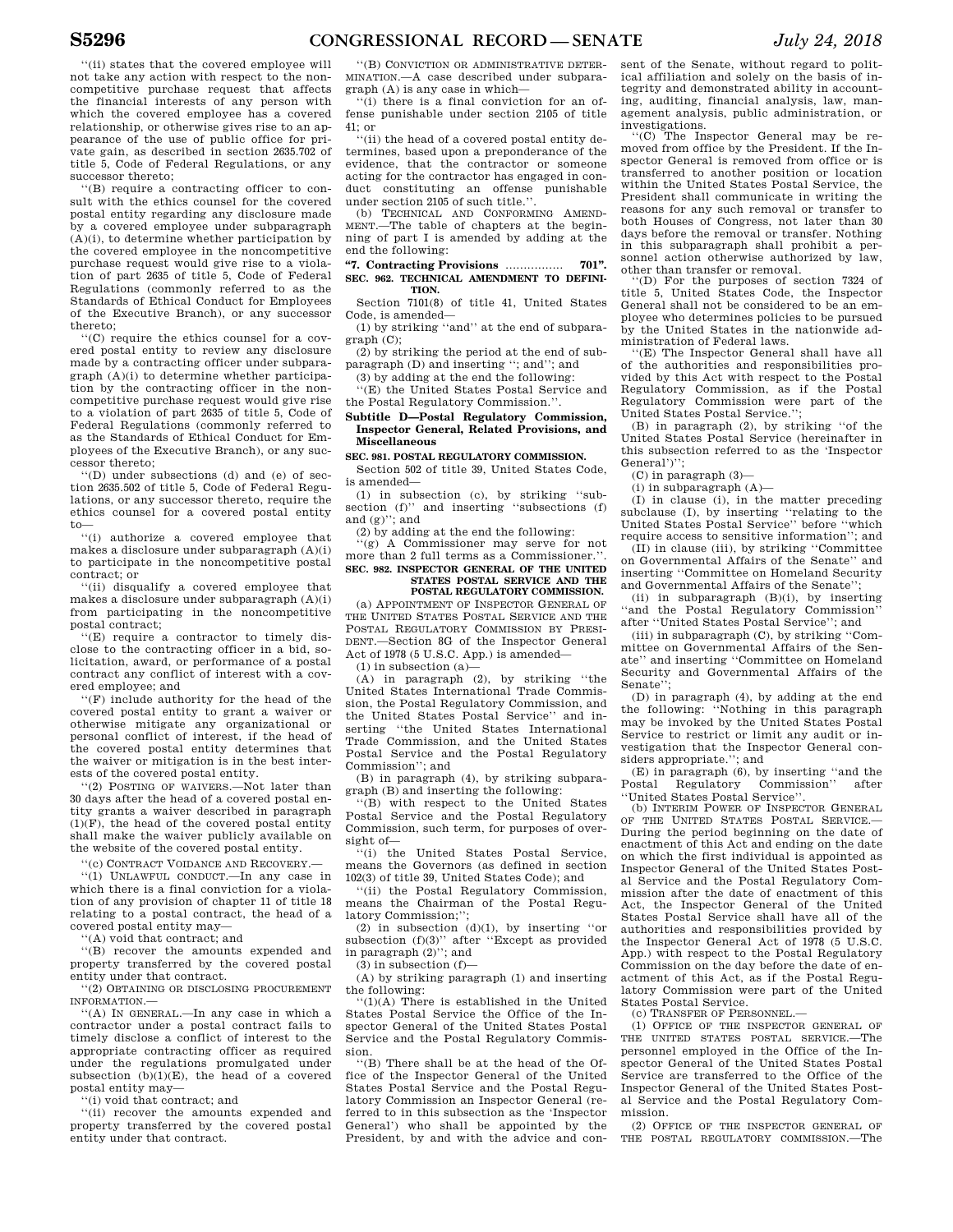''(ii) states that the covered employee will not take any action with respect to the noncompetitive purchase request that affects the financial interests of any person with which the covered employee has a covered relationship, or otherwise gives rise to an appearance of the use of public office for private gain, as described in section 2635.702 of title 5, Code of Federal Regulations, or any successor thereto;

''(B) require a contracting officer to consult with the ethics counsel for the covered postal entity regarding any disclosure made by a covered employee under subparagraph  $(A)(i)$ , to determine whether participation by the covered employee in the noncompetitive purchase request would give rise to a violation of part 2635 of title 5, Code of Federal Regulations (commonly referred to as the Standards of Ethical Conduct for Employees of the Executive Branch), or any successor thereto;

''(C) require the ethics counsel for a covered postal entity to review any disclosure made by a contracting officer under subparagraph (A)(i) to determine whether participation by the contracting officer in the noncompetitive purchase request would give rise to a violation of part 2635 of title 5, Code of Federal Regulations (commonly referred to as the Standards of Ethical Conduct for Employees of the Executive Branch), or any successor thereto;

''(D) under subsections (d) and (e) of section 2635.502 of title 5, Code of Federal Regulations, or any successor thereto, require the ethics counsel for a covered postal entity to—

''(i) authorize a covered employee that makes a disclosure under subparagraph (A)(i) to participate in the noncompetitive postal contract; or

''(ii) disqualify a covered employee that makes a disclosure under subparagraph (A)(i) from participating in the noncompetitive postal contract;

''(E) require a contractor to timely disclose to the contracting officer in a bid, solicitation, award, or performance of a postal contract any conflict of interest with a covered employee; and

''(F) include authority for the head of the covered postal entity to grant a waiver or otherwise mitigate any organizational or personal conflict of interest, if the head of the covered postal entity determines that the waiver or mitigation is in the best interests of the covered postal entity.

''(2) POSTING OF WAIVERS.—Not later than 30 days after the head of a covered postal entity grants a waiver described in paragraph  $(1)(F)$ , the head of the covered postal entity shall make the waiver publicly available on the website of the covered postal entity.

'(c) CONTRACT VOIDANCE AND RECOVERY.—

''(1) UNLAWFUL CONDUCT.—In any case in which there is a final conviction for a violation of any provision of chapter 11 of title 18 relating to a postal contract, the head of a covered postal entity may—

''(A) void that contract; and

''(B) recover the amounts expended and property transferred by the covered postal entity under that contract.

''(2) OBTAINING OR DISCLOSING PROCUREMENT INFORMATION.—

''(A) IN GENERAL.—In any case in which a contractor under a postal contract fails to timely disclose a conflict of interest to the appropriate contracting officer as required under the regulations promulgated under subsection  $(b)(1)(E)$ , the head of a covered postal entity may—

''(i) void that contract; and

''(ii) recover the amounts expended and property transferred by the covered postal entity under that contract.

''(B) CONVICTION OR ADMINISTRATIVE DETER-MINATION.—A case described under subparagraph (A) is any case in which—

''(i) there is a final conviction for an offense punishable under section 2105 of title 41; or

''(ii) the head of a covered postal entity determines, based upon a preponderance of the evidence, that the contractor or someone acting for the contractor has engaged in conduct constituting an offense punishable under section 2105 of such title."

(b) TECHNICAL AND CONFORMING AMEND-MENT.—The table of chapters at the beginning of part I is amended by adding at the end the following:

#### **''7. Contracting Provisions** ................ **701''. SEC. 962. TECHNICAL AMENDMENT TO DEFINI-TION.**

Section 7101(8) of title 41, United States Code, is amended—

(1) by striking ''and'' at the end of subparagraph (C);

(2) by striking the period at the end of subparagraph (D) and inserting ''; and''; and (3) by adding at the end the following:

''(E) the United States Postal Service and the Postal Regulatory Commission.''.

### **Subtitle D—Postal Regulatory Commission, Inspector General, Related Provisions, and Miscellaneous**

# **SEC. 981. POSTAL REGULATORY COMMISSION.**

Section 502 of title 39, United States Code, is amended—

(1) in subsection (c), by striking ''subsection (f)" and inserting "subsections (f) and  $(g)'$ ; and

(2) by adding at the end the following:

'(g) A Commissioner may serve for not more than 2 full terms as a Commissioner.''. **SEC. 982. INSPECTOR GENERAL OF THE UNITED STATES POSTAL SERVICE AND THE** 

# **POSTAL REGULATORY COMMISSION.**

(a) APPOINTMENT OF INSPECTOR GENERAL OF THE UNITED STATES POSTAL SERVICE AND THE POSTAL REGULATORY COMMISSION BY PRESI-DENT.—Section 8G of the Inspector General Act of 1978 (5 U.S.C. App.) is amended—

(1) in subsection (a)—

 $(A)$  in paragraph  $(2)$ , by striking "the United States International Trade Commission, the Postal Regulatory Commission, and the United States Postal Service'' and inserting ''the United States International Trade Commission, and the United States Postal Service and the Postal Regulatory Commission''; and

(B) in paragraph (4), by striking subparagraph (B) and inserting the following:

''(B) with respect to the United States Postal Service and the Postal Regulatory Commission, such term, for purposes of oversight of—

''(i) the United States Postal Service, means the Governors (as defined in section 102(3) of title 39, United States Code); and

''(ii) the Postal Regulatory Commission, means the Chairman of the Postal Regulatory Commission;'';

(2) in subsection (d)(1), by inserting ''or subsection (f)(3)'' after ''Except as provided in paragraph  $(2)$ "; and

 $(3)$  in subsection  $(f)$ —

(A) by striking paragraph (1) and inserting the following:

''(1)(A) There is established in the United States Postal Service the Office of the Inspector General of the United States Postal Service and the Postal Regulatory Commission.

''(B) There shall be at the head of the Office of the Inspector General of the United States Postal Service and the Postal Regulatory Commission an Inspector General (referred to in this subsection as the 'Inspector General') who shall be appointed by the President, by and with the advice and con-

sent of the Senate, without regard to political affiliation and solely on the basis of integrity and demonstrated ability in accounting, auditing, financial analysis, law, management analysis, public administration, or

investigations. ''(C) The Inspector General may be removed from office by the President. If the Inspector General is removed from office or is transferred to another position or location within the United States Postal Service, the President shall communicate in writing the reasons for any such removal or transfer to both Houses of Congress, not later than 30 days before the removal or transfer. Nothing in this subparagraph shall prohibit a personnel action otherwise authorized by law, other than transfer or removal.

''(D) For the purposes of section 7324 of title 5, United States Code, the Inspector General shall not be considered to be an employee who determines policies to be pursued by the United States in the nationwide administration of Federal laws.

''(E) The Inspector General shall have all of the authorities and responsibilities provided by this Act with respect to the Postal Regulatory Commission, as if the Postal Regulatory Commission were part of the United States Postal Service.'';

(B) in paragraph (2), by striking ''of the United States Postal Service (hereinafter in this subsection referred to as the 'Inspector General')'';

 $(C)$  in paragraph  $(3)$ -

(i) in subparagraph (A)—

(I) in clause (i), in the matter preceding subclause (I), by inserting ''relating to the United States Postal Service'' before ''which require access to sensitive information''; and

(II) in clause (iii), by striking ''Committee on Governmental Affairs of the Senate'' and inserting ''Committee on Homeland Security and Governmental Affairs of the Senate'';

(ii) in subparagraph (B)(i), by inserting ''and the Postal Regulatory Commission'' after ''United States Postal Service''; and

(iii) in subparagraph (C), by striking ''Committee on Governmental Affairs of the Senate'' and inserting ''Committee on Homeland Security and Governmental Affairs of the Senate'';

(D) in paragraph (4), by adding at the end the following: ''Nothing in this paragraph may be invoked by the United States Postal Service to restrict or limit any audit or investigation that the Inspector General considers appropriate.''; and

 $(E)$  in paragraph  $(6)$ , by inserting "and the Postal Regulatory Commission" after Commission'' after ''United States Postal Service''.

(b) INTERIM POWER OF INSPECTOR GENERAL OF THE UNITED STATES POSTAL SERVICE.-During the period beginning on the date of enactment of this Act and ending on the date on which the first individual is appointed as Inspector General of the United States Postal Service and the Postal Regulatory Commission after the date of enactment of this Act, the Inspector General of the United States Postal Service shall have all of the authorities and responsibilities provided by the Inspector General Act of 1978 (5 U.S.C. App.) with respect to the Postal Regulatory Commission on the day before the date of enactment of this Act, as if the Postal Regulatory Commission were part of the United States Postal Service.

(c) TRANSFER OF PERSONNEL.—

(1) OFFICE OF THE INSPECTOR GENERAL OF THE UNITED STATES POSTAL SERVICE.—The personnel employed in the Office of the Inspector General of the United States Postal Service are transferred to the Office of the Inspector General of the United States Postal Service and the Postal Regulatory Commission.

(2) OFFICE OF THE INSPECTOR GENERAL OF THE POSTAL REGULATORY COMMISSION.—The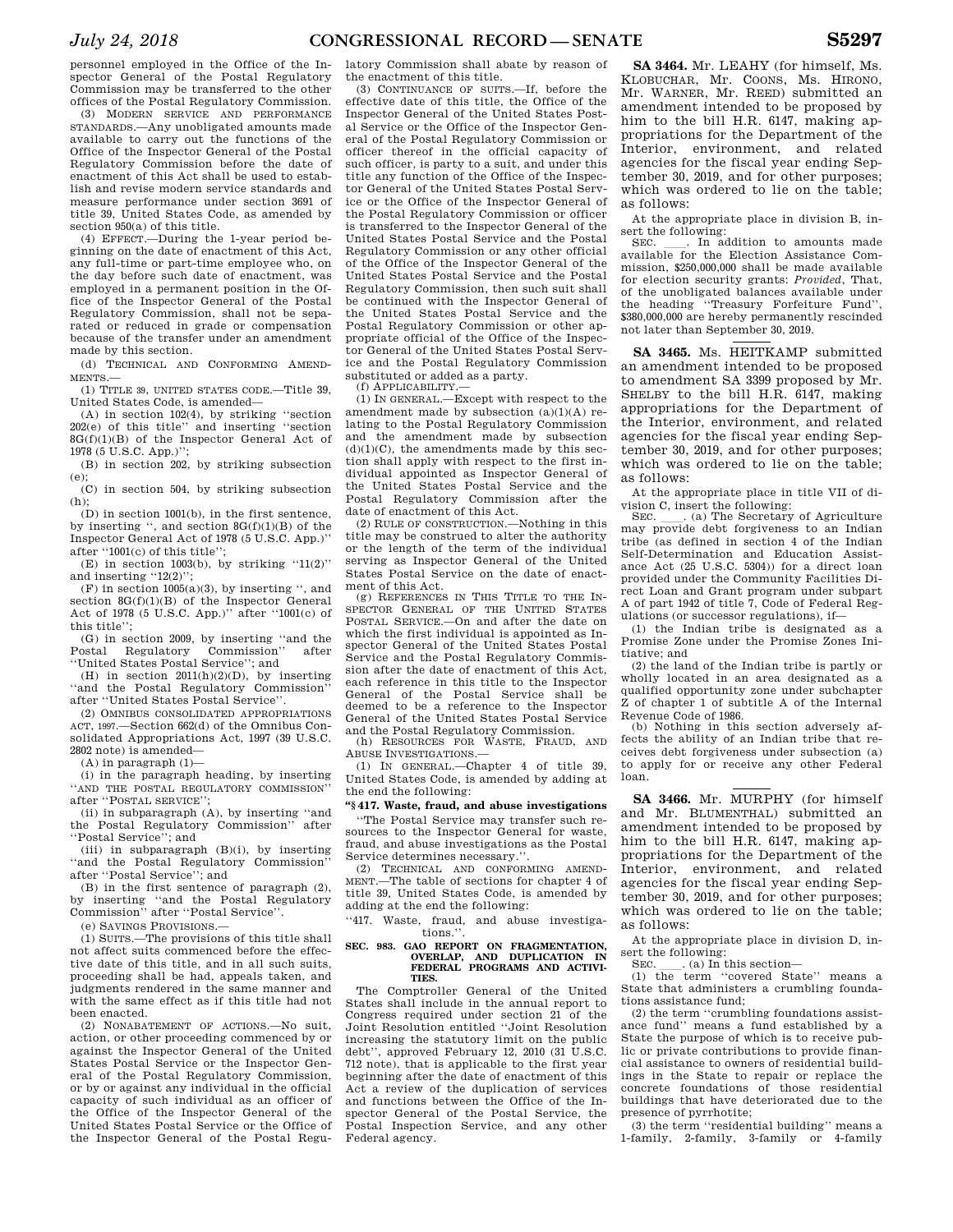personnel employed in the Office of the Inspector General of the Postal Regulatory Commission may be transferred to the other offices of the Postal Regulatory Commission.

(3) MODERN SERVICE AND PERFORMANCE STANDARDS.—Any unobligated amounts made available to carry out the functions of the Office of the Inspector General of the Postal Regulatory Commission before the date of enactment of this Act shall be used to establish and revise modern service standards and measure performance under section 3691 of title 39, United States Code, as amended by section 950(a) of this title.

(4) EFFECT.—During the 1-year period beginning on the date of enactment of this Act, any full-time or part-time employee who, on the day before such date of enactment, was employed in a permanent position in the Office of the Inspector General of the Postal Regulatory Commission, shall not be separated or reduced in grade or compensation because of the transfer under an amendment made by this section.

(d) TECHNICAL AND CONFORMING AMEND-MENTS.—

(1) TITLE 39, UNITED STATES CODE.—Title 39, United States Code, is amended—

(A) in section 102(4), by striking ''section 202(e) of this title'' and inserting ''section  $8G(f)(1)(B)$  of the Inspector General Act of 1978 (5 U.S.C. App.)'';

(B) in section 202, by striking subsection (e);

(C) in section 504, by striking subsection (h);

 $(D)$  in section 1001(b), in the first sentence, by inserting ", and section  $8G(f)(1)(B)$  of the Inspector General Act of 1978 (5 U.S.C. App.)'' after ''1001(c) of this title'';

(E) in section 1003(b), by striking  $"11(2)"$ and inserting "12(2)":

 $(F)$  in section 1005(a)(3), by inserting ", and section 8G(f)(1)(B) of the Inspector General Act of 1978 (5 U.S.C. App.)'' after ''1001(c) of this title'';

(G) in section 2009, by inserting "and the<br>Postal Regulatory Commission" after Regulatory ''United States Postal Service''; and

(H) in section 2011(h)(2)(D), by inserting ''and the Postal Regulatory Commission'' after ''United States Postal Service''.

(2) OMNIBUS CONSOLIDATED APPROPRIATIONS ACT, 1997.—Section 662(d) of the Omnibus Consolidated Appropriations Act, 1997 (39 U.S.C. 2802 note) is amended—

(A) in paragraph (1)—

(i) in the paragraph heading, by inserting ''AND THE POSTAL REGULATORY COMMISSION'' after ''POSTAL SERVICE'';

(ii) in subparagraph (A), by inserting ''and the Postal Regulatory Commission'' after ''Postal Service''; and

(iii) in subparagraph  $(B)(i)$ , by inserting ''and the Postal Regulatory Commission'' after ''Postal Service''; and

(B) in the first sentence of paragraph (2), by inserting ''and the Postal Regulatory Commission'' after ''Postal Service''.

(e) SAVINGS PROVISIONS.—

(1) SUITS.—The provisions of this title shall not affect suits commenced before the effective date of this title, and in all such suits, proceeding shall be had, appeals taken, and judgments rendered in the same manner and with the same effect as if this title had not been enacted.

(2) NONABATEMENT OF ACTIONS.—No suit, action, or other proceeding commenced by or against the Inspector General of the United States Postal Service or the Inspector General of the Postal Regulatory Commission, or by or against any individual in the official capacity of such individual as an officer of the Office of the Inspector General of the United States Postal Service or the Office of the Inspector General of the Postal Regu-

latory Commission shall abate by reason of the enactment of this title.

(3) CONTINUANCE OF SUITS.—If, before the effective date of this title, the Office of the Inspector General of the United States Postal Service or the Office of the Inspector General of the Postal Regulatory Commission or officer thereof in the official capacity of such officer, is party to a suit, and under this title any function of the Office of the Inspector General of the United States Postal Service or the Office of the Inspector General of the Postal Regulatory Commission or officer is transferred to the Inspector General of the United States Postal Service and the Postal Regulatory Commission or any other official of the Office of the Inspector General of the United States Postal Service and the Postal Regulatory Commission, then such suit shall be continued with the Inspector General of the United States Postal Service and the Postal Regulatory Commission or other appropriate official of the Office of the Inspector General of the United States Postal Service and the Postal Regulatory Commission substituted or added as a party.

(f) APPLICABILITY.—

(1) IN GENERAL.—Except with respect to the amendment made by subsection (a)(1)(A) relating to the Postal Regulatory Commission and the amendment made by subsection  $(d)(1)(C)$ , the amendments made by this section shall apply with respect to the first individual appointed as Inspector General of the United States Postal Service and the Postal Regulatory Commission after the date of enactment of this Act.

(2) RULE OF CONSTRUCTION.—Nothing in this title may be construed to alter the authority or the length of the term of the individual serving as Inspector General of the United States Postal Service on the date of enactment of this Act.

(g) REFERENCES IN THIS TITLE TO THE IN-SPECTOR GENERAL OF THE UNITED STATES POSTAL SERVICE.—On and after the date on which the first individual is appointed as Inspector General of the United States Postal Service and the Postal Regulatory Commission after the date of enactment of this Act, each reference in this title to the Inspector General of the Postal Service shall be deemed to be a reference to the Inspector General of the United States Postal Service and the Postal Regulatory Commission.

(h) RESOURCES FOR WASTE, FRAUD, AND ABUSE INVESTIGATIONS.—

(1) IN GENERAL.—Chapter 4 of title 39, United States Code, is amended by adding at the end the following:

# **''§ 417. Waste, fraud, and abuse investigations**

''The Postal Service may transfer such resources to the Inspector General for waste, fraud, and abuse investigations as the Postal Service determines necessary.''.

(2) TECHNICAL AND CONFORMING AMEND-MENT.—The table of sections for chapter 4 of title 39, United States Code, is amended by adding at the end the following:

''417. Waste, fraud, and abuse investigations.''.

#### **SEC. 983. GAO REPORT ON FRAGMENTATION, OVERLAP, AND DUPLICATION IN FEDERAL PROGRAMS AND ACTIVI-TIES.**

The Comptroller General of the United States shall include in the annual report to Congress required under section 21 of the Joint Resolution entitled ''Joint Resolution increasing the statutory limit on the public debt", approved February 12, 2010  $(31 \text{ U.S.C.})$ 712 note), that is applicable to the first year beginning after the date of enactment of this Act a review of the duplication of services and functions between the Office of the Inspector General of the Postal Service, the Postal Inspection Service, and any other Federal agency.

**SA 3464.** Mr. LEAHY (for himself, Ms. KLOBUCHAR, Mr. COONS, Ms. HIRONO, Mr. WARNER, Mr. REED) submitted an amendment intended to be proposed by him to the bill H.R. 6147, making appropriations for the Department of the Interior, environment, and related agencies for the fiscal year ending September 30, 2019, and for other purposes; which was ordered to lie on the table; as follows:

At the appropriate place in division B, insert the following:<br>SEC. In addition to amounts made

SEC. \_\_\_\_. In addition to amounts made available for the Election Assistance Commission, \$250,000,000 shall be made available for election security grants: *Provided*, That, of the unobligated balances available under the heading ''Treasury Forfeiture Fund'', \$380,000,000 are hereby permanently rescinded not later than September 30, 2019.

**SA 3465.** Ms. HEITKAMP submitted an amendment intended to be proposed to amendment SA 3399 proposed by Mr. SHELBY to the bill H.R. 6147, making appropriations for the Department of the Interior, environment, and related agencies for the fiscal year ending September 30, 2019, and for other purposes; which was ordered to lie on the table; as follows:

At the appropriate place in title VII of division C, insert the following:<br>SEC. (a) The Secretary of Agriculture

SEC. Calculture may provide debt forgiveness to an Indian tribe (as defined in section 4 of the Indian Self-Determination and Education Assistance Act (25 U.S.C. 5304)) for a direct loan provided under the Community Facilities Direct Loan and Grant program under subpart A of part 1942 of title 7, Code of Federal Regulations (or successor regulations), if—

(1) the Indian tribe is designated as a Promise Zone under the Promise Zones Initiative; and

(2) the land of the Indian tribe is partly or wholly located in an area designated as a qualified opportunity zone under subchapter Z of chapter 1 of subtitle A of the Internal Revenue Code of 1986.

(b) Nothing in this section adversely affects the ability of an Indian tribe that receives debt forgiveness under subsection (a) to apply for or receive any other Federal loan.

**SA 3466.** Mr. MURPHY (for himself and Mr. BLUMENTHAL) submitted an amendment intended to be proposed by him to the bill H.R. 6147, making appropriations for the Department of the Interior, environment, and related agencies for the fiscal year ending September 30, 2019, and for other purposes; which was ordered to lie on the table; as follows:

At the appropriate place in division D, insert the following:<br>SEC.  $\qquad$ . (a) In this section—

SEC. \_\_\_. (a) In this section—<br>(1) the term "covered State" means a State that administers a crumbling foundations assistance fund;

(2) the term ''crumbling foundations assistance fund'' means a fund established by a State the purpose of which is to receive public or private contributions to provide financial assistance to owners of residential buildings in the State to repair or replace the concrete foundations of those residential buildings that have deteriorated due to the presence of pyrrhotite;

(3) the term ''residential building'' means a 1-family, 2-family, 3-family or 4-family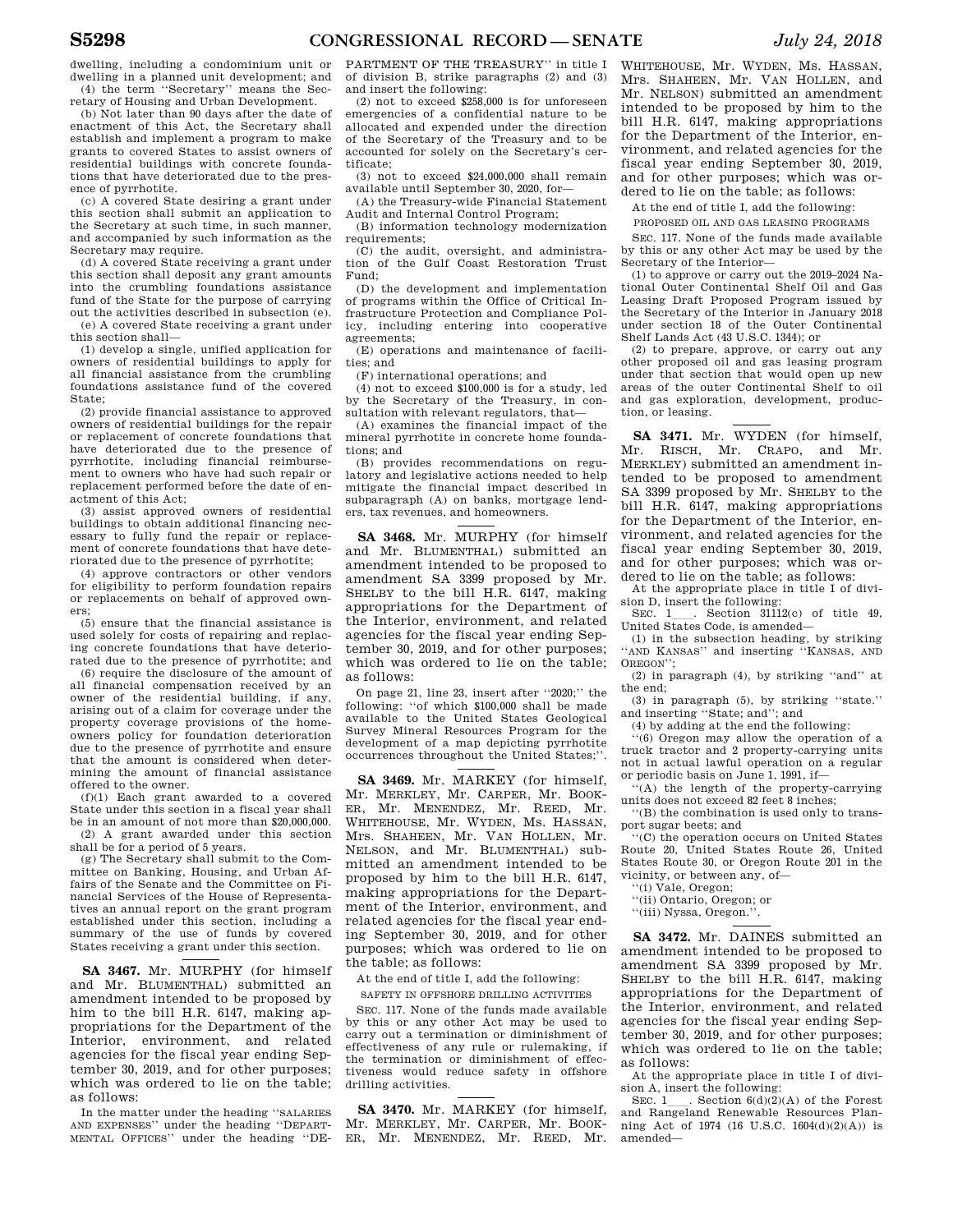dwelling, including a condominium unit or dwelling in a planned unit development; and (4) the term ''Secretary'' means the Sec-

retary of Housing and Urban Development. (b) Not later than 90 days after the date of enactment of this Act, the Secretary shall

establish and implement a program to make grants to covered States to assist owners of residential buildings with concrete foundations that have deteriorated due to the presence of pyrrhotite.

(c) A covered State desiring a grant under this section shall submit an application to the Secretary at such time, in such manner, and accompanied by such information as the Secretary may require.

(d) A covered State receiving a grant under this section shall deposit any grant amounts into the crumbling foundations assistance fund of the State for the purpose of carrying out the activities described in subsection (e).

(e) A covered State receiving a grant under this section shall—

(1) develop a single, unified application for owners of residential buildings to apply for all financial assistance from the crumbling foundations assistance fund of the covered State;

(2) provide financial assistance to approved owners of residential buildings for the repair or replacement of concrete foundations that have deteriorated due to the presence of pyrrhotite, including financial reimbursement to owners who have had such repair or replacement performed before the date of enactment of this Act;

(3) assist approved owners of residential buildings to obtain additional financing necessary to fully fund the repair or replacement of concrete foundations that have deteriorated due to the presence of pyrrhotite;

(4) approve contractors or other vendors for eligibility to perform foundation repairs or replacements on behalf of approved owners;

(5) ensure that the financial assistance is used solely for costs of repairing and replacing concrete foundations that have deteriorated due to the presence of pyrrhotite; and

(6) require the disclosure of the amount of all financial compensation received by an owner of the residential building, if any, arising out of a claim for coverage under the property coverage provisions of the homeowners policy for foundation deterioration due to the presence of pyrrhotite and ensure that the amount is considered when determining the amount of financial assistance offered to the owner.

(f)(1) Each grant awarded to a covered State under this section in a fiscal year shall be in an amount of not more than \$20,000,000. (2) A grant awarded under this section

shall be for a period of 5 years.

(g) The Secretary shall submit to the Committee on Banking, Housing, and Urban Affairs of the Senate and the Committee on Financial Services of the House of Representatives an annual report on the grant program established under this section, including a summary of the use of funds by covered States receiving a grant under this section.

**SA 3467.** Mr. MURPHY (for himself and Mr. BLUMENTHAL) submitted an amendment intended to be proposed by him to the bill H.R. 6147, making appropriations for the Department of the Interior, environment, and related agencies for the fiscal year ending September 30, 2019, and for other purposes; which was ordered to lie on the table; as follows:

In the matter under the heading ''SALARIES AND EXPENSES'' under the heading ''DEPART-MENTAL OFFICES'' under the heading ''DE- PARTMENT OF THE TREASURY'' in title I of division B, strike paragraphs (2) and (3) and insert the following:

(2) not to exceed \$258,000 is for unforeseen emergencies of a confidential nature to be allocated and expended under the direction of the Secretary of the Treasury and to be accounted for solely on the Secretary's certificate;

(3) not to exceed \$24,000,000 shall remain available until September 30, 2020, for—

(A) the Treasury-wide Financial Statement Audit and Internal Control Program;

(B) information technology modernization requirements;

(C) the audit, oversight, and administration of the Gulf Coast Restoration Trust Fund;

(D) the development and implementation of programs within the Office of Critical Infrastructure Protection and Compliance Policy, including entering into cooperative agreements;

(E) operations and maintenance of facilities; and

(F) international operations; and

(4) not to exceed \$100,000 is for a study, led by the Secretary of the Treasury, in consultation with relevant regulators, that—

(A) examines the financial impact of the mineral pyrrhotite in concrete home foundations; and

(B) provides recommendations on regulatory and legislative actions needed to help mitigate the financial impact described in subparagraph (A) on banks, mortgage lenders, tax revenues, and homeowners.

**SA 3468.** Mr. MURPHY (for himself and Mr. BLUMENTHAL) submitted an amendment intended to be proposed to amendment SA 3399 proposed by Mr. SHELBY to the bill H.R. 6147, making appropriations for the Department of the Interior, environment, and related agencies for the fiscal year ending September 30, 2019, and for other purposes; which was ordered to lie on the table; as follows:

On page 21, line 23, insert after ''2020;'' the following: ''of which \$100,000 shall be made available to the United States Geological Survey Mineral Resources Program for the development of a map depicting pyrrhotite occurrences throughout the United States;''.

**SA 3469.** Mr. MARKEY (for himself, Mr. MERKLEY, Mr. CARPER, Mr. BOOK-ER, Mr. MENENDEZ, Mr. REED, Mr. WHITEHOUSE, Mr. WYDEN, Ms. HASSAN, Mrs. SHAHEEN, Mr. VAN HOLLEN, Mr. NELSON, and Mr. BLUMENTHAL) submitted an amendment intended to be proposed by him to the bill H.R. 6147, making appropriations for the Department of the Interior, environment, and related agencies for the fiscal year ending September 30, 2019, and for other purposes; which was ordered to lie on the table; as follows:

At the end of title I, add the following:

SAFETY IN OFFSHORE DRILLING ACTIVITIES

SEC. 117. None of the funds made available by this or any other Act may be used to carry out a termination or diminishment of effectiveness of any rule or rulemaking, if the termination or diminishment of effectiveness would reduce safety in offshore drilling activities.

**SA 3470.** Mr. MARKEY (for himself, Mr. MERKLEY, Mr. CARPER, Mr. BOOK-ER, Mr. MENENDEZ, Mr. REED, Mr. WHITEHOUSE, Mr. WYDEN, Ms. HASSAN, Mrs. SHAHEEN, Mr. VAN HOLLEN, and Mr. NELSON) submitted an amendment intended to be proposed by him to the bill H.R. 6147, making appropriations for the Department of the Interior, environment, and related agencies for the fiscal year ending September 30, 2019, and for other purposes; which was ordered to lie on the table; as follows:

At the end of title I, add the following:

PROPOSED OIL AND GAS LEASING PROGRAMS

SEC. 117. None of the funds made available by this or any other Act may be used by the Secretary of the Interior—

(1) to approve or carry out the 2019–2024 National Outer Continental Shelf Oil and Gas Leasing Draft Proposed Program issued by the Secretary of the Interior in January 2018 under section 18 of the Outer Continental Shelf Lands Act (43 U.S.C. 1344); or

(2) to prepare, approve, or carry out any other proposed oil and gas leasing program under that section that would open up new areas of the outer Continental Shelf to oil and gas exploration, development, production, or leasing.

**SA 3471.** Mr. WYDEN (for himself, Mr. RISCH, Mr. CRAPO, and Mr. MERKLEY) submitted an amendment intended to be proposed to amendment SA 3399 proposed by Mr. SHELBY to the bill H.R. 6147, making appropriations for the Department of the Interior, environment, and related agencies for the fiscal year ending September 30, 2019, and for other purposes; which was ordered to lie on the table; as follows:

At the appropriate place in title I of divi-

sion D, insert the following:<br>SEC. 1 . Section 31112(c) of title 49. SEC.  $1 \_$ . Section 31112(c) of title 49, United States Code, is amended—

(1) in the subsection heading, by striking 'AND KANSAS" and inserting "KANSAS, AND OREGON'';

(2) in paragraph (4), by striking ''and'' at the end;

(3) in paragraph (5), by striking ''state.'' and inserting ''State; and''; and

(4) by adding at the end the following:

''(6) Oregon may allow the operation of a truck tractor and 2 property-carrying units not in actual lawful operation on a regular or periodic basis on June 1, 1991, if—

'(A) the length of the property-carrying units does not exceed 82 feet 8 inches;

''(B) the combination is used only to transport sugar beets; and

''(C) the operation occurs on United States Route 20, United States Route 26, United States Route 30, or Oregon Route 201 in the vicinity, or between any, of—

''(i) Vale, Oregon;

''(ii) Ontario, Oregon; or

''(iii) Nyssa, Oregon.''.

**SA 3472.** Mr. DAINES submitted an amendment intended to be proposed to amendment SA 3399 proposed by Mr. SHELBY to the bill H.R. 6147, making appropriations for the Department of the Interior, environment, and related agencies for the fiscal year ending September 30, 2019, and for other purposes; which was ordered to lie on the table; as follows:

At the appropriate place in title I of division A, insert the following:<br>SEC.  $1$  Section  $6(d)(2)(A)$  of the Forest

SEC. 1<sub>1</sub>. Section  $6(d)(2)(A)$  of the Forest and Rangeland Renewable Resources Planning Act of 1974 (16 U.S.C. 1604(d)(2)(A)) is amended—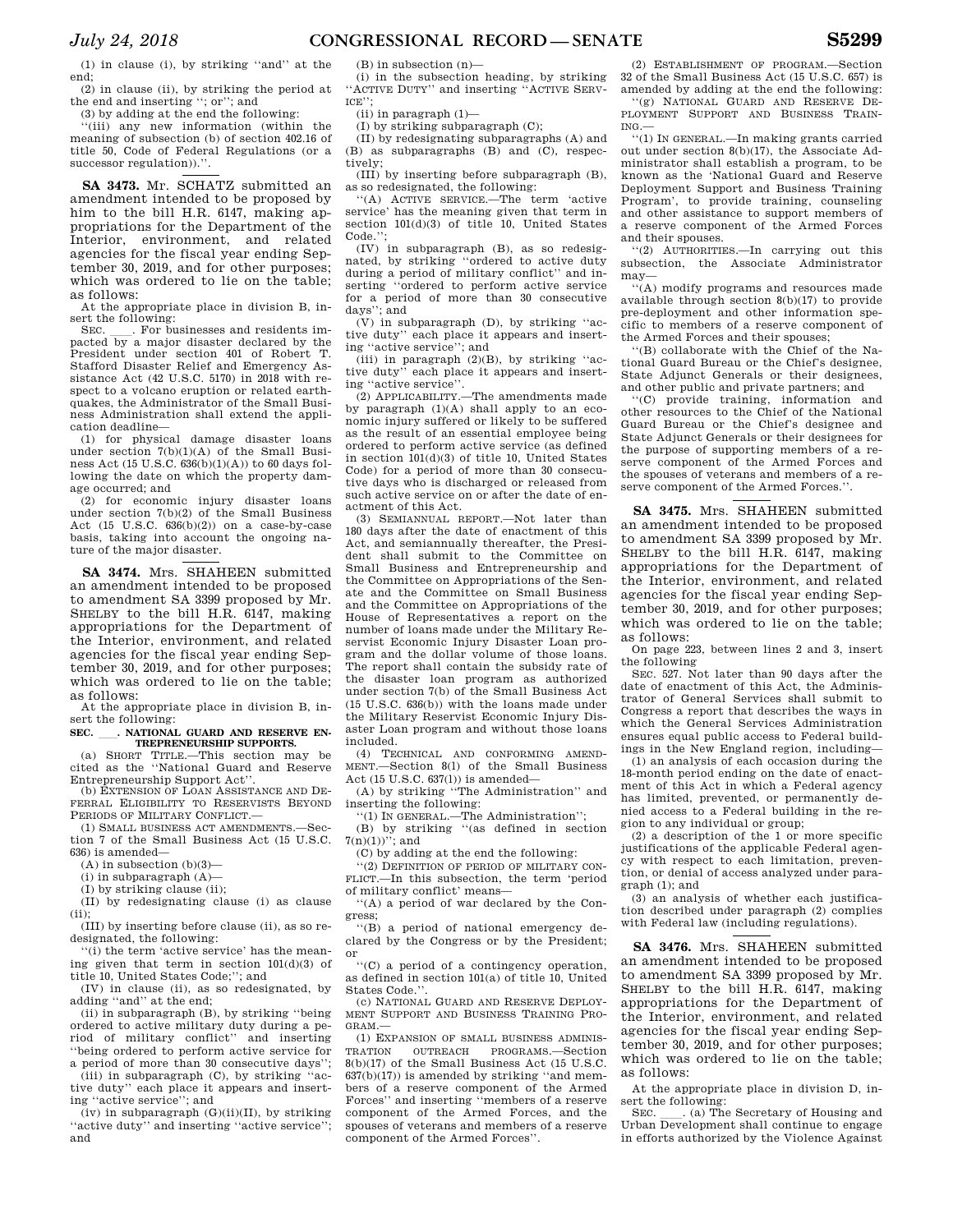(1) in clause (i), by striking ''and'' at the end;

(2) in clause (ii), by striking the period at the end and inserting ''; or''; and (3) by adding at the end the following:

''(iii) any new information (within the meaning of subsection (b) of section 402.16 of title 50, Code of Federal Regulations (or a successor regulation)).''.

**SA 3473.** Mr. SCHATZ submitted an amendment intended to be proposed by him to the bill H.R. 6147, making appropriations for the Department of the Interior, environment, and related agencies for the fiscal year ending September 30, 2019, and for other purposes; which was ordered to lie on the table; as follows:

At the appropriate place in division B, insert the following:<br>SEC. For by

. For businesses and residents impacted by a major disaster declared by the President under section 401 of Robert T. Stafford Disaster Relief and Emergency Assistance Act (42 U.S.C. 5170) in 2018 with respect to a volcano eruption or related earthquakes, the Administrator of the Small Business Administration shall extend the application deadline—

(1) for physical damage disaster loans under section 7(b)(1)(A) of the Small Business Act (15 U.S.C.  $636(b)(1)(A)$ ) to 60 days following the date on which the property damage occurred; and

(2) for economic injury disaster loans under section 7(b)(2) of the Small Business Act (15 U.S.C. 636(b)(2)) on a case-by-case basis, taking into account the ongoing nature of the major disaster.

**SA 3474.** Mrs. SHAHEEN submitted an amendment intended to be proposed to amendment SA 3399 proposed by Mr. SHELBY to the bill H.R. 6147, making appropriations for the Department of the Interior, environment, and related agencies for the fiscal year ending September 30, 2019, and for other purposes; which was ordered to lie on the table; as follows:

At the appropriate place in division B, insert the following:

SEC. \_\_\_. NATIONAL GUARD AND RESERVE EN-**TREPRENEURSHIP SUPPORTS.** 

(a) SHORT TITLE.—This section may be cited as the ''National Guard and Reserve Entrepreneurship Support Act''.

(b) EXTENSION OF LOAN ASSISTANCE AND DE-FERRAL ELIGIBILITY TO RESERVISTS BEYOND PERIODS OF MILITARY CONFLICT.

(1) SMALL BUSINESS ACT AMENDMENTS.—Section 7 of the Small Business Act (15 U.S.C. 636) is amended—

 $(A)$  in subsection  $(b)(3)$ —

 $(i)$  in subparagraph  $(A)$ —

(I) by striking clause (ii);

(II) by redesignating clause (i) as clause

(ii); (III) by inserting before clause (ii), as so redesignated, the following:

''(i) the term 'active service' has the meaning given that term in section 101(d)(3) of title 10, United States Code;''; and

(IV) in clause (ii), as so redesignated, by adding ''and'' at the end;

(ii) in subparagraph (B), by striking ''being ordered to active military duty during a period of military conflict'' and inserting ''being ordered to perform active service for

a period of more than 30 consecutive days''; (iii) in subparagraph (C), by striking ''active duty'' each place it appears and insert-

ing ''active service''; and (iv) in subparagraph  $(G)(ii)(II)$ , by striking ''active duty'' and inserting ''active service''; and

(B) in subsection (n)—

(i) in the subsection heading, by striking ''ACTIVE DUTY'' and inserting ''ACTIVE SERV- $ICE$ <sup>\*\*</sup>

(ii) in paragraph (1)—

(I) by striking subparagraph (C);

(II) by redesignating subparagraphs (A) and (B) as subparagraphs (B) and (C), respectively;

(III) by inserting before subparagraph (B), as so redesignated, the following:

''(A) ACTIVE SERVICE.—The term 'active service' has the meaning given that term in section 101(d)(3) of title 10, United States Code."

(IV) in subparagraph (B), as so redesig-nated, by striking ''ordered to active duty during a period of military conflict'' and in-serting ''ordered to perform active service for a period of more than 30 consecutive days''; and

(V) in subparagraph (D), by striking ''ac-tive duty'' each place it appears and inserting ''active service''; and

 $(iii)$  in paragraph  $(2)(B)$ , by striking "active duty'' each place it appears and inserting ''active service''.

(2) APPLICABILITY.—The amendments made by paragraph (1)(A) shall apply to an economic injury suffered or likely to be suffered as the result of an essential employee being ordered to perform active service (as defined in section 101(d)(3) of title 10, United States Code) for a period of more than 30 consecutive days who is discharged or released from such active service on or after the date of enactment of this Act.

(3) SEMIANNUAL REPORT. Not later than 180 days after the date of enactment of this Act, and semiannually thereafter, the President shall submit to the Committee on Small Business and Entrepreneurship and the Committee on Appropriations of the Senate and the Committee on Small Business and the Committee on Appropriations of the House of Representatives a report on the number of loans made under the Military Reservist Economic Injury Disaster Loan program and the dollar volume of those loans. The report shall contain the subsidy rate of the disaster loan program as authorized under section 7(b) of the Small Business Act (15 U.S.C. 636(b)) with the loans made under the Military Reservist Economic Injury Disaster Loan program and without those loans included.

(4) TECHNICAL AND CONFORMING AMEND-MENT.—Section 8(l) of the Small Business Act (15 U.S.C. 637(l)) is amended—

(A) by striking ''The Administration'' and inserting the following:

''(1) IN GENERAL.—The Administration'';

(B) by striking ''(as defined in section  $7(n)(1))$ "; and

(C) by adding at the end the following:

''(2) DEFINITION OF PERIOD OF MILITARY CON-FLICT.—In this subsection, the term 'period of military conflict' means—

''(A) a period of war declared by the Congress;

''(B) a period of national emergency declared by the Congress or by the President; or

''(C) a period of a contingency operation, as defined in section 101(a) of title 10, United States Code.'

(c) NATIONAL GUARD AND RESERVE DEPLOY-MENT SUPPORT AND BUSINESS TRAINING PRO-GRAM.—

(1) EXPANSION OF SMALL BUSINESS ADMINIS-TRATION OUTREACH PROGRAMS.—Section 8(b)(17) of the Small Business Act (15 U.S.C.  $637(b)(17)$ ) is amended by striking "and members of a reserve component of the Armed Forces'' and inserting ''members of a reserve component of the Armed Forces, and the spouses of veterans and members of a reserve component of the Armed Forces''.

(2) ESTABLISHMENT OF PROGRAM.—Section 32 of the Small Business Act (15 U.S.C. 657) is amended by adding at the end the following: ''(g) NATIONAL GUARD AND RESERVE DE-PLOYMENT SUPPORT AND BUSINESS TRAIN- $ING -$ 

''(1) IN GENERAL.—In making grants carried out under section 8(b)(17), the Associate Administrator shall establish a program, to be known as the 'National Guard and Reserve Deployment Support and Business Training Program', to provide training, counseling and other assistance to support members of a reserve component of the Armed Forces and their spouses.

''(2) AUTHORITIES.—In carrying out this subsection, the Associate Administrator may—

''(A) modify programs and resources made available through section 8(b)(17) to provide pre-deployment and other information specific to members of a reserve component of the Armed Forces and their spouses;

''(B) collaborate with the Chief of the National Guard Bureau or the Chief's designee, State Adjunct Generals or their designees, and other public and private partners; and

''(C) provide training, information and other resources to the Chief of the National Guard Bureau or the Chief's designee and State Adjunct Generals or their designees for the purpose of supporting members of a reserve component of the Armed Forces and the spouses of veterans and members of a reserve component of the Armed Forces.''.

**SA 3475.** Mrs. SHAHEEN submitted an amendment intended to be proposed to amendment SA 3399 proposed by Mr. SHELBY to the bill H.R. 6147, making appropriations for the Department of the Interior, environment, and related agencies for the fiscal year ending September 30, 2019, and for other purposes; which was ordered to lie on the table; as follows:

On page 223, between lines 2 and 3, insert the following

SEC. 527. Not later than 90 days after the date of enactment of this Act, the Administrator of General Services shall submit to Congress a report that describes the ways in which the General Services Administration ensures equal public access to Federal buildings in the New England region, including—

(1) an analysis of each occasion during the 18-month period ending on the date of enactment of this Act in which a Federal agency has limited, prevented, or permanently denied access to a Federal building in the region to any individual or group;

(2) a description of the 1 or more specific justifications of the applicable Federal agency with respect to each limitation, prevention, or denial of access analyzed under paragraph (1); and

(3) an analysis of whether each justification described under paragraph (2) complies with Federal law (including regulations).

**SA 3476.** Mrs. SHAHEEN submitted an amendment intended to be proposed to amendment SA 3399 proposed by Mr. SHELBY to the bill H.R. 6147, making appropriations for the Department of the Interior, environment, and related agencies for the fiscal year ending September 30, 2019, and for other purposes; which was ordered to lie on the table; as follows:

At the appropriate place in division D, insert the following:<br>SEC. (a) The Secretary of Housing and

SEC. Calcher The Secretary of Housing and Urban Development shall continue to engage in efforts authorized by the Violence Against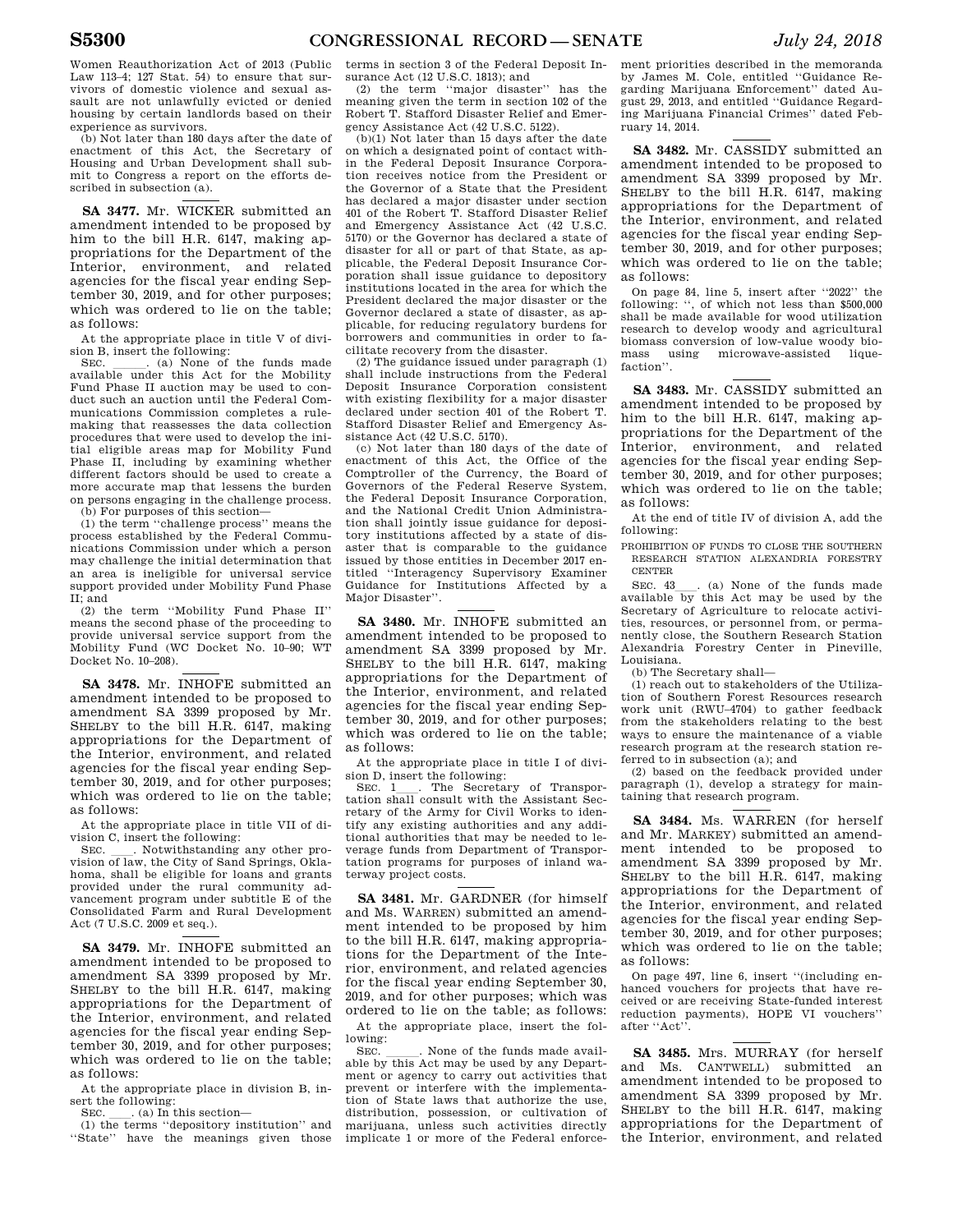Women Reauthorization Act of 2013 (Public Law 113–4; 127 Stat. 54) to ensure that survivors of domestic violence and sexual assault are not unlawfully evicted or denied housing by certain landlords based on their experience as survivors.

(b) Not later than 180 days after the date of enactment of this Act, the Secretary of Housing and Urban Development shall submit to Congress a report on the efforts described in subsection (a).

**SA 3477.** Mr. WICKER submitted an amendment intended to be proposed by him to the bill H.R. 6147, making appropriations for the Department of the Interior, environment, and related agencies for the fiscal year ending September 30, 2019, and for other purposes; which was ordered to lie on the table; as follows:

At the appropriate place in title V of division B, insert the following:

SEC. \_\_\_\_\_. (a) None of the funds made available under this Act for the Mobility Fund Phase II auction may be used to conduct such an auction until the Federal Communications Commission completes a rulemaking that reassesses the data collection procedures that were used to develop the initial eligible areas map for Mobility Fund Phase II, including by examining whether different factors should be used to create a more accurate map that lessens the burden on persons engaging in the challenge process.

(b) For purposes of this section— (1) the term ''challenge process'' means the process established by the Federal Communications Commission under which a person may challenge the initial determination that an area is ineligible for universal service support provided under Mobility Fund Phase II; and

(2) the term ''Mobility Fund Phase II'' means the second phase of the proceeding to provide universal service support from the Mobility Fund (WC Docket No. 10–90; WT Docket No. 10–208).

**SA 3478.** Mr. INHOFE submitted an amendment intended to be proposed to amendment SA 3399 proposed by Mr. SHELBY to the bill H.R. 6147, making appropriations for the Department of the Interior, environment, and related agencies for the fiscal year ending September 30, 2019, and for other purposes; which was ordered to lie on the table; as follows:

At the appropriate place in title VII of division C, insert the following:<br>SEC. Notwithstanding any other pro-

SEC.  $\_\_$ . Notwithstanding any other pro-<br>vision of law, the City of Sand Springs, Oklahoma, shall be eligible for loans and grants provided under the rural community advancement program under subtitle E of the Consolidated Farm and Rural Development Act (7 U.S.C. 2009 et seq.).

**SA 3479.** Mr. INHOFE submitted an amendment intended to be proposed to amendment SA 3399 proposed by Mr. SHELBY to the bill H.R. 6147, making appropriations for the Department of the Interior, environment, and related agencies for the fiscal year ending September 30, 2019, and for other purposes; which was ordered to lie on the table; as follows:

At the appropriate place in division B, insert the following:

SEC.  $\qquad$  . (a) In this section-

(1) the terms ''depository institution'' and ''State'' have the meanings given those terms in section 3 of the Federal Deposit Insurance Act (12 U.S.C. 1813); and

(2) the term ''major disaster'' has the meaning given the term in section 102 of the Robert T. Stafford Disaster Relief and Emergency Assistance Act (42 U.S.C. 5122).

(b)(1) Not later than 15 days after the date on which a designated point of contact within the Federal Deposit Insurance Corporation receives notice from the President or the Governor of a State that the President has declared a major disaster under section 401 of the Robert T. Stafford Disaster Relief and Emergency Assistance Act (42 U.S.C. 5170) or the Governor has declared a state of disaster for all or part of that State, as applicable, the Federal Deposit Insurance Corporation shall issue guidance to depository institutions located in the area for which the President declared the major disaster or the Governor declared a state of disaster, as applicable, for reducing regulatory burdens for borrowers and communities in order to facilitate recovery from the disaster.

(2) The guidance issued under paragraph (1) shall include instructions from the Federal Deposit Insurance Corporation consistent with existing flexibility for a major disaster declared under section 401 of the Robert T. Stafford Disaster Relief and Emergency Assistance Act (42 U.S.C. 5170).

(c) Not later than 180 days of the date of enactment of this Act, the Office of the Comptroller of the Currency, the Board of Governors of the Federal Reserve System, the Federal Deposit Insurance Corporation, and the National Credit Union Administration shall jointly issue guidance for depository institutions affected by a state of disaster that is comparable to the guidance issued by those entities in December 2017 entitled ''Interagency Supervisory Examiner Guidance for Institutions Affected by a Major Disaster''.

**SA 3480.** Mr. INHOFE submitted an amendment intended to be proposed to amendment SA 3399 proposed by Mr. SHELBY to the bill H.R. 6147, making appropriations for the Department of the Interior, environment, and related agencies for the fiscal year ending September 30, 2019, and for other purposes; which was ordered to lie on the table; as follows:

At the appropriate place in title I of division D, insert the following:<br>SEC. 1 . The Secretary of Transpor-

SEC. 1<sub>1</sub>. The Secretary of Transportation shall consult with the Assistant Secretary of the Army for Civil Works to identify any existing authorities and any additional authorities that may be needed to leverage funds from Department of Transportation programs for purposes of inland waterway project costs.

**SA 3481.** Mr. GARDNER (for himself and Ms. WARREN) submitted an amendment intended to be proposed by him to the bill H.R. 6147, making appropriations for the Department of the Interior, environment, and related agencies for the fiscal year ending September 30, 2019, and for other purposes; which was ordered to lie on the table; as follows:

At the appropriate place, insert the following:<br>SEC.

SEC. \_\_\_\_\_\_. None of the funds made available by this Act may be used by any Department or agency to carry out activities that prevent or interfere with the implementation of State laws that authorize the use, distribution, possession, or cultivation of marijuana, unless such activities directly implicate 1 or more of the Federal enforcement priorities described in the memoranda by James M. Cole, entitled ''Guidance Regarding Marijuana Enforcement'' dated August 29, 2013, and entitled ''Guidance Regarding Marijuana Financial Crimes'' dated February 14, 2014.

**SA 3482.** Mr. CASSIDY submitted an amendment intended to be proposed to amendment SA 3399 proposed by Mr. SHELBY to the bill H.R. 6147, making appropriations for the Department of the Interior, environment, and related agencies for the fiscal year ending September 30, 2019, and for other purposes; which was ordered to lie on the table; as follows:

On page 84, line 5, insert after ''2022'' the following: '', of which not less than \$500,000 shall be made available for wood utilization research to develop woody and agricultural biomass conversion of low-value woody biomass using microwave-assisted liquefaction''.

**SA 3483.** Mr. CASSIDY submitted an amendment intended to be proposed by him to the bill H.R. 6147, making appropriations for the Department of the Interior, environment, and related agencies for the fiscal year ending September 30, 2019, and for other purposes; which was ordered to lie on the table; as follows:

At the end of title IV of division A, add the following:

PROHIBITION OF FUNDS TO CLOSE THE SOUTHERN RESEARCH STATION ALEXANDRIA FORESTRY CENTER

SEC. 43\_\_\_. (a) None of the funds made available by this Act may be used by the Secretary of Agriculture to relocate activities, resources, or personnel from, or permanently close, the Southern Research Station Alexandria Forestry Center in Pineville, Louisiana.

(b) The Secretary shall—

(1) reach out to stakeholders of the Utilization of Southern Forest Resources research work unit (RWU–4704) to gather feedback from the stakeholders relating to the best ways to ensure the maintenance of a viable research program at the research station referred to in subsection (a); and

(2) based on the feedback provided under paragraph (1), develop a strategy for maintaining that research program.

**SA 3484.** Ms. WARREN (for herself and Mr. MARKEY) submitted an amendment intended to be proposed to amendment SA 3399 proposed by Mr. SHELBY to the bill H.R. 6147, making appropriations for the Department of the Interior, environment, and related agencies for the fiscal year ending September 30, 2019, and for other purposes; which was ordered to lie on the table; as follows:

On page 497, line 6, insert ''(including enhanced vouchers for projects that have received or are receiving State-funded interest reduction payments), HOPE VI vouchers'' after ''Act''.

**SA 3485.** Mrs. MURRAY (for herself and Ms. CANTWELL) submitted an amendment intended to be proposed to amendment SA 3399 proposed by Mr. SHELBY to the bill H.R. 6147, making appropriations for the Department of the Interior, environment, and related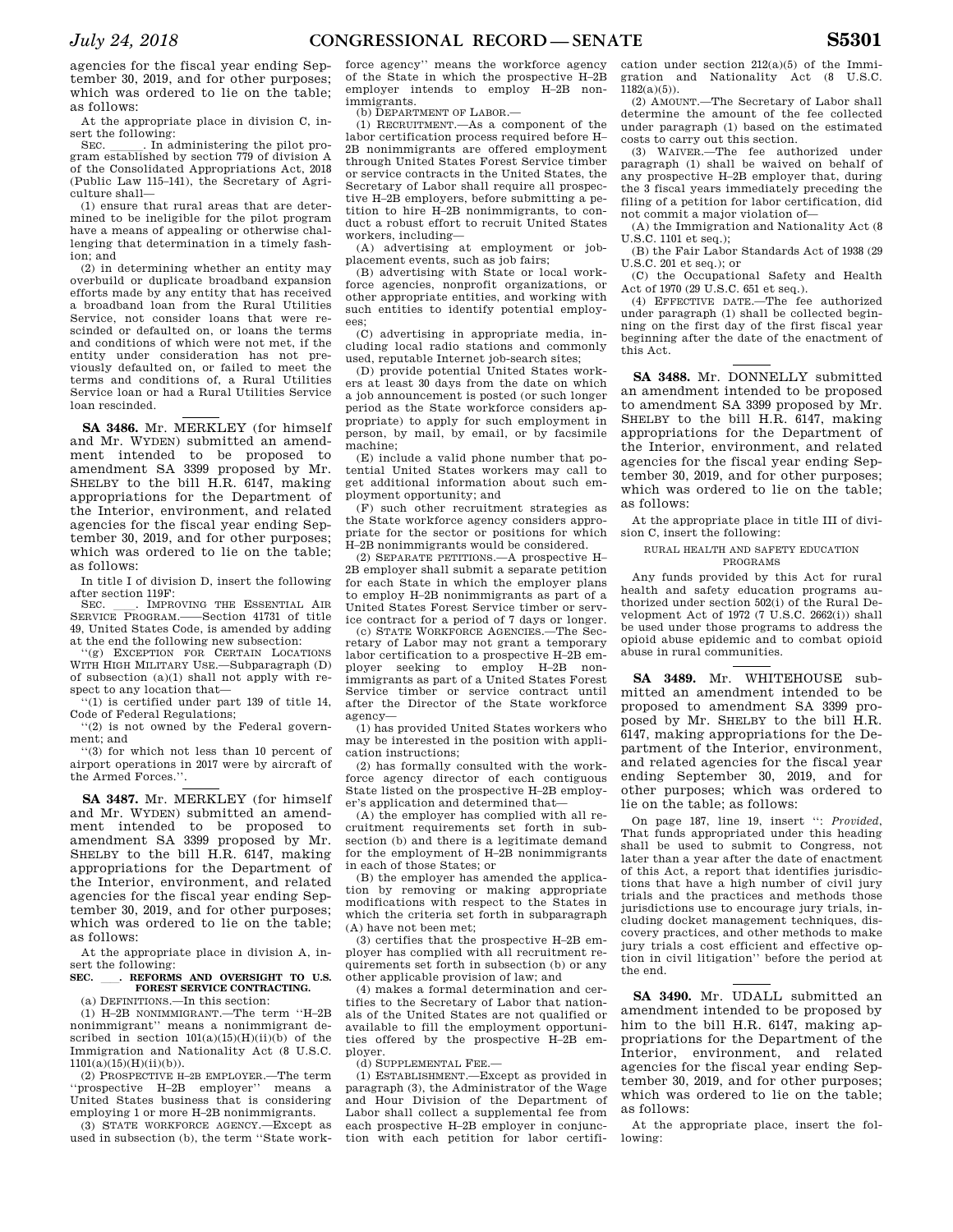agencies for the fiscal year ending September 30, 2019, and for other purposes; which was ordered to lie on the table;

as follows: At the appropriate place in division C, in-

sert the following:<br>SEC. In administering the pilot pro-SEC. \_\_\_\_\_\_. In administering the pilot program established by section 779 of division A of the Consolidated Appropriations Act, 2018 (Public Law 115–141), the Secretary of Agriculture shall—

(1) ensure that rural areas that are determined to be ineligible for the pilot program have a means of appealing or otherwise challenging that determination in a timely fashion; and

(2) in determining whether an entity may overbuild or duplicate broadband expansion efforts made by any entity that has received a broadband loan from the Rural Utilities Service, not consider loans that were rescinded or defaulted on, or loans the terms and conditions of which were not met, if the entity under consideration has not previously defaulted on, or failed to meet the terms and conditions of, a Rural Utilities Service loan or had a Rural Utilities Service loan rescinded.

**SA 3486.** Mr. MERKLEY (for himself and Mr. WYDEN) submitted an amendment intended to be proposed to amendment SA 3399 proposed by Mr. SHELBY to the bill H.R. 6147, making appropriations for the Department of the Interior, environment, and related agencies for the fiscal year ending September 30, 2019, and for other purposes; which was ordered to lie on the table; as follows:

In title I of division D, insert the following after section 119F:<br>SEC **IMPROVING THE ESSENTIAL AIR** 

SEC. CREAR PROGRAM. SERVICE PROGRAM. SERVICE PROGRAM. 49, United States Code, is amended by adding at the end the following new subsection:

(g) EXCEPTION FOR CERTAIN LOCATIONS WITH HIGH MILITARY USE.—Subparagraph (D) of subsection (a)(1) shall not apply with respect to any location that—

''(1) is certified under part 139 of title 14, Code of Federal Regulations;

''(2) is not owned by the Federal government; and

''(3) for which not less than 10 percent of airport operations in 2017 were by aircraft of the Armed Forces.''.

**SA 3487.** Mr. MERKLEY (for himself and Mr. WYDEN) submitted an amendment intended to be proposed to amendment SA 3399 proposed by Mr. SHELBY to the bill H.R. 6147, making appropriations for the Department of the Interior, environment, and related agencies for the fiscal year ending September 30, 2019, and for other purposes; which was ordered to lie on the table; as follows:

At the appropriate place in division A, insert the following:

## SEC. \_\_\_. REFORMS AND OVERSIGHT TO U.S. **FOREST SERVICE CONTRACTING.**  (a) DEFINITIONS.—In this section:

(1) H–2B NONIMMIGRANT.—The term ''H–2B nonimmigrant'' means a nonimmigrant described in section  $101(a)(15)(H)(ii)(b)$  of the Immigration and Nationality Act (8 U.S.C.  $1101(a)(15)(H)(ii)(b)).$ 

(2) PROSPECTIVE H–2B EMPLOYER.—The term ''prospective H–2B employer'' means a United States business that is considering employing 1 or more H–2B nonimmigrants.

(3) STATE WORKFORCE AGENCY.—Except as used in subsection (b), the term ''State workforce agency'' means the workforce agency of the State in which the prospective H–2B employer intends to employ H–2B nonimmigrants.

(b) DEPARTMENT OF LABOR.—

(1) RECRUITMENT.—As a component of the labor certification process required before H– 2B nonimmigrants are offered employment through United States Forest Service timber or service contracts in the United States, the Secretary of Labor shall require all prospective H–2B employers, before submitting a petition to hire H–2B nonimmigrants, to conduct a robust effort to recruit United States workers, including—

(A) advertising at employment or jobplacement events, such as job fairs;

(B) advertising with State or local workforce agencies, nonprofit organizations, or other appropriate entities, and working with such entities to identify potential employees;

(C) advertising in appropriate media, including local radio stations and commonly used, reputable Internet job-search sites;

(D) provide potential United States workers at least 30 days from the date on which a job announcement is posted (or such longer period as the State workforce considers appropriate) to apply for such employment in person, by mail, by email, or by facsimile machine;

(E) include a valid phone number that potential United States workers may call to get additional information about such employment opportunity; and

(F) such other recruitment strategies as the State workforce agency considers appropriate for the sector or positions for which H–2B nonimmigrants would be considered.

(2) SEPARATE PETITIONS.—A prospective H– 2B employer shall submit a separate petition for each State in which the employer plans to employ H–2B nonimmigrants as part of a United States Forest Service timber or service contract for a period of 7 days or longer.

(c) STATE WORKFORCE AGENCIES.—The Secretary of Labor may not grant a temporary labor certification to a prospective H–2B employer seeking to employ H–2B nonimmigrants as part of a United States Forest Service timber or service contract until after the Director of the State workforce agency—

(1) has provided United States workers who may be interested in the position with application instructions;

(2) has formally consulted with the workforce agency director of each contiguous State listed on the prospective H–2B employer's application and determined that—

(A) the employer has complied with all recruitment requirements set forth in subsection (b) and there is a legitimate demand for the employment of H–2B nonimmigrants in each of those States; or

(B) the employer has amended the application by removing or making appropriate modifications with respect to the States in which the criteria set forth in subparagraph (A) have not been met;

(3) certifies that the prospective H–2B employer has complied with all recruitment requirements set forth in subsection (b) or any other applicable provision of law; and

(4) makes a formal determination and certifies to the Secretary of Labor that nationals of the United States are not qualified or available to fill the employment opportunities offered by the prospective H–2B employer.

(d) SUPPLEMENTAL FEE.—

(1) ESTABLISHMENT.—Except as provided in paragraph (3), the Administrator of the Wage and Hour Division of the Department of Labor shall collect a supplemental fee from each prospective H–2B employer in conjunction with each petition for labor certifi-

cation under section 212(a)(5) of the Immigration and Nationality Act (8 U.S.C.  $1182(a)(5)$ .

(2) AMOUNT.—The Secretary of Labor shall determine the amount of the fee collected under paragraph (1) based on the estimated costs to carry out this section.

(3) WAIVER.—The fee authorized under paragraph (1) shall be waived on behalf of any prospective H–2B employer that, during the 3 fiscal years immediately preceding the filing of a petition for labor certification, did not commit a major violation of—

(A) the Immigration and Nationality Act (8 U.S.C. 1101 et seq.);

(B) the Fair Labor Standards Act of 1938 (29 U.S.C. 201 et seq.); or

(C) the Occupational Safety and Health Act of 1970 (29 U.S.C. 651 et seq.).

(4) EFFECTIVE DATE.—The fee authorized under paragraph (1) shall be collected beginning on the first day of the first fiscal year beginning after the date of the enactment of this Act.

**SA 3488.** Mr. DONNELLY submitted an amendment intended to be proposed to amendment SA 3399 proposed by Mr. SHELBY to the bill H.R. 6147, making appropriations for the Department of the Interior, environment, and related agencies for the fiscal year ending September 30, 2019, and for other purposes; which was ordered to lie on the table; as follows:

At the appropriate place in title III of division C, insert the following:

RURAL HEALTH AND SAFETY EDUCATION

PROGRAMS

Any funds provided by this Act for rural health and safety education programs authorized under section 502(i) of the Rural Development Act of 1972 (7 U.S.C. 2662(i)) shall be used under those programs to address the opioid abuse epidemic and to combat opioid abuse in rural communities.

**SA 3489.** Mr. WHITEHOUSE submitted an amendment intended to be proposed to amendment SA 3399 proposed by Mr. SHELBY to the bill H.R. 6147, making appropriations for the Department of the Interior, environment, and related agencies for the fiscal year ending September 30, 2019, and for other purposes; which was ordered to lie on the table; as follows:

On page 187, line 19, insert '': *Provided*, That funds appropriated under this heading shall be used to submit to Congress, not later than a year after the date of enactment of this Act, a report that identifies jurisdictions that have a high number of civil jury trials and the practices and methods those jurisdictions use to encourage jury trials, including docket management techniques, discovery practices, and other methods to make jury trials a cost efficient and effective option in civil litigation'' before the period at the end.

**SA 3490.** Mr. UDALL submitted an amendment intended to be proposed by him to the bill H.R. 6147, making appropriations for the Department of the Interior, environment, and related agencies for the fiscal year ending September 30, 2019, and for other purposes; which was ordered to lie on the table; as follows:

At the appropriate place, insert the following: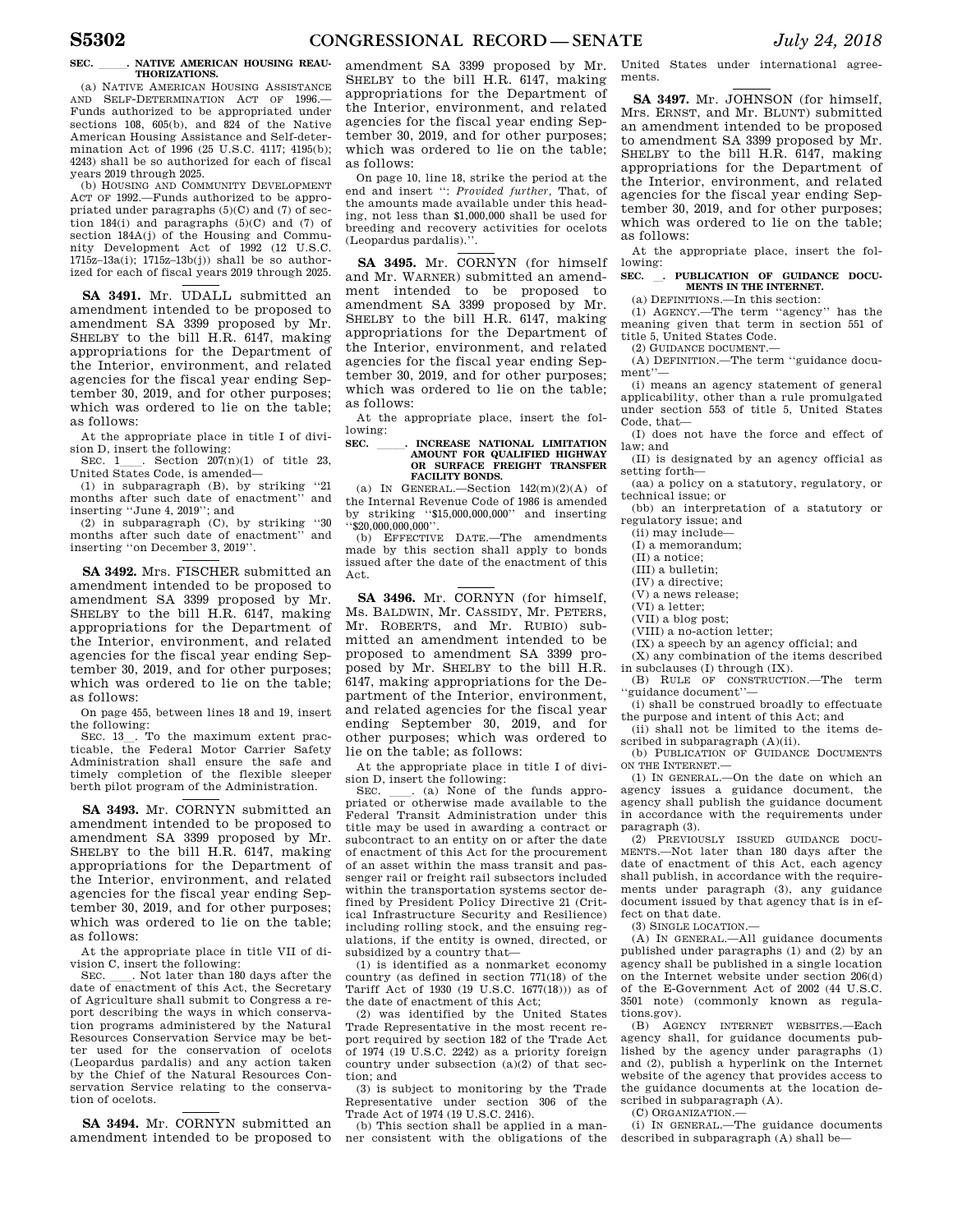#### **SEC.** . NATIVE AMERICAN HOUSING REAU-**THORIZATIONS.**

(a) NATIVE AMERICAN HOUSING ASSISTANCE AND SELF-DETERMINATION ACT OF 1996.— Funds authorized to be appropriated under sections 108, 605(b), and 824 of the Native American Housing Assistance and Self-determination Act of 1996 (25 U.S.C. 4117; 4195(b); 4243) shall be so authorized for each of fiscal years 2019 through 2025.

(b) HOUSING AND COMMUNITY DEVELOPMENT ACT OF 1992.—Funds authorized to be appropriated under paragraphs  $(5)(C)$  and  $(7)$  of section 184(i) and paragraphs  $(5)(C)$  and  $(7)$  of section 184A(i) of the Housing and Community Development Act of 1992 (12 U.S.C. 1715z–13a(i); 1715z–13b(j)) shall be so authorized for each of fiscal years 2019 through 2025.

**SA 3491.** Mr. UDALL submitted an amendment intended to be proposed to amendment SA 3399 proposed by Mr. SHELBY to the bill H.R. 6147, making appropriations for the Department of the Interior, environment, and related agencies for the fiscal year ending September 30, 2019, and for other purposes; which was ordered to lie on the table; as follows:

At the appropriate place in title I of division D, insert the following:

SEC. 1. Section  $207(n)(1)$  of title 23, United States Code, is amended—

(1) in subparagraph (B), by striking ''21 months after such date of enactment' inserting ''June 4, 2019''; and

(2) in subparagraph (C), by striking ''30 months after such date of enactment' inserting ''on December 3, 2019''.

**SA 3492.** Mrs. FISCHER submitted an amendment intended to be proposed to amendment SA 3399 proposed by Mr. SHELBY to the bill H.R. 6147, making appropriations for the Department of the Interior, environment, and related agencies for the fiscal year ending September 30, 2019, and for other purposes; which was ordered to lie on the table; as follows:

On page 455, between lines 18 and 19, insert the following:

SEC. 13\_. To the maximum extent practicable, the Federal Motor Carrier Safety Administration shall ensure the safe and timely completion of the flexible sleeper berth pilot program of the Administration.

**SA 3493.** Mr. CORNYN submitted an amendment intended to be proposed to amendment SA 3399 proposed by Mr. SHELBY to the bill H.R. 6147, making appropriations for the Department of the Interior, environment, and related agencies for the fiscal year ending September 30, 2019, and for other purposes; which was ordered to lie on the table; as follows:

At the appropriate place in title VII of division C, insert the following:<br>SEC. Rot later than 180 days after the

SEC. Let I han 180 days after the date of enactment of this Act, the Secretary of Agriculture shall submit to Congress a report describing the ways in which conservation programs administered by the Natural Resources Conservation Service may be better used for the conservation of ocelots (Leopardus pardalis) and any action taken by the Chief of the Natural Resources Conservation Service relating to the conservation of ocelots.

**SA 3494.** Mr. CORNYN submitted an amendment intended to be proposed to

amendment SA 3399 proposed by Mr. SHELBY to the bill H.R. 6147, making appropriations for the Department of the Interior, environment, and related agencies for the fiscal year ending September 30, 2019, and for other purposes; which was ordered to lie on the table; as follows:

On page 10, line 18, strike the period at the end and insert '': *Provided further,* That, of the amounts made available under this heading, not less than \$1,000,000 shall be used for breeding and recovery activities for ocelots (Leopardus pardalis).''.

**SA 3495.** Mr. CORNYN (for himself and Mr. WARNER) submitted an amendment intended to be proposed to amendment SA 3399 proposed by Mr. SHELBY to the bill H.R. 6147, making appropriations for the Department of the Interior, environment, and related agencies for the fiscal year ending September 30, 2019, and for other purposes; which was ordered to lie on the table; as follows:

At the appropriate place, insert the following:

# **SEC. \_\_\_\_\_\_. INCREASE NATIONAL LIMITATION<br>AMOUNT FOR QUALIFIED HIGHWAY<br>OR SURFACE FREIGHT TRANSFER FACILITY BONDS.**

(a) IN GENERAL.—Section  $142(m)(2)(A)$  of the Internal Revenue Code of 1986 is amended by striking ''\$15,000,000,000'' and inserting  $\cdot$ \$20,000,000,000 $\cdot$ 

(b) EFFECTIVE DATE.—The amendments made by this section shall apply to bonds issued after the date of the enactment of this Act.

**SA 3496.** Mr. CORNYN (for himself, Ms. BALDWIN, Mr. CASSIDY, Mr. PETERS, Mr. ROBERTS, and Mr. RUBIO) submitted an amendment intended to be proposed to amendment SA 3399 proposed by Mr. SHELBY to the bill H.R. 6147, making appropriations for the Department of the Interior, environment, and related agencies for the fiscal year ending September 30, 2019, and for other purposes; which was ordered to lie on the table; as follows:

At the appropriate place in title I of division D, insert the following:

SEC. \_\_\_. (a) None of the funds appropriated or otherwise made available to the Federal Transit Administration under this title may be used in awarding a contract or subcontract to an entity on or after the date of enactment of this Act for the procurement of an asset within the mass transit and passenger rail or freight rail subsectors included within the transportation systems sector defined by President Policy Directive 21 (Critical Infrastructure Security and Resilience) including rolling stock, and the ensuing regulations, if the entity is owned, directed, or subsidized by a country that—

(1) is identified as a nonmarket economy country (as defined in section 771(18) of the Tariff Act of 1930 (19 U.S.C. 1677(18))) as of the date of enactment of this Act;

(2) was identified by the United States Trade Representative in the most recent report required by section 182 of the Trade Act of 1974 (19 U.S.C. 2242) as a priority foreign country under subsection (a)(2) of that section; and

(3) is subject to monitoring by the Trade Representative under section 306 of the Trade Act of 1974 (19 U.S.C. 2416).

(b) This section shall be applied in a manner consistent with the obligations of the United States under international agreements.

**SA 3497.** Mr. JOHNSON (for himself, Mrs. ERNST, and Mr. BLUNT) submitted an amendment intended to be proposed to amendment SA 3399 proposed by Mr. SHELBY to the bill H.R. 6147, making appropriations for the Department of the Interior, environment, and related agencies for the fiscal year ending September 30, 2019, and for other purposes; which was ordered to lie on the table; as follows:

At the appropriate place, insert the following:

# **SEC.** l**. PUBLICATION OF GUIDANCE DOCU-MENTS IN THE INTERNET.**

(a) DEFINITIONS.—In this section: (1) AGENCY.—The term ''agency'' has the

meaning given that term in section 551 of title 5, United States Code. (2) GUIDANCE DOCUMENT.—

(A) DEFINITION.—The term ''guidance document''—

(i) means an agency statement of general applicability, other than a rule promulgated under section 553 of title 5, United States Code, that—

(I) does not have the force and effect of law; and

(II) is designated by an agency official as setting forth—

(aa) a policy on a statutory, regulatory, or technical issue; or

(bb) an interpretation of a statutory or regulatory issue; and

(ii) may include—

- (I) a memorandum;
- (II) a notice;
- (III) a bulletin;
- (IV) a directive;
- (V) a news release; (VI) a letter;
- (VII) a blog post;
- (VIII) a no-action letter;

(IX) a speech by an agency official; and

(X) any combination of the items described

in subclauses (I) through (IX). (B) RULE OF CONSTRUCTION.—The term

''guidance document''— (i) shall be construed broadly to effectuate the purpose and intent of this Act; and

(ii) shall not be limited to the items de-

scribed in subparagraph (A)(ii). (b) PUBLICATION OF GUIDANCE DOCUMENTS ON THE INTERNET.—

(1) IN GENERAL.—On the date on which an agency issues a guidance document, the agency shall publish the guidance document in accordance with the requirements under paragraph (3).

(2) PREVIOUSLY ISSUED GUIDANCE DOCU-MENTS.—Not later than 180 days after the date of enactment of this Act, each agency shall publish, in accordance with the requirements under paragraph (3), any guidance document issued by that agency that is in effect on that date.

 $(3)$  SINGLE LOCATION  $-$ 

(A) IN GENERAL.—All guidance documents published under paragraphs (1) and (2) by an agency shall be published in a single location on the Internet website under section 206(d) of the E-Government Act of 2002 (44 U.S.C. 3501 note) (commonly known as regulations.gov).

(B) AGENCY INTERNET WEBSITES.—Each agency shall, for guidance documents published by the agency under paragraphs (1) and (2), publish a hyperlink on the Internet website of the agency that provides access to the guidance documents at the location described in subparagraph (A).

(C) ORGANIZATION.—

(i) IN GENERAL.—The guidance documents described in subparagraph (A) shall be—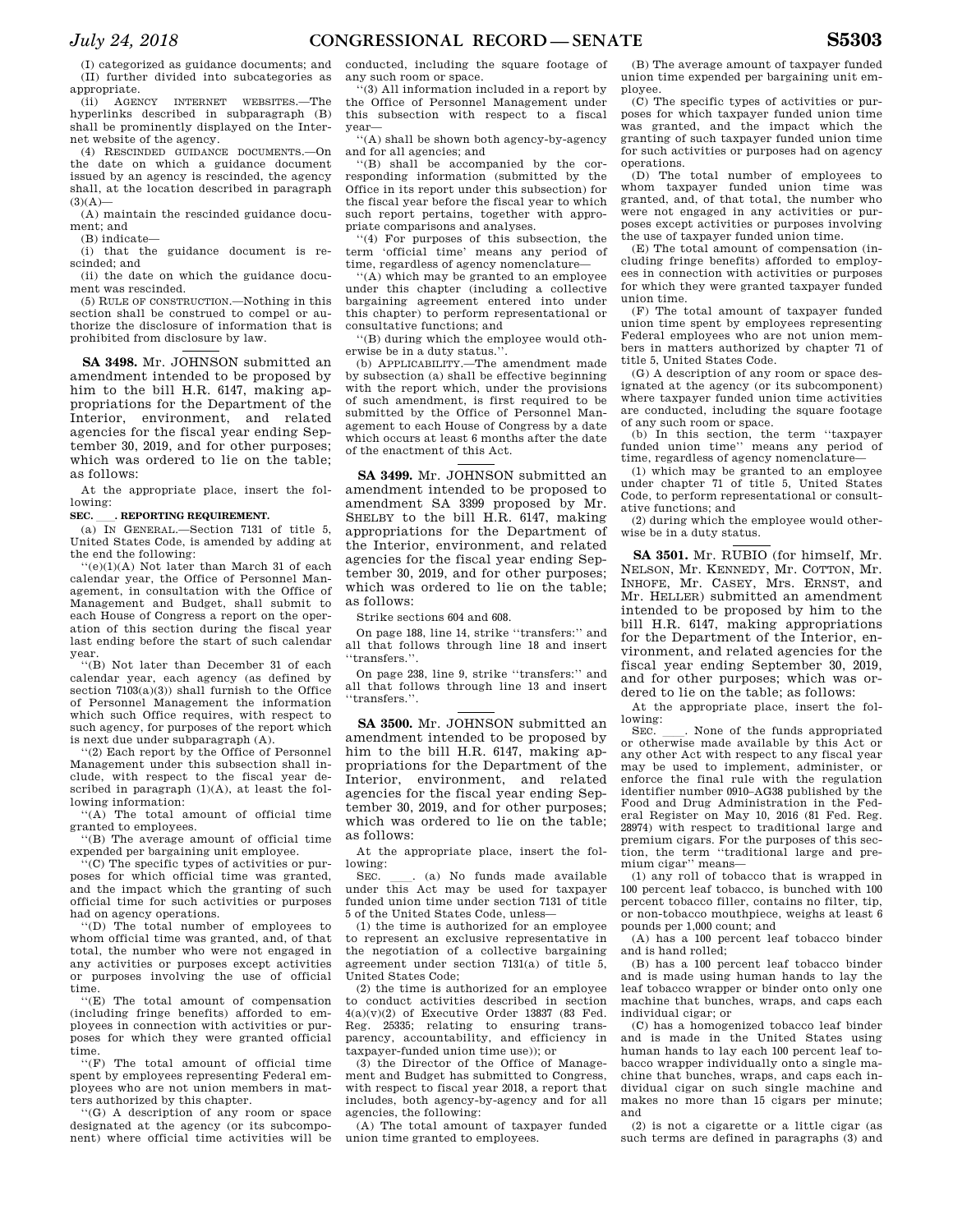(I) categorized as guidance documents; and (II) further divided into subcategories as appropriate.

(ii) AGENCY INTERNET WEBSITES.—The hyperlinks described in subparagraph (B) shall be prominently displayed on the Internet website of the agency.

(4) RESCINDED GUIDANCE DOCUMENTS.—On the date on which a guidance document issued by an agency is rescinded, the agency shall, at the location described in paragraph  $(3)(A)$ —

(A) maintain the rescinded guidance document; and

(B) indicate—

(i) that the guidance document is rescinded; and

(ii) the date on which the guidance document was rescinded.

(5) RULE OF CONSTRUCTION.—Nothing in this section shall be construed to compel or authorize the disclosure of information that is prohibited from disclosure by law.

**SA 3498.** Mr. JOHNSON submitted an amendment intended to be proposed by him to the bill H.R. 6147, making appropriations for the Department of the Interior, environment, and related agencies for the fiscal year ending September 30, 2019, and for other purposes; which was ordered to lie on the table; as follows:

At the appropriate place, insert the following:

**SEC. \_\_\_. REPORTING REQUIREMENT.**<br>
(a) IN GENERAL.—Section 7131 of title 5, United States Code, is amended by adding at the end the following:

 $(e)(1)(A)$  Not later than March 31 of each calendar year, the Office of Personnel Management, in consultation with the Office of Management and Budget, shall submit to each House of Congress a report on the operation of this section during the fiscal year last ending before the start of such calendar year.

''(B) Not later than December 31 of each calendar year, each agency (as defined by section  $7103(a)(3)$ ) shall furnish to the Office of Personnel Management the information which such Office requires, with respect to such agency, for purposes of the report which is next due under subparagraph (A).

'(2) Each report by the Office of Personnel Management under this subsection shall include, with respect to the fiscal year described in paragraph  $(1)(A)$ , at least the following information:

'(A) The total amount of official time granted to employees.

''(B) The average amount of official time expended per bargaining unit employee.

''(C) The specific types of activities or purposes for which official time was granted, and the impact which the granting of such official time for such activities or purposes had on agency operations.

''(D) The total number of employees to whom official time was granted, and, of that total, the number who were not engaged in any activities or purposes except activities or purposes involving the use of official time.

''(E) The total amount of compensation (including fringe benefits) afforded to employees in connection with activities or purposes for which they were granted official time.

''(F) The total amount of official time spent by employees representing Federal employees who are not union members in matters authorized by this chapter.

''(G) A description of any room or space designated at the agency (or its subcomponent) where official time activities will be

conducted, including the square footage of any such room or space.

''(3) All information included in a report by the Office of Personnel Management under this subsection with respect to a fiscal year—

''(A) shall be shown both agency-by-agency and for all agencies; and

''(B) shall be accompanied by the corresponding information (submitted by the Office in its report under this subsection) for the fiscal year before the fiscal year to which such report pertains, together with appropriate comparisons and analyses.

''(4) For purposes of this subsection, the term 'official time' means any period of time, regardless of agency nomenclature-

''(A) which may be granted to an employee under this chapter (including a collective bargaining agreement entered into under this chapter) to perform representational or consultative functions; and

''(B) during which the employee would otherwise be in a duty status.''.

(b) APPLICABILITY.—The amendment made by subsection (a) shall be effective beginning with the report which, under the provisions of such amendment, is first required to be submitted by the Office of Personnel Management to each House of Congress by a date which occurs at least 6 months after the date of the enactment of this Act.

**SA 3499.** Mr. JOHNSON submitted an amendment intended to be proposed to amendment SA 3399 proposed by Mr. SHELBY to the bill H.R. 6147, making appropriations for the Department of the Interior, environment, and related agencies for the fiscal year ending September 30, 2019, and for other purposes; which was ordered to lie on the table; as follows:

Strike sections 604 and 608.

On page 188, line 14, strike ''transfers:'' and all that follows through line 18 and insert ''transfers.''.

On page 238, line 9, strike ''transfers:'' and all that follows through line 13 and insert ''transfers.''.

**SA 3500.** Mr. JOHNSON submitted an amendment intended to be proposed by him to the bill H.R. 6147, making appropriations for the Department of the Interior, environment, and related agencies for the fiscal year ending September 30, 2019, and for other purposes; which was ordered to lie on the table; as follows:

At the appropriate place, insert the following:

SEC.  $\quad$  (a) No funds made available under this Act may be used for taxpayer funded union time under section 7131 of title 5 of the United States Code, unless—

(1) the time is authorized for an employee to represent an exclusive representative in the negotiation of a collective bargaining agreement under section 7131(a) of title 5, United States Code;

(2) the time is authorized for an employee to conduct activities described in section  $4(a)(v)(2)$  of Executive Order 13837 (83 Fed. Reg. 25335; relating to ensuring transparency, accountability, and efficiency in taxpayer-funded union time use)); or

(3) the Director of the Office of Management and Budget has submitted to Congress, with respect to fiscal year 2018, a report that includes, both agency-by-agency and for all agencies, the following:

(A) The total amount of taxpayer funded union time granted to employees.

(B) The average amount of taxpayer funded union time expended per bargaining unit employee.

(C) The specific types of activities or purposes for which taxpayer funded union time was granted, and the impact which the granting of such taxpayer funded union time for such activities or purposes had on agency operations.

(D) The total number of employees to whom taxpayer funded union time was granted, and, of that total, the number who were not engaged in any activities or purposes except activities or purposes involving the use of taxpayer funded union time.

(E) The total amount of compensation (including fringe benefits) afforded to employees in connection with activities or purposes for which they were granted taxpayer funded union time.

(F) The total amount of taxpayer funded union time spent by employees representing Federal employees who are not union members in matters authorized by chapter 71 of title 5, United States Code.

(G) A description of any room or space designated at the agency (or its subcomponent) where taxpayer funded union time activities are conducted, including the square footage of any such room or space.

(b) In this section, the term ''taxpayer funded union time'' means any period of time, regardless of agency nomenclature—

(1) which may be granted to an employee under chapter 71 of title 5, United States Code, to perform representational or consultative functions; and

(2) during which the employee would otherwise be in a duty status.

**SA 3501.** Mr. RUBIO (for himself, Mr. NELSON, Mr. KENNEDY, Mr. COTTON, Mr. INHOFE, Mr. CASEY, Mrs. ERNST, and Mr. HELLER) submitted an amendment intended to be proposed by him to the bill H.R. 6147, making appropriations for the Department of the Interior, environment, and related agencies for the fiscal year ending September 30, 2019, and for other purposes; which was ordered to lie on the table; as follows:

At the appropriate place, insert the following:<br>SEC.

SEC.  $\quad$  None of the funds appropriated or otherwise made available by this Act or any other Act with respect to any fiscal year may be used to implement, administer, or enforce the final rule with the regulation identifier number 0910–AG38 published by the Food and Drug Administration in the Federal Register on May 10, 2016 (81 Fed. Reg. 28974) with respect to traditional large and premium cigars. For the purposes of this section, the term ''traditional large and premium cigar'' means—

(1) any roll of tobacco that is wrapped in 100 percent leaf tobacco, is bunched with 100 percent tobacco filler, contains no filter, tip, or non-tobacco mouthpiece, weighs at least 6 pounds per 1,000 count; and

(A) has a 100 percent leaf tobacco binder and is hand rolled;

(B) has a 100 percent leaf tobacco binder and is made using human hands to lay the leaf tobacco wrapper or binder onto only one machine that bunches, wraps, and caps each individual cigar; or

(C) has a homogenized tobacco leaf binder and is made in the United States using human hands to lay each 100 percent leaf tobacco wrapper individually onto a single machine that bunches, wraps, and caps each individual cigar on such single machine and makes no more than 15 cigars per minute; and

(2) is not a cigarette or a little cigar (as such terms are defined in paragraphs (3) and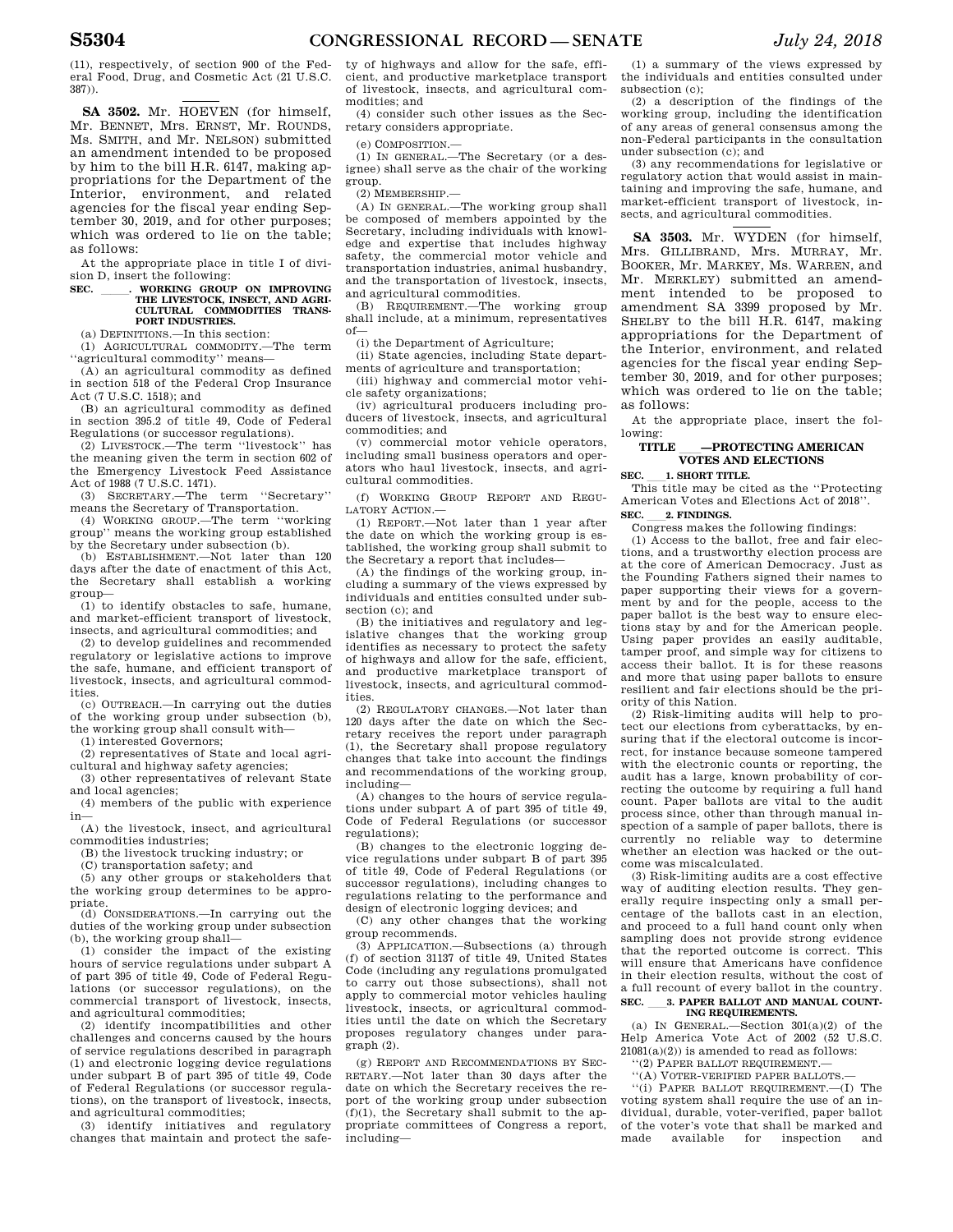(11), respectively, of section 900 of the Federal Food, Drug, and Cosmetic Act (21 U.S.C. 387)).

**SA 3502.** Mr. HOEVEN (for himself, Mr. BENNET, Mrs. ERNST, Mr. ROUNDS, Ms. SMITH, and Mr. NELSON) submitted an amendment intended to be proposed by him to the bill H.R. 6147, making appropriations for the Department of the Interior, environment, and related agencies for the fiscal year ending September 30, 2019, and for other purposes; which was ordered to lie on the table; as follows:

At the appropriate place in title I of division D, insert the following:<br>SEC. **WORKING GROUP ON IMPROVING** 

# **SEC. \_\_\_\_\_\_. WORKING GROUP ON IMPROVING<br>THE LIVESTOCK, INSECT, AND AGRI-CULTURAL COMMODITIES TRANS-PORT INDUSTRIES.**

(a) DEFINITIONS.—In this section:

(1) AGRICULTURAL COMMODITY.—The term ''agricultural commodity'' means—

(A) an agricultural commodity as defined in section 518 of the Federal Crop Insurance Act (7 U.S.C. 1518); and

(B) an agricultural commodity as defined in section 395.2 of title 49, Code of Federal Regulations (or successor regulations).

(2) LIVESTOCK.—The term ''livestock'' has the meaning given the term in section 602 of the Emergency Livestock Feed Assistance Act of 1988 (7 U.S.C. 1471).

(3) SECRETARY.—The term ''Secretary'' means the Secretary of Transportation.

(4) WORKING GROUP.—The term ''working group'' means the working group established by the Secretary under subsection (b).

(b) ESTABLISHMENT.—Not later than 120 days after the date of enactment of this Act, the Secretary shall establish a working group—

(1) to identify obstacles to safe, humane, and market-efficient transport of livestock, insects, and agricultural commodities; and

(2) to develop guidelines and recommended regulatory or legislative actions to improve the safe, humane, and efficient transport of livestock, insects, and agricultural commodities.

(c) OUTREACH.—In carrying out the duties of the working group under subsection (b), the working group shall consult with—

(1) interested Governors;

(2) representatives of State and local agricultural and highway safety agencies;

(3) other representatives of relevant State and local agencies;

(4) members of the public with experience in—

(A) the livestock, insect, and agricultural commodities industries;

(B) the livestock trucking industry; or

(C) transportation safety; and

(5) any other groups or stakeholders that the working group determines to be appropriate.

(d) CONSIDERATIONS.—In carrying out the duties of the working group under subsection (b), the working group shall—

(1) consider the impact of the existing hours of service regulations under subpart A of part 395 of title 49, Code of Federal Regulations (or successor regulations), on the commercial transport of livestock, insects, and agricultural commodities;

(2) identify incompatibilities and other challenges and concerns caused by the hours of service regulations described in paragraph (1) and electronic logging device regulations under subpart B of part 395 of title 49, Code of Federal Regulations (or successor regulations), on the transport of livestock, insects, and agricultural commodities;

(3) identify initiatives and regulatory changes that maintain and protect the safe-

ty of highways and allow for the safe, efficient, and productive marketplace transport of livestock, insects, and agricultural commodities; and

(4) consider such other issues as the Secretary considers appropriate.

(e) COMPOSITION.—

(1) IN GENERAL.—The Secretary (or a designee) shall serve as the chair of the working group.

(2) MEMBERSHIP.—

(A) IN GENERAL.—The working group shall be composed of members appointed by the Secretary, including individuals with knowledge and expertise that includes highway safety, the commercial motor vehicle and transportation industries, animal husbandry, and the transportation of livestock, insects,

and agricultural commodities.<br>(B) REQUIREMENT.—The w REQUIREMENT.—The working group shall include, at a minimum, representatives of—

(i) the Department of Agriculture;

(ii) State agencies, including State departments of agriculture and transportation;

(iii) highway and commercial motor vehicle safety organizations;

(iv) agricultural producers including producers of livestock, insects, and agricultural commodities; and

(v) commercial motor vehicle operators, including small business operators and operators who haul livestock, insects, and agricultural commodities.

(f) WORKING GROUP REPORT AND REGU-LATORY ACTION.—

(1) REPORT.—Not later than 1 year after the date on which the working group is established, the working group shall submit to the Secretary a report that includes—

(A) the findings of the working group, including a summary of the views expressed by individuals and entities consulted under subsection  $(c)$ ; and

(B) the initiatives and regulatory and legislative changes that the working group identifies as necessary to protect the safety of highways and allow for the safe, efficient, and productive marketplace transport of livestock, insects, and agricultural commodities.

(2) REGULATORY CHANGES.—Not later than 120 days after the date on which the Secretary receives the report under paragraph (1), the Secretary shall propose regulatory changes that take into account the findings and recommendations of the working group, including—

(A) changes to the hours of service regulations under subpart A of part 395 of title 49, Code of Federal Regulations (or successor regulations);

(B) changes to the electronic logging device regulations under subpart B of part 395 of title 49, Code of Federal Regulations (or successor regulations), including changes to regulations relating to the performance and design of electronic logging devices; and

(C) any other changes that the working group recommends.

(3) APPLICATION.—Subsections (a) through (f) of section 31137 of title 49, United States Code (including any regulations promulgated to carry out those subsections), shall not apply to commercial motor vehicles hauling livestock, insects, or agricultural commodities until the date on which the Secretary proposes regulatory changes under paragraph (2).

(g) REPORT AND RECOMMENDATIONS BY SEC-RETARY.—Not later than 30 days after the date on which the Secretary receives the report of the working group under subsection  $(f)(1)$ , the Secretary shall submit to the appropriate committees of Congress a report, including—

(1) a summary of the views expressed by the individuals and entities consulted under subsection (c);

(2) a description of the findings of the working group, including the identification of any areas of general consensus among the non-Federal participants in the consultation under subsection (c); and

(3) any recommendations for legislative or regulatory action that would assist in maintaining and improving the safe, humane, and market-efficient transport of livestock, insects, and agricultural commodities.

**SA 3503.** Mr. WYDEN (for himself, Mrs. GILLIBRAND, Mrs. MURRAY, Mr. BOOKER, Mr. MARKEY, Ms. WARREN, and Mr. MERKLEY) submitted an amendment intended to be proposed to amendment SA 3399 proposed by Mr. SHELBY to the bill H.R. 6147, making appropriations for the Department of the Interior, environment, and related agencies for the fiscal year ending September 30, 2019, and for other purposes; which was ordered to lie on the table; as follows:

At the appropriate place, insert the following:

# **TITLE** ll**—PROTECTING AMERICAN VOTES AND ELECTIONS**

**SEC.** 1. **SHORT TITLE.**<br>This title may be cited as the "Protecting" American Votes and Elections Act of 2018''. **SEC. 2. FINDINGS.** 

Congress makes the following findings:

(1) Access to the ballot, free and fair elections, and a trustworthy election process are at the core of American Democracy. Just as the Founding Fathers signed their names to paper supporting their views for a government by and for the people, access to the paper ballot is the best way to ensure elections stay by and for the American people. Using paper provides an easily auditable, tamper proof, and simple way for citizens to access their ballot. It is for these reasons and more that using paper ballots to ensure resilient and fair elections should be the priority of this Nation.

(2) Risk-limiting audits will help to protect our elections from cyberattacks, by ensuring that if the electoral outcome is incorrect, for instance because someone tampered with the electronic counts or reporting, the audit has a large, known probability of correcting the outcome by requiring a full hand count. Paper ballots are vital to the audit process since, other than through manual inspection of a sample of paper ballots, there is currently no reliable way to determine whether an election was hacked or the outcome was miscalculated.

(3) Risk-limiting audits are a cost effective way of auditing election results. They generally require inspecting only a small percentage of the ballots cast in an election, and proceed to a full hand count only when sampling does not provide strong evidence that the reported outcome is correct. This will ensure that Americans have confidence in their election results, without the cost of a full recount of every ballot in the country. SEC. 3. PAPER BALLOT AND MANUAL COUNT-

# **ING REQUIREMENTS.**  (a) IN GENERAL.—Section 301(a)(2) of the

Help America Vote Act of 2002 (52 U.S.C.  $21081(a)(2)$ ) is amended to read as follows:

''(2) PAPER BALLOT REQUIREMENT.— ''(A) VOTER-VERIFIED PAPER BALLOTS.—

''(i) PAPER BALLOT REQUIREMENT.—(I) The voting system shall require the use of an individual, durable, voter-verified, paper ballot of the voter's vote that shall be marked and made available for inspection and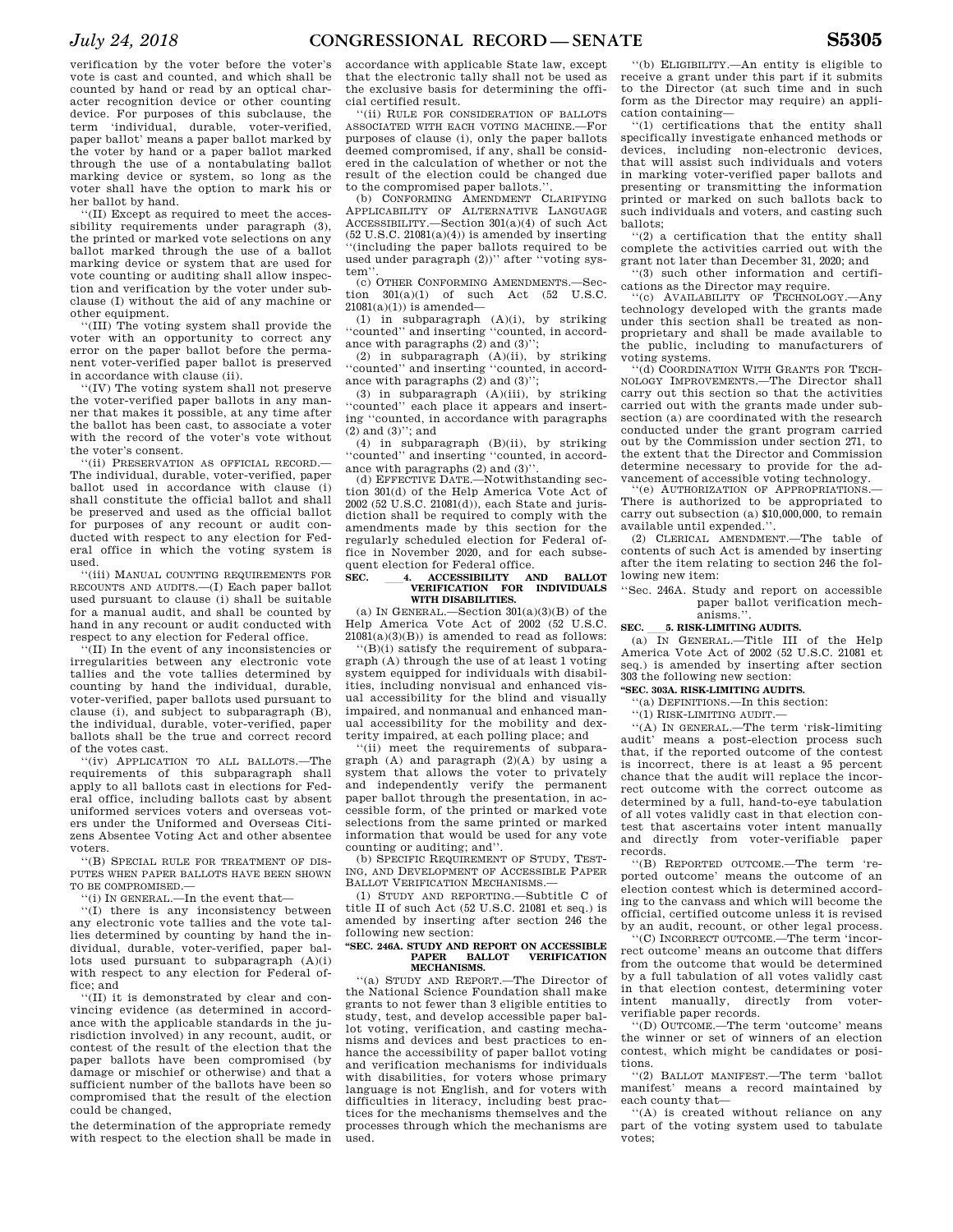verification by the voter before the voter's vote is cast and counted, and which shall be counted by hand or read by an optical character recognition device or other counting device. For purposes of this subclause, the term 'individual, durable, voter-verified, paper ballot' means a paper ballot marked by the voter by hand or a paper ballot marked through the use of a nontabulating ballot marking device or system, so long as the voter shall have the option to mark his or her ballot by hand.

''(II) Except as required to meet the accessibility requirements under paragraph (3), the printed or marked vote selections on any ballot marked through the use of a ballot marking device or system that are used for vote counting or auditing shall allow inspection and verification by the voter under subclause (I) without the aid of any machine or other equipment.

''(III) The voting system shall provide the voter with an opportunity to correct any error on the paper ballot before the permanent voter-verified paper ballot is preserved in accordance with clause (ii).

''(IV) The voting system shall not preserve the voter-verified paper ballots in any manner that makes it possible, at any time after the ballot has been cast, to associate a voter with the record of the voter's vote without the voter's consent.

''(ii) PRESERVATION AS OFFICIAL RECORD.— The individual, durable, voter-verified, paper ballot used in accordance with clause (i) shall constitute the official ballot and shall be preserved and used as the official ballot for purposes of any recount or audit conducted with respect to any election for Federal office in which the voting system is used.

''(iii) MANUAL COUNTING REQUIREMENTS FOR RECOUNTS AND AUDITS.—(I) Each paper ballot used pursuant to clause (i) shall be suitable for a manual audit, and shall be counted by hand in any recount or audit conducted with respect to any election for Federal office.

''(II) In the event of any inconsistencies or irregularities between any electronic vote tallies and the vote tallies determined by counting by hand the individual, durable, voter-verified, paper ballots used pursuant to clause (i), and subject to subparagraph (B), the individual, durable, voter-verified, paper ballots shall be the true and correct record of the votes cast.

''(iv) APPLICATION TO ALL BALLOTS.—The requirements of this subparagraph shall apply to all ballots cast in elections for Federal office, including ballots cast by absent uniformed services voters and overseas voters under the Uniformed and Overseas Citizens Absentee Voting Act and other absentee voters.

''(B) SPECIAL RULE FOR TREATMENT OF DIS-PUTES WHEN PAPER BALLOTS HAVE BEEN SHOWN TO BE COMPROMISED.—

''(i) IN GENERAL.—In the event that—

''(I) there is any inconsistency between any electronic vote tallies and the vote tallies determined by counting by hand the individual, durable, voter-verified, paper ballots used pursuant to subparagraph (A)(i) with respect to any election for Federal office; and

''(II) it is demonstrated by clear and convincing evidence (as determined in accordance with the applicable standards in the jurisdiction involved) in any recount, audit, or contest of the result of the election that the paper ballots have been compromised (by damage or mischief or otherwise) and that a sufficient number of the ballots have been so compromised that the result of the election could be changed,

the determination of the appropriate remedy with respect to the election shall be made in

accordance with applicable State law, except that the electronic tally shall not be used as the exclusive basis for determining the official certified result.

''(ii) RULE FOR CONSIDERATION OF BALLOTS ASSOCIATED WITH EACH VOTING MACHINE.—For purposes of clause (i), only the paper ballots deemed compromised, if any, shall be considered in the calculation of whether or not the result of the election could be changed due to the compromised paper ballots.'

(b) CONFORMING AMENDMENT CLARIFYING APPLICABILITY OF ALTERNATIVE LANGUAGE ACCESSIBILITY.—Section 301(a)(4) of such Act  $(52 \text{ U.S.C. } 21081(a)(4))$  is amended by inserting '(including the paper ballots required to be used under paragraph (2))'' after ''voting syst.em

(c) OTHER CONFORMING AMENDMENTS.—Section  $301(a)(1)$  of such Act  $(52 \text{ U.S.C.})$  $21081(a)(1)$ ) is amended—

(1) in subparagraph (A)(i), by striking ''counted'' and inserting ''counted, in accordance with paragraphs (2) and (3)'';

(2) in subparagraph (A)(ii), by striking ''counted'' and inserting ''counted, in accordance with paragraphs (2) and (3)'';

(3) in subparagraph (A)(iii), by striking 'counted'' each place it appears and inserting ''counted, in accordance with paragraphs (2) and (3)''; and

(4) in subparagraph (B)(ii), by striking ''counted'' and inserting ''counted, in accordance with paragraphs (2) and (3)''.

(d) EFFECTIVE DATE.—Notwithstanding section 301(d) of the Help America Vote Act of 2002 (52 U.S.C. 21081(d)), each State and jurisdiction shall be required to comply with the amendments made by this section for the regularly scheduled election for Federal office in November 2020, and for each subsequent election for Federal office.

# **SEC.** ll**4. ACCESSIBILITY AND BALLOT VERIFICATION FOR INDIVIDUALS WITH DISABILITIES.**

(a) IN GENERAL.—Section  $301(a)(3)(B)$  of the Help America Vote Act of 2002 (52 U.S.C.  $21081(a)(3)(B)$ ) is amended to read as follows:

''(B)(i) satisfy the requirement of subparagraph (A) through the use of at least 1 voting system equipped for individuals with disabilities, including nonvisual and enhanced visual accessibility for the blind and visually impaired, and nonmanual and enhanced manual accessibility for the mobility and dexterity impaired, at each polling place; and

''(ii) meet the requirements of subparagraph  $(A)$  and paragraph  $(2)(A)$  by using a system that allows the voter to privately and independently verify the permanent paper ballot through the presentation, in accessible form, of the printed or marked vote selections from the same printed or marked information that would be used for any vote counting or auditing; and''.

(b) SPECIFIC REQUIREMENT OF STUDY, TEST-ING, AND DEVELOPMENT OF ACCESSIBLE PAPER BALLOT VERIFICATION MECHANISMS.

(1) STUDY AND REPORTING.—Subtitle C of title II of such Act (52 U.S.C. 21081 et seq.) is amended by inserting after section 246 the following new section:

#### **''SEC. 246A. STUDY AND REPORT ON ACCESSIBLE VERIFICATION MECHANISMS.**

''(a) STUDY AND REPORT.—The Director of the National Science Foundation shall make grants to not fewer than 3 eligible entities to study, test, and develop accessible paper ballot voting, verification, and casting mechanisms and devices and best practices to enhance the accessibility of paper ballot voting and verification mechanisms for individuals with disabilities, for voters whose primary language is not English, and for voters with difficulties in literacy, including best practices for the mechanisms themselves and the processes through which the mechanisms are used.

''(b) ELIGIBILITY.—An entity is eligible to receive a grant under this part if it submits to the Director (at such time and in such form as the Director may require) an application containing—

''(1) certifications that the entity shall specifically investigate enhanced methods or devices, including non-electronic devices, that will assist such individuals and voters in marking voter-verified paper ballots and presenting or transmitting the information printed or marked on such ballots back to such individuals and voters, and casting such ballots;

''(2) a certification that the entity shall complete the activities carried out with the grant not later than December 31, 2020; and

''(3) such other information and certifications as the Director may require.<br>
"(c) AVAILABILITY OF TECHNOLOGY.—Any

technology developed with the grants made under this section shall be treated as nonproprietary and shall be made available to the public, including to manufacturers of voting systems.

''(d) COORDINATION WITH GRANTS FOR TECH-NOLOGY IMPROVEMENTS.—The Director shall carry out this section so that the activities carried out with the grants made under subsection (a) are coordinated with the research conducted under the grant program carried out by the Commission under section 271, to the extent that the Director and Commission determine necessary to provide for the advancement of accessible voting technology.

'(e) AUTHORIZATION OF APPROPRIATIONS. There is authorized to be appropriated to carry out subsection (a)  $$10,000,000$ , to remain available until expended.''.

(2) CLERICAL AMENDMENT.—The table of contents of such Act is amended by inserting after the item relating to section 246 the following new item:

''Sec. 246A. Study and report on accessible paper ballot verification mech-

# anisms.''.<br>5. RISK-LIMITING AUDITS.

**SEC.** 5. RISK-LIMITING AUDITS.<br>
(a) IN GENERAL.—Title III of the Help America Vote Act of 2002 (52 U.S.C. 21081 et seq.) is amended by inserting after section 303 the following new section:

#### **''SEC. 303A. RISK-LIMITING AUDITS.**

''(a) DEFINITIONS.—In this section:

''(1) RISK-LIMITING AUDIT.—

''(A) IN GENERAL.—The term 'risk-limiting means a post-election process such that, if the reported outcome of the contest is incorrect, there is at least a 95 percent chance that the audit will replace the incorrect outcome with the correct outcome as determined by a full, hand-to-eye tabulation of all votes validly cast in that election contest that ascertains voter intent manually and directly from voter-verifiable paper records.

''(B) REPORTED OUTCOME.—The term 'reported outcome' means the outcome of an election contest which is determined according to the canvass and which will become the official, certified outcome unless it is revised by an audit, recount, or other legal process.

''(C) INCORRECT OUTCOME.—The term 'incorrect outcome' means an outcome that differs from the outcome that would be determined by a full tabulation of all votes validly cast in that election contest, determining voter intent manually, directly from voterverifiable paper records.

''(D) OUTCOME.—The term 'outcome' means the winner or set of winners of an election contest, which might be candidates or positions.

''(2) BALLOT MANIFEST.—The term 'ballot manifest' means a record maintained by each county that—

''(A) is created without reliance on any part of the voting system used to tabulate votes;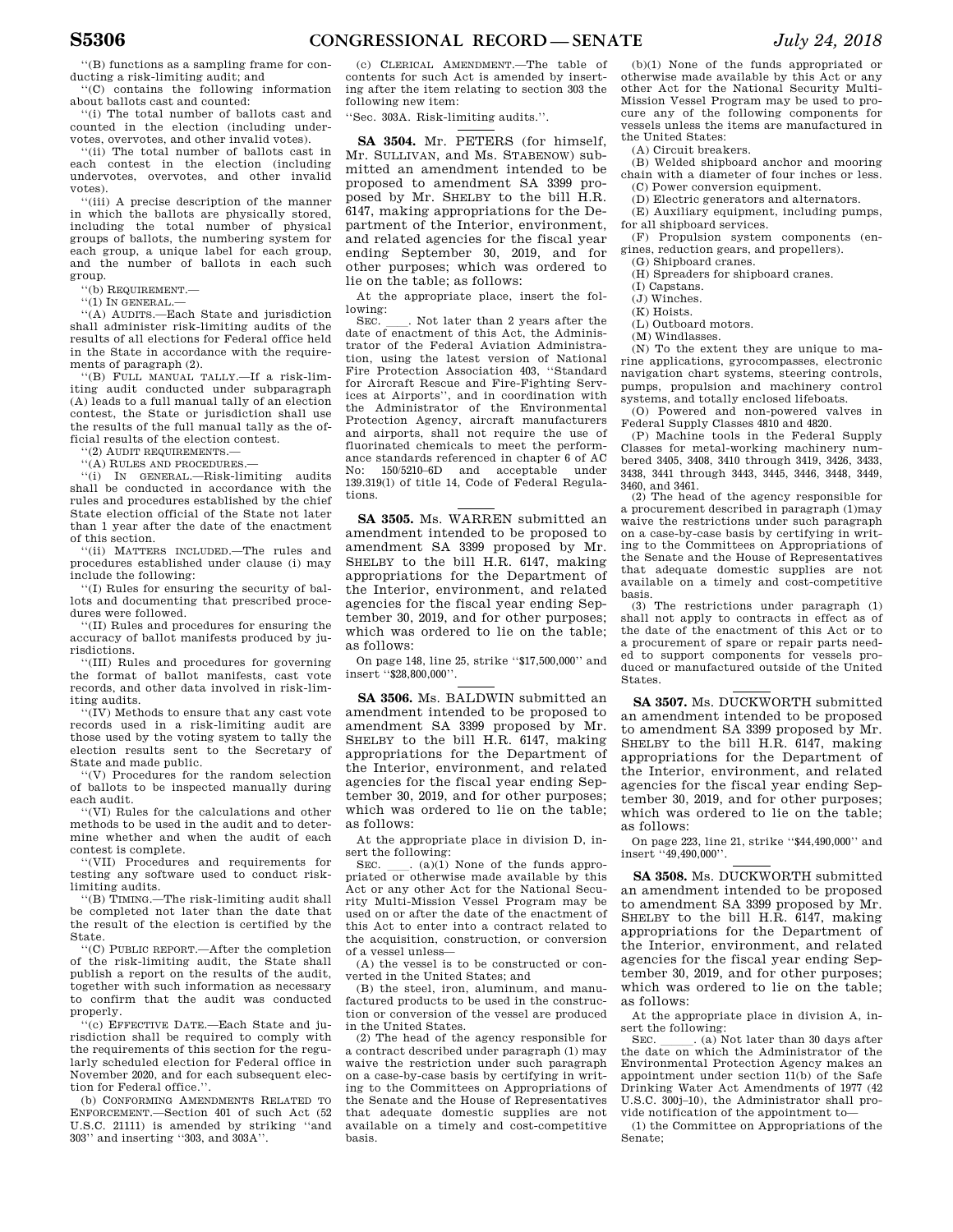''(B) functions as a sampling frame for conducting a risk-limiting audit; and

''(C) contains the following information about ballots cast and counted:

''(i) The total number of ballots cast and counted in the election (including undervotes, overvotes, and other invalid votes).

''(ii) The total number of ballots cast in each contest in the election (including undervotes, overvotes, and other invalid votes).

''(iii) A precise description of the manner in which the ballots are physically stored, including the total number of physical groups of ballots, the numbering system for each group, a unique label for each group, and the number of ballots in each such group.

''(b) REQUIREMENT.—

 $``(1)$  IN GENERAL.

''(A) AUDITS.—Each State and jurisdiction shall administer risk-limiting audits of the results of all elections for Federal office held in the State in accordance with the requirements of paragraph (2).

''(B) FULL MANUAL TALLY.—If a risk-limiting audit conducted under subparagraph (A) leads to a full manual tally of an election contest, the State or jurisdiction shall use the results of the full manual tally as the official results of the election contest.

''(2) AUDIT REQUIREMENTS.—

''(A) RULES AND PROCEDURES.— ''(i) IN GENERAL.—Risk-limiting audits shall be conducted in accordance with the rules and procedures established by the chief State election official of the State not later than 1 year after the date of the enactment of this section.

''(ii) MATTERS INCLUDED.—The rules and procedures established under clause (i) may include the following:

''(I) Rules for ensuring the security of ballots and documenting that prescribed procedures were followed.

''(II) Rules and procedures for ensuring the accuracy of ballot manifests produced by jurisdictions.

''(III) Rules and procedures for governing the format of ballot manifests, cast vote records, and other data involved in risk-limiting audits.

''(IV) Methods to ensure that any cast vote records used in a risk-limiting audit are those used by the voting system to tally the election results sent to the Secretary of State and made public.

''(V) Procedures for the random selection of ballots to be inspected manually during each audit.

''(VI) Rules for the calculations and other methods to be used in the audit and to determine whether and when the audit of each contest is complete.

''(VII) Procedures and requirements for testing any software used to conduct risklimiting audits.

''(B) TIMING.—The risk-limiting audit shall be completed not later than the date that the result of the election is certified by the State.

''(C) PUBLIC REPORT.—After the completion of the risk-limiting audit, the State shall publish a report on the results of the audit, together with such information as necessary to confirm that the audit was conducted properly.

''(c) EFFECTIVE DATE.—Each State and jurisdiction shall be required to comply with the requirements of this section for the regularly scheduled election for Federal office in November 2020, and for each subsequent election for Federal office.''.

(b) CONFORMING AMENDMENTS RELATED TO ENFORCEMENT.—Section 401 of such Act (52 U.S.C. 21111) is amended by striking ''and 303'' and inserting ''303, and 303A''.

(c) CLERICAL AMENDMENT.—The table of contents for such Act is amended by inserting after the item relating to section 303 the following new item:

''Sec. 303A. Risk-limiting audits.''.

**SA 3504.** Mr. PETERS (for himself, Mr. SULLIVAN, and Ms. STABENOW) submitted an amendment intended to be proposed to amendment SA 3399 proposed by Mr. SHELBY to the bill H.R. 6147, making appropriations for the Department of the Interior, environment, and related agencies for the fiscal year ending September 30, 2019, and for other purposes; which was ordered to lie on the table; as follows:

At the appropriate place, insert the following:

SEC. Let not later than 2 years after the date of enactment of this Act, the Administrator of the Federal Aviation Administration, using the latest version of National Fire Protection Association 403, ''Standard for Aircraft Rescue and Fire-Fighting Services at Airports'', and in coordination with the Administrator of the Environmental Protection Agency, aircraft manufacturers and airports, shall not require the use of fluorinated chemicals to meet the performance standards referenced in chapter 6 of AC No: 150/5210–6D and acceptable under 139.319(l) of title 14, Code of Federal Regulations.

**SA 3505.** Ms. WARREN submitted an amendment intended to be proposed to amendment SA 3399 proposed by Mr. SHELBY to the bill H.R. 6147, making appropriations for the Department of the Interior, environment, and related agencies for the fiscal year ending September 30, 2019, and for other purposes; which was ordered to lie on the table; as follows:

On page 148, line 25, strike ''\$17,500,000'' and insert ''\$28,800,000''.

**SA 3506.** Ms. BALDWIN submitted an amendment intended to be proposed to amendment SA 3399 proposed by Mr. SHELBY to the bill H.R. 6147, making appropriations for the Department of the Interior, environment, and related agencies for the fiscal year ending September 30, 2019, and for other purposes; which was ordered to lie on the table; as follows:

At the appropriate place in division D, insert the following:<br> $S_{EC}$  (a)(1) None of the funds appro-

SEC.  $\quad$  (a)(1) None of the funds appro-<br>priated or otherwise made available by this Act or any other Act for the National Security Multi-Mission Vessel Program may be used on or after the date of the enactment of this Act to enter into a contract related to the acquisition, construction, or conversion of a vessel unless—

(A) the vessel is to be constructed or converted in the United States; and

(B) the steel, iron, aluminum, and manufactured products to be used in the construction or conversion of the vessel are produced in the United States.

(2) The head of the agency responsible for a contract described under paragraph (1) may waive the restriction under such paragraph on a case-by-case basis by certifying in writing to the Committees on Appropriations of the Senate and the House of Representatives that adequate domestic supplies are not available on a timely and cost-competitive basis.

(b)(1) None of the funds appropriated or otherwise made available by this Act or any other Act for the National Security Multi-Mission Vessel Program may be used to procure any of the following components for vessels unless the items are manufactured in the United States:

(A) Circuit breakers.

(B) Welded shipboard anchor and mooring chain with a diameter of four inches or less. (C) Power conversion equipment.

(D) Electric generators and alternators.

(E) Auxiliary equipment, including pumps, for all shipboard services.

(F) Propulsion system components (engines, reduction gears, and propellers).

(G) Shipboard cranes.

(H) Spreaders for shipboard cranes.

(I) Capstans.

(J) Winches. (K) Hoists.

(L) Outboard motors.

(M) Windlasses.

(N) To the extent they are unique to marine applications, gyrocompasses, electronic navigation chart systems, steering controls, pumps, propulsion and machinery control systems, and totally enclosed lifeboats.

(O) Powered and non-powered valves in Federal Supply Classes 4810 and 4820.

(P) Machine tools in the Federal Supply Classes for metal-working machinery numbered 3405, 3408, 3410 through 3419, 3426, 3433, 3438, 3441 through 3443, 3445, 3446, 3448, 3449, 3460, and 3461.

(2) The head of the agency responsible for a procurement described in paragraph (1)may waive the restrictions under such paragraph on a case-by-case basis by certifying in writing to the Committees on Appropriations of the Senate and the House of Representatives that adequate domestic supplies are not available on a timely and cost-competitive basis. (3) The restrictions under paragraph (1)

shall not apply to contracts in effect as of the date of the enactment of this Act or to a procurement of spare or repair parts needed to support components for vessels produced or manufactured outside of the United States.

**SA 3507.** Ms. DUCKWORTH submitted an amendment intended to be proposed to amendment SA 3399 proposed by Mr. SHELBY to the bill H.R. 6147, making appropriations for the Department of the Interior, environment, and related agencies for the fiscal year ending September 30, 2019, and for other purposes; which was ordered to lie on the table; as follows:

On page 223, line 21, strike ''\$44,490,000'' and insert ''49,490,000''.

**SA 3508.** Ms. DUCKWORTH submitted an amendment intended to be proposed to amendment SA 3399 proposed by Mr. SHELBY to the bill H.R. 6147, making appropriations for the Department of the Interior, environment, and related agencies for the fiscal year ending September 30, 2019, and for other purposes; which was ordered to lie on the table; as follows:

At the appropriate place in division A, insert the following:<br>SEC. (a) Not later than 30 days after

SEC.  $\qquad \qquad .$  (a) Not later than 30 days after the date on which the Administrator of the Environmental Protection Agency makes an appointment under section 11(b) of the Safe Drinking Water Act Amendments of 1977 (42 U.S.C. 300j–10), the Administrator shall provide notification of the appointment to—

(1) the Committee on Appropriations of the Senate;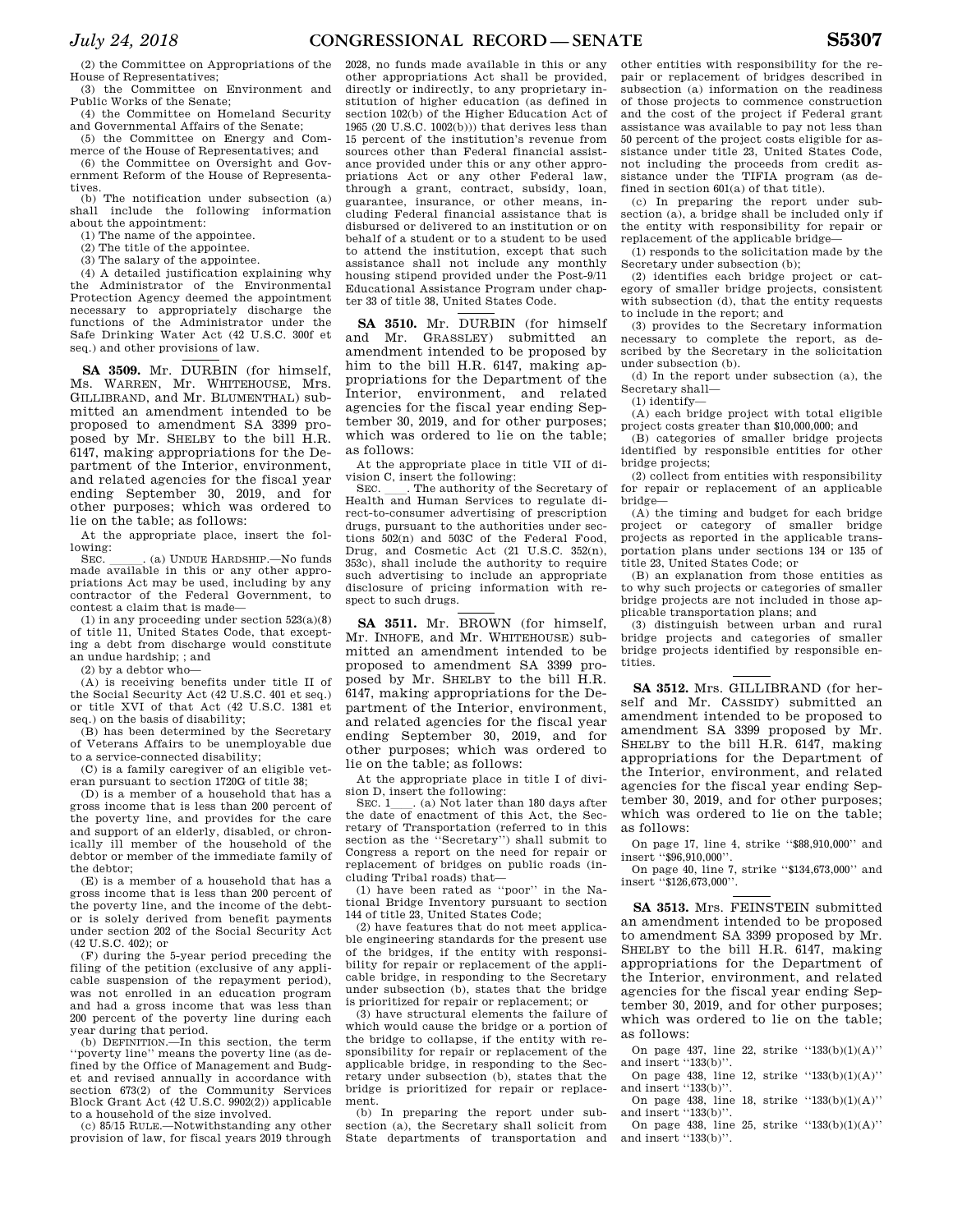(2) the Committee on Appropriations of the House of Representatives;

(3) the Committee on Environment and Public Works of the Senate;

(4) the Committee on Homeland Security and Governmental Affairs of the Senate;

(5) the Committee on Energy and Commerce of the House of Representatives; and (6) the Committee on Oversight and Gov-

ernment Reform of the House of Representatives. (b) The notification under subsection (a)

shall include the following information about the appointment:

(1) The name of the appointee.

(2) The title of the appointee.

(3) The salary of the appointee.

(4) A detailed justification explaining why the Administrator of the Environmental Protection Agency deemed the appointment necessary to appropriately discharge the functions of the Administrator under the Safe Drinking Water Act (42 U.S.C. 300f et seq.) and other provisions of law.

**SA 3509.** Mr. DURBIN (for himself, Ms. WARREN, Mr. WHITEHOUSE, Mrs. GILLIBRAND, and Mr. BLUMENTHAL) submitted an amendment intended to be proposed to amendment SA 3399 proposed by Mr. SHELBY to the bill H.R. 6147, making appropriations for the Department of the Interior, environment, and related agencies for the fiscal year ending September 30, 2019, and for other purposes; which was ordered to lie on the table; as follows:

At the appropriate place, insert the fol-

lowing:<br>SEC. SEC.  $\ldots$  (a) UNDUE HARDSHIP.—No funds made available in this or any other appropriations Act may be used, including by any contractor of the Federal Government, to contest a claim that is made—

(1) in any proceeding under section 523(a)(8) of title 11, United States Code, that excepting a debt from discharge would constitute an undue hardship; ; and

(2) by a debtor who—

(A) is receiving benefits under title II of the Social Security Act (42 U.S.C. 401 et seq.) or title XVI of that Act (42 U.S.C. 1381 et seq.) on the basis of disability;

(B) has been determined by the Secretary of Veterans Affairs to be unemployable due to a service-connected disability;

(C) is a family caregiver of an eligible veteran pursuant to section 1720G of title 38;

(D) is a member of a household that has a gross income that is less than 200 percent of the poverty line, and provides for the care and support of an elderly, disabled, or chronically ill member of the household of the debtor or member of the immediate family of the debtor;

(E) is a member of a household that has a gross income that is less than 200 percent of the poverty line, and the income of the debtor is solely derived from benefit payments under section 202 of the Social Security Act (42 U.S.C. 402); or

(F) during the 5-year period preceding the filing of the petition (exclusive of any applicable suspension of the repayment period), was not enrolled in an education program and had a gross income that was less than 200 percent of the poverty line during each year during that period.

(b) DEFINITION.—In this section, the term ''poverty line'' means the poverty line (as defined by the Office of Management and Budget and revised annually in accordance with section 673(2) of the Community Services Block Grant Act (42 U.S.C. 9902(2)) applicable to a household of the size involved.

(c) 85/15 RULE.—Notwithstanding any other provision of law, for fiscal years 2019 through 2028, no funds made available in this or any other appropriations Act shall be provided, directly or indirectly, to any proprietary institution of higher education (as defined in section 102(b) of the Higher Education Act of 1965 (20 U.S.C. 1002(b))) that derives less than 15 percent of the institution's revenue from sources other than Federal financial assistance provided under this or any other appropriations Act or any other Federal law, through a grant, contract, subsidy, loan, guarantee, insurance, or other means, including Federal financial assistance that is disbursed or delivered to an institution or on behalf of a student or to a student to be used to attend the institution, except that such assistance shall not include any monthly housing stipend provided under the Post-9/11 Educational Assistance Program under chapter 33 of title 38, United States Code.

**SA 3510.** Mr. DURBIN (for himself and Mr. GRASSLEY) submitted an amendment intended to be proposed by him to the bill H.R. 6147, making appropriations for the Department of the Interior, environment, and related agencies for the fiscal year ending September 30, 2019, and for other purposes; which was ordered to lie on the table; as follows:

At the appropriate place in title VII of division C, insert the following:<br>SEC. The authority of t

. The authority of the Secretary of Health and Human Services to regulate direct-to-consumer advertising of prescription drugs, pursuant to the authorities under sections 502(n) and 503C of the Federal Food, Drug, and Cosmetic Act (21 U.S.C. 352(n), 353c), shall include the authority to require such advertising to include an appropriate disclosure of pricing information with respect to such drugs.

**SA 3511.** Mr. BROWN (for himself, Mr. INHOFE, and Mr. WHITEHOUSE) submitted an amendment intended to be proposed to amendment SA 3399 proposed by Mr. SHELBY to the bill H.R. 6147, making appropriations for the Department of the Interior, environment, and related agencies for the fiscal year ending September 30, 2019, and for other purposes; which was ordered to lie on the table; as follows:

At the appropriate place in title I of divi-

sion D, insert the following:<br>
SEC.  $1 \_ .$  (a) Not later than 180 days after<br>
the date of enactment of this Act, the Secthe date of enactment of this Act, the Secretary of Transportation (referred to in this section as the ''Secretary'') shall submit to Congress a report on the need for repair or replacement of bridges on public roads (including Tribal roads) that—

(1) have been rated as ''poor'' in the National Bridge Inventory pursuant to section 144 of title 23, United States Code;

(2) have features that do not meet applicable engineering standards for the present use of the bridges, if the entity with responsibility for repair or replacement of the applicable bridge, in responding to the Secretary under subsection (b), states that the bridge is prioritized for repair or replacement; or

(3) have structural elements the failure of which would cause the bridge or a portion of the bridge to collapse, if the entity with responsibility for repair or replacement of the applicable bridge, in responding to the Secretary under subsection (b), states that the bridge is prioritized for repair or replacement.

(b) In preparing the report under subsection (a), the Secretary shall solicit from State departments of transportation and

other entities with responsibility for the repair or replacement of bridges described in subsection (a) information on the readiness of those projects to commence construction and the cost of the project if Federal grant assistance was available to pay not less than 50 percent of the project costs eligible for assistance under title 23, United States Code, not including the proceeds from credit assistance under the TIFIA program (as defined in section 601(a) of that title).

(c) In preparing the report under subsection (a), a bridge shall be included only if the entity with responsibility for repair or replacement of the applicable bridge—

(1) responds to the solicitation made by the Secretary under subsection (b);

(2) identifies each bridge project or category of smaller bridge projects, consistent with subsection (d), that the entity requests to include in the report; and

(3) provides to the Secretary information necessary to complete the report, as described by the Secretary in the solicitation under subsection (b).

(d) In the report under subsection (a), the Secretary shall—

(1) identify—

(A) each bridge project with total eligible project costs greater than \$10,000,000; and

(B) categories of smaller bridge projects identified by responsible entities for other bridge projects;

(2) collect from entities with responsibility for repair or replacement of an applicable bridge—

(A) the timing and budget for each bridge project or category of smaller bridge projects as reported in the applicable transportation plans under sections 134 or 135 of title 23, United States Code; or

(B) an explanation from those entities as to why such projects or categories of smaller bridge projects are not included in those applicable transportation plans; and

(3) distinguish between urban and rural bridge projects and categories of smaller bridge projects identified by responsible entities.

**SA 3512.** Mrs. GILLIBRAND (for herself and Mr. CASSIDY) submitted an amendment intended to be proposed to amendment SA 3399 proposed by Mr. SHELBY to the bill H.R. 6147, making appropriations for the Department of the Interior, environment, and related agencies for the fiscal year ending September 30, 2019, and for other purposes; which was ordered to lie on the table; as follows:

On page 17, line 4, strike ''\$88,910,000'' and insert ''\$96,910,000''.

On page 40, line 7, strike ''\$134,673,000'' and insert ''\$126,673,000''.

**SA 3513.** Mrs. FEINSTEIN submitted an amendment intended to be proposed to amendment SA 3399 proposed by Mr. SHELBY to the bill H.R. 6147, making appropriations for the Department of the Interior, environment, and related agencies for the fiscal year ending September 30, 2019, and for other purposes; which was ordered to lie on the table; as follows:

On page 437, line 22, strike ''133(b)(1)(A)'' and insert "133(b)".

On page 438, line 12, strike  $"133(b)(1)(A)"$ and insert "133(b)".

On page 438, line 18, strike ''133(b)(1)(A)'' and insert "133(b)".

On page 438, line 25, strike  $"133(b)(1)(A)"$ and insert "133(b)".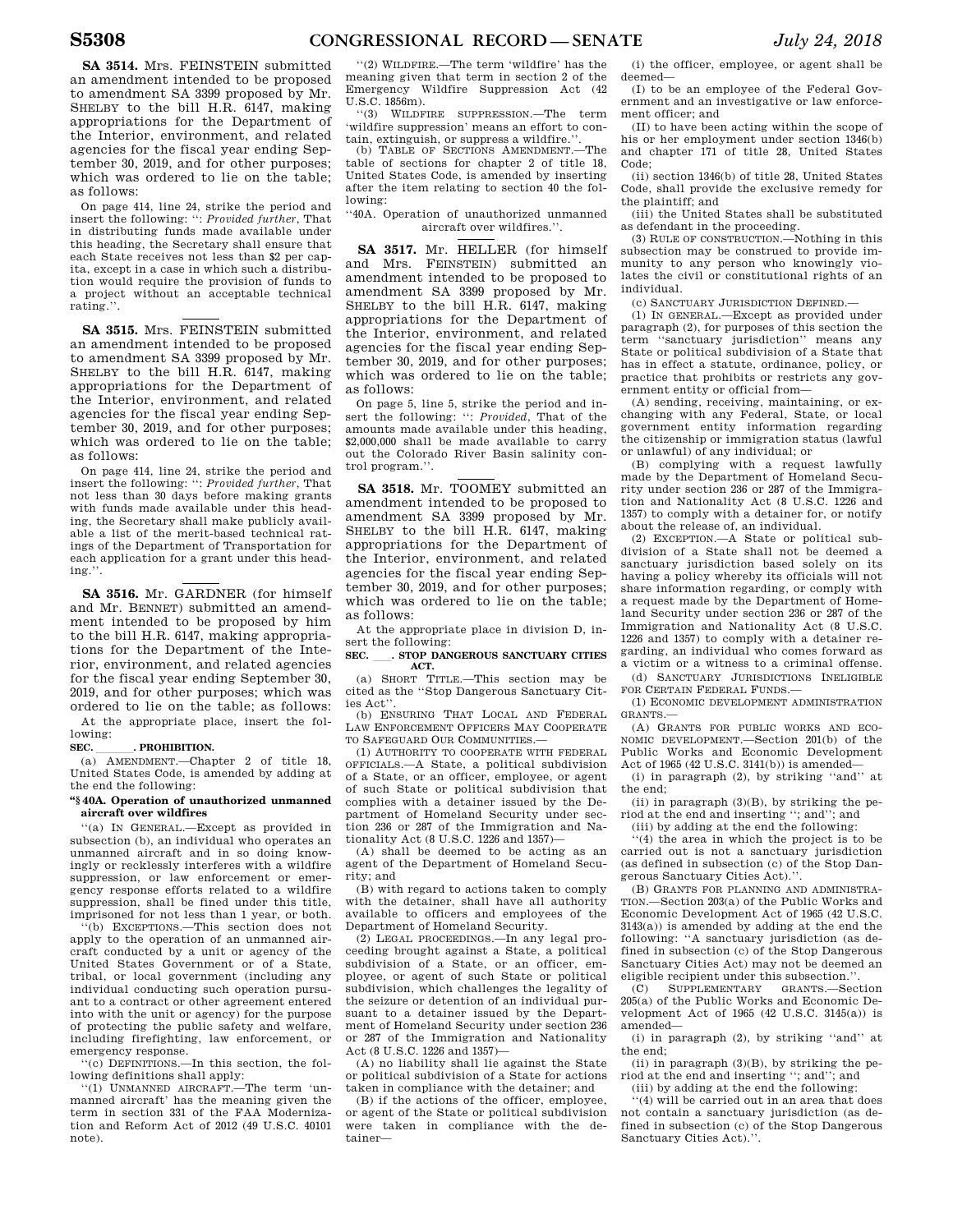On page 414, line 24, strike the period and insert the following: '': *Provided further*, That in distributing funds made available under this heading, the Secretary shall ensure that each State receives not less than \$2 per capita, except in a case in which such a distribution would require the provision of funds to a project without an acceptable technical rating.''.

**SA 3515.** Mrs. FEINSTEIN submitted an amendment intended to be proposed to amendment SA 3399 proposed by Mr. SHELBY to the bill H.R. 6147, making appropriations for the Department of the Interior, environment, and related agencies for the fiscal year ending September 30, 2019, and for other purposes; which was ordered to lie on the table; as follows:

On page 414, line 24, strike the period and insert the following: '': *Provided further*, That not less than 30 days before making grants with funds made available under this heading, the Secretary shall make publicly available a list of the merit-based technical ratings of the Department of Transportation for each application for a grant under this heading.''.

**SA 3516.** Mr. GARDNER (for himself and Mr. BENNET) submitted an amendment intended to be proposed by him to the bill H.R. 6147, making appropriations for the Department of the Interior, environment, and related agencies for the fiscal year ending September 30, 2019, and for other purposes; which was ordered to lie on the table; as follows: At the appropriate place, insert the following:

**SEC. \_\_\_\_\_\_. PROHIBITION.**<br>
(a) AMENDMENT.—Chapter 2 of title 18, United States Code, is amended by adding at the end the following:

#### **''§ 40A. Operation of unauthorized unmanned aircraft over wildfires**

''(a) IN GENERAL.—Except as provided in subsection (b), an individual who operates an unmanned aircraft and in so doing knowingly or recklessly interferes with a wildfire suppression, or law enforcement or emergency response efforts related to a wildfire suppression, shall be fined under this title, imprisoned for not less than 1 year, or both.

(b) EXCEPTIONS.—This section does not apply to the operation of an unmanned aircraft conducted by a unit or agency of the United States Government or of a State, tribal, or local government (including any individual conducting such operation pursuant to a contract or other agreement entered into with the unit or agency) for the purpose of protecting the public safety and welfare, including firefighting, law enforcement, or emergency response.

'(c) DEFINITIONS.—In this section, the following definitions shall apply:

''(1) UNMANNED AIRCRAFT.—The term 'unmanned aircraft' has the meaning given the term in section 331 of the FAA Modernization and Reform Act of 2012 (49 U.S.C. 40101 note).

''(2) WILDFIRE.—The term 'wildfire' has the meaning given that term in section 2 of the Emergency Wildfire Suppression Act (42 U.S.C. 1856m).

''(3) WILDFIRE SUPPRESSION.—The term 'wildfire suppression' means an effort to contain, extinguish, or suppress a wildfire.''.

(b) TABLE OF SECTIONS AMENDMENT.—The table of sections for chapter 2 of title 18, United States Code, is amended by inserting after the item relating to section 40 the following:

''40A. Operation of unauthorized unmanned aircraft over wildfires.''.

**SA 3517.** Mr. HELLER (for himself and Mrs. FEINSTEIN) submitted an amendment intended to be proposed to amendment SA 3399 proposed by Mr. SHELBY to the bill H.R. 6147, making appropriations for the Department of the Interior, environment, and related agencies for the fiscal year ending September 30, 2019, and for other purposes; which was ordered to lie on the table; as follows:

On page 5, line 5, strike the period and insert the following: '': *Provided*, That of the amounts made available under this heading, \$2,000,000 shall be made available to carry out the Colorado River Basin salinity control program."

**SA 3518.** Mr. TOOMEY submitted an amendment intended to be proposed to amendment SA 3399 proposed by Mr. SHELBY to the bill H.R. 6147, making appropriations for the Department of the Interior, environment, and related agencies for the fiscal year ending September 30, 2019, and for other purposes; which was ordered to lie on the table; as follows:

At the appropriate place in division D, insert the following:

**SEC.** ll**. STOP DANGEROUS SANCTUARY CITIES ACT.** 

(a) SHORT TITLE.—This section may be cited as the ''Stop Dangerous Sanctuary Cities Act<sup>'</sup>

(b) ENSURING THAT LOCAL AND FEDERAL LAW ENFORCEMENT OFFICERS MAY COOPERATE TO SAFEGUARD OUR COMMUNITIES.

(1) AUTHORITY TO COOPERATE WITH FEDERAL OFFICIALS.—A State, a political subdivision of a State, or an officer, employee, or agent of such State or political subdivision that complies with a detainer issued by the Department of Homeland Security under section 236 or 287 of the Immigration and Nationality Act (8 U.S.C. 1226 and 1357)—

(A) shall be deemed to be acting as an agent of the Department of Homeland Security; and

(B) with regard to actions taken to comply with the detainer, shall have all authority available to officers and employees of the Department of Homeland Security.

(2) LEGAL PROCEEDINGS.—In any legal proceeding brought against a State, a political subdivision of a State, or an officer, employee, or agent of such State or political subdivision, which challenges the legality of the seizure or detention of an individual pursuant to a detainer issued by the Department of Homeland Security under section 236 or 287 of the Immigration and Nationality Act (8 U.S.C. 1226 and 1357)—

(A) no liability shall lie against the State or political subdivision of a State for actions taken in compliance with the detainer; and

(B) if the actions of the officer, employee, or agent of the State or political subdivision were taken in compliance with the detainer—

(i) the officer, employee, or agent shall be deemed—

(I) to be an employee of the Federal Government and an investigative or law enforcement officer; and

(II) to have been acting within the scope of his or her employment under section 1346(b) and chapter 171 of title 28, United States Code;

(ii) section 1346(b) of title 28, United States Code, shall provide the exclusive remedy for the plaintiff; and

(iii) the United States shall be substituted as defendant in the proceeding.

(3) RULE OF CONSTRUCTION.—Nothing in this subsection may be construed to provide immunity to any person who knowingly violates the civil or constitutional rights of an individual.

(c) SANCTUARY JURISDICTION DEFINED.—

(1) IN GENERAL.—Except as provided under paragraph (2), for purposes of this section the term ''sanctuary jurisdiction'' means any State or political subdivision of a State that has in effect a statute, ordinance, policy, or practice that prohibits or restricts any government entity or official from—

(A) sending, receiving, maintaining, or exchanging with any Federal, State, or local government entity information regarding the citizenship or immigration status (lawful or unlawful) of any individual; or

(B) complying with a request lawfully made by the Department of Homeland Security under section 236 or 287 of the Immigration and Nationality Act (8 U.S.C. 1226 and 1357) to comply with a detainer for, or notify about the release of, an individual.

(2) EXCEPTION.—A State or political subdivision of a State shall not be deemed a sanctuary jurisdiction based solely on its having a policy whereby its officials will not share information regarding, or comply with a request made by the Department of Homeland Security under section 236 or 287 of the Immigration and Nationality Act (8 U.S.C. 1226 and 1357) to comply with a detainer regarding, an individual who comes forward as a victim or a witness to a criminal offense.

(d) SANCTUARY JURISDICTIONS INELIGIBLE FOR CERTAIN FEDERAL FUNDS.—

(1) ECONOMIC DEVELOPMENT ADMINISTRATION GRANTS.—

(A) GRANTS FOR PUBLIC WORKS AND ECO-NOMIC DEVELOPMENT.—Section 201(b) of the Public Works and Economic Development Act of 1965 (42 U.S.C. 3141(b)) is amended—

(i) in paragraph (2), by striking ''and'' at the end;

(ii) in paragraph (3)(B), by striking the period at the end and inserting ''; and''; and

(iii) by adding at the end the following:

''(4) the area in which the project is to be carried out is not a sanctuary jurisdiction (as defined in subsection (c) of the Stop Dangerous Sanctuary Cities Act).''.

(B) GRANTS FOR PLANNING AND ADMINISTRA-TION.—Section 203(a) of the Public Works and Economic Development Act of 1965 (42 U.S.C. 3143(a)) is amended by adding at the end the following: ''A sanctuary jurisdiction (as defined in subsection (c) of the Stop Dangerous Sanctuary Cities Act) may not be deemed an eligible recipient under this subsection.''.

(C) SUPPLEMENTARY GRANTS.—Section 205(a) of the Public Works and Economic Development Act of 1965 (42 U.S.C. 3145(a)) is amended—

(i) in paragraph (2), by striking ''and'' at the end;

(ii) in paragraph  $(3)(B)$ , by striking the period at the end and inserting ''; and''; and (iii) by adding at the end the following:

''(4) will be carried out in an area that does not contain a sanctuary jurisdiction (as defined in subsection (c) of the Stop Dangerous Sanctuary Cities Act).''.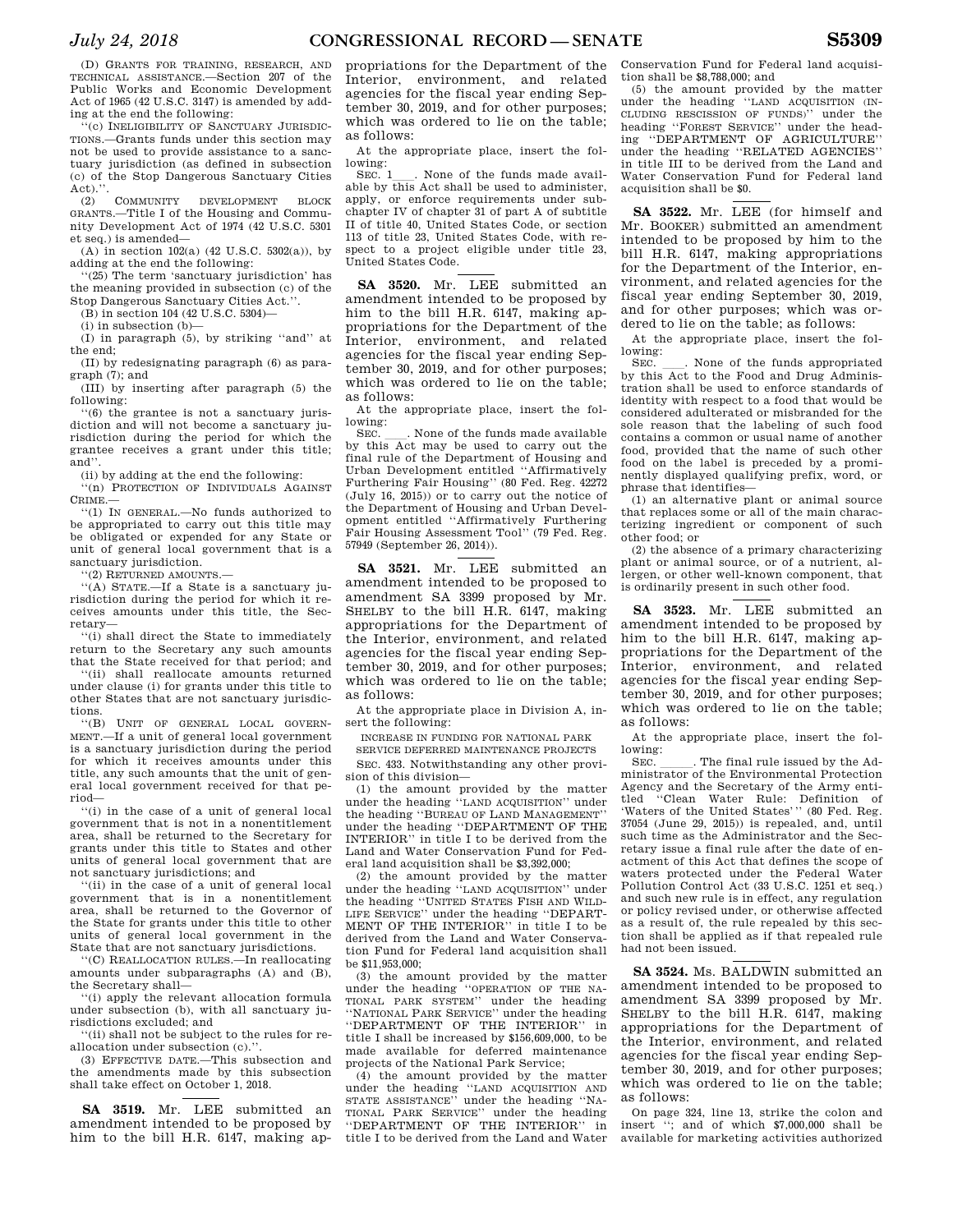(D) GRANTS FOR TRAINING, RESEARCH, AND TECHNICAL ASSISTANCE.—Section 207 of the Public Works and Economic Development Act of 1965 (42 U.S.C. 3147) is amended by adding at the end the following:

''(c) INELIGIBILITY OF SANCTUARY JURISDIC-TIONS.—Grants funds under this section may not be used to provide assistance to a sanctuary jurisdiction (as defined in subsection (c) of the Stop Dangerous Sanctuary Cities Act).''.

(2) COMMUNITY DEVELOPMENT BLOCK GRANTS.—Title I of the Housing and Community Development Act of 1974 (42 U.S.C. 5301 et seq.) is amended—

(A) in section 102(a) (42 U.S.C. 5302(a)), by adding at the end the following:

''(25) The term 'sanctuary jurisdiction' has the meaning provided in subsection (c) of the Stop Dangerous Sanctuary Cities Act.'

(B) in section 104 (42 U.S.C. 5304)—

(i) in subsection (b)—

(I) in paragraph (5), by striking ''and'' at the end;

(II) by redesignating paragraph (6) as paragraph (7); and

(III) by inserting after paragraph (5) the following:

''(6) the grantee is not a sanctuary jurisdiction and will not become a sanctuary jurisdiction during the period for which the grantee receives a grant under this title; and''.

(ii) by adding at the end the following:

''(n) PROTECTION OF INDIVIDUALS AGAINST CRIME.—

''(1) IN GENERAL.—No funds authorized to be appropriated to carry out this title may be obligated or expended for any State or unit of general local government that is a sanctuary jurisdiction.

''(2) RETURNED AMOUNTS.—

''(A) STATE.—If a State is a sanctuary jurisdiction during the period for which it receives amounts under this title, the Secretary—

''(i) shall direct the State to immediately return to the Secretary any such amounts that the State received for that period; and

''(ii) shall reallocate amounts returned under clause (i) for grants under this title to other States that are not sanctuary jurisdictions.

''(B) UNIT OF GENERAL LOCAL GOVERN-MENT.—If a unit of general local government is a sanctuary jurisdiction during the period for which it receives amounts under this title, any such amounts that the unit of general local government received for that period—

''(i) in the case of a unit of general local government that is not in a nonentitlement area, shall be returned to the Secretary for grants under this title to States and other units of general local government that are not sanctuary jurisdictions; and

''(ii) in the case of a unit of general local government that is in a nonentitlement area, shall be returned to the Governor of the State for grants under this title to other units of general local government in the State that are not sanctuary jurisdictions.

''(C) REALLOCATION RULES.—In reallocating amounts under subparagraphs (A) and (B), the Secretary shall—

''(i) apply the relevant allocation formula under subsection (b), with all sanctuary jurisdictions excluded; and

''(ii) shall not be subject to the rules for reallocation under subsection (c).''.

(3) EFFECTIVE DATE.—This subsection and the amendments made by this subsection shall take effect on October 1, 2018.

**SA 3519.** Mr. LEE submitted an amendment intended to be proposed by him to the bill H.R. 6147, making ap-

propriations for the Department of the Interior, environment, and related agencies for the fiscal year ending September 30, 2019, and for other purposes; which was ordered to lie on the table; as follows:

At the appropriate place, insert the following:

SEC. 1<sub>1</sub>. None of the funds made available by this Act shall be used to administer, apply, or enforce requirements under subchapter IV of chapter 31 of part A of subtitle II of title 40, United States Code, or section 113 of title 23, United States Code, with respect to a project eligible under title 23, United States Code.

**SA 3520.** Mr. LEE submitted an amendment intended to be proposed by him to the bill H.R. 6147, making appropriations for the Department of the Interior, environment, and related agencies for the fiscal year ending September 30, 2019, and for other purposes; which was ordered to lie on the table; as follows:

At the appropriate place, insert the following:<br>SEC

SEC.  $\Box$ . None of the funds made available by this Act may be used to carry out the final rule of the Department of Housing and Urban Development entitled ''Affirmatively Furthering Fair Housing'' (80 Fed. Reg. 42272 (July 16, 2015)) or to carry out the notice of the Department of Housing and Urban Development entitled ''Affirmatively Furthering Fair Housing Assessment Tool'' (79 Fed. Reg. 57949 (September 26, 2014)).

**SA 3521.** Mr. LEE submitted an amendment intended to be proposed to amendment SA 3399 proposed by Mr. SHELBY to the bill H.R. 6147, making appropriations for the Department of the Interior, environment, and related agencies for the fiscal year ending September 30, 2019, and for other purposes; which was ordered to lie on the table; as follows:

At the appropriate place in Division A, insert the following:

INCREASE IN FUNDING FOR NATIONAL PARK

SERVICE DEFERRED MAINTENANCE PROJECTS SEC. 433. Notwithstanding any other provision of this division—

(1) the amount provided by the matter under the heading ''LAND ACQUISITION'' under the heading ''BUREAU OF LAND MANAGEMENT'' under the heading ''DEPARTMENT OF THE INTERIOR'' in title I to be derived from the Land and Water Conservation Fund for Federal land acquisition shall be \$3,392,000;

(2) the amount provided by the matter under the heading ''LAND ACQUISITION'' under the heading ''UNITED STATES FISH AND WILD-LIFE SERVICE'' under the heading ''DEPART-MENT OF THE INTERIOR'' in title I to be derived from the Land and Water Conservation Fund for Federal land acquisition shall be \$11,953,000;

(3) the amount provided by the matter under the heading ''OPERATION OF THE NA-TIONAL PARK SYSTEM'' under the heading ''NATIONAL PARK SERVICE'' under the heading ''DEPARTMENT OF THE INTERIOR'' in title I shall be increased by \$156,609,000, to be made available for deferred maintenance projects of the National Park Service;

(4) the amount provided by the matter under the heading ''LAND ACQUISITION AND STATE ASSISTANCE'' under the heading ''NA-TIONAL PARK SERVICE'' under the heading ''DEPARTMENT OF THE INTERIOR'' in title I to be derived from the Land and Water

Conservation Fund for Federal land acquisition shall be \$8,788,000; and

(5) the amount provided by the matter under the heading ''LAND ACQUISITION (IN-CLUDING RESCISSION OF FUNDS)'' under the heading ''FOREST SERVICE'' under the heading ''DEPARTMENT OF AGRICULTURE'' under the heading "RELATED AGENCIES" in title III to be derived from the Land and Water Conservation Fund for Federal land acquisition shall be \$0.

**SA 3522.** Mr. LEE (for himself and Mr. BOOKER) submitted an amendment intended to be proposed by him to the bill H.R. 6147, making appropriations for the Department of the Interior, environment, and related agencies for the fiscal year ending September 30, 2019, and for other purposes; which was ordered to lie on the table; as follows:

At the appropriate place, insert the following:

SEC.  $\quad$  None of the funds appropriated by this Act to the Food and Drug Administration shall be used to enforce standards of identity with respect to a food that would be considered adulterated or misbranded for the sole reason that the labeling of such food contains a common or usual name of another food, provided that the name of such other food on the label is preceded by a prominently displayed qualifying prefix, word, or phrase that identifies—

(1) an alternative plant or animal source that replaces some or all of the main characterizing ingredient or component of such other food; or

(2) the absence of a primary characterizing plant or animal source, or of a nutrient, allergen, or other well-known component, that is ordinarily present in such other food.

**SA 3523.** Mr. LEE submitted an amendment intended to be proposed by him to the bill H.R. 6147, making appropriations for the Department of the Interior, environment, and related agencies for the fiscal year ending September 30, 2019, and for other purposes; which was ordered to lie on the table; as follows:

At the appropriate place, insert the following:

SEC.  $\quad$ . The final rule issued by the Ad-<br>ministrator of the Environmental Protection Agency and the Secretary of the Army entitled ''Clean Water Rule: Definition of 'Waters of the United States''' (80 Fed. Reg. 37054 (June 29, 2015)) is repealed, and, until such time as the Administrator and the Secretary issue a final rule after the date of enactment of this Act that defines the scope of waters protected under the Federal Water Pollution Control Act (33 U.S.C. 1251 et seq.) and such new rule is in effect, any regulation or policy revised under, or otherwise affected as a result of, the rule repealed by this section shall be applied as if that repealed rule had not been issued.

**SA 3524.** Ms. BALDWIN submitted an amendment intended to be proposed to amendment SA 3399 proposed by Mr. SHELBY to the bill H.R. 6147, making appropriations for the Department of the Interior, environment, and related agencies for the fiscal year ending September 30, 2019, and for other purposes; which was ordered to lie on the table; as follows:

On page 324, line 13, strike the colon and insert ''; and of which \$7,000,000 shall be available for marketing activities authorized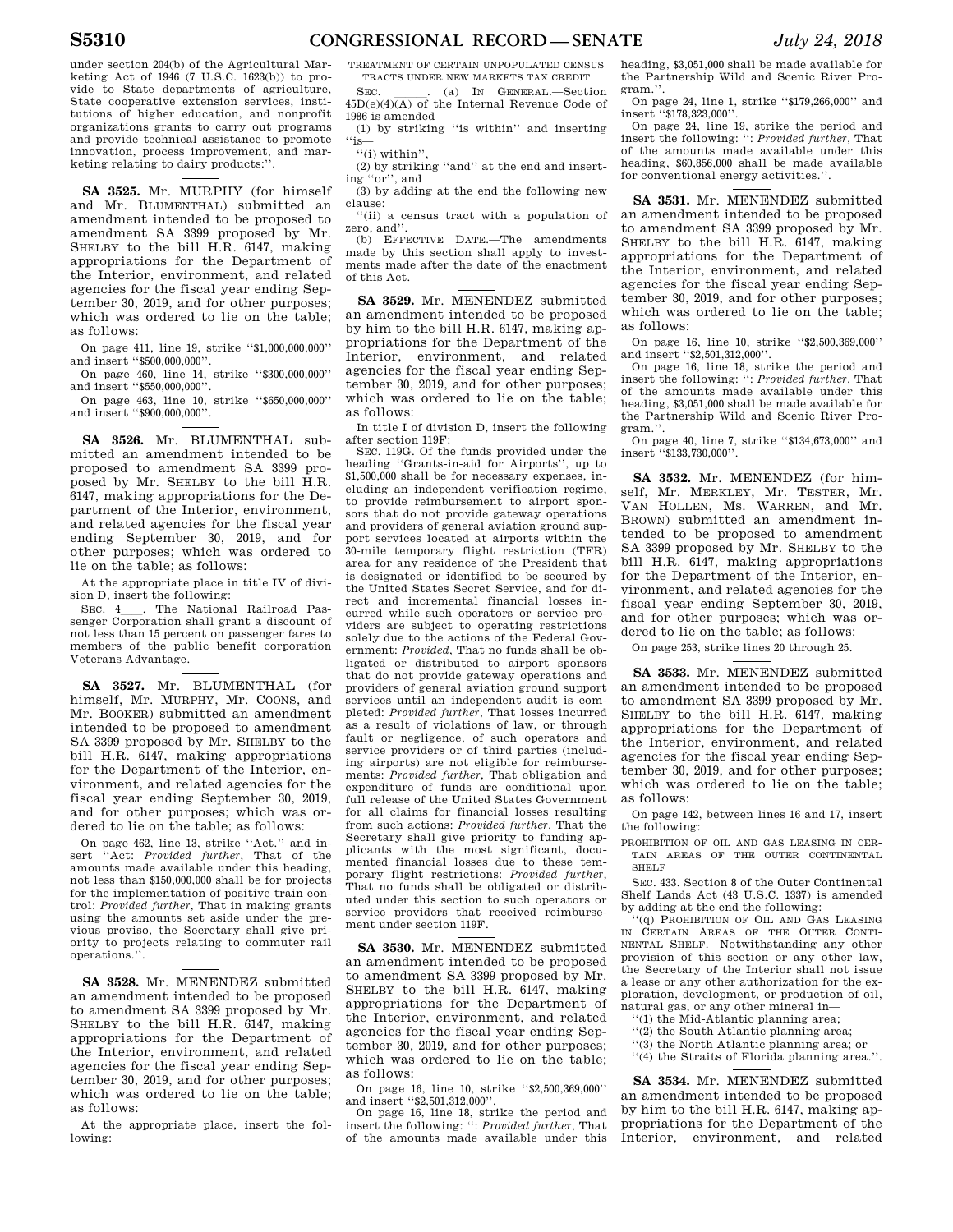under section 204(b) of the Agricultural Marketing Act of 1946 (7 U.S.C. 1623(b)) to provide to State departments of agriculture, State cooperative extension services, institutions of higher education, and nonprofit organizations grants to carry out programs and provide technical assistance to promote innovation, process improvement, and marketing relating to dairy products:''.

**SA 3525.** Mr. MURPHY (for himself and Mr. BLUMENTHAL) submitted an amendment intended to be proposed to amendment SA 3399 proposed by Mr. SHELBY to the bill H.R. 6147, making appropriations for the Department of the Interior, environment, and related agencies for the fiscal year ending September 30, 2019, and for other purposes; which was ordered to lie on the table; as follows:

On page 411, line 19, strike ''\$1,000,000,000'' and insert ''\$500,000,000''.

On page 460, line 14, strike ''\$300,000,000'' and insert ''\$550,000,000''.

On page 463, line 10, strike ''\$650,000,000'' and insert ''\$900,000,000''.

**SA 3526.** Mr. BLUMENTHAL submitted an amendment intended to be proposed to amendment SA 3399 proposed by Mr. SHELBY to the bill H.R. 6147, making appropriations for the Department of the Interior, environment, and related agencies for the fiscal year ending September 30, 2019, and for other purposes; which was ordered to lie on the table; as follows:

At the appropriate place in title IV of division D, insert the following:<br>SEC. 4 . The National Railroad Pas-

SEC. 4<sub>l</sub> The National Railroad Passenger Corporation shall grant a discount of not less than 15 percent on passenger fares to members of the public benefit corporation Veterans Advantage.

**SA 3527.** Mr. BLUMENTHAL (for himself, Mr. MURPHY, Mr. COONS, and Mr. BOOKER) submitted an amendment intended to be proposed to amendment SA 3399 proposed by Mr. SHELBY to the bill H.R. 6147, making appropriations for the Department of the Interior, environment, and related agencies for the fiscal year ending September 30, 2019, and for other purposes; which was ordered to lie on the table; as follows:

On page 462, line 13, strike ''Act.'' and insert ''Act: *Provided further*, That of the amounts made available under this heading, not less than \$150,000,000 shall be for projects for the implementation of positive train control: *Provided further*, That in making grants using the amounts set aside under the previous proviso, the Secretary shall give priority to projects relating to commuter rail operations.''.

**SA 3528.** Mr. MENENDEZ submitted an amendment intended to be proposed to amendment SA 3399 proposed by Mr. SHELBY to the bill H.R. 6147, making appropriations for the Department of the Interior, environment, and related agencies for the fiscal year ending September 30, 2019, and for other purposes; which was ordered to lie on the table; as follows:

At the appropriate place, insert the following:

TREATMENT OF CERTAIN UNPOPULATED CENSUS TRACTS UNDER NEW MARKETS TAX CREDIT

SEC.  $\qquad \qquad$  (a) IN GENERAL.—Section 45D(e)(4)(A) of the Internal Revenue Code of 1986 is amended—

(1) by striking ''is within'' and inserting ''is—

''(i) within'',

(2) by striking ''and'' at the end and inserting ''or'', and

(3) by adding at the end the following new clause:

''(ii) a census tract with a population of zero, and''.

(b) EFFECTIVE DATE.—The amendments made by this section shall apply to investments made after the date of the enactment of this Act.

**SA 3529.** Mr. MENENDEZ submitted an amendment intended to be proposed by him to the bill H.R. 6147, making appropriations for the Department of the Interior, environment, and related agencies for the fiscal year ending September 30, 2019, and for other purposes; which was ordered to lie on the table; as follows:

In title I of division D, insert the following after section 119F:

SEC. 119G. Of the funds provided under the heading ''Grants-in-aid for Airports'', up to \$1,500,000 shall be for necessary expenses, including an independent verification regime, to provide reimbursement to airport sponsors that do not provide gateway operations and providers of general aviation ground support services located at airports within the 30-mile temporary flight restriction (TFR) area for any residence of the President that is designated or identified to be secured by the United States Secret Service, and for direct and incremental financial losses incurred while such operators or service providers are subject to operating restrictions solely due to the actions of the Federal Government: *Provided*, That no funds shall be obligated or distributed to airport sponsors that do not provide gateway operations and providers of general aviation ground support services until an independent audit is completed: *Provided further*, That losses incurred as a result of violations of law, or through fault or negligence, of such operators and service providers or of third parties (including airports) are not eligible for reimbursements: *Provided further*, That obligation and expenditure of funds are conditional upon full release of the United States Government for all claims for financial losses resulting from such actions: *Provided further*, That the Secretary shall give priority to funding applicants with the most significant, documented financial losses due to these temporary flight restrictions: *Provided further*, That no funds shall be obligated or distributed under this section to such operators or service providers that received reimbursement under section 119F.

**SA 3530.** Mr. MENENDEZ submitted an amendment intended to be proposed to amendment SA 3399 proposed by Mr. SHELBY to the bill H.R. 6147, making appropriations for the Department of the Interior, environment, and related agencies for the fiscal year ending September 30, 2019, and for other purposes; which was ordered to lie on the table; as follows:

On page 16, line 10, strike ''\$2,500,369,000'' and insert "\$2,501,312,000"

On page 16, line 18, strike the period and insert the following: '': *Provided further*, That of the amounts made available under this heading, \$3,051,000 shall be made available for the Partnership Wild and Scenic River Program.''.

On page 24, line 1, strike ''\$179,266,000'' and insert "\$178,323,000"

On page 24, line 19, strike the period and insert the following: '': *Provided further*, That of the amounts made available under this heading, \$60,856,000 shall be made available for conventional energy activities.''.

**SA 3531.** Mr. MENENDEZ submitted an amendment intended to be proposed to amendment SA 3399 proposed by Mr. SHELBY to the bill H.R. 6147, making appropriations for the Department of the Interior, environment, and related agencies for the fiscal year ending September 30, 2019, and for other purposes; which was ordered to lie on the table; as follows:

On page 16, line 10, strike ''\$2,500,369,000'' and insert ''\$2,501,312,000''.

On page 16, line 18, strike the period and insert the following: '': *Provided further*, That of the amounts made available under this heading, \$3,051,000 shall be made available for the Partnership Wild and Scenic River Program.''.

On page 40, line 7, strike ''\$134,673,000'' and insert ''\$133,730,000''.

**SA 3532.** Mr. MENENDEZ (for himself, Mr. MERKLEY, Mr. TESTER, Mr. VAN HOLLEN, Ms. WARREN, and Mr. BROWN) submitted an amendment intended to be proposed to amendment SA 3399 proposed by Mr. SHELBY to the bill H.R. 6147, making appropriations for the Department of the Interior, environment, and related agencies for the fiscal year ending September 30, 2019, and for other purposes; which was ordered to lie on the table; as follows:

On page 253, strike lines 20 through 25.

**SA 3533.** Mr. MENENDEZ submitted an amendment intended to be proposed to amendment SA 3399 proposed by Mr. SHELBY to the bill H.R. 6147, making appropriations for the Department of the Interior, environment, and related agencies for the fiscal year ending September 30, 2019, and for other purposes; which was ordered to lie on the table; as follows:

On page 142, between lines 16 and 17, insert the following:

PROHIBITION OF OIL AND GAS LEASING IN CER-TAIN AREAS OF THE OUTER CONTINENTAL SHELF

SEC. 433. Section 8 of the Outer Continental Shelf Lands Act (43 U.S.C. 1337) is amended by adding at the end the following:

'(q) PROHIBITION OF OIL AND GAS LEASING IN CERTAIN AREAS OF THE OUTER CONTI-NENTAL SHELF.—Notwithstanding any other provision of this section or any other law, the Secretary of the Interior shall not issue a lease or any other authorization for the exploration, development, or production of oil, natural gas, or any other mineral in—

- ''(1) the Mid-Atlantic planning area;
- ''(2) the South Atlantic planning area;
- ''(3) the North Atlantic planning area; or
- ''(4) the Straits of Florida planning area.''.

**SA 3534.** Mr. MENENDEZ submitted an amendment intended to be proposed by him to the bill H.R. 6147, making appropriations for the Department of the Interior, environment, and related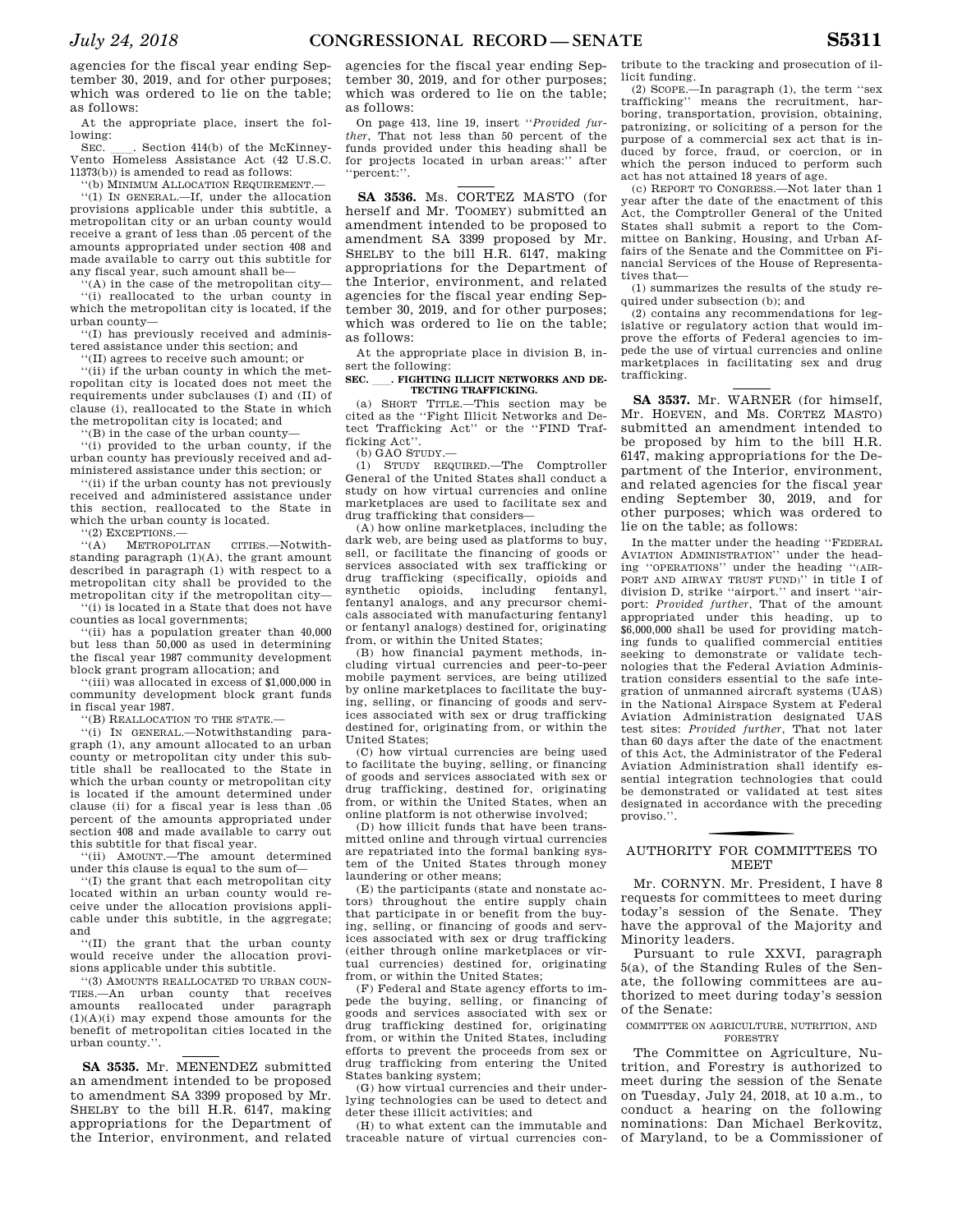agencies for the fiscal year ending September 30, 2019, and for other purposes; which was ordered to lie on the table; as follows:

At the appropriate place, insert the following:<br>SEC.

SEC. Le. Section 414(b) of the McKinney-Vento Homeless Assistance Act (42 U.S.C. 11373(b)) is amended to read as follows:

''(b) MINIMUM ALLOCATION REQUIREMENT.—

''(1) IN GENERAL.—If, under the allocation provisions applicable under this subtitle, a metropolitan city or an urban county would receive a grant of less than .05 percent of the amounts appropriated under section 408 and made available to carry out this subtitle for any fiscal year, such amount shall be—

 $f(A)$  in the case of the metropolitan city—

''(i) reallocated to the urban county in which the metropolitan city is located, if the urban county—

''(I) has previously received and administered assistance under this section; and

''(II) agrees to receive such amount; or

''(ii) if the urban county in which the metropolitan city is located does not meet the requirements under subclauses (I) and (II) of clause (i), reallocated to the State in which the metropolitan city is located; and

''(B) in the case of the urban county—

''(i) provided to the urban county, if the urban county has previously received and administered assistance under this section; or

''(ii) if the urban county has not previously received and administered assistance under this section, reallocated to the State in which the urban county is located.

''(2) EXCEPTIONS.—

''(A) METROPOLITAN CITIES.—Notwithstanding paragraph (1)(A), the grant amount described in paragraph (1) with respect to a metropolitan city shall be provided to the metropolitan city if the metropolitan city—

''(i) is located in a State that does not have counties as local governments;

''(ii) has a population greater than 40,000 but less than 50,000 as used in determining the fiscal year 1987 community development block grant program allocation; and

''(iii) was allocated in excess of \$1,000,000 in community development block grant funds in fiscal year 1987.

''(B) REALLOCATION TO THE STATE.—

''(i) IN GENERAL.—Notwithstanding paragraph (1), any amount allocated to an urban county or metropolitan city under this subtitle shall be reallocated to the State in which the urban county or metropolitan city is located if the amount determined under clause (ii) for a fiscal year is less than .05 percent of the amounts appropriated under section 408 and made available to carry out this subtitle for that fiscal year.

''(ii) AMOUNT.—The amount determined under this clause is equal to the sum of—

''(I) the grant that each metropolitan city located within an urban county would receive under the allocation provisions applicable under this subtitle, in the aggregate; and

''(II) the grant that the urban county would receive under the allocation provisions applicable under this subtitle.

''(3) AMOUNTS REALLOCATED TO URBAN COUN-TIES.—An urban county that receives amounts reallocated under paragraph  $(1)(A)(i)$  may expend those amounts for the benefit of metropolitan cities located in the urban county.''.

**SA 3535.** Mr. MENENDEZ submitted an amendment intended to be proposed to amendment SA 3399 proposed by Mr. SHELBY to the bill H.R. 6147, making appropriations for the Department of the Interior, environment, and related

agencies for the fiscal year ending September 30, 2019, and for other purposes; which was ordered to lie on the table; as follows:

On page 413, line 19, insert ''*Provided further*, That not less than 50 percent of the funds provided under this heading shall be for projects located in urban areas:'' after ''percent:''.

**SA 3536.** Ms. CORTEZ MASTO (for herself and Mr. TOOMEY) submitted an amendment intended to be proposed to amendment SA 3399 proposed by Mr. SHELBY to the bill H.R. 6147, making appropriations for the Department of the Interior, environment, and related agencies for the fiscal year ending September 30, 2019, and for other purposes; which was ordered to lie on the table; as follows:

At the appropriate place in division B, insert the following:

# SEC. \_\_\_. FIGHTING ILLICIT NETWORKS AND DE-**TECTING TRAFFICKING.**

(a) SHORT TITLE.—This section may be cited as the ''Fight Illicit Networks and Detect Trafficking Act'' or the ''FIND Trafficking Act''.

(b) GAO STUDY.—

(1) STUDY REQUIRED.—The Comptroller General of the United States shall conduct a study on how virtual currencies and online marketplaces are used to facilitate sex and drug trafficking that considers—

(A) how online marketplaces, including the dark web, are being used as platforms to buy, sell, or facilitate the financing of goods or services associated with sex trafficking or drug trafficking (specifically, opioids and synthetic opioids, including fentanyl, fentanyl analogs, and any precursor chemicals associated with manufacturing fentanyl or fentanyl analogs) destined for, originating from, or within the United States;

(B) how financial payment methods, including virtual currencies and peer-to-peer mobile payment services, are being utilized by online marketplaces to facilitate the buying, selling, or financing of goods and services associated with sex or drug trafficking destined for, originating from, or within the United States;

(C) how virtual currencies are being used to facilitate the buying, selling, or financing of goods and services associated with sex or drug trafficking, destined for, originating from, or within the United States, when an online platform is not otherwise involved;

(D) how illicit funds that have been transmitted online and through virtual currencies are repatriated into the formal banking system of the United States through money laundering or other means;

(E) the participants (state and nonstate actors) throughout the entire supply chain that participate in or benefit from the buying, selling, or financing of goods and services associated with sex or drug trafficking (either through online marketplaces or virtual currencies) destined for, originating from, or within the United States;

(F) Federal and State agency efforts to impede the buying, selling, or financing of goods and services associated with sex or drug trafficking destined for, originating from, or within the United States, including efforts to prevent the proceeds from sex or drug trafficking from entering the United States banking system;

(G) how virtual currencies and their underlying technologies can be used to detect and deter these illicit activities; and

(H) to what extent can the immutable and traceable nature of virtual currencies con-

tribute to the tracking and prosecution of illicit funding.

(2) SCOPE.—In paragraph (1), the term ''sex trafficking'' means the recruitment, harboring, transportation, provision, obtaining, patronizing, or soliciting of a person for the purpose of a commercial sex act that is induced by force, fraud, or coercion, or in which the person induced to perform such act has not attained 18 years of age.

(c) REPORT TO CONGRESS.—Not later than 1 year after the date of the enactment of this Act, the Comptroller General of the United States shall submit a report to the Committee on Banking, Housing, and Urban Affairs of the Senate and the Committee on Financial Services of the House of Representatives that—

(1) summarizes the results of the study required under subsection (b); and

(2) contains any recommendations for legislative or regulatory action that would improve the efforts of Federal agencies to impede the use of virtual currencies and online marketplaces in facilitating sex and drug trafficking.

**SA 3537.** Mr. WARNER (for himself, Mr. HOEVEN, and Ms. CORTEZ MASTO) submitted an amendment intended to be proposed by him to the bill H.R. 6147, making appropriations for the Department of the Interior, environment, and related agencies for the fiscal year ending September 30, 2019, and for other purposes; which was ordered to lie on the table; as follows:

In the matter under the heading ''FEDERAL AVIATION ADMINISTRATION'' under the heading ''OPERATIONS'' under the heading ''(AIR-PORT AND AIRWAY TRUST FUND)'' in title I of division D, strike ''airport.'' and insert ''airport: *Provided further*, That of the amount appropriated under this heading, up to \$6,000,000 shall be used for providing matching funds to qualified commercial entities seeking to demonstrate or validate technologies that the Federal Aviation Administration considers essential to the safe integration of unmanned aircraft systems (UAS) in the National Airspace System at Federal Aviation Administration designated UAS test sites: *Provided further*, That not later than 60 days after the date of the enactment of this Act, the Administrator of the Federal Aviation Administration shall identify essential integration technologies that could be demonstrated or validated at test sites designated in accordance with the preceding proviso.''.

# f AUTHORITY FOR COMMITTEES TO **MEET**

Mr. CORNYN. Mr. President, I have 8 requests for committees to meet during today's session of the Senate. They have the approval of the Majority and Minority leaders.

Pursuant to rule XXVI, paragraph 5(a), of the Standing Rules of the Senate, the following committees are authorized to meet during today's session of the Senate:

## COMMITTEE ON AGRICULTURE, NUTRITION, AND FORESTRY

The Committee on Agriculture, Nutrition, and Forestry is authorized to meet during the session of the Senate on Tuesday, July 24, 2018, at 10 a.m., to conduct a hearing on the following nominations: Dan Michael Berkovitz, of Maryland, to be a Commissioner of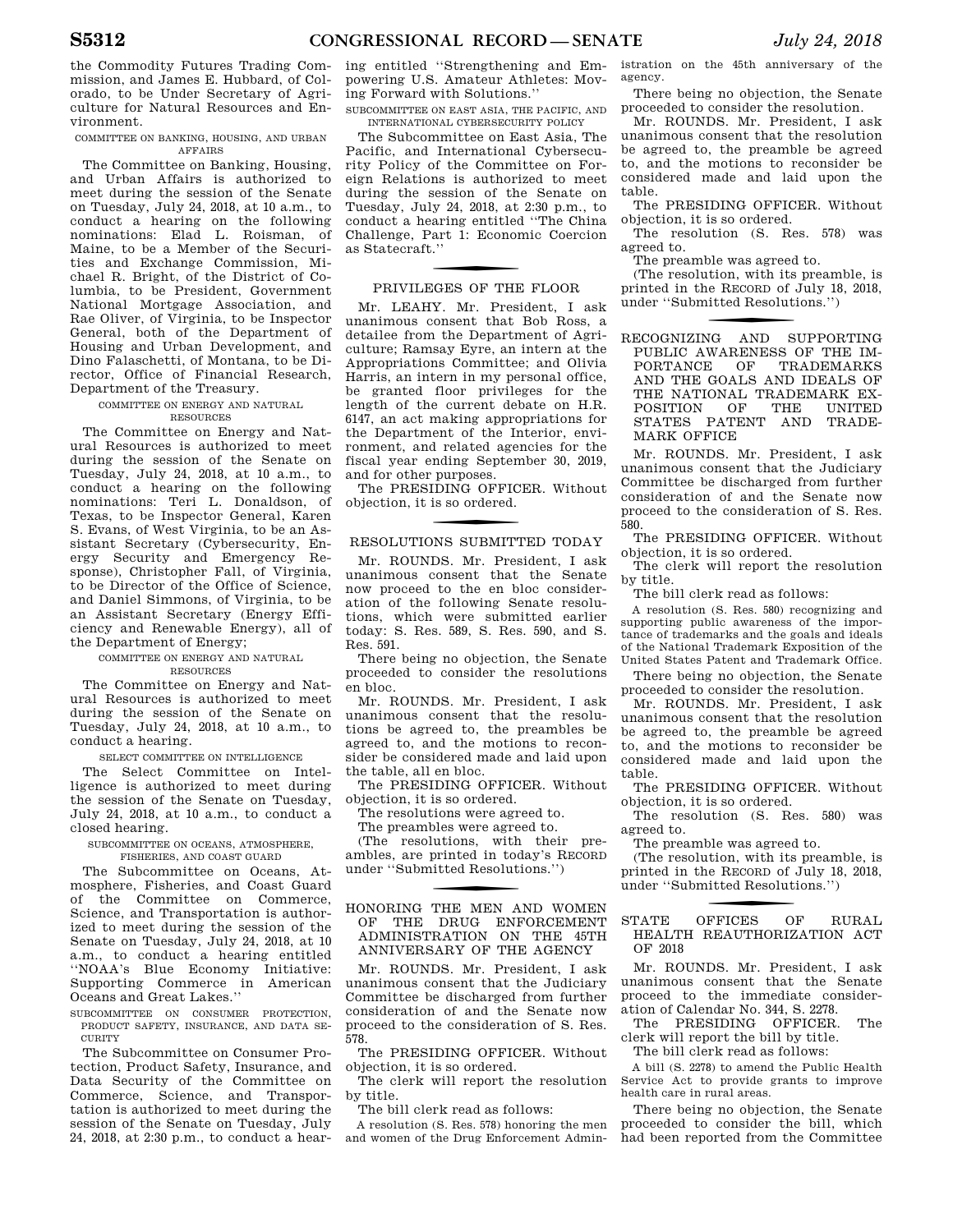the Commodity Futures Trading Commission, and James E. Hubbard, of Colorado, to be Under Secretary of Agriculture for Natural Resources and Environment.

COMMITTEE ON BANKING, HOUSING, AND URBAN AFFAIRS

The Committee on Banking, Housing, and Urban Affairs is authorized to meet during the session of the Senate on Tuesday, July 24, 2018, at 10 a.m., to conduct a hearing on the following nominations: Elad L. Roisman, of Maine, to be a Member of the Securities and Exchange Commission, Michael R. Bright, of the District of Columbia, to be President, Government National Mortgage Association, and Rae Oliver, of Virginia, to be Inspector General, both of the Department of Housing and Urban Development, and Dino Falaschetti, of Montana, to be Director, Office of Financial Research, Department of the Treasury.

#### COMMITTEE ON ENERGY AND NATURAL **RESOURCES**

The Committee on Energy and Natural Resources is authorized to meet during the session of the Senate on Tuesday, July 24, 2018, at 10 a.m., to conduct a hearing on the following nominations: Teri L. Donaldson, of Texas, to be Inspector General, Karen S. Evans, of West Virginia, to be an Assistant Secretary (Cybersecurity, Energy Security and Emergency Response), Christopher Fall, of Virginia, to be Director of the Office of Science, and Daniel Simmons, of Virginia, to be an Assistant Secretary (Energy Efficiency and Renewable Energy), all of the Department of Energy;

## COMMITTEE ON ENERGY AND NATURAL RESOURCES

The Committee on Energy and Natural Resources is authorized to meet during the session of the Senate on Tuesday, July 24, 2018, at 10 a.m., to conduct a hearing.

# SELECT COMMITTEE ON INTELLIGENCE

The Select Committee on Intelligence is authorized to meet during the session of the Senate on Tuesday, July 24, 2018, at 10 a.m., to conduct a closed hearing.

SUBCOMMITTEE ON OCEANS, ATMOSPHERE, FISHERIES, AND COAST GUARD

The Subcommittee on Oceans, Atmosphere, Fisheries, and Coast Guard of the Committee on Commerce, Science, and Transportation is authorized to meet during the session of the Senate on Tuesday, July 24, 2018, at 10 a.m., to conduct a hearing entitled ''NOAA's Blue Economy Initiative: Supporting Commerce in American Oceans and Great Lakes.''

SUBCOMMITTEE ON CONSUMER PROTECTION, PRODUCT SAFETY, INSURANCE, AND DATA SE-**CURITY** 

The Subcommittee on Consumer Protection, Product Safety, Insurance, and Data Security of the Committee on Commerce, Science, and Transportation is authorized to meet during the session of the Senate on Tuesday, July 24, 2018, at 2:30 p.m., to conduct a hearing entitled ''Strengthening and Empowering U.S. Amateur Athletes: Moving Forward with Solutions.''

SUBCOMMITTEE ON EAST ASIA, THE PACIFIC, AND INTERNATIONAL CYBERSECURITY POLICY

The Subcommittee on East Asia, The Pacific, and International Cybersecurity Policy of the Committee on Foreign Relations is authorized to meet during the session of the Senate on Tuesday, July 24, 2018, at 2:30 p.m., to conduct a hearing entitled ''The China Challenge, Part 1: Economic Coercion as Statecraft.''

# f PRIVILEGES OF THE FLOOR

Mr. LEAHY. Mr. President, I ask unanimous consent that Bob Ross, a detailee from the Department of Agriculture; Ramsay Eyre, an intern at the Appropriations Committee; and Olivia Harris, an intern in my personal office, be granted floor privileges for the length of the current debate on H.R. 6147, an act making appropriations for the Department of the Interior, environment, and related agencies for the fiscal year ending September 30, 2019, and for other purposes.

The PRESIDING OFFICER. Without objection, it is so ordered.

# RESOLUTIONS SUBMITTED TODAY

Mr. ROUNDS. Mr. President, I ask unanimous consent that the Senate now proceed to the en bloc consideration of the following Senate resolutions, which were submitted earlier today: S. Res. 589, S. Res. 590, and S. Res. 591.

There being no objection, the Senate proceeded to consider the resolutions en bloc.

Mr. ROUNDS. Mr. President, I ask unanimous consent that the resolutions be agreed to, the preambles be agreed to, and the motions to reconsider be considered made and laid upon the table, all en bloc.

The PRESIDING OFFICER. Without objection, it is so ordered.

The resolutions were agreed to.

The preambles were agreed to.

(The resolutions, with their preambles, are printed in today's RECORD under ''Submitted Resolutions.'')

# f HONORING THE MEN AND WOMEN OF THE DRUG ENFORCEMENT ADMINISTRATION ON THE 45TH ANNIVERSARY OF THE AGENCY

Mr. ROUNDS. Mr. President, I ask unanimous consent that the Judiciary Committee be discharged from further consideration of and the Senate now proceed to the consideration of S. Res. 578.

The PRESIDING OFFICER. Without objection, it is so ordered.

The clerk will report the resolution by title.

The bill clerk read as follows:

A resolution (S. Res. 578) honoring the men and women of the Drug Enforcement Administration on the 45th anniversary of the agency.

There being no objection, the Senate proceeded to consider the resolution.

Mr. ROUNDS. Mr. President, I ask unanimous consent that the resolution be agreed to, the preamble be agreed to, and the motions to reconsider be considered made and laid upon the table.

The PRESIDING OFFICER. Without objection, it is so ordered.

The resolution (S. Res. 578) was agreed to.

The preamble was agreed to.

(The resolution, with its preamble, is printed in the RECORD of July 18, 2018, under ''Submitted Resolutions.'')

f RECOGNIZING AND SUPPORTING PUBLIC AWARENESS OF THE IMPORTANCE OF TRADEMARKS PORTANCE OF AND THE GOALS AND IDEALS OF THE NATIONAL TRADEMARK EX-POSITION OF THE UNITED STATES PATENT AND TRADE-MARK OFFICE

Mr. ROUNDS. Mr. President, I ask unanimous consent that the Judiciary Committee be discharged from further consideration of and the Senate now proceed to the consideration of S. Res. 580.

The PRESIDING OFFICER. Without objection, it is so ordered.

The clerk will report the resolution by title.

The bill clerk read as follows:

A resolution (S. Res. 580) recognizing and supporting public awareness of the importance of trademarks and the goals and ideals of the National Trademark Exposition of the United States Patent and Trademark Office.

There being no objection, the Senate proceeded to consider the resolution.

Mr. ROUNDS. Mr. President, I ask unanimous consent that the resolution be agreed to, the preamble be agreed to, and the motions to reconsider be considered made and laid upon the table.

The PRESIDING OFFICER. Without objection, it is so ordered.

The resolution (S. Res. 580) was agreed to.

The preamble was agreed to.

(The resolution, with its preamble, is printed in the RECORD of July 18, 2018, under ''Submitted Resolutions.'')

STATE OFFICES OF RURAL HEALTH REAUTHORIZATION ACT OF 2018

Mr. ROUNDS. Mr. President, I ask unanimous consent that the Senate proceed to the immediate consideration of Calendar No. 344, S. 2278.

The PRESIDING OFFICER. The clerk will report the bill by title.

The bill clerk read as follows:

A bill (S. 2278) to amend the Public Health Service Act to provide grants to improve health care in rural areas.

There being no objection, the Senate proceeded to consider the bill, which had been reported from the Committee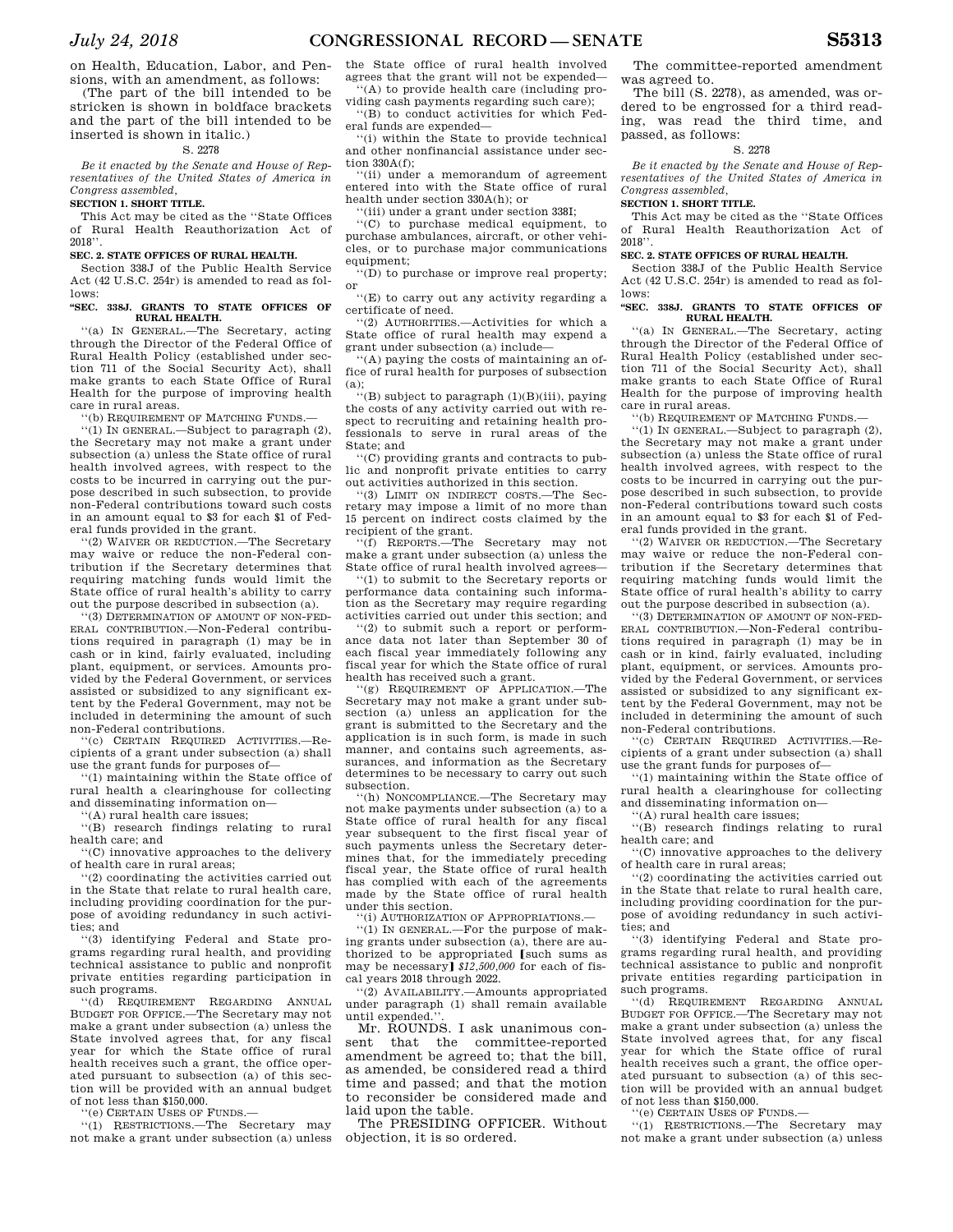on Health, Education, Labor, and Pensions, with an amendment, as follows:

(The part of the bill intended to be stricken is shown in boldface brackets and the part of the bill intended to be inserted is shown in italic.)

### S. 2278

*Be it enacted by the Senate and House of Representatives of the United States of America in Congress assembled,* 

#### **SECTION 1. SHORT TITLE.**

This Act may be cited as the ''State Offices of Rural Health Reauthorization Act of 2018''.

# **SEC. 2. STATE OFFICES OF RURAL HEALTH.**

Section 338J of the Public Health Service Act  $(42 \text{ H S C } 254r)$  is amended to read as follows:

#### **''SEC. 338J. GRANTS TO STATE OFFICES OF RURAL HEALTH.**

''(a) IN GENERAL.—The Secretary, acting through the Director of the Federal Office of Rural Health Policy (established under section 711 of the Social Security Act), shall make grants to each State Office of Rural Health for the purpose of improving health care in rural areas.

''(b) REQUIREMENT OF MATCHING FUNDS.—

''(1) IN GENERAL.—Subject to paragraph (2), the Secretary may not make a grant under subsection (a) unless the State office of rural health involved agrees, with respect to the costs to be incurred in carrying out the purpose described in such subsection, to provide non-Federal contributions toward such costs in an amount equal to \$3 for each \$1 of Federal funds provided in the grant.

''(2) WAIVER OR REDUCTION.—The Secretary may waive or reduce the non-Federal contribution if the Secretary determines that requiring matching funds would limit the State office of rural health's ability to carry out the purpose described in subsection (a).

''(3) DETERMINATION OF AMOUNT OF NON-FED-ERAL CONTRIBUTION.—Non-Federal contributions required in paragraph (1) may be in cash or in kind, fairly evaluated, including plant, equipment, or services. Amounts provided by the Federal Government, or services assisted or subsidized to any significant extent by the Federal Government, may not be included in determining the amount of such non-Federal contributions.

''(c) CERTAIN REQUIRED ACTIVITIES.—Recipients of a grant under subsection (a) shall use the grant funds for purposes of—

''(1) maintaining within the State office of rural health a clearinghouse for collecting and disseminating information on—

''(A) rural health care issues;

''(B) research findings relating to rural health care; and

''(C) innovative approaches to the delivery of health care in rural areas;

''(2) coordinating the activities carried out in the State that relate to rural health care, including providing coordination for the purpose of avoiding redundancy in such activities; and

''(3) identifying Federal and State programs regarding rural health, and providing technical assistance to public and nonprofit private entities regarding participation in such programs.

''(d) REQUIREMENT REGARDING ANNUAL BUDGET FOR OFFICE.—The Secretary may not make a grant under subsection (a) unless the State involved agrees that, for any fiscal year for which the State office of rural health receives such a grant, the office operated pursuant to subsection (a) of this section will be provided with an annual budget of not less than \$150,000.

''(e) CERTAIN USES OF FUNDS.—

''(1) RESTRICTIONS.—The Secretary may not make a grant under subsection (a) unless the State office of rural health involved agrees that the grant will not be expended— ''(A) to provide health care (including pro-

viding cash payments regarding such care); ''(B) to conduct activities for which Fed-

eral funds are expended— ''(i) within the State to provide technical and other nonfinancial assistance under section 330A(f);

''(ii) under a memorandum of agreement entered into with the State office of rural health under section 330A(h); or

''(iii) under a grant under section 338I;

''(C) to purchase medical equipment, to purchase ambulances, aircraft, or other vehicles, or to purchase major communications equipment;

''(D) to purchase or improve real property; or

 $\lq\lq(E)$  to carry out any activity regarding a certificate of need.

''(2) AUTHORITIES.—Activities for which a State office of rural health may expend a grant under subsection (a) include—

''(A) paying the costs of maintaining an office of rural health for purposes of subsection (a);

''(B) subject to paragraph (1)(B)(iii), paying the costs of any activity carried out with respect to recruiting and retaining health professionals to serve in rural areas of the State; and

''(C) providing grants and contracts to public and nonprofit private entities to carry out activities authorized in this section.

''(3) LIMIT ON INDIRECT COSTS.—The Secretary may impose a limit of no more than 15 percent on indirect costs claimed by the recipient of the grant.

''(f) REPORTS.—The Secretary may not make a grant under subsection (a) unless the State office of rural health involved agrees—

''(1) to submit to the Secretary reports or performance data containing such information as the Secretary may require regarding activities carried out under this section; and

''(2) to submit such a report or performance data not later than September 30 of each fiscal year immediately following any fiscal year for which the State office of rural health has received such a grant.

''(g) REQUIREMENT OF APPLICATION.—The Secretary may not make a grant under subsection (a) unless an application for the grant is submitted to the Secretary and the application is in such form, is made in such manner, and contains such agreements, assurances, and information as the Secretary determines to be necessary to carry out such subsection.

'(h) NONCOMPLIANCE.—The Secretary may not make payments under subsection (a) to a State office of rural health for any fiscal year subsequent to the first fiscal year of such payments unless the Secretary determines that, for the immediately preceding fiscal year, the State office of rural health has complied with each of the agreements made by the State office of rural health under this section.

''(i) AUTHORIZATION OF APPROPRIATIONS.—

''(1) IN GENERAL.—For the purpose of making grants under subsection (a), there are authorized to be appropriated Isuch sums as may be necessary]  $$12,500,000$  for each of fiscal years 2018 through 2022.

''(2) AVAILABILITY.—Amounts appropriated under paragraph (1) shall remain available until expended."

Mr. ROUNDS. I ask unanimous consent that the committee-reported amendment be agreed to; that the bill, as amended, be considered read a third time and passed; and that the motion to reconsider be considered made and laid upon the table.

The PRESIDING OFFICER. Without objection, it is so ordered.

The committee-reported amendment was agreed to.

The bill (S. 2278), as amended, was ordered to be engrossed for a third reading, was read the third time, and passed, as follows:

### S. 2278

*Be it enacted by the Senate and House of Representatives of the United States of America in Congress assembled,* 

#### **SECTION 1. SHORT TITLE.**

This Act may be cited as the ''State Offices of Rural Health Reauthorization Act of 2018''.

# **SEC. 2. STATE OFFICES OF RURAL HEALTH.**

Section 338J of the Public Health Service Act  $(42 \text{ H S C } 254r)$  is amended to read as follows:

#### **''SEC. 338J. GRANTS TO STATE OFFICES OF RURAL HEALTH.**

''(a) IN GENERAL.—The Secretary, acting through the Director of the Federal Office of Rural Health Policy (established under section 711 of the Social Security Act), shall make grants to each State Office of Rural Health for the purpose of improving health care in rural areas.

''(b) REQUIREMENT OF MATCHING FUNDS.—

''(1) IN GENERAL.—Subject to paragraph (2), the Secretary may not make a grant under subsection (a) unless the State office of rural health involved agrees, with respect to the costs to be incurred in carrying out the purpose described in such subsection, to provide non-Federal contributions toward such costs in an amount equal to \$3 for each \$1 of Federal funds provided in the grant.

''(2) WAIVER OR REDUCTION.—The Secretary may waive or reduce the non-Federal contribution if the Secretary determines that requiring matching funds would limit the State office of rural health's ability to carry out the purpose described in subsection (a).

''(3) DETERMINATION OF AMOUNT OF NON-FED-ERAL CONTRIBUTION.—Non-Federal contributions required in paragraph (1) may be in cash or in kind, fairly evaluated, including plant, equipment, or services. Amounts provided by the Federal Government, or services assisted or subsidized to any significant extent by the Federal Government, may not be included in determining the amount of such non-Federal contributions.

''(c) CERTAIN REQUIRED ACTIVITIES.—Recipients of a grant under subsection (a) shall use the grant funds for purposes of—

''(1) maintaining within the State office of rural health a clearinghouse for collecting and disseminating information on—

''(A) rural health care issues;

''(B) research findings relating to rural health care; and

''(C) innovative approaches to the delivery of health care in rural areas;

''(2) coordinating the activities carried out in the State that relate to rural health care, including providing coordination for the purpose of avoiding redundancy in such activities; and

''(3) identifying Federal and State programs regarding rural health, and providing technical assistance to public and nonprofit private entities regarding participation in such programs.

''(d) REQUIREMENT REGARDING ANNUAL BUDGET FOR OFFICE.—The Secretary may not make a grant under subsection (a) unless the State involved agrees that, for any fiscal year for which the State office of rural health receives such a grant, the office operated pursuant to subsection (a) of this section will be provided with an annual budget of not less than \$150,000.

''(e) CERTAIN USES OF FUNDS.—

''(1) RESTRICTIONS.—The Secretary may not make a grant under subsection (a) unless